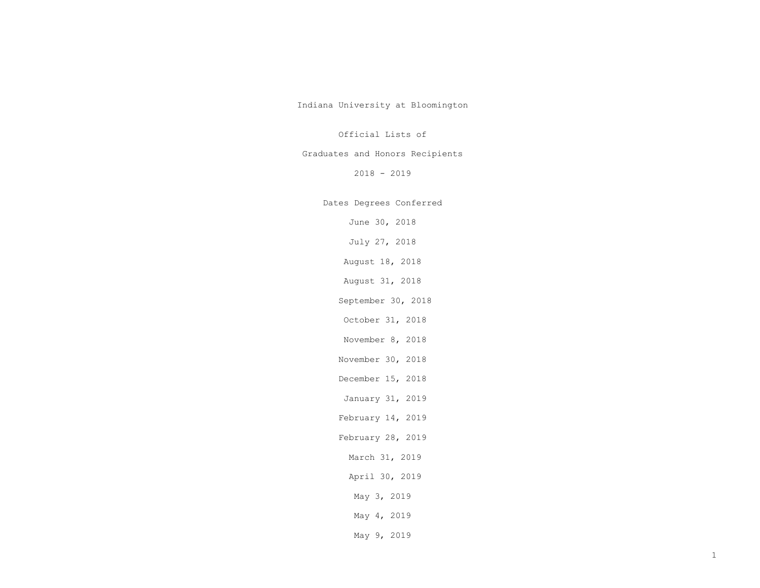Indiana University at Bloomington

## Official Lists of

# Graduates and Honors Recipients

2018 - 2019

# Dates Degrees Conferred

June 30, 2018

July 27, 2018

August 18, 2018

August 31, 2018

September 30, 2018

October 31, 2018

November 8, 2018

November 30, 2018

December 15, 2018

January 31, 2019

February 14, 2019

February 28, 2019

March 31, 2019

April 30, 2019

May 3, 2019

- May 4, 2019
- May 9, 2019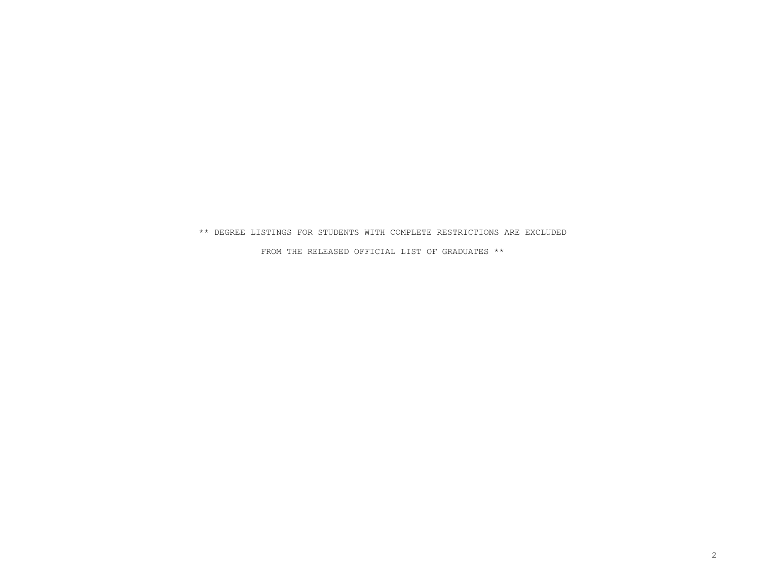### \*\* DEGREE LISTINGS FOR STUDENTS WITH COMPLETE RESTRICTIONS ARE EXCLUDED

FROM THE RELEASED OFFICIAL LIST OF GRADUATES \*\*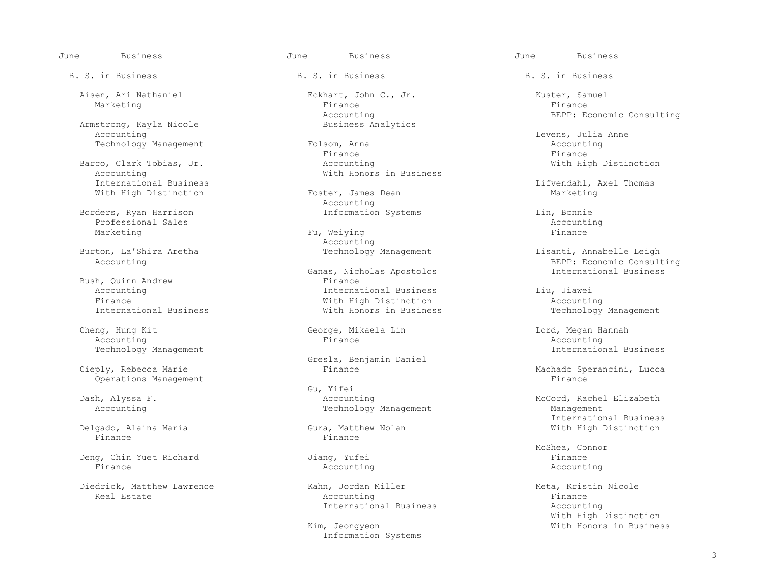June Business June Business June Business

Armstrong, Kayla Nicole<br>Accounting

Accounting Mith Honors in Business<br>International Business With High Distinction

 Borders, Ryan Harrison Information Systems Lin, Bonnie Professional Sales Accounting Accounting Accounting Accounting Accounting Accounting Accounting Accounting Accounting Accounting Accounting Accounting Accounting Accounting Accounting Accounting Accounting Accounting Accou

Bush, Quinn Andrew<br>Accounting

Cheng, Hung Kit George, Mikaela Lin Cheng, Lord, Megan Hannah Accounting and Accounting Accounting Accounting Accounting Finance Accounting

Operations Management

 Delgado, Alaina Maria Gura, Matthew Nolan With High Distinction Finance Finance

 Deng, Chin Yuet Richard Jiang, Yufei Finance Finance Accounting Accounting

Diedrick, Matthew Lawrence Kahn, Jordan Miller Meta, Kristin Nicole

B. S. in Business The B. S. in Business B. S. in Business B. S. in Business

 Aisen, Ari Nathaniel Eckhart, John C., Jr. Kuster, Samuel Marketing Finance Finance Finance Research of the Finance of the Finance of the Finance of the Finance of the  $F$ Accounting  $BEPP: Economic \text{}$  Eximens Analytics  $BEBP: Economic \text{}$ 

Technology Management Folsom, Anna Counting and Accounting and Accounting and Accounting and Accounting and Accounting and Accounting  $F$  in an extension of  $F$  in an extending and  $F$  in an extending and  $F$  in an extendi Finance Finance Barco, Clark Tobias, Jr. Accounting With High Distinction

Accounting<br>Information Systems

Marketing Fu, Weiying Fu, Mender Fu, Mender Fu, Mender Fu, Mender Fu, Mender Fu, Mender Fu, Mender Fu, Mender Burton, La'Shira Aretha (and a basic of the Management of the Management of the Management of the Management of the Management of the Management of the Management of the Management of the Management of the Management of th

Ganas, Nicholas Apostolos<br>Finance Accounting International Business Liu, Jiawei Finance<br>
International Business<br>
With Honors in Business<br>
With Honors in Business

Gresla, Benjamin Daniel<br>Cieply, Rebecca Marie<br>Finance

Cu, Yifei<br>Dash, Alyssa F. (2008) Shows and Maring Mathematics of the Secounting Mathematics of the Mathematics of the M Accounting Technology Management

 Real Estate Accounting Finance International Business and Accounting

Information Systems

External Accounting Tolsom, Anna Communications and Levens, Julia Anne Bolsom, Accounting

International Business Lifvendahl, Axel Thomas<br>
Marketing

 Burton, La'Shira Aretha Technology Management Lisanti, Annabelle Leigh BEPP: Economic Consulting<br>International Business

Technology Management

Technology Management International Business

Machado Sperancini, Lucca<br>Finance

McCord, Rachel Elizabeth<br>Management International Business

McShea, Connor

 With High Distinction Kim, Jeongyeon **With Honors in Business**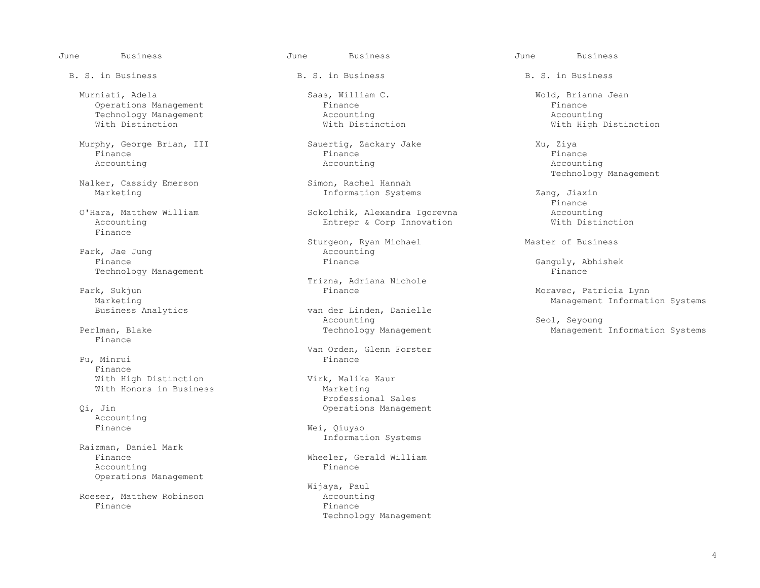June Business June Business June Business

 Murniati, Adela Saas, William C. Wold, Brianna Jean Operations Management and the Finance Finance Finance Finance Finance Finance Finance Finance Finance Finance Finance Finance Finance Finance Finance Finance Finance Finance Finance and the Boston Becounting and the Boston Technology Management<br>
With Distinction<br>
With Distinction<br>
With Distinction

 Murphy, George Brian, III Sauertig, Zackary Jake Xu, Ziya Finance Finance Finance Accounting Accounting Accounting

Nalker, Cassidy Emerson<br>Marketing

Finance

Park, Jae Jung and Accounting Park, Jae Jung and Accounting Accounting Accounting Park and Accounting Park and Accounting Accounting Accounting Accounting Accounting Accounting Accounting Accounting Accounting Accounting A Finance Finance Ganguly, Abhishek Technology Management

Marketing<br>Business Analytics and Management Information Systems<br>Business Analytics

Finance

Pu, Minrui Finance With High Distinction<br>
With Honors in Business<br>
Marketing With Honors in Business

Accounting<br>Finance

 Raizman, Daniel Mark Accounting Operations Management

Roeser, Matthew Robinson<br>Finance Finance Finance

B. S. in Business The B. S. in Business B. S. in Business B. S. in Business

Information Systems  $Zang$ , Jiaxin<br>Finance

 O'Hara, Matthew William Sokolchik, Alexandra Igorevna Accounting Entrepr & Corp Innovation

Sturgeon, Ryan Michael Master of Business<br>Accounting

Trizna, Adriana Nichole<br>Finance Estate and Trizna, Adriana Nichole

van der Linden, Danielle<br>Accounting Accounting Seol, Seyoung

Van Orden, Glenn Forster

 Professional Sales Qi, Jin Operations Management

> Wei, Qiuyao Information Systems

Wheeler, Gerald William<br>Finance

Wijaya, Paul<br>Accounting Technology Management

With High Distinction

Simon, Rachel Hannah and Samon, Rachel Hannah and Technology Management

Finance

Park, Sukjun Finance Moravec, Patricia Lynn

Perlman, Blake Technology Management Management Management Information Systems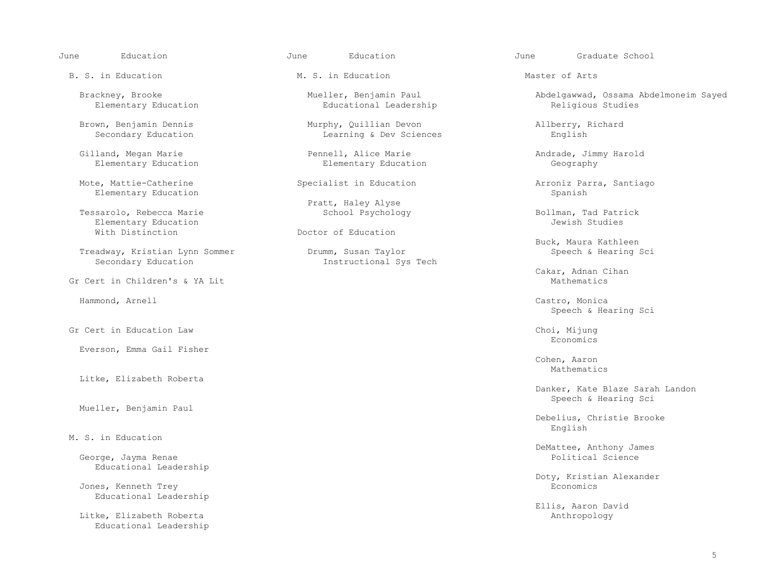B. S. in Education The M. S. in Education M. S. in Education Master of Arts

Mote, Mattie-Catherine Specialist in Education Arroniz Parra, Santiago<br>Elementary Education Specialist in Education Spanish Elementary Education

 Tessarolo, Rebecca Marie School Psychology Bollman, Tad Patrick Elementary Education<br>With Distinction

Treadway, Kristian Lynn Sommer<br>Secondary Education

Gr Cert in Children's & YA Lit Mathematics

Gr Cert in Education Law Choi, Mijung Economics<br>Economics

Everson, Emma Gail Fisher

Litke, Elizabeth Roberta

Mueller, Benjamin Paul

### M. S. in Education

George, Jayma Renae Educational Leadership

Jones, Kenneth Trey Educational Leadership

Litke, Elizabeth Roberta Educational Leadership

Educational Leadership

 Brown, Benjamin Dennis Murphy, Quillian Devon Allberry, Richard Learning & Dev Sciences

 Gilland, Megan Marie Pennell, Alice Marie Andrade, Jimmy Harold Elementary Education

Pratt, Haley Alyse<br>School Psychology

Doctor of Education

Instructional Sys Tech

June Education June Education June Graduate School

Brackney, Brooke Mueller, Benjamin Paul Abdelgawwad, Ossama Abdelmoneim Sayed<br>Elementary Education Educational Leadership Religious Studies

Buck, Maura Kathleen<br>Brumm, Susan Taylor (1999) Speech & Hearing Sci

Cakar, Adnan Cihan

 Hammond, Arnell Castro, Monica Speech & Hearing Sci

Economics

 Cohen, Aaron Mathematics **Mathematics** 

> Danker, Kate Blaze Sarah Landon Speech & Hearing Sci

 Debelius, Christie Brooke English

DeMattee, Anthony James

Doty, Kristian Alexander

Ellis, Aaron David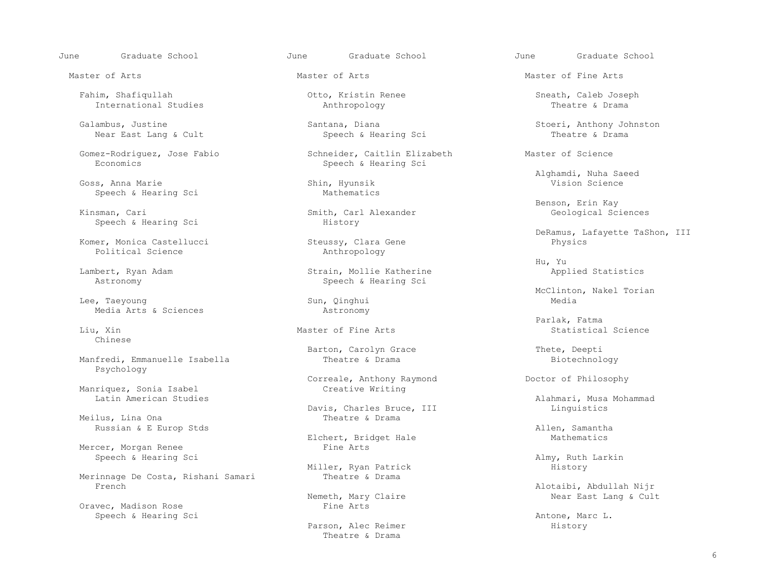June Graduate School June Graduate School June Graduate School

 Fahim, Shafiqullah Otto, Kristin Renee Sneath, Caleb Joseph International Studies

Galambus, Justine Santana, Diana Santana, Diana Stoeri, Anthony Johnston<br>Near East Lang & Cult Speech & Hearing Sci Theatre & Drama Near East Lang & Cult

Gomez-Rodriguez, Jose Fabio Schneider, Caitlin Elizabeth Master of Science<br>Economics Speech & Hearing Sci

Goss, Anna Marie Shin, Hyunsik Sheech & Hearing Science Shin, Hyunsik Sheech & Hearing Science Speech & Hearing Sci

Speech & Hearing Sci

 Komer, Monica Castellucci Steussy, Clara Gene Physics Political Science

 Lee, Taeyoung Sun, Qinghui Media Media Arts & Sciences Astronomy

Chinese

Manfredi, Emmanuelle Isabella Theatre & Drama Theatre and Theatre and Theatre and Theatre and Theatre and Theatre and Theatre and Theatre and Theatre and Theatre and Theatre and Theatre and Theatre and Theatre and Theatre Psychology

Manriquez, Sonia Isabel<br>Latin American Studies

Meilus, Lina Ona Russian & E Europ Stds<br>
Elchert, Bridget Hale<br>
Elchert, Bridget Hale<br>
Mathematics

Mercer, Morgan Renee

Merinnage De Costa, Rishani Samari<br>French

Oravec, Madison Rose Fine Arts Speech & Hearing Sci **Antone, Marc L.** Antone, Marc L.

Speech & Hearing Sci

ith, Carl Alexander Geological Sciences<br>
History

 Lambert, Ryan Adam Strain, Mollie Katherine Applied Statistics Speech & Hearing Sci

Barton, Carolyn Grace and Thete, Deepti<br>Theatre & Drama and Theory Biotechnol

Correale, Anthony Raymond Doctor of Philosophy<br>Creative Writing

Davis, Charles Bruce, III and Linguistics<br>
Theatre & Drama

Elchert, Bridget Hale<br>Fine Arts

Miller, Ryan Patrick<br>Theatre & Drama

Parson, Alec Reimer History Theatre & Drama

Master of Arts Master of Arts Master of Fine Arts

Alghamdi, Nuha Saeed<br>
Shin, Hyunsik<br>
Vision Science

Benson, Erin Kay (English Smith, Carl Alexander (English School of Benson, Erin Kay (English School)<br>Benson, Cari (English School) (English School) (English School) (English School) (English School) (English Sc

DeRamus, Lafayette TaShon, III<br>
Physics
Physics
DeRamus, Lafayette TaShon, III

Hu, Yu

Eee, Taeyoung and the Sun, Qinghui and the McClinton, Nakel Torian and McClinton and Media

 Parlak, Fatma Liu, Xin Statistical Science Master of Fine Arts Statistical Science Statistical Science

Alahmari, Musa Mohammad

Speech & Hearing Sci Almy, Ruth Larkin

Alotaibi, Abdullah Nijr<br>Nemeth, Mary Claire<br>Near East Lang & Cul Near East Lang & Cult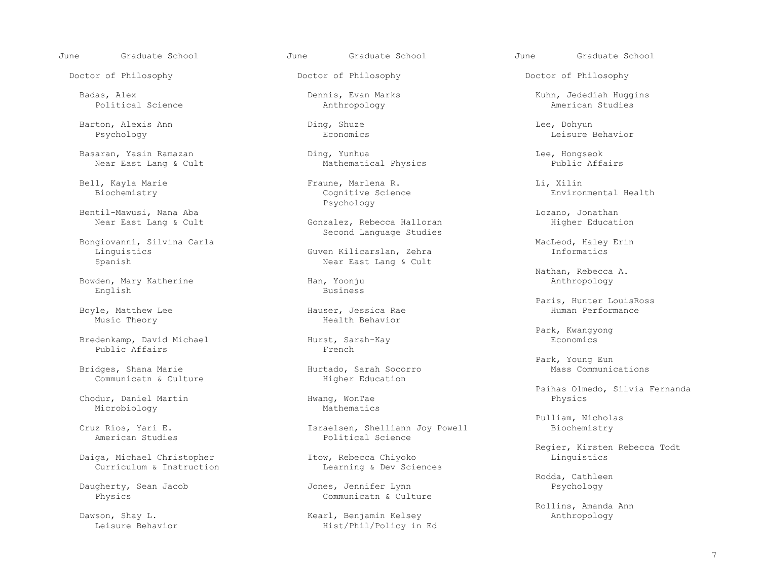June Graduate School June Graduate School June Graduate School

Doctor of Philosophy Doctor of Philosophy Doctor of Philosophy

 Barton, Alexis Ann Ding, Shuze Lee, Dohyun Psychology Economics Leisure Behavior

Basaran, Yasin Ramazan Ding, Yunhua Lee, Hongseok

Bentil-Mawusi, Nana Aba Lozano, Jonathan (Exercise Conzalez, Rebecca Halloran Consumer Consumer Education Near<br>Rear East Lang & Cult Conzalez, Rebecca Halloran (Education Righer Education

Bongiovanni, Silvina Carla (and Santa Garla Gardinal Gardinal Gardinal Carla MacLeod, Haley Erin Linguistics (<br>MacLeod, Haley Erin Garla Gardina Gardina Gardina (and Santa Carla Carla Carla Carla Carla Carla Carla Carla C

 Bowden, Mary Katherine Han, Yoonju Anthropology English Business

Boyle, Matthew Lee Theory Hauser, Jessica Rae Hauser, Health Behavior Music Theory

Bredenkamp, David Michael Hurst, Sarah-Kay Hurst, Sarah-Kay Economics<br>Public Affairs French Public Affairs

Bridges, Shana Marie **Hurtado, Sarah Soco**<br>Communicatn & Culture **Higher Education** Communicatn & Culture

Chodur, Daniel Martin Hwang, WonTae Hwang, 2014 Microbiology

Daiga, Michael Christopher Itow, Rebecca Chiyoko Linguistics Linguistics Linguistics Linguistics Linguistics

Daugherty, Sean Jacob<br>Physics

Political Science Anthropology American Studies

Mathematical Physics

 Bell, Kayla Marie Fraune, Marlena R. Li, Xilin Psychology

> Gonzalez, Rebecca Halloran Second Language Studies

Guven Kilicarslan, Zehra Spanish Near East Lang & Cult

Iz Rios, Yari E.<br>
American Studies<br>
American Studies<br>
Bolitical Science Political Science

Learning & Dev Sciences

Communicatn & Culture

ven, Shay L.<br>
Daws Mearl, Benjamin Kelsey<br>
Hist/Phil/Policy in Hist/Phil/Policy in Ed

Badas, Alex Dennis, Evan Marks Kuhn, Jedediah Huggins

Environmental Health

Nathan, Rebecca A.

Paris, Hunter LouisRoss<br>
Hauser, Jessica Rae<br>
Human Performance

Park, Kwangyong

Park, Young Eun<br>
Park, Young Eun<br>
Mass Communications

Psihas Olmedo, Silvia Fernanda<br>Physics<br>Physics

Pulliam, Nicholas<br>Cruz Rios, Yari E. Israelsen, Shelliann Joy Powell Biochemistry

Regier, Kirsten Rebecca Todt<br>
Republik Represent Rebecca Chiyoko<br>
Linguistics

Example of the Cathleen Control of the Cathleen Sones, Jennifer Lynn Cathleen Cathleen Control of the Cathleen<br>Provide the Cathleen Cathleen Cathleen Cathleen Cathleen Cathleen Cathleen Cathleen Cathleen Cathleen Cathleen

Rollins, Amanda Ann (Rollins, Amanda Ann (Rollins, Amanda Ann (Rollins, Amanda Ann (Rollins, Amanda Ann (Rollins, Amanda Ann (Rollins, Amanda Ann (Rollins, Amanda Ann (Rollins, Amanda Ann (Rollins, Amanda Ann (Rollins, Ama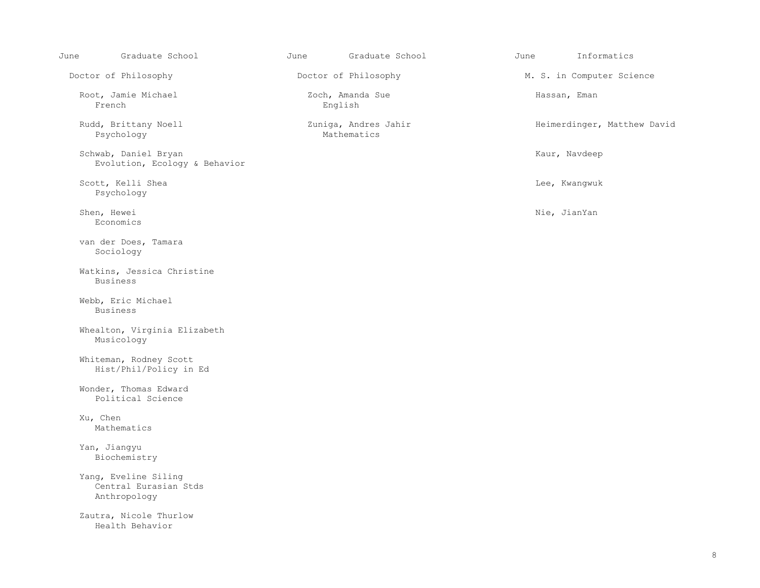| June | Graduate School                                               | June | Graduate School                     | June | Informatics                 |
|------|---------------------------------------------------------------|------|-------------------------------------|------|-----------------------------|
|      | Doctor of Philosophy                                          |      | Doctor of Philosophy                |      | M. S. in Computer Science   |
|      | Root, Jamie Michael<br>French                                 |      | Zoch, Amanda Sue<br>English         |      | Hassan, Eman                |
|      | Rudd, Brittany Noell<br>Psychology                            |      | Zuniga, Andres Jahir<br>Mathematics |      | Heimerdinger, Matthew David |
|      | Schwab, Daniel Bryan<br>Evolution, Ecology & Behavior         |      |                                     |      | Kaur, Navdeep               |
|      | Scott, Kelli Shea<br>Psychology                               |      |                                     |      | Lee, Kwangwuk               |
|      | Shen, Hewei<br>Economics                                      |      |                                     |      | Nie, JianYan                |
|      | van der Does, Tamara<br>Sociology                             |      |                                     |      |                             |
|      | Watkins, Jessica Christine<br><b>Business</b>                 |      |                                     |      |                             |
|      | Webb, Eric Michael<br><b>Business</b>                         |      |                                     |      |                             |
|      | Whealton, Virginia Elizabeth<br>Musicology                    |      |                                     |      |                             |
|      | Whiteman, Rodney Scott<br>Hist/Phil/Policy in Ed              |      |                                     |      |                             |
|      | Wonder, Thomas Edward<br>Political Science                    |      |                                     |      |                             |
|      | Xu, Chen<br>Mathematics                                       |      |                                     |      |                             |
|      | Yan, Jiangyu<br>Biochemistry                                  |      |                                     |      |                             |
|      | Yang, Eveline Siling<br>Central Eurasian Stds<br>Anthropology |      |                                     |      |                             |
|      | Zautra, Nicole Thurlow<br>Health Behavior                     |      |                                     |      |                             |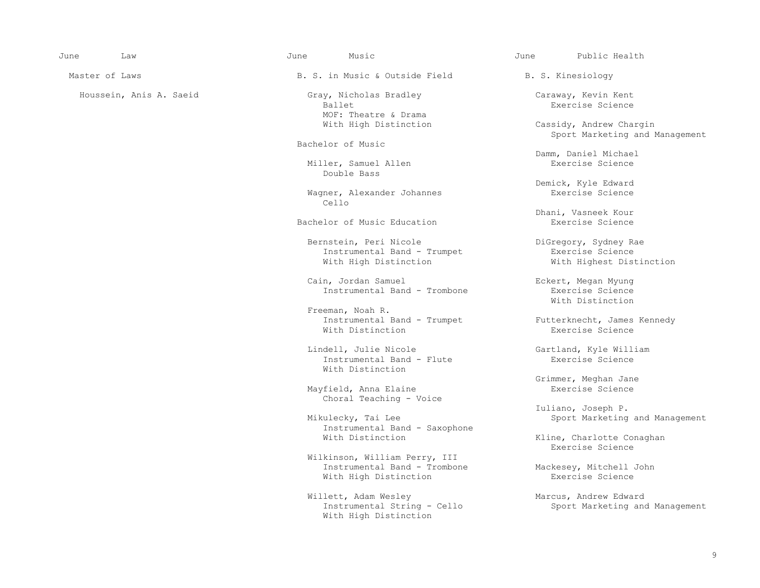| June | Law |
|------|-----|
|------|-----|

 June Law June Music June Public Health Master of Laws The Society of Laws Assessed B. S. in Music & Outside Field B. S. Kinesiology Houssein, Anis A. Saeid Gray, Nicholas Bradley (Gray, Caraway, Kevin Kent<br>Ballet Gray, Ballet (Exercise Science Ballet Exercise Science MOF: Theatre & Drama<br>With High Distinction Bachelor of Music Miller, Samuel Allen Double Bass Wagner, Alexander Johannes<br>Cello Cello Bachelor of Music Education Bernstein, Peri Nicole DiGregory, Sydney Rae Instrumental Band - Trumpet<br>With High Distinction

Cain, Jordan Samuel Band - Trombone Eckert, Megan Myung<br>
Instrumental Band - Trombone Bxercise Science

Freeman, Noah R.<br>Instrumental Band - Trumpet Instrumental Band - Trumpet Futterknecht, James Kennedy<br>With Distinction Fxercise Science With Distinction Exercise Science

> Lindell, Julie Nicole<br>
> Instrumental Band - Flute<br>
> Exercise Science<br>
> Exercise Science Instrumental Band - Flute With Distinction

Mayfield, Anna Elaine Choral Teaching - Voice

Instrumental Band - Saxophone

Wilkinson, William Perry, III<br>Instrumental Band - Trombone With High Distinction

Willett, Adam Wesley Marcus, Andrew Edward<br>Instrumental String - Cello Marketing an With High Distinction

Cassidy, Andrew Chargin Sport Marketing and Management

Damm, Daniel Michael

Demick, Kyle Edward

Dhani, Vasneek Kour<br>Exercise Science

With Highest Distinction

 Instrumental Band - Trombone Exercise Science With Distinction

Grimmer, Meghan Jane

 Iuliano, Joseph P. Sport Marketing and Management

Kline, Charlotte Conaghan<br>Exercise Science Exercise Science

Mackesey, Mitchell John<br>Exercise Science

Sport Marketing and Management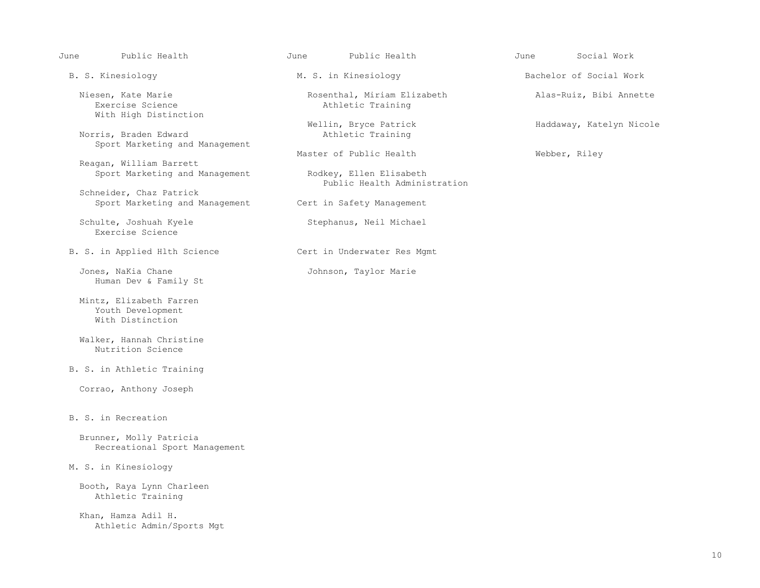June Public Health June Public Health June Social Work

With High Distinction

Norris, Braden Edward Sport Marketing and Management

 Reagan, William Barrett Sport Marketing and Management Rodkey, Ellen Elisabeth

 Schneider, Chaz Patrick Sport Marketing and Management Cert in Safety Management

Schulte, Joshuah Kyele Stephanus, Neil Michael Exercise Science

B. S. in Applied Hlth Science The Cert in Underwater Res Mgmt

Jones, NaKia Chane **Johnson**, Taylor Marie Human Dev & Family St

 Mintz, Elizabeth Farren Youth Development With Distinction

 Walker, Hannah Christine Nutrition Science

B. S. in Athletic Training

Corrao, Anthony Joseph

### B. S. in Recreation

 Brunner, Molly Patricia Recreational Sport Management

### M. S. in Kinesiology

 Booth, Raya Lynn Charleen Athletic Training

 Khan, Hamza Adil H. Athletic Admin/Sports Mgt

Niesen, Kate Marie Rosenthal, Miriam Elizabeth Alas-Ruiz, Bibi Annette<br>Exercise Science Athletic Training Athletic Training

Wellin, Bryce Patrick Haddaway, Katelyn Nicole<br>Athletic Training

Master of Public Health Webber, Riley

Public Health Administration

B. S. Kinesiology **M. S. in Kinesiology** Bachelor of Social Work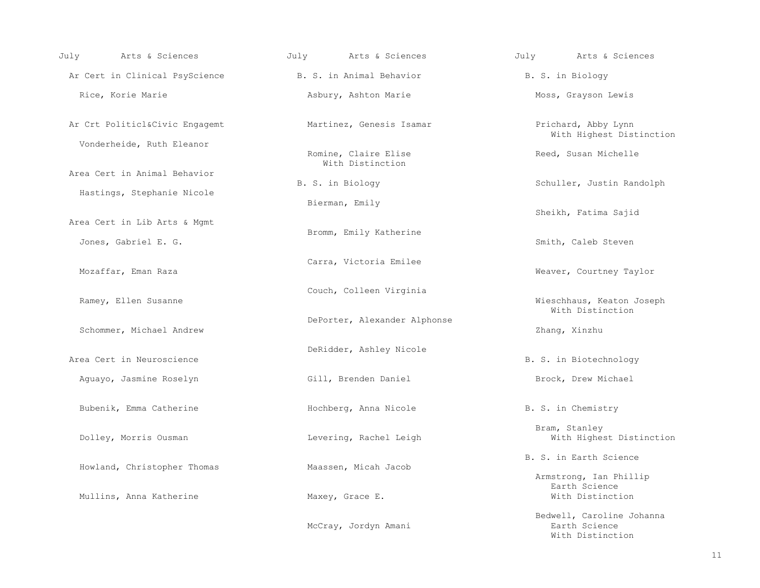| July Mrts & Sciences                                        | July 11 Arts & Sciences                  | July 1. Arts & Sciences                                        |
|-------------------------------------------------------------|------------------------------------------|----------------------------------------------------------------|
| Ar Cert in Clinical PsyScience The B. S. in Animal Behavior |                                          | B. S. in Biology                                               |
| Rice, Korie Marie                                           | Asbury, Ashton Marie                     | Moss, Grayson Lewis                                            |
| Ar Crt Politicl&Civic Engagemt                              | Martinez, Genesis Isamar                 | Prichard, Abby Lynn<br>With Highest Distinction                |
| Vonderheide, Ruth Eleanor                                   | Romine, Claire Elise<br>With Distinction | Reed, Susan Michelle                                           |
| Area Cert in Animal Behavior                                | B. S. in Biology                         | Schuller, Justin Randolph                                      |
| Hastings, Stephanie Nicole                                  | Bierman, Emily                           |                                                                |
| Area Cert in Lib Arts & Mgmt                                | Bromm, Emily Katherine                   | Sheikh, Fatima Sajid                                           |
| Jones, Gabriel E. G.                                        |                                          | Smith, Caleb Steven                                            |
| Mozaffar, Eman Raza                                         | Carra, Victoria Emilee                   | Weaver, Courtney Taylor                                        |
| Ramey, Ellen Susanne                                        | Couch, Colleen Virginia                  | Wieschhaus, Keaton Joseph<br>With Distinction                  |
| Schommer, Michael Andrew                                    | DePorter, Alexander Alphonse             | Zhang, Xinzhu                                                  |
| Area Cert in Neuroscience                                   | DeRidder, Ashley Nicole                  | B. S. in Biotechnology                                         |
| Aguayo, Jasmine Roselyn                                     | Gill, Brenden Daniel                     | Brock, Drew Michael                                            |
| Bubenik, Emma Catherine                                     | Hochberg, Anna Nicole                    | B. S. in Chemistry                                             |
| Dolley, Morris Ousman                                       | Levering, Rachel Leigh                   | Bram, Stanley<br>With Highest Distinction                      |
| Howland, Christopher Thomas                                 | Maassen, Micah Jacob                     | B. S. in Earth Science                                         |
| Mullins, Anna Katherine                                     | Maxey, Grace E.                          | Armstrong, Ian Phillip<br>Earth Science<br>With Distinction    |
|                                                             | McCray, Jordyn Amani                     | Bedwell, Caroline Johanna<br>Earth Science<br>With Distinction |

With Distinction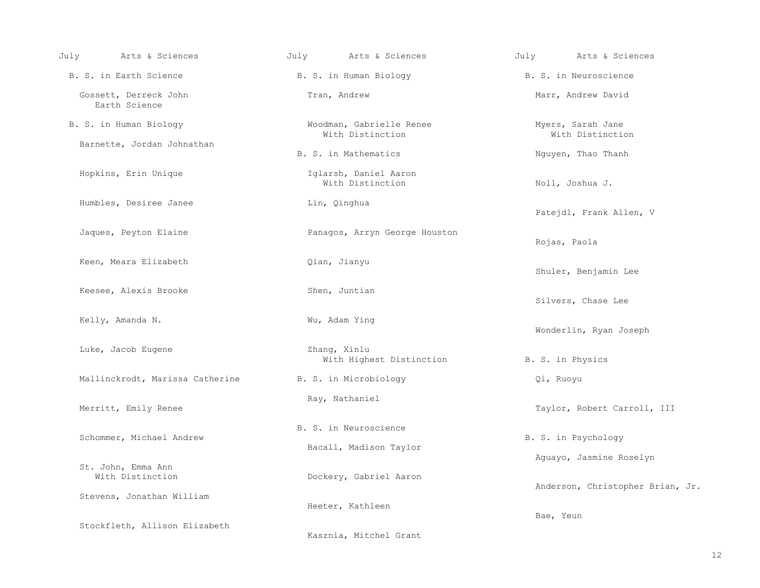| July<br>Arts & Sciences                | July<br>Arts & Sciences                         | July<br>Arts & Sciences               |
|----------------------------------------|-------------------------------------------------|---------------------------------------|
| B. S. in Earth Science                 | B. S. in Human Biology                          | B. S. in Neuroscience                 |
| Gossett, Derreck John<br>Earth Science | Tran, Andrew                                    | Marr, Andrew David                    |
| B. S. in Human Biology                 | Woodman, Gabrielle Renee<br>With Distinction    | Myers, Sarah Jane<br>With Distinction |
| Barnette, Jordan Johnathan             | B. S. in Mathematics                            | Nguyen, Thao Thanh                    |
| Hopkins, Erin Unique                   | Iglarsh, Daniel Aaron<br>With Distinction       | Noll, Joshua J.                       |
| Humbles, Desiree Janee                 | Lin, Qinghua                                    | Patejdl, Frank Allen, V               |
| Jaques, Peyton Elaine                  | Panagos, Arryn George Houston                   | Rojas, Paola                          |
| Keen, Meara Elizabeth                  | Qian, Jianyu                                    | Shuler, Benjamin Lee                  |
| Keesee, Alexis Brooke                  | Shen, Juntian                                   | Silvers, Chase Lee                    |
| Kelly, Amanda N.                       | Wu, Adam Ying                                   | Wonderlin, Ryan Joseph                |
| Luke, Jacob Eugene                     | Zhang, Xinlu<br>With Highest Distinction        | B. S. in Physics                      |
| Mallinckrodt, Marissa Catherine        | B. S. in Microbiology                           | Qi, Ruoyu                             |
| Merritt, Emily Renee                   | Ray, Nathaniel                                  | Taylor, Robert Carroll, III           |
| Schommer, Michael Andrew               | B. S. in Neuroscience<br>Bacall, Madison Taylor | B. S. in Psychology                   |
| St. John, Emma Ann                     |                                                 | Aquayo, Jasmine Roselyn               |
| With Distinction                       | Dockery, Gabriel Aaron                          | Anderson, Christopher Brian, Jr.      |
| Stevens, Jonathan William              | Heeter, Kathleen                                | Bae, Yeun                             |
| Stockfleth, Allison Elizabeth          | Kasznia, Mitchel Grant                          |                                       |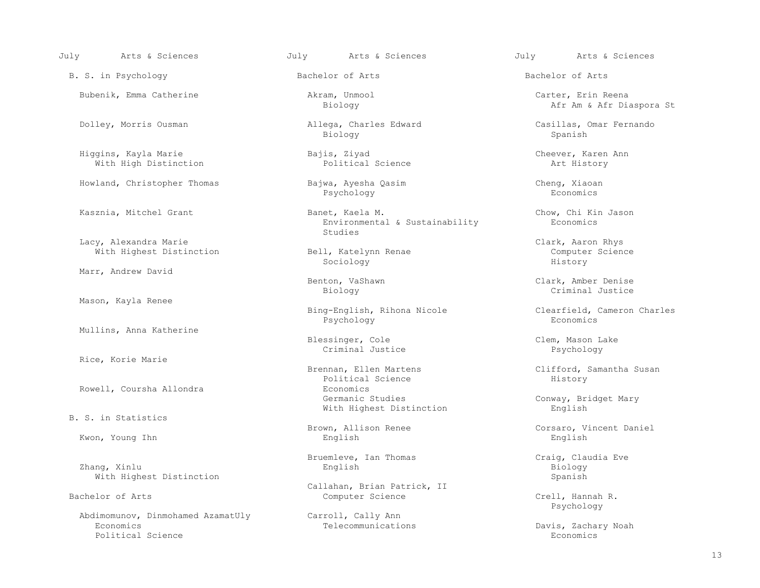B. S. in Psychology **Bachelor of Arts** Bachelor of Arts Bachelor of Arts Bachelor of Arts

 Higgins, Kayla Marie Bajis, Ziyad Cheever, Karen Ann With High Distinction

Lacy, Alexandra Marie Clark, Aaron Rhys<br>
With Highest Distinction (Clark, Aaron Rhys Computer Science and Computer Science With Highest Distinction

Marr, Andrew David

Mason, Kayla Renee

Mullins, Anna Katherine

Rice, Korie Marie

B. S. in Statistics

 Zhang, Xinlu English Biology With Highest Distinction Spanish Spanish Spanish Spanish Spanish Spanish Spanish Spanish Spanish Spanish Spanish Spanish Spanish Spanish Spanish Spanish Spanish Spanish Spanish Spanish Spanish Spanish Spanish Spanish Spani

Abdimomunov, Dinmohamed AzamatUly Carroll, Cally Ann<br>Economics Telecommunications Economics Telecommunications Davis, Zachary Noah Political Science and the set of the set of the set of the set of the set of the set of the set of the set of t

 Dolley, Morris Ousman Allega, Charles Edward Casillas, Omar Fernando Biology Spanish

Howland, Christopher Thomas Bajwa, Ayesha Qasim Cheng, Xiaoan Cheng, Xiaoan Baychology Bass Cheng, Xiaoan Psychology Psychology Economics

 Kasznia, Mitchel Grant Banet, Kaela M. Chow, Chi Kin Jason Environmental & Sustainability<br>Studies studies and the studies of the studies of the studies of the studies of the studies of the studies of the studies of the studies of the studies of the studies of the studies of the studies of the studies of the studies of

Sociology History

Bing-English, Rihona Nicole Clearfield, Cameron Charles<br>Psychology Economics Psychology Economics

Blessinger, Cole and Clem, Mason Lake Criminal Justice Clem, Colem, Mason Lake Criminal Justice Criminal Justice Psychology

Brennan, Ellen Martens (Elifford, Samantha Susan Political Science (Elifford, Samantha Susan (Elifford, Samantha Susan (Elifford, Samantha Susan (Elifford, Samantha Susan (Elifford, Samantha Susan (Elifford, Samantha Susan Political Science<br>Economics Rowell, Coursha Allondra and Economics Economics<br>Germanic Studies With Highest Distinction English

Kwon, Young Ihn English English English English English English English

Bruemleve, Ian Thomas Craig, Claudia Eve

Callahan, Brian Patrick, II<br>
Computer Science<br>
Computer Science

July Arts & Sciences July Arts & Sciences July Arts & Sciences

 Bubenik, Emma Catherine Akram, Unmool Carter, Erin Reena Afr Am & Afr Diaspora St

Benton, VaShawn Clark, Amber Denise<br>Biology Criminal Justice Biology Criminal Justice

Conway, Bridget Mary

Brown, Allison Renee Corsaro, Vincent Daniel<br>English Corsaro, Vincent Daniel<br>English English

Crell, Hannah R.<br>Psychology Psychology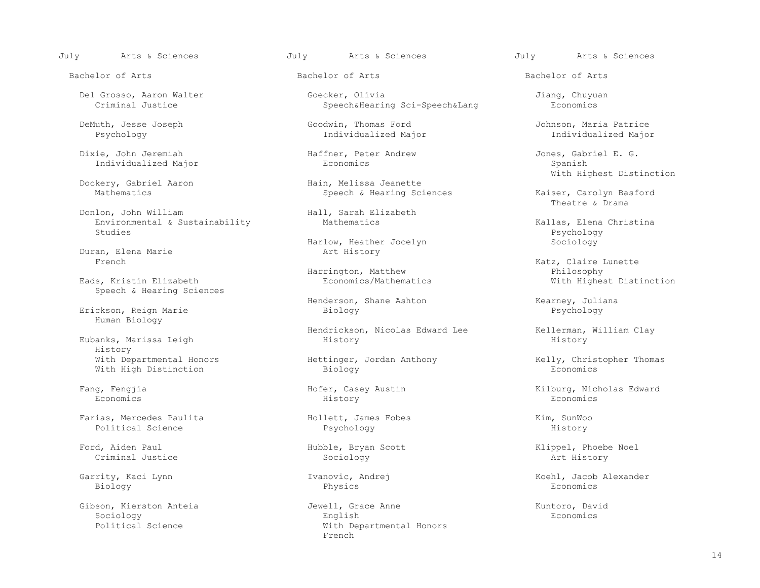July Arts & Sciences July Arts & Sciences July Arts & Sciences

Dixie, John Jeremiah (Dixie, John Jeremiah Haffner, Peter Andrew Solle and Jones, Gabriel E. G. (Discolor discontinuity of Economics (Discontinuity of Spanish Spanish (Discontinuity of Economics (Discontinuity of Spanish S Individualized Major

Dockery, Gabriel Aaron<br>Mathematics

 Donlon, John William Hall, Sarah Elizabeth Environmental & Sustainability and Mathematics and Mathematics and Mathematics Rallas, Elena Christina<br>Studies Rychology Studies Psychology (Particle of the Studies of the Studies of the Psychology of the Psychology of the Psychology

Duran, Elena Marie<br>French

Speech & Hearing Sciences

Human Biology

Eubanks, Marissa Leigh History<br>With Departmental Honors With High Distinction

 Farias, Mercedes Paulita Hollett, James Fobes Kim, SunWoo Political Science **Psychology** Providence **Psychology History** 

Criminal Justice Sociology Art History

Biology Physics Economics

 Del Grosso, Aaron Walter Goecker, Olivia Jiang, Chuyuan Speech&Hearing Sci-Speech&Lang

 DeMuth, Jesse Joseph Goodwin, Thomas Ford Johnson, Maria Patrice Individualized Major

Harlow, Heather Jocelyn Sociology<br>Art History

Eads, Kristin Elizabeth (Eads, Kristin Elizabeth (Eads, Economics)

Henderson, Shane Ashton Messexteen Mearney, Juliana Erickson, Reign Marie **Biology** Biology Research Biology Research Biology Research Biology

Hendrickson, Nicolas Edward Lee Kellerman, William Clay<br>History History

Wittinger, Jordan Anthony (Elly, Christopher Thomas Biology (Economics

Economics History Economics

 Gibson, Kierston Anteia Jewell, Grace Anne Kuntoro, David Sociology English Economics Political Science **With Departmental Honors**<br>
French **French French** 

Bachelor of Arts Bachelor of Arts Bachelor of Arts

With Highest Distinction<br>
Hain, Melissa Jeanette

Speech & Hearing Sciences<br>
Theatre & Drama<br>
Theatre & Drama Theatre & Drama

Katz, Claire Lunette<br>Philosophy With Highest Distinction

Fang, Fengjia Hofer, Casey Austin Kilburg, Nicholas Edward

Ford, Aiden Paul **Hubble, Bryan Scott** (Klippel, Phoebe Noel Criminal Justice (Klippel) (Klippel, Phoebe Noel Sociology

Garrity, Kaci Lynn Ivanovic, Andrej Koehl, Jacob Alexander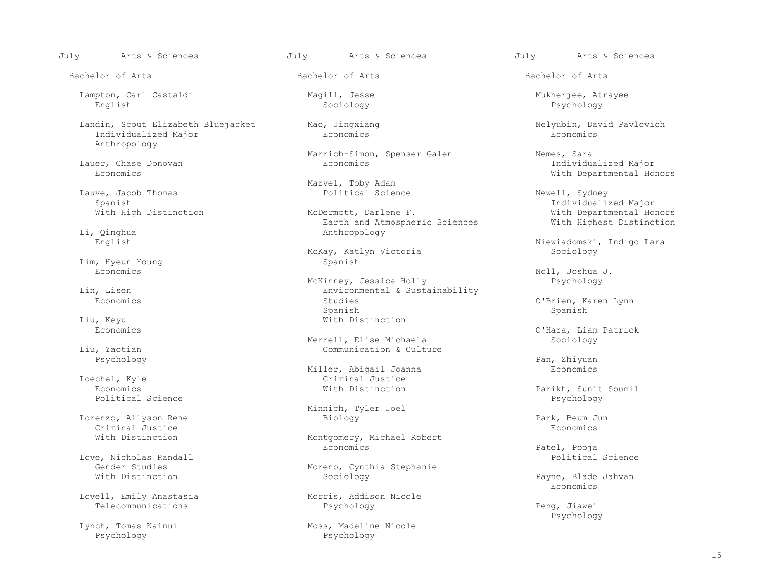Lampton, Carl Castaldi Magill, Jesse Mukherjee, Atrayee English Sociology Psychology

Landin, Scout Elizabeth Bluejacket Mao, Jingxiang Nelyubin, David Pavlovich Mandin, David Pavlovich Nelyubin, David Pavlovich Reconomics Individualized Major Anthropology

Lauve, Jacob Thomas Political Science Newell, Sydney

Li, Qinghua Anthropology

Lim, Hyeun Young Spanish<br>Economics

Liu, Keyu **With Distinction**<br>
Economics

Psychology Pan, Zhiyuan

Political Science and the extension of the extension of the extension of the extension of the extension of the  $P$ 

 Lorenzo, Allyson Rene Biology Park, Beum Jun Criminal Justice **Exercía e a la conomics** Economics en la conomica en la conomica en la conomica en la conomica

Love, Nicholas Randall and Science and Science and Science and Science and Science and Science and Science and Science and Science and Science and Science and Science and Science and Science and Science and Science and Sci

Lovell, Emily Anastasia Morris, Addison Nicole

Psychology Psychology

Marrich-Simon, Spenser Galen Nemes, Sara<br>Economics Economics Economics Nemes, Individual

Marvel, Toby Adam<br>Political Science

Earth and Atmospheric Sciences With Highest Distinction

McKay, Katlyn Victoria

McKinney, Jessica Holly Psychology<br>Environmental & Sustainability Psychology l, Lisen and Environmental & Sustainability<br>Economics Economics Spanish Spanish

Merrell, Elise Michaela<br>Liu, Yaotian Sommunication & Cult Communication & Culture

Miller, Abigail Joanna<br>Criminal Justice Loechel, Kyle Criminal Justice

Minnich, Tyler Joel

With Distinction Montgomery, Michael Robert<br>
Economics Economics Patel, Pooja

Gender Studies<br>
Moreno, Cynthia Stephanie<br>
Moreno, Cynthia Stephanie<br>
Sociology

Telecommunications Psychology Peng, Jiawei<br>Psychology Peng, Jiawei

Lynch, Tomas Kainui (and Moss, Madeline Nicole Psychology

July Arts & Sciences July Arts & Sciences July Arts & Sciences

Bachelor of Arts Bachelor of Arts Bachelor of Arts

 Lauer, Chase Donovan Economics Individualized Major With Departmental Honors

Spanish (Individualized Major)<br>Mith High Distinction (Individualized Major Mith Departmental Hornel Mechanics Musculin Major (Individualized Ma With Departmental Honors<br>With Highest Distinction

Niewiadomski, Indigo Lara<br>Sociology

Economics Noll, Joshua J.

O'Brien, Karen Lynn

O'Hara, Liam Patrick<br>Sociology

Economics With Distinction Parikh, Sunit Soumil

Sociology Payne, Blade Jahvan<br>Reconomics Economics

Psychology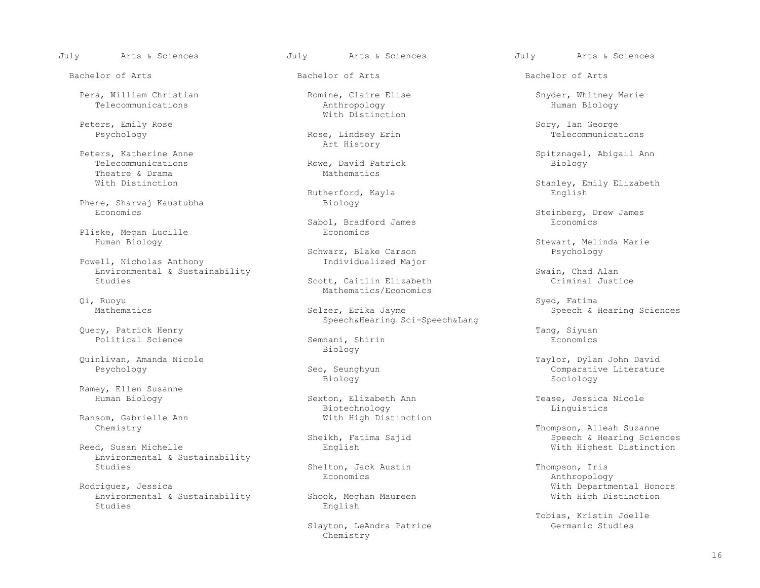Pera, William Christian Romine, Claire Elise Snyder, Whitney Marie

Peters, Katherine Anne et al. (2013) Art History Theatre & Drama<br>With Distinction

Phene, Sharvaj Kaustubha<br>Economics

Pliske, Megan Lucille<br>Human Biology

Powell, Nicholas Anthony Environmental & Sustainability<br>Scott, Caitlin Elizabeth Studies (Studies Criminal Justice

Qi, Ruoyu Syed, Fatima

Query, Patrick Henry Tang, Siyuan

Ramey, Ellen Susanne

Ransom, Gabrielle Ann With High Distinction<br>Chemistry

Environmental & Sustainability

Rodriguez, Jessica<br>
Environmental & Sustainability Shook, Meghan Maureen Mith Mith High Distinction Environmental & Sustainability<br>Studies Studies **English** 

Bachelor of Arts Bachelor of Arts Bachelor of Arts

 Telecommunications Anthropology Human Biology With Distinction

Rose, Lindsey Erin

Rowe, David Patrick<br>Mathematics

Rutherford, Kayla<br>Biology

Sabol, Bradford James Economics

Schwarz, Blake Carson<br>Individualized Major

Scott, Caitlin Elizabeth Mathematics/Economics<br>
Qi, Ruoyu

Mathematics **Selzer, Erika Jayme** Selzer, Erika Jayme Speech & Hearing Sciences Speech&Hearing Sci-Speech&Lang

Semnani, Shirin<br>Biology Biology

Biology Sociology

Biotechnology Linguistics

Shelton, Jack Austin Thompson, Iris<br>Economics Mathropology

Slayton, LeAndra Patrice<br>Chemistry Chemistry

July Arts & Sciences July Arts & Sciences July Arts & Sciences

Peters, Emily Rose Sory, Ian George Sory, Ian George Sory, Ian George Sory, Ian George Sory, Ian George Sory, Ian George Sychology Sory, Ian George Sychology Sory, Ian George Sychology Sory, Ian George Sychology Sychology

ers, Katherine Anne<br>Peters, Telecommunications and Spitznagel, Abigail Anne Spitznagel, Abigail Anne Spitznagel, Abigail Anne Spitznagel, Abigail Anne Spitznagel, Abigail Anne Spitznagel, Abigail Anne Spitznagel, Abigail A

Stanley, Emily Elizabeth<br>English

Steinberg, Drew James<br>Economics

Stewart, Melinda Marie<br>Psychology

 Quinlivan, Amanda Nicole Taylor, Dylan John David Post Comparative Literature<br>
Biology Sociology<br>
Sociology

Sexton, Elizabeth Ann Tease, Jessica Nicole

Thompson, Alleah Suzanne<br>Sheikh, Fatima Sajid Suzanne Sheech & Hearing Science Sheikh, Fatima Sajid (Speech & Hearing Sciences) Sheikh, Fatima Sajid (Speech & Hearing Sciences<br>
Sheikh, Fatima Sajid (Speech & Hearing Sciences ) Sheikh, English (Speech & Hearing Sciences ) and the English With Highest Distinction

Economics Anthropology

Tobias, Kristin Joelle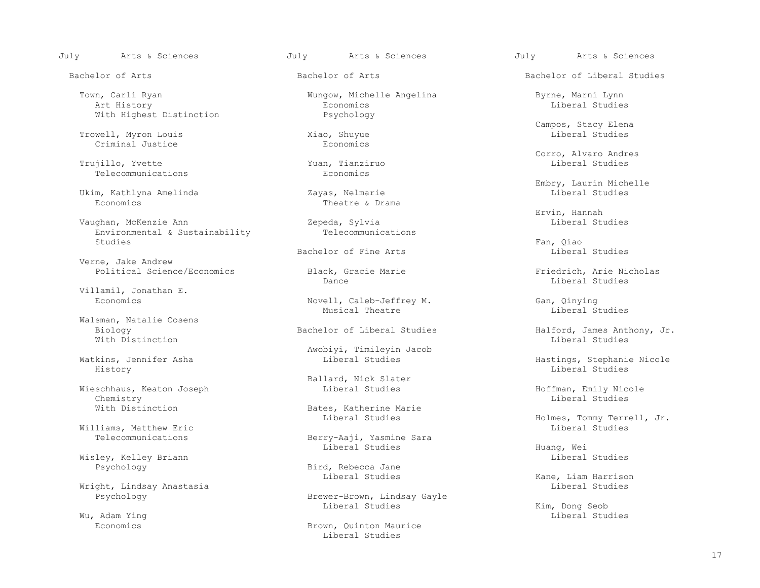July Arts & Sciences July Arts & Sciences July Arts & Sciences

 Town, Carli Ryan Wungow, Michelle Angelina Byrne, Marni Lynn Art History Economics Liberal Studies With Highest Distinction Psychology

Trowell, Myron Louis and Xiao, Shuyue<br>Criminal Justice Criminal Studies Criminal Justice

 Trujillo, Yvette Yuan, Tianziruo Liberal Studies Telecommunications

Ukim, Kathlyna Amelinda<br>Economics

 Vaughan, McKenzie Ann Zepeda, Sylvia Liberal Studies Environmental & Sustainability<br>Studies Studies Fan, Qiao et al. (1999) et al. (1999) et al. (1999) et al. (1999) et al. (1999) et al. (1999) et al. (

Verne, Jake Andrew<br>Political Science/Economics

Villamil, Jonathan E.

 Walsman, Natalie Cosens With Distinction and the control of the control of the control of the control of the control of the control of the control of the control of the control of the control of the control of the control of the control of the co

History Liberal Studies

 Wieschhaus, Keaton Joseph Liberal Studies Hoffman, Emily Nicole Chemistry Liberal Studies

Williams, Matthew Eric<br>Telecommunications

Wisley, Kelley Briann Liberal Studies

Wright, Lindsay Anastasia<br>Psychology

Theatre & Drama

Bachelor of Fine Arts Liberal Studies

Novell, Caleb-Jeffrey M.<br>
Musical Theatre Musical Cheatre Liberal Studies Musical Theatre **Example 2018** Liberal Studies

Awobiyi, Timileyin Jacob

Ballard, Nick Slater

With Distinction Bates, Katherine Marie<br>
Liberal Studies

Berry-Aaji, Yasmine Sara<br>Liberal Studies Liberal Studies Huang, Wei

Bird, Rebecca Jane<br>Liberal Studies

Brewer-Brown, Lindsay Gayle<br>Liberal Studies Liberal Studies Kim, Dong Seob

 Economics Brown, Quinton Maurice Liberal Studies

Bachelor of Arts **Bachelor of Arts** Bachelor of Arts **Bachelor of Liberal Studies** 

Campos, Stacy Elena

Corro, Alvaro Andres

Embry, Laurin Michelle<br>
Embry, Laurin Michelle<br>
Liberal Studies

Ervin, Hannah

Political Science Marie Friedrich, Arie Nicholas<br>
Pance Friedrich, Arie Nicholas<br>
Liberal Studies Dance Liberal Studies

Biology Bachelor of Liberal Studies Halford, James Anthony, Jr.

Watkins, Jennifer Asha Liberal Studies Hastings, Stephanie Nicole

Holmes, Tommy Terrell, Jr.<br>Liberal Studies

Kane, Liam Harrison<br>Liberal Studies

Wu, Adam Ying Philip Studies (1999) and the set of the set of the set of the set of the set of the set of the set of the set of the set of the set of the set of the set of the set of the set of the set of the set of the se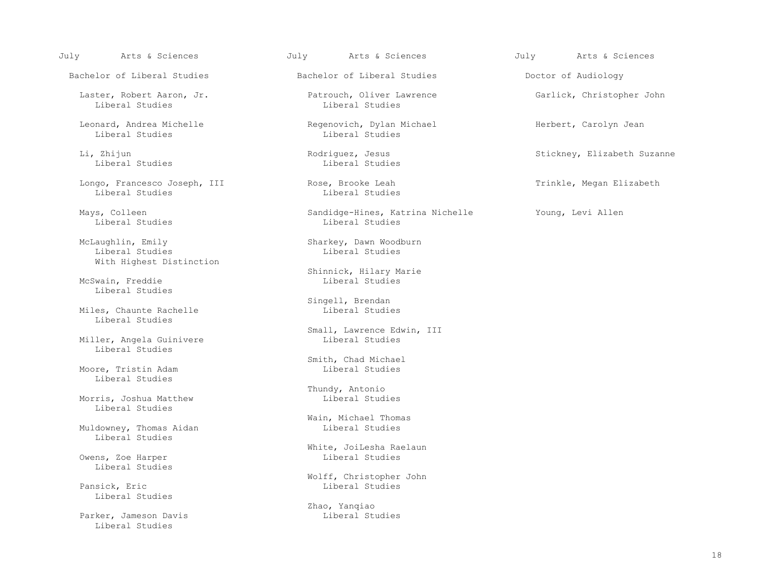July Arts & Sciences July Arts & Sciences July Arts & Sciences

Bachelor of Liberal Studies The Bachelor of Liberal Studies and Doctor of Audiology

Laster, Robert Aaron, Jr.<br>
Liberal Studies<br>
Liberal Studies<br>
Liberal Studies Liberal Studies

Leonard, Andrea Michelle (Regenovich, Dylan Michael Herbert, Carolyn Jean Michael Herbert, Carolyn Jean Michael Julieral Studies

Li, Zhijun Rodriguez, Jesus Stickney, Elizabeth Suzanne

 Longo, Francesco Joseph, III Rose, Brooke Leah Trinkle, Megan Elizabeth Liberal Studies

Liberal Studies

McLaughlin, Emily Sharkey, Dawn Woodburn<br>
Idderal Studies Sharkey, Dawn Woodburn Liberal Studies With Highest Distinction

McSwain, Freddie Liberal Studies

Miles, Chaunte Rachelle Liberal Studies

Miller, Angela Guinivere Liberal Studies

Moore, Tristin Adam Liberal Studies

Morris, Joshua Matthew Liberal Studies

Muldowney, Thomas Aidan Liberal Studies

Owens, Zoe Harper Liberal Studies

Pansick, Eric Liberal Studies

Parker, Jameson Davis Liberal Studies

Liberal Studies

Liberal Studies

Mays, Colleen Sandidge-Hines, Katrina Nichelle Soung, Levi Allen<br>
Sandidge-Hines, Katrina Nichelle Young, Levi Allen

Shinnick, Hilary Marie

Singell, Brendan<br>Liberal Studies

Small, Lawrence Edwin, III<br>Liberal Studies

Smith, Chad Michael<br>Liberal Studies

Thundy, Antonio

Wain, Michael Thomas<br>Liberal Studies

White, JoiLesha Raelaun<br>Liberal Studies

Wolff, Christopher John<br>Liberal Studies

Zhao, Yanqiao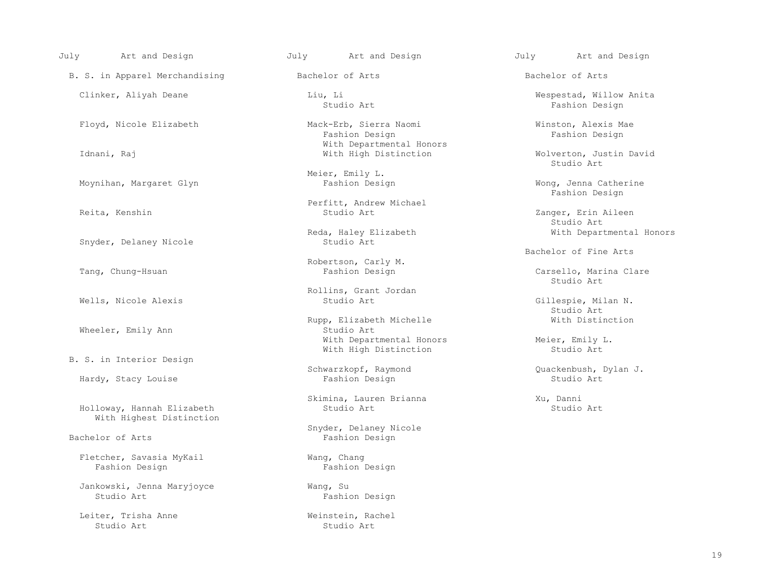B. S. in Apparel Merchandising The Bachelor of Arts Bachelor of Arts Bachelor of Arts

Snyder, Delaney Nicole

Wheeler, Emily Ann

B. S. in Interior Design

Hardy, Stacy Louise

Holloway, Hannah Elizabeth With Highest Distinction

Fletcher, Savasia MyKail Wang, Chang<br>
Fashion Design<br>
Fashion Design<br>
Fashion Design Fashion Design

Jankowski, Jenna Maryjoyce Wang, Su

Leiter, Trisha Anne (Englished Meinstein, Rachel Studio Art)<br>Studio Art (Studio Art) Studio Art in the Studio Art Studio Art Studio Art Studio Art in the Studio Art Studio Art in the Studio Art i

Floyd, Nicole Elizabeth Mack-Erb, Sierra Naomi (Winston, Alexis Mae<br>Fashion Design Fashion Design Fashion Design Fashion Design Fashion Design With Departmental Honors<br>
With High Distinction<br>
With High Distinction

Meier, Emily L.<br>Fashion Design

Perfitt, Andrew Michael<br>Reita, Kenshin and Studio Art Studio Art

Reda, Haley Elizabeth With Departmental Honors<br>Studio Art

Robertson, Carly M.<br>Tang, Chung-Hsuan and Tashion Design Fashion Design

Rollins, Grant Jordan

Rupp, Elizabeth Michelle With Distinction<br>Studio Art With Departmental Honors<br>With High Distinction<br>Studio Art<br>Studio Art With High Distinction

Skimina, Lauren Brianna Xu, Danni

Snyder, Delaney Nicole<br>Bachelor of Arts (Fashion Design) Fashion Design

Fashion Design

July Art and Design July Art and Design July Art and Design

 Clinker, Aliyah Deane Liu, Li Wespestad, Willow Anita Studio Art Fashion Design

Wolverton, Justin David<br>Studio Art Studio Art

Moynihan, Margaret Glyn November 2013, Fashion Design November 2014, Mong, Jenna Catherine Fashion Design

Zanger, Erin Aileen<br>Studio Art Studio Art

Bachelor of Fine Arts

Carsello, Marina Clare<br>Studio Art Studio Art

 Wells, Nicole Alexis Studio Art Gillespie, Milan N. Studio Art

Schwarzkopf, Raymond (2008) Quackenbush, Dylan J.<br>Fashion Design (2008) Studio Art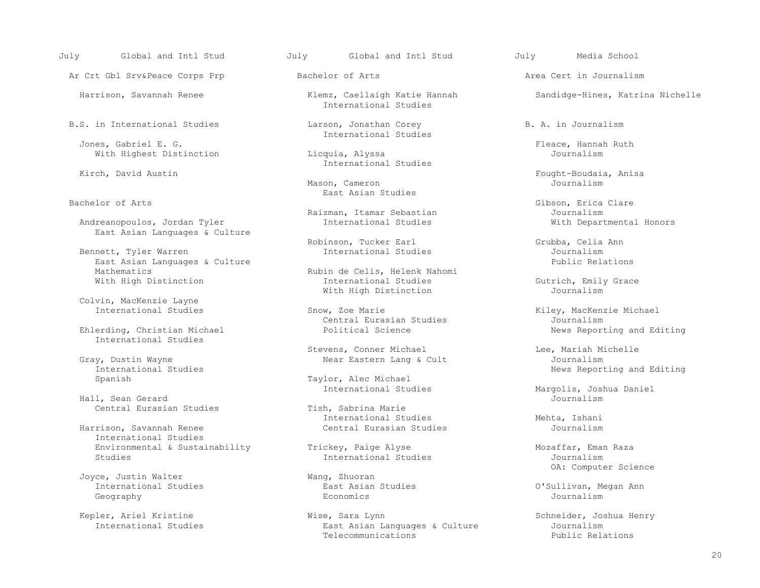Ar Crt Gbl Srv&Peace Corps Prp **Bachelor of Arts** Area Cert in Journalism

B.S. in International Studies The Larson, Jonathan Corey B. A. in Journalism

Jones, Gabriel E. G.<br>With Highest Distinction The Course of Licquia, Alyssa and The Cournalism Cournalism With Highest Distinction

Andreanopoulos, Jordan Tyler East Asian Languages & Culture

Bennett, Tyler Warren 1988 (Culture 1988) and International Studies and Tournalism Journalism<br>
Bast Asian Languages & Culture East Asian Languages & Culture<br>Mathematics

Colvin, MacKenzie Layne

Ehlerding, Christian Michael International Studies

 Gray, Dustin Wayne Near Eastern Lang & Cult Journalism International Studies<br>
Spanish News Reporting and Editing<br>
Taylor, Alec Michael

Hall, Sean Gerard<br>
Central Eurasian Studies<br>
Tish, Sabrina Marie Central Eurasian Studies

Harrison, Savannah Renee International Studies Environmental & Sustainability  $\begin{array}{ccc}\n\text{Trickey,} & \text{Pauge Alyse} \\
\text{Studies} & \text{Mozaffar, Eman Raza}\n\end{array}$ Studies **International Studies** 

Joyce, Justin Walter<br>
International Studies<br>
East Asian Studies<br>
East Asian Studies International Studies East Asian Studies O'Sullivan, Megan Ann Geography Economics Journalism

July Global and Intl Stud July Global and Intl Stud July Media School

International Studies

International Studies

International Studies

 Mason, Cameron Journalism East Asian Studies<br>
Bachelor of Arts

Robinson, Tucker Earl Grubba, Celia Ann<br>
International Studies<br>
Journalism

Rubin de Celis, Helenk Nahomi<br>International Studies With High Distinction The International Studies Gutrich, Emily Grace<br>With High Distinction Journalism With High Distinction

Snow, Zoe Marie<br>
Central Eurasian Studies Snow Miley, MacKenzie Michael<br>
Journalism

Stevens, Conner Michael Lee, Mariah Michelle

Taylor, Alec Michael<br>International Studies

International Studies<br>
Central Eurasian Studies<br>
Tournalism

 Kepler, Ariel Kristine Wise, Sara Lynn Schneider, Joshua Henry East Asian Languages & Culture Journalism<br>
Telecommunications<br>
Public Relations Telecommunications Telecommunications and the Public Relations

Harrison, Savannah Renee Klemz, Caellaigh Katie Hannah Sandidge-Hines, Katrina Nichelle

Kirch, David Australia, Dengan Bought-Boudaia, Anisa<br>Kirch, Dournalism<br>Tournalism

Gibson, Erica Clare<br>Journalism Raizman, Itamar Sebastian<br>
International Studies<br>
Vith Departmental Honors

Central Eurasian Studies<br>
Political Science<br>
Political Science<br>
News Reporting and Editing

Margolis, Joshua Daniel<br>Journalism

OA: Computer Science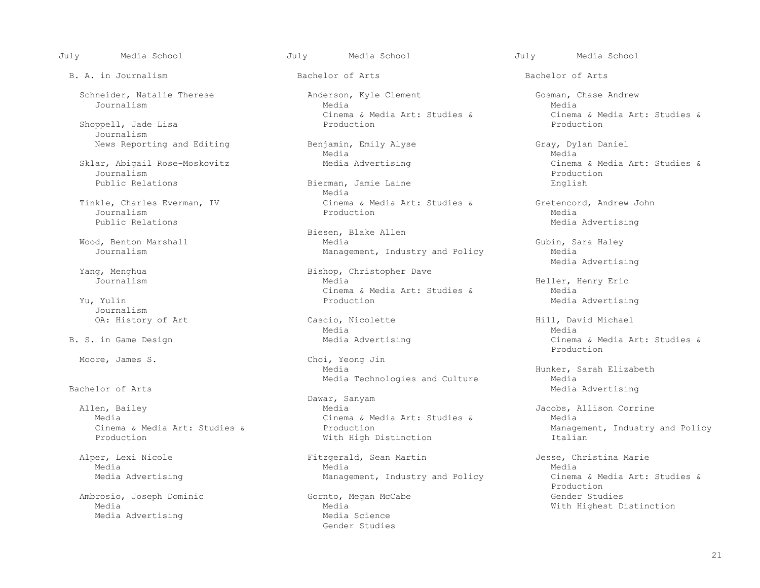July Media School July Media School July Media School

B. A. in Journalism and Bachelor of Arts and Bachelor of Arts Bachelor of Arts

Shoppell, Jade Lisa Journalism

Journalism Production

Journalism Media Research Media Research Media Production Media Media Media Media Public Relations and the extension of the extension of the extension of the Media Advertising

Journalism<br>OA: History of Art

Allen, Bailey and Communication of the Dawar, Sanyam Dawar, Sanyam and Dawar, Sanyam and Dawar, Sanyam and Dawa

 Ambrosio, Joseph Dominic Gornto, Megan McCabe Gender Studies Media Advertising

Schneider, Natalie Therese (anderson, Kyle Clement Gosman, Chase Andrew Gosman, Chase Andrew Media Journalism Media Media

News Reporting and Editing and Editing Benjamin, Emily Alyse and Gray, Dylan Daniel<br>Media Media Media Media

 Public Relations Bierman, Jamie Laine English Media Tinkle, Charles Everman, IV Cinema & Media Art: Studies & Gretencord, Andrew John<br>Journalism Production Media

 Biesen, Blake Allen Wood, Benton Marshall Media Gubin, Sara Haley Management, Industry and Policy

 Media Advertising ng, Menghua Bishop, Christopher Dave<br>Journalism Media Media External & Media Art: Studies & Media Art: Studies & Media Art: Studies & Municipal Art & Municipal Art & Municipal Art & Municipal Art & Municipal Art & Municipal Art & Municipal Art & Municipal Art & Municipal Art & Muni

Cascio, Nicolette (and Hill, David Michael Media)<br>
Media Media Media Media

Moore, James S. Choi, Yeong Jin Choi, Yeong Jin Media Technologies and Culture<br>Bachelor of Arts

 Allen, Bailey Media Jacobs, Allison Corrine Media<br>Cinema & Media Art: Studies & Cinema & Media Art: Studies &<br>Production With High Distinction

 Alper, Lexi Nicole Fitzgerald, Sean Martin Jesse, Christina Marie Media Media Media

> Media  $\blacksquare$ <br>Media Science and Media Science and Media Science and Media Science and Media Science and Media Science and Me Gender Studies

Cinema & Media Art: Studies & Cinema & Media Art: Studies & Production<br>Production Production

Sklar, Abigail Rose-Moskovitz Media Advertising Cinema & Media Art: Studies &<br>Journalism

Heller, Henry Eric<br>Media Media Advertising

B. S. in Game Design and Media Advertising and Cinema & Media Art: Studies & Media Art: Studies & Production and the set of the set of the set of the set of the set of the set of the set of the set of the set of the set of the set of the set of the set of the set of the set of the set of the set of the set of the set o

> Media Hunker, Sarah Elizabeth Media Advertising

Cinema & Media Art: Studies & Production (and Department, Industry and Policy Management, Industry and Policy<br>Production (and Mith High Distinction (and Department) The Industry and Policy

Media Advertising The Management, Industry and Policy Cinema & Media Art: Studies &<br>Production Production and the set of the set of the set of the set of the set of the set of the set of the set of the set of the set of the set of the set of the set of the set of the set of the set of the set of the set of the set o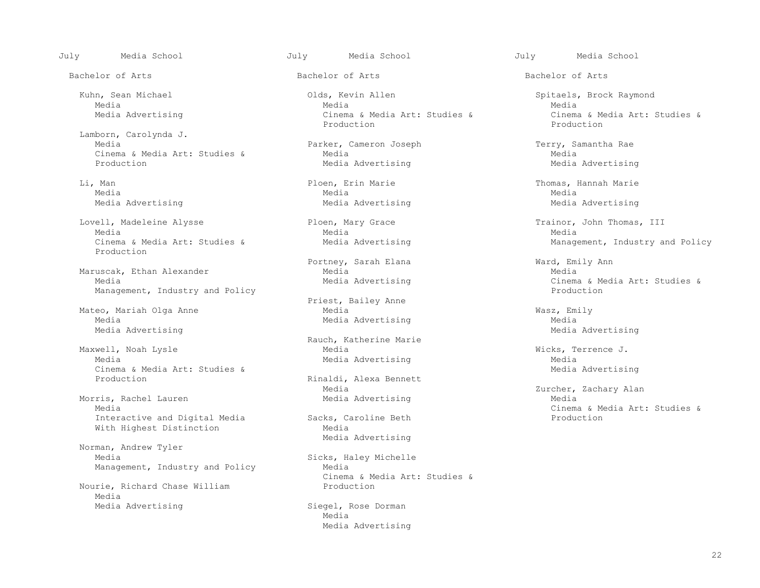Lamborn, Carolynda J. Cinema & Media Art: Studies & Media Media Production<br>Production Media Advertising

Media Media Media

 Lovell, Madeleine Alysse Ploen, Mary Grace Trainor, John Thomas, III Media Media Media Production

Maruscak, Ethan Alexander<br>Media Media Media Media Media Media Management, Industry and Policy

 Mateo, Mariah Olga Anne Media Wasz, Emily Media Advertising

 Maxwell, Noah Lysle Media Wicks, Terrence J. Cinema & Media Art: Studies &<br>Production

Morris, Rachel Lauren<br>Media Interactive and Digital Media Sacks, Caroline Beth Production<br>Wedia With Highest Distinction

 Norman, Andrew Tyler Management, Industry and Policy

Nourie, Richard Chase William Media

 Kuhn, Sean Michael Olds, Kevin Allen Spitaels, Brock Raymond Media Media Media Media Advertising The Cinema & Media Art: Studies & Cinema & Media Art: Studies &<br>Production Production Production Production Production Production

Parker, Cameron Joseph Terry, Samantha Rae<br>
Media

Portney, Sarah Elana (Ward, Emily Ann Media)

Priest, Bailey Anne

Rauch, Katherine Marie

Rinaldi, Alexa Bennett<br>Media

Media Advertising

Sicks, Haley Michelle<br>Media Cinema & Media Art: Studies &

Media Advertising Siegel, Rose Dorman Siegel, Rose Dorman Media Media Advertising

July Media School July Media School July Media School

Bachelor of Arts Bachelor of Arts Bachelor of Arts

Media Advertising

 Li, Man Ploen, Erin Marie Thomas, Hannah Marie Media Advertising Media Advertising Media Advertising

Cinema & Media Art: Studies & Media Advertising Management, Industry and Policy

Cinema & Media Art: Studies &<br>Production

Media Advertising<br>
Media Advertising<br>
Media Advertising

Media Advertising<br>
Media Advertising<br>
Media Advertising

Media Advertising Media (Zurcher, Zachary Alan<br>Media Advertising Media (Media Sacks, Caroline Beth (Sacks, Caroline Beth ) Sacks, Caroline Beth (Studies & Production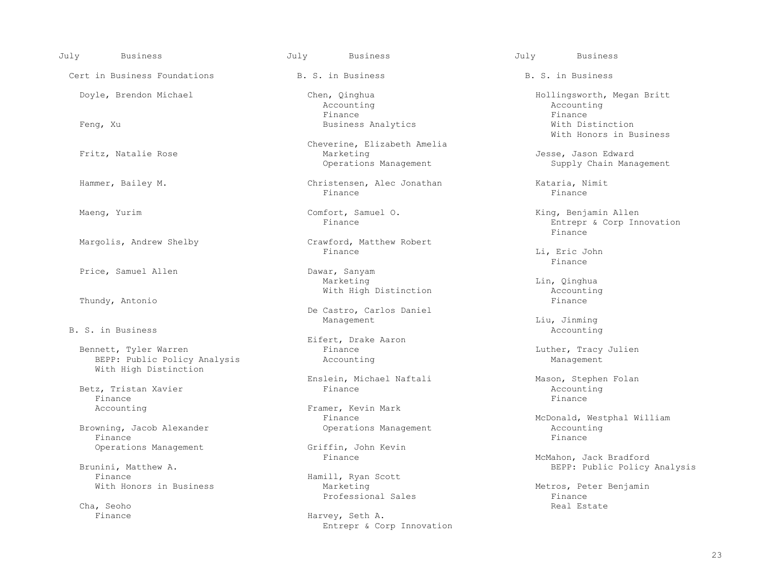| July<br>Business                                                               | July<br><b>Business</b>                                           | July<br><b>Business</b>                        |
|--------------------------------------------------------------------------------|-------------------------------------------------------------------|------------------------------------------------|
| Cert in Business Foundations                                                   | B. S. in Business                                                 | B. S. in Business                              |
| Doyle, Brendon Michael                                                         | Chen, Qinghua<br>Accounting                                       | Hollingsworth, Me<br>Accounting                |
| Feng, Xu                                                                       | Finance<br>Business Analytics                                     | Finance<br>With Distincti<br>With Honors in    |
| Fritz, Natalie Rose                                                            | Cheverine, Elizabeth Amelia<br>Marketing<br>Operations Management | Jesse, Jason Edwa<br>Supply Chain M            |
| Hammer, Bailey M.                                                              | Christensen, Alec Jonathan<br>Finance                             | Kataria, Nimit<br>Finance                      |
| Maeng, Yurim                                                                   | Comfort, Samuel O.<br>Finance                                     | King, Benjamin Al<br>Entrepr & Corp<br>Finance |
| Margolis, Andrew Shelby                                                        | Crawford, Matthew Robert<br>Finance                               | Li, Eric John<br>Finance                       |
| Price, Samuel Allen                                                            | Dawar, Sanyam<br>Marketing<br>With High Distinction               | Lin, Qinghua<br>Accounting                     |
| Thundy, Antonio                                                                | De Castro, Carlos Daniel<br>Management                            | Finance<br>Liu, Jinming                        |
| B. S. in Business                                                              | Eifert, Drake Aaron                                               | Accounting                                     |
| Bennett, Tyler Warren<br>BEPP: Public Policy Analysis<br>With High Distinction | Finance<br>Accounting                                             | Luther, Tracy Jul<br>Management                |
| Betz, Tristan Xavier<br>Finance                                                | Enslein, Michael Naftali<br>Finance                               | Mason, Stephen Fo<br>Accounting<br>Finance     |
| Accounting                                                                     | Framer, Kevin Mark<br>Finance                                     | McDonald, Westpha                              |
| Browning, Jacob Alexander<br>Finance                                           | Operations Management                                             | Accounting<br>Finance                          |
| Operations Management                                                          | Griffin, John Kevin<br>Finance                                    | McMahon, Jack Bra                              |
| Brunini, Matthew A.<br>Finance                                                 | Hamill, Ryan Scott                                                | BEPP: Public P                                 |
| With Honors in Business                                                        | Marketing<br>Professional Sales                                   | Metros, Peter Ben<br>Finance                   |

Enslein, Michael Naftali Mason, Stephen Folan<br>Finance Mason, Stephen Folan

Hamill, Ryan Scott<br>Marketing

Finance Harvey, Seth A. Entrepr & Corp Innovation

Chen, Qinghua Hollingsworth, Megan Britt<br>Accounting Microsoftherman Hollingsworth, Megan Britt Feng, Xu Business Analytics With Distinction With Honors in Business Supply Chain Management

Comfort, Samuel O. King, Benjamin Allen<br>Finance Rotter & Corp In Entrepr & Corp Innovation<br>Finance

McDonald, Westphal William<br>Accounting

McMahon, Jack Bradford BEPP: Public Policy Analysis

Metros, Peter Benjamin<br>Finance Professional Sales Finance Finance (Cha, Seoho Real Estate Professional Sales Finance Real Estate Professional Sales Professional Sales Professional Sales Professional Sales Professional Sales Professional Sales Profession Cha, Seoho Real Estate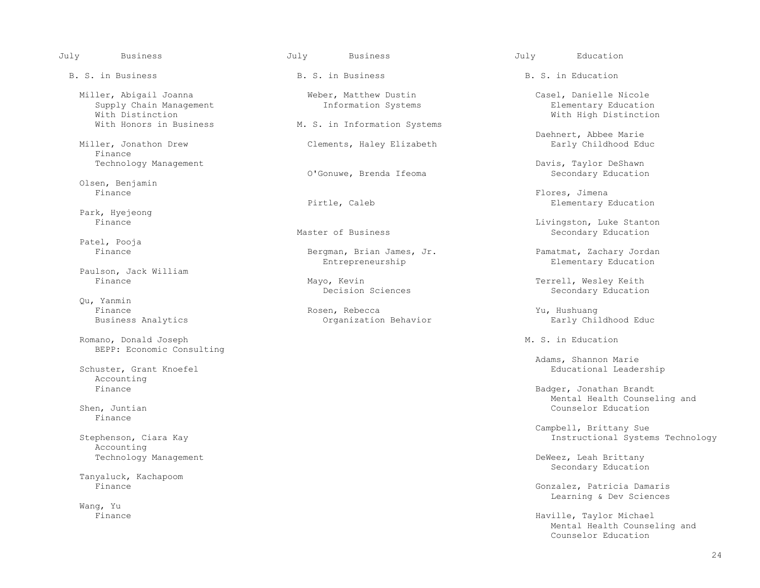| July | <b>Business</b>                                                       | July | <b>Business</b>                               | July | Education                                                |
|------|-----------------------------------------------------------------------|------|-----------------------------------------------|------|----------------------------------------------------------|
|      | B. S. in Business                                                     |      | B. S. in Business                             |      | B. S. in Education                                       |
|      | Miller, Abigail Joanna<br>Supply Chain Management<br>With Distinction |      | Weber, Matthew Dustin<br>Information Systems  |      | Casel, Danielle Ni<br>Elementary Educ<br>With High Disti |
|      | With Honors in Business                                               |      | M. S. in Information Systems                  |      |                                                          |
|      | Miller, Jonathon Drew<br>Finance                                      |      | Clements, Haley Elizabeth                     |      | Daehnert, Abbee Ma<br>Early Childhood                    |
|      | Technology Management                                                 |      | O'Gonuwe, Brenda Ifeoma                       |      | Davis, Taylor DeSh<br>Secondary Educa                    |
|      | Olsen, Benjamin<br>Finance                                            |      |                                               |      | Flores, Jimena                                           |
|      |                                                                       |      | Pirtle, Caleb                                 |      | Elementary Educ                                          |
|      | Park, Hyejeong<br>Finance                                             |      |                                               |      | Livingston, Luke S                                       |
|      | Patel, Pooja                                                          |      | Master of Business                            |      | Secondary Educa                                          |
|      | Finance                                                               |      | Bergman, Brian James, Jr.<br>Entrepreneurship |      | Pamatmat, Zachary<br>Elementary Educ                     |
|      | Paulson, Jack William                                                 |      |                                               |      |                                                          |
|      | Finance                                                               |      | Mayo, Kevin<br>Decision Sciences              |      | Terrell, Wesley Ke<br>Secondary Educa                    |
|      | Qu, Yanmin                                                            |      |                                               |      |                                                          |
|      | Finance                                                               |      | Rosen, Rebecca                                |      | Yu, Hushuang                                             |
|      | Business Analytics                                                    |      | Organization Behavior                         |      | Early Childhood                                          |
|      | Romano, Donald Joseph<br>BEPP: Economic Consulting                    |      |                                               |      | M. S. in Education                                       |
|      | Schuster, Grant Knoefel<br>Accounting                                 |      |                                               |      | Adams, Shannon Mar<br>Educational Lea                    |
|      | Finance                                                               |      |                                               |      | Badger, Jonathan B<br>Mental Health C                    |
|      | Shen, Juntian<br>Finance                                              |      |                                               |      | Counselor Educa                                          |
|      |                                                                       |      |                                               |      | Campbell, Brittany                                       |
|      | Stephenson, Ciara Kay<br>Accounting                                   |      |                                               |      | Instructional S                                          |
|      | Technology Management                                                 |      |                                               |      | DeWeez, Leah Britt<br>Secondary Educa                    |
|      | Tanyaluck, Kachapoom                                                  |      |                                               |      |                                                          |
|      | Finance                                                               |      |                                               |      | Gonzalez, Patricia<br>Learning & Dev                     |
|      | Wang, Yu                                                              |      |                                               |      |                                                          |
|      | Finance                                                               |      |                                               |      | Haville, Taylor Mi<br>Mental Health C                    |

# B. S. in Business B. S. in Business B. S. in Education Meber, Matthew Dustin Casel, Danielle Nicole<br>Information Systems Casel, Danielle Nicole M. S. in Information Systems Clements, Haley Elizabeth O'Gonuwe, Brenda Ifeoma Pirtle, Caleb **Elementary Education** Eivingston, Luke Stanton<br>
Master of Business<br>
Secondary Education Bergman, Brian James, Jr. Pamatmat, Zachary Jordan Entrepreneurship Bergman, Basic Pamatmat, Zachary Jordan Elementary Education Mayo, Kevin<br>Decision Sciences Technology (Messue Terrell, Wesley Keith<br>Secondary Education Organization Behavior **Early Childhood Educ**

Elementary Education With High Distinction

Daehnert, Abbee Marie<br>Early Childhood Educ

Davis, Taylor DeShawn<br>Secondary Education

Secondary Education

Elementary Education

Secondary Education

 Adams, Shannon Marie Educational Leadership

Badger, Jonathan Brandt Mental Health Counseling and Counselor Education

 Campbell, Brittany Sue Instructional Systems Technology

DeWeez, Leah Brittany Secondary Education

Gonzalez, Patricia Damaris Learning & Dev Sciences

Haville, Taylor Michael Mental Health Counseling and<br>Counselor Education Counselor Education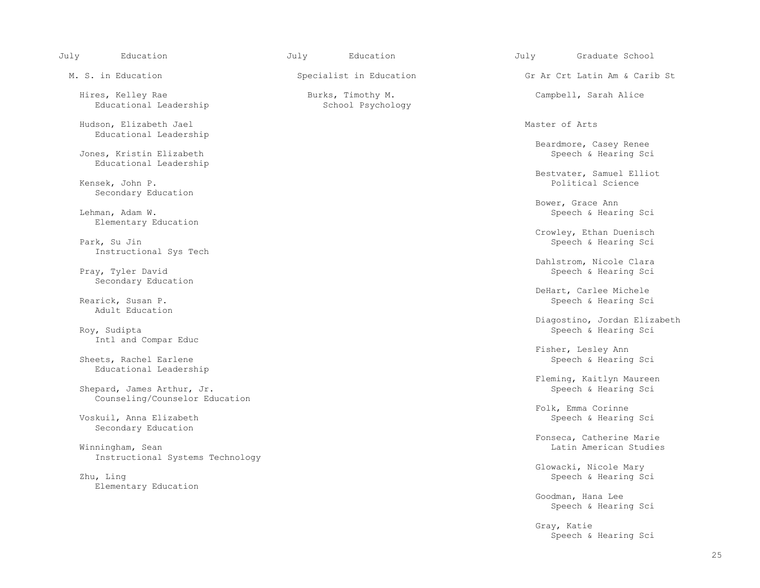| July<br>Education                                            | July<br>Education                      | July<br>Graduate School                            |
|--------------------------------------------------------------|----------------------------------------|----------------------------------------------------|
| M. S. in Education                                           | Specialist in Education                | Gr Ar Crt Latin Am & Carib St                      |
| Hires, Kelley Rae<br>Educational Leadership                  | Burks, Timothy M.<br>School Psychology | Campbell, Sarah Alice                              |
| Hudson, Elizabeth Jael<br>Educational Leadership             |                                        | Master of Arts                                     |
| Jones, Kristin Elizabeth<br>Educational Leadership           |                                        | Beardmore, Casey Renee<br>Speech & Hearing Sci     |
| Kensek, John P.<br>Secondary Education                       |                                        | Bestvater, Samuel Elliot<br>Political Science      |
| Lehman, Adam W.                                              |                                        | Bower, Grace Ann<br>Speech & Hearing Sci           |
| Elementary Education<br>Park, Su Jin                         |                                        | Crowley, Ethan Duenisch<br>Speech & Hearing Sci    |
| Instructional Sys Tech<br>Pray, Tyler David                  |                                        | Dahlstrom, Nicole Clara<br>Speech & Hearing Sci    |
| Secondary Education<br>Rearick, Susan P.                     |                                        | DeHart, Carlee Michele<br>Speech & Hearing Sci     |
| Adult Education                                              |                                        | Diagostino, Jordan Elizabeth                       |
| Roy, Sudipta<br>Intl and Compar Educ                         |                                        | Speech & Hearing Sci<br>Fisher, Lesley Ann         |
| Sheets, Rachel Earlene<br>Educational Leadership             |                                        | Speech & Hearing Sci                               |
| Shepard, James Arthur, Jr.<br>Counseling/Counselor Education |                                        | Fleming, Kaitlyn Maureen<br>Speech & Hearing Sci   |
| Voskuil, Anna Elizabeth<br>Secondary Education               |                                        | Folk, Emma Corinne<br>Speech & Hearing Sci         |
| Winningham, Sean<br>Instructional Systems Technology         |                                        | Fonseca, Catherine Marie<br>Latin American Studies |
| Zhu, Ling                                                    |                                        | Glowacki, Nicole Mary<br>Speech & Hearing Sci      |
| Elementary Education                                         |                                        | Goodman, Hana Lee<br>Speech & Hearing Sci          |
|                                                              |                                        | Gray, Katie<br>Speech & Hearing Sci                |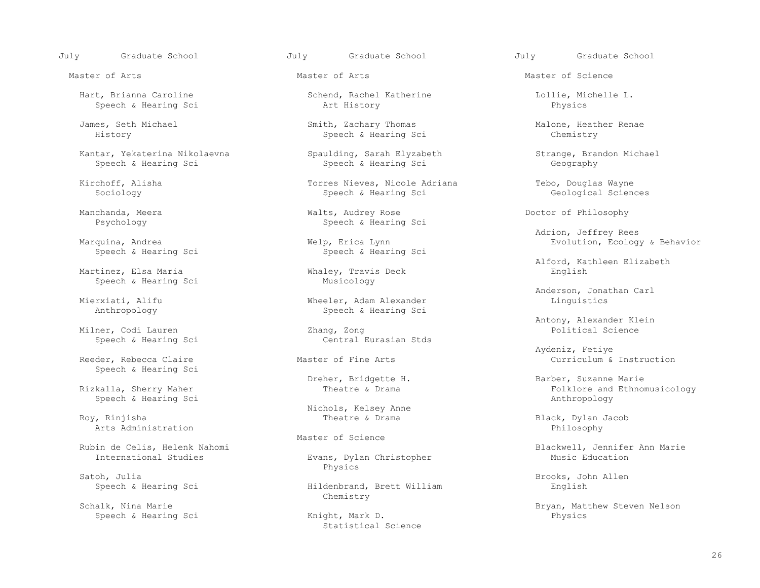Speech & Hearing Sci

Kantar, Yekaterina Nikolaevna Spaulding, Sarah Elyzabeth Strange, Brandon Michael<br>Speech & Hearing Sci Seech & Hearing Sci Seech Bearing Sci Seech Bearing Sci Seech Bearing Sci Seech Bearing Sci Speech & Hearing Sci

Speech & Hearing Sci

Speech & Hearing Sci

Milner, Codi Lauren<br>
Speech & Hearing Science Central Eurasian Stds Speech & Hearing Sci

Speech & Hearing Sci

Speech & Hearing Sci

Arts Administration

Satoh, Julia Brooks, John Allen<br>Speech & Hearing Sci Brooks, John Allen

Schalk, Nina Marie **Example 2018** Chemistry Speech & Hearing Sci

Hart, Brianna Caroline Schend, Rachel Katherine Lollie, Michelle L.

 James, Seth Michael Smith, Zachary Thomas Malone, Heather Renae Speech & Hearing Sci

 Kirchoff, Alisha Torres Nieves, Nicole Adriana Tebo, Douglas Wayne Speech & Hearing Sci

 Manchanda, Meera Walts, Audrey Rose Doctor of Philosophy Speech & Hearing Sci

p, Erica Lynn<br>
Speech & Hearing Sci<br>
Speech & Hearing Sci

Whaley, Travis Deck<br>Musicology

erxiati, Alifu and Microsoft Microsoft Microsoft Microsoft Microsoft Microsoft Microsoft Microsoft Microsoft M<br>Composition of Microsoft Microsoft Microsoft Microsoft Microsoft Microsoft Microsoft Microsoft Microsoft Micro Speech & Hearing Sci

Nichols, Kelsey Anne

Master of Science

Evans, Dylan Christopher<br>Physics Physics

Hildenbrand, Brett William

Statistical Science

July Graduate School July Graduate School July Graduate School

Master of Arts Master of Arts Master of Science

Adrion, Jeffrey Rees

Alford, Kathleen Elizabeth

Anderson, Jonathan Carl (1999)<br>Mierxiati, Alifu (1999) Wheeler, Adam Alexander (1999) Minguistics

Antony, Alexander Klein<br>
Zhang, Zong<br>
Political Science

 Aydeniz, Fetiye Reeder, Rebecca Claire **Master of Fine Arts** Curriculum & Instruction

 Dreher, Bridgette H. Barber, Suzanne Marie Folklore and Ethnomusicology<br>Anthropology

Black, Dylan Jacob<br>Philosophy

Rubin de Celis, Helenk Nahomi Blackwell, Jennifer Ann Marie

Bryan, Matthew Steven Nelson<br>
Enysics
Bryan, Mathew Steven Nelson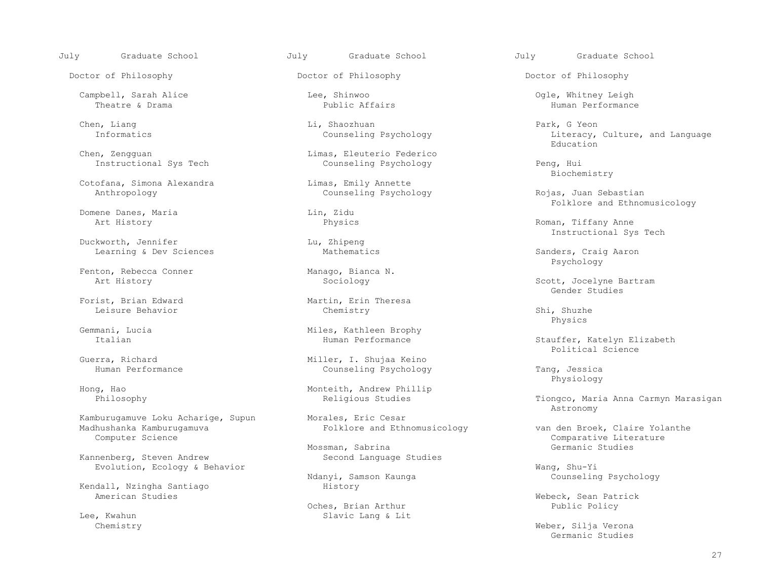July Graduate School July Graduate School July Graduate School

Doctor of Philosophy Doctor of Philosophy Doctor of Philosophy

 Campbell, Sarah Alice Lee, Shinwoo Ogle, Whitney Leigh Theatre & Drama Public Affairs Human Performance

Cotofana, Simona Alexandra Limas, Emily Annette

Domene Danes, Maria and Lin, Zidu art History Physics

Duckworth, Jennifer<br>
Learning & Dev Sciences<br>
Mathematics Learning & Dev Sciences and Mathematics and Sanders, Craig Aaron

Fenton, Rebecca Conner Manago, Bianca N.<br>Art History Manago, Bianca N.<br>Sociology

Leisure Behavior Chemistry Shi, Shuzhe

Kamburugamuve Loku Acharige, Supun Morales, Eric Cesar<br>Madhushanka Kamburugamuva Madhushanka Ethnomusicology Madhushanka Kamburugamuva Folklore and Ethnomusicology van den Broek, Claire Yolanthe

Kannenberg, Steven Andrew Second Language Studies

Kendall, Nzingha Santiago<br>American Studies

Chen, Liang Li, Shaozhuan Di, Shaozhuan Di, Shaozhuan Park, G Yeon Di, Shaozhuan Di, Shaozhuan Di, Shaozhuan Di, Park, G Yeon Di, Park, G Yeon Di, Park, G Yeon Di, Park, G Yeon Di, Park, G Yeon Di, Park, G Yeon Di, Park, G

Chen, Zengguan Limas, Eleuterio Federico<br>
Instructional Sys Tech Counseling Psychology Instructional Sys Tech Counseling Psychology Peng, Hui<br>Biochemistry

Counseling Psychology **Counseling Psychology** Rojas, Juan Sebastian

Forist, Brian Edward Martin, Erin Theresa<br>
Leisure Behavior Martin, Erin Theresa

Gemmani, Lucia and Miles, Kathleen Brophy<br>Italian Miles, Kathleen Brophy<br>Human Performance

Guerra, Richard Miller, I. Shujaa Keino<br>Human Performance Munseling Psychology

Hong, Hao 1999 - Monteith, Andrew Phillip Philosophy<br>Philosophy 1999 - Monteith, Andrew Philosophy

Mossman, Sabrina Germanic Studies

Ndanyi, Samson Kaunga<br>History

 Oches, Brian Arthur Public Policy Slavic Lang & Lit

Informatics and Language Counseling Psychology and Literacy, Culture, and Language Counseling Psychology and Language Education en de la contrata de la contrata de la contrata de la contrata de la contrata de la contrata de la contrata de<br>Education

Biochemistry

Folklore and Ethnomusicology

Roman, Tiffany Anne Instructional Sys Tech<br>
Lu, Zhipeng

Psychology

Scott, Jocelyne Bartram<br>Gender Studies Gender Studies

Physics

Stauffer, Katelyn Elizabeth<br>Political Science Political Science

Counseling Psychology Tang, Jessica<br>Physiology Tang, Physiology Physiology

Tiongco, Maria Anna Carmyn Marasigan Astronomy

Computer Science Comparative Literature

Evolution, Ecology & Behavior Wang, Shu-Yi

Webeck, Sean Patrick<br>Public Policy

 Chemistry Weber, Silja Verona Germanic Studies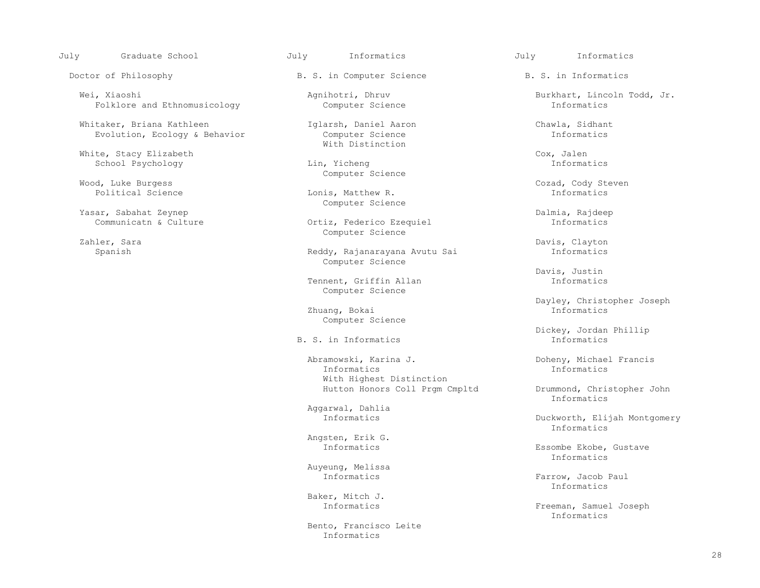July Graduate School July Informatics July Informatics

Wei, Xiaoshi Agnihotri, Dhruv Burkhart, Lincoln Todd, Jr.<br>Folklore and Ethnomusicology Computer Science Informatics Folklore and Ethnomusicology

Whitaker, Briana Kathleen 1918 arsh, Daniel Aaron 1918 and Chawla, Sidhant Evolution, Ecology & Behavior Computer Science Evolution, Ecology & Behavior

 White, Stacy Elizabeth Cox, Jalen School Psychology

Wood, Luke Burgess Cozad, Cody Steven

Yasar, Sabahat Zeynep<br>Communicatn & Culture Continue of Continue of Communicatn & Culture Communicatn According to the Ortinue of C

Doctor of Philosophy **B. S. in Computer Science** B. S. in Informatics

With Distinction

Computer Science

Lonis, Matthew R. Computer Science

Ortiz, Federico Ezequiel Zahler, Sara and Sampler Science (Sahler, Sara and Sahler, Sara and Sahler, Sara and Sahler, Sara and Sahler, S

 Spanish Reddy, Rajanarayana Avutu Sai Informatics Computer Science

> Tennent, Griffin Allan Informatics Computer Science

 Zhuang, Bokai Informatics Computer Science

B. S. in Informatics

 Abramowski, Karina J. Doheny, Michael Francis Informatics Informatics With Highest Distinction

Aggarwal, Dahlia

Angsten, Erik G.<br>Informatics

Auyeung, Melissa

Baker, Mitch J.

 Bento, Francisco Leite Informatics

Zahler, Sara Davis, Clayton

Davis, Justin

Dayley, Christopher Joseph<br>Informatics

Dickey, Jordan Phillip

 Hutton Honors Coll Prgm Cmpltd Drummond, Christopher John Informatics

Duckworth, Elijah Montgomery<br>Informatics Informatics

Essombe Ekobe, Gustave<br>Informatics Informatics

Farrow, Jacob Paul<br>Informatics Informatics

 Informatics Freeman, Samuel Joseph Informatics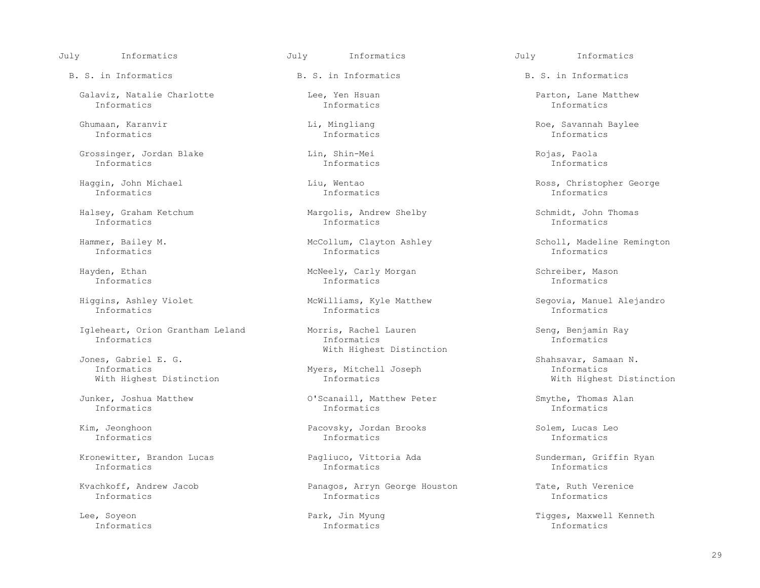July Informatics July Informatics July Informatics

 Galaviz, Natalie Charlotte Lee, Yen Hsuan Parton, Lane Matthew Informatics Informatics Informatics

Informatics Informatics Informatics

 Grossinger, Jordan Blake Lin, Shin-Mei Rojas, Paola Informatics Informatics Informatics

Informatics Informatics Informatics

Halsey, Graham Ketchum Margolis, Andrew Shelby Schmidt, John Thomas

Igleheart, Orion Grantham Leland Morris, Rachel Lauren Seng, Benjamin Ray<br>Informatics Seng, Benjamin Ray Informatics Informatics Informatics

es, Gabriel E. G. Shahsavar, Samaan N. Shahsavar, Samaan N. Shahsavar, Samaan N. Shahsavar, Samaan N. Shahsavar, Samaan N. Shahsavar, Samaan N. Shahsavar, Samaan N. Shahsavar, Samaan N. Shahsavar, Samaan N. Shahsavar, Sama With Highest Distinction

 Kronewitter, Brandon Lucas Pagliuco, Vittoria Ada Sunderman, Griffin Ryan Informatics Informatics Informatics

B. S. in Informatics The B. S. in Informatics B. S. in Informatics B. S. in Informatics

Informatics Informatics Informatics

Informatics Informatics Informatics

Hayden, Ethan McNeely, Carly Morgan Schreiber, Mason Schreiber, Mason Schreiber, Mason Schreiber, Mason Schreiber, Mason Schreiber, Mason Schreiber, Mason Schreiber, Mason Schreiber, Mason Schreiber, Mason Schreiber, Mason Informatics Informatics Informatics

 Higgins, Ashley Violet McWilliams, Kyle Matthew Segovia, Manuel Alejandro Informatics Informatics Informatics

Jones, Gabriel E. G. Same Communication and Mith Highest Distinction

 Junker, Joshua Matthew O'Scanaill, Matthew Peter Smythe, Thomas Alan Informatics Informatics Informatics

 Kim, Jeonghoon Pacovsky, Jordan Brooks Solem, Lucas Leo Informatics Informatics Informatics

Kvachkoff, Andrew Jacob **Panagos, Arryn George Houston** Tate, Ruth Verenice The Transmatics Constantion Tate, Ruth Verenice Constantion The Transmatics The Transmatics The Transmatics The Transmatics The Transmatics The Tr Informatics Informatics Informatics

Informatics Informatics Informatics

Ghumaan, Karanvir Li, Mingliang Roe, Savannah Baylee

Haggin, John Michael Liu, Wentao Ross, Christopher George

Hammer, Bailey M. McCollum, Clayton Ashley Scholl, Madeline Remington<br>
Informatics Informatics Informatics Informatics

Myers, Mitchell Joseph Timformatics<br>
Informatics University Mith Highest Distinction

Lee, Soyeon Park, Jin Myung Tigges, Maxwell Kenneth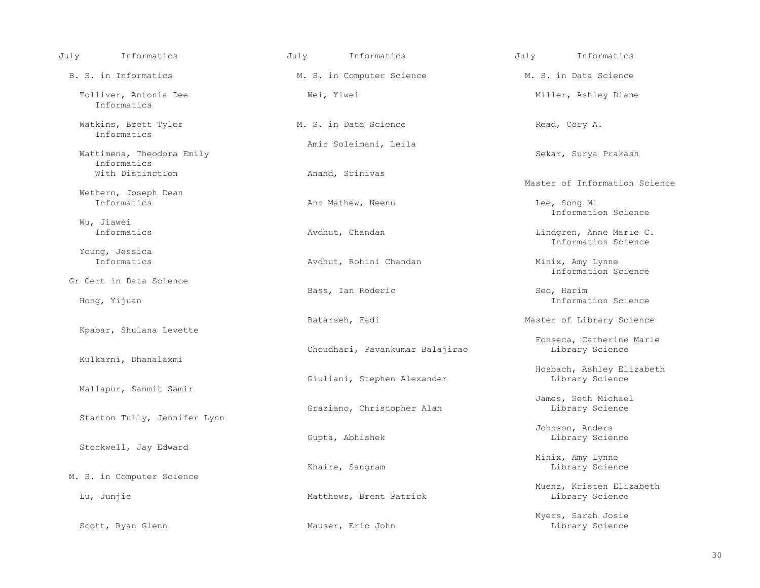| Informatics<br>July                      | Informatics<br>July             | Informatics<br>July                            |
|------------------------------------------|---------------------------------|------------------------------------------------|
| B. S. in Informatics                     | M. S. in Computer Science       | M. S. in Data Science                          |
| Tolliver, Antonia Dee<br>Informatics     | Wei, Yiwei                      | Miller, Ashley Diane                           |
| Watkins, Brett Tyler<br>Informatics      | M. S. in Data Science           | Read, Cory A.                                  |
|                                          | Amir Soleimani, Leila           |                                                |
| Wattimena, Theodora Emily<br>Informatics |                                 | Sekar, Surya Prakash                           |
| With Distinction                         | Anand, Srinivas                 | Master of Information Science                  |
| Wethern, Joseph Dean                     |                                 |                                                |
| Informatics                              | Ann Mathew, Neenu               | Lee, Song Mi<br>Information Science            |
| Wu, Jiawei                               |                                 |                                                |
| Informatics                              | Avdhut, Chandan                 | Lindgren, Anne Marie C.<br>Information Science |
| Young, Jessica<br>Informatics            |                                 |                                                |
|                                          | Avdhut, Rohini Chandan          | Minix, Amy Lynne<br>Information Science        |
| Gr Cert in Data Science                  |                                 |                                                |
| Hong, Yijuan                             | Bass, Ian Roderic               | Seo, Harim<br>Information Science              |
|                                          | Batarseh, Fadi                  | Master of Library Science                      |
| Kpabar, Shulana Levette                  |                                 | Fonseca, Catherine Marie                       |
| Kulkarni, Dhanalaxmi                     | Choudhari, Pavankumar Balajirao | Library Science                                |
|                                          |                                 | Hosbach, Ashley Elizabeth                      |
| Mallapur, Sanmit Samir                   | Giuliani, Stephen Alexander     | Library Science                                |
|                                          |                                 | James, Seth Michael                            |
|                                          | Graziano, Christopher Alan      | Library Science                                |
| Stanton Tully, Jennifer Lynn             |                                 | Johnson, Anders                                |
|                                          | Gupta, Abhishek                 | Library Science                                |
| Stockwell, Jay Edward                    |                                 |                                                |
|                                          |                                 | Minix, Amy Lynne                               |
| M. S. in Computer Science                | Khaire, Sangram                 | Library Science                                |
|                                          |                                 | Muenz, Kristen Elizabeth                       |
| Lu, Junjie                               | Matthews, Brent Patrick         | Library Science                                |
|                                          |                                 | Myers, Sarah Josie                             |
| Scott, Ryan Glenn                        | Mauser, Eric John               | Library Science                                |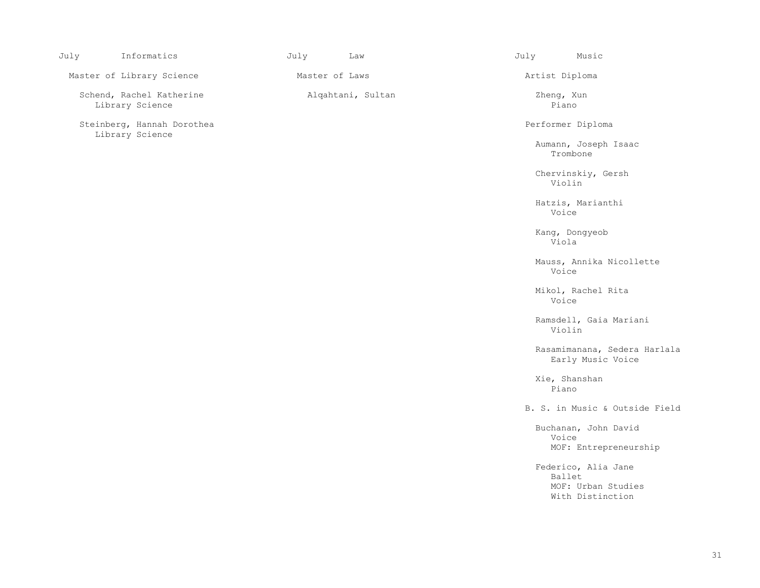| July | Informatics                                   | July           | Law               | July                | Music                                                         |
|------|-----------------------------------------------|----------------|-------------------|---------------------|---------------------------------------------------------------|
|      | Master of Library Science                     | Master of Laws |                   | Artist Diploma      |                                                               |
|      | Schend, Rachel Katherine<br>Library Science   |                | Alqahtani, Sultan | Zheng, Xun<br>Piano |                                                               |
|      | Steinberg, Hannah Dorothea<br>Library Science |                |                   |                     | Performer Diploma                                             |
|      |                                               |                |                   |                     | Aumann, Joseph Isaac<br>Trombone                              |
|      |                                               |                |                   | Violin              | Chervinskiy, Gersh                                            |
|      |                                               |                |                   | Voice               | Hatzis, Marianthi                                             |
|      |                                               |                |                   | Viola               | Kang, Dongyeob                                                |
|      |                                               |                |                   | Voice               | Mauss, Annika Nicollette                                      |
|      |                                               |                |                   | Voice               | Mikol, Rachel Rita                                            |
|      |                                               |                |                   | Violin              | Ramsdell, Gaia Mariani                                        |
|      |                                               |                |                   |                     | Rasamimanana, Sedera Harlala<br>Early Music Voice             |
|      |                                               |                |                   | Piano               | Xie, Shanshan                                                 |
|      |                                               |                |                   |                     | B. S. in Music & Outside Field                                |
|      |                                               |                |                   | Voice               | Buchanan, John David<br>MOF: Entrepreneurship                 |
|      |                                               |                |                   | Ballet              | Federico, Alia Jane<br>MOF: Urban Studies<br>With Distinction |
|      |                                               |                |                   |                     |                                                               |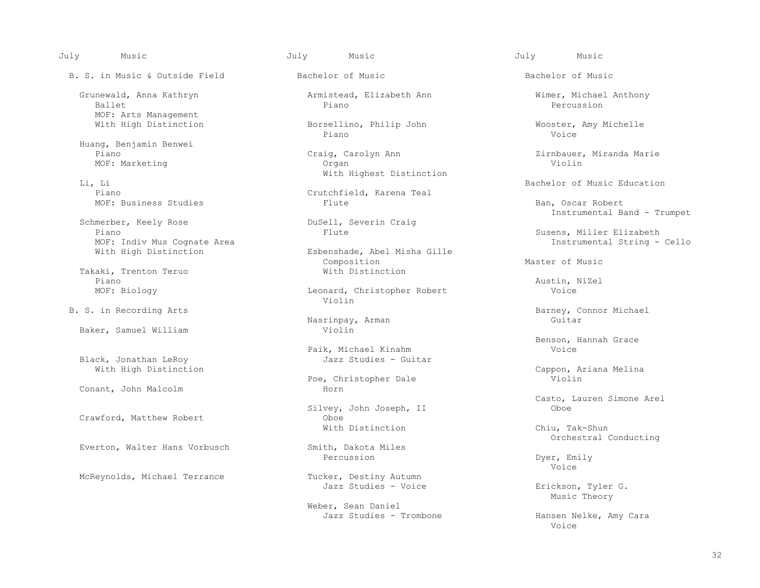B. S. in Music & Outside Field Bachelor of Music Bachelor of Music

Grunewald, Anna Kathryn **Armistead, Elizabeth Ann** Mimer, Michael Anthony **Ballet**<br>Piano Percussion Ballet Piano Percussion MOF: Arts Management<br>With High Distinction

Huang, Benjamin Benwei

Li, Li Bachelor of Music Education

Schmerber, Keely Rose DuSell, Severing DuSell, Severing Plance DuSell, Severing Plance DuSell, Severing Plance DuSell, Severing Plance DuSell, Severing Plance DuSell, Severing Plance DuSell, Severing Plance DuSell, Severin MOF: Indiv Mus Cognate Area<br>With High Distinction

Takaki, Trenton Teruo<br>
Piano<br>
Piano Piano and Australian and Australian and Australian and Australian and Australian and Australian and Australian

Baker, Samuel William

Black, Jonathan LeRoy

Conant, John Malcolm

Everton, Walter Hans Vorbusch Smith, Dakota<br>Percussion

Borsellino, Philip John Wooster, Amy Michelle<br>Piano Woice Piano Voice

 Piano Craig, Carolyn Ann Zirnbauer, Miranda Marie MOF: Marketing Organ Violin With Highest Distinction<br>Li, Li

Crutchfield, Karena Teal<br>Flute MOF: Business Studies and Ban, Oscar Robert Ban, Oscar Robert

Esbenshade, Abel Misha Gille<br>Composition Composition Master of Music

 MOF: Biology Leonard, Christopher Robert Voice Violin

Nasrinpay, Arman<br>Violin

Paik, Michael Kinahm<br>Jazz Studies - Guitar

Poe, Christopher Dale<br>Horn

Silvey, John Joseph, II<br>Oboe Crawford, Matthew Robert Crawford, Oboe<br>
With Distinction With Distinction Chiu, Tak-Shun

Percussion Dyer, Emily

McReynolds, Michael Terrance Tucker, Destiny Autumn<br>Jazz Studies - Voice

Weber, Sean Daniel<br>Jazz Studies - Trombone

July Music July Music July Music

Instrumental Band - Trumpet

Susens, Miller Elizabeth<br>Instrumental String - Cello

B. S. in Recording Arts **Barney, Connor Michael**<br>Barney, Connor Michael

Benson, Hannah Grace<br>Voice

With High Distinction<br>
Poe. Christopher Dale<br>
Cappon, Ariana Melina

Casto, Lauren Simone Arel

Smith, Dakota Miles<br>
Smith, Dakota Miles<br>
Smith, Dakota Miles<br>
Smith, Dakota Miles<br>
Smith, Dakota Miles<br>
Smith, Dakota Miles<br>
Smith, Dakota Miles<br>
Smith, Dakota Miles<br>
Smith, 2018, 2019, 2019, 2019, 2019, 2019, 2019, 2019,

en de la provincie de la provincie de la provincie de la provincie de la provincie de la provincie de la provi

Erickson, Tyler G.<br>Music Theory Music Theory

Hansen Nelke, Amy Cara<br>Voice en de la provincie de la provincie de la provincie de la provincie de la provincie de la provincie de la provi<br>Desenvolvement de la provincie de la provincie de la provincie de la provincie de la provincie de la provincie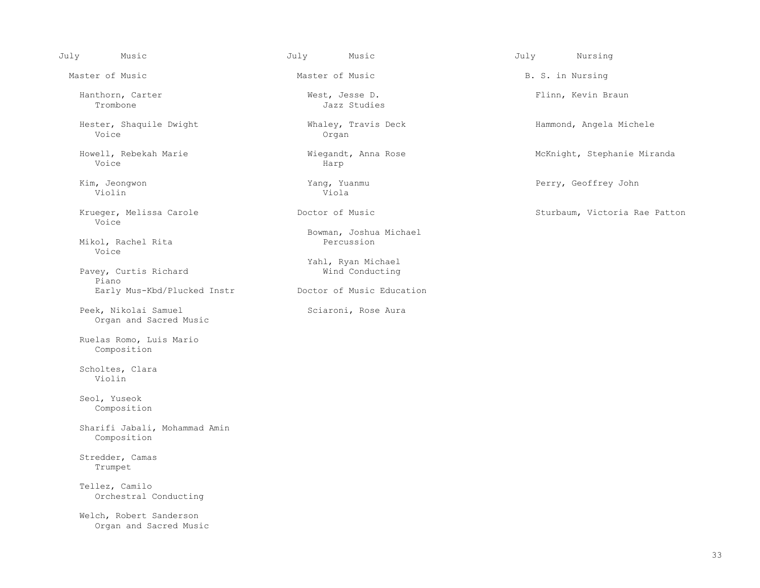Master of Music **Master of Music B. S. in Nursing** Master of Music B. S. in Nursing

Hanthorn, Carter **Hanthorn, Carter Carter** West, Jesse D. Flinn, Kevin Braun<br>Trombone Jazz Studies

Hester, Shaquile Dwight Mhaley, Travis Deck Hammond, Angela Michele<br>Voice Organ Voice and the organ organ organ organ organ organ organ organ organ organ organ organ organ organ organ organ o

 Howell, Rebekah Marie Wiegandt, Anna Rose McKnight, Stephanie Miranda Voice Harp

 Kim, Jeongwon Yang, Yuanmu Perry, Geoffrey John Violin Viola

Voice

Mikol, Rachel Rita Voice

Pavey, Curtis Richard Piano Early Mus-Kbd/Plucked Instr Doctor of Music Education

Peek, Nikolai Samuel Sciaroni, Rose Aura Organ and Sacred Music

 Ruelas Romo, Luis Mario Composition

 Scholtes, Clara Violin

 Seol, Yuseok Composition

 Sharifi Jabali, Mohammad Amin Composition

 Stredder, Camas Trumpet

 Tellez, Camilo Orchestral Conducting

 Welch, Robert Sanderson Organ and Sacred Music

Jazz Studies

Bowman, Joshua Michael

Yahl, Ryan Michael<br>Wind Conducting

July Music July Music July Nursing

Krueger, Melissa Carole Carole Control Doctor of Music Control Communisty Control Sturbaum, Victoria Rae Patton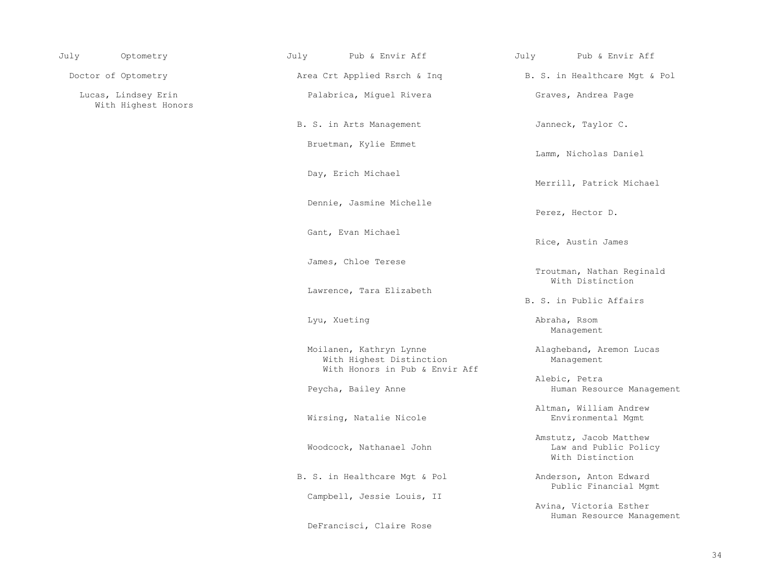| July | Optometry                                  | July | Pub & Envir Aff                                                                       | July | Pub & Envir Aff                                                     |
|------|--------------------------------------------|------|---------------------------------------------------------------------------------------|------|---------------------------------------------------------------------|
|      | Doctor of Optometry                        |      | Area Crt Applied Rsrch & Inq                                                          |      | B. S. in Healthcare Mgt & Pol                                       |
|      | Lucas, Lindsey Erin<br>With Highest Honors |      | Palabrica, Miquel Rivera                                                              |      | Graves, Andrea Page                                                 |
|      |                                            |      | B. S. in Arts Management                                                              |      | Janneck, Taylor C.                                                  |
|      |                                            |      | Bruetman, Kylie Emmet                                                                 |      | Lamm, Nicholas Daniel                                               |
|      |                                            |      | Day, Erich Michael                                                                    |      | Merrill, Patrick Michael                                            |
|      |                                            |      | Dennie, Jasmine Michelle                                                              |      | Perez, Hector D.                                                    |
|      |                                            |      | Gant, Evan Michael                                                                    |      | Rice, Austin James                                                  |
|      |                                            |      | James, Chloe Terese                                                                   |      | Troutman, Nathan Reginald<br>With Distinction                       |
|      |                                            |      | Lawrence, Tara Elizabeth                                                              |      | B. S. in Public Affairs                                             |
|      |                                            |      | Lyu, Xueting                                                                          |      | Abraha, Rsom<br>Management                                          |
|      |                                            |      | Moilanen, Kathryn Lynne<br>With Highest Distinction<br>With Honors in Pub & Envir Aff |      | Alagheband, Aremon Lucas<br>Management                              |
|      |                                            |      | Peycha, Bailey Anne                                                                   |      | Alebic, Petra<br>Human Resource Management                          |
|      |                                            |      | Wirsing, Natalie Nicole                                                               |      | Altman, William Andrew<br>Environmental Mgmt                        |
|      |                                            |      | Woodcock, Nathanael John                                                              |      | Amstutz, Jacob Matthew<br>Law and Public Policy<br>With Distinction |
|      |                                            |      | B. S. in Healthcare Mgt & Pol                                                         |      | Anderson, Anton Edward<br>Public Financial Mgmt                     |
|      |                                            |      | Campbell, Jessie Louis, II                                                            |      | Avina, Victoria Esther<br>Human Resource Management                 |
|      |                                            |      | DeFrancisci, Claire Rose                                                              |      |                                                                     |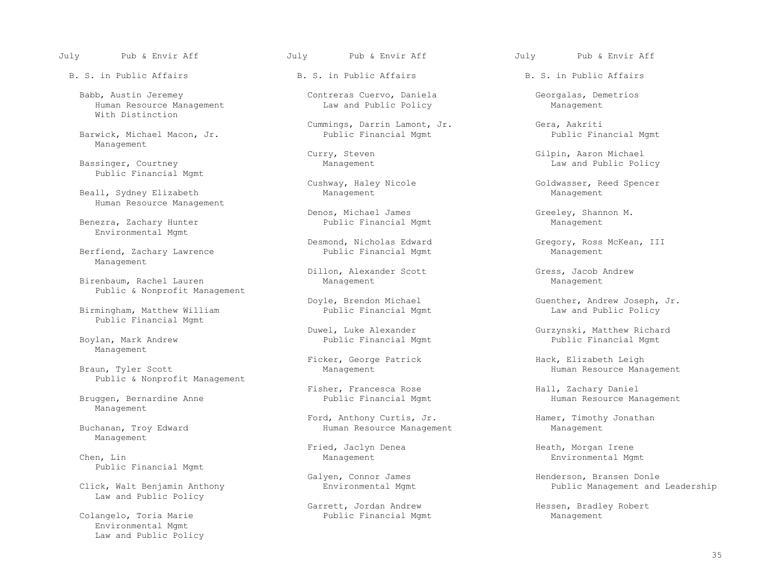B. S. in Public Affairs The B. S. in Public Affairs B. S. in Public Affairs

Babb, Austin Jeremey Contreras Cuervo, Daniela Georgalas, Demetrios<br>Human Resource Management Law and Public Policy Management Human Resource Management With Distinction

Barwick, Michael Macon, Jr. Management

Public Financial Mgmt

Beall, Sydney Elizabeth Human Resource Management

Benezra, Zachary Hunter Environmental Mgmt

Berfiend, Zachary Lawrence Management

Birenbaum, Rachel Lauren Public & Nonprofit Management

 Birmingham, Matthew William Public Financial Mgmt Law and Public Policy Public Financial Mgmt

Management

Public & Nonprofit Management

Management

Management

Chen, Lin and Management Management Environmental Mgmt Environmental Mgmt Public Financial Mgmt

Law and Public Policy

 Environmental Mgmt Law and Public Policy

Cummings, Darrin Lamont, Jr. Gera, Aakriti

Denos, Michael James<br>
Public Financial Mgmt<br>
Management<br>
Management

Dillon, Alexander Scott Gress, Jacob Andrew Management Management

Public Financial Mgmt

Ficker, George Patrick Hack, Elizabeth Leigh (Ficker, George Patrick Hack, Elizabeth Leigh (Ficker, George Patrick Hack, Elizabeth Leigh (Ficker, George Patrick (Ficker, George Patrick (Ficker, George Patrick (Ficker, Geor

Fisher, Francesca Rose Hall, Zachary Daniel

 Ford, Anthony Curtis, Jr. Hamer, Timothy Jonathan Human Resource Management Management

Fried, Jaclyn Denea Heath, Morgan Irene

 Garrett, Jordan Andrew Hessen, Bradley Robert Public Financial Mgmt

Curry, Steven Gilpin, Aaron Michael (Curry, Steven Gilpin, Aaron Michael (Gilpin, Aaron Michael (Gilpin, Aaron Michael (Gilpin, Aaron Michael (Gilpin, Aaron Michael (Gilpin, Aaron Michael (Gilpin, Aaron Michael (Gilpin, Aa Law and Public Policy

Cushway, Haley Nicole (Goldwasser, Reed Spencer Management Management

Desmond, Nicholas Edward Gregory, Ross McKean, III<br>Public Financial Mgmt Management

Doyle, Brendon Michael Guenther, Andrew Joseph, Jr.<br>Public Financial Mgmt Manus Law and Public Policy

Duwel, Luke Alexander Gurzynski, Matthew Richard

Human Resource Management

Human Resource Management

Galyen, Connor James (Galyen, Connor Henderson, Bransen Donle<br>Click, Walt Benjamin Anthony (Environmental Mgmt) (Environmental Mgmt) (Environment and Public Management and Leadership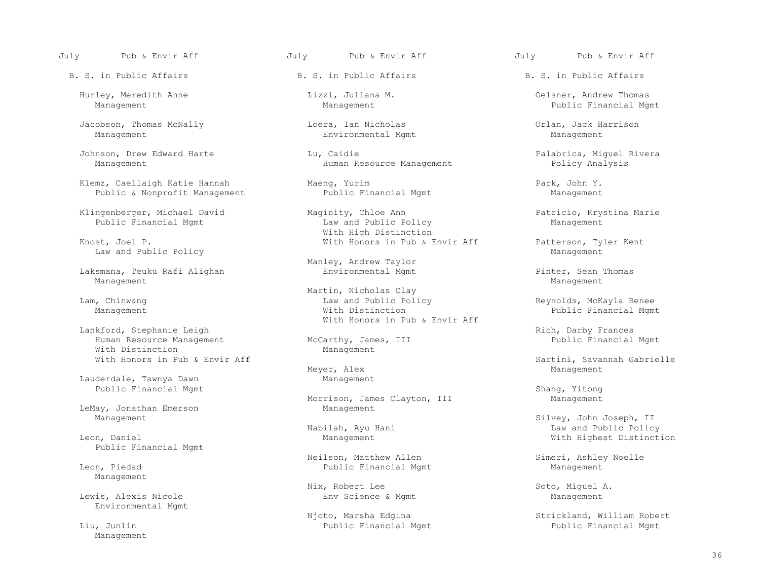July Pub & Envir Aff July Pub & Envir Aff July Pub & Envir Aff

B. S. in Public Affairs The B. S. in Public Affairs B. S. in Public Affairs

Jacobson, Thomas McNally Loera, Ian Nicholas Orlan, Jack Harrison

Klemz, Caellaigh Katie Hannah Maeng, Yurim Maengie Hannah Park, John Y.<br>Public & Nonprofit Management Public Financial Mgmt Management Public & Nonprofit Management

Public Financial Mgmt

Law and Public Policy

 Laksmana, Teuku Rafi Alighan Environmental Mgmt Pinter, Sean Thomas Management Management

Lankford, Stephanie Leigh (Eugenbury McCarthy, James, III (Eugenbury Rich, Darby Frances (Eugenbury Rich, Darby Frances (Eugenbury McCarthy, James, III (Eugenbury Public Financial Mgmt) Human Resource Management McCarthy, James, Inc. 1997, McCarthy, Inc. 1997, Management With Distinction<br>With Honors in Pub & Envir Aff

Lauderdale, Tawnya Dawn Management

LeMay, Jonathan Emerson and Management Management Management

Public Financial Mgmt

Management

Environmental Mgmt

Management

Environmental Mgmt

Johnson, Drew Edward Harte Lu, Caidie Palabrica, Miguel Rivera<br>Management Human Resource Management Policy Analysis Human Resource Management

 Klingenberger, Michael David Maginity, Chloe Ann Patricio, Krystina Marie With High Distinction<br>
With Honors in Pub & I With Honors in Pub & I

Manley, Andrew Taylor<br>Environmental Mgmt

Martin, Nicholas Clay<br>Lam, Chinwang and Communication of the Martin, Nicholas Clay Law and Public Policy and Public Policy and Public Policy Reynolds, McKayla Renee<br>With Distinction and Public Financial Momm Management **Example 2018** Mith Distinction **Public Financial Mgmt** Public Financial Mgmt With Honors in Pub & Envir Aff

Meyer, Alex Management

Public Financial Mgmt<br>Morrison, James Clayton, III Shang, Yitong Morrison, James Clayton, III

 Neilson, Matthew Allen Simeri, Ashley Noelle Public Financial Mgmt

 Nix, Robert Lee Soto, Miguel A. Lewis, Alexis Nicole **Env** Science & Mgmt Management

Public Financial Mgmt

 Hurley, Meredith Anne Lizzi, Juliana M. Oelsner, Andrew Thomas Public Financial Mgmt

With Honors in Pub & Envir Aff Patterson, Tyler Kent

With Honors in Pub and Sartini, Savannah Gabrielle<br>
Management Management

 Management Silvey, John Joseph, II Nabilah, Ayu Hani Law and Public Policy With Highest Distinction

Njoto, Marsha Edgina Strickland, William Robert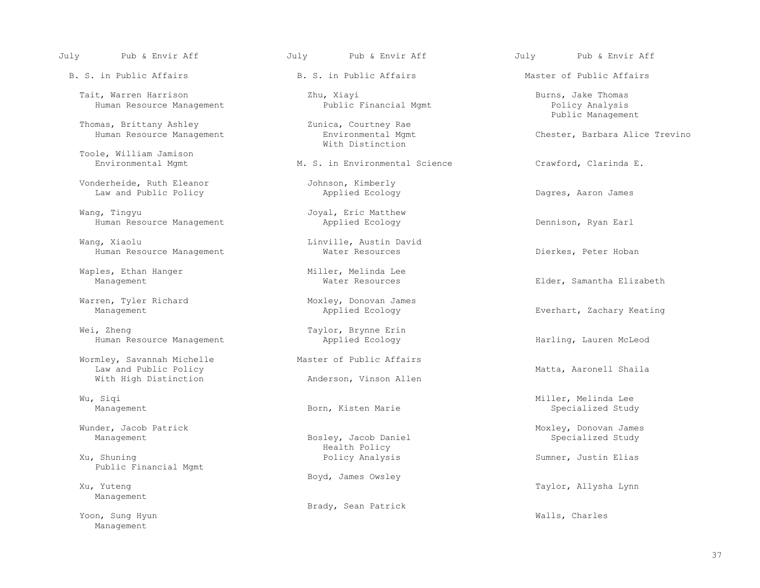B. S. in Public Affairs Theoryton B. S. in Public Affairs and Master of Public Affairs

 Tait, Warren Harrison Zhu, Xiayi Burns, Jake Thomas Human Resource Management

Thomas, Brittany Ashley  $\qquad \qquad$  Zunica, Courtney Rae Human Resource Management

Toole, William Jamison

 Vonderheide, Ruth Eleanor Johnson, Kimberly Law and Public Policy **Applied Ecology Applied Ecology Dagres, Aaron James** 

Wang, Tingyu Joyal, Eric Matthew<br>Human Resource Management Applied Ecology Human Resource Management The Applied Ecology The Constant Dennison, Ryan Earl

Wang, Xiaolu Linville, Austin David<br>Human Resource Management Mater Resources Human Resource Management Water Resources Dierkes, Peter Hoban

Waples, Ethan Hanger Miller, Melinda Lee<br>Management Mater Resources

Wei, Zheng Taylor, Brynne Erin<br>Human Resource Management The Taylor, Brynne Erin Human Resource Management Applied Ecology Harling, Lauren McLeod

Wormley, Savannah Michelle Master of Public Affairs<br>
Law and Public Policy Law and Public Policy<br>
With High Distinction<br>
Matta, Aaronell Shaila

Wunder, Jacob Patrick (Munder, Jacob Patrick Moxley, Donovan James<br>Management Moxley, Jacob Daniel (Management Specialized Study

Xu, Shuning The Summer, Justin Elias (Summer, Justin Elias Analysis Summer, Justin Elias Summer, Justin Elias Public Financial Mgmt

Management

Yoon, Sung Hyun Walls, Charles and Malls, Charles and Malls, Charles and Malls, Charles and Malls, Charles and Malls, Charles and Malls, Charles and Malls, Charles and Malls, Charles and Malls, Charles and Malls, Charles a Management

With Distinction

M. S. in Environmental Science Crawford, Clarinda E.

Warren, Tyler Richard Moxley, Donovan James Management **Applied Ecology Applied Ecology Everhart, Zachary Keating** 

Anderson, Vinson Allen

Bosley, Jacob Daniel Health Policy<br>Policy Analysis

Xu, Yuteng November 2012 and the Boyd, James Owsley

Brady, Sean Patrick

Zunica, Courtney Rae entries and the method of Public Management

Chester, Barbara Alice Trevino

Elder, Samantha Elizabeth

 Wu, Siqi Miller, Melinda Lee Management and Specialized Study Born, Kisten Marie Specialized Study Specialized Study

Taylor, Allysha Lynn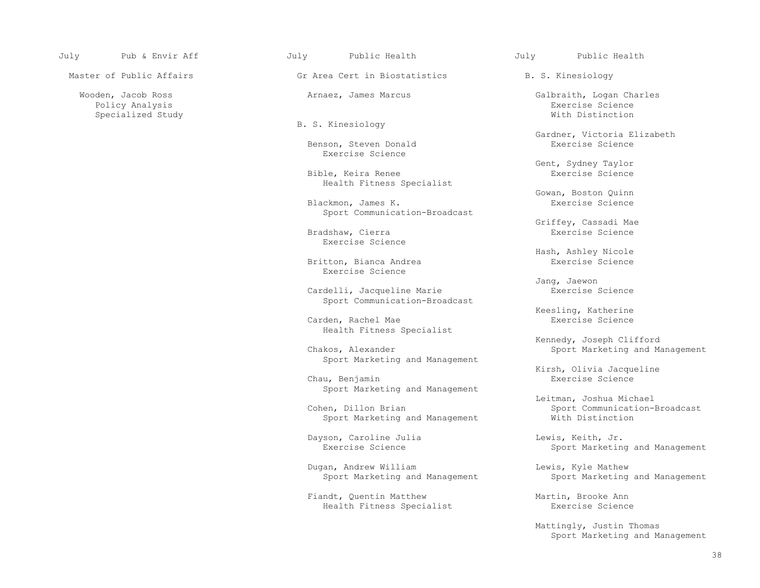Policy Analysis Exercise Science

Master of Public Affairs The Griffice Cert in Biostatistics The S. S. Kinesiology

B. S. Kinesiology

Benson, Steven Donald Exercise Science

Bible, Keira Renee Health Fitness Specialist

Blackmon, James K. Sport Communication-Broadcast

 Bradshaw, Cierra Exercise Science Exercise Science

> Britton, Bianca Andrea Exercise Science

Cardelli, Jacqueline Marie **Exercise** Science Sport Communication-Broadcast

Carden, Rachel Mae Health Fitness Specialist

Sport Marketing and Management

 Chau, Benjamin Exercise Science Sport Marketing and Management

Sport Marketing and Management

Dayson, Caroline Julia and Lewis, Keith, Jr.<br>Exercise Science and Sport Marketin

Dugan, Andrew William Lewis, Kyle Mathew

Fiandt, Quentin Matthew Martin, Brooke Ann<br>Health Fitness Specialist Martin, Brooke Ann Health Fitness Specialist

 Wooden, Jacob Ross Arnaez, James Marcus Galbraith, Logan Charles Specialized Study With Distinction

Gardner, Victoria Elizabeth

Gent, Sydney Taylor<br>Exercise Science

Gowan, Boston Quinn

Griffey, Cassadi Mae

Hash, Ashley Nicole

Jang, Jaewon

Keesling, Katherine<br>Exercise Science

Kennedy, Joseph Clifford<br>Kennedy, Joseph Clifford<br>Sport Marketing and Ma Sport Marketing and Management

Kirsh, Olivia Jacqueline<br>
Exercise Science<br>
Exercise Science

Leitman, Joshua Michael<br>Cohen, Dillon Brian and Sport Communication-Sport Communication-Broadcast<br>With Distinction

Sport Marketing and Management

Sport Marketing and Management Sport Marketing and Management

 Mattingly, Justin Thomas Sport Marketing and Management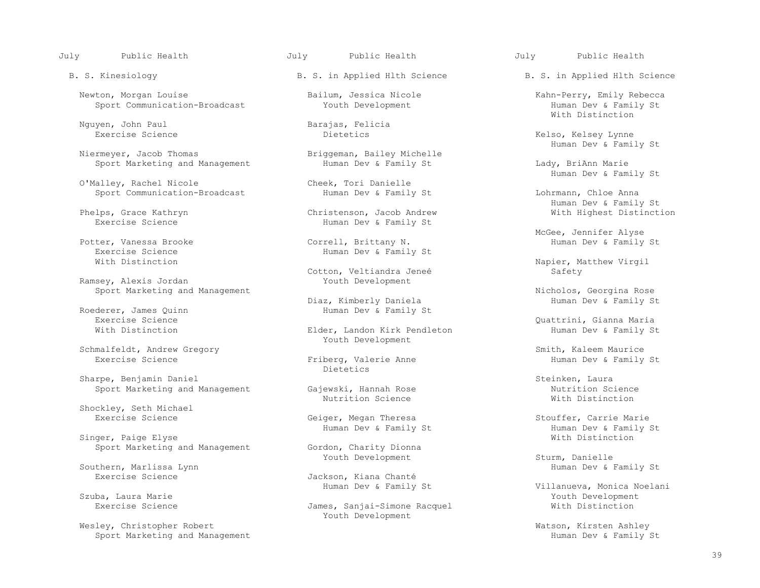Newton, Morgan Louise Bailum, Jessica Nicole Kahn-Perry, Emily Rebecca<br>Sport Communication-Broadcast Youth Development Human Dev

Nguyen, John Paul and Barajas, Felicia<br>Exercise Science and Barajas, Felicia

Sport Marketing and Management The Human Dev & Family St The Hundright Hundrie Eady, BriAnn Marie

O'Malley, Rachel Nicole Cheek, Tori Danielle<br>
Sport Communication-Broadcast Human Dev & Family St Sport Communication-Broadcast The Human Dev & Family St The Lohrmann, Chloe Anna

Exercise Science and the Human Dev & Family St With Distinction

Ramsey, Alexis Jordan

Roederer, James Quinn<br>Exercise Science

Schmalfeldt, Andrew Gregory (Schmalfeldt, Andrew Gregory (Smith, Kaleem Maurice (Smith, Kaleem Maurice (Smith, Kaleem Maurice (Smith, Kaleem Maurice (Smith, Kaleem Maurice (Smith) St

Sharpe, Benjamin Daniel<br>Sport Marketing and Management Gajewski, Hannah Rose Steinken, Laura<br>Sport Marketing and Management Gajewski, Hannah Rose

Shockley, Seth Michael

Singer, Paige Elyse<br>Sport Marketing and Management<br>Gordon, Charity Dionna Sport Marketing and Management

Southern, Marlissa Lynn<br>Exercise Science

Wesley, Christopher Robert (Wesley, Christopher Robert Matson, Kirsten Ashley<br>Sport Marketing and Management (Wesley, 2008) Sport Marketing and Management Sport Marketing and Management

Briggeman, Bailey Michelle<br>Human Dev & Family St

Phelps, Grace Kathryn Christenson, Jacob Andrew Christenson, Jacob Andrew With Highest Distinctional Distinction<br>Priman Dev & Family St Human Dev & Family St

Exercise Science Correll, Brittany N.<br>Precise Science Correll, Brittany N. Human Dev & Family

Cotton, Veltiandra Jeneé<br>Youth Development

Diaz, Kimberly Daniela Human Dev & Family St

Elder, Landon Kirk Pendleton Youth Development

Eriberg, Valerie Anne<br>Dietetics Dietetics **Dietetics** 

Nutrition Science and Muslem Mith Distinction

Geiger, Megan Theresa Stouffer, Carrie Marie<br>Human Dev & Family St

Jackson, Kiana Chanté<br>Human Dev & Family St

James, Sanjai-Simone Racquel Youth Development

B. S. Kinesiology B. S. in Applied Hlth Science B. S. in Applied Hlth Science

Sport Communication-Broadcast The Youth Development Sport Communication-Broadcast State of State State of State State State State State State State State State State State State State State State State State State State St With Distinction

Kelso, Kelsey Lynne Niermever, Jacob Thomas (and the State of Briggeman, Bailey Michelle and the Muman Dev & Family St

Cheek, Tori Danielle<br>
Cheek, Tori Danielle<br>
Cheek, Tori Danielle

Human Dev & Family St

McGee, Jennifer Alyse (Norman Dev & Family St. 2011)<br>Potter, Vanessa Brooke (Norman Dev & Family St

Napier, Matthew Virgil<br>Safety

Sport Marketing and Management<br>Diaz, Kimberly Daniela Nicholos, Georgina Rose<br>Human Dev & Family St

Exercise Science<br>
Elder, Landon Kirk Pendleton and Dev & Family St (With Distinction and St Clear, Landon Kirk Pendleton and Marman Dev & Family St

Sport Marketing and Management Gajewski, Hannah Rose Nutrition Science<br>Nutrition Science Nutrition Science Nith Distinction

Human Dev & Family St<br>
With Distinction<br>
With Distinction

Youth Development Sturm, Danielle<br>
Human Dev & Family St

 Human Dev & Family St Villanueva, Monica Noelani Szuba, Laura Marie Youth Development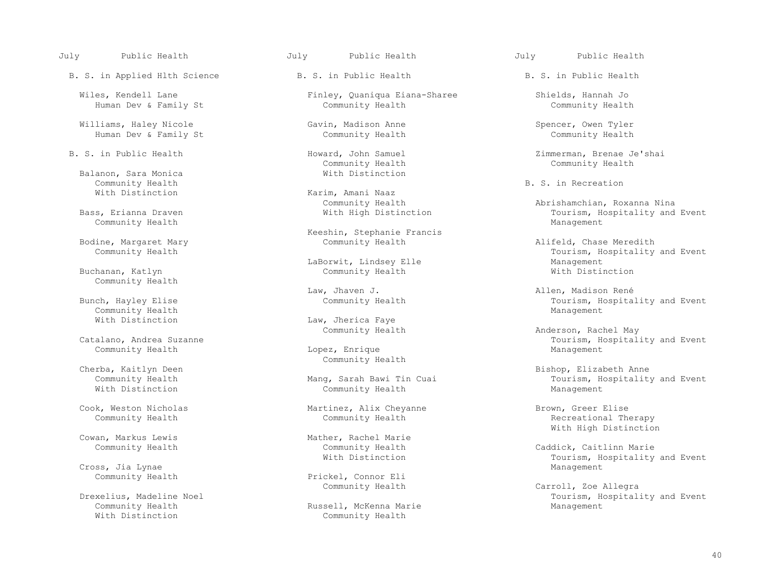July Public Health July Public Health July Public Health

B. S. in Applied Hlth Science B. S. in Public Health B. S. in Public Health

Human Dev & Family St

 Williams, Haley Nicole Gavin, Madison Anne Spencer, Owen Tyler Human Dev & Family St

Balanon, Sara Monica<br>
Community Health<br>
Community Health Community Health **B. S. in Recreation**<br> **E. S. in Recreation**<br> **E. S. in Recreation** 

Community Health

Buchanan, Katlyn Community Health

Community Health Management

Community Health

Cross, Jia Lynae<br>Community Health

Community Health Russell, McKenna Marie Management

Wiles, Kendell Lane Finley, Quaniqua Eiana-Sharee Shields, Hannah Jo<br>Human Dev & Family St Community Health Community Health Community Health

Community Health Community Health

Karim, Amani Naaz<br>Community Health

Keeshin, Stephanie Francis

LaBorwit, Lindsey Elle<br>
Community Health<br>
With Distinction

Law, Jherica Faye<br>Community Health

Community Health

Community Health

Cook, Weston Nicholas Martinez, Alix Cheyanne Brown, Greer Elise

an, Markus Lewis and Mather, Rachel Marie<br>
Community Health Mather, Community Health

Prickel, Connor Eli<br>Community Health

Community Health

B. S. in Public Health **Howard, John Samuel** 2immerman, Brenae Je'shai 21 and 21 and 21 and 21 and 21 and 21 and 20 and 20 and 20 and 20 and 20 and 20 and 20 and 20 and 20 and 20 and 20 and 20 and 20 and 20 and 20 and 20 a

 Community Health Abrishamchian, Roxanna Nina Tourism, Hospitality and Event<br>Management

Bodine, Margaret Mary **Exercise 19 Sommunity Health** Alifeld, Chase Meredith Community Health Community Health Community Health Community Health Community Health Community Health Community Health Community Health Community Tourism, Hospitality and Event

 Law, Jhaven J. Allen, Madison René Tourism, Hospitality and Event

Community Health Anderson, Rachel May Community Health Anderson, Rachel May Catalano, Andrea Suzanne Catalano, Hospitality and Event Event Court Courism, Hospitality and Event Lopez, Enrique

Cherba, Kaitlyn Deen Community Health Anne<br>Community Health Mang, Sarah Bawi Tin Cuai Bowley (Bishop, Elizabeth Anne Community Health Mang, Sarah Bawi Tin Cuai Tourism, Hospitality and Event<br>
With Distinction Community Health Management

Recreational Therapy Cowan, Markus Lewis Mather, Rachel Marie With High Distinction

> Community Health Community Health Caddick, Caitlinn Marie Tourism, Hospitality and Event<br>Management

Community Health Community Community Community Health Carroll, Zoe Allegra<br>Tourism, Hospital Community Health Carroll, Zoe Allegra xelius, Madeline Noel Russell, McKenna Marie Management<br>Community Health Russell, McKenna Marie Management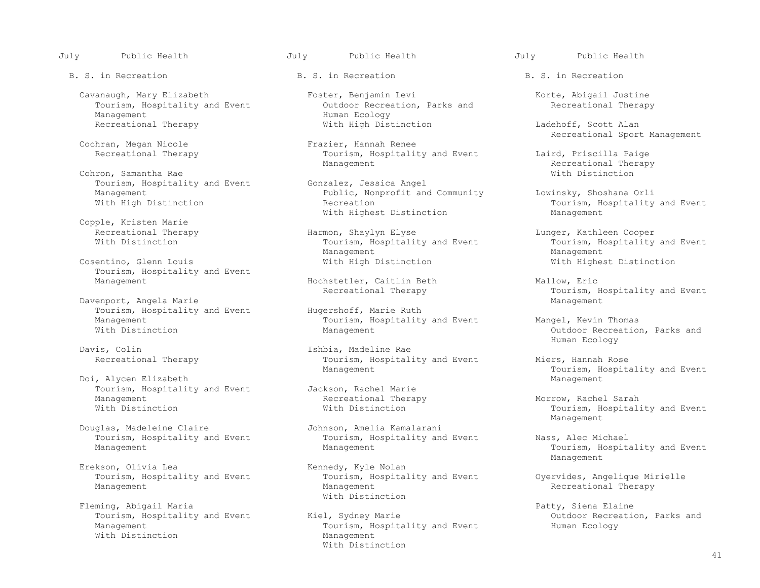July Public Health July Public Health July Public Health

B. S. in Recreation **B. S.** in Recreation **B. S.** in Recreation

 Cavanaugh, Mary Elizabeth Foster, Benjamin Levi Korte, Abigail Justine Tourism, Hospitality and Event<br>Management Management<br>Recreational Therapy Theory Mith High Dist

Cochran, Megan Nicole<br>Recreational Therapy

Cohron, Samantha Rae<br>Tourism, Hospitality and Event Gonzalez, Jessica Angel Tourism, Hospitality and Event<br>Management

Copple, Kristen Marie

Tourism, Hospitality and Event<br>Management

Davenport, Angela Marie<br>Tourism, Hospitality and Event Hugershoff, Marie Ruth Tourism, Hospitality and Event<br>Management

Davis, Colin (Davis, Colin 1999)<br>
Recreational Therapy (Davism, Hospital)

Doi, Alycen Elizabeth<br>Tourism, Hospitality and Event Mackson, Rachel Marie Tourism, Hospitality and Event Jackson, Rachel Marie<br>Management Recreational Therapy Management 1999 Management Recreational Therapy 1999 Morrow, Rachel Sarah<br>Mith Distinction 1999 Mith Distinction 1999 Mith Distinction 1999 Mith Distinction

Douglas, Madeleine Claire Johnson, Amelia Kamalarani<br>Tourism, Hospitality and Event Tourism, Hospitality and

Fleming, Abigail Maria<br>Tourism, Hospitality and Event Fiel, Sydney Marie Field Maria Patty, Siena Elaine<br>Parks and With Distinction

With High Distinction Ladehoff, Scott Alan

Tourism, Hospitality and Event Laird, Priscilla Paige<br>Management Recreational Therapy

Management Public, Nonprofit and Community Lowinsky, Shoshana Orli<br>With High Distinction Tourism, Hospitality With Highest Distinction

Recreational Therapy Harmon, Shaylyn Elyse Lunger, Kathleen Cooper<br>With Distinction Tourism, Hospitality and Event Tourism, Hospitality Tourism, Hospitality and Event Tourism, Hospitality and Event Tourism, Hospitality and Event Tourism, Hospitality and Event Tourism, Hospitality and Event Tourism, Hospitality and Event Tourism, Hospitality and Event Touri Management Management Cosentino, Glenn Louis With High Distinction With Highest Distinction

Hochstetler, Caitlin Beth Mallow, Eric<br>Recreational Therapy Mallow, Tourism, H

Management 1992 Management Tourism, Hospitality and Event Mangel, Kevin Thomas<br>Management 1996 Management 2011

Tourism, Hospitality and Event Miers, Hannah Rose<br>Management Miers, Hospitality Anagement

Tourism, Hospitality and Event Tourism, Hospitality and Event Nass, Alec Michael<br>Management Management Management Tourism, Hospita

Erekson, Olivia Lea<br>
Tourism, Hospitality and Event<br>
Tourism, Hospitality and Event<br>
Tourism, Hospitality and Event Tourism, Hospitality and Event Tourism, Hospitality and Event Oyervides, Angelique Mirielle<br>Management Management Management Recreational Therapy With Distinction

Tourism, Hospitality and Event Kiel, Sydney Marie Communism, Hospitality and Event Outdoor Recreation<br>Management Management Cology Tourism, Hospitality and Event<br>Management With Distinction

Recreational Sport Management

Recreational Therapy<br>With Distinction

Tourism, Hospitality and Event<br>Management

Tourism, Hospitality and Event<br>Management

Outdoor Recreation, Parks and<br>Human Ecology Human Ecology

Tourism, Hospitality and Event<br>Management

Tourism, Hospitality and Event<br>Management Management and the Management of the Management of the Management of the Management of the Management of the Ma

Tourism, Hospitality and Event Management and the Management of the Management of the Management of the Management of the Management of the Ma

Recreational Therapy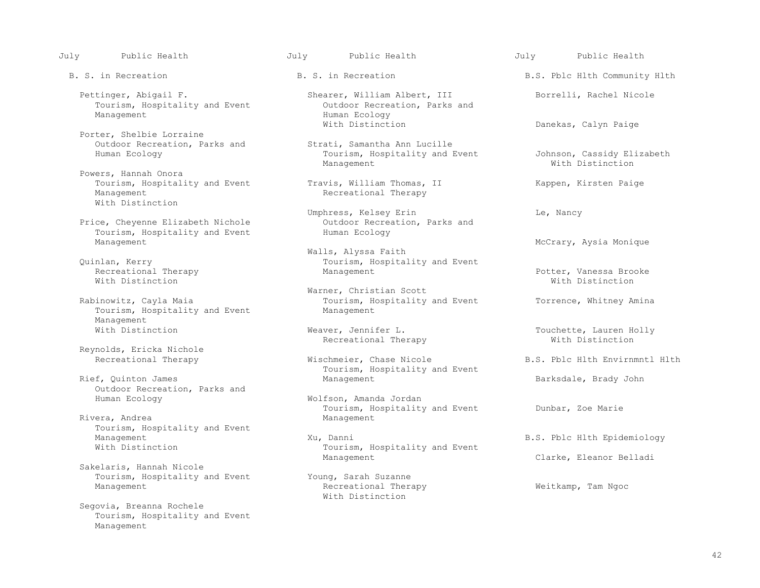Tourism, Hospitality and Event<br>Management

 Porter, Shelbie Lorraine Outdoor Recreation, Parks and Strati, Samantha Ann Lucille

 Powers, Hannah Onora Tourism, Hospitality and Event Travis, William Thomas, II Kappen, Kirsten Paige<br>
Recreational Therapy With Distinction

Price, Cheyenne Elizabeth Nichole **Outdoor Recreation**<br>Tourism, Hospitality and Event Human Ecology Tourism, Hospitality and Event<br>Management

Recreational Therapy **Exercise 19** Management Management Potter, Vanessa Brooke Potter, Vanessa Prooke Potter, Vanessa Brooke Potter, Potter, Potter, Potter, Potter, Potter, Potter, Potter, Potter, Potter, Potter, Potter, With Distinction **With Distinction** 

Tourism, Hospitality and Event Management Management<br>With Distinction

Reynolds, Ericka Nichole<br>Recreational Therapy

Outdoor Recreation, Parks and<br>Human Ecology

Rivera, Andrea Tourism, Hospitality and Event<br>Management

 Sakelaris, Hannah Nicole Tourism, Hospitality and Event Young, Sarah Suzanne<br>Management Recreational Thera

 Segovia, Breanna Rochele Tourism, Hospitality and Event Management

- Pettinger, Abigail F. Shearer, William Albert, III Borrelli, Rachel Nicole<br>Tourism, Hospitality and Event Outdoor Recreation, Parks and Human Ecology<br>With Distinction
- Tourism, Hospitality and Event Johnson, Cassidy Elizabeth<br>
Management With Distinction Management Management Mith Distinction

Recreational Therapy

Umphress, Kelsey Erin<br>
Outdoor Recreation, Parks and<br>
Cutdoor Recreation, Parks and

Walls, Alyssa Faith<br>Quinlan, Kerry Tourism, Hospita Tourism, Hospitality and Event<br>Management

Warner, Christian Scott<br>Rabinowitz, Cayla Maia and Music Scott Tourism, Hospitality Tourism, Hospitality and Event Torrence, Whitney Amina

Recreational Therapy

Wischmeier, Chase Nicole B.S. Pblc Hlth Envirnmntl Hlth Tourism, Hospitality and Event<br>
Rief, Quinton James<br>
Management

> Wolfson, Amanda Jordan Tourism, Hospitality and Event Dunbar, Zoe Marie Management

Management Management Xu, Danni B.S. Pblc Hlth Epidemiology<br>With Distinction Tourism, Hospitality and Event Tourism, Hospitality and Event Management Clarke, Eleanor Belladi

> Recreational Therapy Weitkamp, Tam Ngoc With Distinction

July Public Health July Public Health July Public Health

B. S. in Recreation B. S. in Recreation B.S. Pblc Hlth Community Hlth

Danekas, Calyn Paige

McCrary, Aysia Monique

Weaver, Jennifer L.<br>
Recreational Therapy **Example 20** With Distinction

Barksdale, Brady John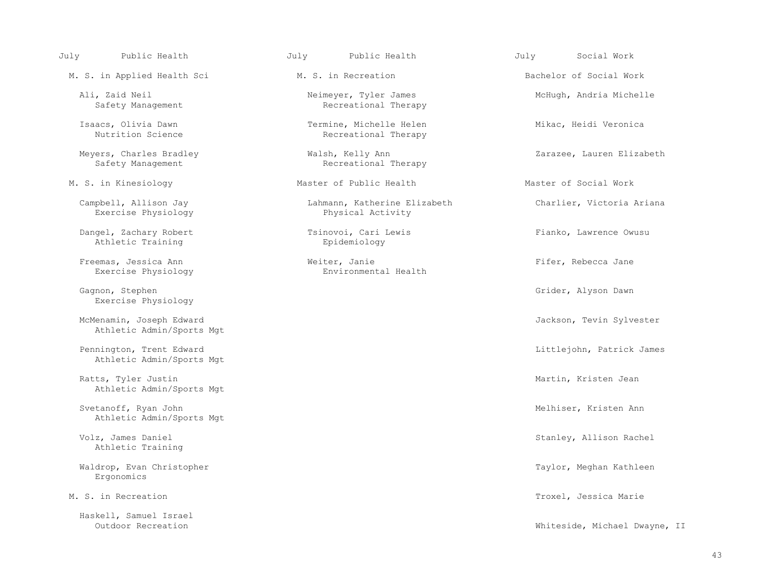M. S. in Applied Health Sci **M. S.** in Recreation **Bachelor of Social Work** 

Meyers, Charles Bradley (Walsh, Kelly Ann (Meyers, Charles Bradley (Messeth Messeth Recreational Therapy Safety Management (Messeth Recreational Therapy

Exercise Physiology

Dangel, Zachary Robert (English Tsinovoi, Cari Lewis (English Pianko, Lawrence Owusu Athletic Training (English Pianko Epidemiology Athletic Training

Exercise Physiology

Gagnon, Stephen Grider, Alyson Dawn Grider, Alyson Dawn Grider, Alyson Dawn Grider, Alyson Dawn Grider, Alyson Dawn Exercise Physiology

McMenamin, Joseph Edward States and American Sylvester Channels and Jackson, Tevin Sylvester Athletic Admin/Sports Mgt

Athletic Admin/Sports Mgt

Ratts, Tyler Justin Martin, Kristen Jean Martin, Kristen Jean Martin, Kristen Jean Martin, Kristen Jean Martin, Kristen Jean Martin, Kristen Jean Martin, Kristen Jean Martin, Kristen Jean Martin, Kristen Jean Martin, Krist Athletic Admin/Sports Mgt

Svetanoff, Ryan John Melhiser, Kristen Ann Melhiser, Kristen Ann Melhiser, Kristen Ann Melhiser, Kristen Ann Melhiser, Kristen Ann Melhiser, Kristen Ann Melhiser, Kristen Ann Melhiser, Kristen Ann Melhiser, Kristen Ann Mel Athletic Admin/Sports Mgt

Athletic Training

Waldrop, Evan Christopher Taylor, Meghan Kathleen Taylor, Meghan Kathleen Taylor, Meghan Kathleen Ergonomics

Haskell, Samuel Israel

Ali, Zaid Neil<br>
Safety Management<br>
Safety Management<br>
Recreational Therapy Recreational Therapy

 Isaacs, Olivia Dawn Termine, Michelle Helen Mikac, Heidi Veronica Recreational Therapy

Recreational Therapy

M. S. in Kinesiology **Master of Public Health** Master of Social Work

Campbell, Allison Jay Lahmann, Katherine Elizabeth Charlier, Victoria Ariana

Freemas, Jessica Ann **Exercise Physical Ann** Weiter, Janie **Filter, Exercise Physical Ann** Firer, Rebecca Jane

July Public Health July Public Health July Social Work

Pennington, Trent Edward Littlejohn, Patrick James

Volz, James Daniel Stanley, Allison Rachel

M. S. in Recreation Troxel, Jessica Marie

Whiteside, Michael Dwayne, II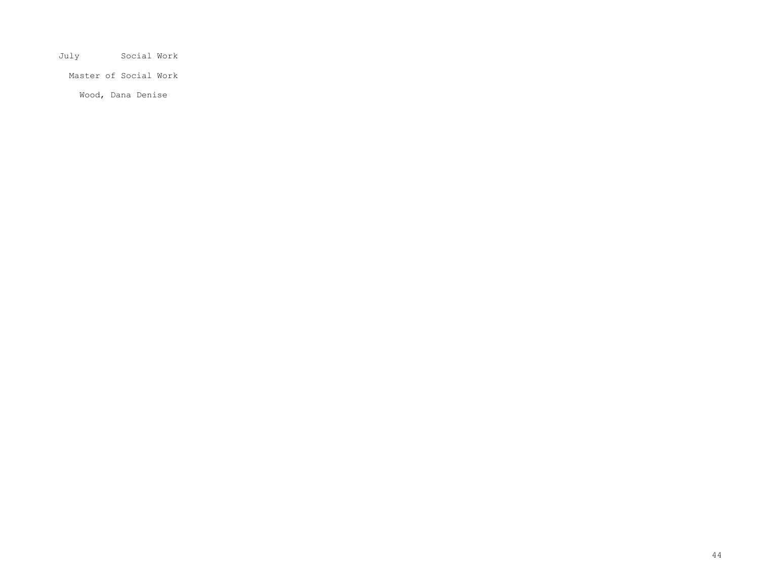July Social Work

Master of Social Work

Wood, Dana Denise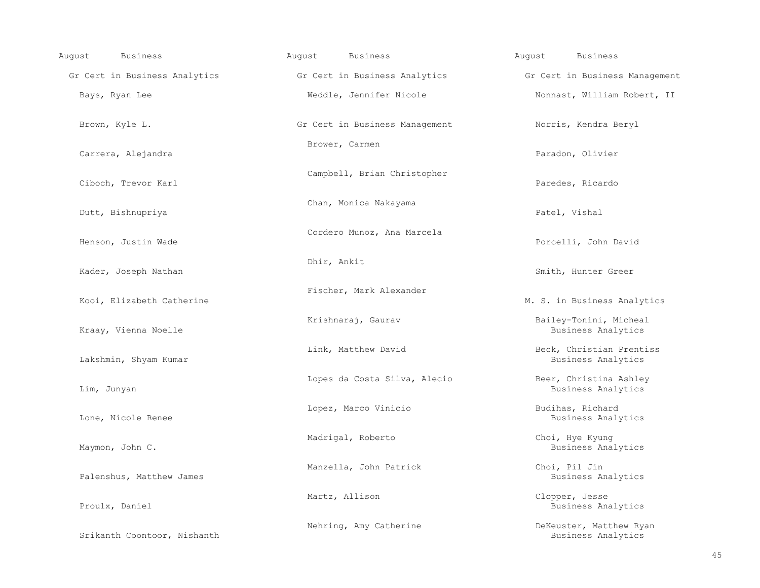| <b>Business</b><br>August     | August<br><b>Business</b>      | August<br><b>Business</b>                      |
|-------------------------------|--------------------------------|------------------------------------------------|
| Gr Cert in Business Analytics | Gr Cert in Business Analytics  | Gr Cert in Business Management                 |
| Bays, Ryan Lee                | Weddle, Jennifer Nicole        | Nonnast, William Robert, II                    |
| Brown, Kyle L.                | Gr Cert in Business Management | Norris, Kendra Beryl                           |
| Carrera, Alejandra            | Brower, Carmen                 | Paradon, Olivier                               |
| Ciboch, Trevor Karl           | Campbell, Brian Christopher    | Paredes, Ricardo                               |
| Dutt, Bishnupriya             | Chan, Monica Nakayama          | Patel, Vishal                                  |
| Henson, Justin Wade           | Cordero Munoz, Ana Marcela     | Porcelli, John David                           |
| Kader, Joseph Nathan          | Dhir, Ankit                    | Smith, Hunter Greer                            |
| Kooi, Elizabeth Catherine     | Fischer, Mark Alexander        | M. S. in Business Analytics                    |
| Kraay, Vienna Noelle          | Krishnaraj, Gaurav             | Bailey-Tonini, Micheal<br>Business Analytics   |
| Lakshmin, Shyam Kumar         | Link, Matthew David            | Beck, Christian Prentiss<br>Business Analytics |
| Lim, Junyan                   | Lopes da Costa Silva, Alecio   | Beer, Christina Ashley<br>Business Analytics   |
| Lone, Nicole Renee            | Lopez, Marco Vinicio           | Budihas, Richard<br>Business Analytics         |
| Maymon, John C.               | Madrigal, Roberto              | Choi, Hye Kyung<br>Business Analytics          |
| Palenshus, Matthew James      | Manzella, John Patrick         | Choi, Pil Jin<br>Business Analytics            |
| Proulx, Daniel                | Martz, Allison                 | Clopper, Jesse<br>Business Analytics           |
| Srikanth Coontoor, Nishanth   | Nehring, Amy Catherine         | DeKeuster, Matthew Ryan<br>Business Analytics  |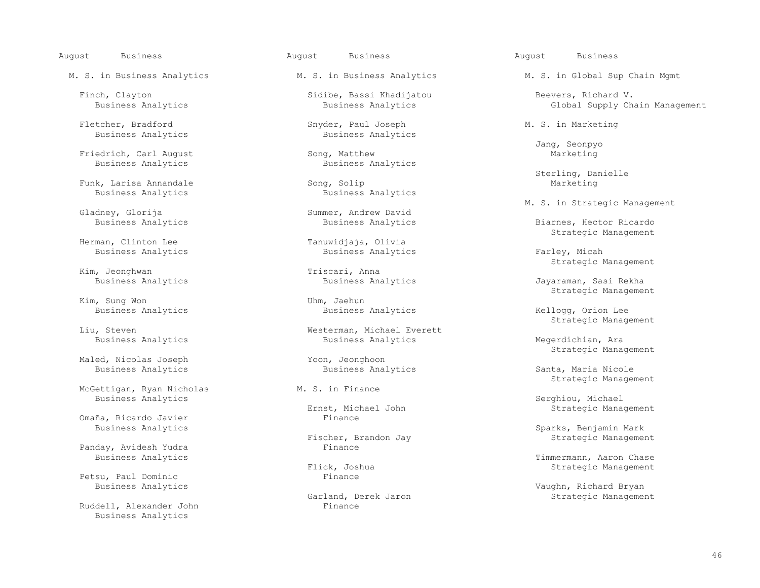August Business August Business August Business

Fletcher, Bradford Snyder, Paul Joseph M. S. in Marketing Business Analytics Business Analytics Business Analytics Business Analytics

 Friedrich, Carl August Song, Matthew Marketing Business Analytics

Funk, Larisa Annandale<br>Business Analytics

Kim, Sung Won

Maled, Nicolas Joseph Yoon, Jeonghoon<br>Business Analytics Business Analytics

McGettigan, Ryan Nicholas

Omaña, Ricardo Javier<br>Business Analytics

Panday, Avidesh Yudra

Petsu, Paul Dominic<br>Business Analytics

Ruddell, Alexander John Business Analytics

Finch, Clayton Sidibe, Bassi Khadijatou Beevers, Richard V.

Business Analytics

dney, Glorija Summer, Andrew David<br>Business Analytics Business Analytic

Tanuwidjaja, Olivia<br>Business Analytics Business Analytics **Business Analytics Business Analytics Farley, Micah** 

n, Jeonghwan and Triscari, Anna<br>Business Analytics and Business Analytics

Business Analytics Business Analytics Kellogg, Orion Lee

Westerman, Michael Everett<br>Business Analytics Business Analytics and Business Analytics and Business Analytics and Megerdichian, Ara

Business Analytics **Business Analytics** Business Analytics Santa, Maria Nicole

st, Michael John Strategic Management<br>Finance

scher, Brandon Jay Strategic Management<br>Finance

Iand, Derek Jaron Strategic Management<br>Finance

M. S. in Business Analytics M. S. in Business Analytics M. S. in Global Sup Chain Mgmt

Global Supply Chain Management

Jang, Seonpyo

Song, Solip<br>
Song, Solip<br>
Marketing<br>
Marketing

M. S. in Strategic Management (Gladney, Glorija and Summer, Andrew David

 Business Analytics Business Analytics Biarnes, Hector Ricardo Strategic Management

Strategic Management

Jayaraman, Sasi Rekha Strategic Management

Eiu, Steven and Strategic Management (Strategic Management Mesterman, Michael Everett Strategic Management

Strategic Management

M. S. in Finance and Strategic Management M. S. in Finance

Business Analytics<br>Ernst, Michael John Strategic Mana Strategic Mana

Business Analytics Sparks, Benjamin Mark<br>Business Analytics Strategic Managemer

Business Analytics **Exercise 2** Elick, Joshua **Exercise 2 Exercía e Strategic Management**<br>Flick, Joshua **Elick, Southermann, Aaron Chase** ck, Joshua Strategic Management<br>Finance

Business Analytics Vaughn, Richard Bryan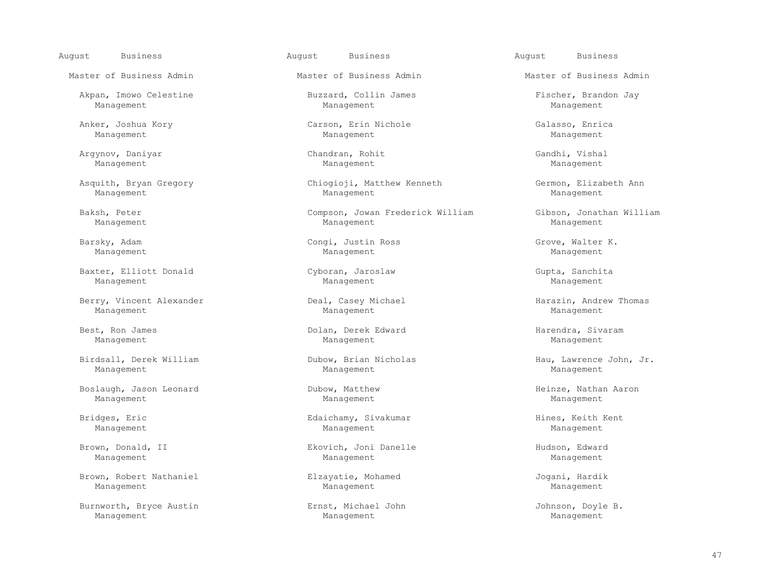August Business August Business August Business

Akpan, Imowo Celestine Buzzard, Collin James Fischer, Brandon Jay

 Argynov, Daniyar Chandran, Rohit Gandhi, Vishal Management Management Management

 Baxter, Elliott Donald Cyboran, Jaroslaw Gupta, Sanchita Management Management Management

Berry, Vincent Alexander Thomas Corresponding Deal, Casey Michael Thomas Harazin, Andrew Thomas Management Management Management

 Birdsall, Derek William Dubow, Brian Nicholas Hau, Lawrence John, Jr. Management Management Management

 Boslaugh, Jason Leonard Dubow, Matthew Heinze, Nathan Aaron Management Management Management

 Brown, Robert Nathaniel Elzayatie, Mohamed Jogani, Hardik Management Management Management

 Burnworth, Bryce Austin Ernst, Michael John Johnson, Doyle B. Management Management Management

Management Management Management

 Anker, Joshua Kory Carson, Erin Nichole Galasso, Enrica Management Management Management

 Asquith, Bryan Gregory Chiogioji, Matthew Kenneth Germon, Elizabeth Ann Management Management Management

 Baksh, Peter Compson, Jowan Frederick William Gibson, Jonathan William Management Management Management

 Barsky, Adam Congi, Justin Ross Grove, Walter K. Management Management Management

 Best, Ron James Dolan, Derek Edward Harendra, Sivaram Management Management Management

 Bridges, Eric Edaichamy, Sivakumar Hines, Keith Kent Management Management Management

Brown, Donald, II and the Secondary Ekovich, Joni Danelle and Hudson, Edward Management Management Management

Master of Business Admin Master of Business Admin Master of Business Admin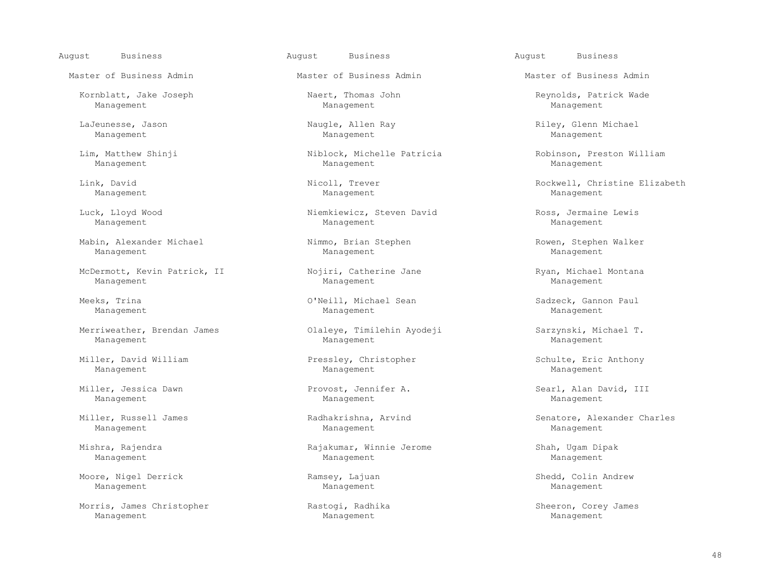August Business August Business August Business

Kornblatt, Jake Joseph (Naert, Thomas John Naert) Reynolds, Patrick Wade (Nature Reynolds, Patrick Wade Management Management Management Management

 Mabin, Alexander Michael Nimmo, Brian Stephen Rowen, Stephen Walker Management Management Management

McDermott, Kevin Patrick, II (Nojiri, Catherine Jane ) Ryan, Michael Montana<br>Manaqement Manaqement Manaqement Management Management Management

Merriweather, Brendan James (Caleye, Timilehin Ayodeji Sarzynski, Michael T. Management Management Management

Miller, David William (Element Pressley, Christopher Schulte, Eric Anthony Management Management Management Management Management Management Management

Management Management Management

Management Management Management

Moore, Nigel Derrick Ramsey, Lajuan Shedd, Colin Andrew<br>Management Management Management Management Management Management

 Morris, James Christopher Rastogi, Radhika Sheeron, Corey James Management Management Management

Management Management Management

 Lim, Matthew Shinji Niblock, Michelle Patricia Robinson, Preston William Management Management Management

 Luck, Lloyd Wood Niemkiewicz, Steven David Ross, Jermaine Lewis Management Management Management

 Meeks, Trina O'Neill, Michael Sean Sadzeck, Gannon Paul Management Management Management

Mishra, Rajendra **Mishra, Rajakumar, Winnie Jerome** Shah, Ugam Dipak Management Management Management

Master of Business Admin Master of Business Admin Master of Business Admin

LaJeunesse, Jason Naugle, Allen Ray Riley, Glenn Michael

 Link, David Nicoll, Trever Rockwell, Christine Elizabeth Management Management Management

Miller, Jessica Dawn Provost, Jennifer A. Searl, Alan David, III

Miller, Russell James Theory (Suite Radhakrishna, Arvind Theory Senatore, Alexander Charles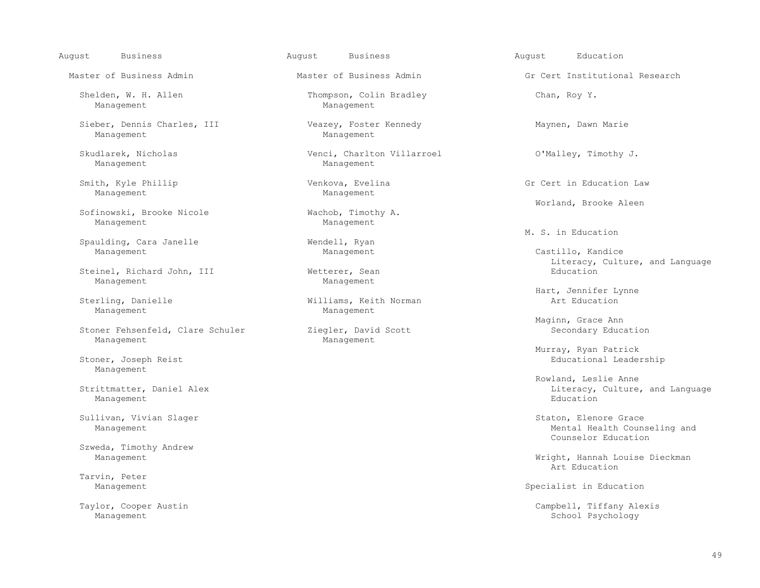August Business August Business August Education

 Sieber, Dennis Charles, III Veazey, Foster Kennedy Maynen, Dawn Marie Management

Management

 Smith, Kyle Phillip Venkova, Evelina Gr Cert in Education Law Management

Sofinowski, Brooke Nicole Wachob, Timotic Management Management Management

Spaulding, Cara Janelle Wendell, Ryan Management

Steinel, Richard John, III Wetterer, Sean Management Management

Management Management

Stoner Fehsenfeld, Clare Schuler Management Management

Management

Management **Education** extensive and the set of the set of the set of the set of the set of the set of the set of the set of the set of the set of the set of the set of the set of the set of the set of the set of the set o

Sullivan, Vivian Slager Staton, Elenore Grace Staton, Elenore Grace Staton, Elenore Grace

Szweda, Timothy Andrew

Tarvin, Peter<br>Management

Shelden, W. H. Allen Thompson, Colin Bradley Chan, Roy Y. Management Management Management Management

Skudlarek, Nicholas Venci, Charlton Villarroel O'Malley, Timothy J.

Williams, Keith Norman

Master of Business Admin Theorem Master of Business Admin Theorem Gr Cert Institutional Research

Worland, Brooke Aleen<br>
Wachob, Timothy A.

M. S. in Education<br>
M. S. in Education

Castillo, Kandice Wetterer, Sean and Language Education Education Education

Hart, Jennifer Lynne (Sterling, Danielle 1999)<br>Sterling, Danielle 1999 (Milliams, Keith Norman 1999) (Sterling, Danielle 1999)

Maginn, Grace Ann<br>Ziegler, David Scott annual Maginn, Grace Annual Secondary Education

 Murray, Ryan Patrick Stoner, Joseph Reist Educational Leadership

Rowland, Leslie Anne (Rowland, Leslie Anne (Rowland, Leslie Anne (Rowland, Leslie Anne (Rowland, Leslie Anne ( Strittmatter, Daniel Alex (1999) and Exercise of Alexander Controller and Language and Language Management (199<br>Nanagement

Management Mental Health Counseling and<br>
Mental Health Counseling and<br>
Counselor Education Counselor Education

Management Might, Hannah Louise Dieckman<br>Art Education Art Education

Specialist in Education

Taylor, Cooper Austin Campbell, Tiffany Alexis<br>Management Campbell, Tiffany Alexis<br>School Psychology School Psychology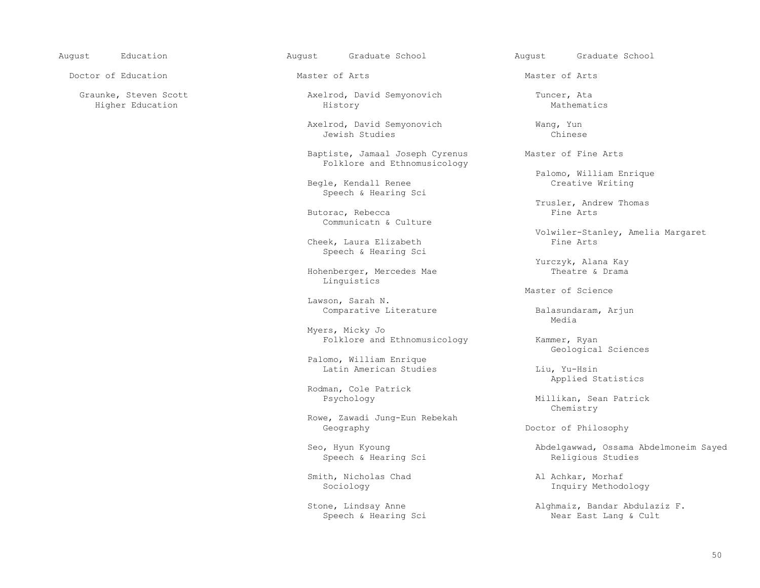Doctor of Education **Master of Arts** Master of Arts Master of Arts Master of Arts

Graunke, Steven Scott (and Tuncer, Ata and Tuncer, Ata Axelrod, David Semyonovich (and Tuncer, Ata Graunke, Puncer, Ata Axelrod, David Semyonovich (and Tuncer, Ata History (and Tuncer, Ata History (and Tuncer, Ata History Higher Education History Mathematics

Axelrod, David Semyonovich and Wang, Yun<br>Jewish Studies (Chinese Jewish Studies Chinese

> Baptiste, Jamaal Joseph Cyrenus Master of Fine Arts Folklore and Ethnomusicology

Begle, Kendall Renee Speech & Hearing Sci

Butorac, Rebecca Communicatn & Culture

Cheek, Laura Elizabeth Speech & Hearing Sci

Hohenberger, Mercedes Mae Linguistics

Lawson, Sarah N.

 Myers, Micky Jo Folklore and Ethnomusicology Kammer, Ryan

 Palomo, William Enrique Latin American Studies Liu, Yu-Hsin

Rodman, Cole Patrick

 Rowe, Zawadi Jung-Eun Rebekah Geography **Doctor of Philosophy Doctor of Philosophy** 

Speech & Hearing Sci

Smith, Nicholas Chad Al Achkar, Morhaf<br>Sociology Al Achkar, Morhaf<br>Inquiry Method

August Education August Graduate School August Graduate School

Palomo, William Enrique

Trusler, Andrew Thomas<br>Fine Arts

Volwiler-Stanley, Amelia Margaret

Yurczyk, Alana Kay<br>Theatre & Drama

Master of Science

Comparative Literature **Balasundaram, Arjun**<br>Media media and the state of the state of the state of the state of the state of the state of the state of the state of the state of the state of the state of the state of the state of the state of the state of the state of the

Geological Sciences

Applied Statistics

Millikan, Sean Patrick Chemistry

Seo, Hyun Kyoung <br>
Speech & Hearing Sci<br>
Speech & Hearing Sci<br>
Abdelgawwad, Ossama Abdelmoneim Sayed<br>
Religious Studies

Inquiry Methodology

Stone, Lindsay Anne (and Alghmaiz, Bandar Abdulaziz F. Speech & Hearing Sci Near East Lang & Cult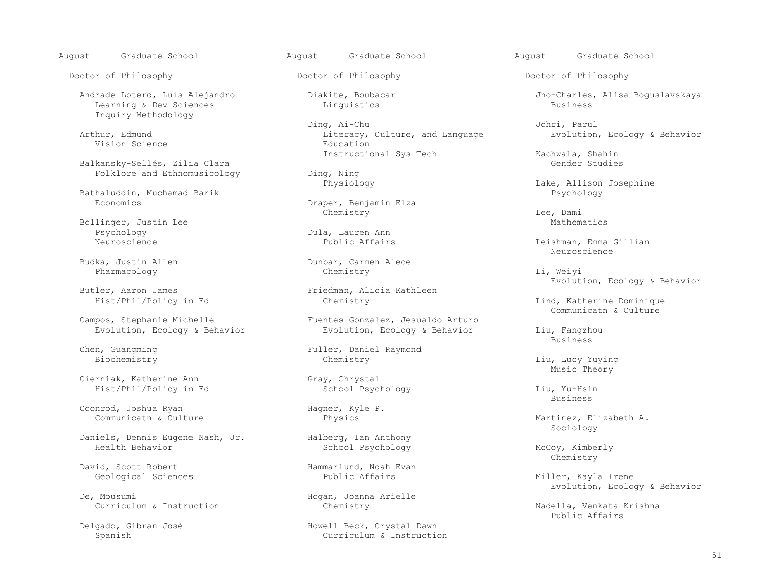August Graduate School August Graduate School August Graduate School

Doctor of Philosophy Doctor of Philosophy Doctor of Philosophy

Learning & Dev Sciences Inquiry Methodology

Vision Science

Balkansky-Sellés, Zilia Clara<br>Folklore and Ethnomusicology General Ding, Ning Folklore and Ethnomusicology **Ding, Ning**<br>Physiology

Bathaluddin, Muchamad Barik<br>Economics

Bollinger, Justin Lee Mathematics<br>Peychology Mathematics<br>Dula, Lauren Ann Psychology Dula, Lauren Ann

Pharmacology Chemistry Li, Weiyi

Campos, Stephanie Michelle (Campos, Stephanie Michelle and Stephanie and Stephanie and Stephanie and Stephanie Turne Fuentes Gonzalez, Jesualdo Arturo

Cierniak, Katherine Ann Gray, Chrystal<br>
Hist/Phil/Policy in Ed Gray, Chrystal<br>
School Psychology Hist/Phil/Policy in Ed and School Psychology and Liu, Yu-Hsin<br>Business

Coonrod, Joshua Ryan Hagner, Kyle P.<br>Communicatn & Culture Hysics

Daniels, Dennis Eugene Nash, Jr. Halberg, Ian Anthony

David, Scott Robert (and The Hammarlund, Noah Evan Geological Sciences (and Hammarlund, Noah Evan Geological Sciences (and Hammarlund, Noah Evan Geological Sciences (and Hammarlund, Noah Evan Geological Sciences (and Hamma

 Ding, Ai-Chu Johri, Parul Arthur, Edmund Literacy, Culture, and Language Evolution, Ecology & Behavior<br>
Education Education

Draper, Benjamin Elza<br>Chemistry Chemistry Lee, Dami

Budka, Justin Allen Dunbar, Carmen Alece<br>
Pharmacology Chemistry

ler, Aaron James<br>Butler, Aaron James<br>Butler, Alicia Kathleen<br>Chemistry

pos, Stephanie Michelle Fuentes Gonzalez, Jesualdo Arturo<br>
Evolution, Ecology & Behavior Fuentes Gonzalez, Ecology & Behavior Evolution, Ecology & Behavior Liu, Fangzhou<br>Business

Chen, Guangming Fuller, Daniel Raymond

School Psychology McCoy, Kimberly

Hogan, Joanna Arielle

 Delgado, Gibran José Howell Beck, Crystal Dawn Curriculum & Instruction

Andrade Lotero, Luis Alejandro Diakite, Boubacar Jno-Charles, Alisa Boguslavskaya<br>Linguistics Linguistics Business

Instructional Sys Tech Kachwala, Shahin<br>Gender Studies

Lake, Allison Josephine<br>Psychology

Leishman, Emma Gillian<br>Neuroscience Neuroscience de la provincia de la provincia de la provincia de la provincia de la provincia de la provincia d<br>De la provincia de la provincia de la provincia de la provincia de la provincia de la provincia de la provinci

Evolution, Ecology & Behavior

Lind, Katherine Dominique

en de la construction de la construction de la construction de la construction de la construction de la constr<br>De la construction de la construction de la construction de la construction de la construction de la construct

Biochemistry Chemistry Chemistry Chemistry Liu, Lucy Yuying Music Theory Music Theory

en de la construction de la construction de la construction de la construction de la construction de la constr<br>De la construction de la construction de la construction de la construction de la construction de la construct

Martinez, Elizabeth A.<br>Sociology  $\operatorname{Sociology}$ 

Chemistry

Miller, Kayla Irene Evolution, Ecology & Behavior

Curriculum & Instruction Chemistry Chemistry Nadella, Venkata Krishna<br>Public Affairs Public Affairs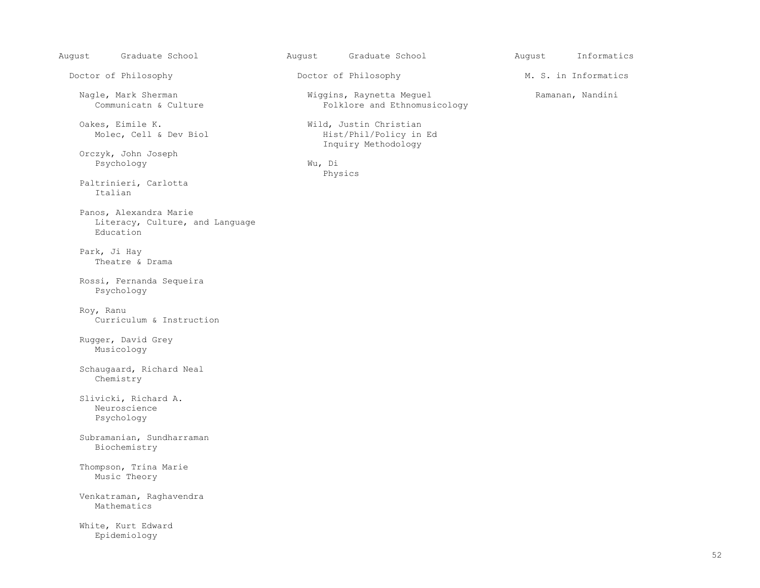August Graduate School August Graduate School August Informatics

Doctor of Philosophy **Doctor of Philosophy** M. S. in Informatics

Nagle, Mark Sherman Wiggins, Raynetta Meguel Ramanan, Nandini

Oakes, Eimile K.<br>Molec, Cell & Dev Biol Molec, Cell & Dev Biol Mist/Phil/Policy in Ed Molec, Cell & Dev Biol

 Orczyk, John Joseph Psychology Wu, Di

 Physics Paltrinieri, Carlotta Italian

 Panos, Alexandra Marie Literacy, Culture, and Language Education

 Park, Ji Hay Theatre & Drama

 Rossi, Fernanda Sequeira Psychology

 Roy, Ranu Curriculum & Instruction

 Rugger, David Grey Musicology

 Schaugaard, Richard Neal Chemistry

 Slivicki, Richard A. Neuroscience Psychology

 Subramanian, Sundharraman Biochemistry

 Thompson, Trina Marie Music Theory

 Venkatraman, Raghavendra Mathematics

 White, Kurt Edward Epidemiology

Folklore and Ethnomusicology

Inquiry Methodology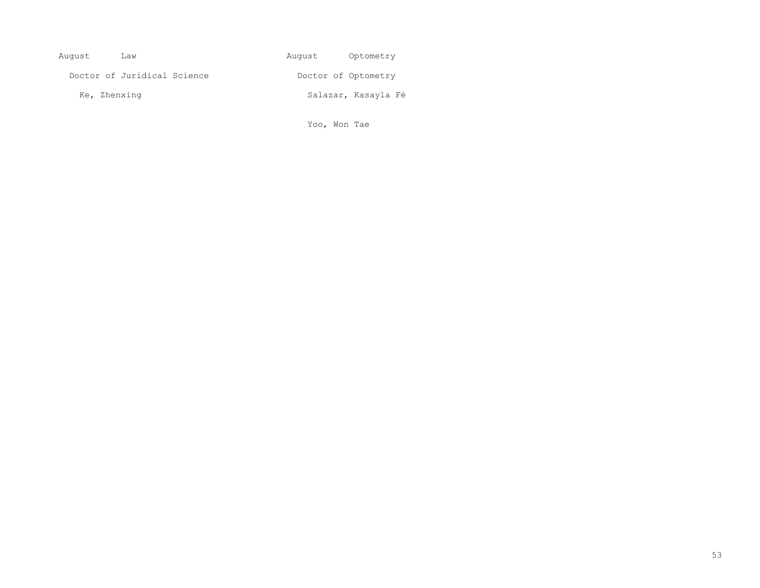| August       | Law                         | August | Optometry           |
|--------------|-----------------------------|--------|---------------------|
|              | Doctor of Juridical Science |        | Doctor of Optometry |
| Ke, Zhenxing |                             |        | Salazar, Kasayla Fé |

Yoo, Won Tae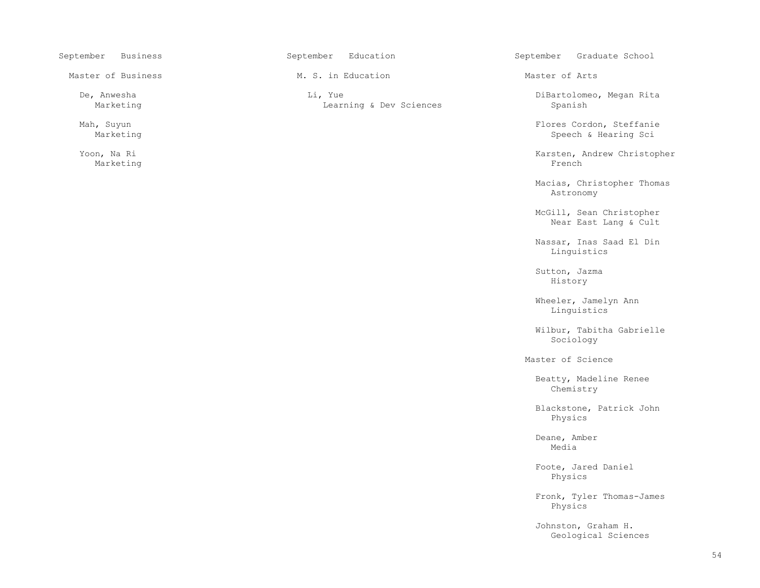Marketing French is a state of the state of the state of the state of the state of the state of the state of the state of the state of the state of the state of the state of the state of the state of the state of the state

Master of Business Theory M. S. in Education Master of Arts Master of Arts

 De, Anwesha Li, Yue DiBartolomeo, Megan Rita Learning & Dev Sciences

September Business September Education September September Graduate School

Mah, Suyun Reffanie (1999) Mah, Suyun Flores Cordon, Steffanie (1999) Mah, Suyun Flores Cordon, Steffanie (199<br>Marketing Science (1999) Marketing Science (1999) Marketing Science (1999) Marketing Science (1999) Marketing Speech & Hearing Sci

Yoon, Na Ri Karsten, Andrew Christopher Karsten, Andrew Christopher Karsten, Andrew Christopher Karsten, Andrew Christopher Karsten, Andrew Christopher Karsten, Andrew Christopher Karsten, Andrew Christopher Karsten, Andre

Macias, Christopher Thomas<br>Astronomy Astronomy

> McGill, Sean Christopher Near East Lang & Cult

 Nassar, Inas Saad El Din Linguistics

 Sutton, Jazma History

 Wheeler, Jamelyn Ann Linguistics

 Wilbur, Tabitha Gabrielle  $\operatorname{Sociology}$ 

Master of Science

 Beatty, Madeline Renee Chemistry

 Blackstone, Patrick John Physics

 Deane, Amber media and the state of the state of the state of the state of the state of the state of the state of the state of the state of the state of the state of the state of the state of the state of the state of the state of the

 Foote, Jared Daniel Physics

 Fronk, Tyler Thomas-James Physics

> Johnston, Graham H. Geological Sciences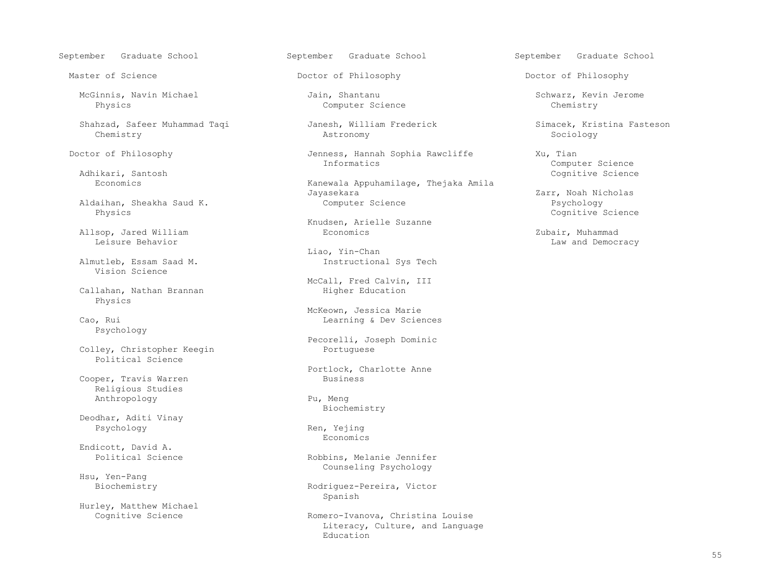McGinnis, Navin Michael Jain, Shantanu Schwarz, Kevin Jerome

 Shahzad, Safeer Muhammad Taqi Janesh, William Frederick Simacek, Kristina Fasteson Chemistry Astronomy Sociology

Adhikari, Santosh Cognitive Science

Aldaihan, Sheakha Saud K.<br>Physics

Allsop, Jared William Economics Zubair, Muhammad

Vision Science

Callahan, Nathan Brannan Physics

Psychology

Colley, Christopher Keegin Political Science

Cooper, Travis Warren Religious Studies Anthropology Pu, Meng

Deodhar, Aditi Vinay

Endicott, David A.

Hsu, Yen-Pang

Hurley, Matthew Michael

September Graduate School September Graduate School September Graduate School

Computer Science

Doctor of Philosophy **Show The Sophia Rawcliffe** Xu, Tian Jenness, Hannah Sophia Rawcliffe Xu, Tian Domou

Kanewala Appuhamilage, Thejaka Amila<br>Jayasekara zasekara Zarr, Noah Nicholas<br>Computer Science Computer Computer Science

Knudsen, Arielle Suzanne

 Liao, Yin-Chan Instructional Sys Tech

McCall, Fred Calvin, III<br>Higher Education

 McKeown, Jessica Marie Learning & Dev Sciences

Pecorelli, Joseph Dominic

Portlock, Charlotte Anne

Biochemistry

Psychology Ren, Yejing<br>Ren, Yejing<br>Renomics Economics **Example 19** Seconomics **Example 19 Seconomics** 

> Robbins, Melanie Jennifer Counseling Psychology

Rodriguez-Pereira, Victor<br>Spanish Spanish

Romero-Ivanova, Christina Louise Literacy, Culture, and Language<br>Education Education and Education

Master of Science The Control of Philosophy Control Doctor of Philosophy Doctor of Philosophy

Informatics Computer Science

Cognitive Science

Law and Democracy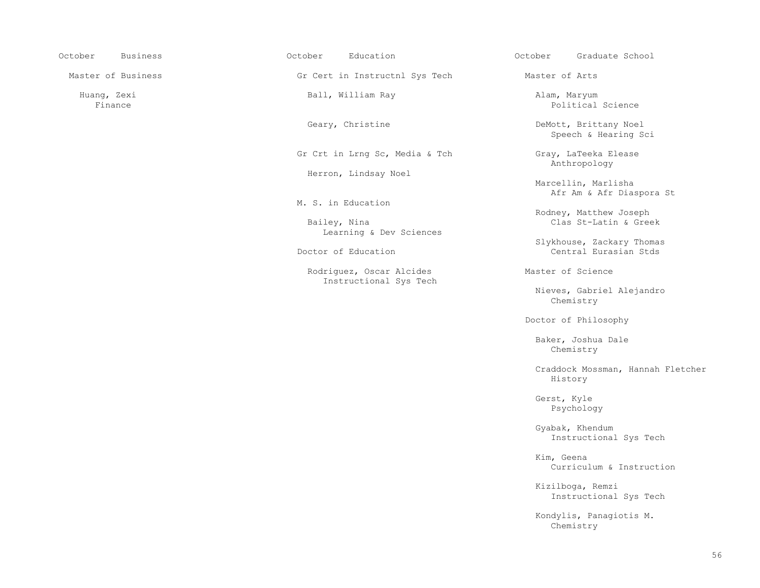| October<br><b>Business</b> | October<br>Education                               | October<br>Graduate School                         |
|----------------------------|----------------------------------------------------|----------------------------------------------------|
| Master of Business         | Gr Cert in Instructnl Sys Tech                     | Master of Arts                                     |
| Huang, Zexi<br>Finance     | Ball, William Ray                                  | Alam, Maryum<br>Political Science                  |
|                            | Geary, Christine                                   | DeMott, Brittany Noel<br>Speech & Hearing Sci      |
|                            | Gr Crt in Lrng Sc, Media & Tch                     | Gray, LaTeeka Elease<br>Anthropology               |
|                            | Herron, Lindsay Noel                               | Marcellin, Marlisha<br>Afr Am & Afr Diaspora St    |
|                            | M. S. in Education                                 |                                                    |
|                            | Bailey, Nina<br>Learning & Dev Sciences            | Rodney, Matthew Joseph<br>Clas St-Latin & Greek    |
|                            | Doctor of Education                                | Slykhouse, Zackary Thomas<br>Central Eurasian Stds |
|                            | Rodriguez, Oscar Alcides<br>Instructional Sys Tech | Master of Science                                  |
|                            |                                                    | Nieves, Gabriel Alejandro<br>Chemistry             |
|                            |                                                    | Doctor of Philosophy                               |
|                            |                                                    | Baker, Joshua Dale<br>Chemistry                    |
|                            |                                                    | Craddock Mossman, Hannah Fletcher<br>History       |
|                            |                                                    | Gerst, Kyle<br>Psychology                          |
|                            |                                                    | Gyabak, Khendum<br>Instructional Sys Tech          |
|                            |                                                    | Kim, Geena<br>Curriculum & Instruction             |
|                            |                                                    | Kizilboga, Remzi<br>Instructional Sys Tech         |
|                            |                                                    | Kondylis, Panagiotis M.<br>Chemistry               |
|                            |                                                    |                                                    |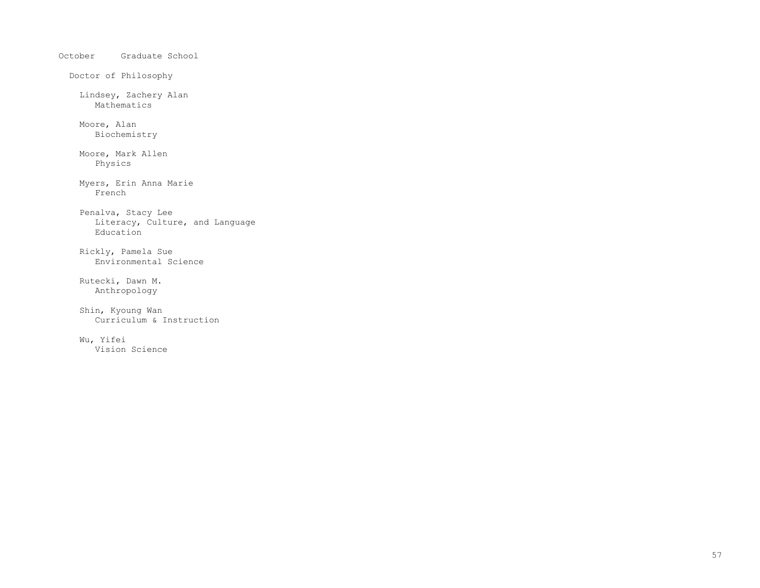October Graduate School Doctor of Philosophy Lindsey, Zachery Alan Mathematics Moore, Alan Biochemistry Moore, Mark Allen Physics Myers, Erin Anna Marie French Penalva, Stacy Lee Literacy, Culture, and Language Education Rickly, Pamela Sue Environmental Science Rutecki, Dawn M. Anthropology Shin, Kyoung Wan Curriculum & Instruction Wu, Yifei Vision Science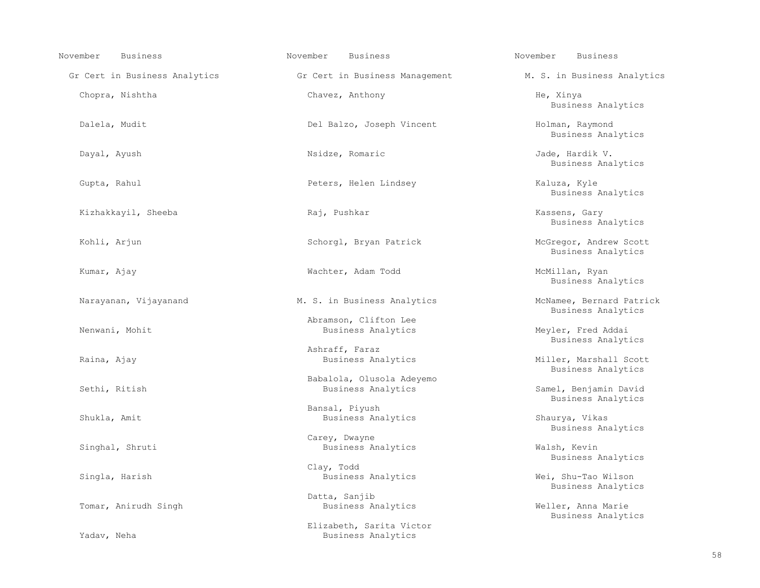| <b>Business</b><br>November   | November<br><b>Business</b>                     | November<br><b>Business</b>                    |
|-------------------------------|-------------------------------------------------|------------------------------------------------|
| Gr Cert in Business Analytics | Gr Cert in Business Management                  | M. S. in Business Analytics                    |
| Chopra, Nishtha               | Chavez, Anthony                                 | He, Xinya<br>Business Analytics                |
| Dalela, Mudit                 | Del Balzo, Joseph Vincent                       | Holman, Raymond<br>Business Analytics          |
| Dayal, Ayush                  | Nsidze, Romaric                                 | Jade, Hardik V.<br>Business Analytics          |
| Gupta, Rahul                  | Peters, Helen Lindsey                           | Kaluza, Kyle<br>Business Analytics             |
| Kizhakkayil, Sheeba           | Raj, Pushkar                                    | Kassens, Gary<br>Business Analytics            |
| Kohli, Arjun                  | Schorgl, Bryan Patrick                          | McGregor, Andrew Scott<br>Business Analytics   |
| Kumar, Ajay                   | Wachter, Adam Todd                              | McMillan, Ryan<br>Business Analytics           |
| Narayanan, Vijayanand         | M. S. in Business Analytics                     | McNamee, Bernard Patrick<br>Business Analytics |
| Nenwani, Mohit                | Abramson, Clifton Lee<br>Business Analytics     | Meyler, Fred Addai<br>Business Analytics       |
|                               | Ashraff, Faraz                                  |                                                |
| Raina, Ajay                   | Business Analytics                              | Miller, Marshall Scott<br>Business Analytics   |
| Sethi, Ritish                 | Babalola, Olusola Adeyemo<br>Business Analytics | Samel, Benjamin David<br>Business Analytics    |
| Shukla, Amit                  | Bansal, Piyush<br>Business Analytics            | Shaurya, Vikas<br>Business Analytics           |
| Singhal, Shruti               | Carey, Dwayne<br>Business Analytics             | Walsh, Kevin<br>Business Analytics             |
| Singla, Harish                | Clay, Todd<br>Business Analytics                | Wei, Shu-Tao Wilson<br>Business Analytics      |
|                               | Datta, Sanjib                                   |                                                |
| Tomar, Anirudh Singh          | Business Analytics                              | Weller, Anna Marie<br>Business Analytics       |
|                               | Elizabeth, Sarita Victor                        |                                                |
| Yadav, Neha                   | Business Analytics                              |                                                |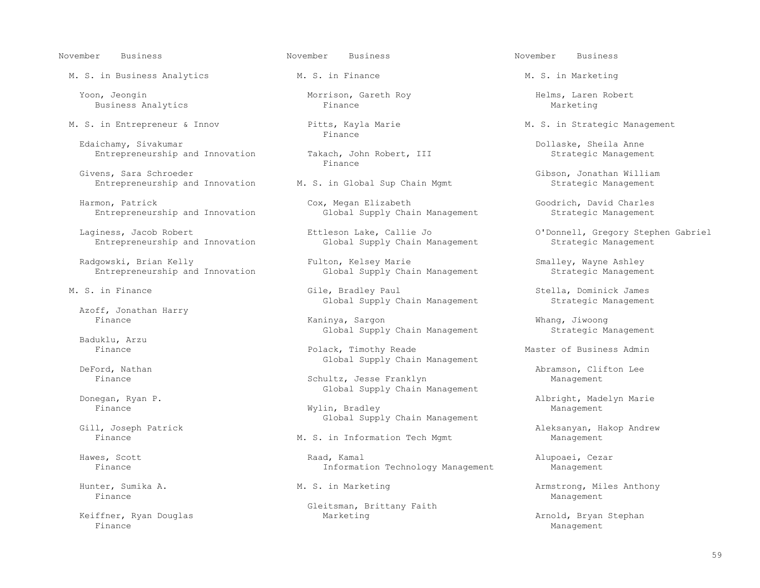November Business November Business November Business

M. S. in Business Analytics M. S. in Finance M. S. in Marketing

Yoon, Jeongin Morrison, Gareth Roy Helms, Laren Robert Business Analytics Finance Marketing Business Analytics

Edaichamy, Sivakumar<br>Entrepreneurship and Innovation Takach, John Robert, III Strategic Management Entrepreneurship and Innovation Takach, John Robert, III Strategic Management Robert, III Strategic Management

Givens, Sara Schroeder<br>Entrepreneurship and Innovation M. S. in Global Sup Chain Mgmt Strategic Management Entrepreneurship and Innovation

Harmon, Patrick Cox, Megan Elizabeth Cox, Megan Elizabeth Goodrich, David Charles<br>Entrepreneurship and Innovation Global Supply Chain Management Strategic Management Entrepreneurship and Innovation

Laginess, Jacob Robert Ettleson Lake, Callie Jo O'Donnell, Gregory Stephen Gabriel<br>Entrepreneurship and Innovation Global Supply Chain Management Strategic Manage Entrepreneurship and Innovation

Azoff, Jonathan Harry

Baduklu, Arzu

Finance Management **Management** 

Keiffner, Ryan Douglas and Marketing Marketing and Arnold, Bryan Stephan and Arnold, Bryan Stephan and Arnold, Bryan Stephan and Represent Finance Management and the Management of the Management of the Management of the Management of the Management of the Management of the Management of the Management of the Management of the Management of the Management of t

 M. S. in Entrepreneur & Innov Pitts, Kayla Marie M. S. in Strategic Management Finance **Finance** 

Finance **Finance** 

Radgowski, Brian Kelly Fulton, Kelsey Marie Smalley, Wayne Ashley Smalley, Wayne Ashley Fulton, Kelsey Marie Strategic Management Strategic Management Global Supply Chain Management

 M. S. in Finance Gile, Bradley Paul Stella, Dominick James Global Supply Chain Management

 Finance Kaninya, Sargon Whang, Jiwoong Global Supply Chain Management Strategic Management

Polack, Timothy Reade Master of Business Admin Global Supply Chain Management<br>
DeFord, Nathan

Schultz, Jesse Franklyn Global Supply Chain Management<br>
Donegan, Ryan P.

 Finance Wylin, Bradley Management Gill, Joseph Patrick and Supply Chain Management Gill, Joseph Patrick

M. S. in Information Tech Mgmt

 Hawes, Scott Raad, Kamal Alupoaei, Cezar Information Technology Management

Gleitsman, Brittany Faith<br>Marketing

Pord, Nathan Clifton Lee (North Community) Schultz, Jesse Franklyn<br>Binance Management Management

Donegan, Ryan P. Albright, Madelyn Marie

Gill, Joseph Patrick Aleksanyan, Hakop Andrew

Hunter, Sumika A. M. S. in Marketing Armstrong, Miles Anthony Finance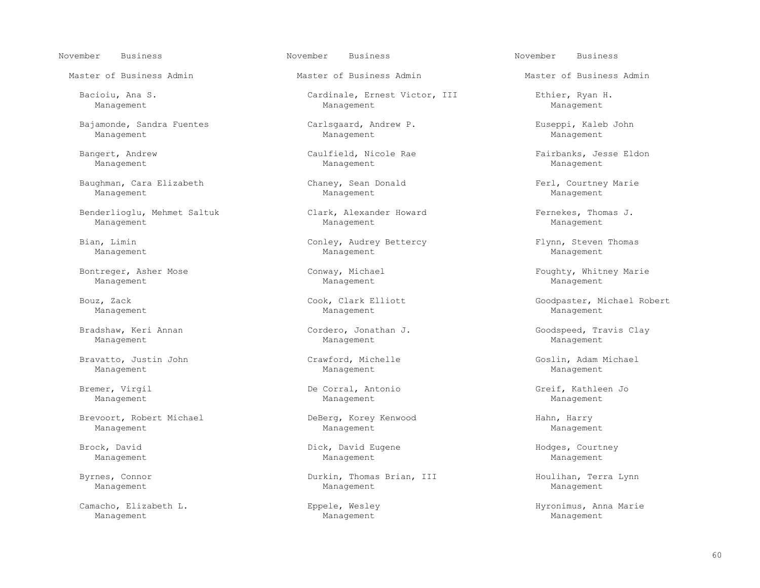November Business November Business November Business

 Bajamonde, Sandra Fuentes Carlsgaard, Andrew P. Euseppi, Kaleb John Management Management Management

Baughman, Cara Elizabeth Chaney, Sean Donald  $\blacksquare$  Ferl, Courtney Marie Management Management Management Management Management Management Management

Benderlioglu, Mehmet Saltuk Clark, Alexander Howard Fernekes, Thomas J.<br>Management Management Management Management

Bontreger, Asher Mose The Conway, Michael Conway, Michael Foughty, Whitney Marie Management Management Management Management Management Management

 Bradshaw, Keri Annan Cordero, Jonathan J. Goodspeed, Travis Clay Management Management Management

 Bravatto, Justin John Crawford, Michelle Goslin, Adam Michael Management Management Management

 Brevoort, Robert Michael DeBerg, Korey Kenwood Hahn, Harry Management Management Management

 Camacho, Elizabeth L. Eppele, Wesley Hyronimus, Anna Marie Management Management Management

Master of Business Admin Master of Business Admin Master of Business Admin

 Bacioiu, Ana S. Cardinale, Ernest Victor, III Ethier, Ryan H. Management Management Management

Management Management Management

Management Management Management

Bian, Limin Conley, Audrey Bettercy Flynn, Steven Thomas Management Management Management Management Management Management

Management Management Management

Management Management Management

Brock, David **Brook, David Eugene** Brook, David Eugene Brook, David Eugene Brook, David Eugene Brook Management Management Management

 Byrnes, Connor Durkin, Thomas Brian, III Houlihan, Terra Lynn Management Management Management

Bangert, Andrew Caulfield, Nicole Rae Fairbanks, Jesse Eldon<br>Management Management Management Management

Bouz, Zack Cook, Clark Elliott Cook, Clark Elliott Goodpaster, Michael Robert

Bremer, Virgil De Corral, Antonio Greif, Kathleen Jo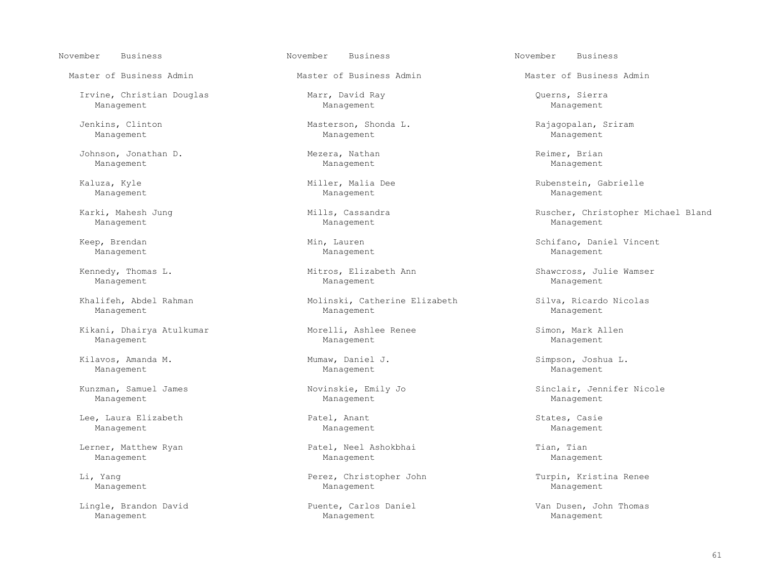November Business November Business November Business

Master of Business Admin Master of Business Admin Master of Business Admin

 Irvine, Christian Douglas Marr, David Ray Querns, Sierra Management Management Management

Johnson, Jonathan D. Mezera, Nathan Reimer, Brian Management Management Management Management Management Management

 Kikani, Dhairya Atulkumar Morelli, Ashlee Renee Simon, Mark Allen Management Management Management

 Kilavos, Amanda M. Mumaw, Daniel J. Simpson, Joshua L. Management Management Management

Management Management Management

 Lee, Laura Elizabeth Patel, Anant States, Casie Management Management Management

Lerner, Matthew Ryan Tian, Patel, Neel Ashokbhai Tian, Tian, Tian, Tian, Tian, Tian, Tian, Tian, Tian, Tian, Tian, Tian, Tian, Tian, Tian, Tian, Tian, Tian, Tian, Tian, Tian, Tian, Tian, Tian, Tian, Tian, Tian, Tian, Tian,

 Lingle, Brandon David Puente, Carlos Daniel Van Dusen, John Thomas Management Management Management

 Jenkins, Clinton Masterson, Shonda L. Rajagopalan, Sriram Management Management Management

Management Management Management

Management Management Management

Management Management Management

Khalifeh, Abdel Rahman Molinski, Catherine Elizabeth Silva, Ricardo Nicolas Management Management Management

Management Management Management

 Li, Yang Perez, Christopher John Turpin, Kristina Renee Management Management Management

Kaluza, Kyle Miller, Malia Dee Rubenstein, Gabrielle

Karki, Mahesh Jung Mills, Cassandra Ruscher, Christopher Michael Bland

 Keep, Brendan Min, Lauren Schifano, Daniel Vincent Management Management Management

Kennedy, Thomas L. Mitros, Elizabeth Ann Shawcross, Julie Wamser

Kunzman, Samuel James Novinskie, Emily Jo Sinclair, Jennifer Nicole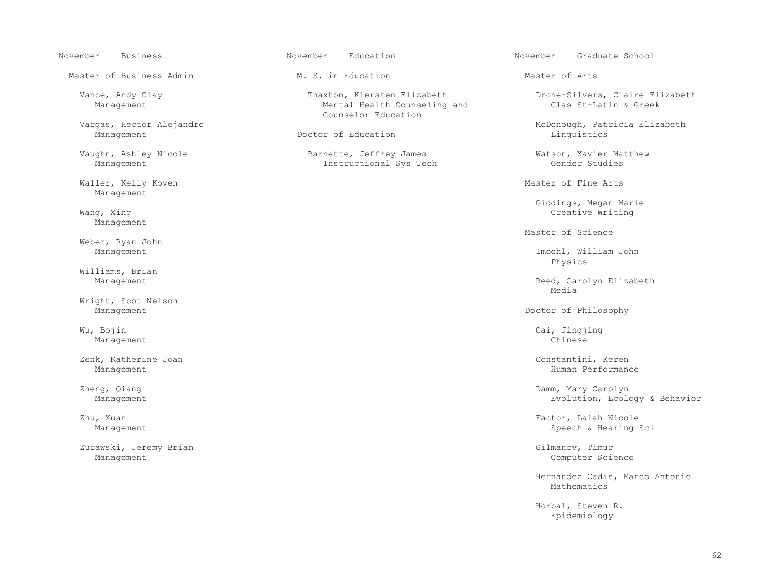Master of Business Admin 
M. S. in Education

M. S. In Education

M. S. In Education

M. S. In Education

M. S. In Education

M. S. In Education

M. S. In Education

M. S. In Education

M. S. In Education

M. S. In Educati Vargas, Hector Alejandro entrancemento counselor Education Management Doctor of Education Linguistics Waller, Kelly Koven and Master of Fine Arts (Master of Fine Arts of Arts and Master of Arts of Arts of Arts of Arts of Arts of Arts of Arts of Arts of Arts of Arts of Arts of Arts of Arts of Arts of Arts of Arts of Arts of Management Giddings, Megan Marie (1999)<br>Mang, Xing Creative Writing (1999) Management Master of Science Weber, Ryan John<br>Management Physics Williams, Brian<br>Management media and the state of the state of the state of the state of the state of the state of the state of the state of the state of the state of the state of the state of the state of the state of the state of the state of the Wright, Scot Nelson Management Doctor of Philosophy Wu, Bojin Cai, Jingjing Cai, Jingjing Cai, Jingjing Cai, Jingjing Cai, Jingjing Cai, Jingjing Cai, Jingjing Cai, Jingjing Cai, Jingjing Cai, Jingjing Cai, Jingjing Cai, Jingjing Cai, Jingjing Cai, Jingjing Cai, Jingjing Ca Management Chinese Zenk, Katherine Joan Constantini, Keren Management **Human Performance** Zheng, Qiang Damm, Mary Carolyn (Damm, Mary Carolyn Damm, Damm, Damm, Damm, Damm, Damm, Damm, Damm, Damm, Damm<br>Management Damm, Damm, Damm, Damm, Damm, Damm, Damm, Damm, Damm, Damm, Damm, Damm, Damm, Damm, Damm, Damm, Dam Zhu, Xuan Factor, Laiah Nicole Zurawski, Jeremy Brian Gilmanov, Timur Management Computer Science

 Vance, Andy Clay Thaxton, Kiersten Elizabeth Drone-Silvers, Claire Elizabeth Mental Health Counseling and

Vaughn, Ashley Nicole Barnette, Jeffrey James Watson, Xavier Matthew<br>Management Instructional Sys Tech Gender Studies Instructional Sys Tech

November Business November Education November Graduate School

vargas, Hector Alejandro (Gargas, Hector Alejandro (Gargas, Hector Alejandro (Gargas, Patricia Elizabeth<br>Management (Management Alejandro (Dector of Education (Management Alejandro) (Management Alejandro) (Managemen

Creative Writing

Imoehl, William John

Reed, Carolyn Elizabeth<br>Media

Evolution, Ecology & Behavior

Management Speech & Hearing Sci

 Hernández Cadis, Marco Antonio Mathematics **Mathematics** 

 Horbal, Steven R.  $_{\rm Epidemiology}$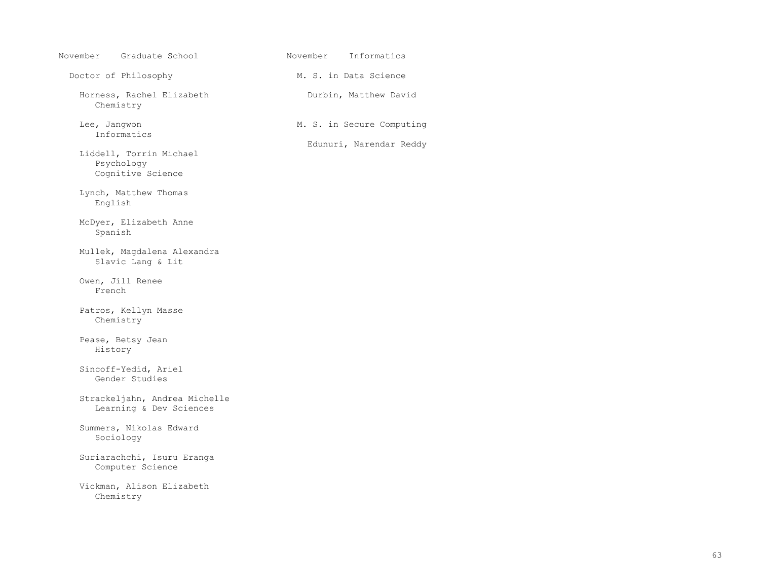| November Graduate School                                   | November Informatics                                 |
|------------------------------------------------------------|------------------------------------------------------|
| Doctor of Philosophy                                       | M. S. in Data Science                                |
| Horness, Rachel Elizabeth<br>Chemistry                     | Durbin, Matthew David                                |
| Lee, Jangwon<br>Informatics                                | M. S. in Secure Computing<br>Edunuri, Narendar Reddy |
| Liddell, Torrin Michael<br>Psychology<br>Cognitive Science |                                                      |
| Lynch, Matthew Thomas<br>English                           |                                                      |
| McDyer, Elizabeth Anne<br>Spanish                          |                                                      |
| Mullek, Magdalena Alexandra<br>Slavic Lang & Lit           |                                                      |
| Owen, Jill Renee<br>French                                 |                                                      |
| Patros, Kellyn Masse<br>Chemistry                          |                                                      |
| Pease, Betsy Jean<br>History                               |                                                      |
| Sincoff-Yedid, Ariel<br>Gender Studies                     |                                                      |
| Strackeljahn, Andrea Michelle<br>Learning & Dev Sciences   |                                                      |
| Summers, Nikolas Edward<br>Sociology                       |                                                      |
| Suriarachchi, Isuru Eranga<br>Computer Science             |                                                      |
| Vickman, Alison Elizabeth<br>Chemistry                     |                                                      |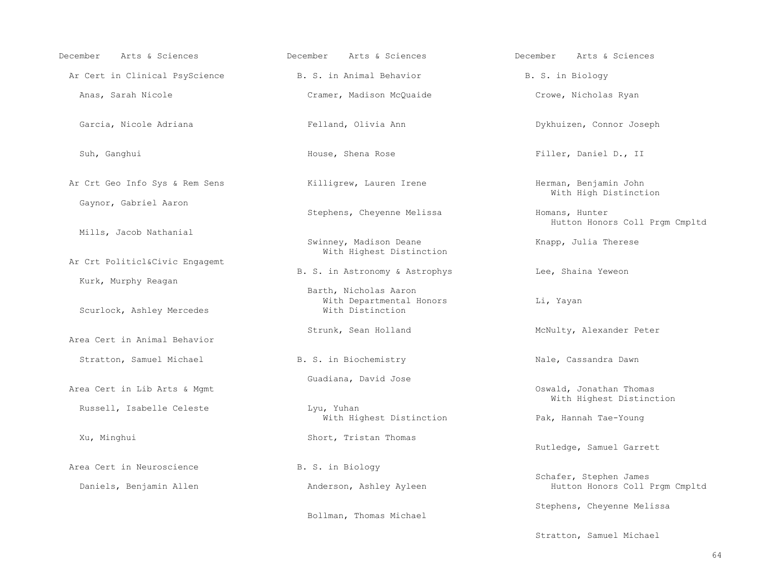| Arts & Sciences<br>December    | Arts & Sciences<br>December                                           | Arts & Sciences<br>December                              |
|--------------------------------|-----------------------------------------------------------------------|----------------------------------------------------------|
| Ar Cert in Clinical PsyScience | B. S. in Animal Behavior                                              | B. S. in Biology                                         |
| Anas, Sarah Nicole             | Cramer, Madison McQuaide                                              | Crowe, Nicholas Ryan                                     |
| Garcia, Nicole Adriana         | Felland, Olivia Ann                                                   | Dykhuizen, Connor Joseph                                 |
| Suh, Ganghui                   | House, Shena Rose                                                     | Filler, Daniel D., II                                    |
| Ar Crt Geo Info Sys & Rem Sens | Killigrew, Lauren Irene                                               | Herman, Benjamin John<br>With High Distinction           |
| Gaynor, Gabriel Aaron          | Stephens, Cheyenne Melissa                                            | Homans, Hunter<br>Hutton Honors Coll Prgm Cmpltd         |
| Mills, Jacob Nathanial         | Swinney, Madison Deane<br>With Highest Distinction                    | Knapp, Julia Therese                                     |
| Ar Crt Politicl&Civic Engagemt |                                                                       |                                                          |
| Kurk, Murphy Reagan            | B. S. in Astronomy & Astrophys                                        | Lee, Shaina Yeweon                                       |
| Scurlock, Ashley Mercedes      | Barth, Nicholas Aaron<br>With Departmental Honors<br>With Distinction | Li, Yayan                                                |
| Area Cert in Animal Behavior   | Strunk, Sean Holland                                                  | McNulty, Alexander Peter                                 |
| Stratton, Samuel Michael       | B. S. in Biochemistry                                                 | Nale, Cassandra Dawn                                     |
| Area Cert in Lib Arts & Mgmt   | Guadiana, David Jose                                                  | Oswald, Jonathan Thomas<br>With Highest Distinction      |
| Russell, Isabelle Celeste      | Lyu, Yuhan<br>With Highest Distinction                                | Pak, Hannah Tae-Young                                    |
| Xu, Minghui                    | Short, Tristan Thomas                                                 | Rutledge, Samuel Garrett                                 |
| Area Cert in Neuroscience      | B. S. in Biology                                                      |                                                          |
| Daniels, Benjamin Allen        | Anderson, Ashley Ayleen                                               | Schafer, Stephen James<br>Hutton Honors Coll Prgm Cmpltd |
|                                | Bollman, Thomas Michael                                               | Stephens, Cheyenne Melissa                               |

Stratton, Samuel Michael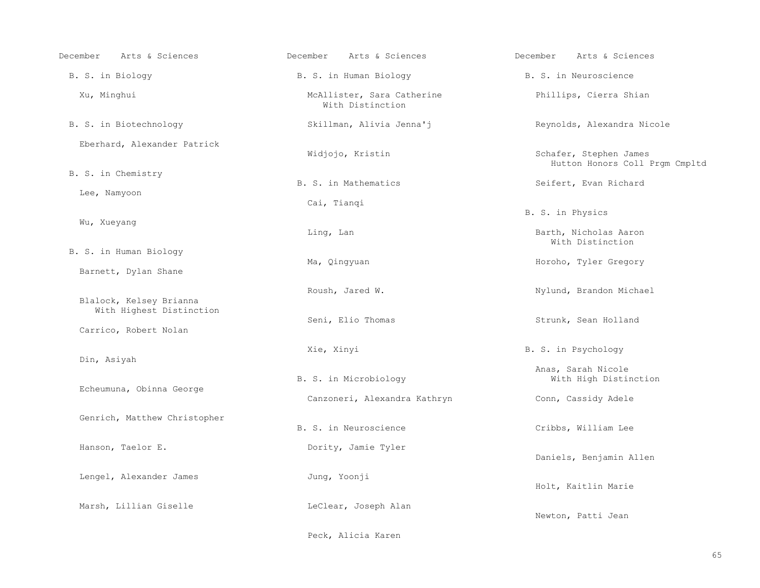| Arts & Sciences<br>December                         | Arts & Sciences<br>December                    | Arts & Sciences<br>December                              |
|-----------------------------------------------------|------------------------------------------------|----------------------------------------------------------|
| B. S. in Biology                                    | B. S. in Human Biology                         | B. S. in Neuroscience                                    |
| Xu, Minghui                                         | McAllister, Sara Catherine<br>With Distinction | Phillips, Cierra Shian                                   |
| B. S. in Biotechnology                              | Skillman, Alivia Jenna'j                       | Reynolds, Alexandra Nicole                               |
| Eberhard, Alexander Patrick                         | Widjojo, Kristin                               | Schafer, Stephen James<br>Hutton Honors Coll Prgm Cmpltd |
| B. S. in Chemistry                                  | B. S. in Mathematics                           | Seifert, Evan Richard                                    |
| Lee, Namyoon                                        | Cai, Tianqi                                    |                                                          |
|                                                     |                                                | B. S. in Physics                                         |
| Wu, Xueyang                                         | Ling, Lan                                      | Barth, Nicholas Aaron<br>With Distinction                |
| B. S. in Human Biology                              | Ma, Qingyuan                                   | Horoho, Tyler Gregory                                    |
| Barnett, Dylan Shane                                |                                                |                                                          |
| Blalock, Kelsey Brianna<br>With Highest Distinction | Roush, Jared W.                                | Nylund, Brandon Michael                                  |
| Carrico, Robert Nolan                               | Seni, Elio Thomas                              | Strunk, Sean Holland                                     |
| Din, Asiyah                                         | Xie, Xinyi                                     | B. S. in Psychology                                      |
| Echeumuna, Obinna George                            | B. S. in Microbiology                          | Anas, Sarah Nicole<br>With High Distinction              |
|                                                     | Canzoneri, Alexandra Kathryn                   | Conn, Cassidy Adele                                      |
| Genrich, Matthew Christopher                        | B. S. in Neuroscience                          | Cribbs, William Lee                                      |
| Hanson, Taelor E.                                   | Dority, Jamie Tyler                            | Daniels, Benjamin Allen                                  |
| Lengel, Alexander James                             | Jung, Yoonji                                   | Holt, Kaitlin Marie                                      |
| Marsh, Lillian Giselle                              | LeClear, Joseph Alan                           | Newton, Patti Jean                                       |
|                                                     | Peck, Alicia Karen                             |                                                          |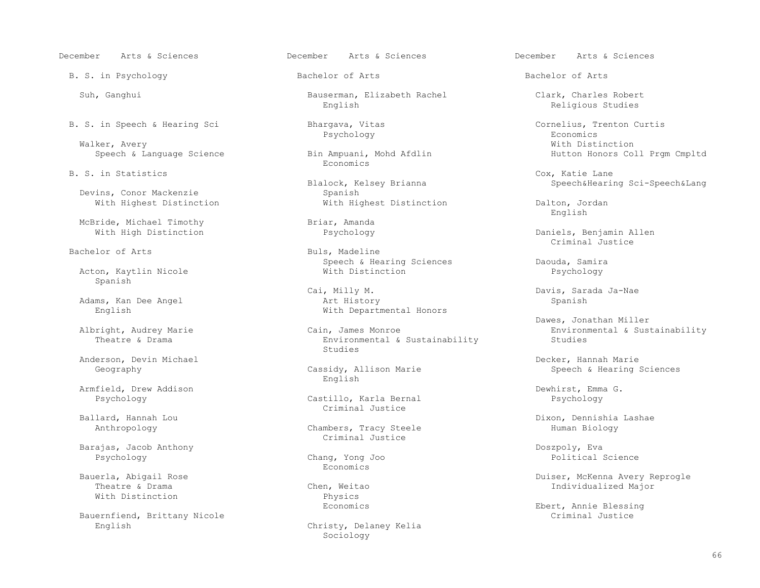B. S. in Psychology **Bachelor of Arts** Bachelor of Arts Bachelor of Arts

Walker, Avery **With Distinction** 

Devins, Conor Mackenzie<br>With Highest Distinction

McBride, Michael Timothy Briar, Amanda<br>With High Distinction Bychology

Bachelor of Arts and Buls, Madeline

Acton, Kaytlin Nicole Spanish

Adams, Kan Dee Angel

Anderson, Devin Michael (Anderson, Devin Michael Decker, Hannah Marie Cassidy, Allison Marie (Decker, Hannah Marie Speech & Hearing)

Armfield, Drew Addison and the Castillo, Karla Bernal and Dewhirst, Emma G.<br>Phychology by Dewhirst, Emma G. Castillo, Karla Bernal and Phychology and Dewhirst, Emma G.

 Barajas, Jacob Anthony Doszpoly, Eva Psychology Chang, Yong Joo Political Science

Bauernfiend, Brittany Nicole English Christy, Delaney Kelia

 Suh, Ganghui Bauserman, Elizabeth Rachel Clark, Charles Robert English Religious Studies

Speech & Language Science **Bin Ampuani, Mohd Afdlin** Hutton Honors Coll Prgm Cmpltd<br>Economics Economics **Example 19** Seconomics **Example 19 Seconomics** 

lock, Kelsey Brianna Speech&Hearing Sci-Speech&Lang<br>Spanish

Speech & Hearing Sciences The Daouda, Samira<br>With Distinction Daychology

 Cai, Milly M. Davis, Sarada Ja-Nae English With Departmental Honors

Environmental & Sustainability<br>Studies studies and the studies of the studies of the studies of the studies of the studies of the studies of the studies of the studies of the studies of the studies of the studies of the studies of the studies of the studies of

sidy, Allison Marie Speech & Hearing Sciences<br>English English

Castillo, Karla Bernal Ballard, Hannah Lou and South Criminal Justice

> Chambers, Tracy Steele Criminal Justice

Economics **Example 19** Seconomics **Example 19 Seconomics** 

With Distinction Physics<br>Economics

Sociology

B. S. in Speech & Hearing Sci Bhargava, Vitas Cornelius, Trenton Curtis Cornelius, Trenton Curtis Psychology Psychology Economics

B. S. in Statistics Cox, Katie Lane

With Highest Distinction Dalton, Jordan Dalton, Dans English

Daniels, Benjamin Allen<br>Criminal Justice Criminal Justice

Dawes, Jonathan Miller<br>Albright, Audrey Marie Cain, James Monroe Dawes, Jonathan Miller right, Audrey Marie Cain, James Monroe Environmental & Sustainability<br>Theatre & Drama Environmental & Sustainability Studies

and, Hannah Lou Dixon, Dennishia Lashae (Dixon, Dennishia Lashae )<br>Banthropology (Dixon, Dennishia Lashae ) Chambers, Tracy Steele (Dixon, Dennishia Lashae )

 Bauerla, Abigail Rose Duiser, McKenna Avery Reprogle n, Weitao  $\qquad$  Drama Chen, Meitao Individualized Major

Ebert, Annie Blessing<br>Criminal Justice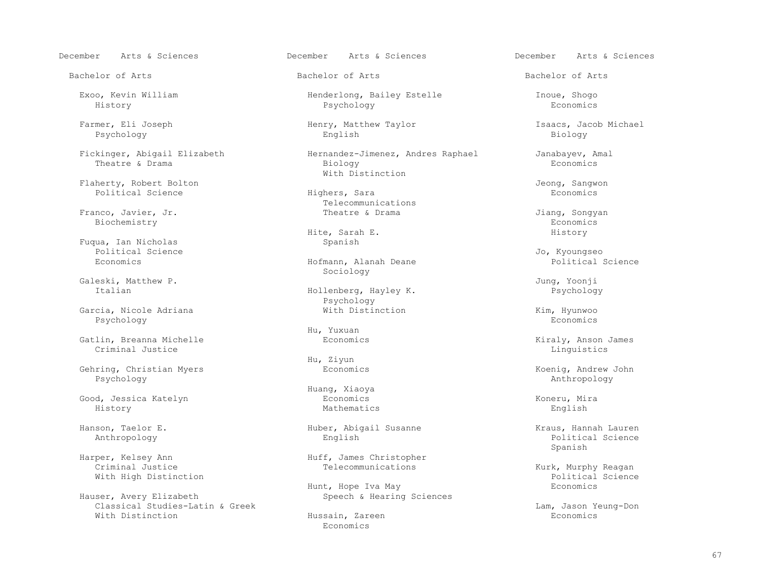Bachelor of Arts Bachelor of Arts Bachelor of Arts

Flaherty, Robert Bolton and Theory Constanting Highers, Sara and Teory Jeong, Sangwon Political Science and Sconomics and Highers, Sara and Teory Beconomics and Beconomics and Decorement and Decorement and Highers, Sara an Political Science

 Franco, Javier, Jr. Theatre & Drama Jiang, Songyan Biochemistry Economics

Fuqua, Ian Nicholas<br>Political Science Political Science and the settlement of the settlement of the settlement of the settlement of the set of the s

Galeski, Matthew P. Jung, Yoonji

 Garcia, Nicole Adriana With Distinction Kim, Hyunwoo Psychology Economics

 Gatlin, Breanna Michelle Economics Kiraly, Anson James Criminal Justice **Linguistics** 

Gehring, Christian Myers Economics Economics Economics Roenig, Andrew John Reserved on the Sychology Psychology Anthropology

 Good, Jessica Katelyn Economics Koneru, Mira History Mathematics English

Classical Studies-Latin & Greek and Hussain, Zareen and Ham, Jason Yeung-Don<br>
With Distinction Bushing Hussain, Zareen and Hussain, Zareen and Beonomics With Distinction The Research Hussain, Zareen The Hussain Hussain, 2016, 2017, 2018, 2018, 2019, 2019, 2019, 20

December Arts & Sciences December Arts & Sciences December Arts & Sciences

Exoo, Kevin William (Exoo, Kevin William (Exoo, Henderlong, Bailey Estelle Inoue, Shogo<br>History Economics (Economics History Psychology Economics

 Farmer, Eli Joseph Henry, Matthew Taylor Isaacs, Jacob Michael Psychology English Biology

 Fickinger, Abigail Elizabeth Hernandez-Jimenez, Andres Raphael Janabayev, Amal Theatre & Drama Biology Economics With Distinction

Telecommunications<br>Theatre & Drama

Hite, Sarah E. History

 Economics Hofmann, Alanah Deane Political Science Sociology

> Hollenberg, Hayley K. Psychology<br>With Distinction

Hu, Yuxuan

Hu, Ziyun

Huang, Xiaoya

Hanson, Taelor E. Huber, Abigail Susanne Kraus, Hannah Lauren

Harper, Kelsey Ann Marper, Kelsey Ann Huff, James Christopher<br>Criminal Justice Telecommunications

Hunt, Hope Iva May<br>Hauser, Avery Elizabeth May Speech & Hearing Speech & Hearing Sciences

Economics **Example 19** 

 Anthropology English Political Science Spanish

Kurk, Murphy Reagan<br>Political Science With High Distinction<br>
Hunt, Hope Iva May Political Scopenics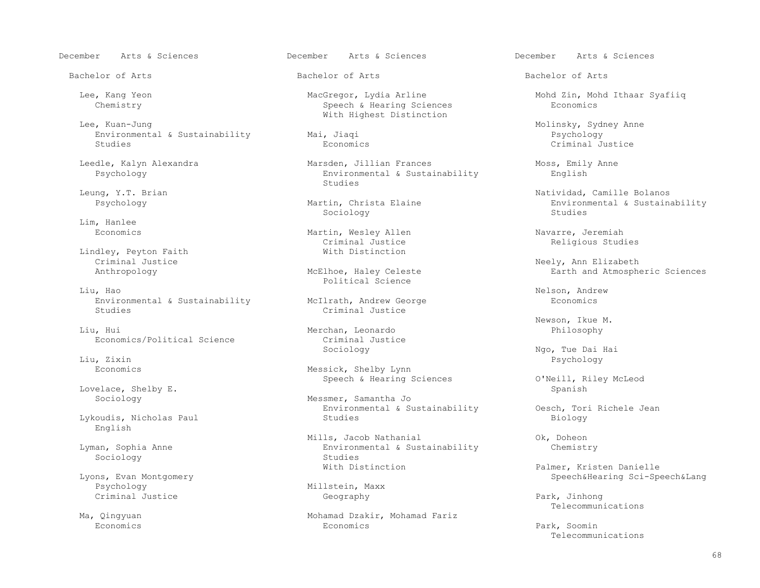Lee, Kuan-Jung<br>Environmental & Sustainability (and Moling Mai, Jiaqi Molinsky, Sydney Anne Environmental & Sustainability  $\text{Mai}$ , Jiaqi Psychology Psychology Psychology Boomics Criminal Justice Studies Economics Criminal Justice

Lim, Hanlee<br>Economics

Lindley, Peyton Faith<br>Criminal Justice

Liu, Hao Nelson, Andrew Nelson, Andrew Nelson, Andrew Nelson, Andrew Nelson, Andrew Nelson, Andrew Nelson, Andrew Nelson, Andrew Nelson, Andrew Nelson,  $\mu$ Environmental & Sustainability McIlrath, Andrew George and Economics Studies Criminal Justice

Liu, Hui Merchan, Leonardo entries de la philosophy<br>Economics/Political Science entries criminal Justice Economics/Political Science Criminal Justice Criminal Justice Criminal Justice Criminal Justice Criminal Justice Criminal Justice Criminal Justice Criminal Justice Criminal Justice Criminal Justice Criminal Justice Crimina

Lovelace, Shelby E. Spanish<br>Sociology Messmer, Samantha Jo

Lykoudis, Nicholas Paul English

Psychology Millstein, Maxx<br>Criminal Justice and Millstein, Maxx Criminal Justice Geography Park, Jinhong

Speech & Hearing Sciences With Highest Distinction

 Leedle, Kalyn Alexandra Marsden, Jillian Frances Moss, Emily Anne Environmental & Sustainability<br>Studies studies and the studies of the studies of the studies of the studies of the studies of the studies of the studies of the studies of the studies of the studies of the studies of the studies of the studies of the studies of

studies in the second of the second second studies in the second second second second second second second second second second second second second second second second second second second second second second second sec

Martin, Wesley Allen Navarre, Jeremiah<br>Criminal Justice Navarre, Religious Stud Criminal Justice and Religious Studies<br>
With Distinction

Political Science

Criminal Justice

 Economics Messick, Shelby Lynn Speech & Hearing Sciences **O'Neill**, Riley McLeod

> Messmer, Samantha Jo Environmental & Sustainability Oesch, Tori Richele Jean<br>Studies Biology

Mills, Jacob Nathanial (Ok, Doheon Dyman, Sophia Anne Commental & Sustainability (Ok, Doheon Dyman, Sophia Anne Chemistry Environmental & Sustainability<br>Studies Sociology Studies<br>
Studies<br>
With Distinction

Ma, Qingyuan Mohamad Dzakir, Mohamad Fariz Telecommunications Qingyuan 1999 Mohamad Dzakir, Mohamad Fariz<br>Economics 1999 Economics Economics Economics Park, Soomin

Bachelor of Arts Bachelor of Arts Bachelor of Arts

Lee, Kang Yeon MacGregor, Lydia Arline Mohd Zin, Mohd Ithaar Syafiiq

Leung, Y.T. Brian Chance (1999) (1999) (1999) (1999) (1999) (1999) (1999) (1999) (1999) (1999) (1999) (1999) (<br>Martin, Christa Elaine (1999) (1999) (299) (1999) (1999) (1999) (1999) (1999) (1999) (1999) (1999) (1999) (199 tin, Christa Elaine and Environmental & Sustainability<br>
Sociology and Studies

 Criminal Justice Neely, Ann Elizabeth Earth and Atmospheric Sciences

Newson, Ikue M.

 Sociology Ngo, Tue Dai Hai Liu, Zixin Psychology

Evens, Evan Montgomery and Mith Distinction and Palmer, Kristen Danielle<br>Lyons, Evan Montgomery and Mith Distinction and Palmer, Kristen Danielle ns, Evan Montgomery and Montgomery and Millstein, Maxx Speech&Hearing Sci-Speech&Lang<br>Psychology Speech&Lang

Telecommunications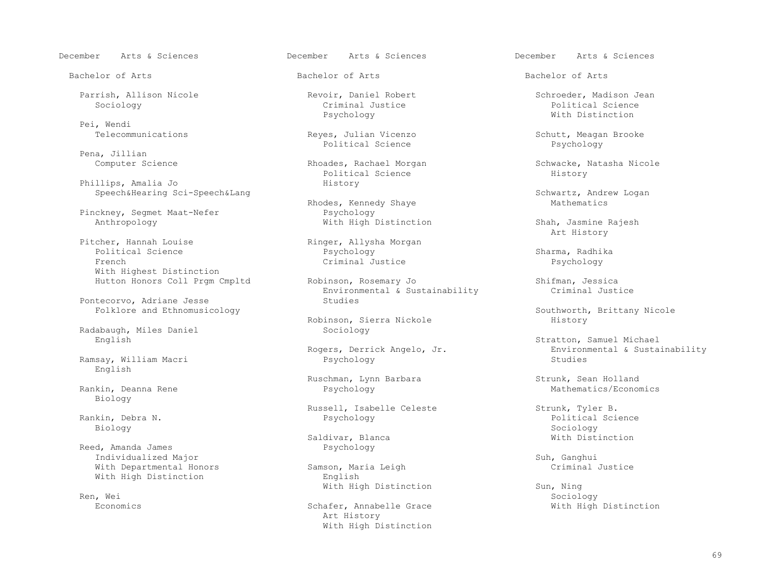Bachelor of Arts Bachelor of Arts Bachelor of Arts

Pei, Wendi<br>Telecommunications

Pena, Jillian

Phillips, Amalia Jo History

Pinckney, Segmet Maat-Nefer<br>Anthropology

Pitcher, Hannah Louise Ringer, Allysha Morgan<br>Political Science Ringer, Paychology Political Science Psychology Sharma, Radhika French Criminal Justice Psychology With Highest Distinction

Pontecorvo, Adriane Jesse

Radabaugh, Miles Daniel<br>English

Ramsay, William Macri estate and Psychology English

Rankin, Deanna Rene Biology

Biology Sociology

Reed, Amanda James Psychology Individualized Major<br>
With Departmental Honors Samson, Maria Leigh Criminal Justice With Departmental Honors Samson, Maria Leigh Criminal Honors<br>
With High Distinction Criminal Buglish With High Distinction

Ren, Wei Sociology (1999) and the settlement of the settlement of the settlement of the Sociology of the Sociology (

Psychology With Distinction

Reyes, Julian Vicenzo Schutt, Meagan Brooke<br>Political Science Schutt, Meagan Brooke<br>Psychology Political Science

Political Science And History (History Research) and History (History Research) and History (History Research)

Rhodes, Kennedy Shaye<br>Psychology

Hutton Honors Coll Prgm Cmpltd (Robinson, Rosemary Jo Shifman, Jessica<br>Environmental & Sustainability (Siminal Justice  $Environmental & Sustainable \\ \nStudies$ 

Robinson, Sierra Nickole<br>Sociology

Russell, Isabelle Celeste Strunk, Tyler B. (1998) Russell, Isabelle Celeste Strunk, Tyler B. (1998) Strunk, Tyler B. (1998) Resychology

With High Distinction Sun, Ning<br>Ren, Wei Sociology

 Art History With High Distinction

 Parrish, Allison Nicole Revoir, Daniel Robert Schroeder, Madison Jean Sociology Criminal Justice Political Science

Rhoades, Rachael Morgan Schwacke, Natasha Nicole<br>Political Science Research Schwacke, Natasha Nicole

Speech&Hearing Sci-Speech&Lang<br>Rhodes. Kennedy Shave Schwartz, Andrew Logan<br>Mathematics

With High Distinction Shah, Jasmine Rajesh<br>Art History Art History

Folklore and Ethnomusicology **Southworth, Brittany Nicole** Southworth, Brittany Nicole<br>Robinson, Sierra Nickole **Southworth, Brittany Nicole** 

English Stratton, Samuel Michael<br>Environmental & Susta:<br>Environmental & Susta: Environmental & Sustainability<br>Studies

Ruschman, Lynn Barbara Strunk, Sean Holland<br>Psychology Mathematics/Economics

 Rankin, Debra N. Psychology Political Science Saldivar, Blanca New York and Mith Distinction

Economics **Schafer, Annabelle Grace** With High Distinction **With High Distinction**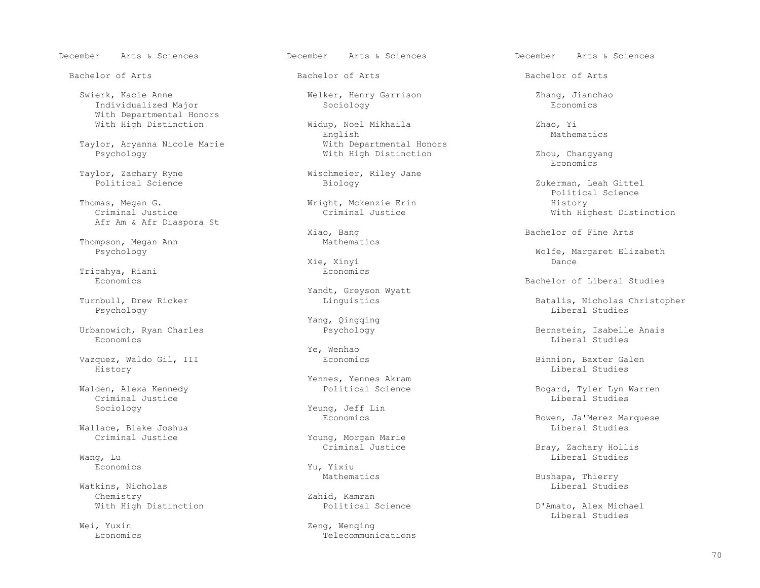Swierk, Kacie Anne Welker, Henry Garrison Zhang, Jianchao Individualized Major With Departmental Honors

Taylor, Aryanna Nicole Marie **With Departmental Honors**<br>Psychology **With High Distinction** 

 Thomas, Megan G. Wright, Mckenzie Erin History Afr Am & Afr Diaspora St

Thompson, Megan Ann Mathematics<br>
Psychology

Tricahya, Riani Economics

Psychology Liberal Studies

Economics Liberal Studies

 Vazquez, Waldo Gil, III Economics Binnion, Baxter Galen History Liberal Studies

Criminal Justice Liberal Studies (1999) and the set of the set of the set of the set of the set of the set of the set of the set of the set of the set of the set of the set of the set of the set of the set of the set of th

Wallace, Blake Joshua<br>Criminal Justice

Watkins, Nicholas<br>Chemistry

Bachelor of Arts Bachelor of Arts Bachelor of Arts

With High Distinction and Midup, Noel Mikhaila and Zhao, Yi<br>English Mathematics Mathematics English Mathematics

Taylor, Zachary Ryne Wischmeier, Riley Jane<br>
Political Science Biology

Xie, Xinyi Dance

Yandt, Greyson Wyatt<br>Turnbull, Drew Ricker and Muslim Muslim Muslim Linguistics

Yang, Qingqing<br>Urbanowich, Ryan Charles<br>Psychology

Ye, Wenhao

Yennes, Yennes Akram<br>Political Science (National Science

Sociology Yeung, Jeff Lin<br>Economics

Young, Morgan Marie<br>Criminal Justice

Economics Yu, Yixiu

Zahid, Kamran<br>Political Science

Wei, Yuxin and Meiler and Meiler and Meiler and Zeng, Wenqing<br>Economics and Telecommun Economics Telecommunications

With High Distinction  $\qquad \qquad$  Zhou, Changyang Economics Economics

Zukerman, Leah Gittel<br>Political Science Political Science With Highest Distinction

Xiao, Bang Bachelor of Fine Arts

Polfe, Margaret Elizabeth<br>
Pance<br>
Dance

Economics Bachelor of Liberal Studies

Turnbull, Drew Ricker Turnbull, Drew Ricker Linguistics and Dinguistics and Dinguistics and Dinguistics and Dinguistics and Dinguistics and Dinguistics and Dinguistics and Dinguistics and Dinguistics and Dinguistics and Di

Urbanowich, Ryan Charles Psychology Bernstein, Isabelle Anais

Walden, Alexa Kennedy Political Science Bogard, Tyler Lyn Warren

Bowen, Ja'Merez Marquese<br>Liberal Studies

Criminal Justice  $\begin{array}{ccc} \texttt{Criminal}\end{array}$   $\begin{array}{ccc} \texttt{Drag} & \texttt{Drag} \end{array}$   $\begin{array}{ccc} \texttt{Brag} & \texttt{Zachary} & \texttt{Hollis} \end{array}$ Wang, Lu and Liberal Studies (1999), which is a state of the control of the control of the control of the control of the control of the control of the control of the control of the control of the control of the control of

Mathematics Bushapa, Thierry<br>
Liberal Studies<br>
Liberal Studies

With High Distinction **Example 2018** Political Science **Political D'Amato, Alex Michael**<br>
Liberal Studies Liberal Studies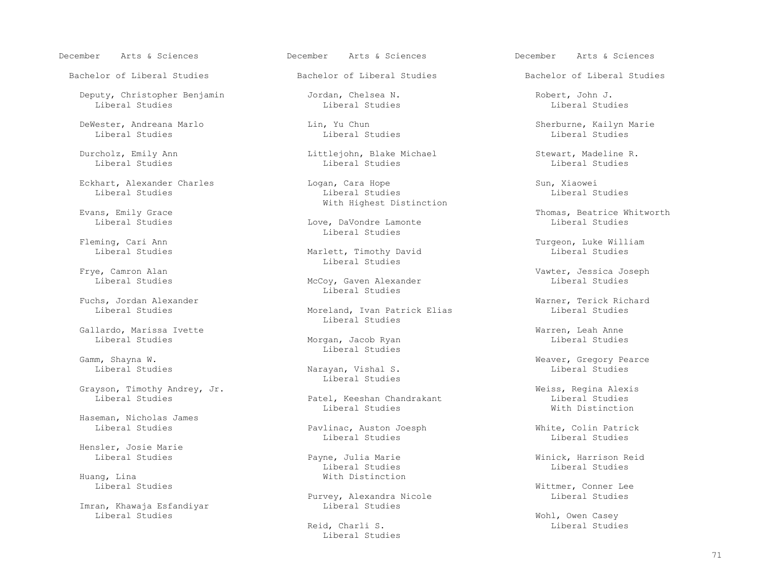Deputy, Christopher Benjamin Jordan, Chelsea N. Robert, John J. Liberal Studies Liberal Studies Liberal Studies

DeWester, Andreana Marlo Lin, Yu Chun Sherburne, Kailyn Marie Liberal Studies Liberal Studies Liberal Studies Liberal Studies Liberal Studies Liberal Studies

Eckhart, Alexander Charles Logan, Cara Hope Sun, Xiaowei

Fuchs, Jordan Alexander<br>Liberal Studies Moreland, Ivan Patrick Elias Liberal Studies

Gallardo, Marissa Ivette<br>
Liberal Studies Morgan, Jacob Ryan Liberal Studies

Grayson, Timothy Andrey, Jr.<br>
Liberal Studies (and Tatel, Keeshan Chandrakant ) and Meiss, Regina Alexis (and Tatel)

Haseman, Nicholas James

Hensler, Josie Marie

Huang, Lina<br>
Liberal Studies<br>
Liberal Studies

Imran, Khawaja Esfandiyar Liberal Studies

December Arts & Sciences December Arts & Sciences December Arts & Sciences

Durcholz, Emily Ann Littlejohn, Blake Michael Stewart, Madeline R.<br>Liberal Studies Liberal Studies Liberal Studies Liberal Studies Liberal Studies Liberal Studies Liberal Studies

 Liberal Studies Liberal Studies Liberal Studies Evans, Emily Grace and Mith Highest Distinction

Love, DaVondre Lamonte Fleming, Cari Ann and Communications of the Liberal Studies

Marlett, Timothy David Erve, Camron Alan and Studies and Studies and Studies and Studies and Studies and Studies and Studies and Studies and Studies and Studies and Studies and Studies and Studies and Studies and Studies and Studies and Studies

> McCoy, Gaven Alexander Liberal Studies

Moreland, Ivan Patrick Elias Liberal Studies

Morgan, Jacob Ryan Gamm, Shayna W. Samm, Shayna W. Shayna W. Shayna W. Shayna Music Studies and Music Studies of the Shane Studies

> Narayan, Vishal S. Liberal Studies

Patel, Keeshan Chandrakant Liberal Studies<br>
Liberal Studies<br>
With Distinction Liberal Studies National Mith Distinction

 Liberal Studies Pavlinac, Auston Joesph White, Colin Patrick Liberal Studies Liberal Studies

Liberal Studies Liberal Studies

Purvey, Alexandra Nicole Liberal Studies

 Reid, Charli S. Liberal Studies Liberal Studies

Bachelor of Liberal Studies The Bachelor of Liberal Studies Bachelor of Liberal Studies

ins, Emily Grace and Sample and Thomas, Beatrice Whitworth (Thomas, Beatrice Whitworth (Thomas, Beatrice Whitworth<br>Tiberal Studies (The Thomas, Description of The Thomas, Theral Studies (The Theories of The Theories of The

eming, Cari Ann (ann ann an Santa Ann ann an Sìreann ann an Sìreann ann an Turgeon, Luke William (ann an Sìrea<br>Taiberal Studies ann an Aonad Marlett, Timothy David (ann an Turgeon, Luke William )

Frye, Camron Alan Vawter, Jessica Joseph

Gamm, Shayna W. Weaver, Gregory Pearce

Payne, Julia Marie **Rayne, Julia Marie Access Equator** Winick, Harrison Reid<br>
Liberal Studies<br>
Liberal Studies

Wittmer, Conner Lee<br>Liberal Studies

Reid, Charli S. Nowen Casey Nobl, Owen Casey<br>
Liberal Studies Liberal Studies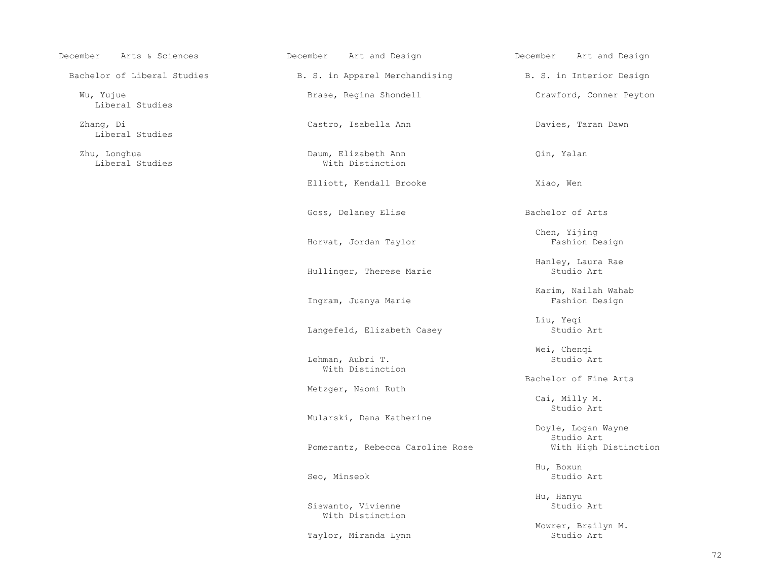December Arts & Sciences December Art and Design December Art and Design

Liberal Studies

Zhang, Di Castro, Isabella Ann Castro, Isabella Ann Davies, Taran Dawn Liberal Studies

Bachelor of Liberal Studies B. S. in Apparel Merchandising B. S. in Interior Design

 Zhu, Longhua Daum, Elizabeth Ann Qin, Yalan With Distinction

Elliott, Kendall Brooke Xiao, Wen

Goss, Delaney Elise Bachelor of Arts

Horvat, Jordan Taylor **Fashion Design** 

Hullinger, Therese Marie

Ingram, Juanya Marie

Langefeld, Elizabeth Casey Studio Art

 Lehman, Aubri T. Studio Art With Distinction

Metzger, Naomi Ruth

Mularski, Dana Katherine

Pomerantz, Rebecca Caroline Rose With High Distinction

Siswanto, Vivienne Studio Art With Distinction

Taylor, Miranda Lynn

Wu, Yujue **Brase, Regina Shondell** Crawford, Conner Peyton

Chen, Yijing

Hanley, Laura Rae

Karim, Nailah Wahab

Liu, Yeqi

Wei, Chenqi

Bachelor of Fine Arts

 Cai, Milly M. Studio Art

Doyle, Logan Wayne<br>Studio Art Studio Art

 Hu, Boxun Seo, Minseok Studio Art

Hu, Hanyu

Mowrer, Brailyn M.<br>Studio Art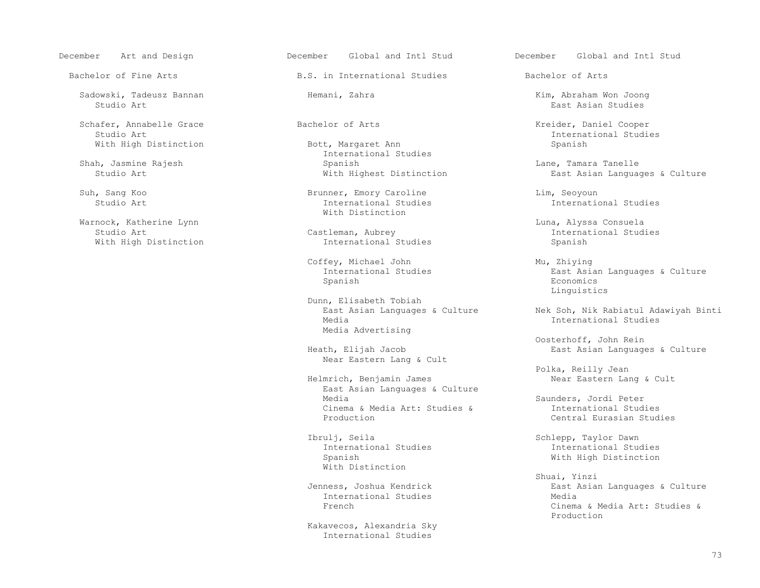Sadowski, Tadeusz Bannan Hemani, Zahra Kim, Abraham Won Joong Studio Art is a second of the second second second second second second second second second second second second second second second second second second second second second second second second second second second sec

Schafer, Annabelle Grace and Bachelor of Arts and Music and Music Resider, Daniel Cooper<br>Studio Art annual Studie With High Distinction

Warnock, Katherine Lynn (Warnock, Katherine Lynn (Warnock, Katherine Lynn (Warnock, Alyssa Consuela<br>Castleman, Aubrey (Castleman, Aubrey (Marnochine Lud

Bachelor of Fine Arts **B.S.** in International Studies Bachelor of Arts

Shah, Jasmine Rajesh (Shah, Jasmine Rajesh (Shah, Jasmine Rajesh (Shah, Spanish (Shah, Jasmine Rajesh (Shah) ( Shah, Jasmine Rajesh Spanish Lane, Tamara Tanelle

 Suh, Sang Koo Brunner, Emory Caroline Lim, Seoyoun With Distinction

International Studies

Coffey, Michael John Mu, Zhiying<br>International Studies Mu, East Asi Spanish Economics

> Dunn, Elisabeth Tobiah Media Advertising

Near Eastern Lang & Cult

 East Asian Languages & Culture Cinema & Media Art: Studies &<br>Production

Ibrulj, Seila Schlepp, Taylor Dawn<br>International Studies Studies Studies Studies Studies Studies With Distinction

International Studies<br>French

 Kakavecos, Alexandria Sky International Studies

December Art and Design December Global and Intl Stud December Global and Intl Stud

Bott, Margaret Ann and Studio Art International Studies<br>Spanish

East Asian Languages & Culture

International Studies

Studio Art Castleman, Aubrey Castleman, Aubrey Castleman, Aubrey International Studies<br>
Vith High Distinction Castleman, Aubrey Castleman, Aubrey Castleman, Aubrey Castleman, Aubrey Castleman, Aub

International Studies and East Asian Languages & Culture<br>
Spanish Boone Economics Linguistics

> East Asian Languages & Culture (Nek Soh, Nik Rabiatul Adawiyah Binti<br>Media (International Studies) International Studies

Oosterhoff, John Rein<br>Beath, Elijah Jacob Neast Asian Language East Asian Languages & Culture

Polka, Reilly Jean<br>Helmrich, Benjamin James<br>Near Eastern Lan Near Eastern Lang & Cult

> Saunders, Jordi Peter<br>International Studies Central Eurasian Studies

International Studies Spanish With High Distinction

 Shuai, Yinzi Jenness, Joshua Kendrick East Asian Languages & Culture Cinema & Media Art: Studies &<br>Production Production and the set of the set of the set of the set of the set of the set of the set of the set of the set of the set of the set of the set of the set of the set of the set of the set of the set of the set of the set o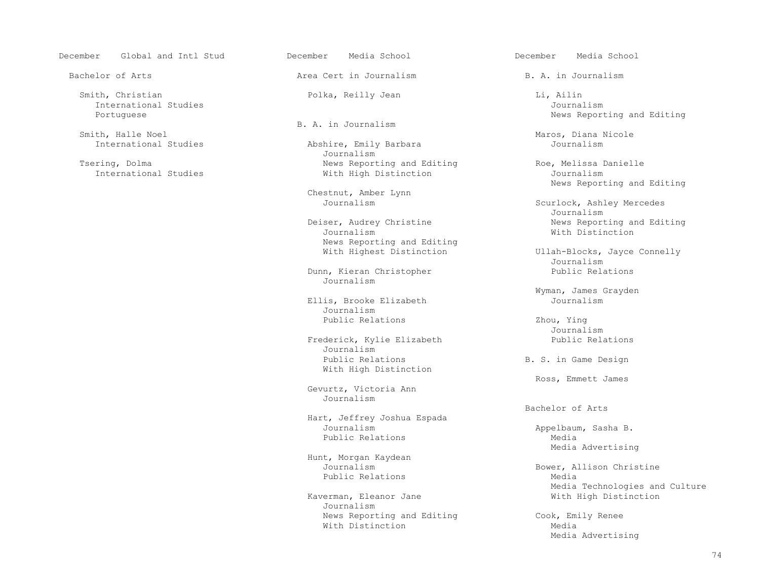December Global and Intl Stud December Media School December Media School

 Smith, Christian Polka, Reilly Jean Li, Ailin International Studies<br>Portuguese

Smith, Halle Noel Smith, Halle Noel Smith, Halle Noel Smith, Halle Noel Smith, Halle Noel Smith, Smith, Smith, Smith, Smith, Smith, Smith, Smith, Smith, Smith, Smith, Smith, Smith, Smith, Smith, Smith, Smith, Smith, Smith, th, Halle Noel<br>
International Studies Abshire, Emily Barbara Maros, Diana Nicole

Bachelor of Arts **Area Cert in Journalism** B. A. in Journalism

Abshire, Emily Barbara Journalism<br>Tsering, Dolma and the second of the Mews Report ring, Dolma<br>
Thernational Studies Theory of Mith High Distinction<br>
Nith High Distinction<br>
With High Distinction With High Distinction

Chestnut, Amber Lynn

 Journalism With Distinction News Reporting and Editing<br>With Highest Distinction

Dunn, Kieran Christopher Public Relations<br>
Journalism Journalism

Ellis, Brooke Elizabeth Journalism Public Relations 2hou, Ying 2019.

Frederick, Kylie Elizabeth Public Relations<br>
Journalism Journalism Public Relations **B. S. in Game Design** With High Distinction

 Gevurtz, Victoria Ann Journalism

 Hart, Jeffrey Joshua Espada Journalism and the Appelbaum, Sasha B.<br>
Public Relations and Media Public Relations Media

 Hunt, Morgan Kaydean Public Relations Media

> Kaverman, Eleanor Jane Journalism News Reporting and Editing The Cook, Emily Renee With Distinction Media

News Reporting and Editing

News Reporting and Editing

Scurlock, Ashley Mercedes<br>Journalism Journalism Deiser, Audrey Christine **News Reporting and Editing**<br>Journalism Journalism Mith Distinction

Ullah-Blocks, Jayce Connelly<br>Journalism Journalism

Wyman, James Grayden

Journalism

Ross, Emmett James

Bachelor of Arts

Media Advertising

 Journalism Bower, Allison Christine Media Technologies and Culture<br>With High Distinction

Media Advertising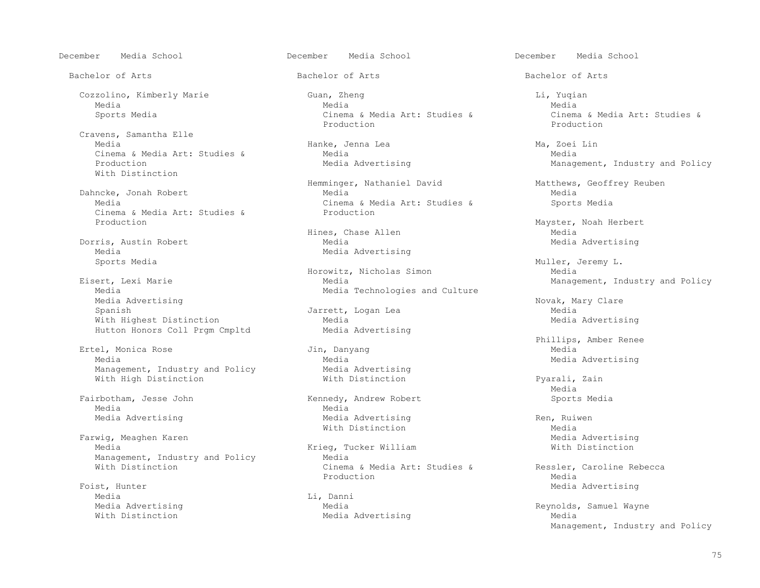December Media School December Media School December Media School

 Cravens, Samantha Elle Cinema & Media Art: Studies & Media Media Advertising<br>Production Media Advertising With Distinction

 Dahncke, Jonah Robert Media Media Cinema & Media Art: Studies & Production

Dorris, Austin Robert<br>Media Media<br>Sports Media<br>Sports Media

Media Advertising<br>
Spanish Novak, Mary Clare<br>
Media Advertising Novak, Mary Clare Spanish Jarrett, Logan Lea Media Media<br>With Highest Distinction Media Media With Highest Distinction<br>
Hutton Honors Coll Prqm Cmpltd Media Advertising Hutton Honors Coll Prgm Cmpltd

 Ertel, Monica Rose Jin, Danyang Media Media 1995 Media 2012 Media 2012 Media 2012 Media 2013 Media Advertising<br>Management, Industry and Policy 1996 Media Advertising Management, Industry and Policy **Media Advertising**<br>With High Distinction **Mith Distinction** With High Distinction **With Distinction With Distinction Pyarali**, Zain

Media Negrada da Media Media

Farwig, Meaghen Karen Nation (1999) Sharen Media Advertising Media Advertising Media Advertising Media Advertising<br>Media Mith Distinction (1999) Media Advertising Media Advertising Mith Distinction Management, Industry and Policy<br>With Distinction

Foist, Hunter Media Advertising Media Advertising Media Advertising Media Advertising Media Advertising Media Advertising Media Advertising Media Advertising Media Advertising Media Advertising Media Advertising Media Adve Media<br>Media Advertising Communication of the Media

 Cozzolino, Kimberly Marie Guan, Zheng Li, Yuqian Media Media Media Sports Media Cinema & Media Art: Studies & Cinema & Media Art: Studies & Cinema & Media Art: Studies & Cinema & Media Art: Studies & Production Production

Hanke, Jenna Lea (Ma, Zoei Lin Media Media Media Media Media Media Media Media Media Media Media Media Media Media Media Media Media Media Media Media Media Media Media Media Media  $\frac{1}{2}$ 

Hemminger, Nathaniel David Matthews, Geoffrey Reuben<br>Media Media Cinema & Media Art: Studies & Production

 Horowitz, Nicholas Simon Media ert, Lexi Marie Media Management, Industry and Policy<br>Media Media Technologies and Culture Management, Industry and Policy Media Technologies and Culture

Fairbotham, Jesse John (Ennedy, Andrew Robert Sports Media) Sports Media<br>Media Media Media Advertising The Media Advertising Theory and Media Advertising Ren, Ruiwen<br>
Mith Distinction

Krieg, Tucker William<br>Media Cinema & Media Art: Studies & Ressler, Caroline Rebecca<br>Production Media edia di Production di Media di Media di Media di Senatori di Media di Media di Media di Media di Media di Medi

Media Advertising

Bachelor of Arts and Bachelor of Arts Bachelor of Arts Bachelor of Arts Bachelor of Arts

Management, Industry and Policy

Mayster, Noah Herbert<br>Media Hines, Chase Allen Media Media<br>Media Media Media Media Media Media Media Media Media Media Media Media Media Media Media Media Media

Muller, Jeremy L.<br>Media

Phillips, Amber Renee

media and the state of the state of the state of the state of the state of the state of the state of the state of the state of the state of the state of the state of the state of the state of the state of the state of the

With Distinction<br>
Media Advertising<br>
Media Advertising

 Media Advertising Media Reynolds, Samuel Wayne Management, Industry and Policy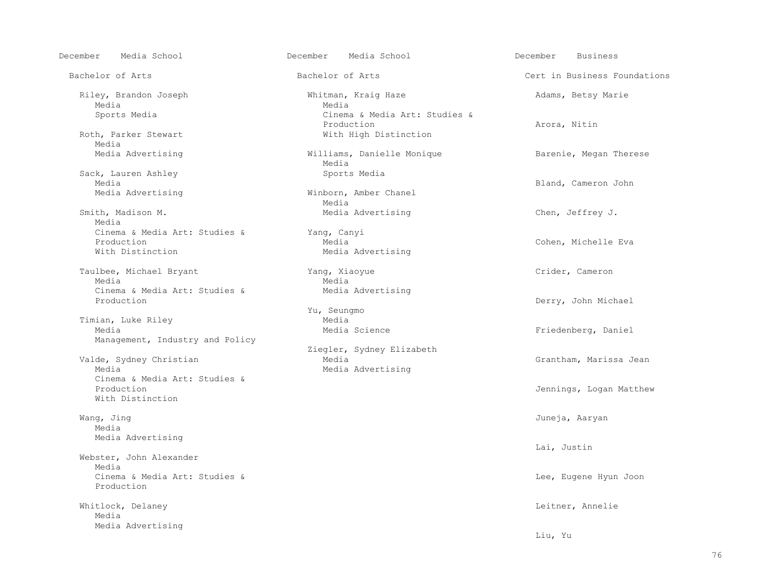Media Negrada da Media Media Negrada da Media Negrada da Media Negrada da Media Negrada da Media Negrada da Me

Media<br>Media Advertising

Sack, Lauren Ashley Sports Media<br>Media

Smith, Madison M. The Media Advertising Chen, Jeffrey J. Media Cinema & Media Art: Studies & Yang, Canyi Production Media Cohen, Michelle Eva

 Taulbee, Michael Bryant Yang, Xiaoyue Crider, Cameron Media Negrada da Media Media Negrada da Media Negrada da Media Negrada da Media Negrada da Media Negrada da Me Cinema & Media Art: Studies & Media Advertising<br>Production

Timian, Luke Riley<br>
Media<br>
Media Media Media Management, Industry and Policy

 Cinema & Media Art: Studies & With Distinction

Wang, Jing Juneja, Aaryan Media Media Advertising

 Webster, John Alexander Media Cinema & Media Art: Studies & Lee, Eugene Hyun Joon Production

Whitlock, Delaney **Letter, Annelie** and Mateur Controller and Mateur Controller and Leitner, Annelie Media Media Advertising

 December Media School December Media School December Business Bachelor of Arts **Bachelor of Arts** Bachelor of Arts **Cert in Business Foundations** Riley, Brandon Joseph (Whitman, Kraig Haze Adams, Betsy Marie Media<br>Media Sports Media  $\overline{c}$  Cinema & Media Art: Studies & Production **Production** Beauty Research Milling Production **Arora, Nitin** Roth, Parker Stewart With High Distinction Williams, Danielle Monique Barenie, Megan Therese<br>Media Media Media Advertising Cameron John (Minborn, Amber Chanel Chanel Cameron John Bland, Cameron John Media Advertising Winborn, Amber Chanel<br>Media Media Media Advertising Yu, Seungmo Ziegler, Sydney Elizabeth Valde, Sydney Christian Media Grantham, Marissa Jean Media Media Advertising

Derry, John Michael Friedenberg, Daniel Jennings, Logan Matthew

Lai, Justin

Liu, Yu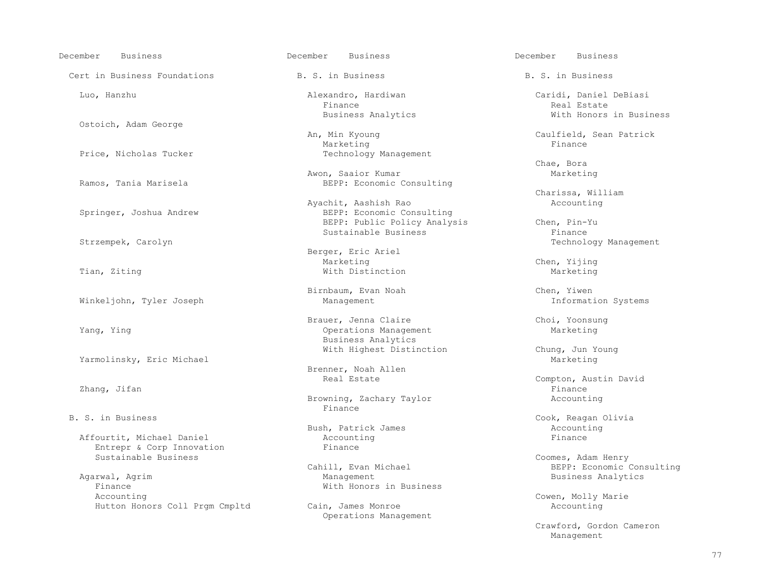December Business December Business December Business Cert in Business Foundations 6. S. in Business B. S. in Business B. S. in Business Ostoich, Adam George Chae, Bora Strzempek, Carolyn Sustainable Business Marketing Chen, Yijing Tian, Ziting Narketing Mith Distinction Marketing Marketing Marketing Marketing Marketing Marketing Marketing Winkeljohn, Tyler Joseph Yarmolinsky, Eric Michael Marketing and the Marketing Marketing and Marketing and Marketing and Marketing and Marketing and Marketing and Marketing and Marketing and Marketing and Marketing and Marketing and Marketing and

Finance **Finance** 

Affourtit, Michael Daniel Account:<br>
Entrepr & Corp Innovation<br>
Finance Entrepr & Corp Innovation<br>Sustainable Business

 Agarwal, Agrim Management Business Analytics Finance **With Honors in Business**<br>Accounting Hutton Honors Coll Prgm Cmpltd Cain, James Monroe

Finance Real Estate Real Estate Real Estate Real Estate Real Estate Real Estate Real Estate Real Estate Real Estate Real Estate Real Estate Real Estate Real Estate Real Estate Real Estate Real Estate Real Estate Real Estat Business Analytics **With Honors in Business** 

An, Min Kyoung Caulfield, Sean Patrick<br>
Marketing Caulfield, Sean Patrick Marketing the Marketing of the Marketing of the Marketing of the Marketing of the Marketing of the Marketing o Price, Nicholas Tucker Technology Management

Awon, Saaior Kumar Marison, Saaior Kumar Marketing<br>BEPP: Economic Consulting BEPP: Economic Consulting

Ayachit, Aashish Rao<br>BEPP: Economic Corounting Reference of the BEPP: Economic Corounting Reference of the BEPP: Economic Corounting Reference of the Material Spanish Rao Accounting Reference of the Spanish Rao Accounting BEPP: Economic Consulting BEPP: Public Policy Analysis Chen, Pin-Yu<br>Sustainable Business Finance

Berger, Eric Ariel

Brauer, Jenna Claire Choi, Yoonsung<br>
Brauer, Jenna Claire Choi, Yoonsung Choi, Yoonsung Choi, Yoonsung Choi, Yoonsung Choi, Yoonsung Choi, Yoonsung Operations Management Business Analytics With Highest Distinction Chung, Jun Young

Brenner, Noah Allen<br>Real Estate

Browning, Zachary Taylor **Accounting**<br>Finance

Bush, Patrick James<br>Accounting Accounting Rinance

Operations Management

Luo, Hanzhu Alexandro, Hardiwan Caridi, Daniel DeBiasi

Charissa, William

Technology Management

Birnbaum, Evan Noah and Chen, Yiwen<br>Management Chen, Information Systems

Real Estate Compton, Austin David (2011)<br>Zhang, Jifan Compton, Austin David Zhang, Jifan Finance

B. S. in Business Cook, Reagan Olivia<br>Bush, Patrick James Cook, Reagan Olivia

Coomes, Adam Henry Cahill, Evan Michael (Cahill, Evan Michael (Cahill, Evan Michael (Cahill, Evan Michael (Cah Cahill, Evan Michael BEPP: Economic Consulting

Cowen, Molly Marie<br>Accounting

 Crawford, Gordon Cameron Management and the Management of the Management of the Management of the Management of the Management of the Ma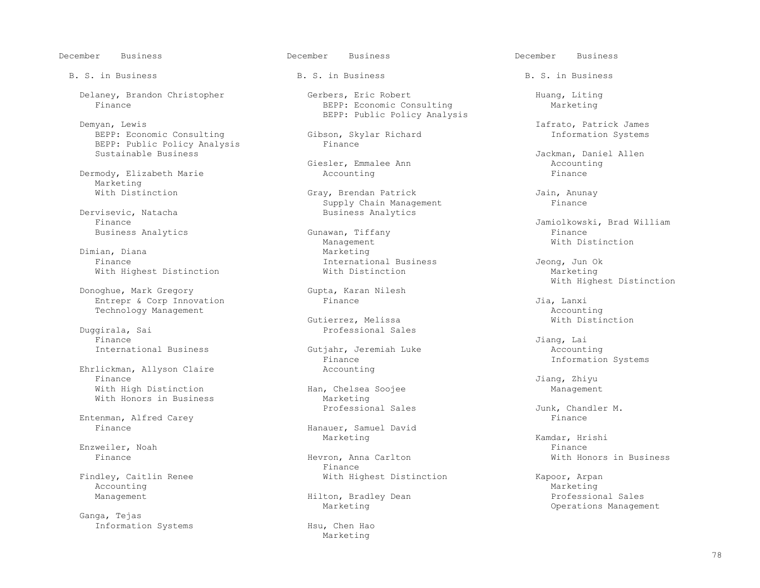December Business December Business December Business

BEPP: Economic Consulting Gibson, Skylar Richard Gibson, Skylar Richard Information Skylar Richard Information Systems BEPP: Public Policy Analysis<br>Sustainable Business

Dermody, Elizabeth Marie Marketing<br>With Distinction

visevic, Natacha **Business Analytics**<br>Finance

Dimian, Diana Marketing<br>
Finance Marketing<br>
Thernatic With Highest Distinction

Donoghue, Mark Gregory Gupta, Karan Gupta, Karan Rimance Entrepr & Corp Innovation and Timescondinal Politics and Pinance and Timescondina and Jia, Lanxi<br>Technology Management and Technology Management

 Duggirala, Sai Professional Sales Finance Jiang, Lai

Ehrlickman, Allyson Claire<br>Finance Finance Jiang, Zhiyu With High Distinction and Han, Chelsea Soojee and Han, Chelsea Soojee Management<br>With Honors in Business and Marketing With Honors in Business

Entenman, Alfred Carey Finance

Enzweiler, Noah Finance en deutsche Enzweiler en de Enzweiler eine Entwicklung erste Einance Finance Enzweiler

Findley, Caitlin Renee and Mith Highest Distinction and Kapoor, Arpan Maccounting Marketing Accounting Marketing Marketing Marketing Marketing Marketing Marketing Marketing Marketing Marketing Marketing

 Ganga, Tejas Information Systems Hsu, Chen Hao

B. S. in Business The B. S. in Business B. S. in Business B. S. in Business

Delaney, Brandon Christopher (Delaney, Brandon Christopher Gerbers, Eric Robert (Delaney, Huang, Liting (Delaney, Economic Consulting (Delaney, Marketing (Delaney, Economic Consulting (Delaney, Marketing (Delaney, Economic BEPP: Economic Consulting BEPP: Public Policy Analysis<br>Demyan, Lewis

Giesler, Emmalee Ann ann ann ann an Accounting ann an Accounting ann an Accounting ann an Accounting and Accounting and Accounting and Accounting and Accounting and Accounting and Accounting and Accounting and Accounting a

Gray, Brendan Patrick<br>
Supply Chain Management<br>
Finance Supply Chain Management<br>
Business Analytics<br>
Business Analytics

 Business Analytics Gunawan, Tiffany Finance Management Management Mith Distinction International Business and Jeong, Jun Ok<br>With Distinction and Marketing

Gutierrez, Melissa With Distinction

International Business and Gutjahr, Jeremiah Luke and Accounting<br>Finance and Finance and The Information Finance Information Systems<br>Accounting

Hanauer, Samuel David<br>Marketing Marketing Marketing Ramdar, Hrishi

Finance **Hevron, Anna Carlton** Mith Honors in Business Finance **With Honors in Business** Finance **Finance** 

Marketing

Iafrato, Patrick James<br>Gibson, Skylar Richard Manuel (1999) and Theorem Information Systems

Jackman, Daniel Allen<br>Accounting

Finance Jamiolkowski, Brad William<br>Finance Finance Finance

Gupta, Karan Nilesh (Gupta, Karan Nilesh Cupta, Karan Nilesh (Gupta, Karan Nilesh Cupta, Karan Nilesh Cupta, K

Technology Management<br>
Gutierrez, Melissa and Mith Distinction

Professional Sales<br>  $Junk, Chandler M.$ <br>
Finance

Management **Management Hilton, Bradley Dean Professional Sales** Marketing **Operations** Management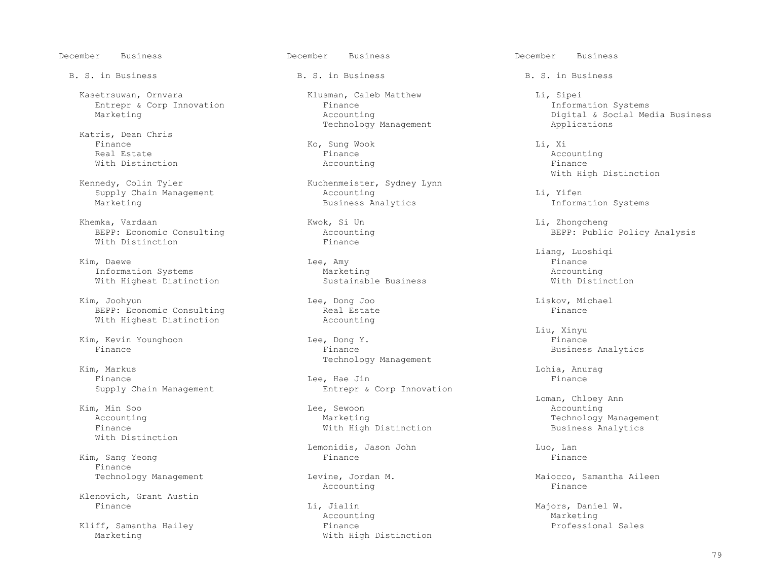Kasetrsuwan, Ornvara Klusman, Caleb Matthew Li, Sipei Entrepr & Corp Innovation Finance<br>
Marketing Accounting

 Katris, Dean Chris Finance Ko, Sung Wook Li, Xi Real Estate Finance Accounting With Distinction and the Maccounting Microsoft Research of the Maccounting  $\sim$  Finance

Khemka, Vardaan Kwok, Si Un Li, Zhongcheng (Kwok, Si Un Li, Zhongcheng (Khemka, Zhongcheng Kwok, Si Un Li, Zhongcheng (Khemka) BEPP: Economic Consulting and Accounting Accounting and BEPP: Public Policy Analysis<br>
Finance and BEPP: Public Policy Analysis With Distinction

 Kim, Daewe Lee, Amy Finance Information Systems 1.1 and Marketing Marketing Marketing Accounting Accounting<br>
Mith Highest Distinction 1.1 and Sustainable Business 1.1 and Mith Distinction With Highest Distinction

 Kim, Joohyun Lee, Dong Joo Liskov, Michael BEPP: Economic Consulting and Real Estate and Estate Finance Real Estate Finance Real Primare Real Primare Real Primare Real Primare Real Primare Real Primare Real Primare Real Primare Real Primare Real Primare Real Primar With Highest Distinction

Kim, Markus Lohia, Anurag

With Distinction

Kim, Sang Yeong Finance<br>Technology Management

Klenovich, Grant Austin

B. S. in Business The B. S. in Business B. S. in Business B. S. in Business

Technology Management

Kuchenmeister, Sydney Lynn<br>Accounting Supply Chain Management Accounting Li, Yifen

 Kim, Kevin Younghoon Lee, Dong Y. Finance Technology Management

Finance and the second the second of the second telecommutation of the second telecommutation of the second second  $\mathbb{F}_2$  finance Supply Chain Management **Entrepr** & Corp Innovation

Kim, Min Soo Needless (Network of the Media Sewoon Accounting Accounting the Media Section Accounting the Media Section Accounting the Media Section Accounting the Media Section Accounting the Media Section Accounting the With High Distinction

Lemonidis, Jason John Luo, Luo, Lan<br>Finance Finance Rinance

Accounting the set of the set of the set of the set of the set of the set of the set of the set of the set of t

Li, Jialin Majors, Daniel W.<br>Accounting Marketing Marketing Accounting Marketing Marketing Kliff, Samantha Hailey Finance Professional Sales With High Distinction

December Business December Business December Business

Digital & Social Media Business<br>Applications

Kennedy, Colin Tyler (Kuchenmeister, Sydney Lynn) and Mith High Distinction

Information Systems

Liang, Luoshiqi

 Liu, Xinyu Business Analytics

 Loman, Chloey Ann Accounting Marketing Technology Management

Levine, Jordan M. (1999) Maiocco, Samantha Aileen<br>Accounting Metal Metal Metal Metal Metal Metal Metal Metal Metal Metal Metal Metal Metal Metal Metal Metal Met<br>Aileen Metal Metal Metal Metal Metal Metal Metal Metal Metal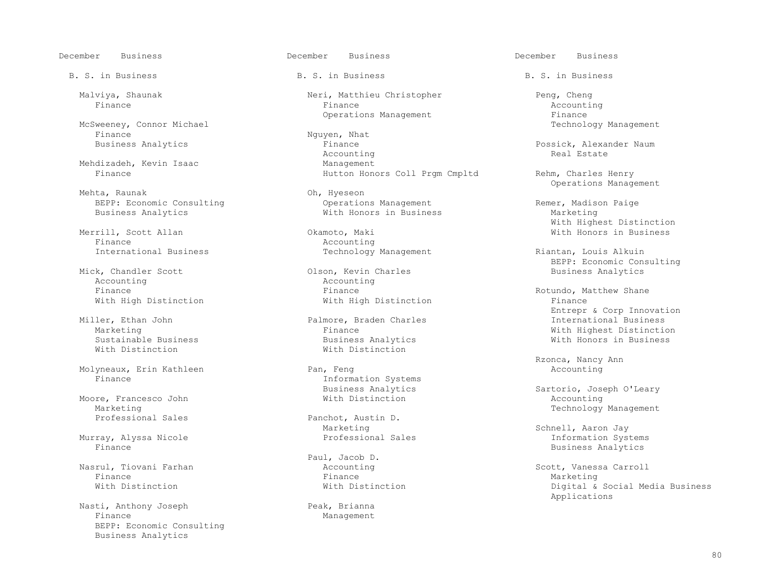December Business December Business December Business

McSweeney, Connor Michael<br>Finance Finance Nguyen, Nhat Business Analytics and Management School of Nguyen, Nhat Business Analytics

Mehdizadeh, Kevin Isaac Management<br>
Finance Mutton Hone

Mehta, Raunak (Danie Consulting Service Consulting SEPP: Economic Consulting Consulting Consumer Consulting Consulting Consulting Consulting Consulting Consumer Consulting Consumer Consumer Consumer Consumer Consumer Consu

 Merrill, Scott Allan Okamoto, Maki With Honors in Business Finance and Recounting<br>
Fernational Business<br>
Technology Technology

Mick, Chandler Scott Charles Business Colson, Kevin Charles Analytics Analytics Analytics Analytics Analytics<br>Analytics Analytics Analytics Analytics Analytics Analytics Analytics Analytics Analytics Analytics Analytics Accounting and Accounting Accounting Accounting Accounting Accounting Accounting Accounting Accounting Accounting Accounting Accounting Accounting Accounting Accounting Accounting Accounting Accounting Accounting Accountin With High Distinction

Molyneaux, Erin Kathleen<br>Finance

Moore, Francesco John<br>Marketing Marketing Technology Management

Murray, Alyssa Nicole<br>Finance

Finance Finance Marketing

Nasti, Anthony Joseph Peak, Brianna<br>Finance Management BEPP: Economic Consulting Business Analytics

B. S. in Business The B. S. in Business B. S. in Business B. S. in Business

Malviya, Shaunak 1993, Neri, Matthieu Christopher Peng, Cheng<br>Finance 2. Accounting Finance Finance Accounting

Finance **Business Analytics Finance** Possick, Alexander Naum<br>
Real Estate Real Possick Accounting the count of the count of the count of the count of the count of the count of the count of the count of the count of the count of the count of the count of the count of the count of the count of the count of the Hutton Honors Coll Prgm Cmpltd Rehm, Charles Henry

BEPP: Economic Consulting and Consulting Operations Management and Remer, Madison Paige<br>Business Analytics and Dusiness and With Honors in Business and Marketing With Honors in Business

Technology Management Riantan, Louis Alkuin

ler, Ethan John **Palmore, Braden Charles** Palmore, Braden Charles International Business Palmore, Braden Charles Sustainable Business Business Analytics With Honors in Business With Distinction

Information Systems<br>Business Analytics

Panchot, Austin D.<br>Marketing

Paul, Jacob D.<br>Accounting

Management

Operations Management and The Section of Persons operations of Persons operations of Persons and Persons of Pe<br>
Technology Management

Operations Management

With Highest Distinction

BEPP: Economic Consulting<br>
Olson, Kevin Charles<br>
Business Analytics

Finance **Finance** Rotundo, Matthew Shane With High Distinction **Finance Finance**  Entrepr & Corp Innovation Marketing Finance With Highest Distinction

Rzonca, Nancy Ann

Business Analytics and Sartorio, Joseph O'Leary<br>
With Distinction<br>
Microsoft Accounting

Marketing Schnell, Aaron Jay<br>Professional Sales Schnell, Aaron Jay Business Analytics

 Nasrul, Tiovani Farhan Accounting Scott, Vanessa Carroll With Distinction **With Distinction** With Distinction Digital & Social Media Business<br>Applications Applications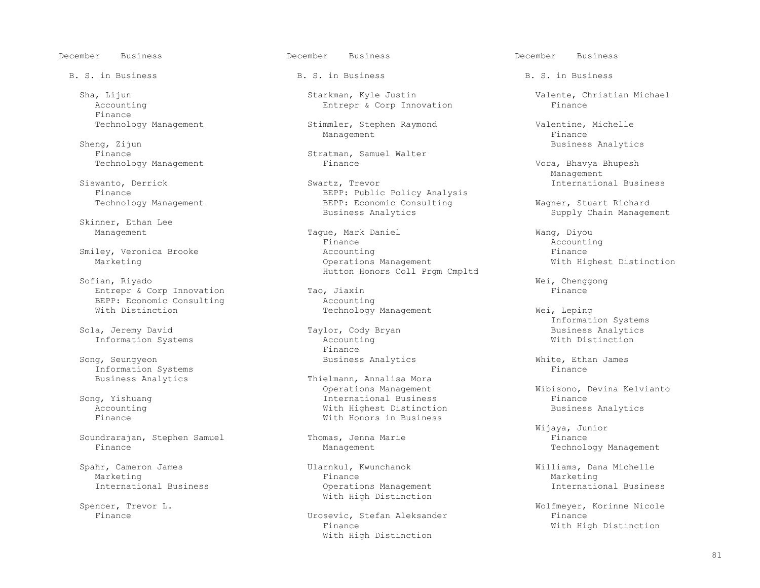December Business December Business December Business

Finance<br>Technology Management

Sheng, Zijun Business Analytics

Skinner, Ethan Lee

 Sofian, Riyado Wei, Chenggong Entrepr & Corp Innovation Tao, Jiaxin Finance Entrepr & Corp Innovation Tao, Jiaxin Finance Entreprise Consulting BEPP: Economic Consulting<br>With Distinction

Song, Seungyeon **Business Analytics** White, Ethan James **Mixters** White, Ethan James **Mixters** Business Analytics Information Systems<br>Business Analytics

Soundrarajan, Stephen Samuel Thomas, Jenna Marie Thomas, Jenna Marie Finance Finance Finance Technolo

Marketing Finance Marketing

B. S. in Business The B. S. in Business B. S. in Business B. S. in Business

Sha, Lijun Starkman, Kyle Justin Sha, Lijun Valente, Christian Michael<br>Butrepr & Corp Innovation Finance Finance Entrepr & Corp Innovation

Stimmler, Stephen Raymond Valentine, Michelle<br>Management Finance Management and the management of the management of the state of  $\Gamma$ 

Stratman, Samuel Walter<br>Finance

Siswanto, Derrick Swartz, Trevor International Business BEPP: Public Policy Analysis Finance<br>
Technology Management<br>
BEPP: Economic Consulting<br>
BEPP: Economic Consulting BEPP: Economic Consulting and Magner, Stuart Richard<br>Business Analytics Business Analytics

Tague, Mark Daniel Management Management Tague, Management Dividual Management Dividual Management Dividual Ma<br>Reference Management Dividual Management Dividual Management Dividual Management Dividual Management Dividual Finance Accounting Smiley, Veronica Brooke and the Counting Counting Times of the Shane Rinance Marketing **Communist Communist Communist Communist Communist Communist Communist Communist Communist Communist Communist Communist Communist Communist Communist Communist Communist Communist Communist Communist Communist C** Sofian, Riyado **Europa and Sofian**, Riyado **Europa and Sofian**, Riyado **Europa and Sofian**, Riyado **Europa and Sofian** 

Technology Management Wei, Leping

Taylor, Cody Bryan Business Analytic Accounting and Distinction Business Analytics Information Systems **Accounting With Distinction District** Primarce Finance **Finance** 

Thielmann, Annalisa Mora<br>Operations Management Operations Management Wibisono, Devina Kelvianto ig, Yishuang International Business<br>Accounting The International Business Accounting Accounting With Highest Distinction Business Analytics With Honors in Business

 Spahr, Cameron James Ularnkul, Kwunchanok Williams, Dana Michelle With High Distinction

> Finance Urosevic, Stefan Aleksander Finance With High Distinction

 Technology Management Finance Vora, Bhavya Bhupesh Management and the Management of the Management of the Management of the Management of the Management of the Ma

Supply Chain Management

Information Systems

 Wijaya, Junior Technology Management

International Business Operations Management International Business

 Spencer, Trevor L. Wolfmeyer, Korinne Nicole With High Distinction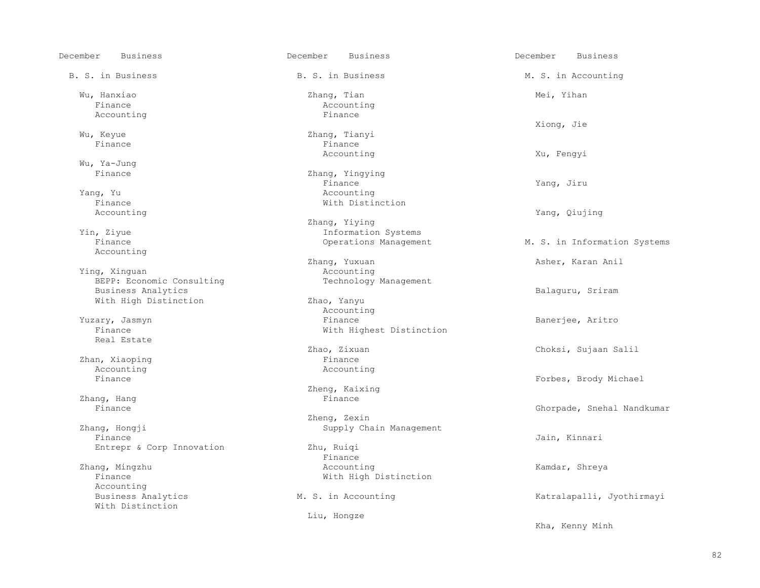December Business December Business December Business B. S. in Business The B. S. in Business The M. S. in Accounting Wu, Hanxiao Zhang, Tian Mei, Yihan Finance and the Accounting Accounting Accounting Accounting Accounting Accounting Accounting Accounting Accounting Accounting Accounting Accounting Accounting Accounting Accounting Accounting Accounting Accounting Accounti Accounting Xiong, Jie Wu, Keyue Zhang, Tianyi Finance Finance Accounting Xu, Fengyi Wu, Ya-Jung<br>Finance Finance Yang, Jiru Yang, Yu Accounting Finance With Distinction<br>Accounting Accounting  $\qquad$  Yang, Qiujing  $\qquad$  Zhang, Yiying Yin, Ziyue Information Systems Accounting Ying, Xinguan<br>BEPP: Economic Consulting<br>Technology Management BEPP: Economic Consulting Business Analytics<br>
With High Distinction<br>
Balaguru, Sriram<br>
Zhao, Yanyu With High Distinction Yuzary, Jasmyn and Marian Counting Muzary, Jasmyn and Marian Counting Muzary, Jasmyn and Muzary and Muzary and Mu xtry, Jasmyn Sanerjee, Aritro Banerjee, Aritro Banerjee, Aritro Banerjee, Aritro Banerjee, Aritro Banerjee, Aritro Banerjee, Aritro Banerjee, Aritro Banerjee, Aritro Banerjee, Aritro Banerjee, Aritro Banerjee, Aritro Baner Real Estate Zhan, Xiaoping and Shan, Xiaoping and Shane Finance and Shane Finance and Shane Recounting and Shane Recounting Accounting<br>Finance Zhang, Hang Finance Zhang, Hongji (Zhang, Zexin (Zhang, Zexin (Zhang, Zexin (Zhang) (Zhang) (Zhang) (Zhang) (Zhang) (Zhang) (Zhang (Zhang (Zhang (Zhang (Zhang (Zhang (Zhang (Zhang (Zhang (Zhang (Zhang (Zhang (Zhang (Zhang (Zhang (Zhang (Zhang ng, Hongji Supply Chain Management<br>Finance Finance Jain, Kinnari Entrepr & Corp Innovation Zhu, Ruiqi<br>Finance Finance **Finance**  Zhang, Mingzhu Accounting Kamdar, Shreya Finance **With High Distinction** Accounting<br>Business Analytics With Distinction

Zhang, Yingying<br>Finance With Highest Distinction Zheng, Kaixing<br>Finance Liu, Hongze

M. S. in Information Systems Zhang, Yuxuan Asher, Karan Anil Asher, Karan Anil Accounting Zhao, Zixuan Choksi, Sujaan Salil Forbes, Brody Michael Ghorpade, Snehal Nandkumar M. S. in Accounting The Matralapalli, Jyothirmayi Kha, Kenny Minh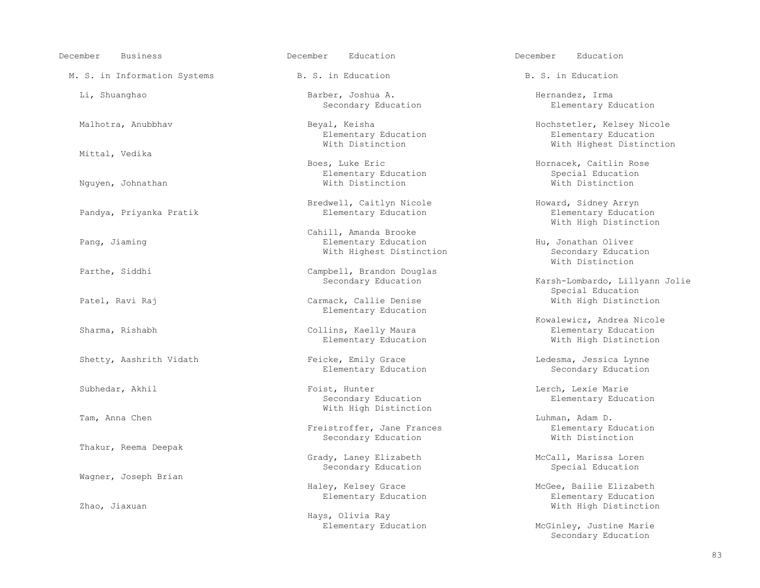| December<br><b>Business</b>  | December<br>Education                                                     | Education<br>December                                          |
|------------------------------|---------------------------------------------------------------------------|----------------------------------------------------------------|
| M. S. in Information Systems | B. S. in Education                                                        | B. S. in Education                                             |
| Li, Shuanghao                | Barber, Joshua A.<br>Secondary Education                                  | Hernandez, Irma<br>Elementary Educat                           |
| Malhotra, Anubbhav           | Beyal, Keisha<br>Elementary Education<br>With Distinction                 | Hochstetler, Kelsey<br>Elementary Educat<br>With Highest Dist  |
| Mittal, Vedika               |                                                                           |                                                                |
| Nguyen, Johnathan            | Boes, Luke Eric<br>Elementary Education<br>With Distinction               | Hornacek, Caitlin Ro<br>Special Education<br>With Distinction  |
| Pandya, Priyanka Pratik      | Bredwell, Caitlyn Nicole<br>Elementary Education                          | Howard, Sidney Arryn<br>Elementary Educat<br>With High Distinc |
| Pang, Jiaming                | Cahill, Amanda Brooke<br>Elementary Education<br>With Highest Distinction | Hu, Jonathan Oliver<br>Secondary Educati<br>With Distinction   |
| Parthe, Siddhi               | Campbell, Brandon Douglas<br>Secondary Education                          | Karsh-Lombardo, Lill<br>Special Education                      |
| Patel, Ravi Raj              | Carmack, Callie Denise<br>Elementary Education                            | With High Distinc                                              |
| Sharma, Rishabh              | Collins, Kaelly Maura<br>Elementary Education                             | Kowalewicz, Andrea N<br>Elementary Educat<br>With High Distinc |
| Shetty, Aashrith Vidath      | Feicke, Emily Grace<br>Elementary Education                               | Ledesma, Jessica Lyn<br>Secondary Educati                      |
| Subhedar, Akhil              | Foist, Hunter<br>Secondary Education<br>With High Distinction             | Lerch, Lexie Marie<br>Elementary Educat                        |
| Tam, Anna Chen               | Freistroffer, Jane Frances<br>Secondary Education                         | Luhman, Adam D.<br>Elementary Educat<br>With Distinction       |
| Thakur, Reema Deepak         |                                                                           |                                                                |
|                              | Grady, Laney Elizabeth<br>Secondary Education                             | McCall, Marissa Lore<br>Special Education                      |
| Wagner, Joseph Brian         | Haley, Kelsey Grace                                                       | McGee, Bailie Elizab                                           |
| Zhao, Jiaxuan                | Elementary Education                                                      | Elementary Educat<br>With High Distinc                         |

Hays, Olivia Ray

Elementary Education

Beyal, Keisha Hochstetler, Kelsey Nicole<br>Elementary Education Hochstetler, Kelsey Nicole With Highest Distinction

Elementary Education With High Distinction

Karsh-Lombardo, Lillyann Jolie Special Education<br>
Carmack, Callie Denise<br>
Special Education<br>
With High Distinct With High Distinction

> Kowalewicz, Andrea Nicole With High Distinction

Elementary Education

Haley, Kelsey Grace McGee, Bailie Elizabeth<br>Elementary Education McGee, Bailie Elizabeth Elementary Education With High Distinction

Elementary Education and McGinley, Justine Marie Secondary Education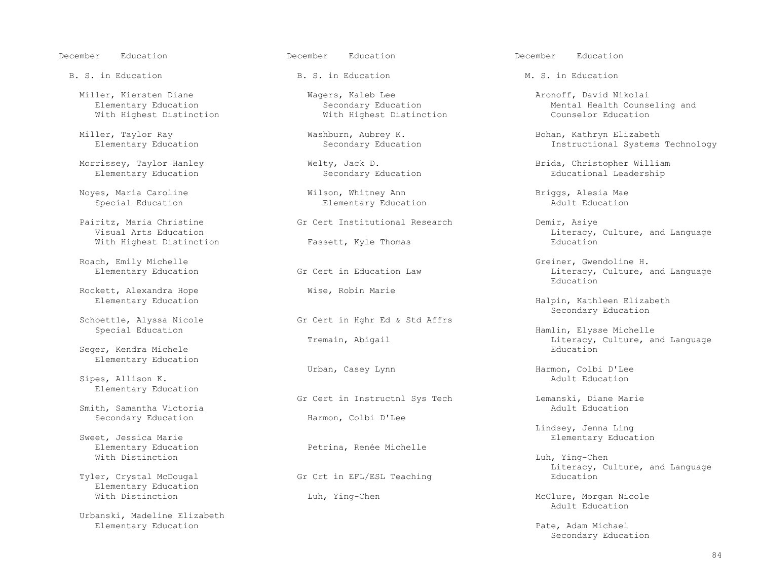Miller, Kiersten Diane Mannell (Magers, Kaleb Lee Aronoff, David Nikolai (Magers, Kaleb Lee Aronoff, David Nikolai<br>Blementary Education (Secondary Education (Mental Health Counse With Highest Distinction

Noyes, Maria Caroline Wilson, Whitney Ann Briggs, Alesia Mae

 Pairitz, Maria Christine Gr Cert Institutional Research Demir, Asiye With Highest Distinction

Rockett, Alexandra Hope  $\overline{W}$  Wise, Robin Marie Elementary Education

oettle, Alyssa Nicole Gr Cert in Hghr Ed & Std Affrs<br>Special Education

Seger, Kendra Michele Elementary Education

Sipes, Allison K. Elementary Education

Smith, Samantha Victoria<br>Secondary Education

et, Jessica Marie and Sweet, Jessica Marie Elementary Education<br>
Elementary Education and Service Petrina, Renée Michelle Elementary Education **Petrina, Renée Michelle** With Distinction With Distinction Luh, Ying-Chen

Elementary Education<br>With Distinction

 Urbanski, Madeline Elizabeth Elementary Education Pate, Adam Michael

B. S. in Education The B. S. in Education M. S. in Education

Elementary Education

Secondary Education<br>Schoettle, Alyssa Nicole (Secondary Secondary Education) Secondary Education

Gr Cert in Instructnl Sys Tech Lemanski, Diane Marie<br>Adult Education Harmon, Colbi D'Lee

Gr Crt in EFL/ESL Teaching

Secondary Education<br>
Wental Health Counseling and<br>
Mental Health Counselor<br>
Counselor<br>
Education

Miller, Taylor Ray Miller, Taylor Ray Mushburn, Aubrey K. Shan, Tathryn Elizabeth Elementary Education<br>Bohan, Kathryn Elizabeth (Becondary Education ) and the secondary Education (Becondary Education ) and the met Instructional Systems Technology

 Morrissey, Taylor Hanley Welty, Jack D. Brida, Christopher William Educational Leadership

Fassett, Kyle Thomas **Education** Literacy, Culture, and Language Education

Roach, Emily Michelle H. (Greiner, Gwendoline H. Elementary Education Crett in Education Law Greener, Greener, Culture, and Elementary Education Crett in Education Law (Greener, Culture, and Elementary Education Crett in E Literacy, Culture, and Language<br>Education en de la contrata de la contrata de la contrata de la contrata de la contrata de la contrata de la contrata de<br>Education

Halpin, Kathleen Elizabeth

Fremain, Abigail Elysse Michelle Education Hamlin, Elysse Michelle Education Abiteracy, Culture, and Literacy, Culture, and Language<br>Education

Urban, Casey Lynn Harmon, Colbi D'Lee<br>
Adult Education

Lindsey, Jenna Ling المستخدم المستخدم المستخدم المستخدم المستخدم المستخدم المستخدم المستخدم المستخدم المستخدم ا<br>Elementary Educa

Tyler, Crystal McDougal **Exercise Search Communist Citeracy** Education<br>Tyler, Crystal McDougal **Education** Grid Crt in EFL/ESL Teaching

Luh, Ying-Chen McClure, Morgan Nicole<br>Adult Education Adult Education

Secondary Education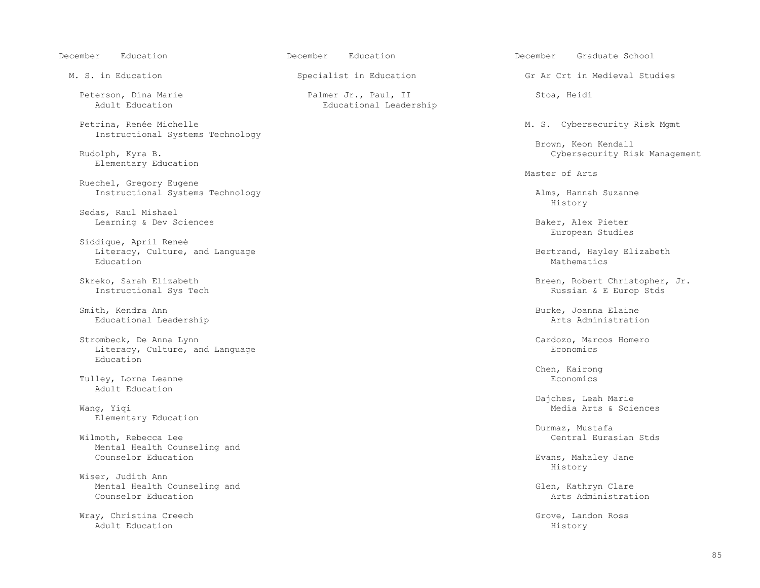| December<br>Education                                                   | December<br>Education                          | December<br>Graduate School                              |
|-------------------------------------------------------------------------|------------------------------------------------|----------------------------------------------------------|
| M. S. in Education                                                      | Specialist in Education                        | Gr Ar Crt in Medieval Studies                            |
| Peterson, Dina Marie<br>Adult Education                                 | Palmer Jr., Paul, II<br>Educational Leadership | Stoa, Heidi                                              |
| Petrina, Renée Michelle<br>Instructional Systems Technology             |                                                | M. S. Cybersecurity Risk Mgmt<br>Brown, Keon Kendall     |
| Rudolph, Kyra B.<br>Elementary Education                                |                                                | Cybersecurity Risk Management<br>Master of Arts          |
| Ruechel, Gregory Eugene<br>Instructional Systems Technology             |                                                | Alms, Hannah Suzanne<br>History                          |
| Sedas, Raul Mishael<br>Learning & Dev Sciences                          |                                                | Baker, Alex Pieter<br>European Studies                   |
| Siddique, April Reneé<br>Literacy, Culture, and Language<br>Education   |                                                | Bertrand, Hayley Elizabeth<br>Mathematics                |
| Skreko, Sarah Elizabeth<br>Instructional Sys Tech                       |                                                | Breen, Robert Christopher, Jr.<br>Russian & E Europ Stds |
| Smith, Kendra Ann<br>Educational Leadership                             |                                                | Burke, Joanna Elaine<br>Arts Administration              |
| Strombeck, De Anna Lynn<br>Literacy, Culture, and Language<br>Education |                                                | Cardozo, Marcos Homero<br>Economics                      |
| Tulley, Lorna Leanne<br>Adult Education                                 |                                                | Chen, Kairong<br>Economics                               |
| Wang, Yiqi<br>Elementary Education                                      |                                                | Dajches, Leah Marie<br>Media Arts & Sciences             |
| Wilmoth, Rebecca Lee<br>Mental Health Counseling and                    |                                                | Durmaz, Mustafa<br>Central Eurasian Stds                 |
| Counselor Education<br>Wiser, Judith Ann                                |                                                | Evans, Mahaley Jane<br>History                           |
| Mental Health Counseling and<br>Counselor Education                     |                                                | Glen, Kathryn Clare<br>Arts Administration               |
| Wray, Christina Creech<br>Adult Education                               |                                                | Grove, Landon Ross<br>History                            |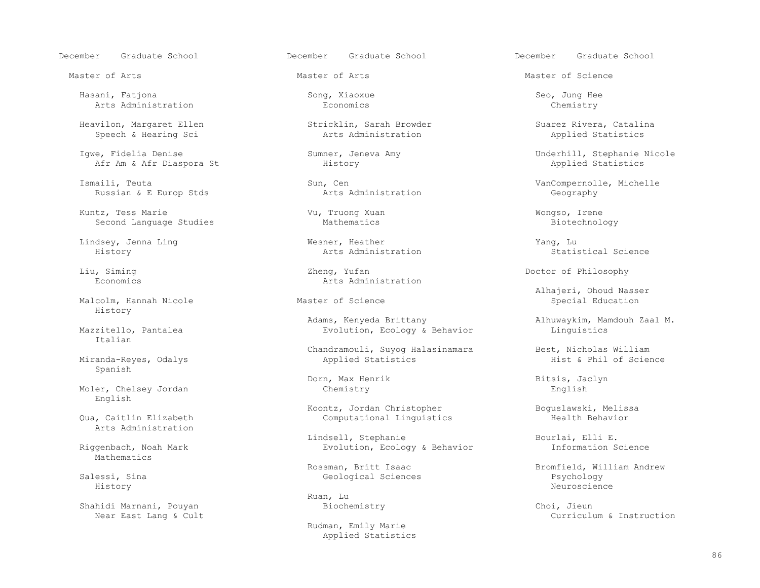December Graduate School December Graduate School December Graduate School

 Hasani, Fatjona Song, Xiaoxue Seo, Jung Hee Arts Administration

Heavilon, Margaret Ellen Stricklin, Sarah Browder Suarez Rivera, Catalina<br>Speech & Hearing Sci Suarez Arts Administration applied Statistics Speech & Hearing Sci

Afr Am & Afr Diaspora St

Ismaili, Teuta (Europ Stas Sun, Cen Sun, Suntingly Cen Sungernolle, Michelle (Europ Stas Suntingly Arts Administration (Europ Stas Suntingly Arts Administration (Europ Stas Suntingly Arts Administration (Europ Stas Sunting Russian & E Europ Stds

 Kuntz, Tess Marie Vu, Truong Xuan Wongso, Irene Second Language Studies

Malcolm, Hannah Nicole History

Italian

Miranda-Reyes, Odalys Spanish

Moler, Chelsey Jordan English

Arts Administration

Mathematics

Near East Lang & Cult

Lindsey, Jenna Ling Wesner, Heather Yang, Lu

Liu, Siming and Sheng, Yufan Doctor of Philosophy<br>
Economics arts Administration Arts Administration

Adams, Kenyeda Brittany and Manus alhuwaykim, Mamdouh Zaal M.<br>Evolution, Ecology & Behavior and Minquistics Evolution, Ecology & Behavior

Chandramouli, Suyog Halasinamara Best, Nicholas William<br>Applied Statistics Best, Nicholas William

Dorn, Max Henrik Bitsis, Jaclyn (hemistry and Bitsis, Department of the Bitsis, Decimal School and Bitsis, Decimal School and Bitsis, Decimal School and Bitsis, Decimal School and Bitsis, Decimal School and Bitsis, Decimal

Koontz, Jordan Christopher Boguslawski, Melissa<br>Computational Linguistics Health Behavior Computational Linguistics

 Lindsell, Stephanie Bourlai, Elli E. Evolution, Ecology & Behavior

Ruan, Lu

 Rudman, Emily Marie Applied Statistics

Master of Arts Master of Arts Master of Science

Igwe, Fidelia Denise Sumner, Jeneva Amy Sumner, Jeneva Amy Sumner, Sephanie Nicole Afr Am & Afr Diaspora St<br>Afr Am & Afr Diaspora St Stephanie Nistory Bernard Amy Stephanie Nicole Applied Statistics

History Arts Administration Statistical Science

Alhajeri, Ohoud Nasser

Rossman, Britt Isaac and Bromfield, William Andrew Salessi, Sina andrew Resological Sciences and Bromfield, William Andrew Salessi, Sina andrew Geological Sciences Salessi, Sina Geological Sciences Psychology History Neuroscience

Shahidi Marnani, Pouyan Biochemistry Choi, Jieun<br>Near East Lang & Cult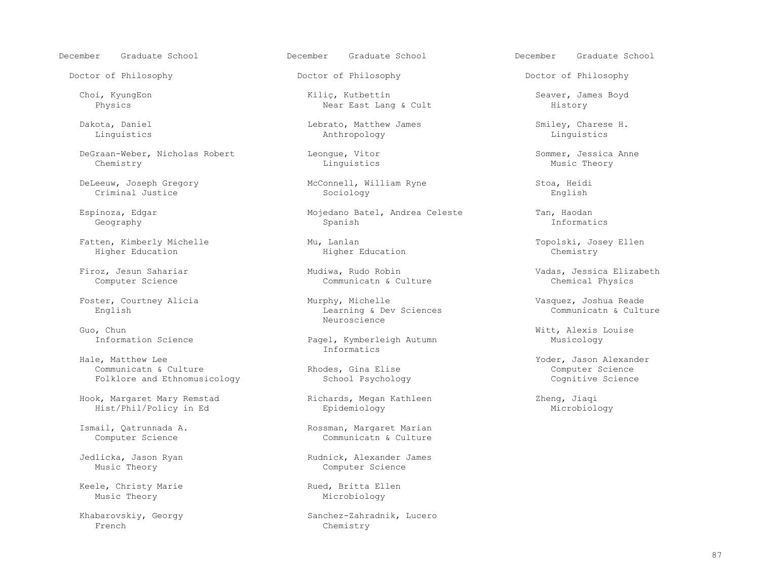Doctor of Philosophy Doctor of Philosophy Doctor of Philosophy

 DeGraan-Weber, Nicholas Robert Leongue, Vitor Sommer, Jessica Anne Chemistry Linguistics Music Theory

DeLeeuw, Joseph Gregory McConnell, William Ryne Stoa, Heidi

Fatten, Kimberly Michelle Mu, Lanlan Topolski, Josey Ellen

Guo, Chun Witt, Alexis Louise<br>Information Science The Control of Pagel, Kymberleigh Autumn Musicology Musicology

Hale, Matthew Lee extension of the contraction of the Information of the Information of the Information of the I Communicatn & Culture 2011 (Communicatn & Culture 2011)<br>
Rhodes, Gina Elise Computer Science 2014<br>
Cognitive Science 2016 Folklore and Ethnomusicology

Hook, Margaret Mary Remstad and Richards, Megan Kathleen (Zheng, Jiaqi Zheng, Jiaqi Zheng, Jiaqi Zheng, Jiaqi Epidemiology Hist/Phil/Policy in Ed entry Epidemiology

Keele, Christy Marie and Rued, Britta Ellen<br>
Music Theory Microbiology

 Choi, KyungEon Kiliç, Kutbettin Seaver, James Boyd Near East Lang & Cult

 Dakota, Daniel Lebrato, Matthew James Smiley, Charese H. Linguistics Anthropology Linguistics

Criminal Justice Sociology English

 Espinoza, Edgar Mojedano Batel, Andrea Celeste Tan, Haodan Geography Spanish Informatics

Higher Education

 Firoz, Jesun Sahariar Mudiwa, Rudo Robin Vadas, Jessica Elizabeth Communicatn & Culture

Foster, Courtney Alicia (Foster, Courtney Alicia (Foster, Courtney Alicia (Foster) Murphy, Michelle (Fostences<br>
English (Culture Learning & Dev Sciences (Formunicath & Culture Learning & Dev Sciences<br>Neuroscience Neuroscience in the Neuroscience of the Neuroscience of the Neuroscience of the Neuroscience of the Neuroscience of the Neuroscience of the Neuroscience of the Neuroscience of the Neuroscience of the Neuroscience of the Ne

Pagel, Kymberleigh Autumn

Ismail, Qatrunnada A. (2008) Rossman, Margaret Marian Computer Science (2008) Rossman, Margaret Marian Computer Science (2008) Rossman, Margaret Marian Computer Science (2008) Rossman, Margaret Marian Computer Science (200 Communicatn & Culture

Jedlicka, Jason Ryan Rudnick, Alexander James<br>Music Theory Rudnick, Alexander James Computer Science

Microbiology

Khabarovskiy, Georgy Sanchez-Zahradnik, Lucero<br>French Chemistry Chemistry

December Graduate School December Graduate School December Graduate School

Foder, Jason Alexander<br>
Rhodes, Gina Elise<br>
Computer Science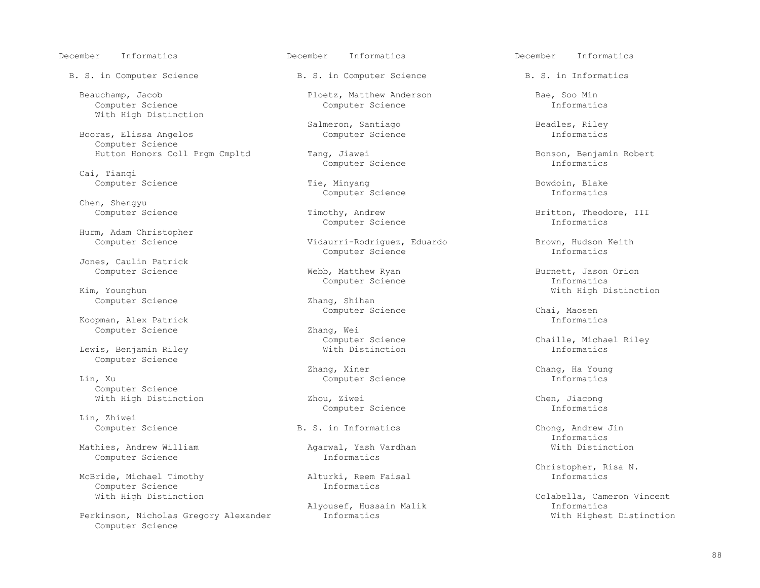December Informatics December Informatics December Informatics

B. S. in Computer Science B. S. in Computer Science B. S. in Informatics

 Computer Science Computer Science Informatics With High Distinction

Booras, Elissa Angelos Computer Science

Cai, Tianqi

Chen, Shengyu

Hurm, Adam Christopher

Jones, Caulin Patrick

Computer Science

Koopman, Alex Patrick<br>
Computer Science<br>
Information 2hang, Wei

Lewis, Benjamin Riley Computer Science

 Lin, Xu Computer Science Informatics Computer Science

Lin, Zhiwei

Mathies, Andrew William (Mathies, Andrew William Agarwal, Yash Vardhan (Mathies, Mith Distinction Computer Science Computer Science

McBride, Michael Timothy **Alturki, Reem 1**<br>Computer Science **Alturki, Reem 1** Computer Science<br>With High Distinction

Perkinson, Nicholas Gregory Alexander Computer Science

Beauchamp, Jacob Ploetz, Matthew Anderson Bae, Soo Min

Salmeron, Santiago Beadles, Riley Computer Science and Science Beadles, Riley Computer Science and Science and Science and Science and Science and Science and Science and Science and Science and Science and Science and Sci

Computer Science

Computer Science Tie, Minyang Tie, Minyang Bowdoin, Blake Computer Science and Tie, Minyang Bowdoin, Blake Computer Science and The Theorem and Tie Computer Science and The Theorem and The Theorem and The Theorem and The C Computer Science

Computer Science Informatics

Vidaurri-Rodriguez, Eduardo Brown, Hudson Keith<br>Computer Science Brown, Informatics Computer Science

Kim, Younghun and South Computer Science Information of the United States of Computer Science

Computer Science 2012 2hang, Wei<br>Computer Science 2013

Zhang, Xiner Chang, Ha Young

With High Distinction The Miller School of The Zhou, Ziwei Chen, Jiacong Chen, Jiacong Chen, Jiacong Chen, Jiacong Chen, Jiacong Computer Science The Miller School of The Computer Science The Miller School of The Miller Sc Computer Science

Hutton Honors Coll Prgm Cmpltd Tang, Jiawei Bonson, Benjamin Robert<br>Computer Science and The Computer Science The Computer Science

Timothy, Andrew Britton, Theodore, III Computer Science Theodore, III Computer Science

Webb, Matthew Ryan Burnett, Jason Orion<br>Computer Science Computer Science Theorematics Zhang, Shihan With High Distinction

Computer Science Computer Chai, Maosen<br>
Informatics

Computer Science Chaille, Michael Riley<br>
With Distinction<br>
The Chaille, Michael Riley

B. S. in Informatics Chong, Andrew Jin<br>
Informatics Informatics

Christopher, Risa N.<br>
Alturki, Reem Faisal and Marine and Christopher, Risa N.

Colabella, Cameron Vincent<br>Informatics Alyousef, Hussain Malik 1999 and Market Informatics<br>Informatics 11 and Mith Highest Distinction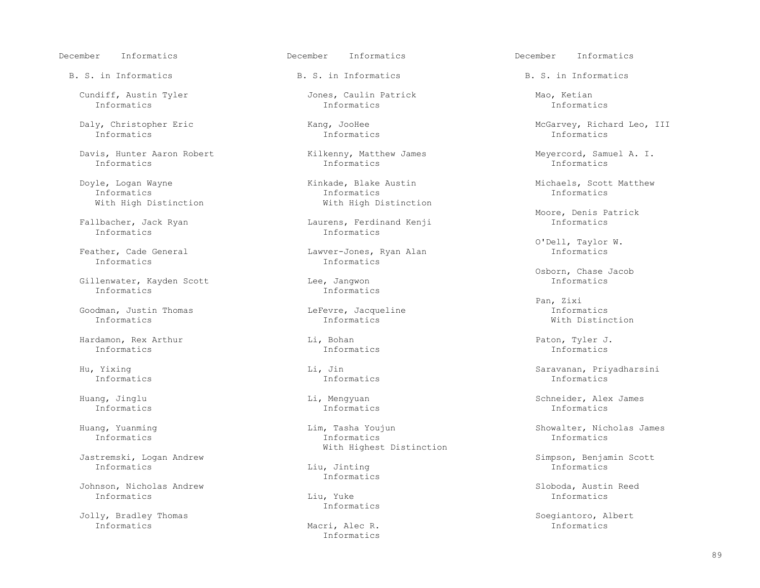December Informatics December Informatics December Informatics

Cundiff, Austin Tyler The South Cundiff, Austin Tyler and Jones, Caulin Patrick Mao, Ketian<br>Informatics Matrics Informatics Informatics Informatics

Informatics Informatics Informatics

Davis, Hunter Aaron Robert  $\lambda$  Kilkenny, Matthew James Meyercord, Samuel A. I.<br>Informatics Informatics Informatics Informatics Informatics Informatics Informatics

Informatics Informatics

 Gillenwater, Kayden Scott Lee, Jangwon Informatics Informatics Informatics

 Goodman, Justin Thomas LeFevre, Jacqueline Informatics Informatics Informatics With Distinction

 Hardamon, Rex Arthur Li, Bohan Paton, Tyler J. Informatics Informatics Informatics

Informatics Informatics Informatics

 Jastremski, Logan Andrew Simpson, Benjamin Scott Informatics Liu, Jinting Informatics

 Johnson, Nicholas Andrew Sloboda, Austin Reed Informatics Liu, Yuke Informatics

 Jolly, Bradley Thomas Soegiantoro, Albert Informatics Macri, Alec R. Informatics

B. S. in Informatics The B. S. in Informatics B. S. in Informatics B. S. in Informatics

Informatics Informatics Informatics

 Informatics Informatics Informatics With High Distinction **With High Distinction** 

Ibacher, Jack Ryan Laurens, Ferdinand Kenji<br>Informatics Laurens, Theorem Informatics

ther, Cade General **Lawver-Jones, Ryan Alan** Informatics Informatics Informatics

Huang, Yuanming and Lim, Tasha Youjun Showalter, Nicholas James<br>Informatics Showalter, Nicholas James Informatics Informatics Informatics With Highest Distinction

Informatics

Informatics

Informatics

Daly, Christopher Eric Kang, JooHee McGarvey, Richard Leo, III

Doyle, Logan Wayne Kinkade, Blake Austin Michaels, Scott Matthew

Moore, Denis Patrick (Englished Moore, Denis Patrick and Tatrick and Theorem Controller and Moore, Denis Patrick<br>The Moore, The Moore, The Moore, The Moore, The Moore, The Moore, The Moore, The Moore, The Moore, The Moore,

O'Dell, Taylor W.

Osborn, Chase Jacob

Pan, Zixi

 Hu, Yixing Li, Jin Saravanan, Priyadharsini Informatics Informatics Informatics

Huang, Jinglu Li, Mengyuan Schneider, Alex James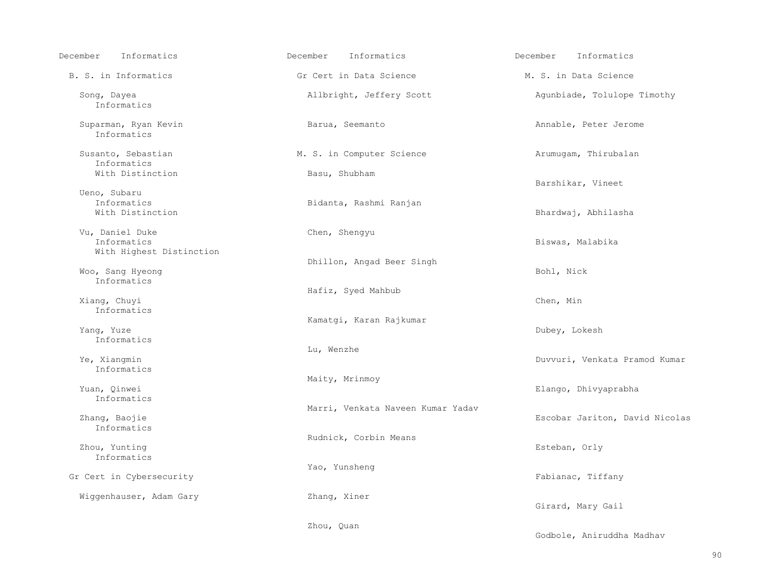| December<br>Informatics                                    | December<br>Informatics           | December<br>Informatics        |
|------------------------------------------------------------|-----------------------------------|--------------------------------|
| B. S. in Informatics                                       | Gr Cert in Data Science           | M. S. in Data Science          |
| Song, Dayea<br>Informatics                                 | Allbright, Jeffery Scott          | Agunbiade, Tolulope Timothy    |
| Suparman, Ryan Kevin<br>Informatics                        | Barua, Seemanto                   | Annable, Peter Jerome          |
| Susanto, Sebastian<br>Informatics                          | M. S. in Computer Science         | Arumugam, Thirubalan           |
| With Distinction                                           | Basu, Shubham                     | Barshikar, Vineet              |
| Ueno, Subaru<br>Informatics<br>With Distinction            | Bidanta, Rashmi Ranjan            | Bhardwaj, Abhilasha            |
| Vu, Daniel Duke<br>Informatics<br>With Highest Distinction | Chen, Shengyu                     | Biswas, Malabika               |
| Woo, Sang Hyeong<br>Informatics                            | Dhillon, Angad Beer Singh         | Bohl, Nick                     |
| Xiang, Chuyi<br>Informatics                                | Hafiz, Syed Mahbub                | Chen, Min                      |
| Yang, Yuze<br>Informatics                                  | Kamatgi, Karan Rajkumar           | Dubey, Lokesh                  |
| Ye, Xiangmin<br>Informatics                                | Lu, Wenzhe                        | Duvvuri, Venkata Pramod Kumar  |
| Yuan, Qinwei<br>Informatics                                | Maity, Mrinmoy                    | Elango, Dhivyaprabha           |
| Zhang, Baojie<br>Informatics                               | Marri, Venkata Naveen Kumar Yadav | Escobar Jariton, David Nicolas |
| Zhou, Yunting<br>Informatics                               | Rudnick, Corbin Means             | Esteban, Orly                  |
| Gr Cert in Cybersecurity                                   | Yao, Yunsheng                     | Fabianac, Tiffany              |
| Wiggenhauser, Adam Gary                                    | Zhang, Xiner                      | Girard, Mary Gail              |
|                                                            | Zhou, Quan                        | Godbole, Aniruddha Madhav      |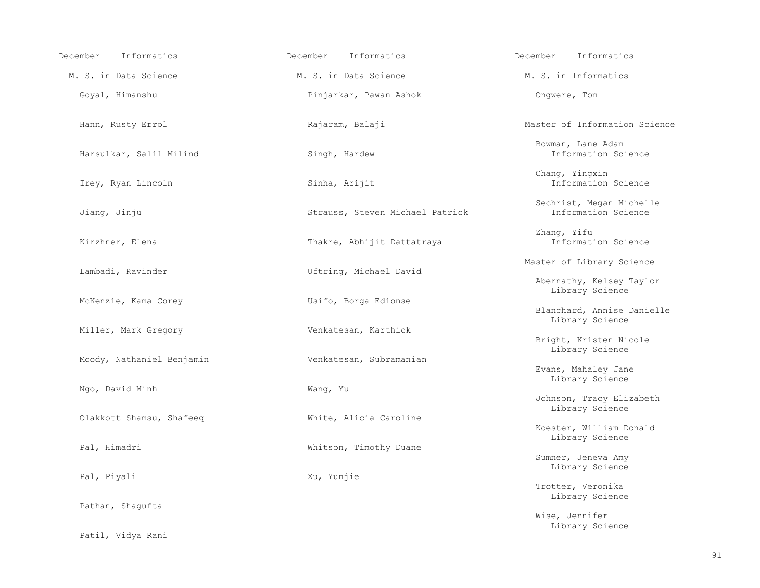| Informatics<br>December   | Informatics<br>December         | December<br>Informatics                               |
|---------------------------|---------------------------------|-------------------------------------------------------|
| M. S. in Data Science     | M. S. in Data Science           | M. S. in Informatics                                  |
| Goyal, Himanshu           | Pinjarkar, Pawan Ashok          | Onqwere, Tom                                          |
| Hann, Rusty Errol         | Rajaram, Balaji                 | Master of Information Science                         |
| Harsulkar, Salil Milind   | Singh, Hardew                   | Bowman, Lane Adam<br>Information Science              |
| Irey, Ryan Lincoln        | Sinha, Arijit                   | Chang, Yingxin<br>Information Science                 |
| Jiang, Jinju              | Strauss, Steven Michael Patrick | Sechrist, Megan Michelle<br>Information Science       |
| Kirzhner, Elena           | Thakre, Abhijit Dattatraya      | Zhang, Yifu<br>Information Science                    |
| Lambadi, Ravinder         | Uftring, Michael David          | Master of Library Science<br>Abernathy, Kelsey Taylor |
| McKenzie, Kama Corey      | Usifo, Borga Edionse            | Library Science<br>Blanchard, Annise Danielle         |
| Miller, Mark Gregory      | Venkatesan, Karthick            | Library Science<br>Bright, Kristen Nicole             |
| Moody, Nathaniel Benjamin | Venkatesan, Subramanian         | Library Science<br>Evans, Mahaley Jane                |
| Ngo, David Minh           | Wang, Yu                        | Library Science<br>Johnson, Tracy Elizabeth           |
| Olakkott Shamsu, Shafeeq  | White, Alicia Caroline          | Library Science<br>Koester, William Donald            |
| Pal, Himadri              | Whitson, Timothy Duane          | Library Science<br>Sumner, Jeneva Amy                 |
| Pal, Piyali               | Xu, Yunjie                      | Library Science                                       |
| Pathan, Shaqufta          |                                 | Trotter, Veronika<br>Library Science                  |
|                           |                                 | Wise, Jennifer<br>Library Science                     |
| Patil, Vidya Rani         |                                 |                                                       |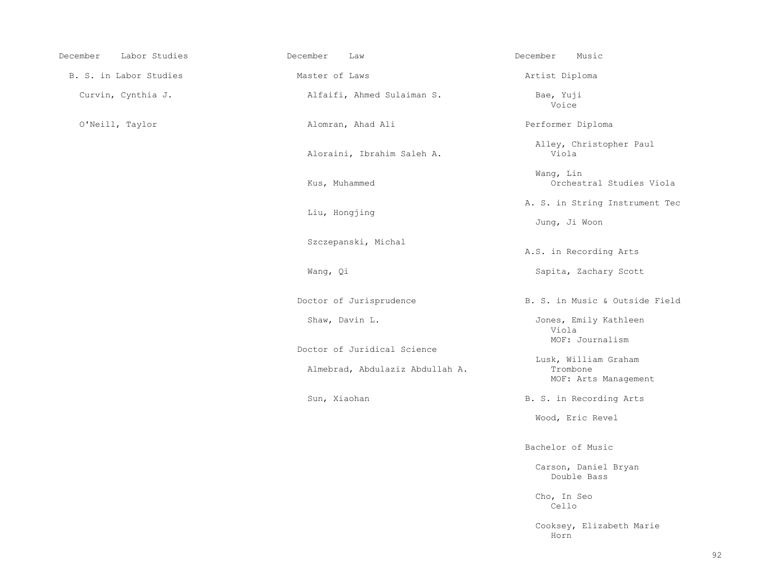| December<br>Labor Studies | December<br>Law                 | December<br>Music                        |
|---------------------------|---------------------------------|------------------------------------------|
| B. S. in Labor Studies    | Master of Laws                  | Artist Diploma                           |
| Curvin, Cynthia J.        | Alfaifi, Ahmed Sulaiman S.      | Bae, Yuji<br>Voice                       |
| O'Neill, Taylor           | Alomran, Ahad Ali               | Performer Diplom                         |
|                           | Aloraini, Ibrahim Saleh A.      | Alley, Christo<br>Viola                  |
|                           | Kus, Muhammed                   | Wang, Lin<br>Orchestral                  |
|                           | Liu, Hongjing                   | A. S. in String<br>Jung, Ji Woon         |
|                           | Szczepanski, Michal             | A.S. in Recordin                         |
|                           | Wang, Qi                        | Sapita, Zachar                           |
|                           | Doctor of Jurisprudence         | B. S. in Music &                         |
|                           | Shaw, Davin L.                  | Jones, Emily K<br>Viola<br>MOF: Journa   |
|                           | Doctor of Juridical Science     |                                          |
|                           | Almebrad, Abdulaziz Abdullah A. | Lusk, William<br>Trombone<br>MOF: Arts M |
|                           |                                 |                                          |

i Performer Diploma Alley, Christopher Paul Orchestral Studies Viola A. S. in String Instrument Tec A.S. in Recording Arts Sapita, Zachary Scott dence B. S. in Music & Outside Field Jones, Emily Kathleen<br>Viola MOF: Journalism<br>
1 Science

 Lusk, William Graham MOF: Arts Management

Sun, Xiaohan B. S. in Recording Arts

Wood, Eric Revel

Bachelor of Music

 Carson, Daniel Bryan Double Bass

 Cho, In Seo Cello

 Cooksey, Elizabeth Marie Horn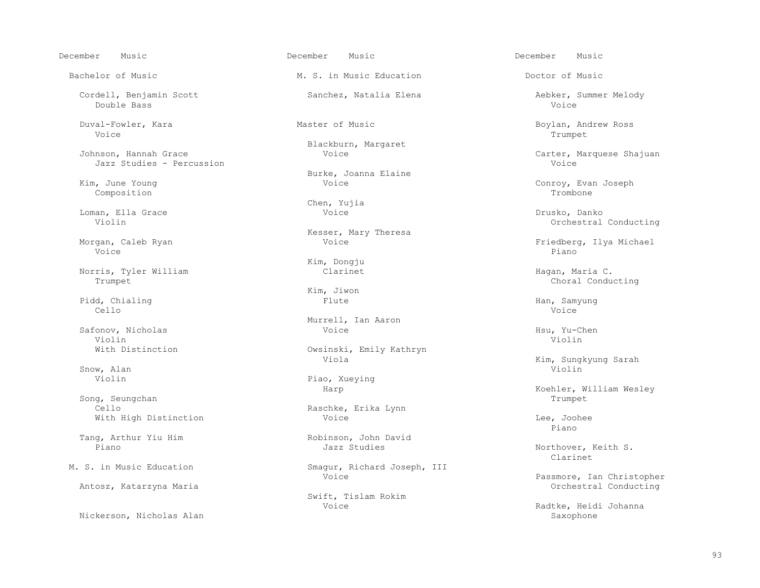Double Bass Voice Duval-Fowler, Kara Master of Music Boylan, Andrew Ross Voice the contract of the contract of the contract of the contract of the contract of the contract of the contract of the contract of the contract of the contract of the contract of the contract of the contract of the cont Blackburn, Margaret<br>Johnson, Hannah Grace Moice Moice Jazz Studies - Percussion External Burke, Joanna Elaine<br>
Kim, June Young<br>
Voice<br>
Voice (a) June Young (b) and The Voice of the Conroy, Evan Joseph Composition (b) and Joseph Composition (composition Composition Trombone Loman, Ella Grace Voice Drusko, Danko Kesser, Mary Theresa Voice Piano de la provincia de la provincia de la provincia de la provincia de la provincia de la provincia de<br>Piano de la provincia de la provincia de la provincia de la provincia de la provincia de la provincia de la pr Norris, Tyler William and Clarinet Clarinet and Hagan, Maria C.<br>Trumpet Choral Condu Kim, Jiwon (Kim, Mindon)<br>Flute (Kim, Times) Pidd, Chialing Flute Flute Flute Han, Samyung Han, Samyung Han, Samyung Han, Samyung Han, Samyung Han, Samyung Cello Voice Safonov, Nicholas Voice Hsu, Yu-Chen Violin Violin Viola Kim, Sungkyung Sarah Snow, Alan Violin and Shankara and Shankara and Shankara and Shankara and Shankara and Violin and Violin and Violin Violin Piao, Xueying Example of the Harp Harp Harp Harp Koehler, William Wesley<br>
Trumpet Trumpet Song, Seungchan Trumpet Cello Cello Raschke, Erika Lynn<br>With High Distinction and Moice Voice With High Distinction  $\overline{V}$  Voice  $\overline{L}$  and  $\overline{V}$  are  $\overline{V}$  and  $\overline{V}$ e de la constitución de la constitución de la constitución de la constitución de la constitución de la constitución de la constitución de la constitución de la constitución de la constitución de la constitución de la const

Antosz, Katarzyna Maria

Nickerson, Nicholas Alan

Bachelor of Music **M. S.** in Music Education **Doctor of Music** Bachelor of Music

Chen, Yujia

Kim, Dongju<br>Clarinet

Murrell, Ian Aaron<br>Voice

With Distinction Consinues Owsinski, Emily Kathryn<br>Viola

Tang, Arthur Yiu Him Robinson, John David<br>Piano Bayan Robinson, Januar Richard

M. S. in Music Education Smagur, Richard Joseph, III Voice

Swift, Tislam Rokim

December Music December Music December Music

Cordell, Benjamin Scott (Sanchez, Natalia Elena Aebker, Summer Melody (Natalia Elena Aebker, Summer Melody (Natalia Elena Aebker, Summer Melody

Carter, Marquese Shajuan<br>Voice

Orchestral Conducting

Morgan, Caleb Ryan Voice Friedberg, Ilya Michael

Choral Conducting

Northover, Keith S.<br>Clarinet Clarinet

Passmore, Ian Christopher<br>Orchestral Conducting

Radtke, Heidi Johanna<br>Saxophone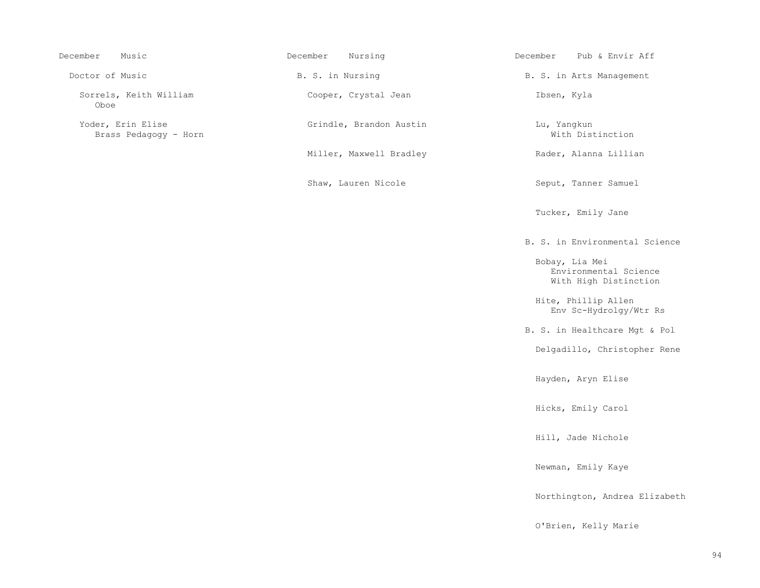| December<br>Music                          | December<br>Nursing     | December<br>Pub & Envir Aff                                      |
|--------------------------------------------|-------------------------|------------------------------------------------------------------|
| Doctor of Music                            | B. S. in Nursing        | B. S. in Arts Management                                         |
| Sorrels, Keith William<br>Oboe             | Cooper, Crystal Jean    | Ibsen, Kyla                                                      |
| Yoder, Erin Elise<br>Brass Pedagogy - Horn | Grindle, Brandon Austin | Lu, Yangkun<br>With Distinction                                  |
|                                            | Miller, Maxwell Bradley | Rader, Alanna Lillian                                            |
|                                            | Shaw, Lauren Nicole     | Seput, Tanner Samuel                                             |
|                                            |                         | Tucker, Emily Jane                                               |
|                                            |                         | B. S. in Environmental Science                                   |
|                                            |                         | Bobay, Lia Mei<br>Environmental Science<br>With High Distinction |
|                                            |                         | Hite, Phillip Allen<br>Env Sc-Hydrolgy/Wtr Rs                    |
|                                            |                         | B. S. in Healthcare Mgt & Pol                                    |
|                                            |                         | Delgadillo, Christopher Rene                                     |
|                                            |                         | Hayden, Aryn Elise                                               |
|                                            |                         | Hicks, Emily Carol                                               |
|                                            |                         | Hill, Jade Nichole                                               |
|                                            |                         | Newman, Emily Kaye                                               |
|                                            |                         | Northington, Andrea Elizabeth                                    |
|                                            |                         | O'Brien, Kelly Marie                                             |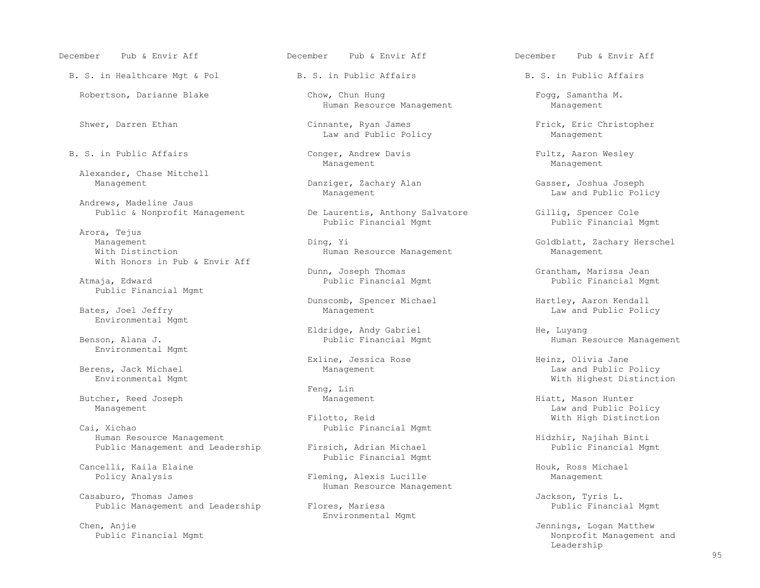December Pub & Envir Aff December Pub & Envir Aff December Pub & Envir Aff

B. S. in Healthcare Mgt & Pol B. S. in Public Affairs B. S. in Public Affairs

Alexander, Chase Mitchell

Andrews, Madeline Jaus<br>Public & Nonprofit Management

 Arora, Tejus Management Ding, Yi Ding, Yi Goldblatt, Zachary Herschel<br>With Distinction Music Human Resource Management Management With Honors in Pub & Envir Aff

Public Financial Mgmt

Environmental Mgmt

Environmental Mgmt

Butcher, Reed Joseph The Management Management Hiatt, Mason Hunter

Human Resource Management<br>
Public Management and Leadership (Firsich, Adrian Michael (Hidzhir, Najihah Binti Public Management and Leadership

Cancelli, Kaila Elaine (announce Cancelli, Kaila Elaine 1999)<br>
Policy Analysis (announce 1999) Fleming, Alexis Lucille (announce 1999) Management

Casaburo, Thomas James<br>Public Management and Leadership (Flores, Mariesa Thomas Jackson, Tyris L.<br>Public Management and Leadership (Flores, Mariesa ) (Flores ) (Public Financial Mgmt Public Management and Leadership Flores, Mariesa

Chen, Anjie Jennings, Logan Matthew

Robertson, Darianne Blake Chow, Chun Hung Chow, Chun Hung Fogg, Samantha M.<br>Human Resource Management Management Human Resource Management

 Shwer, Darren Ethan Cinnante, Ryan James Frick, Eric Christopher Law and Public Policy

B. S. in Public Affairs and Equipment Conger, Andrew Davis Fultz, Aaron Wesley<br>Management Management Management Management Management

Danziger, Zachary Alan Gasser, Joshua Joseph<br>Management Law and Public Pol.

Public Baurentis, Anthony Salvatore Gillig, Spencer Cole<br>Public Financial Mamt Public Financial

Human Resource Management

 Dunn, Joseph Thomas Grantham, Marissa Jean Public Financial Mgmt

Dunscomb, Spencer Michael Hartley, Aaron Kendall Bates, Joel Jeffry **Example 20** Management Management Law and Public Policy

Eldridge, Andy Gabriel He, Luyang

Exline, Jessica Rose Heinz, Olivia Jane

Feng, Lin<br>Management

Filotto, Reid Gai, Xichao (Public Financial Mamt) Mith High Distinction<br>Public Financial Mamt Public Financial Mgmt

Public Financial Mgmt

Fleming, Alexis Lucille Management Human Resource Management

Environmental Mgmt

Law and Public Policy

Public Financial Mgmt

Human Resource Management

 Berens, Jack Michael Management Law and Public Policy With Highest Distinction

Management Law and Public Policy (Nanagement Law and Public Policy and Public Policy Filotto, Reid and Public Policy (Nanagement Anarchich Policy Filotto, Reid and Public Policy Policy Policy Policy Policy Policy Policy Po

Nonprofit Management and<br>Leadership Leadership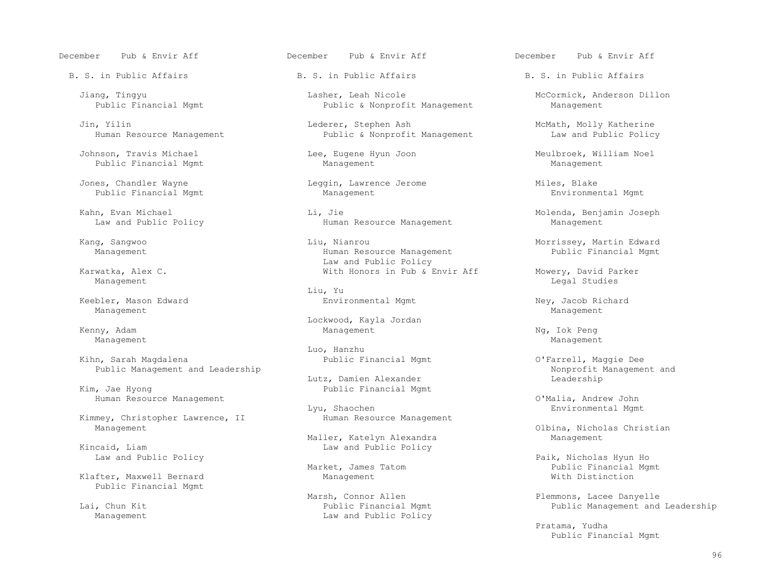December Pub & Envir Aff December Pub & Envir Aff December Pub & Envir Aff

B. S. in Public Affairs Theory B. S. in Public Affairs B. S. in Public Affairs

 Johnson, Travis Michael Lee, Eugene Hyun Joon Meulbroek, William Noel Public Financial Mgmt

 Jones, Chandler Wayne Leggin, Lawrence Jerome Miles, Blake Public Financial Mgmt

Management Management

Management Management

 Kihn, Sarah Magdalena Public Financial Mgmt O'Farrell, Maggie Dee Public Management and Leadership<br>Lutz, Damien Alexander Management and Leadership Management and Leadership

Kim, Jae Hyong Public Financial Mgmt Human Resource Management O'Malia, Andrew John

Kimmey, Christopher Lawrence, II

icaid, Liam in the United States of the Law and Public Policy<br>
Law and Public Policy

Klafter, Maxwell Bernard Management Public Financial Mgmt

 Jiang, Tingyu Lasher, Leah Nicole McCormick, Anderson Dillon Public & Nonprofit Management

Jin, Yilin (1992)<br>Human Resource Management 1997 (1993) Lederer, Stephen Ash Management Management Management Law and Public Policy Public & Nonprofit Management

 Kahn, Evan Michael Li, Jie Molenda, Benjamin Joseph Human Resource Management

 Kang, Sangwoo Liu, Nianrou Morrissey, Martin Edward Human Resource Management Law and Public Policy<br>Karwatka, Alex C. The Communication of the Mith Honors in Pub & B

 Liu, Yu Keebler, Mason Edward Environmental Mgmt Ney, Jacob Richard

External Management May Lockwood, Kayla Jordan Management Management Kenny, Adam Management Ng, Iok Peng

Luo, Hanzhu

Lutz, Damien Alexander

Lyu, Shaochen Environmental Mgmt<br>Human Resource Management

Maller, Katelyn Alexandra<br>Kincaid, Liam and Public Policy

 Lai, Chun Kit Public Financial Mgmt Public Management and Leadership Law and Public Policy

 Karwatka, Alex C. With Honors in Pub & Envir Aff Mowery, David Parker Management **Legal Studies** (1999) and the set of the set of the set of the set of the set of the set of the set of the set of the set of the set of the set of the set of the set of the set of the set of the set of the set

Management Management Maller, Katelyn Alexandra and Olbina, Nicholas Christian

Paik, Nicholas Hyun Ho<br>Public Financial Mg Public Financial Mgmt<br>With Distinction

Marsh, Connor Allen Plemmons, Lacee Danyelle<br>Public Financial Mgmt Public Management and

 Pratama, Yudha Public Financial Mgmt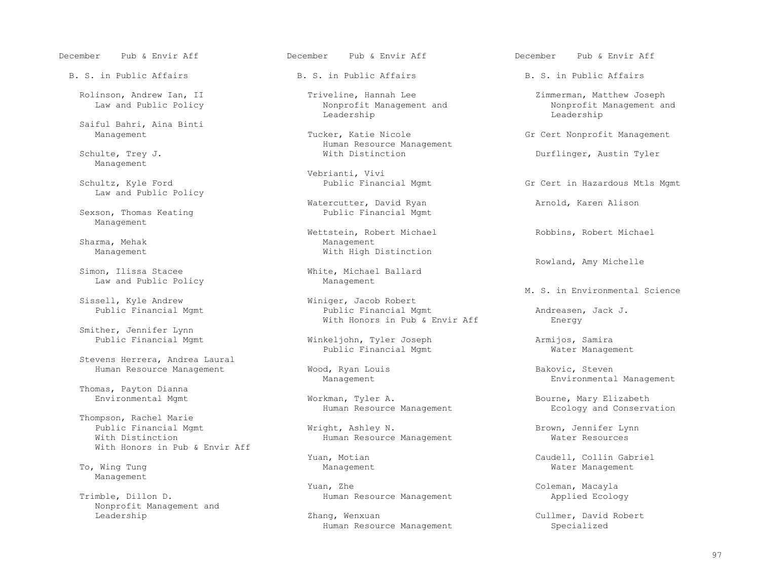B. S. in Public Affairs Theory B. S. in Public Affairs B. S. in Public Affairs

Saiful Bahri, Aina Binti

Management

Law and Public Policy

Sexson, Thomas Keating Management

Sharma, Mehak Management

Simon, Ilissa Stacee Mhite, Michael Baw and Public Policy Control Ballard Management Law and Public Policy

Smither, Jennifer Lynn<br>Public Financial Mgmt

Stevens Herrera, Andrea Laural

Thomas, Payton Dianna

 Thompson, Rachel Marie Public Financial Mgmt **Wright, Ashley N.** Brown, Jennifer Lynn<br>With Distinction **Wright, Ashley N. Brown, American** Water Resources With Honors in Pub & Envir Aff

Management

Nonprofit Management and

December Pub & Envir Aff December Pub & Envir Aff December Pub & Envir Aff

 Rolinson, Andrew Ian, II Triveline, Hannah Lee Zimmerman, Matthew Joseph Nonprofit Management and Nonprofit Management and Nonprofit Management and Nonprofit Management and Nonprofit M Leadership Leadership

Tucker, Katie Nicole Gr Cert Nonprofit Management Schulte, Trey J. The Community of the Management Mith Distinction Schulte, Trey J.

Vebrianti, Vivi<br>
Vebrianti, Vivi<br>
Public Financial Mgmt

Watercutter, David Ryan and Arnold, Karen Alison Public Financial Mgmt

Wettstein, Robert Michael **Robbins, Robert Michael** Robbins, Robert Michael With High Distinction

Sell, Kyle Andrew Miniger, Jacob Robert<br>Public Financial Mgmt Miniger, Public Financial Mo Public Financial Mgmt **Public Financial Mgmt** Andreasen, Jack J.<br> **With Honors in Pub & Envir Aff** Energy With Honors in Pub & Envir Aff

> Public Financial Mgmt Winkeljohn, Tyler Joseph Armijos, Samira Public Financial Mgmt

Human Resource Management Mood, Ryan Louis and Bakovic, Steven Management Mood, Ryan Louis Bakovic, Steven

Workman, Tyler A. Bourne, Mary Elizabeth<br>Human Resource Management Muman Resource Management Ecology and Conservation Human Resource Management

Human Resource Management

Yuan, Zhe Coleman, Macayla (1999) and the Coleman, Macayla (1999) and the Coleman, Macayla (1999) and the Coleman, Macayla (1999) and the Coleman, Macayla (1999) and the Coleman (1999) and the Coleman (1999) and the Colema Trimble, Dillon D. Trimble, Dillon D. Human Resource Management Applied Ecology

> Zhang, Wenxuan Cullmer, David Robert<br>Human Resource Management Cullmer, David Robert Human Resource Management

Durflinger, Austin Tyler

Gr Cert in Hazardous Mtls Mgmt

White, Michael Ballard<br>
White, Michael Ballard<br>
White, Michael Ballard

Sissell, Kyle Andrew **Environmental Science**<br>
Winiger, Jacob Robert Miniger, Miniger, Manuel Miniger, Manuel Miniger, Miniger, Miniger, Miniger, Miniger, Miniger, Miniger, Miniger, Miniger, Miniger, Miniger, Miniger, Minig

Environmental Management

Yuan, Motian Caudell, Collin Gabriel (North Motian Motian Caudell, Collin Gabriel (North Management Mater Management Mater Management  $\blacksquare$ Water Management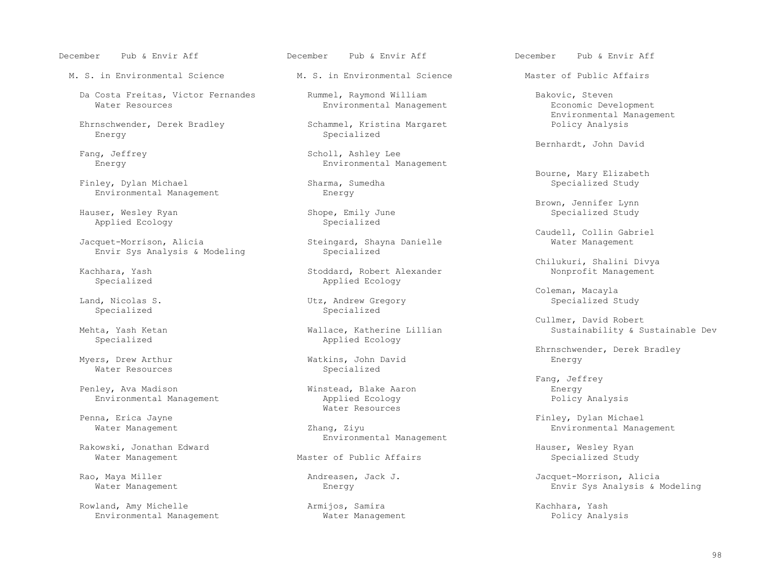M. S. in Environmental Science M. S. in Environmental Science Master of Public Affairs

Da Costa Freitas, Victor Fernandes (Da Rummel, Raymond William (Da Rumment Bakovic, Steven Bakovic, Steven Bakovic, Steven Bakovic, Steven Bakovic, Steven Bakovic, Steven Bakovic, Steven Bakovic, Steven Bakovic, Stevelopme

Ehrnschwender, Derek Bradley<br>Energy

Finley, Dylan Michael Environmental Management energy

Applied Ecology

Envir Sys Analysis & Modeling

Water Resources

 Penley, Ava Madison Winstead, Blake Aaron Energy Environmental Management

Rakowski, Jonathan Edward<br>Master of Public Affairs The Manuser, Wesley Ryan<br>Nater Management Hauser of Public Affairs And Master of Public Affairs Water Management Master of Public Affairs

Rowland, Amy Michelle (Armijos, Samira Armijos, Samira Kachhara, Yash Kachhara, Yash Environmental Management Kachhara, Yash Kachhara, Yash Kachhara, Yash Kachhara, Yash Kachhara, Yash Kachhara, Yash Kachhara, Yash Kachhar Environmental Management

Environmental Management

Specialized

Eang, Jeffrey Chamber and Scholl, Ashley Lee Chamber and Bernhardt, John David g, Jeffrey (3) Scholl, Ashley Lee (3) Scholl, Ashley Lee (3) Scholl, Ashley Lee (3) Scholl, Ashley Lee (3) Scholl, Ashley Lee (3) Scholl, Ashley Lee (3) Scholl, Ashley Lee (3) Scholl, Ashley Lee (3) Scholl, Ashley Lee (3) Environmental Management

Shope, Emily June<br>Specialized

Steingard, Shayna Danielle<br>Specialized

hara, Yash Stoddard, Robert Alexander<br>
Specialized Management Applied Ecology Applied Ecology

Utz, Andrew Gregory Specialized Specialized Specialized

 Mehta, Yash Ketan Wallace, Katherine Lillian Sustainability & Sustainable Dev Applied Ecology

Myers, Drew Arthur Watkins, John David Energy

Penna, Erica Jayne **Example 2018** Water Resources

Environmental Management

December Pub & Envir Aff December Pub & Envir Aff December Pub & Envir Aff

Environmental Management<br>
Schammel, Kristina Margaret<br>
Environmental Management

Bourne, Mary Elizabeth

Brown, Jennifer Lynn (Brown, Jennifer Lynn (Brown, Jennifer Lynn (Brown, Jennifer Lynn (Brown), Jennifer Lynn<br>Brown, Mesley Ryan (Brown), Shope, Emily June (Brown), Shope, Specialized Study

Caudell, Collin Gabriel (Collin Gabriel)<br>Jacquet-Morrison, Alicia (Collin Gabriel Steingard, Shayna Danielle (Collin Gabriel Water Management

Chilukuri, Shalini Divya

Example of the University of the University of the University of the University of the University of the Unive<br>The University of the University of the University of the University of the University of the University of th<br>

Cullmer, David Robert

Ehrnschwender, Derek Bradley<br>
Energy<br>
Energy

Fang, Jeffrey

 Penna, Erica Jayne Finley, Dylan Michael Zhang, Ziyu **Environmental Management** 

Rao, Maya Miller (and The Mondreasen, Jack J. The Mondreasen Jacquet-Morrison, Alicia<br>Vater Management (and Thergy Envir Sys Analysis & 1) Envir Sys Analysis & Modeling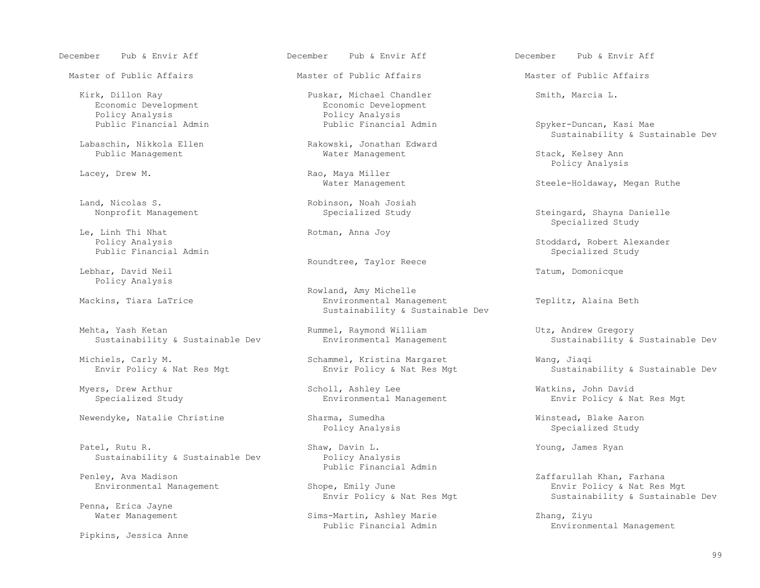December Pub & Envir Aff December Pub & Envir Aff December Pub & Envir Aff

Master of Public Affairs The Master of Public Affairs The Master of Public Affairs

Economic Development<br>
Policy Analysis<br>
Policy Analysis<br>
Policy Analysis

Land, Nicolas S. Robinson, Noah Josiah<br>Nonprofit Management Specialized Study

Le, Linh Thi Nhat<br>Policy Analysis<br>Rotman, Anna Joy

Lebhar, David Neil Tatum, Domonicque Policy Analysis

Mehta, Yash Ketan Rummel, Raymond William Utz, Andrew Gregory<br>Sustainability & Sustainable Dev Environmental Management Sustainability &

Michiels, Carly M. Schammel, Kristina Margaret Wang, Jiaqi

 Patel, Rutu R. Shaw, Davin L. Young, James Ryan Sustainability & Sustainable Dev

Penna, Erica Jayne<br>Water Management

Pipkins, Jessica Anne

Kirk, Dillon Ray **Puskar, Michael Chandler** Smith, Marcia L.<br>
Economic Development Bevelopment Economic Development Policy Analysis<br>
Public Financial Admin<br>
Public Financial Admin<br>
Public Financial Admin

aschin, Nikkola Ellen Rakowski, Jonathan Edward<br>Public Management Rakowski, Mater Management

Lacey, Drew M. The Contract of the Rao, Maya Miller Management

Roundtree, Taylor Reece

 Rowland, Amy Michelle Environmental Management Teplitz, Alaina Beth Sustainability & Sustainable Dev

Myers, Drew Arthur Scholl, Ashley Lee Watkins, John David

Public Financial Admin<br>Penley, Ava Madison

Sims-Martin, Ashley Marie  $\begin{array}{ccc} \text{Zhang}, & \text{Ziyu} \\ \text{Public Financial Admiral} & \text{Admin} & \text{Environment} \end{array}$ 

Spyker-Duncan, Kasi Mae External Sustainability & Sustainable Dev<br>
External Sustainability & Sustainable Dev<br>
Rakowski, Jonathan Edward

Stack, Kelsey Ann<br>Policy Analysis Policy Analysis

Steele-Holdaway, Megan Ruthe

Steingard, Shayna Danielle<br>Specialized Study Specialized Study

Policy Analysis Stoddard, Robert Alexander<br>Public Financial Admin Stoddard, Robert Alexander<br>Specialized Study Specialized Study

Sustainability & Sustainable Dev

Sustainability & Sustainable Dev

Envir Policy & Nat Res Mgt

Newendyke, Natalie Christine Sharma, Sumedha Winstead, Blake Aaron Newendyke, Natalie Christine Sharma, Sumedha Specialized Study

ley, Ava Madison (Early 2018)<br>Physical Management Management Shope, Emily June (Envirage Shopher And Res) (Envir Policy & Nat Res) (Envir Policy & Nat Res pe, Emily June<br>
Envir Policy & Nat Res Mgt<br>
Sustainability & Sustainab Sustainability & Sustainable Dev

Environmental Management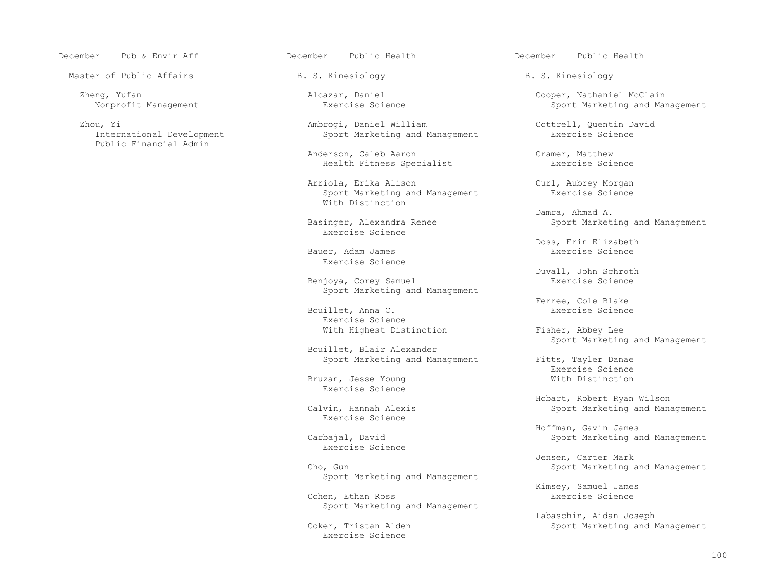December Pub & Envir Aff December Public Health December Public Health

Master of Public Affairs The R. S. Rinesiology Theorem B. S. Kinesiology B. S. Kinesiology

Public Financial Admin

 Zhou, Yi Ambrogi, Daniel William Cottrell, Quentin David Sport Marketing and Management

> Anderson, Caleb Aaron Cramer, Matthew<br>
> Health Fitness Specialist<br>
> Cramer, Matthew<br>
> Exercise Science Health Fitness Specialist

> Arriola, Erika Alison Curl, Aubrey Morgan<br>Sport Marketing and Management Curl, Exercise Science Sport Marketing and Management With Distinction

Exercise Science

Bauer, Adam James Exercise Science

Benjoya, Corey Samuel Sport Marketing and Management

Bouillet, Anna C. The contract of the service Science of the Basic Science of the Science of the Science of the Science of the Science of the Science of the Science of the Science of the Science of the Science of the Scien Exercise Science With Highest Distinction Fisher, Abbey Lee

Bouillet, Blair Alexander

Exercise Science

Exercise Science

Exercise Science

Sport Marketing and Management

Cohen, Ethan Ross Sport Marketing and Management

Exercise Science

Zheng, Yufan Alcazar, Daniel (2009) Alcazar, Daniel Cooper, Nathaniel McClain (2009) Cooper, Nathaniel McClain<br>Ricarcise Science (2009) Cooper Marketing and Manus (2009) Cooper Marketing and Manus (2009) Cooper Marketing Sport Marketing and Management

 Damra, Ahmad A. Basinger, Alexandra Renee Sport Marketing and Management

Doss, Erin Elizabeth<br>Exercise Science

Duvall, John Schroth

Ferree, Cole Blake<br>Exercise Science

Sport Marketing and Management

Sport Marketing and Management<br>Exercise Science Exercise Science Bruzan, Jesse Young Mich Distinction

> External Mobart, Robert Ryan Wilson<br>Calvin, Hannah Alexis and Mobart Marketing and Mana Sport Marketing and Management

> Hoffman, Gavin James Sport Marketing and Management

> Jensen, Carter Mark Sport Marketing and Management

> > Kimsey, Samuel James<br>Exercise Science

Labaschin, Aidan Joseph<br>Coker, Tristan Alden and Internal Sport Marketing and I Sport Marketing and Management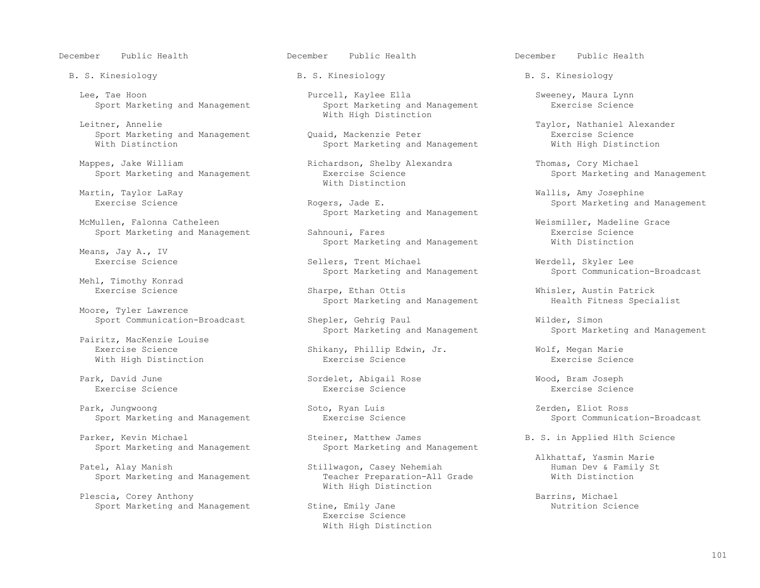December Public Health December Public Health December Public Health

B. S. Kinesiology **B. S. Kinesiology** B. S. Kinesiology B. S. Kinesiology

Sport Marketing and Management

Leitner, Annelie and Michael Michael Michael With High Distinction

Mappes, Jake William (Richardson, Shelby Alexandra (Richands, Cory Michael Sport Arketing and Management (Richardson, Shelby Alexandra (Richardson, Shelby Alexandra (Richardson, Shelby Alexandra (Richardson, Shelby Alexand

McMullen, Falonna Catheleen<br>
Sport Marketing and Management<br>
Sahnouni, Fares<br>
Weismiller, Madeline Grace<br>
Exercise Science

Means, Jay A., IV<br>Exercise Science

Mehl, Timothy Konrad<br>Exercise Science

Moore, Tyler Lawrence

 Pairitz, MacKenzie Louise With High Distinction

Exercise Science Exercise Science Exercise Science

 Park, Jungwoong Soto, Ryan Luis Zerden, Eliot Ross Sport Marketing and Management

Parker, Kevin Michael Steiner, Matthew James<br>Sport Marketing and Management Sport Marketing and Management<br>Sport Marketing and Management Sport Marketing and Management Sport Marketing and Management

Sport Marketing and Management

Plescia, Corey Anthony<br>
Sport Marketing and Management Stine, Emily Jane<br>
Sport Marketing and Management Stine, Emily Jane<br>
Sport Mutrition Science Sport Marketing and Management

Lee, Tae Hoon Purcell, Kaylee Ella Sweeney, Maura Lynn

Sport Marketing and Management (Quaid, Mackenzie Peter Theore Exercise Science Communistyle Mith Missuinction<br>
Sport Marketing and Management (With High Distinction Sport Marketing and Management

Martin, Taylor LaRay<br>
Martin, Taylor LaRay

Sport Marketing and Management

Sport Marketing and Management Sahnouni, Fares<br>Sport Marketing and Management Sahnouni, Fares Sport Marketing and Management and Mith Distinction Sport Marketing and Management

> Sellers, Trent Michael Management Merdell, Skyler Lee<br>Sport Marketing and Management Sport Communication-Broadcast Sport Marketing and Management

Sharpe, Ethan Ottis<br>
Sport Marketing and Management<br>
Health Fitness Specialist<br>
Sport Marketing and Management<br>
Health Fitness Specialist Sport Marketing and Management

Sport Communication-Broadcast Shepler, Gehrig Paul Milder, Simon<br>Sport Marketing and Management Sport Marketing Sport Marketing and Management Sport Marketing and Management

Exercise Science Shikany, Phillip Edwin, Jr. Wolf, Megan Marie

Park, David June Sordelet, Abigail Rose Wood, Bram Joseph

Stillwagon, Casey Nehemiah 1997 - Human Dev & Famil<br>Teacher Preparation-All Grade 1997 - With Distinction With High Distinction

 Exercise Science With High Distinction

Puaid, Mackenzie Peter (Duaid, Mackenzie Taylor, Nathaniel Alexander<br>Exercise Science

Sport Marketing and Management

 Martin, Taylor LaRay Wallis, Amy Josephine Sport Marketing and Management

Alkhattaf, Yasmin Marie<br>Patel, Alay Manish Stillwagon, Casey Nehemiah Alkhattaf, Yasmin Marie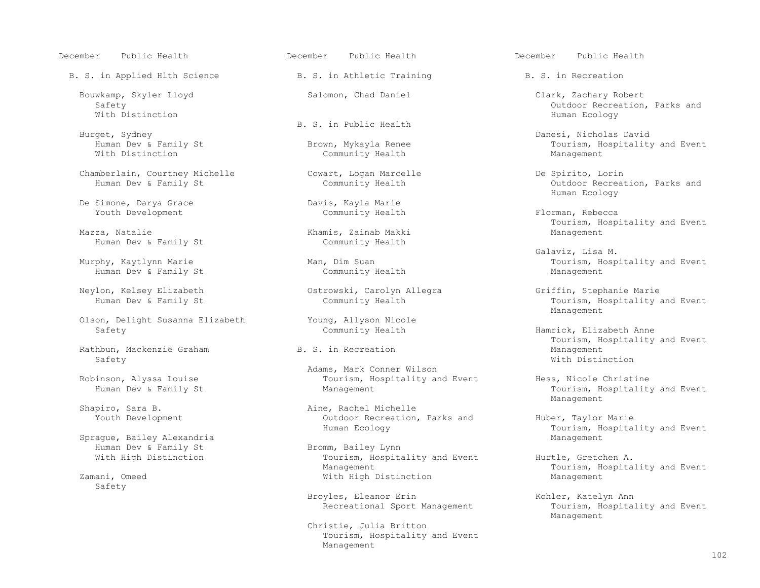December Public Health December Public Health December Public Health

B. S. in Applied Hlth Science B. S. in Athletic Training B. S. in Recreation

With Distinction Numeral Association And the Second Second Second Second Second Second Second Second Second Second Second Second Second Second Second Second Second Second Second Second Second Second Second Second Second Se

Chamberlain, Courtney Michelle Cowart, Logan Marcelle De Spirito, Lorin

De Simone, Darya Grace and Davis, Kayla Marie<br>
Youth Development<br>
Community Health Youth Development **Community Health** Florman, Rebecca

Human Dev & Family St

Human Dev & Family St

Olson, Delight Susanna Elizabeth Young, Allyson Nicole

Rathbun, Mackenzie Graham  $B. S.$  in Recreation  $\overline{B}$  and  $\overline{B}$  Management Management Safety Safety With Distinction

Sprague, Bailey Alexandria<br>
Human Dev & Family St Management Bromm, Bailey Lynn Human Dev & Family St<br>With High Distinction

Safety

B. S. in Public Health<br>Burget, Sydney

Community Health

Khamis, Zainab Makki<br>Community Health

Neylon, Kelsey Elizabeth Ostrowski, Carolyn Allegra Griffin, Stephanie Marie

Adams, Mark Conner Wilson<br>Robinson, Alyssa Louise and Mark Conner Wilson Robinson, Alyssa Louise Tourism, Hospitality and Event Hess, Nicole Christine

Shapiro, Sara B. Aine, Rachel Michelle Youth Development Communication Outdoor Recreation, Parks and Huber, Taylor Marie<br>Human Ecology Marie Human Ecology

Tourism, Hospitality and Event Hurtle, Gretchen A.<br>Management Hospitality and Event Hurtle, Gretchen A. Management Management Management Tourism, Hospitality and Event<br>Mith High Distinction Management Management With High Distinction Management

Broyles, Eleanor Erin Kohler, Katelyn Ann Recreational Sport Management Tourism, Hospita

 Christie, Julia Britton Tourism, Hospitality and Event Management

- Bouwkamp, Skyler Lloyd and Salomon, Chad Daniel Clark, Zachary Robert Safety<br>Safety outdoor Recreation Safety Outdoor Recreation, Parks and Nith Distinction and Nith Distinction of the Color Control of the Color Recreation, Parks and Nith Distinction
	- Burget, Sydney Danesi, Nicholas David Human Dev & Family St **Brown, Mykayla Renee** (Fig. 2011) Tourism, Hospitality and Event Mith Distinction (Fig. 2011) Community Health
- Outdoor Recreation, Parks and<br>Human Ecology Human Ecology
	- Tourism, Hospitality and Event
- Galaviz, Lisa M. Murphy, Kaytlynn Marie Man, Dim Suan Tourism, Hospitality and Event Community Health Management

Tourism, Hospitality and Event Management and the Management of the Management of the Management of the Management of the Management of the Ma

> Hamrick, Elizabeth Anne B. S. in Recreation and the set of the manufacturer of the Tourism, Hospitality and Event

Tourism, Hospitality and Event<br>Management Management and the Management of the Management of the Management of the Management of the Management of the Ma

Tourism, Hospitality and Event<br>Management

Tourism, Hospitality and Event<br>Management Management and the Management of the Management of the Management of the Management of the Management of the Ma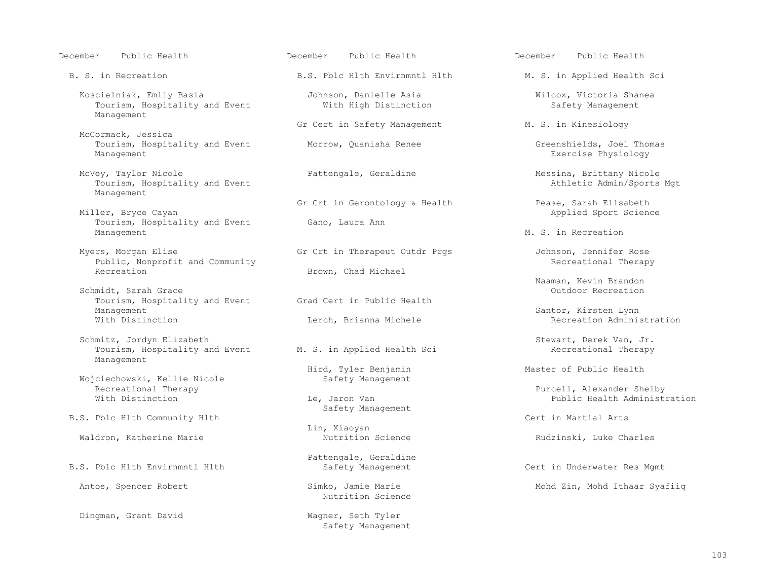- Koscielniak, Emily Basia Johnson, Danielle Asia Wilcox, Victoria Shanea Tourism, Hospitality and Event Management
- McCormack, Jessica Tourism, Hospitality and Event Morrow, Quanisha Renee Greenshields, Joel Thomas Management<br>Management Exercise Physiology
- McVey, Taylor Nicole **Pattengale, Geraldine** Messina, Brittany Nicole و McVey, Taylor Nicole **Pattengale, Geraldine** Messina, Brittany Nicole و Tourism, Hospitality and Event Tourism, Hospitality and Event Management
- Tourism, Hospitality and Event<br>Management
- Myers, Morgan Elise Gr Crt in Therapeut Outdr Prgs Johnson, Jennifer Rose Public, Nonprofit and Community<br>Recreation
- Schmidt, Sarah Grace<br>Tourism. Hospitality and Event Grad Cert in Public Health Tourism, Hospitality and Event<br>Management Management<br>With Distinction Communication Cherch, Brianna Michele Santor, Kirsten Lynn<br>With Distinction Cherch, Brianna Michele State of Recreation Administration
- Schmitz, Jordyn Elizabeth Schmitz, Jordyn Elizabeth Stewart, Derek Van, Jr.<br>Tourism, Hospitality and Event M. S. in Applied Health Sci Necreational Therapy Tourism, Hospitality and Event Management
- Wojciechowski, Kellie Nicole<br>Recreational Therapy Recreational Therapy Purcell, Alexander Shelby
- B.S. Pblc Hlth Community Hlth Community Hith Cert in Martial Arts
- Waldron, Katherine Marie **Nutrition Science** Nutrition Science Rudzinski, Luke Charles
- 

Dingman, Grant David Wagner, Seth Tyler

B. S. in Recreation The B.S. Phone Hith Envirnmntl Hith M. S. in Applied Health Sci

Gr Cert in Safety Management M. S. in Kinesiology

Brown, Chad Michael

Lerch, Brianna Michele

Hird, Tyler Benjamin<br>
Safety Management

Safety Management

Lin, Xiaoyan

B.S. Pblc Hlth Envirnmntl Hlth [1994] Pattengale, Geraldine B.S. Pblc Hlth [1994] Although Safety Management

Nutrition Science

Safety Management

December Public Health December Public Health December Public Health

Exercise Physiology

Gr Crt in Gerontology & Health Pease, Sarah Elisabeth Miller, Bryce Cayan Miller, Bryce Cayan Gano, Laura Ann ann an Company ann an Applied Sport Science Cano, Laura Ann an Am Applied Sport Science

M. S. in Recreation

Naaman, Kevin Brandon

Public Health Administration

Cert in Underwater Res Mgmt

Antos, Spencer Robert Simko, Jamie Marie Mohd Zin, Mohd Ithaar Syafiiq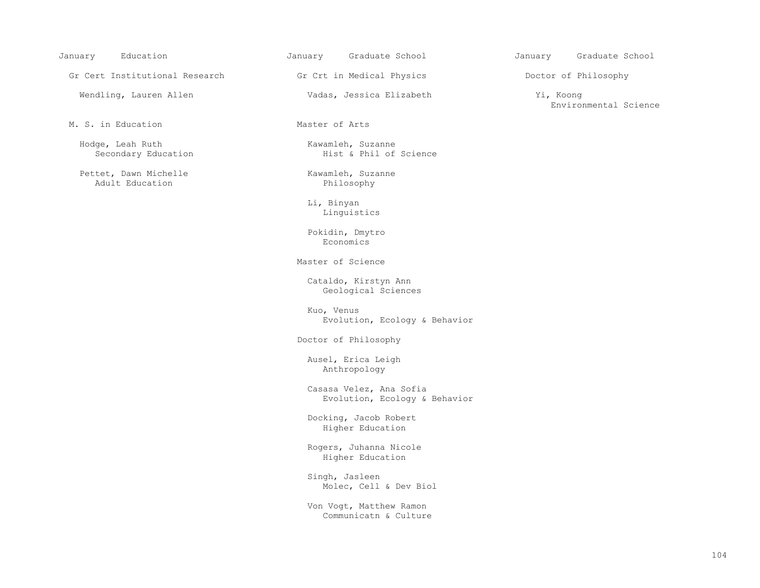Gr Cert Institutional Research Gr Crt in Medical Physics and Doctor of Philosophy

Wendling, Lauren Allen Vadas, Jessica Elizabeth Yi, Koong

M. S. in Education **Master of Arts** 

Hodge, Leah Ruth Kawamleh, Suzanne<br>Secondary Education Mist & Phil of

Pettet, Dawn Michelle (Education Kawamleh, Suzanne Adult Education (Education 1999) Adult Education

Hist & Phil of Science

 Li, Binyan Linguistics

 Pokidin, Dmytro Economics **Example 19** Seconomics **Example 19 Seconomics** 

Master of Science

 Cataldo, Kirstyn Ann Geological Sciences

 Kuo, Venus Evolution, Ecology & Behavior

Doctor of Philosophy

 Ausel, Erica Leigh Anthropology

 Casasa Velez, Ana Sofia Evolution, Ecology & Behavior

 Docking, Jacob Robert Higher Education

 Rogers, Juhanna Nicole Higher Education

 Singh, Jasleen Molec, Cell & Dev Biol

 Von Vogt, Matthew Ramon Communicatn & Culture

January Education January Graduate School January Graduate School

Environmental Science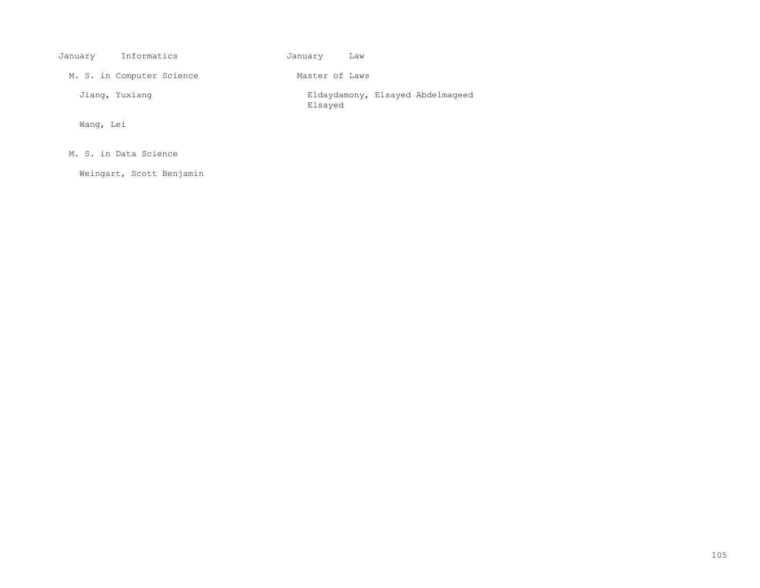| January   | Informatics               | January<br>Law |                                  |
|-----------|---------------------------|----------------|----------------------------------|
|           | M. S. in Computer Science | Master of Laws |                                  |
|           | Jiang, Yuxiang            | Elsayed        | Eldaydamony, Elsayed Abdelmaqeed |
| Wang, Lei |                           |                |                                  |

M. S. in Data Science

Weingart, Scott Benjamin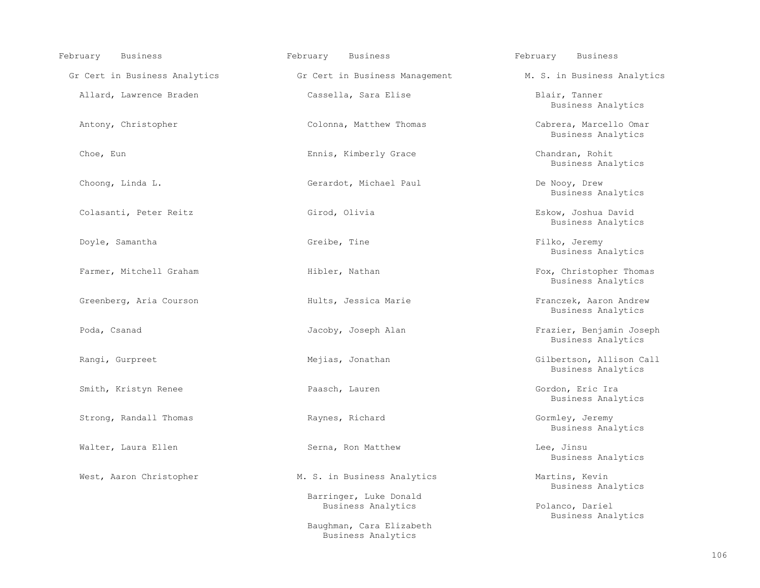| February<br><b>Business</b>   | February<br><b>Business</b>                    | February<br><b>Business</b>                    |
|-------------------------------|------------------------------------------------|------------------------------------------------|
| Gr Cert in Business Analytics | Gr Cert in Business Management                 | M. S. in Business Analytics                    |
| Allard, Lawrence Braden       | Cassella, Sara Elise                           | Blair, Tanner<br>Business Analytics            |
| Antony, Christopher           | Colonna, Matthew Thomas                        | Cabrera, Marcello Omar<br>Business Analytics   |
| Choe, Eun                     | Ennis, Kimberly Grace                          | Chandran, Rohit<br>Business Analytics          |
| Choong, Linda L.              | Gerardot, Michael Paul                         | De Nooy, Drew<br>Business Analytics            |
| Colasanti, Peter Reitz        | Girod, Olivia                                  | Eskow, Joshua David<br>Business Analytics      |
| Doyle, Samantha               | Greibe, Tine                                   | Filko, Jeremy<br>Business Analytics            |
| Farmer, Mitchell Graham       | Hibler, Nathan                                 | Fox, Christopher Thomas<br>Business Analytics  |
| Greenberg, Aria Courson       | Hults, Jessica Marie                           | Franczek, Aaron Andrew<br>Business Analytics   |
| Poda, Csanad                  | Jacoby, Joseph Alan                            | Frazier, Benjamin Joseph<br>Business Analytics |
| Rangi, Gurpreet               | Mejias, Jonathan                               | Gilbertson, Allison Call<br>Business Analytics |
| Smith, Kristyn Renee          | Paasch, Lauren                                 | Gordon, Eric Ira<br>Business Analytics         |
| Strong, Randall Thomas        | Raynes, Richard                                | Gormley, Jeremy<br>Business Analytics          |
| Walter, Laura Ellen           | Serna, Ron Matthew                             | Lee, Jinsu<br>Business Analytics               |
| West, Aaron Christopher       | M. S. in Business Analytics                    | Martins, Kevin<br>Business Analytics           |
|                               | Barringer, Luke Donald<br>Business Analytics   | Polanco, Dariel<br>Business Analytics          |
|                               | Baughman, Cara Elizabeth<br>Business Analytics |                                                |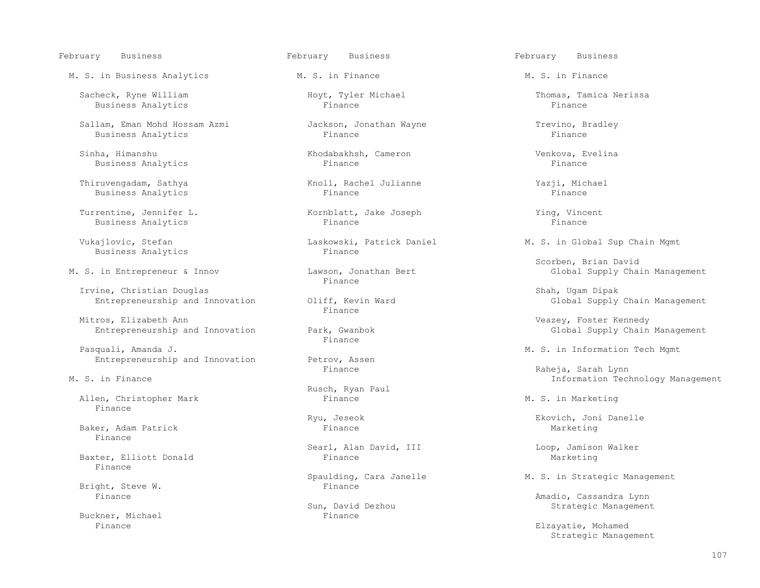# February Business February Business February Business

M. S. in Business Analytics M. S. in Finance M. S. in Finance

Sacheck, Ryne William (Sacheck, Ryne William (Sacheck, Ryne William (Sacheck, Tamica Nerissa<br>
Hoyt, Tyler Michael (Sacheck, Thomas, Tamica Nerissa Business Analytics

 Sallam, Eman Mohd Hossam Azmi Jackson, Jonathan Wayne Trevino, Bradley Business Analytics

 Sinha, Himanshu Khodabakhsh, Cameron Venkova, Evelina Business Analytics

 Thiruvengadam, Sathya Knoll, Rachel Julianne Yazji, Michael Business Analytics

Turrentine, Jennifer L.<br>
Business Analytics<br>
Finance<br>
Finance<br>
Finance<br>
Finance<br>
Finance Business Analytics

Business Analytics

Irvine, Christian Douglas<br>Entrepreneurship and Innovation and Oliff, Kevin Ward Shah, Ugam Dipak<br>Shah, Ugam Dipak Supply Chain Management Entrepreneurship and Innovation Oliff, Kevin Ward Global Supply Chain Management Management Chain Management Ma

Mitros, Elizabeth Ann<br>Entrepreneurship and Innovation and Park, Gwanbok and Changement and Clobal Supply Chain Management Entrepreneurship and Innovation Park, Gwan<br>Finance

 Pasquali, Amanda J. M. S. in Information Tech Mgmt Entrepreneurship and Innovation Petrov, Assentingly

Allen, Christopher Mark **M. S. in Marketing** Finance M. S. in Marketing Finance

Baker, Adam Patrick Finance

Finance

Bright, Steve W.<br>Finance

Buckner, Michael Finance

Vukajlovic, Stefan Laskowski, Patrick Daniel M. S. in Global Sup Chain Mgmt

Finance **Finance** 

Finance **Finance** 

Finance **Finance** 

Rusch, Ryan Paul

Searl, Alan David, III and Loop, Jamison Walker<br>Finance Marketing Baxter, Elliott Donald **Finance** Finance **Marketing** Marketing

Spaulding, Cara Janelle M. S. in Strategic Management<br>Finance

n, David Dezhou Strategic Management<br>Finance

Scorben, Brian David<br>M. S. in Entrepreneur & Innov Lawson, Jonathan Bert Global Supply Cha wson, Jonathan Bert **Entrepreneur A. Innovation** Global Supply Chain Management

Finance (Raheja, Sarah Lynn) Finance (Raheja, Sarah Lynn) Raheja, Sarah Lynn<br>M. S. in Finance Information Technology Management

Ryu, Jeseok Ekovich, Joni Danelle<br>Finance Marketing

Finance Amadio, Cassandra Lynn<br>Sun, David Dezhou and Strategic Managemen

Elzayatie, Mohamed Strategic Management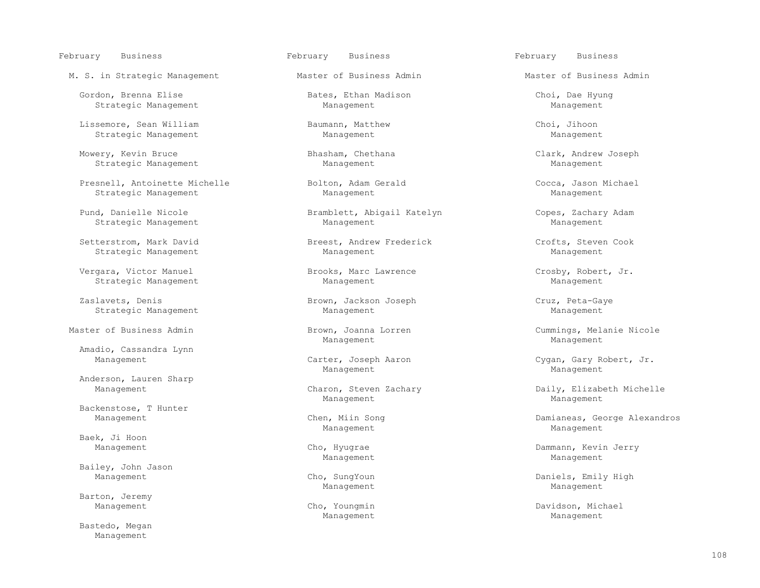# February Business February Business February Business

M. S. in Strategic Management Master of Business Admin Master of Business Admin

 Gordon, Brenna Elise Bates, Ethan Madison Choi, Dae Hyung Strategic Management

 Lissemore, Sean William Baumann, Matthew Choi, Jihoon Strategic Management

 Mowery, Kevin Bruce Bhasham, Chethana Clark, Andrew Joseph Strategic Management

Presnell, Antoinette Michelle Bolton, Adam Gerald Cocca, Jason Michael Strategic Management Management Management Management Management Management

Strategic Management

 Setterstrom, Mark David Breest, Andrew Frederick Crofts, Steven Cook Strategic Management

Vergara, Victor Manuel **Brooks, Marc Lawrence** Crosby, Robert, Jr.<br>
Strategic Management Management Management Management Management Strategic Management

Zaslavets, Denis Brown, Jackson Joseph Cruz, Peta-Gaye

Master of Business Admin Brown, Joanna Lorren Cummings, Melanie Nicole

Amadio, Cassandra Lynn

Anderson, Lauren Sharp

Backenstose, T Hunter

Baek, Ji Hoon<br>Management

Bailey, John Jason

Barton, Jeremy

 Bastedo, Megan Management

Pund, Danielle Nicole Bramblett, Abigail Katelyn Copes, Zachary Adam<br>Strategic Management Management Management Ma

Strategic Management Management Management Management Management Management

Management Management

Management Management

Management Management

Management Management

Management Carter, Joseph Aaron Communic Cygan, Gary Robert, Jr.<br>Management Management Management Management

Charon, Steven Zachary **Daily, Elizabeth Michelle**<br>Management Management

Chen, Miin Song **Chen, Minagement Chen, Minagement Chen, Minagement Chen, Chen, Minagement Chen, Minagement Chen** 

Cho, Hyugrae **Dammann, Kevin Jerry** Management Management

Management Cho, SungYoun Cho, SungYoun Daniels, Emily High<br>Management Management Management Management Management Management

Management Cho, Youngmin Cho, Youngmin Davidson, Michael Davidson, Michael Public Cho, Youngmin Davidson, Michael Management Management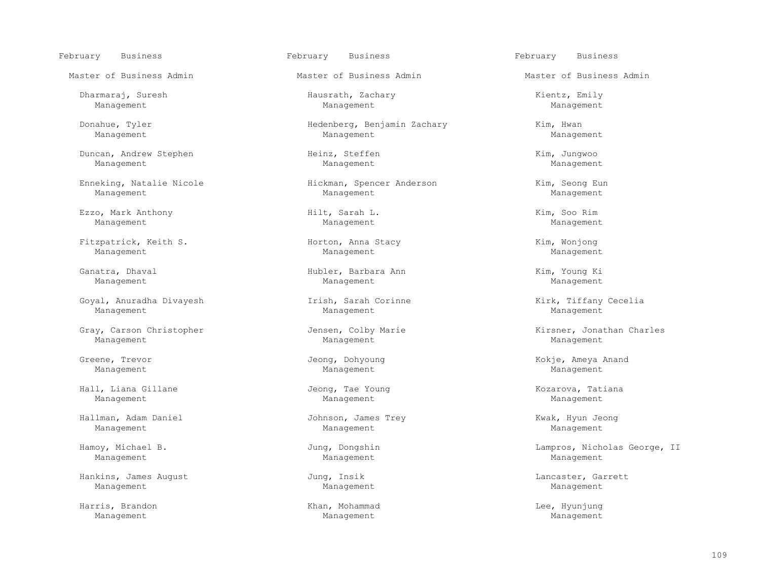Dharmaraj, Suresh Hausrath, Zachary Kientz, Emily Management Management Management

 Duncan, Andrew Stephen Heinz, Steffen Kim, Jungwoo Management Management Management

Enneking, Natalie Nicole Hickman, Spencer Anderson Kim, Seong Eun

 Ezzo, Mark Anthony Hilt, Sarah L. Kim, Soo Rim Management Management Management

 Fitzpatrick, Keith S. Horton, Anna Stacy Kim, Wonjong Management Management Management

Goyal, Anuradha Divayesh Irish, Sarah Corinne Kirk, Tiffany Cecelia Management Management Management

Gray, Carson Christopher **Gray, Colombia Charles** Jensen, Colby Marie **Kirsner, Jonathan Charles** Management Management Management

Management Management Management

 Hall, Liana Gillane Jeong, Tae Young Kozarova, Tatiana Management Management Management

 Hallman, Adam Daniel Johnson, James Trey Kwak, Hyun Jeong Management Management Management

Management Management Management

Hankins, James August Jung, Insik Lancaster, Garrett Management Management Management Management Management Management

 Harris, Brandon Khan, Mohammad Lee, Hyunjung Management Management Management

Master of Business Admin Master of Business Admin Master of Business Admin

 Donahue, Tyler Hedenberg, Benjamin Zachary Kim, Hwan Management Management Management

Management Management Management

 Ganatra, Dhaval Hubler, Barbara Ann Kim, Young Ki Management Management Management

February Business February Business February Business

Greene, Trevor Jeong, Dohyoung Kokje, Ameya Anand<br>Management Management Management Management

Hamoy, Michael B. Jung, Dongshin Lampros, Nicholas George, II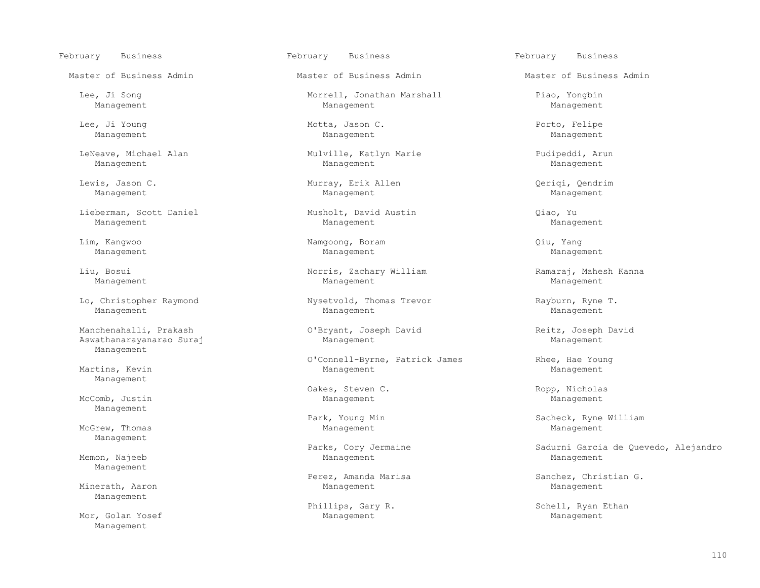February Business February Business February Business

LeNeave, Michael Alan Mulville, Katlyn Marie Pudipeddi, Arun Management Management Management

Lieberman, Scott Daniel Musholt, David Austin Qiao, Yu

Management Management Management

 Manchenahalli, Prakash O'Bryant, Joseph David Reitz, Joseph David Aswathanarayanarao Suraj Management Management Management

Management

McComb, Justin Management Management Management Management Management Management Management

McGrew, Thomas and Management Management Management Management Management Management Management

Management

Management

Mor, Golan Yosef Management

Master of Business Admin Master of Business Admin Master of Business Admin

Lee, Ji Song Morrell, Jonathan Marshall Piao, Yongbin Manaqement Manaqement Manaqement Manaqement Management Management Management

Lee, Ji Young and South Motta, Jason C. And Hotel Management Management Management Management Management Management Management Management

Management Management Management

Lewis, Jason C. Murray, Erik Allen Qeriqi, Qendrim <br>Manaqement Manaqement Manaqement Manaqement Management Management Management

Management Management Management

 Lim, Kangwoo Namgoong, Boram Qiu, Yang Management Management Management

 Liu, Bosui Norris, Zachary William Ramaraj, Mahesh Kanna Management Management Management

Lo, Christopher Raymond Thomas Trevor Nysetvold, Thomas Trevor Christopher Rayburn, Ryne T.

O'Connell-Byrne, Patrick James<br>Martins, Kevin Management Management Management Martins, Kevin Management Management

Oakes, Steven C. Ropp, Nicholas

Memon, Najeeb Management Management

Minerath, Aaron Nanagement Management Management Management Management Management

Park, Young Min Sacheck, Ryne William (Park, Soung Min Sacheck, Ryne William (Park) Sacheck, Ryne William (Park Management Management Management (Park Management Management Management  $\blacksquare$ 

Parks, Cory Jermaine and Sadurni Garcia de Quevedo, Alejandro<br>Memon, Najeeb Sadurni Garcia de Quevedo, Alejandro

Perez, Amanda Marisa Sanchez, Christian G.<br>Minerath, Aaron Sanchez, Christian G. Management Management Management

Phillips, Gary R. Schell, Ryan Ethan Management Management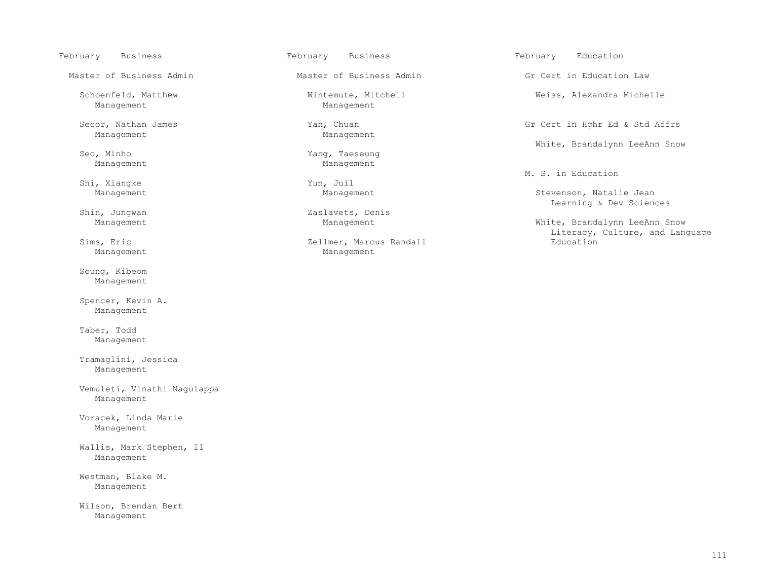Management

Secor, Nathan James Yan, Chuan Gr Cert in Hghr Ed & Std Affrs

Shi, Xiangke Yun, Juil Management Management Management

 Soung, Kibeom Management

 Spencer, Kevin A. Management

 Taber, Todd Management

 Tramaglini, Jessica Management

 Vemuleti, Vinathi Nagulappa Management

 Voracek, Linda Marie Management

 Wallis, Mark Stephen, II Management

 Westman, Blake M. Management

 Wilson, Brendan Bert Management

Master of Business Admin Theory of Business Admin Gr Cert in Education Law

Schoenfeld, Matthew Wintemute, Mitchell Weiss, Alexandra Michelle

Management

Sommer Management Management Management Management Management Management Management

n, Jungwan 2aslavets, Denis<br>Management Management Management

s, Eric and Education and Zellmer, Marcus Randall Management Management

February Business February Business February Education

White, Brandalynn LeeAnn Snow

M. S. in Education

Stevenson, Natalie Jean Learning & Dev Sciences

White, Brandalynn LeeAnn Snow Sims, Eric and Language and Language Sims, Eric and Language Sims, Eric and Language Sims, Eric and Language Sims, Education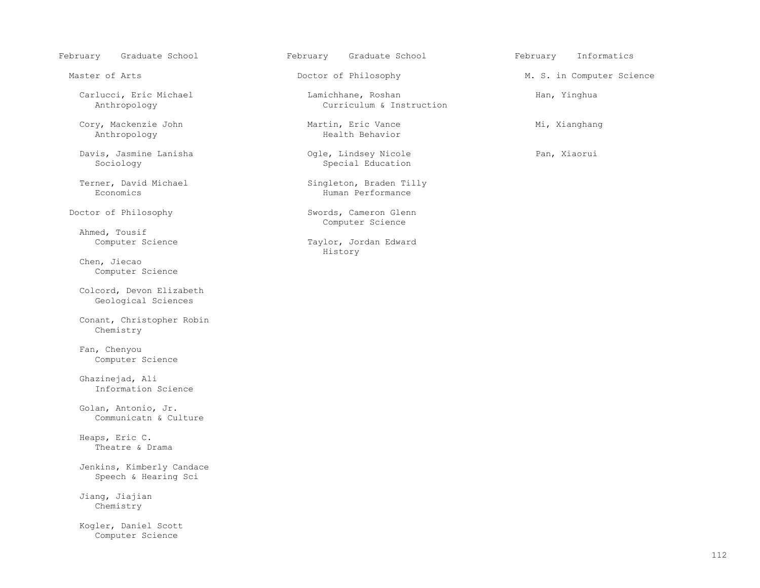February Graduate School February Graduate School February Informatics

Cory, Mackenzie John Martin, Eric Vance<br>
Mi, Xianghang Martin, Eric Vance<br>
Mealth Behavior Anthropology

Davis, Jasmine Lanisha Ogle, Lindsey Nicole Pan, Xiaorui

Ahmed, Tousif<br>Computer Science

 Chen, Jiecao Computer Science

 Colcord, Devon Elizabeth Geological Sciences

 Conant, Christopher Robin Chemistry

 Fan, Chenyou Computer Science

 Ghazinejad, Ali Information Science

 Golan, Antonio, Jr. Communicatn & Culture

 Heaps, Eric C. Theatre & Drama

 Jenkins, Kimberly Candace Speech & Hearing Sci

 Jiang, Jiajian Chemistry

 Kogler, Daniel Scott Computer Science

 Carlucci, Eric Michael Lamichhane, Roshan Han, Yinghua Curriculum & Instruction

Special Education

Terner, David Michael Singleton, Braden Tilly<br>Economics Human Performance Human Performance

Doctor of Philosophy Swords, Cameron Glenn Computer Science

Taylor, Jordan Edward<br>History History

Master of Arts **Doctor of Philosophy** M. S. in Computer Science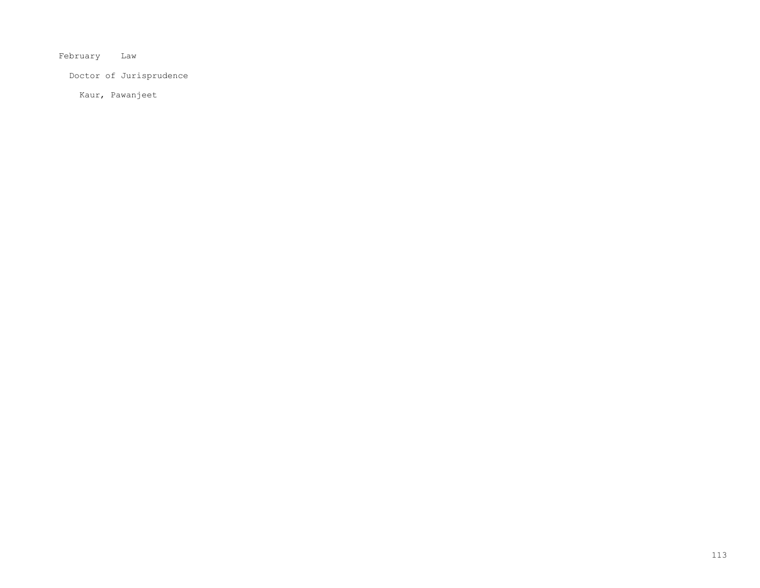February Law

Doctor of Jurisprudence

Kaur, Pawanjeet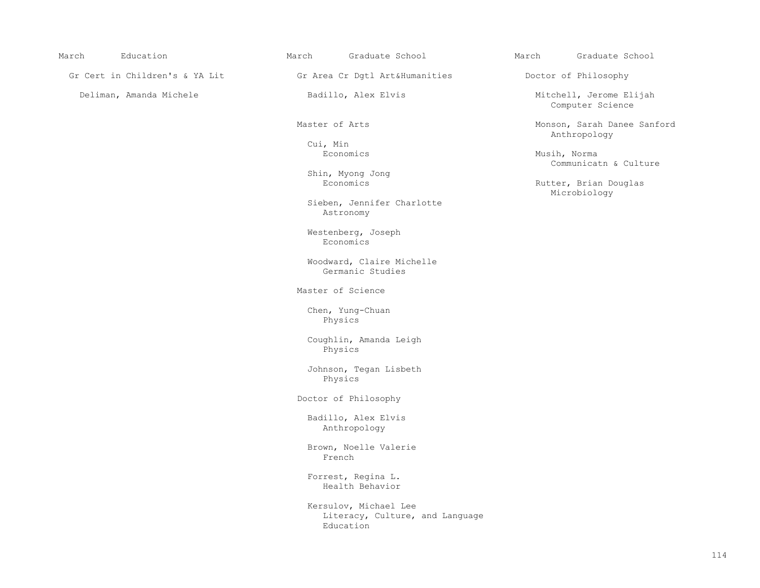Gr Cert in Children's & YA Lit Gr Area Cr Dgtl Art&Humanities Doctor of Philosophy

Cui, Min

Shin, Myong Jong

 Sieben, Jennifer Charlotte Astronomy

Westenberg, Joseph<br>Economics Economics **Example 19** Seconomics **Example 19 Seconomics** 

> Woodward, Claire Michelle Germanic Studies

Master of Science

 Chen, Yung-Chuan Physics

 Coughlin, Amanda Leigh Physics

 Johnson, Tegan Lisbeth Physics

Doctor of Philosophy

 Badillo, Alex Elvis Anthropology

 Brown, Noelle Valerie **French French** 

> Forrest, Regina L. Health Behavior

 Kersulov, Michael Lee Literacy, Culture, and Language<br>Education Education and Education

March Education March Graduate School March Graduate School

Deliman, Amanda Michele **Badillo, Alex Elvis** Mitchell, Jerome Elijah Computer Science

Master of Arts Monson, Sarah Danee Sanford<br>
Monson, Sarah Danee Sanford<br>
Anthropology Anthropology

 Economics Musih, Norma Communicatn & Culture

Rutter, Brian Douglas<br>Microbiology Microbiology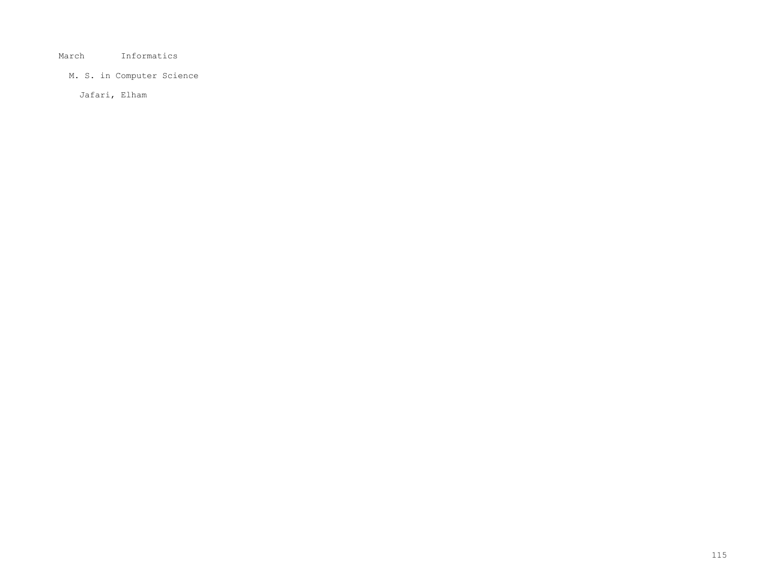## March Informatics

# M. S. in Computer Science

Jafari, Elham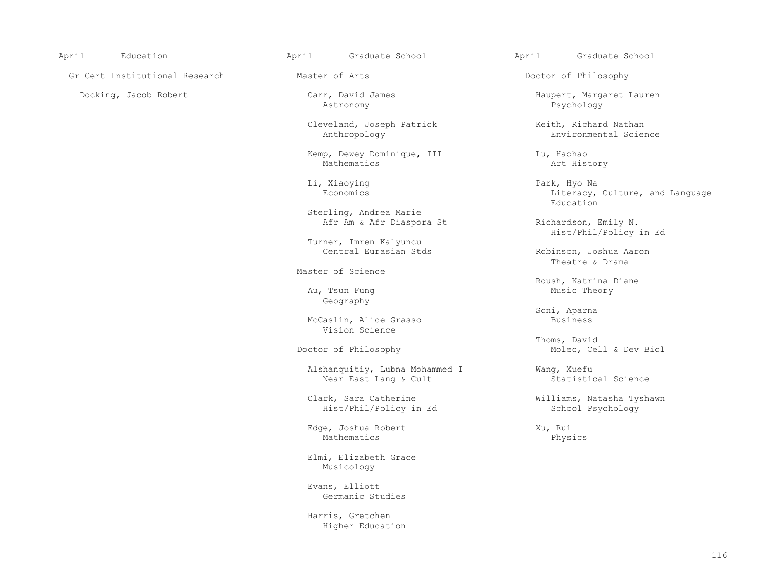Gr Cert Institutional Research Master of Arts and Doctor of Philosophy

Astronomy Psychology

Cleveland, Joseph Patrick (Keith, Richard Nathan Anthropology (Keith, Richard Nathan Anthropology

Kemp, Dewey Dominique, III and Lu, Haohao<br>Mathematics art History Mathematics Art History

 Sterling, Andrea Marie Afr Am & Afr Diaspora St Richardson, Emily N.

Turner, Imren Kalyuncu

Master of Science

 Au, Tsun Fung Music Theory Geography

> McCaslin, Alice Grasso Business Vision Science

Alshanquitiy, Lubna Mohammed I Wang, Xuefu<br>Near East Lang & Cult Statistical Science Near East Lang & Cult

Hist/Phil/Policy in Ed

Edge, Joshua Robert Xu, Rui Xu, Rui Mathematics Physics Mathematics Physics

> Elmi, Elizabeth Grace Musicology

 Evans, Elliott Germanic Studies

 Harris, Gretchen Higher Education

April Education April Graduate School April Graduate School

Docking, Jacob Robert Carr, David James<br>
Astronomy Carr, David James<br>
Astronomy Carr, David James<br>
Psychology Pastronomy Pastronomy Pastronomy Pastronomy Pastronomy Pastronomy Pastronomy

Environmental Science

 Li, Xiaoying Park, Hyo Na Economics Economics Literacy, Culture, and Language Education Education

Hist/Phil/Policy in Ed

Robinson, Joshua Aaron<br>Theatre & Drama Theatre & Drama

Roush, Katrina Diane<br>
Roush, Katrina Diane<br>
Music Theory

Soni, Aparna

 Thoms, David Doctor of Philosophy Molec, Cell & Dev Biol

Clark, Sara Catherine **Williams, Natasha Tyshawn**<br>
Hist/Phil/Policy in Ed Mischool Psychology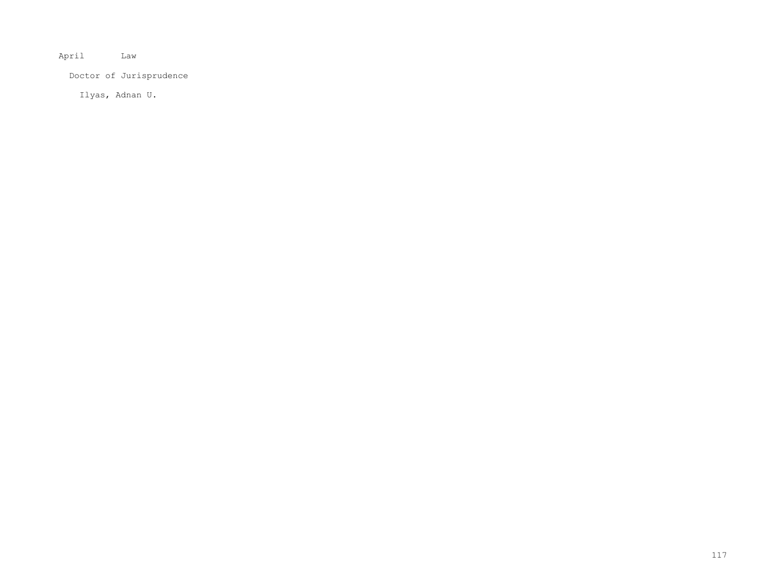April Law

Doctor of Jurisprudence

Ilyas, Adnan U.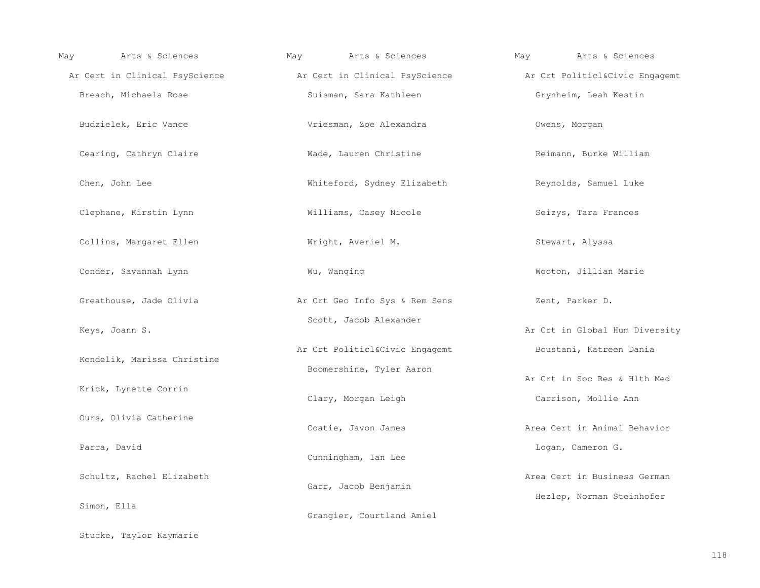| Arts & Sciences<br>May      | Arts & Sciences<br>May                                                                       | Arts & Sciences<br>May         |
|-----------------------------|----------------------------------------------------------------------------------------------|--------------------------------|
|                             | Ar Cert in Clinical PsyScience Ar Cert in Clinical PsyScience Ar Crt Politicl&Civic Engagemt |                                |
| Breach, Michaela Rose       | Suisman, Sara Kathleen                                                                       | Grynheim, Leah Kestin          |
| Budzielek, Eric Vance       | Vriesman, Zoe Alexandra                                                                      | Owens, Morgan                  |
| Cearing, Cathryn Claire     | Wade, Lauren Christine                                                                       | Reimann, Burke William         |
| Chen, John Lee              | Whiteford, Sydney Elizabeth                                                                  | Reynolds, Samuel Luke          |
| Clephane, Kirstin Lynn      | Williams, Casey Nicole                                                                       | Seizys, Tara Frances           |
| Collins, Margaret Ellen     | Wright, Averiel M.                                                                           | Stewart, Alyssa                |
| Conder, Savannah Lynn       | Wu, Wanqing                                                                                  | Wooton, Jillian Marie          |
| Greathouse, Jade Olivia     | Ar Crt Geo Info Sys & Rem Sens                                                               | Zent, Parker D.                |
| Keys, Joann S.              | Scott, Jacob Alexander                                                                       | Ar Crt in Global Hum Diversity |
| Kondelik, Marissa Christine | Ar Crt Politicl&Civic Engagemt                                                               | Boustani, Katreen Dania        |
|                             | Boomershine, Tyler Aaron                                                                     | Ar Crt in Soc Res & Hlth Med   |
| Krick, Lynette Corrin       | Clary, Morgan Leigh                                                                          | Carrison, Mollie Ann           |
| Ours, Olivia Catherine      | Coatie, Javon James                                                                          | Area Cert in Animal Behavior   |
| Parra, David                | Cunningham, Ian Lee                                                                          | Logan, Cameron G.              |
| Schultz, Rachel Elizabeth   | Garr, Jacob Benjamin                                                                         | Area Cert in Business German   |
| Simon, Ella                 | Grangier, Courtland Amiel                                                                    | Hezlep, Norman Steinhofer      |

Stucke, Taylor Kaymarie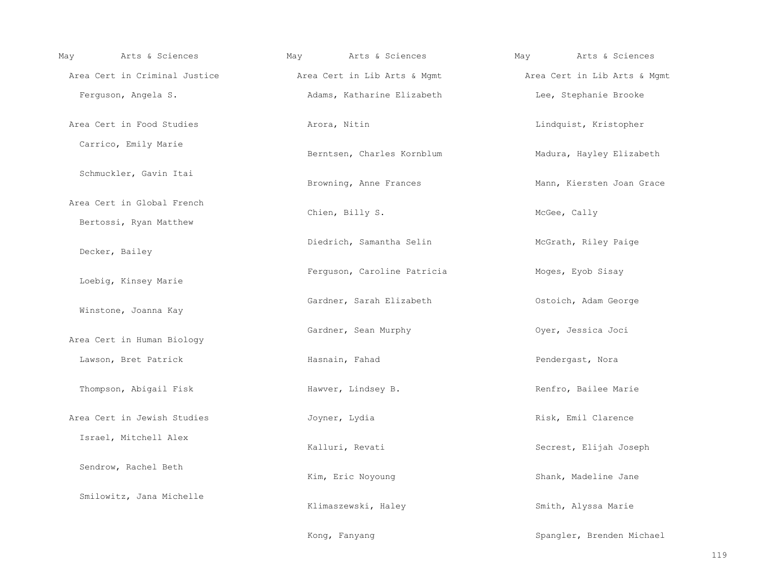| May | Arts & Sciences                                      | May | Arts & Sciences              | May | Arts & Sciences              |
|-----|------------------------------------------------------|-----|------------------------------|-----|------------------------------|
|     | Area Cert in Criminal Justice                        |     | Area Cert in Lib Arts & Mgmt |     | Area Cert in Lib Arts & Mgmt |
|     | Ferguson, Angela S.                                  |     | Adams, Katharine Elizabeth   |     | Lee, Stephanie Brooke        |
|     | Area Cert in Food Studies                            |     | Arora, Nitin                 |     | Lindquist, Kristopher        |
|     | Carrico, Emily Marie                                 |     | Berntsen, Charles Kornblum   |     | Madura, Hayley Elizabeth     |
|     | Schmuckler, Gavin Itai                               |     | Browning, Anne Frances       |     | Mann, Kiersten Joan Grace    |
|     | Area Cert in Global French<br>Bertossi, Ryan Matthew |     | Chien, Billy S.              |     | McGee, Cally                 |
|     | Decker, Bailey                                       |     | Diedrich, Samantha Selin     |     | McGrath, Riley Paige         |
|     | Loebig, Kinsey Marie                                 |     | Ferguson, Caroline Patricia  |     | Moges, Eyob Sisay            |
|     | Winstone, Joanna Kay                                 |     | Gardner, Sarah Elizabeth     |     | Ostoich, Adam George         |
|     | Area Cert in Human Biology                           |     | Gardner, Sean Murphy         |     | Oyer, Jessica Joci           |
|     | Lawson, Bret Patrick                                 |     | Hasnain, Fahad               |     | Pendergast, Nora             |
|     | Thompson, Abigail Fisk                               |     | Hawver, Lindsey B.           |     | Renfro, Bailee Marie         |
|     | Area Cert in Jewish Studies                          |     | Joyner, Lydia                |     | Risk, Emil Clarence          |
|     | Israel, Mitchell Alex                                |     | Kalluri, Revati              |     | Secrest, Elijah Joseph       |
|     | Sendrow, Rachel Beth                                 |     | Kim, Eric Noyoung            |     | Shank, Madeline Jane         |
|     | Smilowitz, Jana Michelle                             |     | Klimaszewski, Haley          |     | Smith, Alyssa Marie          |
|     |                                                      |     | Kong, Fanyang                |     | Spangler, Brenden Michael    |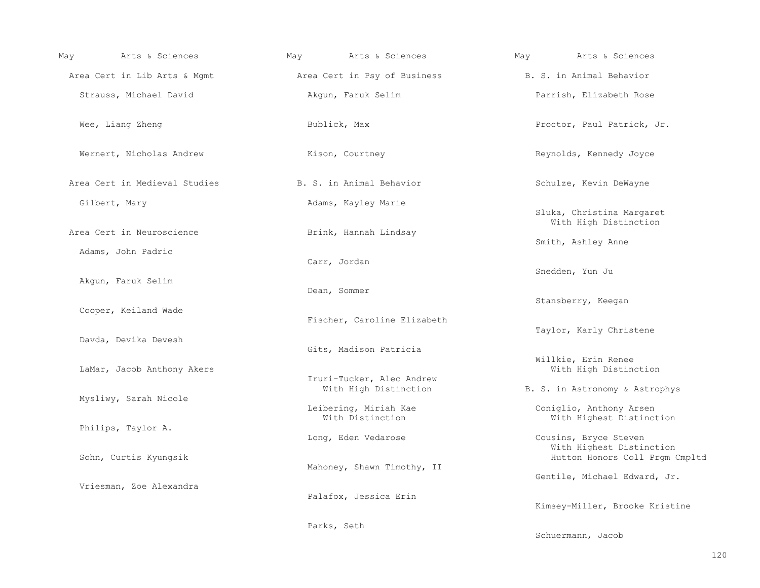| Arts & Sciences<br>May        | May          | Arts & Sciences                           | May | Arts & Sciences                                                                     |
|-------------------------------|--------------|-------------------------------------------|-----|-------------------------------------------------------------------------------------|
| Area Cert in Lib Arts & Mgmt  |              | Area Cert in Psy of Business              |     | B. S. in Animal Behavior                                                            |
| Strauss, Michael David        |              | Akqun, Faruk Selim                        |     | Parrish, Elizabeth Rose                                                             |
| Wee, Liang Zheng              | Bublick, Max |                                           |     | Proctor, Paul Patrick, Jr.                                                          |
| Wernert, Nicholas Andrew      |              | Kison, Courtney                           |     | Reynolds, Kennedy Joyce                                                             |
| Area Cert in Medieval Studies |              | B. S. in Animal Behavior                  |     | Schulze, Kevin DeWayne                                                              |
| Gilbert, Mary                 |              | Adams, Kayley Marie                       |     | Sluka, Christina Margaret<br>With High Distinction                                  |
| Area Cert in Neuroscience     |              | Brink, Hannah Lindsay                     |     | Smith, Ashley Anne                                                                  |
| Adams, John Padric            | Carr, Jordan |                                           |     | Snedden, Yun Ju                                                                     |
| Akgun, Faruk Selim            | Dean, Sommer |                                           |     |                                                                                     |
| Cooper, Keiland Wade          |              | Fischer, Caroline Elizabeth               |     | Stansberry, Keegan                                                                  |
| Davda, Devika Devesh          |              | Gits, Madison Patricia                    |     | Taylor, Karly Christene                                                             |
| LaMar, Jacob Anthony Akers    |              | Iruri-Tucker, Alec Andrew                 |     | Willkie, Erin Renee<br>With High Distinction                                        |
| Mysliwy, Sarah Nicole         |              | With High Distinction                     |     | B. S. in Astronomy & Astrophys                                                      |
| Philips, Taylor A.            |              | Leibering, Miriah Kae<br>With Distinction |     | Coniglio, Anthony Arsen<br>With Highest Distinction                                 |
| Sohn, Curtis Kyungsik         |              | Long, Eden Vedarose                       |     | Cousins, Bryce Steven<br>With Highest Distinction<br>Hutton Honors Coll Prgm Cmpltd |
|                               |              | Mahoney, Shawn Timothy, II                |     | Gentile, Michael Edward, Jr.                                                        |
| Vriesman, Zoe Alexandra       |              | Palafox, Jessica Erin                     |     | Kimsey-Miller, Brooke Kristine                                                      |
|                               | Parks, Seth  |                                           |     |                                                                                     |
|                               |              |                                           |     | Schuermann, Jacob                                                                   |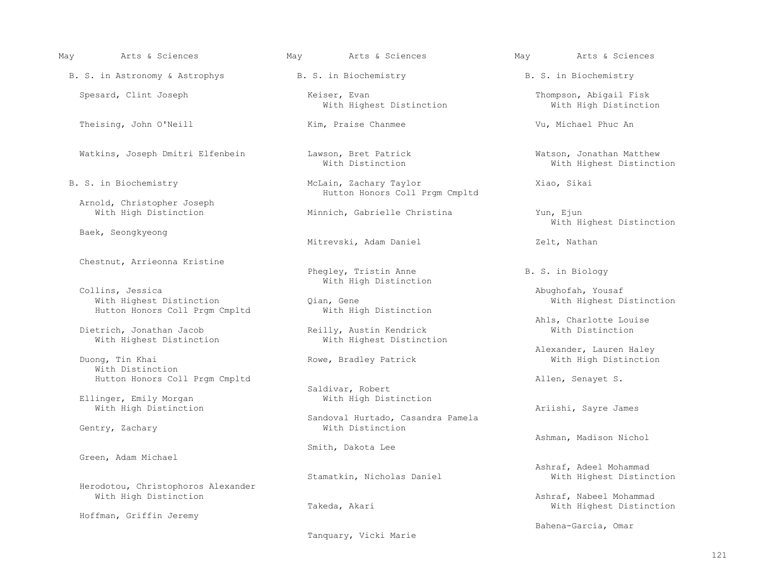B. S. in Astronomy & Astrophys B. S. in Biochemistry B. S. in Biochemistry

Theising, John O'Neill **Kim, Praise Chanmee** Vu, Michael Phuc An

Arnold, Christopher Joseph

Baek, Seongkyeong

Chestnut, Arrieonna Kristine

Collins, Jessica and Miller and Michael Michael Michael Michael Michael Michael Michael Michael Michael Michael Michael Michael Michael Michael Michael Michael Michael Michael Michael Michael Michael Michael Michael Michae With Highest Distinction<br>
Hutton Honors Coll Prgm Cmpltd Mith High Distinction Hutton Honors Coll Prgm Cmpltd

Dietrich, Jonathan Jacob Reilly, Austin Kendrick<br>With Highest Distinction With Highest Distinction With Highest Distinction

 With Distinction Hutton Honors Coll Prgm Cmpltd Allen, Senayet S.

Ellinger, Emily Morgan With High Distinction and the Mathematic Sayre James Ariishi, Sayre James

Gentry, Zachary

Green, Adam Michael

Herodotou, Christophoros Alexander

Hoffman, Griffin Jeremy

Spesard, Clint Joseph Thompson, Abigail Fisk Keiser, Evan Thompson, Abigail Fisk Thompson, Abigail Fisk Thompson, Abigail Fisk Thompson, Abigail Fisk Thompson, Abigail Fisk Thompson, Abigail Fisk Thompson, Abigail Fisk Tho With Highest Distinction

B. S. in Biochemistry The McLain, Zachary Taylor The McLain, Xiao, Sikai Hutton Honors Coll Prgm Cmpltd

Minnich, Gabrielle Christina Yun, Ejun

Mitrevski, Adam Daniel Zelt, Nathan

Phegley, Tristin Anne B. S. in Biology

Rowe, Bradley Patrick

Saldivar, Robert<br>With High Distinction

Sandoval Hurtado, Casandra Pamela

Smith, Dakota Lee

Stamatkin, Nicholas Daniel

Tanquary, Vicki Marie

May Arts & Sciences May Arts & Sciences May Arts & Sciences

Watkins, Joseph Dmitri Elfenbein Lawson, Bret Patrick and Matthew Watson, Jonathan Matthew With Highest Distinct With Highest Distinction

With Highest Distinction

Abughofah, Yousaf<br>Qian, Gene and The Collins, Mith Highest Distinction

Ahls, Charlotte Louise<br>
Reilly, Austin Kendrick<br>
With Distinction

Alexander, Lauren Haley

Ashman, Madison Nichol

Ashraf, Adeel Mohammad

Ashraf, Nabeel Mohammad Takeda, Akari With Highest Distinction

Bahena-Garcia, Omar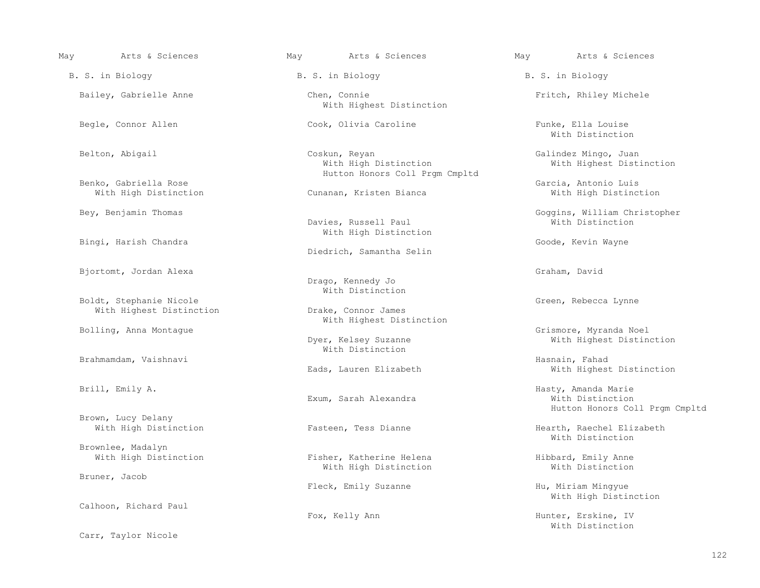Brown, Lucy Delany<br>With High Distinction

With Highest Distinction

Brownlee, Madalyn

Bruner, Jacob

Calhoon, Richard Paul

Carr, Taylor Nicole

Bailey, Gabrielle Anne **Chen, Connie Chen, Connie** Fritch, Rhiley Michele With Highest Distinction

 Belton, Abigail Coskun, Reyan Galindez Mingo, Juan Hutton Honors Coll Prgm Cmpltd

Cunanan, Kristen Bianca

Davies, Russell Paul With High Distinction

Diedrich, Samantha Selin

 Drago, Kennedy Jo With Distinction

Boldt, Stephanie Nicole<br>With Highest Distinction (Green, Rebecca Lynne (Green, Rebecca Lynne (Green, Rebecca Lynne (Green, Rebecca Lynne With Highest Distinction

With Distinction

Exum, Sarah Alexandra

Fisher, Katherine Helena **Fisher, Katherine Helena** Hibbard, Emily Anne With Histinction With High Distinction

 May Arts & Sciences May Arts & Sciences May Arts & Sciences B. S. in Biology B. S. in Biology B. S. in Biology

Begle, Connor Allen Cook, Olivia Caroline Funke, Ella Louise<br>With Distinction With Distinction

With Highest Distinction

Benko, Gabriella Rose Garcia, Antonio Luis<br>With High Distinction Cunanan, Kristen Bianca Garcia, Antonio Luis Garcia, Antonio Luis

Bey, Benjamin Thomas Goggins, William Christopher

Bingi, Harish Chandra Goode, Kevin Wayne

Bjortomt, Jordan Alexa Graham, David

Bolling, Anna Montague and Communications of the Solling, Anna Montague and Society of the Society Annual Mort<br>Dyer, Kelsey Suzanne and Communications and Mith Highest Distin With Highest Distinction

 Brahmamdam, Vaishnavi Hasnain, Fahad With Highest Distinction

 Brill, Emily A. Hasty, Amanda Marie Hutton Honors Coll Prgm Cmpltd

Fasteen, Tess Dianne **Hearth, Raechel Elizabeth**<br>
With Distinction With Distinction

Fleck, Emily Suzanne Hu, Miriam Mingyue With High Distinction

Fox, Kelly Ann Hunter, Erskine, IV Hunter, Erskine, IV Hunter, Erskine, IV With Distinction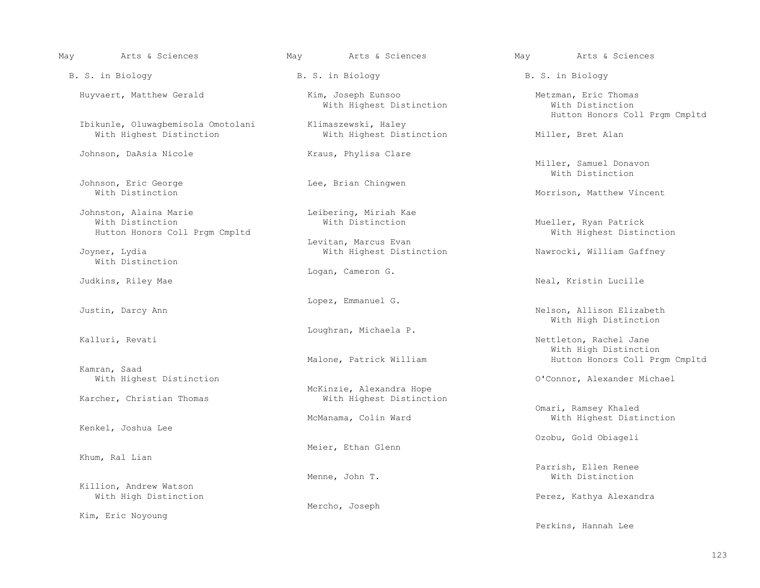| May | Arts & Sciences                                                              | May Marts & Sciences                                              | May <b>Arts &amp; Sciences</b>                                             |
|-----|------------------------------------------------------------------------------|-------------------------------------------------------------------|----------------------------------------------------------------------------|
|     | B. S. in Biology                                                             | B. S. in Biology                                                  | B. S. in Biology                                                           |
|     | Huyvaert, Matthew Gerald                                                     | Kim, Joseph Eunsoo<br>With Highest Distinction                    | Metzman, Eric Thomas<br>With Distinction<br>Hutton Honors Coll Prgm Cmpltd |
|     | Ibikunle, Oluwaqbemisola Omotolani<br>With Highest Distinction               | Klimaszewski, Haley<br>With Highest Distinction                   | Miller, Bret Alan                                                          |
|     | Johnson, DaAsia Nicole                                                       | Kraus, Phylisa Clare                                              | Miller, Samuel Donavon<br>With Distinction                                 |
|     | Johnson, Eric George<br>With Distinction                                     | Lee, Brian Chingwen                                               | Morrison, Matthew Vincent                                                  |
|     | Johnston, Alaina Marie<br>With Distinction<br>Hutton Honors Coll Prgm Cmpltd | Leibering, Miriah Kae<br>With Distinction<br>Levitan, Marcus Evan | Mueller, Ryan Patrick<br>With Highest Distinction                          |
|     | Joyner, Lydia<br>With Distinction                                            | With Highest Distinction                                          | Nawrocki, William Gaffney                                                  |
|     | Judkins, Riley Mae                                                           | Logan, Cameron G.                                                 | Neal, Kristin Lucille                                                      |
|     | Justin, Darcy Ann                                                            | Lopez, Emmanuel G.                                                | Nelson, Allison Elizabeth<br>With High Distinction                         |
|     | Kalluri, Revati                                                              | Loughran, Michaela P.                                             | Nettleton, Rachel Jane<br>With High Distinction                            |
|     | Kamran, Saad<br>With Highest Distinction                                     | Malone, Patrick William                                           | Hutton Honors Coll Prgm Cmpltd<br>O'Connor, Alexander Michael              |
|     | Karcher, Christian Thomas                                                    | McKinzie, Alexandra Hope<br>With Highest Distinction              |                                                                            |
|     | Kenkel, Joshua Lee                                                           | McManama, Colin Ward                                              | Omari, Ramsey Khaled<br>With Highest Distinction                           |
|     |                                                                              | Meier, Ethan Glenn                                                | Ozobu, Gold Obiageli                                                       |
|     | Khum, Ral Lian                                                               | Menne, John T.                                                    | Parrish, Ellen Renee<br>With Distinction                                   |
|     | Killion, Andrew Watson<br>With High Distinction                              | Mercho, Joseph                                                    | Perez, Kathya Alexandra                                                    |
|     | Kim, Eric Noyoung                                                            |                                                                   | Perkins, Hannah Lee                                                        |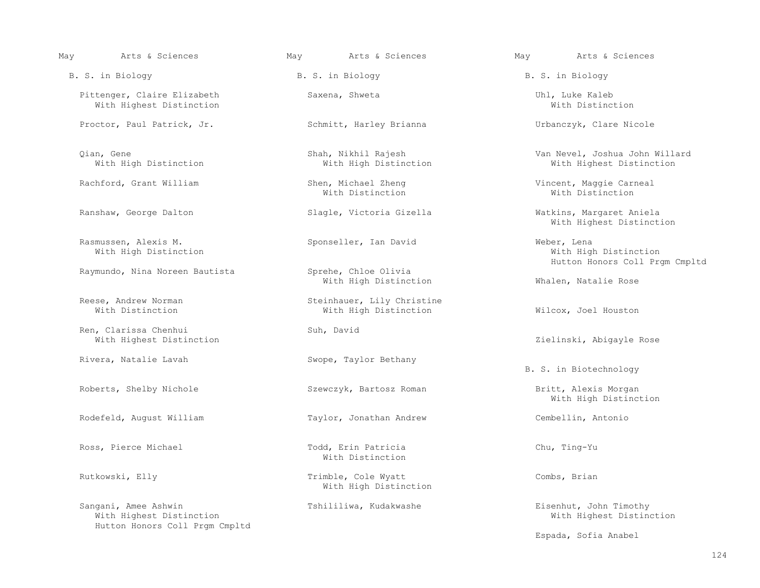| May | Arts & Sciences                                                                    | May | Arts & Sciences                                     | May | Arts & Sciences                                                        |
|-----|------------------------------------------------------------------------------------|-----|-----------------------------------------------------|-----|------------------------------------------------------------------------|
|     | B. S. in Biology                                                                   |     | B. S. in Biology                                    |     | B. S. in Biology                                                       |
|     | Pittenger, Claire Elizabeth<br>With Highest Distinction                            |     | Saxena, Shweta                                      |     | Uhl, Luke Kaleb<br>With Distinction                                    |
|     | Proctor, Paul Patrick, Jr.                                                         |     | Schmitt, Harley Brianna                             |     | Urbanczyk, Clare Nicole                                                |
|     | Qian, Gene<br>With High Distinction                                                |     | Shah, Nikhil Rajesh<br>With High Distinction        |     | Van Nevel, Joshua John Willard<br>With Highest Distinction             |
|     | Rachford, Grant William                                                            |     | Shen, Michael Zheng<br>With Distinction             |     | Vincent, Maggie Carneal<br>With Distinction                            |
|     | Ranshaw, George Dalton                                                             |     | Slagle, Victoria Gizella                            |     | Watkins, Margaret Aniela<br>With Highest Distinction                   |
|     | Rasmussen, Alexis M.<br>With High Distinction                                      |     | Sponseller, Ian David                               |     | Weber, Lena<br>With High Distinction<br>Hutton Honors Coll Prgm Cmpltd |
|     | Raymundo, Nina Noreen Bautista                                                     |     | Sprehe, Chloe Olivia<br>With High Distinction       |     | Whalen, Natalie Rose                                                   |
|     | Reese, Andrew Norman<br>With Distinction                                           |     | Steinhauer, Lily Christine<br>With High Distinction |     | Wilcox, Joel Houston                                                   |
|     | Ren, Clarissa Chenhui<br>With Highest Distinction                                  |     | Suh, David                                          |     | Zielinski, Abigayle Rose                                               |
|     | Rivera, Natalie Lavah                                                              |     | Swope, Taylor Bethany                               |     | B. S. in Biotechnology                                                 |
|     | Roberts, Shelby Nichole                                                            |     | Szewczyk, Bartosz Roman                             |     | Britt, Alexis Morgan<br>With High Distinction                          |
|     | Rodefeld, August William                                                           |     | Taylor, Jonathan Andrew                             |     | Cembellin, Antonio                                                     |
|     | Ross, Pierce Michael                                                               |     | Todd, Erin Patricia<br>With Distinction             |     | Chu, Ting-Yu                                                           |
|     | Rutkowski, Elly                                                                    |     | Trimble, Cole Wyatt<br>With High Distinction        |     | Combs, Brian                                                           |
|     | Sangani, Amee Ashwin<br>With Highest Distinction<br>Hutton Honors Coll Prgm Cmpltd |     | Tshililiwa, Kudakwashe                              |     | Eisenhut, John Timothy<br>With Highest Distinction                     |
|     |                                                                                    |     |                                                     |     | Espada, Sofia Anabel                                                   |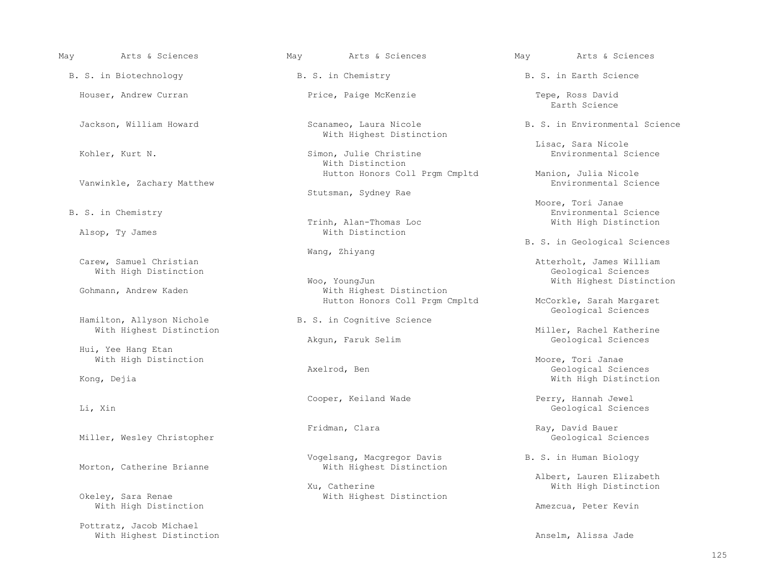B. S. in Biotechnology **B. S. in Chemistry** B. S. in Earth Science

Vanwinkle, Zachary Matthew

Alsop, Ty James

Carew, Samuel Christian end Carew, Samuel Christian With High Distinction<br>Woo, YoungJun

Hamilton, Allyson Nichole (B. S. in Cognitive Science) (Geological Sciences

Hui, Yee Hang Etan

Miller, Wesley Christopher

With High Distinction and the Mathematic Section Amezcua, Peter Kevin

 Pottratz, Jacob Michael With Highest Distinction and the Mathematic Section Anselm, Alissa Jade

With Highest Distinction

Simon, Julie Christine With Distinction

Stutsman, Sydney Rae

Trinh, Alan-Thomas Loc<br>With Distinction

Woo, YoungJun Woor WoungJun Woose Woors and Mith Highest Distinction<br>With Highest Distinction With Highest Distinction With Highest Distinction Hutton Honors Coll Prgm Cmpltd McCorkle, Sarah Margaret

B. S. in Cognitive Science

Cooper, Keiland Wade **Perry, Hannah Jewel** 

 Vogelsang, Macgregor Davis B. S. in Human Biology With Highest Distinction

Xu, Catherine Mith High Distinction Mith High Distinction Mith High Distinction With High Distinction With Highest Distinction

May Arts & Sciences May Arts & Sciences May Arts & Sciences

Houser, Andrew Curran Tepe, Price, Paige McKenzie Tepe, Ross David Tepe, Ross David Barth Science end the state of the state of the state of the state of the state of the state of the state of the state of the state of the state of the state of the state of the state of the state of the state of the state of the state

Jackson, William Howard Scanameo, Laura Nicole B. S. in Environmental Science

External Simon, Julie Christine (England School and Tisac, Sara Nicole and Science Simon, Julie Christine (England Science And Tisac, Sara Nicole and Science Simon, Julie Christine and Science and Tisac, Sara Nicole and Sc

Hutton Honors Coll Prgm Cmpltd Manion, Julia Nicole<br>Environmental Science

 Moore, Tori Janae B. S. in Chemistry **Environmental Science**<br>Trinh, Alan-Thomas Loc **Environmental Science**<br>With High Distinction

B. S. in Geological Sciences

Atterholt, James William<br>Geological Sciences

With Highest Distinction and Miller, Rachel Katherine Miller, Rachel Katherine Miller, Rachel Katherine and Miller, Rachel Katherine and Miller, Rachel Katherine and Miller, Rachel Katherine and Miller, Rachel Katherine an Geological Sciences

With High Distinction and Moore, Tori Janae Moore, Tori Janae Moore, Tori Janae Moore, Tori Janae Moore, Tori<br>Axelrod, Ben Axelrod, Ben and Communicated Sciences (Geological Sciences and Axelrod, Ben and Communicated Sciences (Geological Sciences and Axelrod, Ben and Communicated Sciences (Geological Sciences and Mith High Distinctional Scienc With High Distinction

Li, Xin Geological Sciences

Fridman, Clara (1999) Ray, David Bauer (1999) Ray, David Bauer (1999) Ray, David Bauer (1999) Ray, David Bauer (1999) Ray, David Bauer (1999) Ray, David Bauer (1999) Ray, David Bauer (1999) Ray, David Bauer (1999) Ray, Dav

Albert, Lauren Elizabeth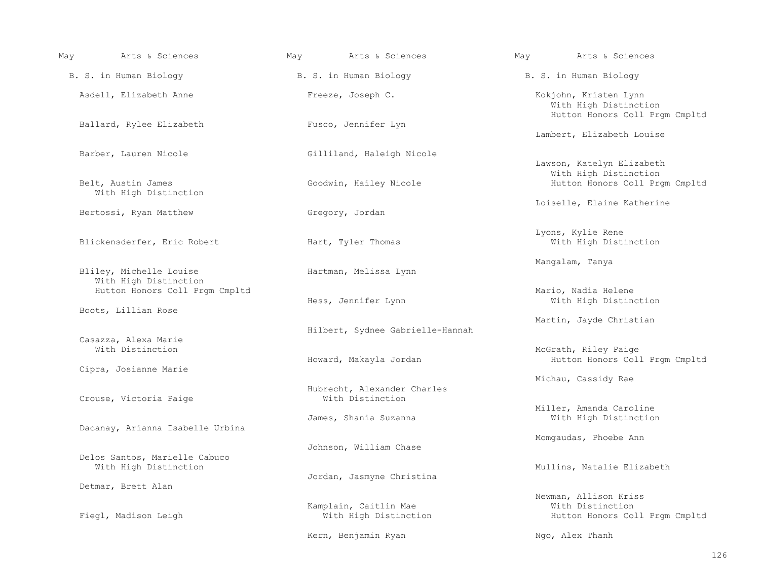| May | Arts & Sciences                                        | May Mats & Sciences                             | May Marts & Sciences                                                             |
|-----|--------------------------------------------------------|-------------------------------------------------|----------------------------------------------------------------------------------|
|     | B. S. in Human Biology                                 | B. S. in Human Biology                          | B. S. in Human Biology                                                           |
|     | Asdell, Elizabeth Anne                                 | Freeze, Joseph C.                               | Kokjohn, Kristen Lynn<br>With High Distinction<br>Hutton Honors Coll Prgm Cmpltd |
|     | Ballard, Rylee Elizabeth                               | Fusco, Jennifer Lyn                             | Lambert, Elizabeth Louise                                                        |
|     | Barber, Lauren Nicole                                  | Gilliland, Haleigh Nicole                       | Lawson, Katelyn Elizabeth                                                        |
|     | Belt, Austin James<br>With High Distinction            | Goodwin, Hailey Nicole                          | With High Distinction<br>Hutton Honors Coll Prgm Cmpltd                          |
|     | Bertossi, Ryan Matthew                                 | Gregory, Jordan                                 | Loiselle, Elaine Katherine                                                       |
|     | Blickensderfer, Eric Robert                            | Hart, Tyler Thomas                              | Lyons, Kylie Rene<br>With High Distinction                                       |
|     | Bliley, Michelle Louise<br>With High Distinction       | Hartman, Melissa Lynn                           | Mangalam, Tanya                                                                  |
|     | Hutton Honors Coll Prgm Cmpltd                         | Hess, Jennifer Lynn                             | Mario, Nadia Helene<br>With High Distinction                                     |
|     | Boots, Lillian Rose                                    | Hilbert, Sydnee Gabrielle-Hannah                | Martin, Jayde Christian                                                          |
|     | Casazza, Alexa Marie<br>With Distinction               | Howard, Makayla Jordan                          | McGrath, Riley Paige<br>Hutton Honors Coll Prgm Cmpltd                           |
|     | Cipra, Josianne Marie                                  |                                                 | Michau, Cassidy Rae                                                              |
|     | Crouse, Victoria Paige                                 | Hubrecht, Alexander Charles<br>With Distinction |                                                                                  |
|     | Dacanay, Arianna Isabelle Urbina                       | James, Shania Suzanna                           | Miller, Amanda Caroline<br>With High Distinction                                 |
|     |                                                        | Johnson, William Chase                          | Momgaudas, Phoebe Ann                                                            |
|     | Delos Santos, Marielle Cabuco<br>With High Distinction | Jordan, Jasmyne Christina                       | Mullins, Natalie Elizabeth                                                       |
|     | Detmar, Brett Alan                                     |                                                 | Newman, Allison Kriss                                                            |
|     | Fiegl, Madison Leigh                                   | Kamplain, Caitlin Mae<br>With High Distinction  | With Distinction<br>Hutton Honors Coll Prgm Cmpltd                               |
|     |                                                        | Kern, Benjamin Ryan                             | Ngo, Alex Thanh                                                                  |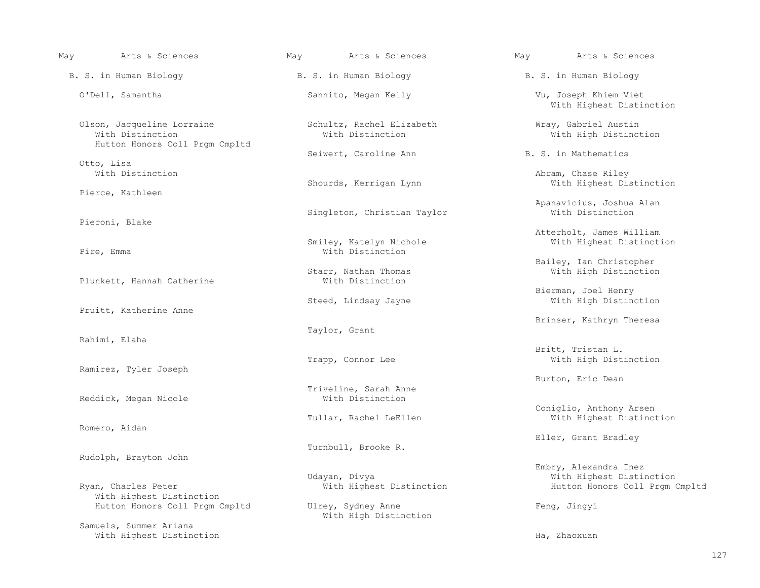| Arts & Sciences<br>May                                                           | May<br>Arts & Sciences                        | May<br>Arts & Sciences                                                              |
|----------------------------------------------------------------------------------|-----------------------------------------------|-------------------------------------------------------------------------------------|
| B. S. in Human Biology                                                           | B. S. in Human Biology                        | B. S. in Human Biology                                                              |
| O'Dell, Samantha                                                                 | Sannito, Megan Kelly                          | Vu, Joseph Khiem Viet<br>With Highest Distinction                                   |
| Olson, Jacqueline Lorraine<br>With Distinction<br>Hutton Honors Coll Prgm Cmpltd | Schultz, Rachel Elizabeth<br>With Distinction | Wray, Gabriel Austin<br>With High Distinction                                       |
| Otto, Lisa                                                                       | Seiwert, Caroline Ann                         | B. S. in Mathematics                                                                |
| With Distinction<br>Pierce, Kathleen                                             | Shourds, Kerrigan Lynn                        | Abram, Chase Riley<br>With Highest Distinction                                      |
| Pieroni, Blake                                                                   | Singleton, Christian Taylor                   | Apanavicius, Joshua Alan<br>With Distinction                                        |
| Pire, Emma                                                                       | Smiley, Katelyn Nichole<br>With Distinction   | Atterholt, James William<br>With Highest Distinction                                |
| Plunkett, Hannah Catherine                                                       | Starr, Nathan Thomas<br>With Distinction      | Bailey, Ian Christopher<br>With High Distinction                                    |
| Pruitt, Katherine Anne                                                           | Steed, Lindsay Jayne                          | Bierman, Joel Henry<br>With High Distinction                                        |
| Rahimi, Elaha                                                                    | Taylor, Grant                                 | Brinser, Kathryn Theresa                                                            |
| Ramirez, Tyler Joseph                                                            | Trapp, Connor Lee                             | Britt, Tristan L.<br>With High Distinction                                          |
| Reddick, Megan Nicole                                                            | Triveline, Sarah Anne<br>With Distinction     | Burton, Eric Dean                                                                   |
| Romero, Aidan                                                                    | Tullar, Rachel LeEllen                        | Coniglio, Anthony Arsen<br>With Highest Distinction                                 |
|                                                                                  | Turnbull, Brooke R.                           | Eller, Grant Bradley                                                                |
| Rudolph, Brayton John<br>Ryan, Charles Peter                                     | Udayan, Divya<br>With Highest Distinction     | Embry, Alexandra Inez<br>With Highest Distinction<br>Hutton Honors Coll Prgm Cmpltd |
| With Highest Distinction<br>Hutton Honors Coll Prgm Cmpltd                       | Ulrey, Sydney Anne<br>With High Distinction   | Feng, Jingyi                                                                        |
| Samuels, Summer Ariana<br>With Highest Distinction                               |                                               | Ha, Zhaoxuan                                                                        |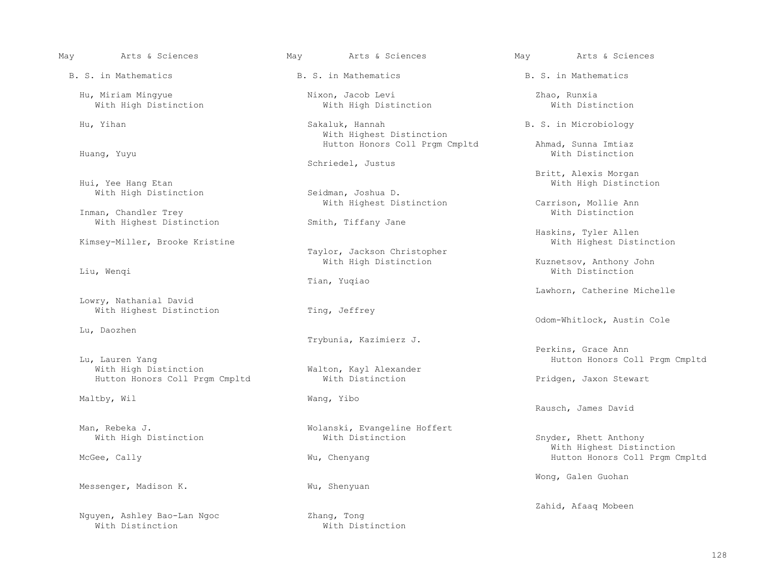- B. S. in Mathematics B. S. in Mathematics B. S. in Mathematics
	-
	-
	-
	- With High Distinction
	- Inman, Chandler Trey<br>With Highest Distinction Mith, Tiffany Jane With Highest Distinction
	- Kimsey-Miller, Brooke Kristine
	-
	- Lowry, Nathanial David With Highest Distinction Ting, Jeffrey
	- Lu, Daozhen
	- Lu, Lauren Yang Manton Anne Malton, Kayl Alexander Mith Honors Coll Prgm Cmpltd Mith High Distinction Malton Malton, Kayl Alexander Mith Honors Coll Prgm Cmpltd Hutton Honors Coll Prgm Cmpltd With Distinction Pridgen, Jaxon Stewart
	- Maltby, Wil Wang, Yibo
	-
	-
	- Messenger, Madison K.
	- Nguyen, Ashley Bao-Lan Ngoc<br>With Distinction
- May Arts & Sciences May Arts & Sciences May Arts & Sciences
	-
	- Hu, Miriam Mingyue Nixon, Jacob Levi Zhao, Runxia With High Distinction
	- Hu, Yihan Sakaluk, Hannah B. S. in Microbiology With Highest Distinction
		- Schriedel, Justus
		-
		-
		- Taylor, Jackson Christopher<br>With High Distinction
		- Tian, Yuqiao
		-
		- Trybunia, Kazimierz J.
		- Walton, Kayl Alexander<br>With Distinction
		-
	- Man, Rebeka J.<br>With High Distinction<br>With Distinction<br>With Distinction
		-
		-
		- With Distinction
- 
- -
- 
- Hutton Honors Coll Prgm Cmpltd Ahmad, Sunna Imtiaz<br>With Distinction Ahmad, Sunna Imtiaz Huang, Yuyu With Distinction
	- Britt, Alexis Morgan (1999) Britt, Alexis Morgan (1999) Britt, Alexis Morgan (1999) Britt, Alexis Morgan (1999) Britt, Alexis Morgan (1999) and the United States of the United States of Military (1999) and Military (1999) Seidman, Joshua D. (1999) With High Distinction Seidman, Joshua D.
		- With Highest Distinction Carrison, Mollie Ann<br>With Distinction
			- Haskins, Tyler Allen
- With High Distinction and Muslem Kuznetsov, Anthony John تbit With High Distinction و Kuznetsov, Anthony John المسافرة و Wenqi Liu, Wenqi With Distinction
	- Lawhorn, Catherine Michelle
	- Odom-Whitlock, Austin Cole
	- Perkins, Grace Ann
	-
	- Rausch, James David
	- Snyder, Rhett Anthony With Highest Distinction Wu, Chenyang **Hutton Honors Coll Prgm Cmpltd** 
		- Wong, Galen Guohan
		- Zhang, Tong and The Communications of the Cahid, Afaaq Mobeen<br>
		Zhang, Tong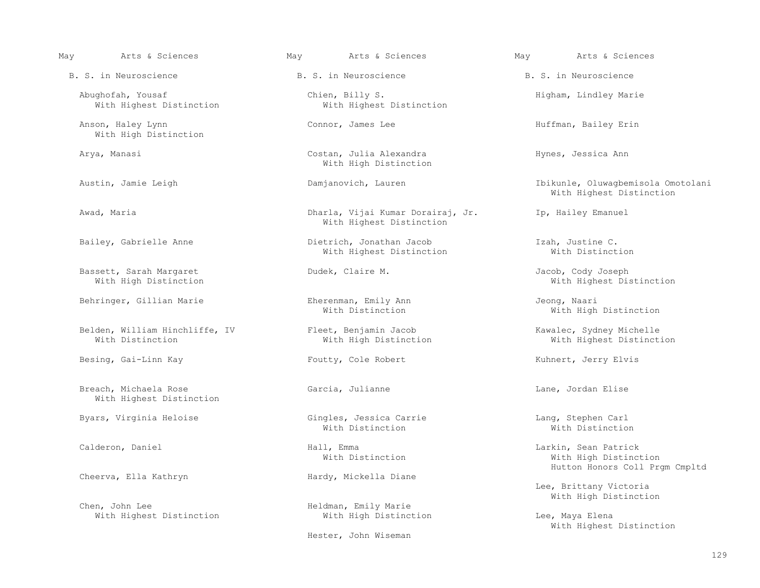Anson, Haley Lynn Connor, James Lee Huffman, Bailey Erin With High Distinction

With Highest Distinction

Bassett, Sarah Margaret Dudek, Claire M. Jacob, Cody Joseph

Belden, William Hinchliffe, IV Fleet, Benjamin Jacob Kawalec, Sydney Michelle

Besing, Gai-Linn Kay The Soutty, Cole Robert The Summert, Jerry Elvis

Breach, Michaela Rose and Garcia, Julianne and Lane, Jordan Elise With Highest Distinction

Cheerva, Ella Kathryn

Chen, John Lee Bartistic Chen, John Lee Bartistic Heldman, Emily Marie With High Distinction

Abughofah, Yousaf Chien, Billy S. Higham, Lindley Marie

 Arya, Manasi Costan, Julia Alexandra Hynes, Jessica Ann With High Distinction

 Awad, Maria Dharla, Vijai Kumar Dorairaj, Jr. Ip, Hailey Emanuel With Highest Distinction

 Bailey, Gabrielle Anne Dietrich, Jonathan Jacob Izah, Justine C. With Highest Distinction

Behringer, Gillian Marie Eherenman, Emily Ann ann Jeong, Naaringer, Gillian Marie Eherenman, Emily Ann ann Jeong, Naaringh

 Byars, Virginia Heloise Gingles, Jessica Carrie Lang, Stephen Carl With Distinction **With Distinction With Distinction** 

With Highest Distinction **With High Distinction** Lee, Maya Elena

Hester, John Wiseman

May Arts & Sciences May Arts & Sciences May Arts & Sciences

 Austin, Jamie Leigh Damjanovich, Lauren Ibikunle, Oluwagbemisola Omotolani With Highest Distinction

With Highest Distinction

With High Distinction

With Highest Distinction

 Calderon, Daniel Hall, Emma Larkin, Sean Patrick With High Distinction Hutton Honors Coll Prgm Cmpltd<br>
Hardy, Mickella Diane

> Lee, Brittany Victoria With High Distinction

With Highest Distinction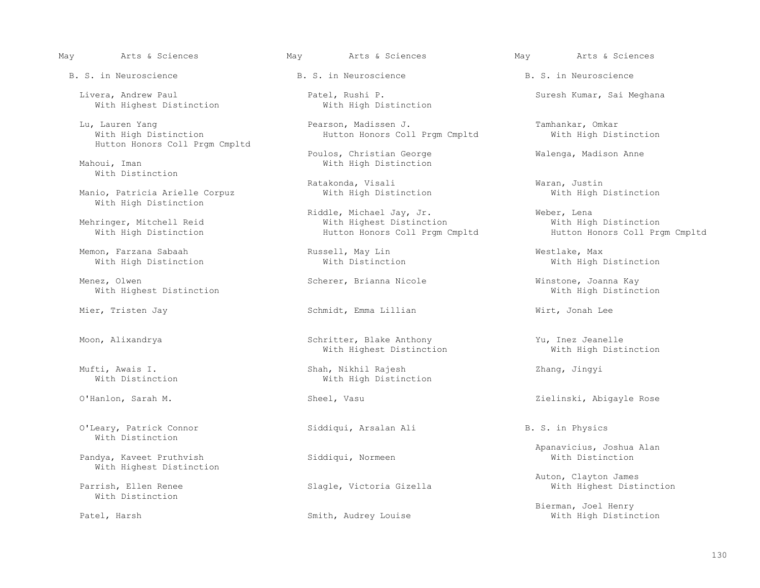B. S. in Neuroscience  $\begin{array}{ccc} \hbox{B. S. in Neuro} \\ \hbox{C. S.} \end{array}$  B. S. in Neuroscience  $\begin{array}{ccc} \hbox{B. S. in Neuro} \\ \hbox{D. S.} \end{array}$ 

Livera, Andrew Paul Patel, Rushi P. Suresh Kumar, Sai Meghana Nith Highest Distinction Nith High Distinction With Highest Distinction

Hutton Honors Coll Prgm Cmpltd

With Distinction

Manio, Patricia Arielle Corpuz With High Distinction

With High Distinction

Menez, Olwen Scherer, Brianna Nicole (Winstone, Joanna Kay (Winstone, Joanna Kay Scherer, Brianna Nicole (With High Distinction With Highest Distinction

O'Leary, Patrick Connor Siddiqui, Arsalan Ali B. S. in Physics With Distinction

Pandya, Kaveet Pruthvish With Highest Distinction

With Distinction

Lu, Lauren Yang Pearson, Madissen J. Pearson, Madissen J. Tamhankar, Omkar Pearson, Madissen J. Pearson, Madissen J. Pearson, Madissen J. Pearson, Madissen J. Pearson, Madissen J. Pearson, Mith High Distinction Mith High D Hutton Honors Coll Prgm Cmpltd

Poulos, Christian George Theorge Malenga, Madison Anne<br>
With High Distinction With High Distinction

 Riddle, Michael Jay, Jr. Weber, Lena inger, Mitchell Reid and Mith Highest Distinction and Mith High Distinction<br>Mith High Distinction With Hutton Honors Coll Pram Cmpltd and Hutton Honors Coll Pram Cmpltd Hutton Honors Coll Prgm Cmpltd

Mier, Tristen Jay **Schmidt, Emma Lillian** Wirt, Jonah Lee

 Moon, Alixandrya Schritter, Blake Anthony Yu, Inez Jeanelle With Highest Distinction

 Mufti, Awais I. Shah, Nikhil Rajesh Zhang, Jingyi With High Distinction

Slagle, Victoria Gizella

Ratakonda, Visali Waran, Justin<br>With High Distinction Mith High Distinction

Memon, Farzana Sabaah Russell, May Lin Westlake, Max

O'Hanlon, Sarah M. Sheel, Vasu Sheel, Vasu Zielinski, Abigayle Rose

Apanavicius, Joshua Alan<br>
Siddiqui, Normeen<br>
With Distinction

Auton, Clayton James

Bierman, Joel Henry (1999) Smith, Audrey Louise (1999) Bierman, Joel Henry (1999) Bierman, Joel Henry (1999) Smith, Audrey Louise (1999) (1999) Mith High Distino With High Distinction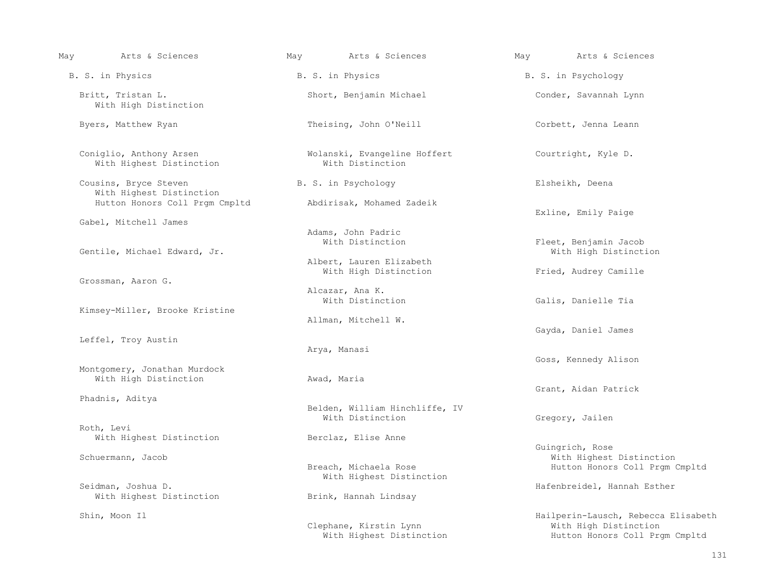| Arts & Sciences<br>May                                | May Marts & Sciences                               | May Marts & Sciences                                                                           |
|-------------------------------------------------------|----------------------------------------------------|------------------------------------------------------------------------------------------------|
| B. S. in Physics                                      | B. S. in Physics                                   | B. S. in Psychology                                                                            |
| Britt, Tristan L.<br>With High Distinction            | Short, Benjamin Michael                            | Conder, Savannah Lynn                                                                          |
| Byers, Matthew Ryan                                   | Theising, John O'Neill                             | Corbett, Jenna Leann                                                                           |
| Coniglio, Anthony Arsen<br>With Highest Distinction   | Wolanski, Evangeline Hoffert<br>With Distinction   | Courtright, Kyle D.                                                                            |
| Cousins, Bryce Steven<br>With Highest Distinction     | B. S. in Psychology                                | Elsheikh, Deena                                                                                |
| Hutton Honors Coll Prgm Cmpltd                        | Abdirisak, Mohamed Zadeik                          | Exline, Emily Paige                                                                            |
| Gabel, Mitchell James                                 | Adams, John Padric<br>With Distinction             | Fleet, Benjamin Jacob                                                                          |
| Gentile, Michael Edward, Jr.                          | Albert, Lauren Elizabeth<br>With High Distinction  | With High Distinction<br>Fried, Audrey Camille                                                 |
| Grossman, Aaron G.                                    | Alcazar, Ana K.                                    |                                                                                                |
| Kimsey-Miller, Brooke Kristine                        | With Distinction<br>Allman, Mitchell W.            | Galis, Danielle Tia                                                                            |
| Leffel, Troy Austin                                   |                                                    | Gayda, Daniel James                                                                            |
|                                                       | Arya, Manasi                                       | Goss, Kennedy Alison                                                                           |
| Montgomery, Jonathan Murdock<br>With High Distinction | Awad, Maria                                        | Grant, Aidan Patrick                                                                           |
| Phadnis, Aditya                                       | Belden, William Hinchliffe, IV<br>With Distinction | Gregory, Jailen                                                                                |
| Roth, Levi<br>With Highest Distinction                | Berclaz, Elise Anne                                | Guingrich, Rose                                                                                |
| Schuermann, Jacob                                     | Breach, Michaela Rose<br>With Highest Distinction  | With Highest Distinction<br>Hutton Honors Coll Prgm Cmpltd                                     |
| Seidman, Joshua D.<br>With Highest Distinction        | Brink, Hannah Lindsay                              | Hafenbreidel, Hannah Esther                                                                    |
| Shin, Moon Il                                         | Clephane, Kirstin Lynn<br>With Highest Distinction | Hailperin-Lausch, Rebecca Elisabeth<br>With High Distinction<br>Hutton Honors Coll Prgm Cmpltd |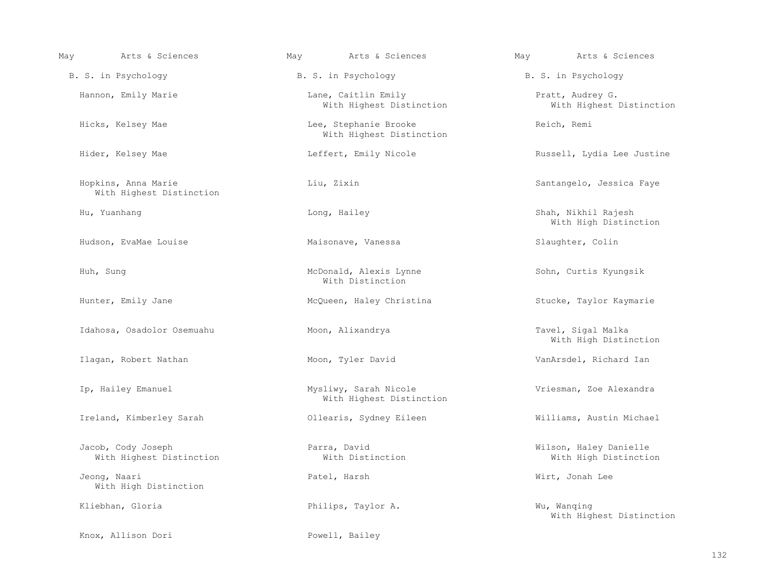| May | Arts & Sciences                                 | May | Arts & Sciences                                   | May | Arts & Sciences                                 |
|-----|-------------------------------------------------|-----|---------------------------------------------------|-----|-------------------------------------------------|
|     | B. S. in Psychology                             |     | B. S. in Psychology                               |     | B. S. in Psychology                             |
|     | Hannon, Emily Marie                             |     | Lane, Caitlin Emily<br>With Highest Distinction   |     | Pratt, Audrey G.<br>With Highest Distinction    |
|     | Hicks, Kelsey Mae                               |     | Lee, Stephanie Brooke<br>With Highest Distinction |     | Reich, Remi                                     |
|     | Hider, Kelsey Mae                               |     | Leffert, Emily Nicole                             |     | Russell, Lydia Lee Justine                      |
|     | Hopkins, Anna Marie<br>With Highest Distinction |     | Liu, Zixin                                        |     | Santangelo, Jessica Faye                        |
|     | Hu, Yuanhang                                    |     | Long, Hailey                                      |     | Shah, Nikhil Rajesh<br>With High Distinction    |
|     | Hudson, EvaMae Louise                           |     | Maisonave, Vanessa                                |     | Slaughter, Colin                                |
|     | Huh, Sung                                       |     | McDonald, Alexis Lynne<br>With Distinction        |     | Sohn, Curtis Kyungsik                           |
|     | Hunter, Emily Jane                              |     | McQueen, Haley Christina                          |     | Stucke, Taylor Kaymarie                         |
|     | Idahosa, Osadolor Osemuahu                      |     | Moon, Alixandrya                                  |     | Tavel, Sigal Malka<br>With High Distinction     |
|     | Ilagan, Robert Nathan                           |     | Moon, Tyler David                                 |     | VanArsdel, Richard Ian                          |
|     | Ip, Hailey Emanuel                              |     | Mysliwy, Sarah Nicole<br>With Highest Distinction |     | Vriesman, Zoe Alexandra                         |
|     | Ireland, Kimberley Sarah                        |     | Ollearis, Sydney Eileen                           |     | Williams, Austin Michael                        |
|     | Jacob, Cody Joseph<br>With Highest Distinction  |     | Parra, David<br>With Distinction                  |     | Wilson, Haley Danielle<br>With High Distinction |
|     | Jeong, Naari<br>With High Distinction           |     | Patel, Harsh                                      |     | Wirt, Jonah Lee                                 |
|     | Kliebhan, Gloria                                |     | Philips, Taylor A.                                |     | Wu, Wanqing<br>With Highest Distinction         |
|     | Knox, Allison Dori                              |     | Powell, Bailey                                    |     |                                                 |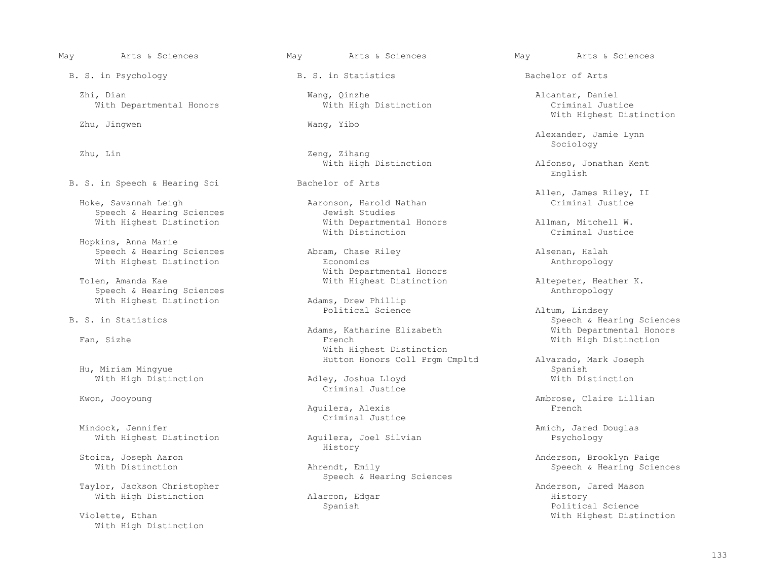B. S. in Psychology B. S. in Statistics Bachelor of Arts

Zhi, Dian Mang, Qinzhe Alcantar, Daniel Mith Herbert Mith High Distinction<br>With High Distinction Mith Alcantar, Daniel Alcantar, Daniel Mith High Distinction With Departmental Honors

Zhu, Jingwen Wang, Yibo

B. S. in Speech & Hearing Sci Bachelor of Arts

 Hopkins, Anna Marie Speech & Hearing Sciences The Abram, Chase Riley Alsenan, Halah Alsenan, Halah

 Speech & Hearing Sciences Anthropology With Highest Distinction

Hu, Miriam Mingyue<br>With High Distinction The Spanish Coshua Lloyd Spanish Spanish Spanish Spanish Spanish Spanish Spanish Spanish With High Distinction

 Criminal Justice dock, Jennifer<br>
Mith Highest Distinction<br>
Mith Highest Distinction<br>
Aguilera, Joel Silvian<br>
Amich, Jared Douglas

Taylor, Jackson Christopher (and Taylor, Jackson Christopher Anderson, Jared Mason Anderson, Jared Mason Mith High Distinction (and Anderson, Edgar (and Taylor) and Mason Mith High Distinction (and Anderson, Edgar (and His

With High Distinction

Zhu, Lin Zeng, Zihang

Aaronson, Harold Nathan<br>Jewish Studies Speech & Hearing Sciences<br>
With Highest Distinction<br>
With Departmental Honors With Highest Distinction  $\text{With Departmental Honors}$  Allman, Mitchell W.<br>With Distinction and Mitchell With Distinction Criminal Justice With Distinction and the Criminal Justice of the Distinction of the Criminal Justice

With Highest Distinction **Economics** Economics anthropology With Departmental Honors<br>Tolen, Amanda Kae Nieth Highest Distinction

Adams, Katharine Elizabeth Nan, Sizhe Negerial Honorski Bohams, Katharine Elizabeth Pan, Sizhe Negerial Honors With Highest Distinction

Kwon, Jooyoung entry and the Criminal Justice Extends to the Criminal Austice

Aguilera, Alexis

Aguilera, Joel Silvian<br>History History

Speech & Hearing Sciences

With Highest Distinction

 Alexander, Jamie Lynn  $\operatorname{Sociology}$ 

With High Distinction and Alfonso, Jonathan Kent English

Allen, James Riley, II<br>Hoke, Savannah Leigh Aaronson, Harold Nathan Criminal Justice

With Highest Distinction  $\begin{array}{ccc}\n\text{Altepeter, Heather K.} \\
\text{Anthropology}\n\end{array}$ 

Political Science and Altum, Lindsey<br>B. S. in Statistics and Speech & Health Speech & Health Speech & Health Speech & Health Speech & Health Speech Speech & Hearing Sciences<br>With Departmental Honors With High Distinction

Hutton Honors Coll Prgm Cmpltd Alvarado, Mark Joseph

Ambrose, Claire Lillian<br>French

Stoica, Joseph Aaron and Stoica, Joseph Aaron and Stoica, Joseph Aaron Anderson, Brooklyn Paige<br>With Distinction and Ahrendt, Emily and Annew Speech & Hearing Scien Speech & Hearing Sciences

With High Distinction and Alarcon, Edgar and History History<br>Spanish and History Spanish and History Spanish and History Spanish and History Spanish and History Spanish Political Science Violette, Ethan With Highest Distinction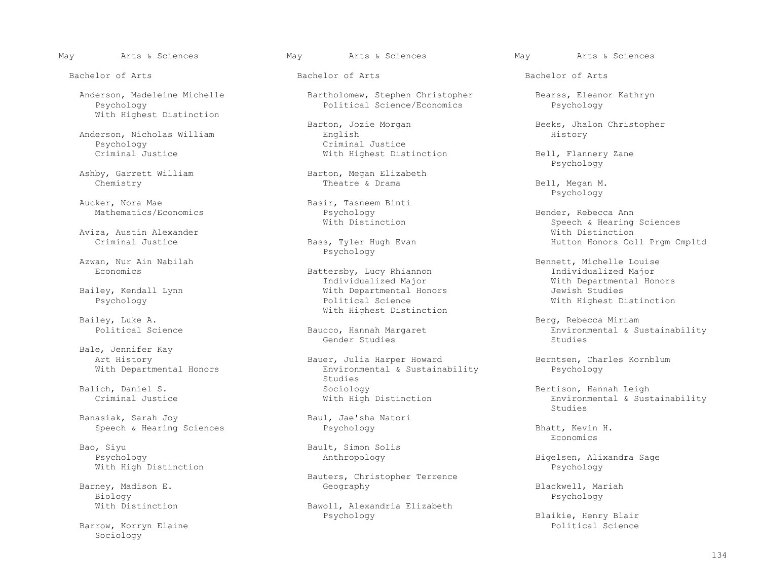Bachelor of Arts Bachelor of Arts Bachelor of Arts

With Highest Distinction

Anderson, Nicholas William<br>Psychology Psychology Criminal Justice

Aucker, Nora Mae Basir, Tasneem Binti<br>Mathematics/Economics Basir, Tasneem Binti

Aviza, Austin Alexander<br>Criminal Justice Criminal Distinction Distriction Distriction Distriction Distriction Distriction Distriction

Azwan. Nur Ain Nabilah Massachusetts and Psychology

Bale, Jennifer Kay<br>Art History

Banasiak, Sarah Joy Baul, Jae'sha Natori<br>
Speech & Hearing Sciences<br>
Psychology Speech & Hearing Sciences **Billiam Branch Branch Bhatt, Kevin H.**<br>Bhatt, Kevin H.

Bao, Siyu Bault, Simon Solis<br>Psychology Bault, Simon Solis With High Distinction

 Barney, Madison E. Geography Blackwell, Mariah Biology Psychology

Barrow, Korryn Elaine Sociology

 Anderson, Madeleine Michelle Bartholomew, Stephen Christopher Bearss, Eleanor Kathryn Political Science/Economics

Barton, Jozie Morgan Beeks, Jhalon Christopher<br>English Beeks, Jhalon Christopher<br>History

Ashby, Garrett William Barton, Megan Elizabeth<br>Chemistry Barton, Megan Elizabeth<br>Theatre & Drama Chemistry Theatre & Drama Bell, Megan M.

Battersby, Lucy Rhiannon<br>Individualized Major Individualized Major With Departmental Honors ley, Kendall Lynn With Departmental Honors<br>Psychology New Yolitical Science Bailey, Luke A. Sailey, Luke A. Sailey, Luke A. Sailey, Luke A. Sailey, Luke A. Sailey, Luke A. Sailey, Luke A.

Gender Studies Studies

Art History Bauer, Julia Harper Howard Berntsen, Charles Kornblum<br>With Departmental Honors Environmental & Sustainability Psychology Environmental & Sustainability<br>Studies studies and the studies of the studies of the studies of the studies of the studies of the studies of the studies of the studies of the studies of the studies of the studies of the studies of the studies of the studies of Balich, Daniel S. Sociology Sociology and Bertison, Hannah Leigh Criminal Justice (Sustainal Sustainal Assessme<br>Criminal Justice (Sustainal Assessment and Bertison and Bertison, Hannah Leigh Mith High Distinction

Bauters, Christopher Terrence

With Distinction Bawoll, Alexandria Elizabeth<br>Psychology

With Highest Distinction Bell, Flannery Zane<br>Psychology Psychology

Psychology

Psychology Bender, Rebecca Ann With Distinction and Speech & Hearing Speech & Hearing Sciences<br>With Distinction Hutton Honors Coll Prgm Cmpltd

 Azwan, Nur Ain Nabilah Bennett, Michelle Louise With Highest Distinction

ley, Luke A.<br>Political Science The Baucco, Hannah Margaret Berg, Rebecca Miriam Berg, Rebecca Miriam Berg, Rebecca Miriam icco, Hannah Margaret Environmental & Sustainability<br>Gender Studies Environmental & Sustainability

Environmental & Sustainability<br>Studies en de la construction de la construction de la construction de la construction de la construction de la constr<br>En 1980, la construction de la construction de la construction de la construction de la construction de la con

Economics

Psychology Anthropology Bigelsen, Alixandra Sage

Blaikie, Henry Blair<br>Political Science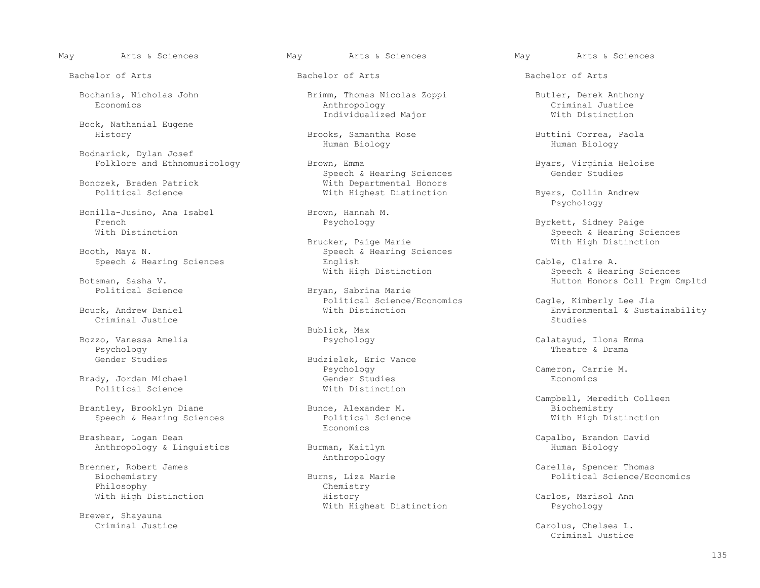Bock, Nathanial Eugene

Bodnarick, Dylan Josef

Bonilla-Jusino, Ana Isabel Brown, Hannah M.<br>French Brown, Hannah M. French Psychology Byrkett, Sidney Paige (Barth Psychology Sychology Byrkett, Sidney Paige (Barth Paige 1999)<br>Mith Distinction

Criminal Justice  $\sim$  Studies of the studies of the studies of the studies of the studies of the studies of the studies of the studies of the studies of the studies of the studies of the studies of the studies of the studi

Psychology Theatre & Drama

Political Science

 Brantley, Brooklyn Diane Bunce, Alexander M. Biochemistry Speech & Hearing Sciences **Political** Political Political Biggers And Biggers Biggers Biggers Biggers Biggers Biggers Biggers Biggers Biggers Biggers Biggers Biggers Biggers Biggers Biggers Biggers Biggers Biggers Biggers

Brashear, Logan Dean Capalbo, Brandon David<br>
Anthropology & Linguistics Burman, Kaitlyn Capalbo, Brandon David Anthropology & Linguistics

Brenner, Robert James<br>
Brenner, Robert James Philosophy Chemistra Chemistra Chemistra Chemistra Chemistra Chemistra Chemistra Chemistra Chemistra Chemistra<br>
With High Distinction Chemistra Chemistra Chemistra Chemistra Chemistra Chemistra Chemistra Chemistra Chemist

Brewer, Shayauna<br>Criminal Justice

 Bochanis, Nicholas John Brimm, Thomas Nicolas Zoppi Butler, Derek Anthony Economics Anthropology Criminal Justice Individualized Major Nieth Distinction

Brooks, Samantha Rose Buttini Correa, Paola<br>Human Biology Buttini Correa, Paola Human Biology Human Biology

Folklore and Ethnomusicology **Brown, Emma** Byars, Virginia Heloise<br>Speech & Hearing Sciences **Brown** Gender Studies Speech & Hearing Sciences<br>Bonczek, Braden Patrick and Studies Mith Departmental Honors czek, Braden Patrick and Mith Departmental Honors<br>
Political Science and Mith Highest Distinction

 Brucker, Paige Marie With High Distinction Speech & Hearing Sciences<br>English Speech & Hearing Sciences The English English Cable, Claire A.<br>With High Distinction Cable, Claire A.

Bryan, Sabrina Marie Political Science/Economics Cagle, Kimberly Lee Jia

Bublick, Max<br>Bozzo, Vanessa Amelia (Barangara Sanga Barangara)

Gender Studies Budzielek, Eric Vance<br>Budzielek, Eric Vance<br>Psychology Psychology Cameron, Carrie M. Brady, Jordan Michael Gender Studies Economics

Economics **Example 19** Seconomics **Example 19 Seconomics** 

rns, Liza Marie and Burns, Liza Marie Political Science/Economics<br>Chemistry With High Distinction The History History Carlos, Marisol Ann With Highest Distinction **Psychology** 

May Arts & Sciences May Arts & Sciences May Arts & Sciences

Bachelor of Arts Bachelor of Arts Bachelor of Arts

With Highest Distinction Byers, Collin Andrew<br>Psychology Psychology

Speech & Hearing Sciences<br>Brucker, Paige Marie<br>
With High Distinction

With High Distinction and Speech & Hearing Sciences (Speech & Hearing Sciences and Speech & Hearing Sciences and Speech & Hearing Sciences (Speech & Hearing Sciences and Speech & Hearing Sciences and Speech & Hutton Honors Sman, Sasha V.<br>Botanical Science and Bryan, Sabrina Marie and Solution Honors Coll Prgm Cmpltd

Bouck, Andrew Daniel With Distinction Environmental & Sustainability

Bozzo, Vanessa Amelia Psychology Calatayud, Ilona Emma

Eunce, Alexander M. The Campbell, Meredith Colleen<br>
Biochemistry

enner, Robert James<br>Biochemistry Carella, Spencer Thomas<br>Biochemistry Carella, Spence/Eccomputer of the Burns, Liza Marie

Carolus, Chelsea L.<br>Criminal Justice Criminal Justice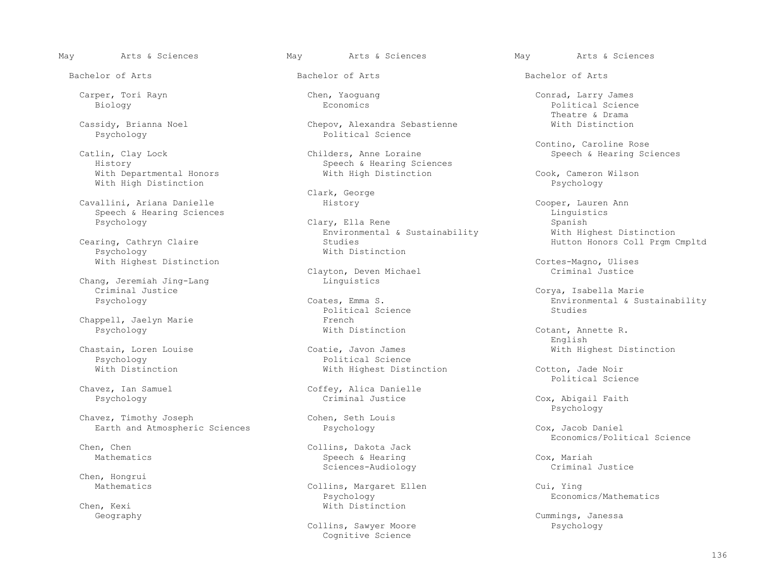With Departmental Honors **With High Distinction** Cook, Cameron Wilson Cook, Cameron Wilson Cook, Cameron Wilson With High Distinction

 Cavallini, Ariana Danielle History Cooper, Lauren Ann Speech & Hearing Sciences Linguistics

Chang, Jeremiah Jing-Lang<br>Criminal Justice Criminal Justice Criminal Justice Contes, Emma S. Corya, Isabella Marie Corya, Isabella Marie Corya, Isabella<br>Psychology Coates, Emma S. Contes, Emma S. Environmental & Sus

Chappell, Jaelyn Marie<br>
Psychology<br>
French With Distinction

Chavez, Timothy Joseph Chavez, Cohen, Seth Louis Earth and Atmospheric Sciences **Psychology Provides Accept Cox, Jacob Daniel** Cox, Jacob Daniel

Chen, Hongrui<br>Mathematics

Chen, Kexi With Distinction<br>Geography

Cassidy, Brianna Noel Chepov, Alexandra Sebastienne With Distinction<br>
Psychology Political Science Political Science

 Catlin, Clay Lock Childers, Anne Loraine Speech & Hearing Sciences Speech & Hearing Sciences<br>With High Distinction

Clark, George

Clary, Ella Rene<br>
Environmental & Sustainability<br>
With Highest Distinction Environmental & Sustainability<br>Cearing, Cathryn Claire<br>
Studies ing, Cathryn Claire and Studies Studies (Studies Hutton Honors Coll Prgm Cmpltd Province Automas Coll Prim Cmpltd<br>Hutton Honors Coll Prim Cmpltd (Paychology Automas Mith Distinction With Distinction

Clayton, Deven Michael<br>Linquistics

Political Science<br>French

Chastain, Loren Louise Coatie, Javon James<br>
Psychology Political Science<br>
Coatie, Javon James<br>
Coatie, Javon James<br>
Coatie, Javon James<br>
Coatie, Javon James<br>
Coatie, Javon James<br>
Coatie, Javon James<br>
Coatie, Javon James<br>
C Psychology Political Science<br>
With Distinction<br>
With Highest Disti

Chavez, Ian Samuel Coffey, Alica Danielle<br>Psychology Criminal Justice

n, Chen<br>
Mathematics<br>
Mathematics<br>
Mathematics<br>
Mathematics<br>
Mathematics Speech & Hearing Thematics Speech & Hearing Cox, Mariah<br>Sciences-Audiology Communication Criminal Justice Sciences-Audiology

Psychology Economics/Mathematics

Collins, Sawyer Moore Cognitive Science

May Arts & Sciences May Arts & Sciences May Arts & Sciences

 Carper, Tori Rayn Chen, Yaoguang Conrad, Larry James Biology Economics Political Science Theatre & Drama

Contino, Caroline Rose<br>Catlin, Clay Lock Childers, Anne Loraine Chaine Contino, Caroline Rose

With Highest Distinction<br>Clayton, Deven Michael Cortes-Magno, Ulises<br>Criminal Justice

Environmental & Sustainability<br>Studies

Cotant, Annette R.<br>English English

With Highest Distinction<br>
Political Science Political Science

Cox, Abigail Faith Psychology

Chen. Chen<br>Collins. Dakota Jack Chen. Chen. Economics/Political Science

Collins, Margaret Ellen Cui, Ying<br>
Psychology Economics/Mathematics

Cummings, Janessa<br>Psychology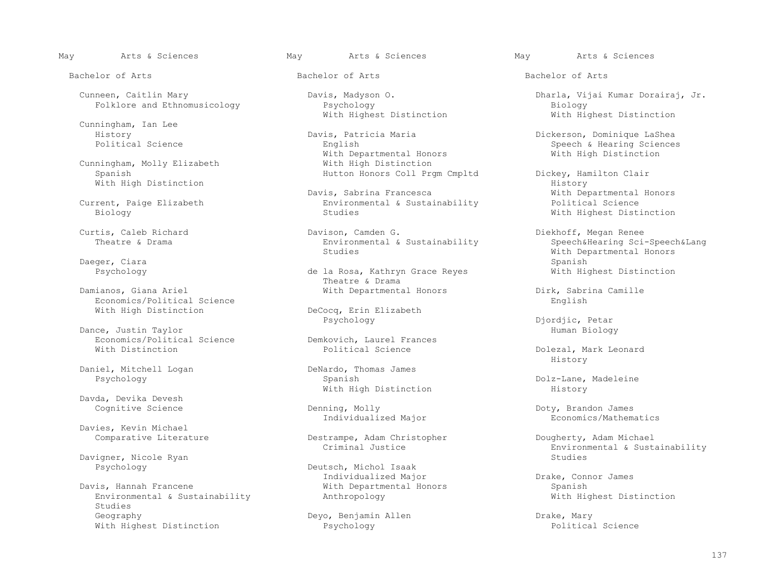Cunningham, Ian Lee

Cunningham, Molly Elizabeth<br>Spanish

Daeger, Ciara Spanish and the spanish of the spanish spanish spanish spanish spanish spanish spanish spanish spanish spanish spanish spanish spanish spanish spanish spanish spanish spanish spanish spanish spanish spanish s

Economics/Political Science<br>With High Distinction

Dance, Justin Taylor<br>Economics/Political Science Music Demkovich, Laurel Frances Economics/Political Science  $\overline{D}$  Demkovich, Laurel France Demkovich, Laurel France

Daniel, Mitchell Logan DeNardo, Thomas James<br>Psychology Byzanish DeNardo, Thomas James

Davda, Devika Devesh

Davies, Kevin Michael<br>Comparative Literature

Davigner, Nicole Ryan<br>Psychology

Environmental & Sustainability Studies<br>Geography With Highest Distinction

Folklore and Ethnomusicology **Property** Psychology<br>
With Highest Distinction

 History Davis, Patricia Maria Dickerson, Dominique LaShea With Departmental Honors With High Distinction

Davis, Sabrina Francesca and Mith Departmental Current, Paige Elizabeth<br>Environmental & Sustainability and Political Science Frent, Paige Elizabeth Environmental & Sustainability<br>Biology Studies Sustainability

 $\text{Environmental}$  & Sustainability Studies

Theatre & Drama

DeCocq, Erin Elizabeth<br>Psychology

With High Distinction

Individualized Major

Destrampe, Adam Christopher Dougherty, Adam Michael<br>Criminal Justice Rovironmental & Susta

Deutsch, Michol Isaak Individualized Major Drake, Connor James

Deyo, Benjamin Allen Drake, Mary<br>Psychology Political Science

May Arts & Sciences May Arts & Sciences May Arts & Sciences

Bachelor of Arts Bachelor of Arts Bachelor of Arts

Cunneen, Caitlin Mary **Davis, Madyson O.** Dharla, Vijai Kumar Dorairaj, Jr.<br>
Folklore and Ethnomusicology **Developy** Psychology Biology Biology Biology With Highest Distinction

Speech & Hearing Sciences<br>With High Distinction

Hutton Honors Coll Prgm Cmpltd Dickey, Hamilton Clair<br>History With High Distinction History With Highest Distinction

 Curtis, Caleb Richard Davison, Camden G. Diekhoff, Megan Renee Extra Studies Studies (Studies Mith Departmental Honors Mith Departmental Honors Nunch Studies (Studies Spanish<br>Spanish Psychology de la Rosa, Kathryn Grace Reyes With Highest Distinction

With Departmental Honors Dirk, Sabrina Camille<br>English

Djordjic, Petar<br>Human Biology

Dolezal, Mark Leonard History

Dolz-Lane, Madeleine<br>History

Denning, Molly<br>
Individualized Major<br>
Economics/Mathematics

Environmental & Sustainability<br>Studies

With Departmental Honors<br>
Anthropology<br>
Mith Highest Distinction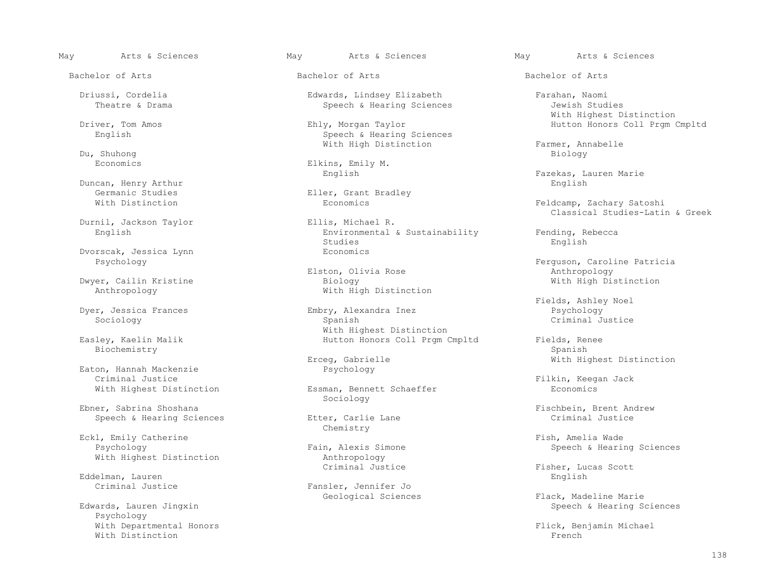Du, Shuhong Biology

Duncan, Henry Arthur<br>Germanic Studies

Durnil, Jackson Taylor<br>English

Dvorscak, Jessica Lynn Economics

Biochemistry Spanish (1999) and the set of the set of the set of the set of the set of the set of the set of t

Eaton, Hannah Mackenzie<br>Criminal Justice Criminal Justice<br>
With Highest Distinction<br>
Filkin, Keegan Jack<br>
Examan, Bennett Schaeffer<br>
Filkin, Keegan Jack

Ebner, Sabrina Shoshana<br>
Speech & Hearing Sciences<br>
Fischbein, Brent Andrew<br>
Etter, Carlie Lane<br>
Fischbein, Brent Andrew<br>
Criminal Justice Speech & Hearing Sciences

Eckl, Emily Catherine and Eckl, Emily Catherine and Extreme Fish, Amelia Wade<br>Fain, Alexis Simone and Speech & Hearine American Speech & Hearine

Eddelman, Lauren<br>Criminal Justice

 Psychology With Departmental Honors<br>With Distinction<br>With Distinction With Distinction **French** 

 Driussi, Cordelia Edwards, Lindsey Elizabeth Farahan, Naomi Speech & Hearing Sciences

 Driver, Tom Amos Ehly, Morgan Taylor Hutton Honors Coll Prgm Cmpltd Speech & Hearing Sciences

Economics Elkins, Emily M.<br>English English

Germanic Studies<br>
With Distinction<br>
With Distinction<br>
Economics

Environmental & Sustainability Fending, Rebecca<br>Studies English Studies English

Elston, Olivia Rose and Marchael Marchael Marchael Anthropology Dwyer, Cailin Kristine Biology With High Distinction With High Distinction

 Dyer, Jessica Frances Embry, Alexandra Inez Psychology Sociology Spanish Criminal Justice Easley, Kaelin Malik Nicolas Communist Communist Michael Michael Distinction<br>Hutton Honors Coll Prgm Easley, Kaelin Malik Hutton Honors Coll Prgm Cmpltd Fields, Renee

Essman, Bennett Schaeffer Sociology

Chemistry

With Highest Distinction anthropology<br>Criminal Justice

Fansler, Jennifer Jo<br>Geological Sciences

May Arts & Sciences May Arts & Sciences May Arts & Sciences

With Highest Distinction

With High Distinction Farmer, Annabelle<br>Du, Shuhong Biology

English Fazekas, Lauren Marie

Feldcamp, Zachary Satoshi Ellis, Michael R. (2008) School Classical Studies-Latin & Greek

Psychology<br>
Elston, Olivia Rose<br>
Elston, Olivia Rose<br>
Anthropology

Fields, Ashley Noel

Erceg, Gabrielle With Highest Distinction<br>Psychology

in, Alexis Simone Speech & Hearing Sciences<br>
Anthropology

Fisher, Lucas Scott<br>English

Geological Sciences Flack, Madeline Marie (Geological Sciences Flack, Madeline Marie Speech & Hearing Sociences<br>Edwards, Lauren Jingxin Speech & Hearing Sciences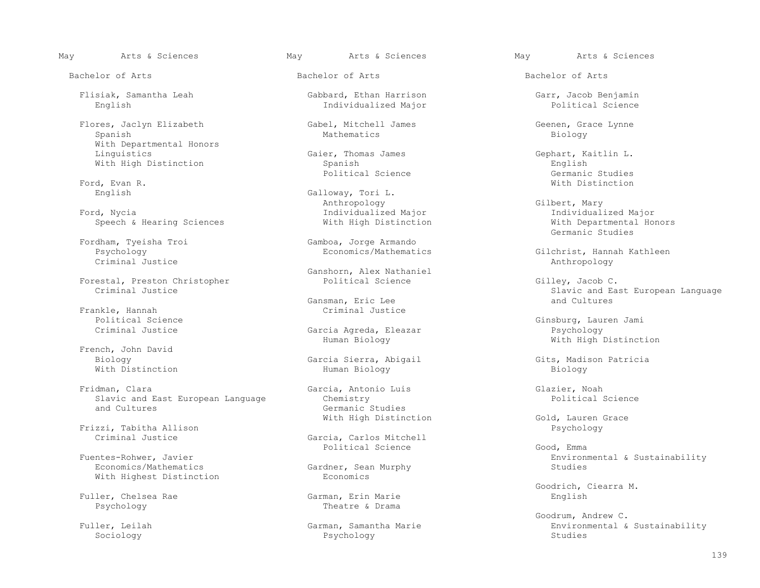Flisiak, Samantha Leah Gabbard, Ethan Harrison Garr, Jacob Benjamin

 Flores, Jaclyn Elizabeth Gabel, Mitchell James Geenen, Grace Lynne Spanish Mathematics Biology With Departmental Honors<br>Linquistics

Ford, Nycia Individualized Major Individualized Major

Criminal Justice Anthropology

Forestal, Preston Christopher Political Science Gilley, Jacob C.

Frankle, Hannah Criminal Justice

French, John David

Fridman, Clara (Clara Garcia, Antonio Luis Clares Garcia, Antonio Luis Clarier, Noah (Glazier, Noah (Glazier, Noah (Glazience Chemistry ) Slavic and East European Language (Chemistry ) Chemistry (Glazience ) and East Europ Slavic and East European Language<br>and Cultures

Frizzi, Tabitha Allison<br>Criminal Justice

With Highest Distinction

Fuller, Chelsea Rae<br>Psychology

Individualized Major

Gaier, Thomas James<br>
Spanish<br>
English<br>
English With High Distinction and Spanish Spanish Spanish Spanish Spanish Science Studies<br>
Political Science Contrasts Sermanic Studies

English Galloway, Tori L.<br>
Anthropology Anthropology Gilbert, Mary

Fordham, Tyeisha Troi Gamboa, Jorge Armando

Ganshorn, Alex Nathaniel<br>Political Science

Gansman, Eric Lee and Cultures and Cultures

Garcia Agreda, Eleazar<br>Human Biology

 Biology Garcia Sierra, Abigail Gits, Madison Patricia With Distinction Human Biology Biology

Germanic Studies

Garcia, Carlos Mitchell<br>Political Science Political Science Good, Emma

Gardner, Sean Murphy<br>Economics

Theatre & Drama

Sociology Psychology Studies

May Arts & Sciences May Arts & Sciences May Arts & Sciences

Political Science and Germanic Studies (Germanic Studies ) and Germanic Studies (Germanic Studies ) and  $\overline{S}$ Ford, Evan R. White the contract of the contract of the contract of the contract of the contract of the contract of the contract of the contract of the contract of the contract of the contract of the contract of the contra

Speech & Hearing Sciences and Mith High Distinction and Mith Departmental Mith Departmental Mith Departmental Ho Germanic Studies

Psychology Economics/Mathematics Gilchrist, Hannah Kathleen<br>Criminal Justice Criminal Gustice

Criminal Justice Slavic and East European Language

 Political Science Ginsburg, Lauren Jami With High Distinction

With High Distinction Gold, Lauren Grace<br>Psychology

Fuentes-Rohwer, Javier<br>Economics/Mathematics and Environmental & Sustainability<br>Economics/Mathematics and Gardner, Sean Murphy

Goodrich, Ciearra M.

 Goodrum, Andrew C. ler, Leilah Garman, Samantha Marie Environmental & Sustainability<br>Sociology Psychology Studies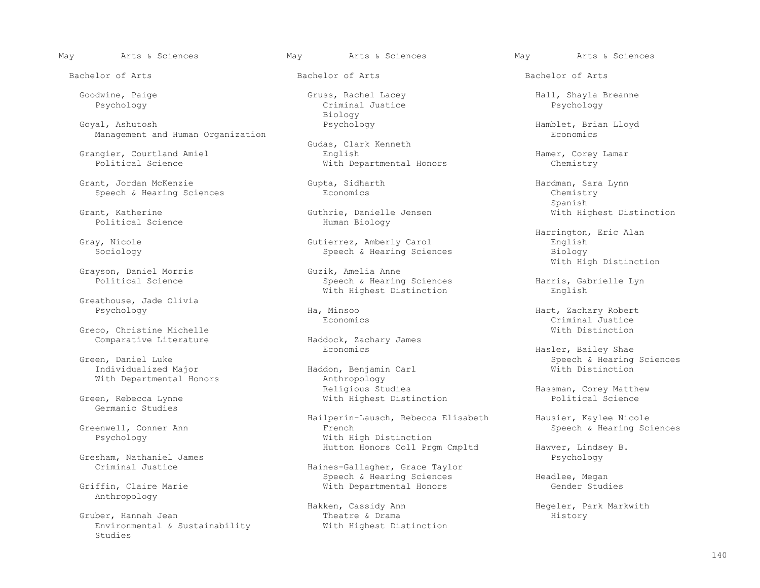Goyal, Ashutosh Psychology Hamblet, Brian Lloyd Management and Human Organization

Grant, Jordan McKenzie Gupta, Gupta, Sidharth Gupta Hardman, Sara Lynn<br>Speech & Hearing Sciences Boonomics Economics Chemistry Speech & Hearing Sciences and Economics Economics Chemistry<br>Spanish Chemistry

Grayson, Daniel Morris<br>Political Science

Greathouse, Jade Olivia

 Greco, Christine Michelle With Distinction Comparative Literature **Haddock, Zachary Haddock, Zachary James** Economics

Germanic Studies

Gresham, Nathaniel James<br>Criminal Justice

Anthropology

 Gruber, Hannah Jean Theatre & Drama History Environmental & Sustainability Studies

Criminal Justice<br>Biology Biology

Gudas, Clark Kenneth<br>English Grangier, Courtland Amiel English Hamer, Corey Lamar With Departmental Honors

 Grant, Katherine Guthrie, Danielle Jensen With Highest Distinction Human Biology

 Gray, Nicole Gutierrez, Amberly Carol English Speech & Hearing Sciences

> Speech & Hearing Sciences<br>
> With Highest Distinction<br>
> English<br>
> English With Highest Distinction

Haddon, Benjamin Carl<br>Anthropology With Departmental Honors and Anthropology<br>Religious Studies Religious Studies (Enter a Hassman, Corey Matthew Religious Studies (Enter a Hassman, Corey Matthew Steen and Religious Studies (Enter a Hassman, Corey Matthew Religious Studies (Enter a Hassman, Corey Matthew Religious St With Highest Distinction

Hailperin-Lausch, Rebecca Elisabeth Hausier, Kaylee Nicole<br>Greenwell, Conner Ann Mausier, Hearing Sc: enwell, Conner Ann French French French Speech & Hearing Sciences<br>
French Speech & Hearing Sciences<br>
Speech & Hearing Sciences With High Distinction

Haines-Gallagher, Grace Taylor Speech & Hearing Sciences Freed Meadlee, Megan<br>Griffin, Claire Marie Freedom Mith Departmental Honors Freedom (Gender Studies With Departmental Honors

Hakken, Cassidy Ann Megeler, Park Markwith<br>Theatre & Drama Mistory History

May Arts & Sciences May Arts & Sciences May Arts & Sciences

Goodwine, Paige Gruss, Rachel Lacey Hall, Shayla Breanne

Spanish

 Harrington, Eric Alan Guzik, Amelia Anne and South Mith High Distinction

 Psychology Ha, Minsoo Hart, Zachary Robert Economics Criminal Justice

 Economics Hasler, Bailey Shae Green, Daniel Luke Speech & Hearing Sciences

Hutton Honors Coll Prgm Cmpltd Hawver, Lindsey B.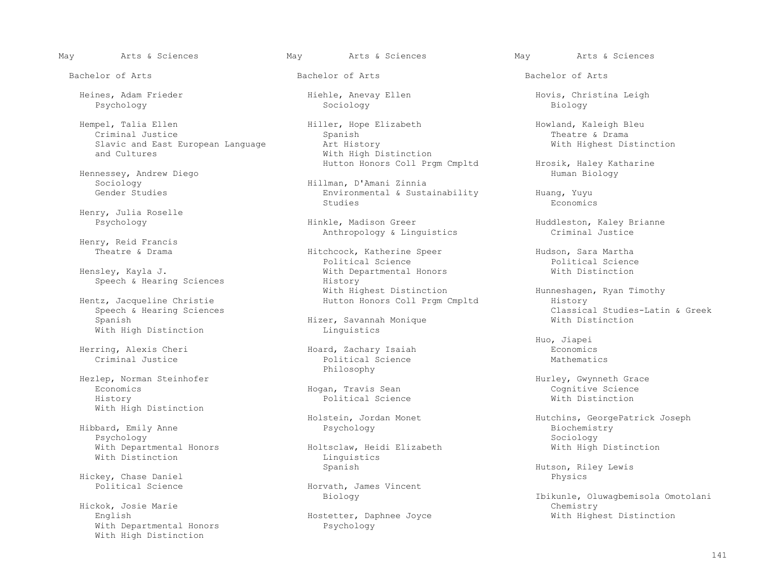Hempel, Talia Ellen Howland, Kaleigh Bleu (Hiller, Hope Elizabeth Howland, Kaleigh Bleu (Howland, Kaleigh Bleu<br>Criminal Justice (Howland, Howland, Howland, Kaleigh Bleu (Hiller, Hope Elizabeth ) (Howland, Howland, Kaleigh Criminal Justice Spanish Theatre & Drama Slavic and East European Language Art History and Cultures and Cultures and Cultures

Hennessey, Andrew Diego<br>Sociology

Henry, Julia Roselle

Henry, Reid Francis<br>Theatre & Drama

tz, Jacqueline Christie 1986 and Hutton Honors Coll Prgm Cmpltd<br>Speech & Hearing Sciences With High Distinction

Herring, Alexis Cheri Hoard, Zachary Isaiah Economics

 Hezlep, Norman Steinhofer Hurley, Gwynneth Grace Economics Hogan, Travis Sean Cognitive Science History Political Science With Distinction With High Distinction

 Hibbard, Emily Anne Psychology Biochemistry Psychology Sociology With Distinction Linguistics and Linguistics and Linguistics and Linguistics and Linguistics and Linguistics and Linguistics and Linguistics and Linguistics and Linguistics and Linguistics and Linguistics and Linguistics a

Hickey, Chase Daniel<br>
Physics<br>
Physics<br>
Physics<br>
Physics<br>
Physics<br>
Physics

With Departmental Honors Psychology With High Distinction

Psychology Sociology Biology

With High Distinction

 Sociology Hillman, D'Amani Zinnia Environmental & Sustainability Huang, Yuyu<br>Studies Economics Studies Economics

> Hinkle, Madison Greer Huddleston, Kaley Brianne<br>Anthropology & Linguistics (examinal Justice Anthropology & Linguistics

Hitchcock, Katherine Speer Hudson, Sara Martha<br>Political Science And Martha Political Science Political Science Political Science Hensley, Kayla J. With Departmental Honors With Distinction Speech & Hearing Sciences<br>
With Highest Distinction<br>
With Highest Distinction With Highest Distinction and Muslem Hunneshagen, Ryan Timothy<br>Hutton Honors Coll Prgm Cmpltd History History

Hizer, Savannah Monique<br>Linquistics

Political Science Philosophy

With Departmental Honors Holtsclaw, Heidi Elizabeth With High Distinction

Horvath, James Vincent<br>Biology

Hostetter, Daphnee Joyce

May Arts & Sciences May Arts & Sciences May Arts & Sciences

Bachelor of Arts Bachelor of Arts Bachelor of Arts

Heines, Adam Frieder Hiehle, Anevay Ellen Hovis, Christina Leigh

Hutton Honors Coll Prgm Cmpltd Hrosik, Haley Katharine<br>Human Biology

Speech & Hearing Sciences<br>Spanish Sudies-Latin & Greek Classical Studies-Latin & Greek<br>Classical Studies-Latin & Greek

Huo, Jiapei

Holstein, Jordan Monet (Hutchins, GeorgePatrick Joseph Psychology (Hutchins, GeorgePatrick Joseph Psychology

Hutson, Riley Lewis

Ibikunle, Oluwagbemisola Omotolani<br>Chemistry Hickok, Josie Marie<br>English Chemistry Chemistry Chemistry<br>English Chemistry Chemistry Chemistry Chemistry Chemistry Chemistry Chemistry Chemistry Chemistry Chemistry Ch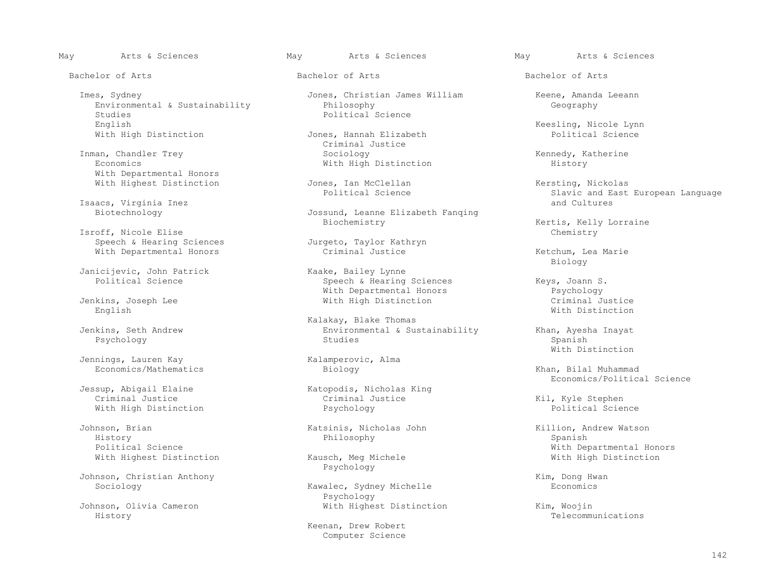Imes, Sydney Jones, Christian James William Keene, Amanda Leeann Environmental & Sustainability<br>Studies Studies Political Science<br>English Political Science With High Distinction

Inman, Chandler Trey  $\begin{array}{cccc}\n\text{Sociology} \\
\text{Economics} \\
\end{array}$  Rennedy, Katherine With Departmental Honors

Isaacs, Virginia Inez<br>Biotechnology

Isroff, Nicole Elise<br>
Speech & Hearing Sciences<br>
Jurgeto, Taylor Kathryn Speech & Hearing Sciences<br>
With Departmental Honors<br>
Criminal Justice With Departmental Honors and Criminal Justice and Mission Retchum, Lea Marie

Janicijevic, John Patrick<br>
Political Science<br>
Raake, Bailey Lynne<br>
Speech & Hearing

English With Distinction

Jennings, Lauren Kay (Kalamperovic, Alma Economics/Mathematics (Kalamperovic, Alma Economics Economics/Mathematics Biology Khan, Bilal Muhammad

With High Distinction **Psychology** 

 Johnson, Brian Katsinis, Nicholas John Killion, Andrew Watson History Philosophy Spanish With Highest Distinction

Johnson, Christian Anthony<br>Sociology Manus (Kawalec, Sydney Michelle (Kim, Dong Hwanus)

History Telecommunications

Bachelor of Arts Bachelor of Arts Bachelor of Arts

 Criminal Justice With High Distinction

With Highest Distinction  $Jones$ , Ian McClellan  $I$  and  $Kerstring$ , Nickolas Political Science  $I$  and East Slavic and East

Jossund, Leanne Elizabeth Fanqing<br>Biochemistry

Speech & Hearing Sciences The Seys, Joann S.<br>
With Departmental Honors The Psychology With Departmental Honors Psychology

Kalakay, Blake Thomas<br>
Kalakay, Blake Thomas<br>
Environmental & Sus Jenkins, Seth Andrew Environmental & Sustainability Khan, Ayesha Inayat Psychology Studies Spanish

Sup, Abigail Elaine (Katopodis, Nicholas King Criminal Justice)

Psychology

Kawalec, Sydney Michelle Psychology

> Keenan, Drew Robert Computer Science

English Keesling, Nicole Lynn (Keesling, Nicole Lynn)<br>Political Science

Slavic and East European Language<br>and Cultures

Kertis, Kelly Lorraine<br>Chemistry

Biology

With High Distinction<br>
With Distinction<br>
With Distinction

With Distinction

Jessup, Abigail Elaine and Matopodis, Nicholas King and Matopos and Economics/Political Science

Kil, Kyle Stephen<br>Political Science

Political Science<br>
With Highest Distinction<br>
With Highest Distinction<br>
With High Distinction<br>
With High Distinction

Johnson, Olivia Cameron With Highest Distinction Kim, Woojin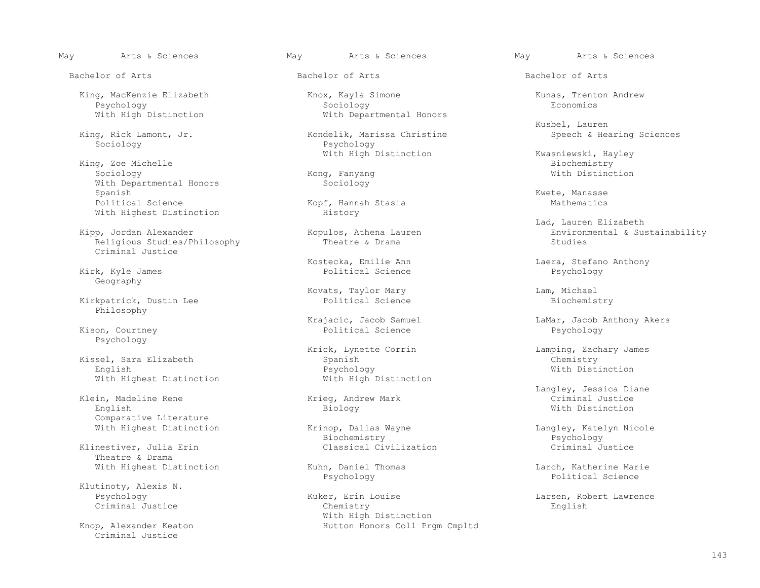King, Zoe Michelle Entertainment of the Monday of the Biochemistry of the Biochemistry of the Biochemistry of Sociology of the Biochemistry of the Biochemistry of the Biochemistry of the Biochemistry of the Biochemistry of Sociology Kong, Fanyang With Distinction With Departmental Honors Sociology<br>Spanish Spanish Kwete, Manasse Kwete, Manasse Kwete, Manasse Kwete, Manasse Kwete, Manasse Kwete, Manasse Kwete, Manasse Political Science Kopf, Hannah Stasia Mathematics With Highest Distinction

Religious Studies/Philosophy Criminal Justice

Geography

Kirkpatrick, Dustin Lee Philosophy

Psychology

 Kissel, Sara Elizabeth Spanish Chemistry English Psychology With Distinction

 Klein, Madeline Rene Krieg, Andrew Mark Criminal Justice English Biology With Distinction Comparative Literature

Theatre & Drama

Klutinoty, Alexis N.<br>Psychology

Criminal Justice

King, MacKenzie Elizabeth (Knox, Kayla Simone Kunas, Trenton Andrew Revenues Reproduced Kunas, Trenton Andrew Sociology Psychology Sociology Economics With High Distinction **With Departmental Honors** 

 King, Rick Lamont, Jr. Kondelik, Marissa Christine Speech & Hearing Sciences Psychology

Kirk, Kyle James Political Science Psychology

Kovats, Taylor Mary and Lam, Michael Dolitical Science Controller Controller Controller Controller Controller<br>
Biochemistry

Kison, Courtney Political Science Psychology

Krick, Lynette Corrin Lamping, Zachary James<br>
Spanish Chemistry With Highest Distinction With High Distinction

With Highest Distinction The Krinop, Dallas Wayne The Mangley, Katelyn Nicole<br>Biochemistry The Physichoqy Psychology Biochemistry Psychology Klinestiver, Julia Erin and Classical Civilization and Communication Criminal Justice

Puker, Erin Louise Larsen, Robert Lawrence<br>Chemistry Larsen, Robert Lawrence Criminal Justice Chemistry English With High Distinction<br>Knop, Alexander Keaton and Muslim Hutton Honors Coll Pro Hutton Honors Coll Prgm Cmpltd

May Arts & Sciences May Arts & Sciences May Arts & Sciences

Kusbel, Lauren

With High Distinction Kwasniewski, Hayley<br>Biochemistry

Lad, Lauren Elizabeth (Europa Elizabeth (Europa Elizabeth (Europa Elizabeth (Europa Elizabeth (Europa Elizabeth<br>Kopulos, Athena Lauren (Europa Environmental & Su vulos, Athena Lauren and Alexander Environmental & Sustainability<br>Theatre & Drama and Studies Studies

Kostecka, Emilie Ann Laera, Stefano Anthony

Krajacic, Jacob Samuel and Hamar, Jacob Anthony Akers<br>
Eamne LaMar, Jacob Anthony Akers<br>
Psychology and Political Science and Psychology

Langley, Jessica Diane

With Highest Distinction  $\begin{array}{cccc}\n\text{Kuhn, Daniel Thomas} \\
\text{Psychology}\n\end{array}$  Larch, Katherine Marie Psychology Political Science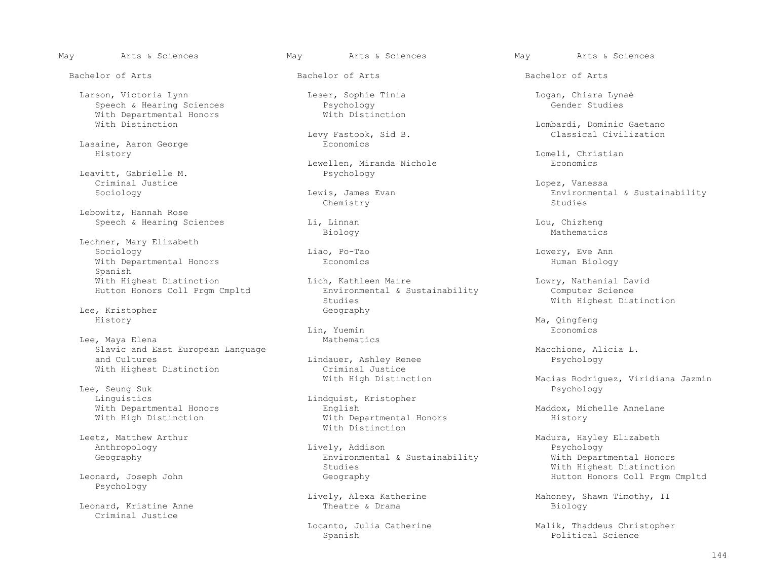Bachelor of Arts Bachelor of Arts Bachelor of Arts

 Larson, Victoria Lynn Leser, Sophie Tinia Logan, Chiara Lynaé Speech & Hearing Sciences<br>
With Departmental Honors<br>
With Distinction With Departmental Honors With Distinction

Lasaine, Aaron George<br>History History Lomeli, Christian

Leavitt, Gabrielle M. Criminal Justice Lopez, Vanessa

 Lebowitz, Hannah Rose Speech & Hearing Sciences and Li, Linnan and Lou, Chizheng Lou, Chizheng Lou, Chizheng Biology

Lechner, Mary Elizabeth<br>Sociology Sociology Liao, Po-Tao Lowery, Eve Ann With Departmental Honors **Example 2018** Economics **Human Biology** Human Biology Spanish Hutton Honors Coll Prgm Cmpltd Environmental Brack Environmental Brack Environmental Brack Studies

Lee, Kristopher Geography<br>History Geography History Ma, Qingfeng

Lee, Maya Elena Mathematics Slavic and East European Language and Cultures Macchione, Alicia L.<br>
and Cultures Macchione, Alicia L. (Alindauer, Ashley Renee Alicia D. (Alindauer, Ashley Renee Alicia D. (Alin

 Lee, Seung Suk Psychology Linguistics Lindquist, Kristopher<br>With Departmental Honors and Lindquist, Kristopher With High Distinction

Psychology

Criminal Justice

Levy Fastook, Sid B.<br>Economics

Lewellen, Miranda Nichole Economics<br>Psychology

Chemistry Studies

With Highest Distinction Lich, Kathleen Maire Lowry, Nathanial David<br>Hutton Honors Coll Prgm Cmpltd Environmental & Sustainability Computer Science

Lin, Yuemin Economics

Lindauer, Ashley Renee<br>Criminal Justice With Highest Distinction<br>
With High Distinction<br>
With High Distinction

English Maddox, Michelle Annelane<br>With Departmental Honors Mistory History Leetz, Matthew Arthur<br>
Leetz, Matthew Arthur

 Anthropology Lively, Addison Psychology Geography Environmental & Sustainability With Departmental Honors Studies Studies (Studies Mith Highest Distinction (Studies Mith Highest Distinction (Studies Mith Highest Distinction (Studies Mith Highest Distinction (Studies Mith Mith Highest Distinction (Studies Mith Mith Mith Mitholo

Leonard, Kristine Anne **Example 2018** Theatre & Drama Biology Biology

Spanish Political Science

May Arts & Sciences May Arts & Sciences May Arts & Sciences

Lombardi, Dominic Gaetano<br>Classical Civilization

is, James Evan Environmental & Sustainability<br>Chemistry Chemistry Studies

Biology Mathematics

With Highest Distinction

Macias Rodriguez, Viridiana Jazmin

etz, Matthew Arthur and Madura, Hayley Elizabeth<br>Anthropology Madura, Hayley Elizabeth<br>Madura, Madura, Madura, Madura, Madura, Madura, Madura, Madura, Madura, Madura, Madura, Madura, Madura, Madur Geography **Hutton Honors Coll Prgm Cmpltd** 

Lively, Alexa Katherine Mahoney, Shawn Timothy, II<br>Theatre & Drama Mahoney, Biology

Locanto, Julia Catherine Malik, Thaddeus Christopher<br>Spanish Malik, Thaddeus Christopher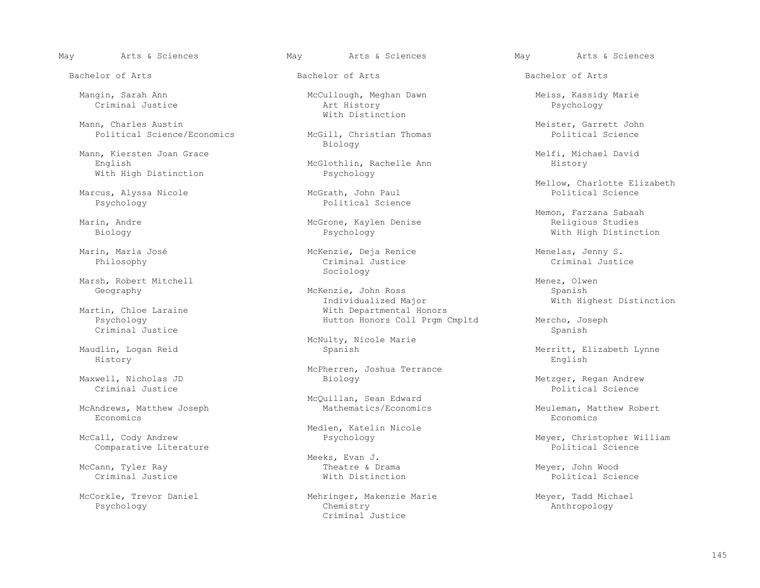Mann, Charles Austin Mann, Charles Austinction n, Charles Austin<br>Political Science/Economics McGill, Christian Thomas Meister, Garrett John

Mann, Kiersten Joan Grace<br>
English Melfi, Michael David<br>
McGlothlin, Rachelle Ann Mistory History With High Distinction

Marcus, Alyssa Nicole<br>Psychology

Marsh, Robert Mitchell (1999)<br>Geography Menez, Olwen Menez, Olwen Menez, Olwen Menez, Olwen Menez, Olwen Menez, Olwen Menez, Olwen Menez, O<br>Menezie, John Ross

 Psychology Hutton Honors Coll Prgm Cmpltd Mercho, Joseph Criminal Justice Spanish (1999) (1999) (1999) (1999) (1999) (1999) (1999) (1999) (1999) (1999) (1999) (1999) (

History English

Criminal Justice Political Science

McAndrews, Matthew Joseph Mathematics/Economics Meuleman, Matthew Robert<br>Reonomics Reonomics Economics Economics

Comparative Literature

McCann, Tyler Ray Theatre & Drama Meyer, John Wood

Bachelor of Arts Bachelor of Arts Bachelor of Arts

Mangin, Sarah Ann McCullough, Meghan Dawn Meiss, Kassidy Marie<br>Criminal Justice Art History Psychology Criminal Justice Art History Psychology

McGill, Christian Thomas<br>Biology Biology

McGlothlin, Rachelle Ann<br>Psychology

Political Science

Marin, Andre McGrone, Kaylen Denise Religious Studies

 Marin, Maria José McKenzie, Deja Renice Menelas, Jenny S. Philosophy Criminal Justice Criminal Justice Sociology

McKenzie, John Ross Spanish<br>
Individualized Major Spanish Mith Hi Individualized Major With Highest Distinction tin, Chloe Laraine and Michael With Departmental Honors<br>
Psychology Mutton Honors Coll Pram C

McNulty, Nicole Marie<br>Maudlin, Logan Reid<br>Spanish

McPherren, Joshua Terrance<br>
McPherren, Joshua Terrance<br>
Biology

McQuillan, Sean Edward<br>Mathematics/Economics

Medlen, Katelin Nicole<br>McCall, Cody Andrew **Example 2** Psychology

Meeks, Evan J.<br>Theatre & Drama

McCorkle, Trevor Daniel Mehringer, Makenzie Marie Marie Meyer, Tadd Michael<br>Psychology Meyer, Tadd Michael Chemistry Chemistry (Mehringer, Makenzie Marie Meyer, Mathropology Psychology Chemistry Anthropology Criminal Justice

Mellow, Charlotte Elizabeth<br>
McGrath, John Paul<br>
McGrath, John Paul

Memon, Farzana Sabaah (Marin, Andre Memon, Parzana Sabaah (Marin, Andre Memon, Parzana Sabaah (Marin, Andre Me<br>Marin, Andre (Marin, Andre Medicious Studies Medicious Studies Medicious Studies Medicious Studies Medicious S With High Distinction

Merritt, Elizabeth Lynne

Maxwell, Nicholas JD Biology Metzger, Regan Andrew

Meyer, Christopher William<br>Political Science

Criminal Justice With Distinction Political Science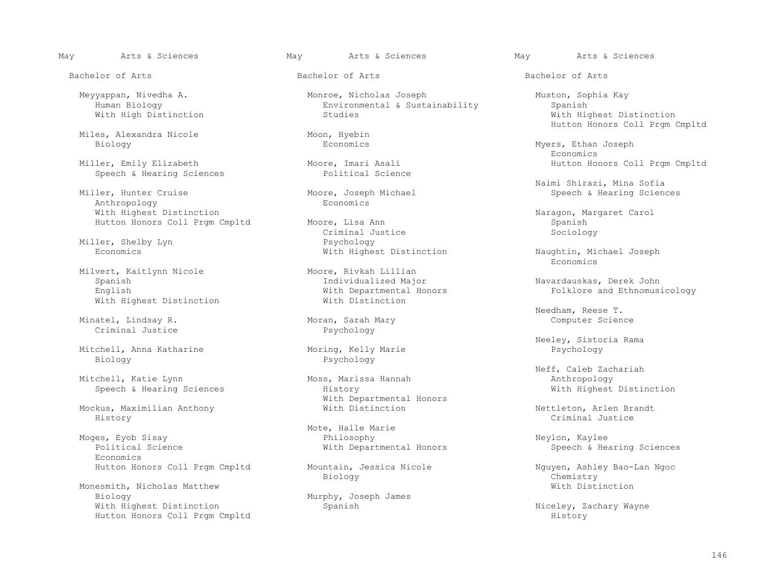Bachelor of Arts Bachelor of Arts Bachelor of Arts

Miles, Alexandra Nicole Moon, Hyebin<br>Biology Economics

Miller, Emily Elizabeth Moore, Imari Asali Hutton Honors Coll Prgm Cmpltd<br>Speech & Hearing Sciences Political Science Speech & Hearing Sciences

Anthropology With Highest Distinction<br>
Waragon, Margaret Carol<br>
Hutton Honors Coll Prgm Cmpltd Moore, Lisa Ann

Miller, Shelby Lyn and the State of Psychology<br>
Psychology<br>
Psychology<br>
Psychology<br>
Psychology<br>
Psychology<br>
Psychology

Milvert, Kaitlynn Nicole (Moore, Rivkah Lillian Spanish Moore, Rivkah Lillian Spanish (Moore, Rivkah Lillian Spanish (Moore, Rivkah Lillian Spanish (Moore, Rivkah Lillian Spanish (Moore, Rivkah Lillian Spanish (Moore, Rivk With Highest Distinction

Minatel, Lindsay R. Moran, Sarah I Criminal Justice Science Science Science Science Science Science Science Sc<br>
Psychology Criminal Justice

Mitchell, Anna Katharine Biology Psychology Psychology Psychology

Speech & Hearing Sciences

 Mockus, Maximilian Anthony With Distinction Nettleton, Arlen Brandt History Criminal Justice

 Moges, Eyob Sisay Philosophy Neylon, Kaylee Economics

Monesmith, Nicholas Matthew Murphy, Joseph James<br>Biology Murphy, Joseph James With Highest Distinction Spanish Niceley, Zachary Wayne Hutton Honors Coll Prgm Cmpltd

 Meyyappan, Nivedha A. Monroe, Nicholas Joseph Muston, Sophia Kay Human Biology<br>
With High Distinction<br>
Studies<br>
Studies<br>
Studies

Hutton Honors Coll Prgm Cmpltd Moore, Lisa Ann Moore anno 1992 ann Spanish Spanish Spanish Criminal Justice Criminal Justice

 Spanish Individualized Major Navardauskas, Derek John With Departmental Honors<br>With Distinction<br>With Distinction

With Departmental Honors<br>With Distinction

Mote, Halle Marie

Biology Chemistry

Murphy, Joseph James

May Arts & Sciences May Arts & Sciences May Arts & Sciences

With Highest Distinction Moon, Hyebin Moon, Hyebin Moon, Hutton Honors Coll Prgm Cmpltd

Myers, Ethan Joseph<br>Economics Economics

Niller, Hunter Cruise (Norman Motor Motor Moseph Michael Miller, Hunter Cruise (Norman Motor Motor Moseph Michael Mo<br>Motor Motor Moseph Michael (Norman Motor Speech & Hearing Scien ore, Joseph Michael Speech & Hearing Sciences<br>Economics

With Highest Distinction<br>
Economics<br>
Economics Economics

Needham, Reese T.<br>Moran, Sarah Mary Moran, Sarah Mary (Computer Science

Neeley, Sistoria Rama<br>
Moring, Kelly Marie<br>
Psychology

Neff, Caleb Zachariah (Negri 2015)<br>Moss, Marissa Hannah (Negri 2015) Multiple 2016 anthropology Moss, Marissa Hannah Anthropology<br>History Mith Highest Distinction

Speech & Hearing Sciences

Hutton Honors Coll Prgm Cmpltd Mountain, Jessica Nicole Nguyen, Ashley Bao-Lan Ngoc<br>Biology Chemistry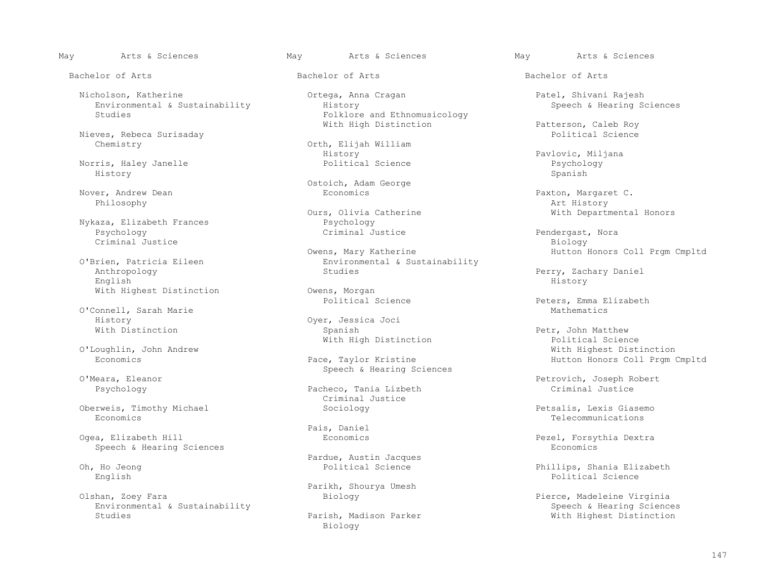Bachelor of Arts Bachelor of Arts Bachelor of Arts

 Nicholson, Katherine Ortega, Anna Cragan Patel, Shivani Rajesh Environmental & Sustainability<br>Studies

Nieves, Rebeca Surisaday<br>Chemistry

 Norris, Haley Janelle Political Science Psychology History Spanish

Philosophy Art History

Nykaza, Elizabeth Frances<br>
Psychology<br>
Criminal Justice Criminal Justice<br>
Owens, Mary Katherine

 Anthropology Studies Perry, Zachary Daniel English History

O'Connell, Sarah Marie<br>History History Oyer, Jessica Joci<br>
With Distinction Channel Communisty Spanish

Oberweis, Timothy Michael Sociology Sociology Petsalis, Lexis Giasemo<br>Reconomics Telecommunications

Pais, Daniel<br>Ogea, Elizabeth Hill (Decond Booms) Speech & Hearing Sciences

Environmental & Sustainability Speech & Hearing Sciences

Folklore and Ethnomusicology

Orth, Elijah William<br>History History Pavlovic, Miljana<br>Political Science and Pavlovic, Miljana

Ostoich, Adam George<br>
Nover, Andrew Dean<br>
Economics

Ours, Olivia Catherine<br>
Psychology<br>
Psychology

Owens, Mary Katherine and Hutton Honors Coll Prgm Cmpltd<br>O'Brien, Patricia Eileen (Button Americal & Sustainability Brien, Patricia Eileen Environmental & Sustainability<br>
Anthropology environmental & Sustainability

With Highest Distinction<br>
Political Science<br>
Political Science

Vith High Distinction<br>
O'Loughlin, John Andrew

O'Meara, Eleanor and Speech & Hearing Sciences

Pacheco, Tania Lizbeth Criminal Justice

Pardue, Austin Jacques<br>
Political Science<br>
Political Science

Parikh, Shourya Umesh (Parikh, Shourya Umesh Parikh, Shourya Umesh (Parikh, Shourya Umesh Parikh, Shourya Umesh  $\overline{P}$ 

ish, Madison Parker With Highest Distinction<br>Biology Biology

May Arts & Sciences May Arts & Sciences May Arts & Sciences

With High Distinction **Patterson, Caleb Roy**<br>Political Science

Nover, Andrew Dean Economics Paxton, Margaret C.

Pendergast, Nora<br>Biology

Peters, Emma Elizabeth<br>Mathematics

Petr, John Matthew<br>Political Science oughlin, John Andrew (1999)<br>Economics (1999) Economics (2011 Pace, Taylor Kristine (1999) Mich Hutton Honors Coll Pram Hutton Honors Coll Prgm Cmpltd

Eara, Eleanor<br>
Petrovich, Joseph Robert<br>
Petrovich, Joseph Robert<br>
Petrovich, Joseph Robert<br>
Petrovich, Joseph Robert

Economics Telecommunications

Pezel, Forsythia Dextra<br>Economics

 Oh, Ho Jeong Political Science Phillips, Shania Elizabeth English Political Science

Pierce, Madeleine Virginia<br>Speech & Hearing Sciences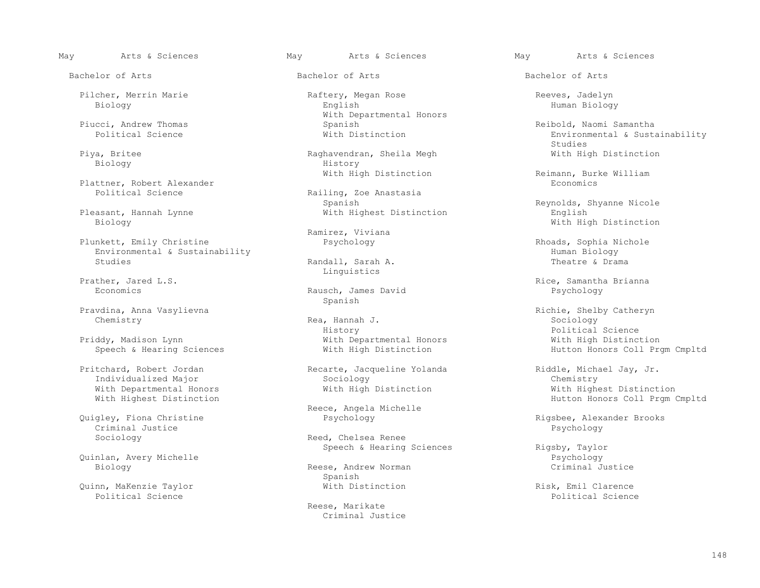Biology History

Plattner, Robert Alexander<br>Political Science

Pleasant, Hannah Lynne With Highest Distinction Biology

 Plunkett, Emily Christine Psychology Rhoads, Sophia Nichole Environmental & Sustainability Human Biology

Pravdina, Anna Vasylievna Richie, Shelby Catheryn

Priddy, Madison Lynn<br>With Departmental Honors and With High Distinction<br>Speech & Hearing Sciences With High Distinction

Pritchard, Robert Jordan  $\alpha$ , Recarte, Jacqueline Yolanda (Riddle, Michael Jay, Jr. Individualized Major Sociology (Remistry) With Departmental Honors<br>With Highest Distinction

 Criminal Justice Psychology Sociology **Reed, Chelsea Renee** 

Quinlan, Avery Michelle Psychology

 Quinn, MaKenzie Taylor With Distinction Risk, Emil Clarence Political Science and Science and Science and Science and Science and Science and Science and Science and Science and Science and Science and Science and Science and Science and Science and Science and Science and Science

 Pilcher, Merrin Marie Raftery, Megan Rose Reeves, Jadelyn Biology English Human Biology With Departmental Honors<br>
Piucci, Andrew Thomas<br>
Spanish Piucci, Andrew Thomas Spanish Reibold, Naomi Samantha

Piya, Britee Raghavendran, Sheila Megh With High Distinction

Railing, Zoe Anastasia<br>Spanish Spanish Spanish Spanish Reynolds, Shyanne Nicole<br>Reynolds, Shyanne Nicole (Reynolds, Shyanne Nicole (Reynolds, Shyanne Nicole (Reynolds, Shyanne Nicole (Reynolds, Shyanne Nicole (Reynolds, Shyanne Nicole (Reynolds, Shyanne

Ramirez, Viviana

Randall, Sarah A. Prather, Jared L.S. The Communication of the Communication of the Communication of the Communication of the Communication of the Communication of the Communication of the Communication of the Communication of the Communica

Rausch, James David<br>Spanish Spanish

 Chemistry Rea, Hannah J. Sociology History Political Science

Quigley, Fiona Christine (2008) Reece, Angela Michelle (2019) Reece, Angela Michelle

Reese, Andrew Norman<br>Spanish Spanish

> Reese, Marikate Criminal Justice

May Arts & Sciences May Arts & Sciences May Arts & Sciences

Bachelor of Arts Bachelor of Arts Bachelor of Arts

Environmental & Sustainability<br>Studies en de la construction de la construction de la construction de la construction de la construction de la constr<br>En 1980, la construction de la construction de la construction de la construction de la construction de la con

With High Distinction Reimann, Burke William<br>Reimann, Burke William

With High Distinction

Prather, Jared L.S. Rice, Samantha Brianna

Hutton Honors Coll Prgm Cmpltd

 Individualized Major Sociology Chemistry Hutton Honors Coll Prgm Cmpltd

Quigley, Fiona Christine Psychology Rigsbee, Alexander Brooks

Speech & Hearing Sciences and Rigsby, Taylor<br>Psychology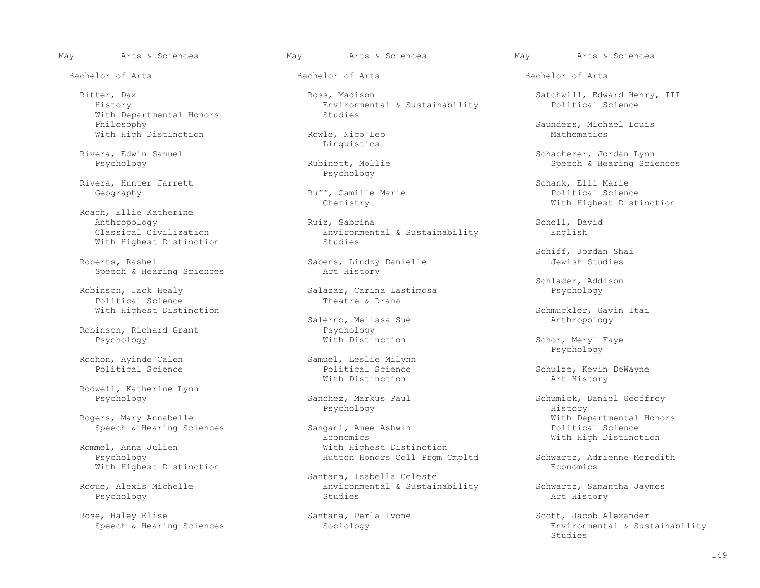Bachelor of Arts Bachelor of Arts Bachelor of Arts

With Departmental Honors<br>Philosophy With High Distinction

Rivera, Edwin Samuel entries and the Linguistics of the Linguistics

Rivera, Hunter Jarrett<br>Geography Marie Ruff, Camille Marie Schank, Elli Marie Schank, Elli Marie Seography

 Roach, Ellie Katherine With Highest Distinction

Speech & Hearing Sciences

Political Science

Robinson, Richard Grant Psychology<br>Psychology Psychology Mith Distinction

Rochon, Ayinde Calen Samuel, Leslie Milynn<br>Political Science Samuel, Leslie Milynn

Rodwell, Katherine Lynn<br>Psychology

Speech & Hearing Sciences Sangani, Amee

With Highest Distinction

Rose, Haley Elise Santana, Perla Ivone Santana, Perla Ivone Scott, Jacob Alexander<br>Speech & Hearing Sciences Sociology Sociology Scott, Environmental & Sust

Ritter, Dax Ross, Madison Satchwill, Edward Henry, III<br>Boxironmental & Sustainability Political Science Environmental & Sustainability<br>Studies

Psychology

Ruff, Camille Marie<br>Chemistry

 Anthropology Ruiz, Sabrina Schell, David Classical Civilization Environmental & Sustainability English

Sabens, Lindzy Danielle<br>Art History

Salazar, Carina Lastimosa<br>Theatre & Drama

Salerno, Melissa Sue<br>Psychology

With Distinction Art History

Psychology History

Economics Economics Economics Economics and Mith High Distinction<br>
With Highest Distinction mel, Anna Julien and Millien and Michael With Highest Distinction<br>Psychology Michael Hutton Honors Coll Prgm C

Santana, Isabella Celeste<br>Roque, Alexis Michelle (Environmental & Sustair Roque, Alexis Michelle Environmental & Sustainability Schwartz, Samantha Jaymes Psychology Studies Art History

Philosophy Saunders, Michael Louis<br>
Philosophy Saunders, Michael Louis<br>
Mathematics

era, Edwin Samuel (1993)<br>Psychology (1994) Bubinett, Mollie (1996) Schacherer, Jordan Lynn<br>Psychology (1996) Speech & Hearing Science Speech & Hearing Sciences

With Highest Distinction

Schiff, Jordan Shai (Schiff, Jordan Shai (Schiff, Jordan Shai (Schiff, Jordan Shai (Schiff, Jordan Shai (Schiff, Jordan Shai (Schiff, Jordan Shai (Schiff, Jordan Shai (Schiff, Jordan Shai (Schiff, Jordan Shai (Schiff, Jord

Robinson, Jack Healy (and Schlader, Addison Schlader, Addison Schlader, Addison Schlader, Addison Schlader, A<br>Robinson, Jack Healy (and Schlader, Carina Lastimosa (and Schlader, Addison Schlader, Addison Schlader, Addiso

With Highest Distinction<br>
Salerno, Melissa Sue<br>
Salerno, Melissa Sue<br>
Salerno, Melissa Sue<br>
Sue<br>
Muthropology

Schor, Meryl Faye<br>Psychology Psychology

Political Science  $\begin{array}{ccc}\n\text{Schulze, Kevin DeWayne} \\
\text{With Distinction} \\
\end{array}$ 

Sanchez, Markus Paul Schumick, Daniel Geoffrey Rogers, Mary Annabelle<br>
Speech & Hearing Sciences<br>
Sangani, Amee Ashwin<br>
Speech & Hearing Science<br>
Political Science

Hutton Honors Coll Prgm Cmpltd Schwartz, Adrienne Meredith<br>Economics

Sociology **Environmental & Sustainability**<br>Studies Studies en de la construction de la construction de la construction de la construction de la construction de la constr<br>En 1980, la construction de la construction de la construction de la construction de la construction de la con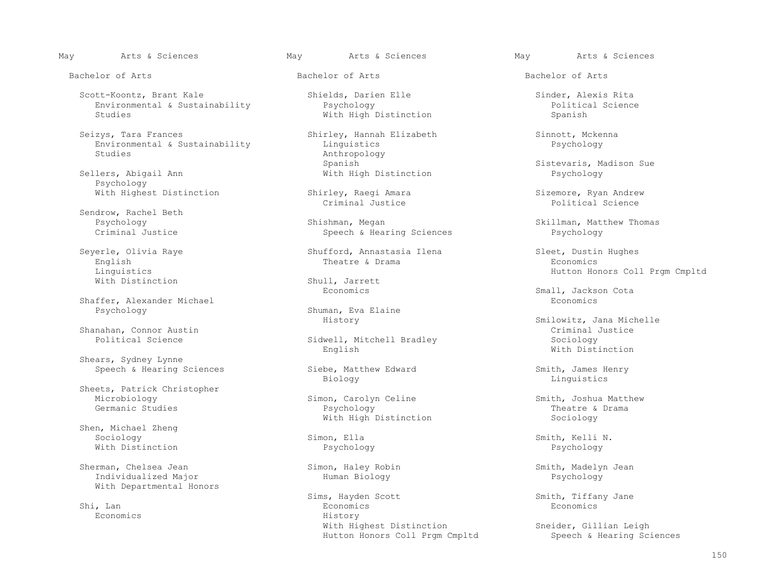Scott-Koontz, Brant Kale Shields, Darien Elle Shields, Scott-Koontz, Brant Kale<br>Environmental & Sustainability Sychology Resume Political Science Environmental & Sustainability and Providing Political Studies Political Spanish<br>
Political Science of Mith High Distinction<br>
Political Spanish

 Seizys, Tara Frances Shirley, Hannah Elizabeth Sinnott, Mckenna Environmental & Sustainability<br>Studies

Sellers, Abigail Ann Psychology

Sendrow, Rachel Beth<br>Psychology

Shaffer, Alexander Michael<br>Psychology

Shanahan, Connor Austin Criminal Justical Science Criminal Granahan, Connor Austin Criminal Justical Sociology

Shears, Sydney Lynne

Sheets, Patrick Christopher<br>Microbiology Microbiology Simon, Carolyn Celine Smith, Joshua Matthew

 Shen, Michael Zheng Sociology Simon, Ella Smith, Kelli N. With Distinction Psychology Psychology

 Sherman, Chelsea Jean Simon, Haley Robin Smith, Madelyn Jean Individualized Major With Departmental Honors

Economics History

Bachelor of Arts Bachelor of Arts Bachelor of Arts

With High Distinction

Anthropology<br>Spanish Spanish Sistevaris, Madison Sue<br>With High Distinction Sue<br>Psychology

Psychology Shishman, Megan Shishman, Megan Skillman, Matthew Thomas<br>Criminal Justice Speech & Hearing Sciences Speech Schology Steed Bychology Speech & Hearing Sciences

 Seyerle, Olivia Raye Shufford, Annastasia Ilena Sleet, Dustin Hughes English Theatre & Drama Economics

Shull, Jarrett<br>Economics

Shuman, Eva Elaine<br>History

Sidwell, Mitchell Bradley Sociology<br>
English Sociology<br>
With Distinction English With Distinction

Speech & Hearing Sciences Siebe, Matthew Edward Smith, James Henry<br>Biology Linguistics Controllers Biology Linguistics

 Germanic Studies Psychology Theatre & Drama With High Distinction Sociology

Sims, Hayden Scott Sims, Hayden Scott Smith, Tiffany Jane Shi, Lan Economics Economics With Highest Distinction<br>
Hutton Honors Coll Prgm Cmpltd<br>
Speech & Hearing Sciences Hutton Honors Coll Prgm Cmpltd

With Highest Distinction Shirley, Raegi Amara Sizemore, Ryan Andrew<br>Criminal Justice Science Political Science Criminal Justice Political Science

Einguistics Englished Coll Prem Cmpltd<br>
Mith Distinction Coll Prem Cmpltd Shull Jarrett Shull Mith Distinction

Small, Jackson Cota<br>Economics

Smilowitz, Jana Michelle<br>Criminal Justice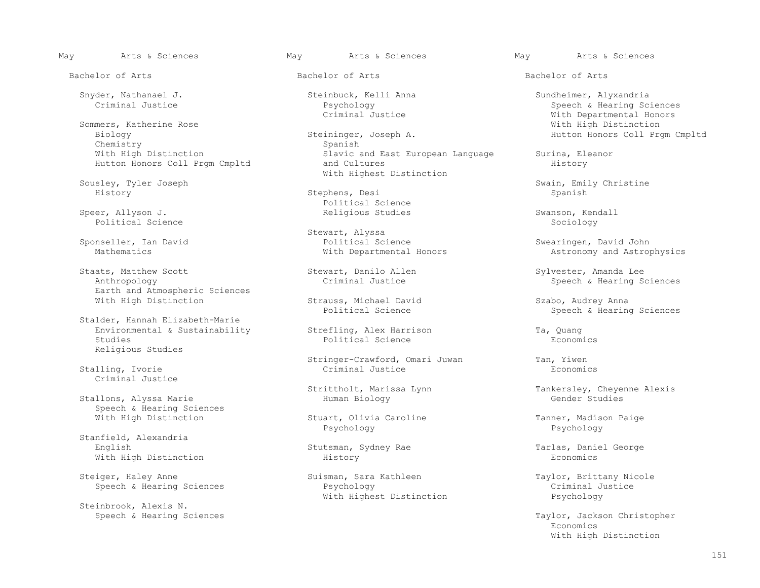Sommers, Katherine Rose<br>Biology Might Biology Might Biology Chemistry<br>With High Distinction Hutton Honors Coll Prgm Cmpltd

 Speer, Allyson J. Religious Studies Swanson, Kendall Political Science  $\sim$  Sociology  $\sim$  Sociology  $\sim$  Sociology  $\sim$  Sociology  $\sim$ 

Staats, Matthew Scott Stewart, Danilo Allen Stewart, Danilo Allen Sylvester, Amanda Lee<br>
Anthropology Criminal Justice Speech & Hearing S Earth and Atmospheric Sciences

 Stalder, Hannah Elizabeth-Marie Environmental & Sustainability Strefling, Alex Harrison Ta, Quang<br>Studies Political Science Conomics Boonomics Religious Studies

Stalling, Ivorie Criminal Justice

Stallons, Alyssa Marie Speech & Hearing Sciences

 Stanfield, Alexandria With High Distinction **History** 

Steiger, Haley Anne Suisman, Sara Kathleen Taylor, Brittany Nicole<br>Speech & Hearing Sciences Suisman, Sara Kathleen The Speech & Hearing Sciences Suisman, Sara Kathleen Speech &

Steinbrook, Alexis N.<br>Speech & Hearing Sciences

ininger, Joseph A. **Hutton Honors Coll Prgm Cmpltd**<br>Spanish Slavic and East European Language Surina, Eleanor<br>and Cultures History Sousley, Tyler Joseph Sousley, Tyler Sousley, Tyler Sousley, Tyler Sousley, Tyler Sousley, Tyler Sousley, Tyler

 History Stephens, Desi Spanish Speer, Allyson J. The Communication of the Political Science of Political Science of the Speer, Allyson J.

Sponseller, Ian David and Sponseller, Ian David and Sponseller and Science and Science and Sponseller, Inc. and Sponseller and Sponseller, Inches and Sponseller, Inches and Sponseller and Sponseller and Sponseller and Spon Sponseller, Ian David Political Science Swearingen, David John

Strauss, Michael David Szabo, Audrey Anna<br>Political Science Speech & Hearin

Political Science

Stringer-Crawford, Omari Juwan Tan, Yiwen<br>Criminal Justice Reconomics

With High Distinction Tanner, Madison Paige<br>Psychology Psychology Payer Party Party Party Party Paychology Psychology Psychology Psychology

Speech & Hearing Sciences The Sychology Psychology<br>
With Highest Distinction The Psychology With Highest Distinction

Bachelor of Arts Bachelor of Arts Bachelor of Arts

Snyder, Nathanael J. Steinbuck, Kelli Anna Sundheimer, Alyxandria Criminal Justice Sundheimer, Alyxandria Sundheimer, Alyxandria Sundheimer, Alyxandria Sundheimer, Alyxandria Sundheimer, Alyxandria Sundheimer, Sundheimer, Psychology<br>
Criminal Justice Speech & Hearing Sciences<br>
Psychology<br>
With Departmental Honors With Departmental Honors<br>With High Distinction

Sousley, Tyler Joseph Soussext Controller Soussext Article Swain, Emily Christine<br>
Stephens, Desi Spanish Spanish Spanish

Astronomy and Astrophysics

Speech & Hearing Sciences

Speech & Hearing Sciences

Strittholt, Marissa Lynn Tankersley, Cheyenne Alexis<br>Human Biology Cender Studies

English Stutsman, Sydney Rae Tarlas, Daniel George<br>
History Economics

Taylor, Jackson Christopher<br>Economics Economics With High Distinction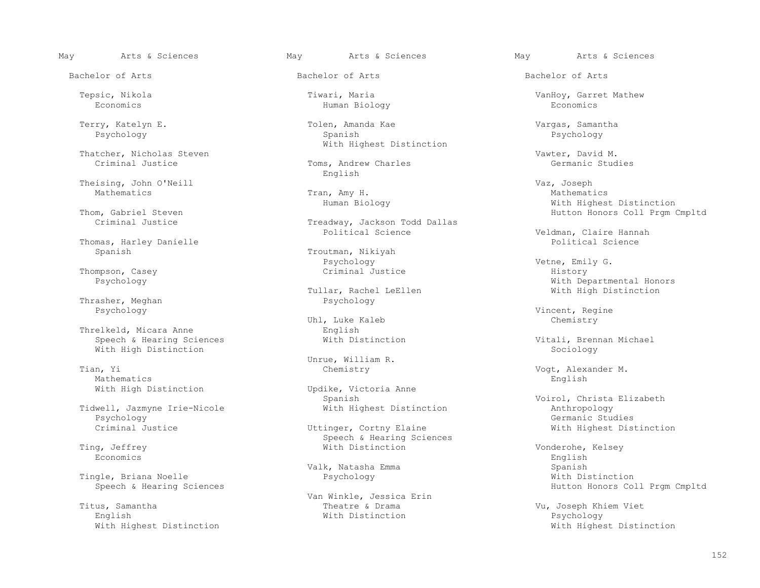Bachelor of Arts Bachelor of Arts Bachelor of Arts

Thatcher, Nicholas Steven Vawter, David M.

Theising, John O'Neill (1999) and Tran, Amy H. Theising, Joseph Vaz, Joseph Vaz, Joseph Vaz, Joseph Vaz, Joseph Vaz, Joseph Vaz, Joseph Vaz, Joseph Vaz, Joseph Vaz, Joseph Vaz, Vaz, Joseph Vaz, Vaz, Vaz, Vaz, Vaz, Vaz, Vaz Mathematics Tran, Amy H. Mathematics

Thomas, Harley Danielle<br>Spanish

Thompson, Casey Criminal Justice History

Thrasher, Meghan<br>Psychology

Threlkeld, Micara Anne<br>
Speech & Hearing Sciences<br>
With Distinction Speech & Hearing Sciences and Mith Distinction and Michael Vitali, Brennan Michael<br>With High Distinction and With Distinction and Michael Sociology With High Distinction

 Tian, Yi Chemistry Vogt, Alexander M. Mathematics English English

 Tidwell, Jazmyne Irie-Nicole With Highest Distinction Anthropology Psychology Germanic Studies

Economics English

Tingle, Briana Noelle<br>
Speech & Hearing Sciences<br>
Psychology

English With Distinction Psychology

Economics Human Biology Economics

 Terry, Katelyn E. Tolen, Amanda Kae Vargas, Samantha Psychology Spanish Psychology With Highest Distinction

Toms, Andrew Charles<br>English English

Treadway, Jackson Todd Dallas<br>Political Science

Troutman, Nikiyah  ${\tt Psychology}$  . Wetne,  ${\tt Emily}$  G.

lar, Rachel LeEllen With High Distinction<br>Psychology

Uhl, Luke Kaleb Chemistry

Unrue, William R.

With High Distinction Updike, Victoria Anne<br>Spanish

Speech & Hearing Sciences<br>
Ting, Jeffrey 
Speech & Hearing Sciences<br>
With Distinction

 Van Winkle, Jessica Erin Titus, Samantha Theatre & Drama Vu, Joseph Khiem Viet

Tepsic, Nikola Tiwari, Maria VanHoy, Garret Mathew

 Human Biology With Highest Distinction m, Gabriel Steven<br>Treadway, Jackson Todd Dallas (Hutton Honors Coll Prgm Cmpltd) (Criminal Justice

Veldman, Claire Hannah<br>Political Science

Vith Departmental Honors<br>
Pullar, Rachel LeEllen<br>
With High Distinction

Vincent, Regine<br>
Vincent, Regine<br>
Chemistry

Voirol, Christa Elizabeth<br>Anthropology Criminal Justice **Criminal Unitary Communist Criminal** Justice With Highest Distinction

 Ting, Jeffrey With Distinction Vonderohe, Kelsey Valk, Natasha Emma Spanish Hutton Honors Coll Prgm Cmpltd

With Highest Distinction With Highest Distinction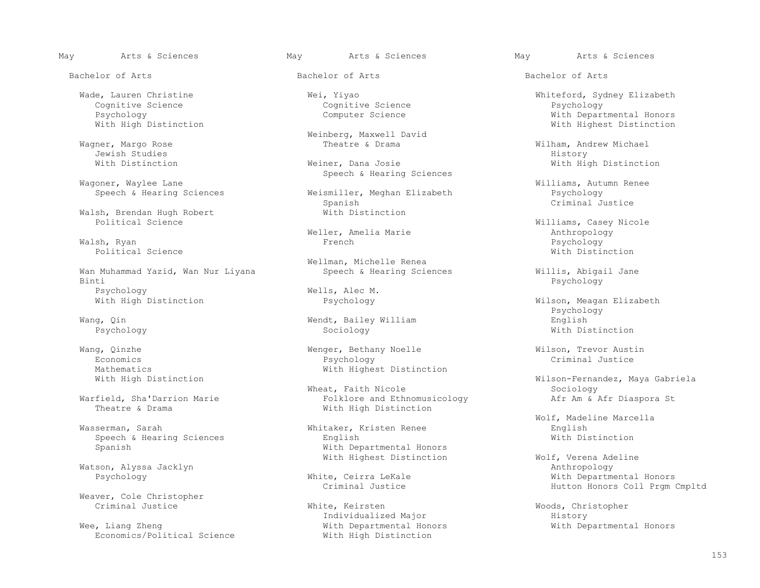Bachelor of Arts Bachelor of Arts Bachelor of Arts

Cognitive Science Cognitive Science<br>
Psychology Computer Science<br>
Computer Science

Jewish Studies History

Walsh, Brendan Hugh Robert<br>
Political Science

 Walsh, Ryan French Psychology Political Science With Distinction Research Control of the Michael Science With Distinction Research Oriental Science of the Michael Science of the Michael Science of the Michael Science of the Michael Science of the Micha

Wan Muhammad Yazid, Wan Nur Liyana Speech & Hearing Sciences and Millis, Abigail Jane<br>Binti Bychology Binti Psychology Psychology Mells, Alec M.<br>With High Distinction Missue Psychology

Mathematics With Highest Distinction<br>With High Distinction

Speech & Hearing Sciences<br>Spanish

Watson, Alyssa Jacklyn<br>Psychology Anthropology Mhite, Ceirra LeKale

Weaver, Cole Christopher<br>Criminal Justice

Wee, Liang Zheng<br>
Economics/Political Science<br>
With High Distinction<br>
With High Distinction Economics/Political Science

Weinberg, Maxwell David

With Distinction The Meiner, Dana Josie News, 2008, 2014 With High Distinction Wagoner, Waylee Lane Summary Speech & Hearing Sciences

 Speech & Hearing Sciences Weismiller, Meghan Elizabeth Psychology Spanish Criminal Justice

Weller, Amelia Marie Anthropology Meller, Amelia Marie Anthropology<br>French Malsh, Ryan Bychology

Wellman, Michelle Renea<br>Speech & Hearing Sciences

 Wang, Qin Wendt, Bailey William English Psychology Sociology With Distinction

 Wang, Qinzhe Wenger, Bethany Noelle Wilson, Trevor Austin Economics Psychology Criminal Justice

 Wheat, Faith Nicole Sociology field, Sha'Darrion Marie Folklore and Ethnomusicology<br>Theatre & Drama<br>With High Distinction With High Distinction

> Whitaker, Kristen Renee English<br>English English With Distinction With Departmental Honors

White, Keirsten Woods, Christopher<br>
Individualized Major Mistory History

 Wade, Lauren Christine Wei, Yiyao Whiteford, Sydney Elizabeth Psychology Computer Science Computer Computer Computer Computer Computer Computer Computer Computer Computer Computer Computer Computer Computer Computer Computer Computer Computer Computer Computer Computer Computer Compu With Highest Distinction

Wagner, Margo Rose Theatre & Drama Wilham, Andrew Michael

Williams, Autumn Renee<br>Weismiller, Meghan Elizabeth Messer (Paychology

Williams, Casey Nicole<br>Anthropology

Wilson, Meagan Elizabeth Psychology

Wilson-Fernandez, Maya Gabriela<br>Sociology

Wolf, Madeline Marcella

With Highest Distinction Wolf, Verena Adeline<br>
Anthropology te, Ceirra LeKale **Execute Seconds** With Departmental Honors<br>Criminal Justice With Honors Coll Prom Hutton Honors Coll Prgm Cmpltd

Individualized Major **History**<br>
With Departmental Honors **History** With Departmental Honors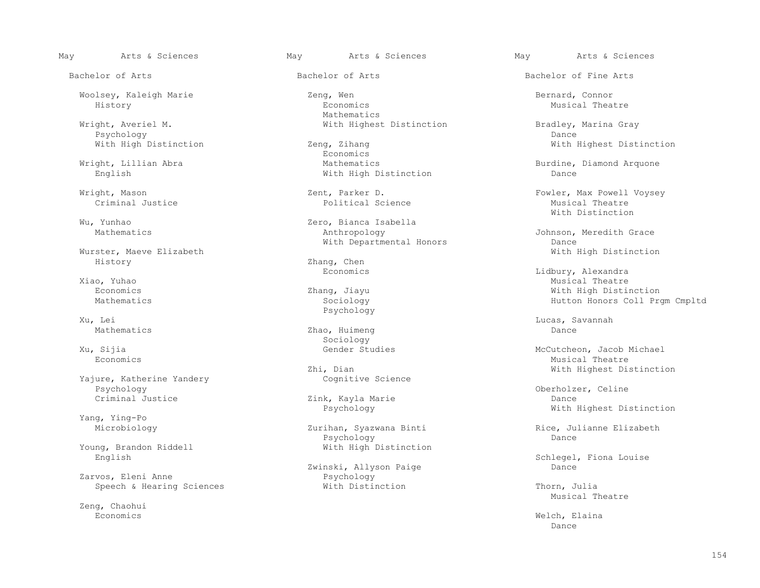Wright, Averiel M. The Mith Highest Distinction and Bradley, Marina Gray<br>Psychology bance Psychology Dance

Wurster, Maeve Elizabeth History Zhang, Chen<br>Economics

Yajure, Katherine Yandery<br>Psychology Psychology Oberholzer, Celine

Yang, Ying-Po

Zarvos, Eleni Anne<br>
Speech & Hearing Sciences<br>
With Distinction

Zeng, Chaohui<br>Economics

 Woolsey, Kaleigh Marie Zeng, Wen Bernard, Connor History Economics Musical Theatre Mathematics **Mathematics** 

With High Distinction 2eng, Zihang 2007 and With Highest Distinction West Distinction Economics **Example 19** Seconomics **Example 19 Seconomics**  Wright, Lillian Abra Mathematics Burdine, Diamond Arquone With High Distinction

Wu, Yunhao 2ero, Bianca Isabella<br>Mathematics 2012 Mathropology

Xu. Lei Psychology

 Mathematics Zhao, Huimeng Dance Sociology

Zhi, Dian With Highest Distinction<br>Coqnitive Science

Zink, Kayla Marie

Zurihan, Syazwana Binti Rice, Julianne Elizabeth<br>Psychology Bance Dance Psychology Research Dance Dance Dance Dance Dance Young, Brandon Riddell With High Distinction

Zwinski, Allyson Paige<br>Psychology

Bachelor of Arts **Bachelor of Arts** Bachelor of Arts **Bachelor of Fine Arts** 

 Wright, Mason Zent, Parker D. Fowler, Max Powell Voysey Criminal Justice Political Science Musical Theatre With Distinction

> Johnson, Meredith Grace<br>Dance With Departmental Honors<br>
> With High Distinction<br>
> With High Distinction

 Economics Lidbury, Alexandra Xiao, Yuhao Musical Theatre and Santa Theatre and Santa Theatre and Musical Theatre and Musical Theatre and Musical Theatre and Musical Theatre and Musical Theatre and Musical Theatre and Musical Theatre and Musical Theatr Economics Zhang, Jiayu With High Distinction Hutton Honors Coll Prgm Cmpltd

Xu, Lei Lucas, Savannah

 Xu, Sijia Gender Studies McCutcheon, Jacob Michael Economics and the settlement of the settlement of the settlement of the settlement of the Musical Theatre Musical Theatre

Psychology With Highest Distinction

English Schlegel, Fiona Louise<br>Zwinski, Allyson Paige Schlegel, Fiona Louise

Speech & Hearing Sciences **With Distinction** Thorn, Julia Theatre Musical Theatre

 Economics Welch, Elaina not a control of the control of the control of the control of the control of the control of the control of the control of the control of the control of the control of the control of the control of the control of the contro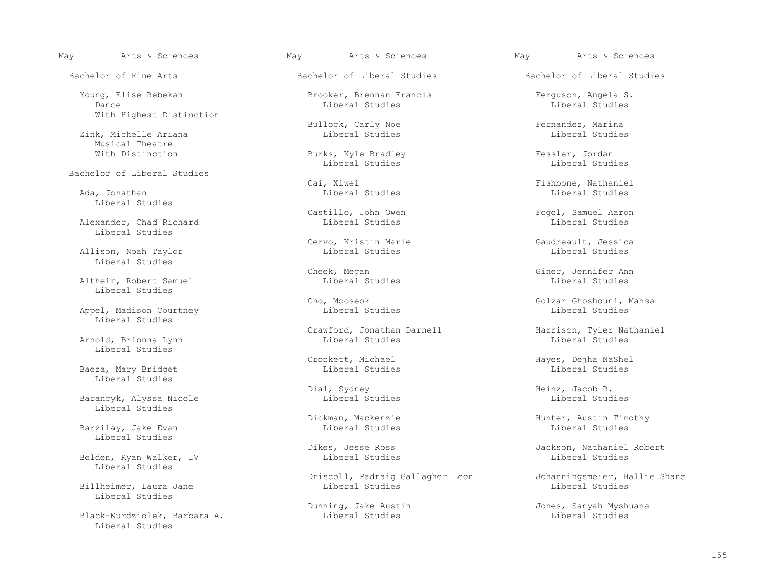Young, Elise Rebekah (Brooker, Brennan Francis (Brooker, Brennan Francis (Ferguson, Angela S. 1997)<br>
Liberal Studies (Liberal Studies (Liberal Studies (Liberal Studies (Liberal Studies (Liberal Studies (Liberal Dance Liberal Studies Liberal Studies With Highest Distinction

Zink, Michelle Ariana Musical Theatre<br>With Distinction

Bachelor of Liberal Studies

 Ada, Jonathan Liberal Studies Liberal Studies Liberal Studies

Alexander, Chad Richard Liberal Studies

Allison, Noah Taylor Liberal Studies

Liberal Studies

Appel, Madison Courtney Liberal Studies

Arnold, Brionna Lynn Liberal Studies

Baeza, Mary Bridget Liberal Studies

Barancyk, Alyssa Nicole and Liberal Studies Liberal Studies Liberal Studies Liberal Studies Liberal Studies

Barzilay, Jake Evan Liberal Studies

Belden, Ryan Walker, IV Liberal Studies

Billheimer, Laura Jane Liberal Studies

Black-Kurdziolek, Barbara A. Liberal Studies

Bullock, Carly Noe Fernandez, Marina<br>
Liberal Studies The Reversion Contract Contract Contract Contract Contract Contract Contract Contract Contra<br>
Liberal Studies

 With Distinction Burks, Kyle Bradley Fessler, Jordan Liberal Studies Liberal Studies

Castillo, John Owen Fogel, Samuel Aaron<br>
Liberal Studies<br>
Liberal Studies

Cervo, Kristin Marie Gaudreault, Jessica<br>
Liberal Studies<br>
Liberal Studies

Crawford, Jonathan Darnell Harrison, Tyler Nathaniel<br>
Liberal Studies<br>
Liberal Studies

Dial, Sydney Heinz, Jacob R.

Driscoll, Padraig Gallagher Leon Johanningsmeier, Hallie Shane

May Arts & Sciences May Arts & Sciences May Arts & Sciences

Bachelor of Fine Arts **Bachelor of Liberal Studies** Bachelor of Liberal Studies

Cai, Xiwei Fishbone, Nathaniel

Cheek, Megan Giner, Jennifer Ann Gheek, Megan Giner, Gener, Jennifer Ann Gheek, Megan Gheek, Megan Gheek, General G Altheim, Robert Samuel Liberal Studies Liberal Studies

Cho, Mooseok Golzar Ghoshouni, Mahsa<br>
Liberal Studies<br>
Liberal Studies

Crockett, Michael Hayes, Dejha NaShel<br>
Liberal Studies<br>
Liberal Studies

Dickman, Mackenzie and Hunter, Austin Timothy<br>
Liberal Studies and Liberal Studies

Dikes, Jesse Ross Jackson, Nathaniel Robert Liberal Studies Liberal Studies Liberal Studies Liberal Studies Libera

Dunning, Jake Austin Jones, Sanyah Myshuana<br>
Liberal Studies (Jones, Sanyah Myshuana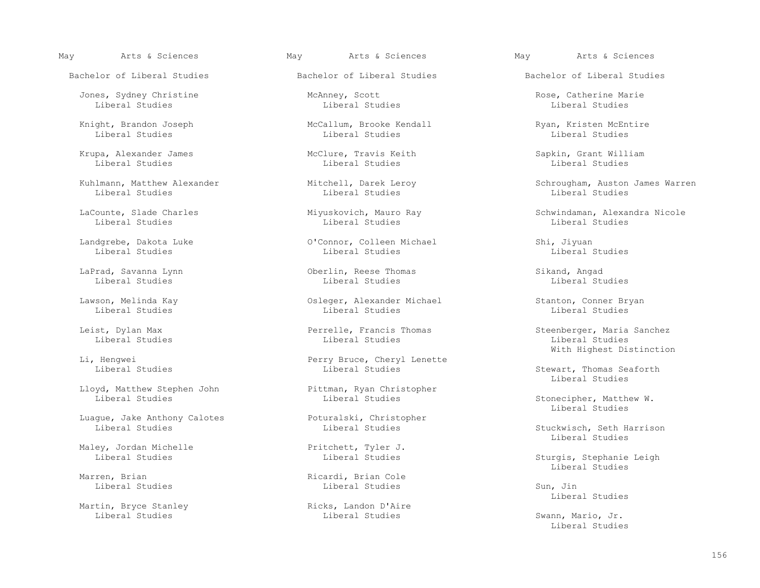Jones, Sydney Christine McAnney, Scott Rose, Catherine Marie Marie المستوى المستوى المستوى المستوى المستوى المستوى المستوى المستوى المستوى المستوى المستوى المستوى المستوى الم Liberal Studies Liberal Studies Liberal Studies

 Krupa, Alexander James McClure, Travis Keith Sapkin, Grant William Liberal Studies Liberal Studies Liberal Studies

Liberal Studies Liberal Studies Liberal Studies

Lloyd, Matthew Stephen John Pittman, Ryan Christopher<br>Liberal Studies Bittman, Ryan Christopher

Luague, Jake Anthony Calotes **Poturalski, Christopher** Liberal Studies **Poturalski**, Christopher Liberal Studies

Maley, Jordan Michelle Pritchett, Tyler J.<br>
Liberal Studies<br>
Liberal Studies

Liberal Studies Liberal Studies Sun, Jin

Martin, Bryce Stanley (and Ricks, Landon D'Aire<br>
Liberal Studies (Liberal Studies

Knight, Brandon Joseph McCallum, Brooke Kendall Ryan, Kristen McEntire<br>
Liberal Studies Liberal Studies Liberal Studies Liberal Studies Liberal Studies Liberal Studies Liberal Studies

Liberal Studies Liberal Studies Liberal Studies

 Landgrebe, Dakota Luke O'Connor, Colleen Michael Shi, Jiyuan Liberal Studies Liberal Studies Liberal Studies

 LaPrad, Savanna Lynn Oberlin, Reese Thomas Sikand, Angad Liberal Studies Liberal Studies Liberal Studies

 Lawson, Melinda Kay Osleger, Alexander Michael Stanton, Conner Bryan Liberal Studies Liberal Studies Liberal Studies

Liberal Studies Liberal Studies Liberal Studies

External Studies<br>
Liberal Studies<br>
Liberal Studies<br>
Liberal Studies<br>
Liberal Studies

Marren, Brian (and the cole of the Ricardi, Brian Cole (and the cole of the cole of the cole of the cole of the cole of the cole of the cole of the cole of the cole of the cole of the cole of the cole of the cole of the co

# May Arts & Sciences May Arts & Sciences May Arts & Sciences

Bachelor of Liberal Studies The Bachelor of Liberal Studies Bachelor of Liberal Studies

Kuhlmann, Matthew Alexander Mitchell, Darek Leroy Schrougham, Auston James Warren<br>Liberal Studies Liberal Studies Liberal Studies

LaCounte, Slade Charles Miyuskovich, Mauro Ray Schwindaman, Alexandra Nicole<br>
Liberal Studies Liberal Studies Liberal Studies Liberal Studies

 Leist, Dylan Max Perrelle, Francis Thomas Steenberger, Maria Sanchez Li, Henqwei **Example 2018** Perry Bruce, Cheryl Lenette **Example 2018** With Highest Distinction

Stewart, Thomas Seaforth<br>Liberal Studies Liberal Studies

Stonecipher, Matthew W.<br>Liberal Studies Liberal Studies

Stuckwisch, Seth Harrison<br>Liberal Studies Liberal Studies

Sturgis, Stephanie Leigh<br>
Liberal Studies Liberal Studies

Liberal Studies

Swann, Mario, Jr.<br>Liberal Studies Liberal Studies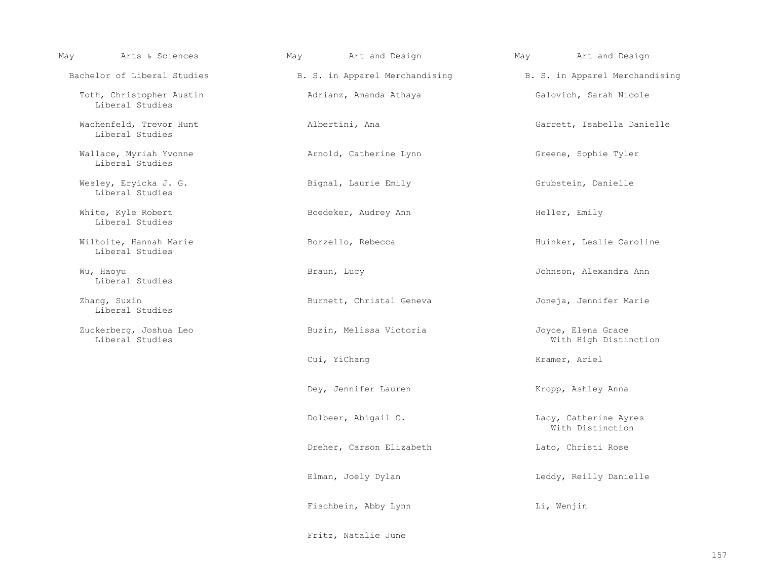| Arts & Sciences<br>May                      | Art and Design<br>May    | May<br>Art and Design                                                |
|---------------------------------------------|--------------------------|----------------------------------------------------------------------|
| Bachelor of Liberal Studies                 |                          | B. S. in Apparel Merchandising Theory B. S. in Apparel Merchandising |
| Toth, Christopher Austin<br>Liberal Studies | Adrianz, Amanda Athaya   | Galovich, Sarah Nicole                                               |
| Wachenfeld, Trevor Hunt<br>Liberal Studies  | Albertini, Ana           | Garrett, Isabella Danielle                                           |
| Wallace, Myriah Yvonne<br>Liberal Studies   | Arnold, Catherine Lynn   | Greene, Sophie Tyler                                                 |
| Wesley, Eryicka J. G.<br>Liberal Studies    | Bignal, Laurie Emily     | Grubstein, Danielle                                                  |
| White, Kyle Robert<br>Liberal Studies       | Boedeker, Audrey Ann     | Heller, Emily                                                        |
| Wilhoite, Hannah Marie<br>Liberal Studies   | Borzello, Rebecca        | Huinker, Leslie Caroline                                             |
| Wu, Haoyu<br>Liberal Studies                | Braun, Lucy              | Johnson, Alexandra Ann                                               |
| Zhang, Suxin<br>Liberal Studies             | Burnett, Christal Geneva | Joneja, Jennifer Marie                                               |
| Zuckerberg, Joshua Leo<br>Liberal Studies   | Buzin, Melissa Victoria  | Joyce, Elena Grace<br>With High Distinction                          |
|                                             | Cui, YiChang             | Kramer, Ariel                                                        |
|                                             | Dey, Jennifer Lauren     | Kropp, Ashley Anna                                                   |
|                                             | Dolbeer, Abigail C.      | Lacy, Catherine Ayres<br>With Distinction                            |
|                                             | Dreher, Carson Elizabeth | Lato, Christi Rose                                                   |
|                                             | Elman, Joely Dylan       | Leddy, Reilly Danielle                                               |
|                                             | Fischbein, Abby Lynn     | Li, Wenjin                                                           |
|                                             | Fritz, Natalie June      |                                                                      |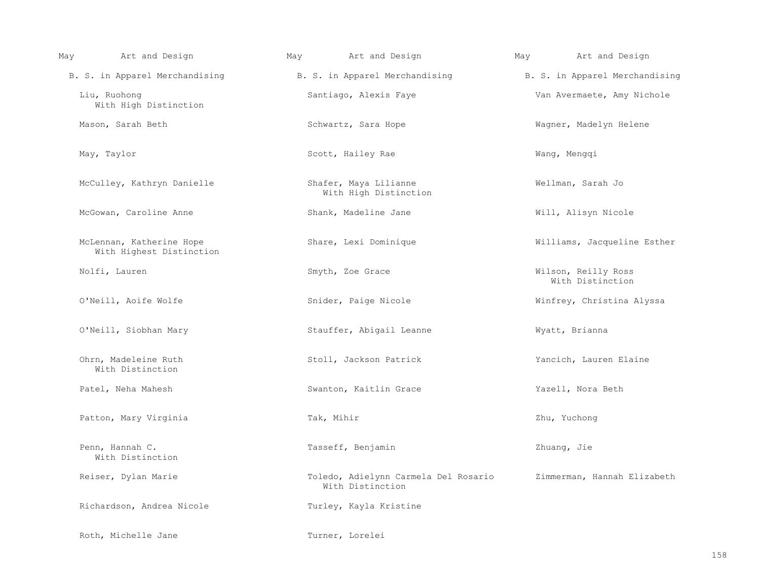| Art and Design<br>May                                | May<br>Art and Design                                                | Art and Design<br>May                   |
|------------------------------------------------------|----------------------------------------------------------------------|-----------------------------------------|
|                                                      | B. S. in Apparel Merchandising Theory B. S. in Apparel Merchandising | B. S. in Apparel Merchandising          |
| Liu, Ruohong<br>With High Distinction                | Santiago, Alexis Faye                                                | Van Avermaete, Amy Nichole              |
| Mason, Sarah Beth                                    | Schwartz, Sara Hope                                                  | Wagner, Madelyn Helene                  |
| May, Taylor                                          | Scott, Hailey Rae                                                    | Wang, Mengqi                            |
| McCulley, Kathryn Danielle                           | Shafer, Maya Lilianne<br>With High Distinction                       | Wellman, Sarah Jo                       |
| McGowan, Caroline Anne                               | Shank, Madeline Jane                                                 | Will, Alisyn Nicole                     |
| McLennan, Katherine Hope<br>With Highest Distinction | Share, Lexi Dominique                                                | Williams, Jacqueline Esther             |
| Nolfi, Lauren                                        | Smyth, Zoe Grace                                                     | Wilson, Reilly Ross<br>With Distinction |
| O'Neill, Aoife Wolfe                                 | Snider, Paige Nicole                                                 | Winfrey, Christina Alyssa               |
| O'Neill, Siobhan Mary                                | Stauffer, Abigail Leanne                                             | Wyatt, Brianna                          |
| Ohrn, Madeleine Ruth<br>With Distinction             | Stoll, Jackson Patrick                                               | Yancich, Lauren Elaine                  |
| Patel, Neha Mahesh                                   | Swanton, Kaitlin Grace                                               | Yazell, Nora Beth                       |
| Patton, Mary Virginia                                | Tak, Mihir                                                           | Zhu, Yuchong                            |
| Penn, Hannah C.<br>With Distinction                  | Tasseff, Benjamin                                                    | Zhuang, Jie                             |
| Reiser, Dylan Marie                                  | Toledo, Adielynn Carmela Del Rosario<br>With Distinction             | Zimmerman, Hannah Elizabeth             |
| Richardson, Andrea Nicole                            | Turley, Kayla Kristine                                               |                                         |
| Roth, Michelle Jane                                  | Turner, Lorelei                                                      |                                         |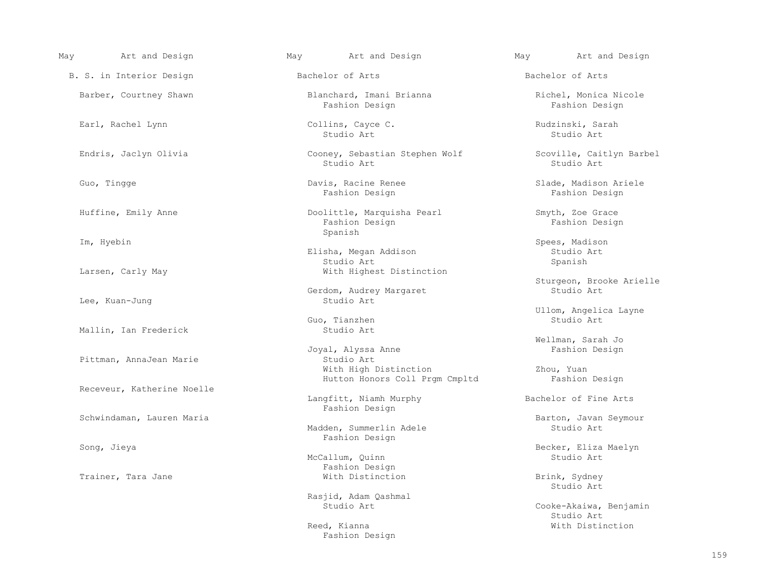| May | Art and Design             | May | Art and Design                                          | May | Art and Design                          |
|-----|----------------------------|-----|---------------------------------------------------------|-----|-----------------------------------------|
|     | B. S. in Interior Design   |     | Bachelor of Arts                                        |     | Bachelor of Arts                        |
|     | Barber, Courtney Shawn     |     | Blanchard, Imani Brianna<br>Fashion Design              |     | Richel, Monica Nicole<br>Fashion Design |
|     | Earl, Rachel Lynn          |     | Collins, Cayce C.<br>Studio Art                         |     | Rudzinski, Sarah<br>Studio Art          |
|     | Endris, Jaclyn Olivia      |     | Cooney, Sebastian Stephen Wolf<br>Studio Art            |     | Scoville, Caitlyn Barbel<br>Studio Art  |
|     | Guo, Tingge                |     | Davis, Racine Renee<br>Fashion Design                   |     | Slade, Madison Ariele<br>Fashion Design |
|     | Huffine, Emily Anne        |     | Doolittle, Marquisha Pearl<br>Fashion Design            |     | Smyth, Zoe Grace<br>Fashion Design      |
|     | Im, Hyebin                 |     | Spanish<br>Elisha, Megan Addison<br>Studio Art          |     | Spees, Madison<br>Studio Art<br>Spanish |
|     | Larsen, Carly May          |     | With Highest Distinction                                |     | Sturgeon, Brooke Arielle                |
|     | Lee, Kuan-Jung             |     | Gerdom, Audrey Margaret<br>Studio Art                   |     | Studio Art                              |
|     | Mallin, Ian Frederick      |     | Guo, Tianzhen<br>Studio Art                             |     | Ullom, Angelica Layne<br>Studio Art     |
|     | Pittman, AnnaJean Marie    |     | Joyal, Alyssa Anne<br>Studio Art                        |     | Wellman, Sarah Jo<br>Fashion Design     |
|     | Receveur, Katherine Noelle |     | With High Distinction<br>Hutton Honors Coll Prgm Cmpltd |     | Zhou, Yuan<br>Fashion Design            |
|     |                            |     | Langfitt, Niamh Murphy<br>Fashion Design                |     | Bachelor of Fine Arts                   |
|     | Schwindaman, Lauren Maria  |     | Madden, Summerlin Adele<br>Fashion Design               |     | Barton, Javan Seymour<br>Studio Art     |
|     | Song, Jieya                |     | McCallum, Quinn<br>Fashion Design                       |     | Becker, Eliza Maelyn<br>Studio Art      |
|     | Trainer, Tara Jane         |     | With Distinction                                        |     | Brink, Sydney<br>Studio Art             |
|     |                            |     | Rasjid, Adam Qashmal<br>Studio Art                      |     | Cooke-Akaiwa, Benjamin<br>Studio Art    |
|     |                            |     | Reed, Kianna                                            |     | With Distinction                        |

Fashion Design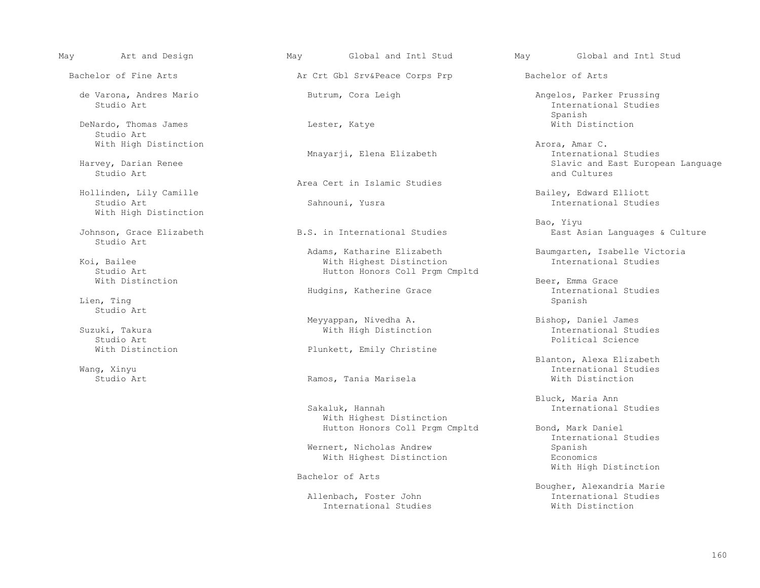DeNardo, Thomas James and Music Controllers and Lester, Katye Microsoft Microsoft Michael Microsoft Microsoft Microsoft Microsoft Microsoft Music Music Music Music Music Music Music Music Music Music Music Music Music Musi Studio Art

Studio Art and Cultures and Cultures and Cultures and Cultures and Cultures and Cultures and Cultures and Cultures

 Hollinden, Lily Camille Bailey, Edward Elliott With High Distinction

Studio Art

Lien, Ting Spanish and Spanish and Spanish and Spanish and Spanish and Spanish and Spanish and Spanish and Spanish and Spanish and Spanish and Spanish and Spanish and Spanish and Spanish and Spanish and Spanish and Spanish Studio Art

Studio Art in the settlement of the settlement of the settlement of the settlement of the settlement of the set

May Art and Design May Global and Intl Stud May Global and Intl Stud

Bachelor of Fine Arts **Arts** Art Crt Gbl Srv&Peace Corps Prp Bachelor of Arts

Mnayarji, Elena Elizabeth International Mnayarji, Elena Elizabeth

Area Cert in Islamic Studies

Adams, Katharine Elizabeth Baumgarten, Isabelle Victoria<br>With Highest Distinction International Studies A Bailee Mith Highest Distinction<br>Studio Art Collection International Studies Studio Art<br>  $Mith$  Distinction<br>  $Mith$  Distinction

Hudgins, Katherine Grace Theorem International Spanish<br>
Spanish

Meyyappan, Nivedha A. Bishop, Daniel James

With Distinction **Plunkett**, Emily Christine

Ramos, Tania Marisela

 With Highest Distinction Hutton Honors Coll Prgm Cmpltd Bond, Mark Daniel

Wernert, Nicholas Andrew With Highest Distinction **Example 18 Expanditure** Economics

Bachelor of Arts

Allenbach, Foster John **International Studies**<br>
International Studies<br>
With Distinction International Studies

 de Varona, Andres Mario Butrum, Cora Leigh Angelos, Parker Prussing International Studies<br>Spanish Spanish

With High Distinction<br>Mnavarii, Elena Elizabeth Arora, Amar C.<br>International Studies Harvey, Darian Renee Slavic and East European Language

International Studies

 Bao, Yiyu Johnson, Grace Elizabeth B.S. in International Studies East Asian Languages & Culture

Beer, Emma Grace<br>International Studies

Suzuki, Takura With High Distinction International Studies

Blanton, Alexa Elizabeth<br>Blanton, Alexa Elizabeth<br>International Studies Wang, Xinyu International Studies

> Bluck, Maria Ann<br>Bakaluk, Hannah (Bakaluk, Maria Ann International Studies

> > International Studies With High Distinction

Bougher, Alexandria Marie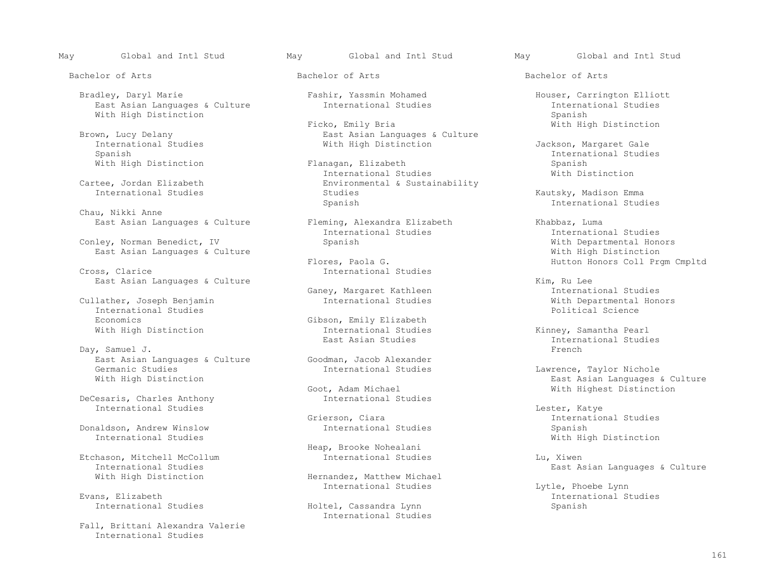Bradley, Daryl Marie Fashir, Yassmin Mohamed Houser, Carrington Elliott (East Asian Languages & Culture Fashir, Yassmin Mohamed Fashir, Houser, Carrington Elliott East Asian Languages & Culture Thernational Studies and International Studies and International Spanish<br>
Factor Spanish With High Distinction<br>Ficko, Emily Bria

International Studies and Mith High Distinction and Margaret Gale (Jackson, Margaret Gale<br>Spanish and Studies and Studies and Studies and Studies and Studies and Studies and Studies and Studies and Studi

Chau, Nikki Anne<br>East Asian Languages & Culture

Conley, Norman Benedict, IV Spanish Spanish Spanish With Departmental Honors (Mith Departmental Honors) East Asian Languages & Culture East Asian Languages & Culture<br>Flores, Paola G.

Cullather, Joseph Benjamin and Thernational Studies and Mith Departmental International Studies and Thernational Studies and Thernational Science International Studies<br>Economics Economics Gibson, Emily Elizabeth<br>With High Distinction and Gibson, Emily Elizabeth<br>International Studies

 Day, Samuel J. French East Asian Languages & Culture (Goodman, Jacob Alexander<br>Germanic Studies (Germanic Atudies) Germanic Studies and Communic Studies International Studies and Communic Studies Communic Studies (Germanic Michole<br>
Vermanic Studies and Languages and Languages and Languages and Languages and Languages and Languages and

DeCesaris, Charles Anthony International Studies<br>Grierson, Ciara Champele and Thernation (Grienal Champele and Thernation (Grienal Champele and Thernation (Grienal Champele and Thernation (Grienal Champele and Grienal Champele and Thernation (Griena

Donaldson, Andrew Winslow **International Studies** Spanish<br>
International Studies **Spanish**<br>
With Hid

Etchason, Mitchell McCollum and International Studies and Lu, Xiwen<br>International Studies and Lu, East American Lu International Studies<br>
Vith High Distinction<br>
With High Distinction<br>
With High Distinction

 Fall, Brittani Alexandra Valerie International Studies

May Global and Intl Stud May Global and Intl Stud May Global and Intl Stud

Bachelor of Arts Bachelor of Arts Bachelor of Arts

Ficko, Emily Bria Guilture (With High Distinction East Asian Languages & Culture With High Distinction East Asian Languages & Culture wn, Lucy Delany<br>
International Studies<br>
Fast Asian Languages & Culture<br>
With High Distinction

With High Distinction The Spanish Flanagan, Elizabeth Spanish Spanish<br>International Studies Spanish Spanish Spanish Spanish Spanish Spanish Spanish Spanish Spanish Spanish Spanish International Studies<br>Cartee, Jordan Elizabeth Microsoft Environmental & Susta tee, Jordan Elizabeth Environmental & Sustainability<br>International Studies Studies International Studies Studies Kautsky, Madison Emma

Fleming, Alexandra Elizabeth  $\frac{1}{2}$  Khabbaz, Luma<br>International Studies and Thernation

Flores, Paola G. (1993) Flores, Paola G. (1995) Flores, Paola G. (1997) Flores, Paola G. (1997) Flores, Paola G. (1997) Flores, Paola G. (1997) Flores, Paola G. (1997) Flores, Paola G. (1997) Flores, Paola G. (1997) Thtern International Studies

International Studies and Minney, Samantha Pearl<br>East Asian Studies and Minney, International Studi

t, Adam Michael and Michael Mith Highest Distinction<br>
International Studies

Heap, Brooke Nohealani

Hernandez, Matthew Michael<br>International Studies

Holtel, Cassandra Lynn Spanish Spanish International Studies

Elanagan, Elizabeth (Electronic Spanish Spanish Spanish Spanish Spanish Spanish Spanish Spanish Spanish Spanish Spanish Spanish Spanish Spanish Spanish Spanish Spanish Spanish Spanish Spanish Spanish Spanish Spanish Spanis

Spanish International Studies

International Studies and Thernational Studies<br>
Spanish International Studies<br>
Vith Departmental Honors

East Asian Languages & Culture<br>Ganey, Margaret Kathleen The Monday Rim, Ru Lee and Studies Ganey, Margaret Kathleen and Thernational Studies<br>International Studies and Mith Departmental Honors

East Asian Studies and Moreover Christman and East Asian Studies and Moreover Christman and Studies and Day, Samuel J. Christman and Moreover Christman and Day, Samuel J. Christman and Day, Samuel J. Christman and Day, Sam

East Asian Languages & Culture<br>
With Highest Distinction

erson, Ciara<br>International Studies<br>
Spanish With High Distinction

International Studies and Lytle, Phoebe Lynn (Evans, Elizabeth Communistyle, Phoebe Lynn (Evans, Elizabeth Communistyle, Phoebe Lynn (Evans, Elizabeth Communistyle, Phoebe Lynn (Evans, Elizabeth Communistyle, Phoebe Lynn ( Evans, Elizabeth International Studies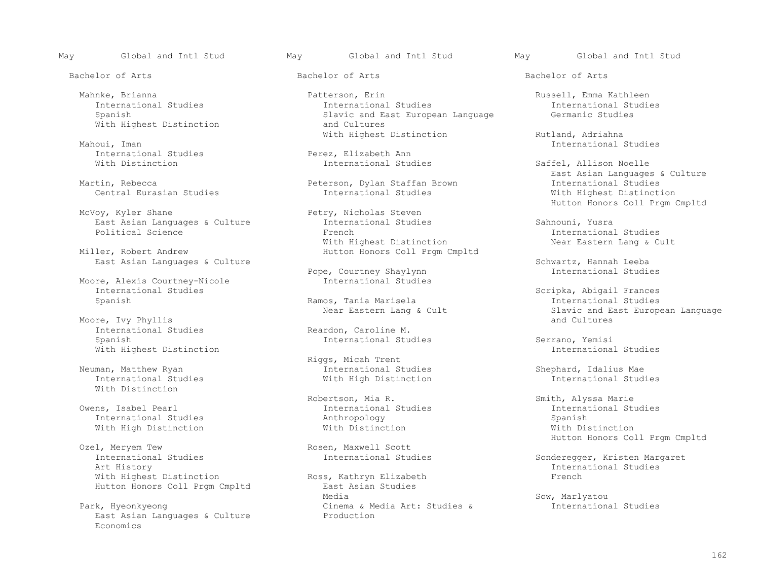May Global and Intl Stud May Global and Intl Stud May Global and Intl Stud

With Highest Distinction

Mahoui, Iman International Studies (1999) and the set of the set of the set of the set of the set of the set of the set of the set of the set of the set of the set of the set of the set of the set of the set of the set of

 Moore, Alexis Courtney-Nicole International Studies International Studies Scripka, Abigail Frances

Moore, Ivy Phyllis<br>International Studies International Studies and Reardon, Caroline M.<br>
Spanish and International Stu With Highest Distinction

With Distinction

With High Distinction

l, Meryem Tew 1. The Rosen, Maxwell Scott Contractional Studies<br>
International Studies 1. Thernational Studies International Studies and Thernational Studies Sonderegger, Kristen Margaret<br>Art History 11. International Studies Art History International Studies With Highest Distinction Ross, Kathryn Elizabeth French<br>
Ross, Kathryn Elizabeth French<br>
Rast Asian Studies Hutton Honors Coll Prgm Cmpltd<br>Media

East Asian Languages & Culture Economics

 Mahnke, Brianna Patterson, Erin Russell, Emma Kathleen International Studies and International Studies and East European Language and Germanic Studies International Studies<br>Slavic and East European Language Germanic Studies Slavic and East European Language<br>and Cultures

International Studies Perez, Elizabeth Ann

Martin, Rebecca Peterson, Dylan Staffan Brown International Studies

Petry, Nicholas Steven<br>International Studies East Asian Languages & Culture Thernational Studies and Sahnouni, Yusra<br>
Political Science Thernationa Stench<br>
French With Highest Distinction<br>Miller, Robert Andrew The Cultum Hutton Honors Coll Prgm C Hutton Honors Coll Prgm Cmpltd

Pope, Courtney Shaylynn International Studies

Ramos, Tania Marisela

Riggs, Micah Trent<br>Riggs, Micah Trent<br>International St man, Matthew Ryan International Studies Shephard, Idalius Mae<br>International Studies With High Distinction International St With High Distinction

International Studies and International Studies International Spanish<br>
Anthropology Spanish International Studies and Anthropology and Milliam Spanish Spanish<br>
Mith High Distinction and Spanish Spanish Spanish Spanish Spanish Spanish Spanish Spanish Spanish Spanish Spanish

 Media Sow, Marlyatou Park, Hyeonkyeong<br>
East Asian Languages & Culture<br>
Production<br>
Production

Bachelor of Arts Bachelor of Arts Bachelor of Arts

With Highest Distinction and Rutland, Adriahna Mahoui, Iman and Rutland Studies Rutland Studies

Saffel, Allison Noelle East Asian Languages & Culture With Highest Distinction Hutton Honors Coll Prgm Cmpltd

International Studies<br>Near Eastern Lang & Cult

East Asian Languages & Culture Courtney Shavlynn Schwartz, Hannah Leeba<br>Pope, Courtney Shavlynn Studies (International Studies

Near Eastern Lang & Cult<br>
Slavic and East European Language<br>
and Cultures

International Studies Serrano, Yemisi<br>International Studies Serrano, Yemisi

Robertson, Mia R. (1998) Smith, Alyssa Marie<br>Owens, Isabel Pearl (1998) Smith, Alyssa Marie (1999) Smith, Alyssa Marie (1999) Smith, Alyssa Marie (1999) Sm Ozel, Meryem Tew **Example 2018** Rosen, Maxwell Scott Maxwell South Maxwell Scott Maxwell Scott Maxwell Scott Coll Prompted Bossen, Maxwell Scott Maxwell Scott Maxwell Scott Maxwell Scott Maxwell Scott Maxwell Scott Maxwell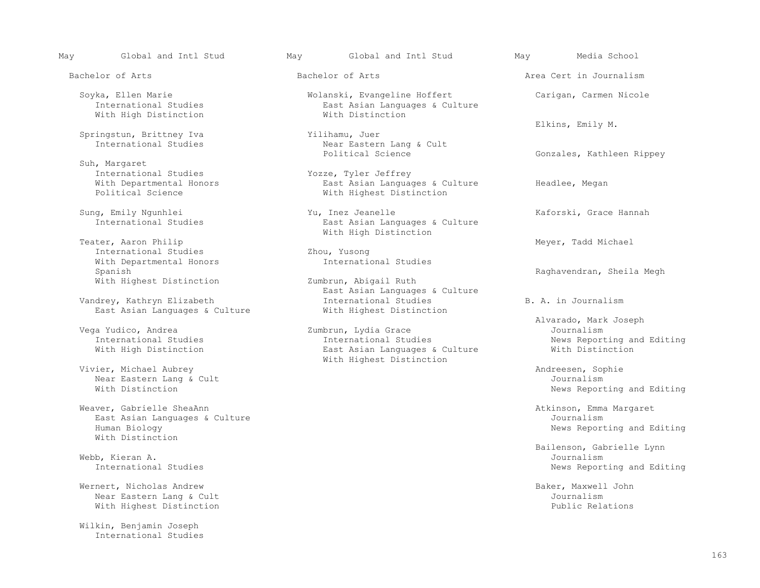With High Distinction

Springstun, Brittney Iva<br>International Studies

 Suh, Margaret International Studies<br>
With Departmental Honors<br>
East Asian Languad

Teater, Aaron Philip (1999) and Meyer, Tadd Michael (1999) and Meyer, Tadd Michael (1999) and Meyer, Tadd Michael (1999) and Meyer, Tadd Michael (1999) and Meyer, Tadd Michael (1999) and Meyer (1999) and Meyer (1999) and M International Studies<br>
With Departmental Honors<br>
Vith Departmental Honors<br>
Thernational Studies With Departmental Honors<br>Spanish With Highest Distinction

East Asian Languages & Culture

Vivier, Michael Aubrey (Vivier, Michael Aubrey and Andreesen, Sophie (Vivier, Michael Aubrey and Andreesen, Sophie<br>Near Eastern Lang & Cult Near Eastern Lang & Cult<br>With Distinction

Weaver, Gabrielle SheaAnn<br>
East Asian Languages & Culture<br>
East Asian Languages & Culture East Asian Languages & Culture<br>Human Biology With Distinction

Webb, Kieran A.<br>International Studies

Wernert, Nicholas Andrew Baker, Maxwell John Baker, Maxwell John Baker, Maxwell John Baker, Maxwell John Baker, Maxwell John Baker, Maxwell John Baker, Maxwell John Baker, Maxwell John Baker, Maxwell John Baker, Maxwell Jo Near Eastern Lang & Cult<br>
With Highest Distinction<br>
With Highest Distinction With Highest Distinction

 Wilkin, Benjamin Joseph International Studies

May Global and Intl Stud May Global and Intl Stud May Media School

Soyka, Ellen Marie Molanski, Evangeline Hoffert (Carigan, Carmen Nicole 1997)<br>
East Asian Languages & Culture (Carigan, Carmen Nicole 1997) East Asian Languages & Culture<br>With Distinction

> Elkins, Emily M. Near Eastern Lang & Cult<br>Political Science

With Departmental Honors The South Asian Languages & Culture Theadlee, Megan<br>
Political Science Theory Mith Highest Distinction With Highest Distinction

Sung, Emily Ngunhlei (Sung, Emily Ngunhlei (Sung, Emily Ngunhlei (Sung, Emily Ngunhlei (Sung, Emily Ngunhlei (Sung, Enst Asian Languages & Culture (Kaforski, Grace Hannah East Asian Languages & Culture With High Distinction

Zumbrun, Abigail Ruth Raghavendran, Sheila Megh East Asian Languages & Culture Vandrey, Kathryn Elizabeth International Studies B. A. in Journalism East Asian Languages & Culture With Highest Distinction

vega Yudico, Andrea (Zumbrun, Lydia Grace Juternational Studies (Juternational Studies (Juternational Studies International Studies The International Studies and Editing News Reporting and Editing<br>Internation Internation East Asian Languages & Culture With Distinction East Asian Languages & Culture With Highest Distinction

Bachelor of Arts **Bachelor of Arts** Bachelor of Arts **Area Cert in Journalism** 

Gonzales, Kathleen Rippey

Vega Yudico, Andrea Zumbrun, Lydia Grace Journalism

News Reporting and Editing

News Reporting and Editing

 Bailenson, Gabrielle Lynn News Reporting and Editing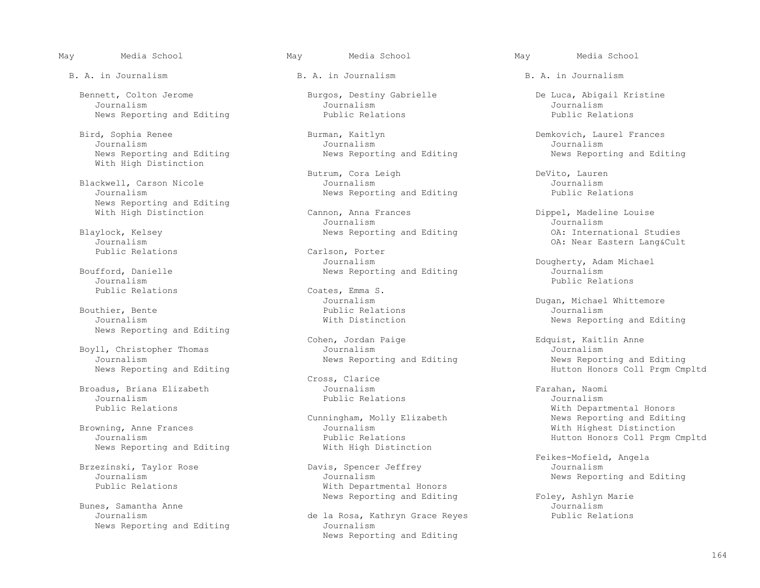Bennett, Colton Jerome Burgos, Destiny Gabrielle De Luca, Abigail Kristine Journalism<br>Journalism Journalism Journalism Journalism Journalism Journalism Journalism Journalism

Bird, Sophia Renee Burman, Kaitlyn Demkovich, Laurel Frances<br>Journalism Journalism Journalism Journalism Journalism Journalism Journalism With High Distinction

News Reporting and Editing<br>With High Distinction

Journalism Public Relations

 Bouthier, Bente Public Relations Journalism News Reporting and Editing

Boyll, Christopher Thomas Journalism Journalism

 Broadus, Briana Elizabeth Journalism Farahan, Naomi Journalism Public Relations Journalism

News Reporting and Editing

 Bunes, Samantha Anne Journalism News Reporting and Editing

B. A. in Journalism B. A. in Journalism B. A. in Journalism

News Reporting and Editing Public Relations Public Relations

Butrum, Cora Leigh Butrum, Cora Leigh DeVito, Lauren<br>Journalism DeVito, Lauren Blackwell, Carson Nicole Journalism Journalism Journalism Journalism Journalism Journalism Journalism Journalism Journalism Journalism Journalism Journalism Journalism Journalism Journalism Journali News Reporting and Editing

Cannon, Anna Frances (Dippel, Madeline Louise<br>
Journalism (Dippel, Madeline Louise Journalism Journalism

Carlson, Porter<br>Journalism Journalism Dougherty, Adam Michael

Public Relations  $\begin{array}{ccc}\n\text{Codes, Emma S.} \\
\text{Journal of the image is a 2D} \\
\text{Journal of the image is a 3D} \\
\text{Journal of the image is a 4D} \\
\text{Journal of the image is a 4D} \\
\text{Conditional information is a 4D} \\
\text{Conditional information is a 4D} \\
\text{Conditional information is a 4D} \\
\text{Conditional information is a 4D} \\
\text{Conditional information is a 4D} \\
\text{Conditional information is a 4D} \\
\text{Conditional information is a 4D} \\
\text{Conditional information is a 4D} \\
\text{Conditional information is a 4D} \\
\text{Conditional information is a 4D} \\
\text{Conditional information is a 4$ 

Cohen, Jordan Paige Edquist, Kaitlin Anne<br>Journalism Burnalism Burnalism

Cross, Clarice<br>Journalism

wning, Anne Frances and Sournalism and Journalism and Mith Highest Distinction<br>Journalism With Honors Coll Prom Public Relations<br>
With High Distinction<br>
Hutton Honors Coll Prgm Cmpltd

ezinski, Taylor Rose Davis, Spencer Jeffrey<br>Journalism Journalism Journalism Journalism Journalism Journalism News Reporting and Editing<br>Public Relations With Departmental Honors

> de la Rosa, Kathryn Grace Reyes<br>Journalism News Reporting and Editing

News Reporting and Editing News Reporting and Editing News Reporting and Editing

Blaylock, Kelsey **Elaylock, Act and Editing** and Editing COM: International Studies<br>Journalism OA: Near Eastern Lang&Cul Journalism OA: Near Eastern Lang&Cult

fford, Danielle **South Communism**<br>Bournalism Bublic Relations

Journalism Journalism Dugan, Michael Whittemore<br>Bouthier, Bente and the Public Relations of the Dugan, Michael Whittemore Journalism With Distinction News Reporting and Editing

Journalism 1997 (Journalism 1997) Mews Reporting and Editing 1997 (News Reporting and Editing 1997)<br>News Reporting and Editing 1997 (News Reporting and Editing 1998) (Hutton Honors Coll Prgm Hutton Honors Coll Prgm Cmpltd

Public Relations and Mith Departmental Honors<br>Cunningham, Molly Elizabeth Molecom News Reporting and Editin Cunningham, Molly Elizabeth News Reporting and Editing<br>Browning, Anne Frances and Mich Highest Distinction

External States-Mofield, Angela<br>Brzezinski, Taylor Rose (Davis, Spencer Jeffrey States of Telkes-Mofield, Angela

News Reporting and Editing Foley, Ashlyn Marie<br>Journalism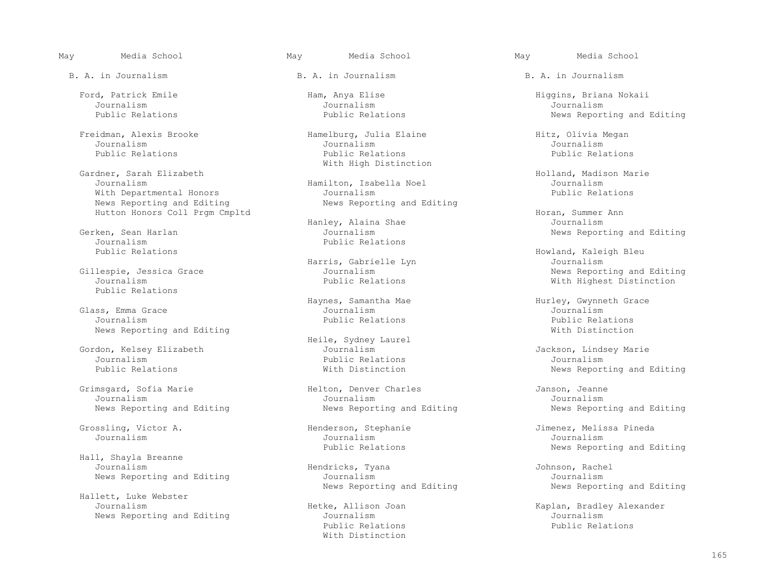B. A. in Journalism B. A. in Journalism B. A. in Journalism

Journalism Journalism Journalism

Gardner, Sarah Elizabeth (Bardner, Sarah Elizabeth Holland, Madison Marie (Bardner, Holland, Madison Marie (Ba<br>Journalism (Journalism (Journalism ) (Bardner, Hamilton, Isabella Noel (Journalism ) (Journalism ) (Journalism With Departmental Honors<br>
News Reporting and Editing<br>
News Reporting and Editing<br>
News Reporting and Editing News Reporting and Editing Hutton Honors Coll Prgm Cmpltd<br>Hanley, Alaina Shae Horan, Summer Ann

Journalism Public Relations

Public Relations

 Glass, Emma Grace Journalism Journalism Journalism Public Relations Public Relations News Reporting and Editing With Distinction

Gordon, Kelsey Elizabeth Journalism Jackson, Lindsey Marie Journalism Journalism Journalism Journalism Journalism Journalism Journalism Journalism Journalism Public Relations Journalism

Hall, Shayla Breanne

Hallett, Luke Webster

Freidman, Alexis Brooke Hamelburg, Julia Elaine Hitz, Olivia Megan<br>Journalism Journalism Journalism Journalism Journalism Journalism Public Relations Public Relations Public Relations With High Distinction

Journalism Hamilton, Isabella Noel Journalism

 Hanley, Alaina Shae Journalism ken, Sean Harlan Journalism News Reporting and Editing<br>Journalism Public Relations

Harris, Gabrielle Lyn (Gillespie, Jessica Grace and Marris, Gabrielle Lyn (Gillespie, Journalism

Heile, Sydney Laurel

 Grimsgard, Sofia Marie Helton, Denver Charles Janson, Jeanne Journalism Journalism Journalism News Reporting and Editing News Reporting and Editing News Reporting and Editing

Journalism Journalism Journalism

 Journalism Hendricks, Tyana Johnson, Rachel News Reporting and Editing The Mournalism Journalism Journalism<br>News Reporting and Editing Selection of News Reporting and Editing Selection of News Reporting and Editing News Reporting and Editing

News Reporting and Editing and Editing and Editing Journalism Journalism Journalism Journalism Journalism Public Relations Public Relations With Distinction

Ford, Patrick Emile Ham, Anya Elise Higgins, Briana Nokaii<br>Journalism Journalism Journalism Public Relations **Public Relations** Public Relations **Public Relations** News Reporting and Editing

Howland, Kaleigh Bleu<br>Journalism Gillespie, Jessica Grace Journalism News Reporting and Editing With Highest Distinction

Haynes, Samantha Mae **Hurley, Gwynneth Grace**<br>Journalism Journalism

Public Relations **Exercise Set Exercise Set According** With Distinction News Reporting and Editing

 Grossling, Victor A. Henderson, Stephanie Jimenez, Melissa Pineda Public Relations The News Reporting and Editing

Hetke, Allison Joan (Kaplan, Bradley Alexander<br>Journalism (Journalism (Journalism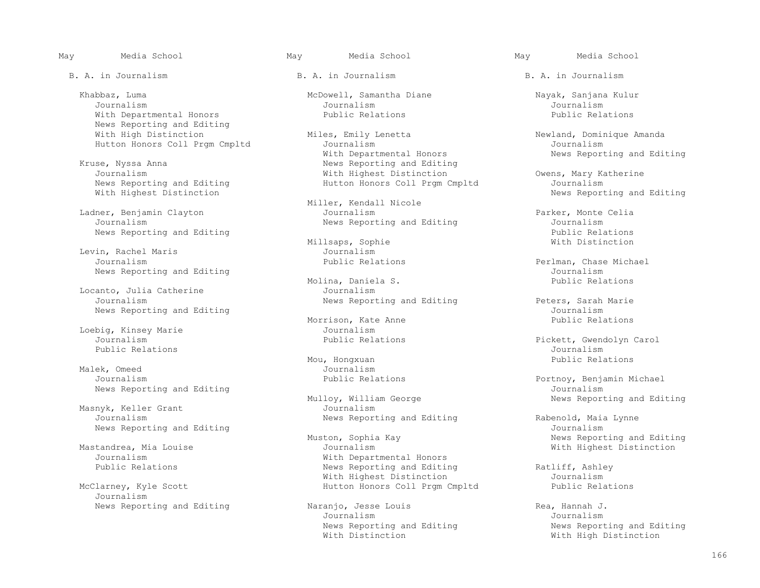Khabbaz, Luma McDowell, Samantha Diane Nayak, Sanjana Kulur<br>Journalism Journalism Journalism Journalism Journalism Journalism Journalism With Departmental Honors Public Relations Public Relations News Reporting and Editing<br>With High Distinction

News Reporting and Editing 1988 Multon Honors Coll Prgm Cmpltd With Highest Distinction

Levin, Rachel Maris and Sournalism<br>Journalism<br>Public Relations

Locanto, Julia Catherine Journalism

Public Relations Journalism

Malek, Omeed Journalism<br>Journalism Journalism Public Relations News Reporting and Editing<br>Mulloy, William George

 Masnyk, Keller Grant Journalism News Reporting and Editing<br>Muston, Sophia Kay

Journalism

B. A. in Journalism B. A. in Journalism B. A. in Journalism

Miles, Emily Lenetta Newland, Dominique Amanda<br>Journalism Journalism Hutton Honors Coll Prgm Cmpltd Journalism Journalism With Departmental Honors and Monument Mews Reporting and Editing<br>News Reporting and Editing Reporting and Editing<br>
News Reporting and Editing<br>
With Highest Distinction Journalism Owens, Mary Katherine<br>News Reporting and Editing The Mutton Honors Coll Prgm Cmpltd Tournalism

Miller, Kendall Nicole<br>Journalism Ladner, Benjamin Clayton Journalism Parker, Monte Celia

Millsaps, Sophie<br>Journalism

Molina, Daniela S.<br>Journalism

Morrison, Kate Anne<br>Journalism Loebig, Kinsey Marie Journalism

Mou, Hongxuan Public Relations

loy, William George **News Reporting and Editing**<br>Journalism

 Muston, Sophia Kay News Reporting and Editing Mastandrea, Mia Louise Journalism With Highest Distinction Journalism With Departmental Honors News Reporting and Editing The Ratliff, Ashley<br>With Highest Distinction Tournalism With Highest Distinction and Mournalism<br>McClarney, Kyle Scott and Mournalism Hutton Honors Coll Prom Cmpltd and Public Relations Hutton Honors Coll Prgm Cmpltd

News Reporting and Editing (Naranjo, Jesse Louis 1996) Rea, Hannah J.<br>Journalism (Naranjom and Editing 1997) Journalism Journalism Journalism

News Reporting and Editing

News Reporting and Editing (Journalism Journalism Journalism News Reporting and Editing and Editing and Editions Millsaps, Sophie and Public Relations and Editions and Millsaps, Sophie and Public Relations and Public Relations and Millsaps, Sophie and Public Relations and Millsaps,

Perlman, Chase Michael<br>Journalism News Reporting and Editing<br>Molina, Daniela S. Antennation and Public Relations

News Reporting and Editing Peters, Sarah Marie<br>Journalism News Reporting and Editing<br>Morrison, Kate Anne (Figure 2011) Public Relations

Journalism Public Relations Pickett, Gwendolyn Carol

Portnoy, Benjamin Michael<br>Journalism

News Reporting and Editing and Rabenold, Maia Lynne<br>Journalism

News Reporting and Editing<br>
Wews Reporting and Editing<br>
With High Distinction<br>
With High Distinction With High Distinction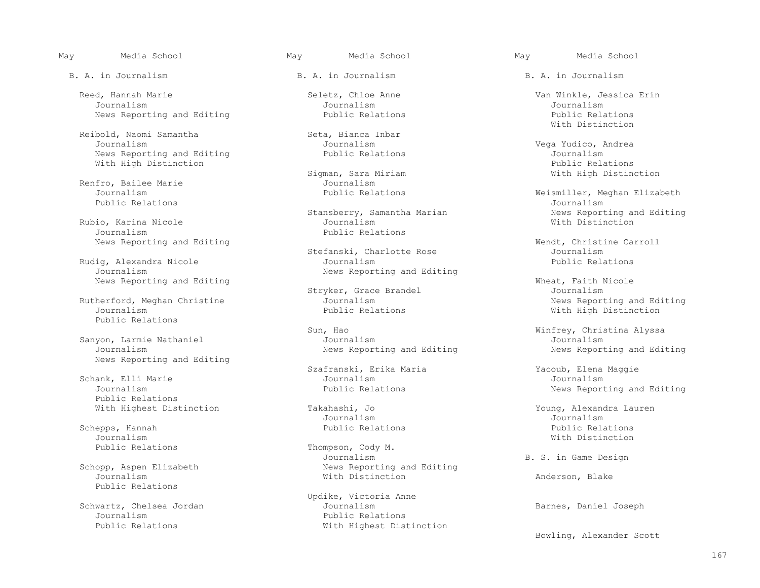B. A. in Journalism B. A. in Journalism B. A. in Journalism

 Reed, Hannah Marie Seletz, Chloe Anne Van Winkle, Jessica Erin Journalism Journalism Journalism

Reibold, Naomi Samantha  $\begin{array}{ccc}\n\text{Seibold, Naomi Samantha} & \text{Seta, Bianca Inbar} \\
\text{Journalism} & \text{Journalism}\n\end{array}$ News Reporting and Editing The Public Relations and Deuthon and Editing Public Relations Public Relations and Public Relations and Public Relations and Public Relations and Public Relations and Public Relations and Public

Public Relations Journalism

Rubio, Karina Nicole<br>Journalism

Rudig, Alexandra Nicole<br>Journalism

Rutherford, Meghan Christine Journalism<br>Journalism Journalism Public Relations

News Reporting and Editing

 Schank, Elli Marie Journalism Journalism Public Relations

Journalism With Distinction

Public Relations

Journalism Public Relations

Sigman, Sara Miriam<br>Journalism Renfro, Bailee Marie 1986 1996 - Journalism<br>Journalism 1996 - Journalism 2010

Public Relations

 Stefanski, Charlotte Rose Journalism News Reporting and Editing

 Sun, Hao Winfrey, Christina Alyssa News Reporting and Editing

Szafranski, Erika Maria (Yacoub, Elena Maggie Journalism)

Journalism Journalism

Public Relations  $\begin{array}{ccc}\n\text{Thompson, Cody M.} \\
\text{Journalism}\n\end{array}$ Journalism Gordinalism B. S. in Game Design<br>
Schopp, Aspen Elizabeth News Reporting and Editing B. S. in Game Design opp, Aspen Elizabeth News Reporting and Editing<br>Journalism News Reporting and Editing

 Updike, Victoria Anne Schwartz, Chelsea Jordan Journalism Barnes, Daniel Joseph With Highest Distinction

News Reporting and Editing and Public Relations Fublic Relations of the Public Relations Public Relations Public Relations and Editing and Editing Public Relations and Public Relations of Public Relations and Public Relati With Distinction

 Journalism Journalism Vega Yudico, Andrea With High Distinction<br>
Sigman, Sara Miriam<br>
Sigman, Sara Miriam

 Journalism Public Relations Weismiller, Meghan Elizabeth Stansberry, Samantha Marian News Reporting and Editing<br>
Journalism<br>
With Distinction

News Reporting and Editing<br>
Stefanski, Charlotte Rose<br>
Stefanski, Charlotte Rose<br>
Journalism

News Reporting and Editing<br>
Stryker, Grace Brandel<br>
Stryker, Grace Brandel<br>
Meat, Faith Nicole Stryker, Grace Brandel and Sournalism<br>Journalism Journalism Journalism With High Distinction

Sanyon, Larmie Nathaniel Journalism Journalism Journalism Journalism Journalism Journalism Journalism Journalism Journalism Journalism Journalism Journalism Journalism Journalism Journalism Jour

News Reporting and Editing

With Highest Distinction Takahashi, Jo<br>Journalism Journalism Journalism Journalism Schepps, Hannah Public Relations Public Relations

Anderson, Blake

Bowling, Alexander Scott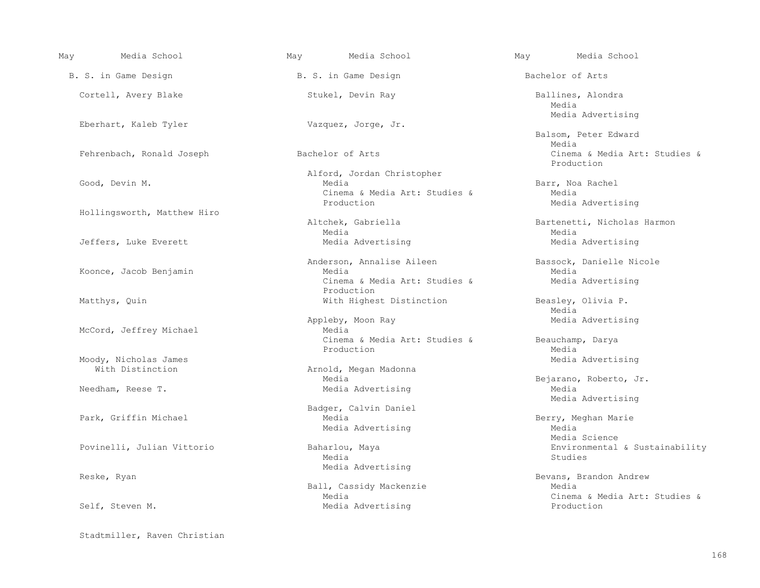| May | Media School                              | May Media School                            |  | May Media School                            |  |  |
|-----|-------------------------------------------|---------------------------------------------|--|---------------------------------------------|--|--|
|     | B. S. in Game Design                      | B. S. in Game Design                        |  | Bachelor of Arts                            |  |  |
|     | Cortell, Avery Blake                      | Stukel, Devin Ray                           |  | Ballines, Alondra<br>Media                  |  |  |
|     | Eberhart, Kaleb Tyler                     | Vazquez, Jorge, Jr.                         |  | Media Advertising                           |  |  |
|     |                                           |                                             |  | Balsom, Peter Edward<br>Media               |  |  |
|     | Fehrenbach, Ronald Joseph                 | Bachelor of Arts                            |  | Cinema & Media Art: Studies &<br>Production |  |  |
|     |                                           | Alford, Jordan Christopher                  |  |                                             |  |  |
|     | Good, Devin M.                            | Media                                       |  | Barr, Noa Rachel                            |  |  |
|     |                                           | Cinema & Media Art: Studies &<br>Production |  | Media<br>Media Advertising                  |  |  |
|     | Hollingsworth, Matthew Hiro               |                                             |  |                                             |  |  |
|     |                                           | Altchek, Gabriella                          |  | Bartenetti, Nicholas Harmon                 |  |  |
|     |                                           | Media                                       |  | Media                                       |  |  |
|     | Jeffers, Luke Everett                     | Media Advertising                           |  | Media Advertising                           |  |  |
|     |                                           | Anderson, Annalise Aileen                   |  | Bassock, Danielle Nicole                    |  |  |
|     | Koonce, Jacob Benjamin                    | Media                                       |  | Media                                       |  |  |
|     |                                           | Cinema & Media Art: Studies &<br>Production |  | Media Advertising                           |  |  |
|     | Matthys, Quin                             | With Highest Distinction                    |  | Beasley, Olivia P.                          |  |  |
|     |                                           |                                             |  | Media                                       |  |  |
|     |                                           | Appleby, Moon Ray                           |  | Media Advertising                           |  |  |
|     | McCord, Jeffrey Michael                   | Media                                       |  |                                             |  |  |
|     |                                           | Cinema & Media Art: Studies &               |  | Beauchamp, Darya                            |  |  |
|     |                                           | Production                                  |  | Media                                       |  |  |
|     | Moody, Nicholas James<br>With Distinction | Arnold, Megan Madonna                       |  | Media Advertising                           |  |  |
|     |                                           | Media                                       |  | Bejarano, Roberto, Jr.                      |  |  |
|     | Needham, Reese T.                         | Media Advertising                           |  | Media                                       |  |  |
|     |                                           |                                             |  | Media Advertising                           |  |  |
|     |                                           | Badger, Calvin Daniel                       |  |                                             |  |  |
|     | Park, Griffin Michael                     | Media                                       |  | Berry, Meghan Marie                         |  |  |
|     |                                           | Media Advertising                           |  | Media                                       |  |  |
|     |                                           |                                             |  | Media Science                               |  |  |
|     | Povinelli, Julian Vittorio                | Baharlou, Maya<br>Media                     |  | Environmental & Sustainability<br>Studies   |  |  |
|     |                                           | Media Advertising                           |  |                                             |  |  |
|     | Reske, Ryan                               |                                             |  | Bevans, Brandon Andrew                      |  |  |
|     |                                           | Ball, Cassidy Mackenzie                     |  | Media                                       |  |  |
|     |                                           | Media                                       |  | Cinema & Media Art: Studies &               |  |  |
|     | Self, Steven M.                           | Media Advertising                           |  | Production                                  |  |  |
|     |                                           |                                             |  |                                             |  |  |

Stadtmiller, Raven Christian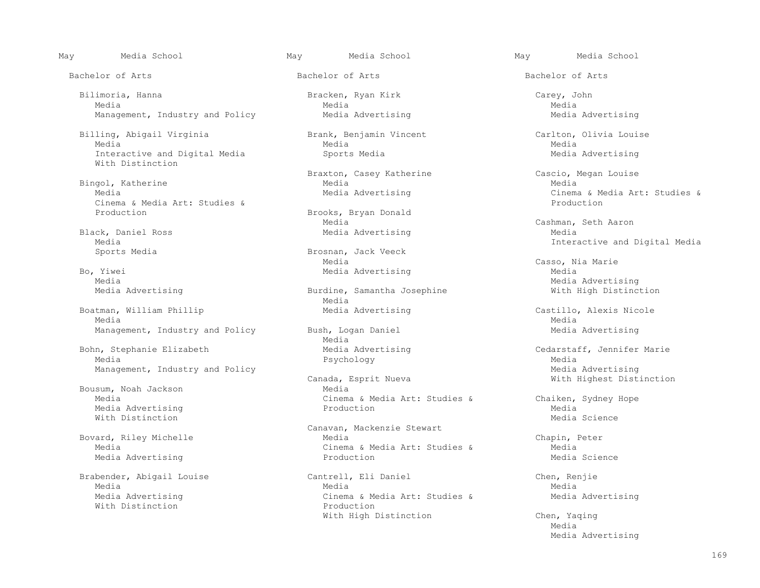Bachelor of Arts Bachelor of Arts Bachelor of Arts

 Bilimoria, Hanna Bracken, Ryan Kirk Carey, John Media Media Media Management, Industry and Policy **Media Advertising Media Advertising Media Advertising** 

 Billing, Abigail Virginia Brank, Benjamin Vincent Carlton, Olivia Louise Media Media Media Interactive and Digital Media Sports Media Media Advertising With Distinction

Bingol, Katherine and Media Media Media Media Media Media Media Media Media Media Media Media Media Media Media Media Media Media Media Media Media Media Media Media Media Media Media Media Media Media Media Media Media Me Cinema & Media Art: Studies & Production

 Black, Daniel Ross Media Advertising Media Media Interactive and Digital Media

, Yiwei **Media Advertising**<br>Media

 Boatman, William Phillip Media Advertising Castillo, Alexis Nicole Media Media

 Bohn, Stephanie Elizabeth Media Advertising Cedarstaff, Jennifer Marie Media Psychology Media

 Bousum, Noah Jackson Media Media Advertising Production Media With Distinction  $\blacksquare$ 

Media Advertising

With Distinction

Braxton, Casey Katherine Cascio, Megan Louise<br>
Media Media

Brooks, Bryan Donald<br>Media Media Cashman, Seth Aaron

Brosnan, Jack Veeck<br>Media Media Media (Casso, Nia Marie )<br>Bo, Yiwei (Casso, Nia Marie ) Media Advertising

Burdine, Samantha Josephine<br>Media Media

Management, Industry and Policy Bush, Logan Daniel Media Advertising<br>Media Media Media Media

> nada, Esprit Nueva Niel Mith Highest Distinction<br>Media Cinema & Media Art: Studies & Chaiken, Sydney Hope<br>Production Media

 Canavan, Mackenzie Stewart Bovard, Riley Michelle Media Chapin, Peter Cinema & Media Art: Studies & Media Media Science<br>Production Media Science

 Brabender, Abigail Louise Cantrell, Eli Daniel Chen, Renjie Media Media Media Media Advertising Cinema & Media Art: Studies & Media Advertising With High Distinction Chen, Yaqing

Cinema & Media Art: Studies & Production

Media Advertising<br>Media Advertising Burdine, Samantha Josephine With High Distinction

Management, Industry and Policy Canada, Esprit Nueva<br>Canada, Esprit Nueva Media Advertising Mith Highest Dist

media and the second state of the second state of the second state of the second state of the second state of the second state of the second state of the second state of the second state of the second state of the second s Media Advertising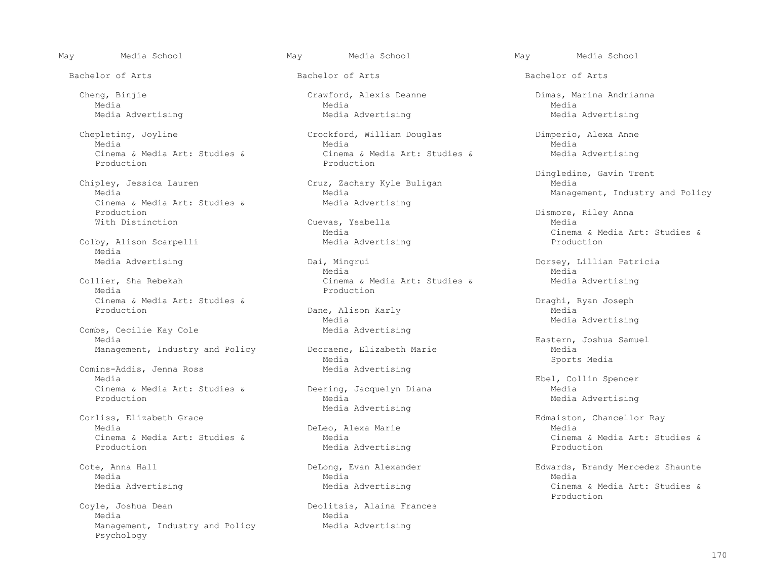Chepleting, Joyline Crockford, William Douglas Dimperio, Alexa Anne Production **Production** 

 Chipley, Jessica Lauren Cruz, Zachary Kyle Buligan Media Cinema & Media Art: Studies &<br>Production Production Dismore, Riley Anna With Distinction Cuevas, Ysabella Media

Colby, Alison Scarpelli Media<br>Media Advertising

Cinema & Media Art: Studies &  $P$  Draghi, Ryan Joseph  $P$ roduction  $P$ 

Combs, Cecilie Kay Cole Media Eastern, Joshua Samuel

Comins-Addis, Jenna Ross<br>
Media<br>
Media Cinema & Media Art: Studies & Deering,<br>Production Diana Media

Corliss, Elizabeth Grace and Media Advertising changer Edmaiston, Chancellor Ray (1985). Edmaiston, Chancellor Ray<br>Media Media Media<br>Cinema & Media Art: Studies & DeLeo, Alexa Marie

 Coyle, Joshua Dean Deolitsis, Alaina Frances Media Negrada da Media Media Negrada da Media Negrada da Media Negrada da Media Negrada da Media Negrada da Me Management, Industry and Policy Media Advertising Psychology

 Media Media Media Media Advertising Media Advertising Media Advertising

 Media Media Media Cinema & Media Art: Studies & Cinema & Media Art: Studies & Media Advertising<br>Production Production

Media Management, Industry and Policy<br>Media Advertising

Dai, Mingrui Dorsey, Lillian Patricia<br>Media Media Media Media Collier, Sha Rebekah Cinema & Media Art: Studies & Media Advertising Production

> Dane, Alison Karly<br>Media Media Media Advertising

Management, Industry and Policy Becraene, Elizabeth Marie and Media<br>Media Media Media Media Sports Media

Media Advertising

Media Media Media

Bachelor of Arts Bachelor of Arts Bachelor of Arts

Cheng, Binjie Crawford, Alexis Deanne Dimas, Marina Andrianna

Dingledine, Gavin Trent

Media<br>
Media Advertising<br>
Media Advertising<br>
Media Advertising<br>
Media Advertising<br>
Media Advertising<br>
Media Art: Studies &

Ebel, Collin Spencer<br>
Deering, Jacquelyn Diana<br>
Media<br>
Media Media Advertising

Cinema & Media Art: Studies & Media Art: Studies & Media Art: Studies & Media Art: Studies & Production

Cote, Anna Hall School (DeLong, Evan Alexander Shaunte Edwards, Brandy Mercedez Shaunte<br>Media Media Media Media Advertising The Media Advertising Cinema & Media Art: Studies & Media Art: Studies & Production and the set of the set of the set of the set of the set of the set of the set of the set of the set of the set of the set of the set of the set of the set of the set of the set of the set of the set of the set o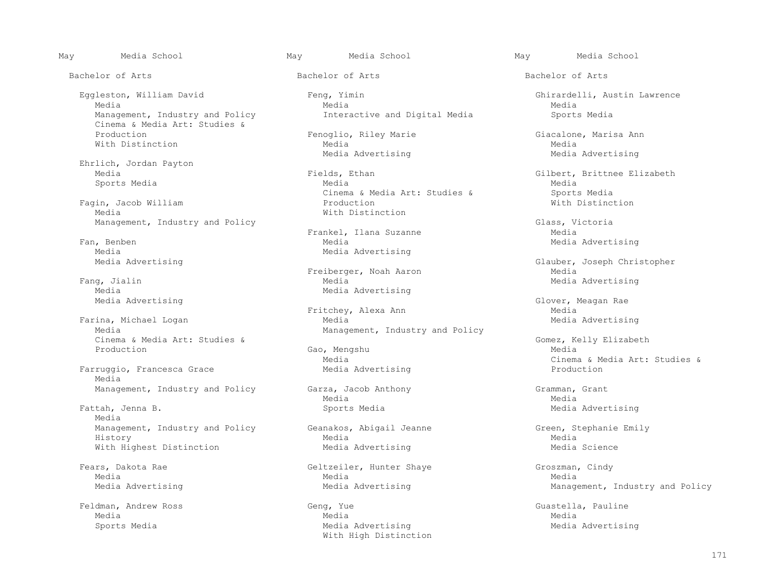Bachelor of Arts Bachelor of Arts Bachelor of Arts

 Eggleston, William David Feng, Yimin Ghirardelli, Austin Lawrence Media Media Media Cinema & Media Art: Studies &

Ehrlich, Jordan Payton

Fagin, Jacob William<br>Media Management, Industry and Policy<br>Frankel, Ilana Suzanne Media Media

Media Media Advertising

Media Advertising<br>Media Advertising<br>Media Advertising

Farina, Michael Logan<br>Media Cinema & Media Art: Studies & Gomez, Kelly Elizabeth<br>
Gao, Mengshu<br>
Gao, Mengshu<br>
Gao, Mengshu<br>
Gao, Mengshu<br>
Gao, Mengshu<br>
Cao, Mengshu Production Gao, Mengshu Media

Farruggio, Francesca Grace Media

 Fattah, Jenna B. Sports Media Media Advertising Media Management, Industry and Policy Geanakos, Abigail Jeanne Green, Stephanie Emily<br>History Media Media Green, Stephanie Emily History Media Media With Highest Distinction and Media Advertising and Media Science

Management, Industry and Policy **Interactive and Digital Media** Sports Media

 Production Fenoglio, Riley Marie Giacalone, Marisa Ann With Distinction and Media Media Media Media Advertising

 Media Fields, Ethan Gilbert, Brittnee Elizabeth Sports Media Media Media Cinema & Media Art: Studies & Sports Media<br>Production and Mith Distinction With Distinction

Frankel, Ilana Suzanne Ean, Benben and Suzanne Media l, Benben Media Advertising Media Advertising Media Advertising Media Advertising<br>Media Advertising

Freiberger, Noah Aaron Fang, Jialin Media Media Fang, Jialin Media Media Advertising

> Fritchey, Alexa Ann Media Media<br>Media Media Media Media Media Media Media Media Media Media Media Media Media Media Media Media Media Management, Industry and Policy

Management, Industry and Policy Garza, Jacob Anthony Garzand Gramman, Grant<br>Media Media Media Media

 Fears, Dakota Rae Geltzeiler, Hunter Shaye Groszman, Cindy Media Media Media

 Feldman, Andrew Ross Geng, Yue Guastella, Pauline Media Media Media Sports Media Media Advertising Media Advertising With High Distinction

Media Advertising

Glauber, Joseph Christopher<br>Media

Glover, Meagan Rae<br>Media

Media<br>
Media Advertising<br>
Media Advertising<br>
Media Advertising<br>
Media Advertising<br>
Media Advertising<br>
Media Art: Studies &

Media Advertising Theorem Media Advertising Management, Industry and Policy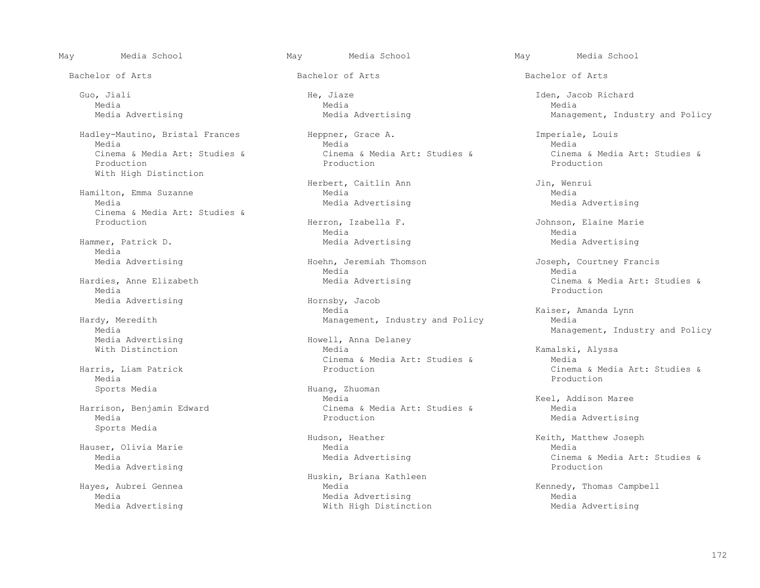Guo, Jiali He, Jiaze Iden, Jacob Richard

Hadley-Mautino, Bristal Frances<br>
Media<br>
Media<br>
Media<br>
Media Media Media Media Production Production Production Production Production Production With High Distinction

Hamilton, Emma Suzanne Media Media<br>Media Media Media Media Media Media Media Media Media Media Media Media Media Media Media Media Media Media Cinema & Media Art: Studies &

Media<br>Media Advertising

 Media Production Media Advertising The Hornsby, Jacob

rdy, Meredith **Management**, Industry and Policy<br>Media Media Media Management, Industry and Policy<br>Media Advertising Theory Howell, Anna Delaney

Media Production

Sports Media

 Hauser, Olivia Marie Media Media Media Advertising

Media Media Media

Cinema & Media Art: Studies & Cinema & Media Art: Studies & Cinema & Media Art: Studies & Cinema & Media Art: Studies & Production

Herbert, Caitlin Ann Jin, Wenrui

Herron, Izabella F. Johnson, Elaine Marie Media Media Media Hammer, Patrick D. **Media Advertising** Media Advertising Media Advertising Media Advertising

Media Media

Media Kaiser, Amanda Lynn

Media Advertising The Movell, Anna Delaney<br>
With Distinction<br>
Wedia With Distinction Media Kamalski, Alyssa Cinema & Media Art: Studies & Media Art: Studies & Media Art: Studies & Media Art: Studies & Media Art: Studies & Media Art: Studies & Media Art: Studies & Media Art: Studies & Media Art: Studies & Media Art: Studies & Med

Sports Media  $\overline{a}$  Huang, Zhuoman Media Keel, Addison Maree Harrison, Benjamin Edward Cinema & Media Art: Studies & Media

Huskin, Briana Kathleen<br>Haves, Aubrei Gennea and Media Hayes, Aubrei Gennea Media Kennedy, Thomas Campbell Media Advertising Media Advertising Theorem 2008 Mith High Distinction Media Advertising Media Advertising

May Media School May Media School May Media School

Bachelor of Arts Bachelor of Arts Bachelor of Arts

Media Advertising Theorem and Media Advertising Management, Industry and Policy

Media Advertising

 Media Advertising Hoehn, Jeremiah Thomson Joseph, Courtney Francis Hardies, Anne Elizabeth Media Advertising Cinema & Media Art: Studies &

Harris, Liam Patrick Production Cinema & Media Art: Studies &

Media Advertising

Hudson, Heather The Media Reader (Keith, Matthew Joseph<br>Media Media Media Advertising The Cinema & Media Art: Studies & Media Art: Studies &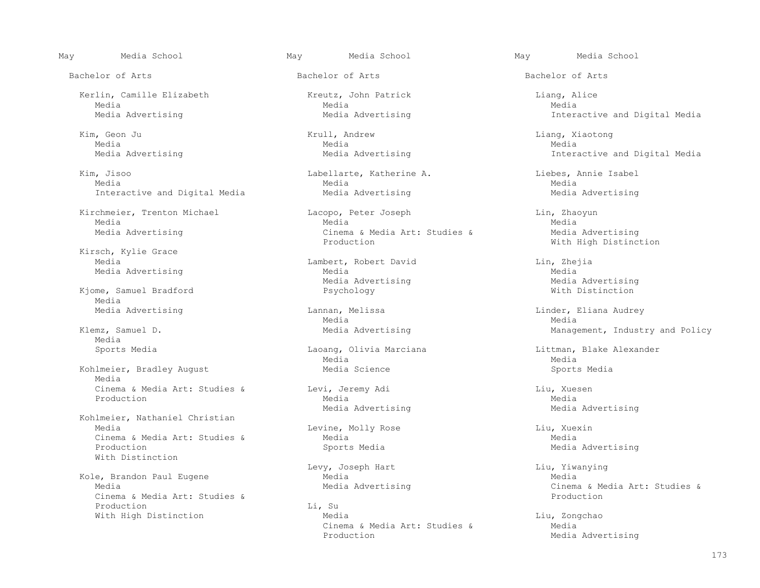Bachelor of Arts Bachelor of Arts Bachelor of Arts

 Kerlin, Camille Elizabeth Kreutz, John Patrick Liang, Alice Media Media Media

 Kim, Geon Ju Krull, Andrew Liang, Xiaotong Media Media Media

 Kim, Jisoo Labellarte, Katherine A. Liebes, Annie Isabel Media Media Media Interactive and Digital Media Media Media Advertising Media Advertising Media Advertising

Kirsch, Kylie Grace

Kjome, Samuel Bradford Psychology Media<br>Media Advertising

Media<br>Sports Media

 Media Cinema & Media Art: Studies & Levi, Jeremy Adi Cinema & Media Rosen<br>Production Media Media Production Media Media

 Kohlmeier, Nathaniel Christian Cinema & Media Art: Studies & Media Media Production<br>Production With Distinction

Kole, Brandon Paul Eugene<br>Media Media Media Media Media Media Media Media Media Media Media Media Media Media Media Media Media Media Cinema & Media Art: Studies & Production Li, Su<br>With High Distinction Media

Kirchmeier, Trenton Michael Lacopo, Peter Joseph Lin, Zhaoyun<br>Media Media Media Media Media Media Media Advertising The Media Art: Studies & Media Advertising Cinema & Media Art: Studies & Media Advertising Mith

 Media Lambert, Robert David Lin, Zhejia Media Advertising Media<br>Media Advertising Media Advertising Media Advertising Media Advertising Media Advertising<br>
Psychology<br>
Mith Distinction<br>
Mith Distinction

Media Media

 Media Media Kohlmeier, Bradley August Theory Media Science Sports Media Science Sports Media

Levine, Molly Rose Liu, Xuexin<br>
Media Media

Levy, Joseph Hart Christian Media<br>
Media Media<br>
Media

With High Distinction and Media Media Liu, Zongchao Cinema & Media Art: Studies & Media<br>Production Media

May Media School May Media School May Media School

Media Advertising Theorem Media Advertising Theorem Interactive and Digital Media

Media Advertising Media Advertising Interactive and Digital Media

With High Distinction

Lannan, Melissa Lannan, Melissa Linder, Eliana Audrey<br>Media Linder, Media Klemz, Samuel D. **Media Advertising** Media Advertising Management, Industry and Policy

Laoang, Olivia Marciana Littman, Blake Alexander<br>Media Media

Media Advertising Media Advertising

Media Advertising

Cinema & Media Art: Studies &<br>Production

Media Advertising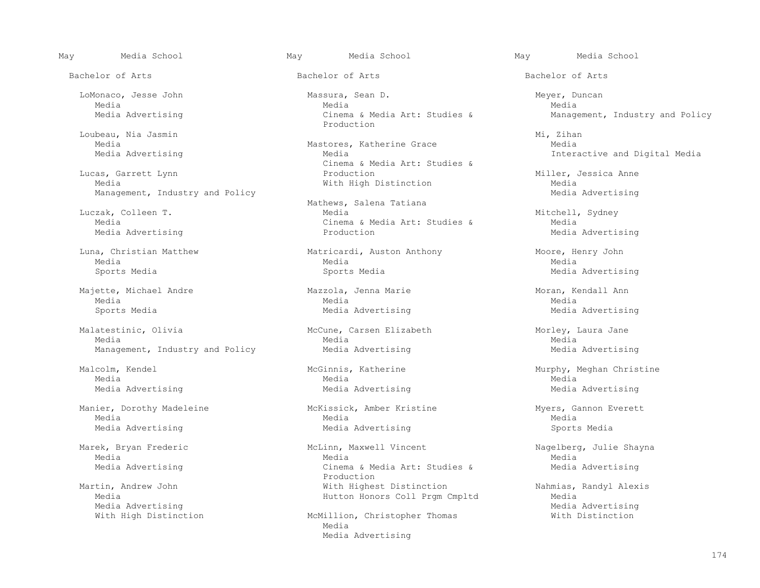Bachelor of Arts Bachelor of Arts Bachelor of Arts

Loubeau, Nia Jasmin Mastores, Katherine Grace Mi, Zihan Media

 Lucas, Garrett Lynn Production Miller, Jessica Anne Management, Industry and Policy

Media Advertising

 Majette, Michael Andre Mazzola, Jenna Marie Moran, Kendall Ann Media Media Media

 Malatestinic, Olivia McCune, Carsen Elizabeth Morley, Laura Jane Media Media Media Management, Industry and Policy **Media Advertising Media Advertising** Media Advertising

Media Advertising<br>With High Distinction The McMillion, Christopher Thomas The Mith Distinction

 LoMonaco, Jesse John Massura, Sean D. Meyer, Duncan Media Media Media Production

Media Mastores, Katherine Grace<br>
Media Advertising<br>
Media Media Cinema & Media Art: Studies &

Mathews, Salena Tatiana<br>
Media<br>
Media Luczak, Colleen T. Media Mitchell, Sydney Cinema & Media Art: Studies & Media Media Production<br>Production

 Luna, Christian Matthew Matricardi, Auston Anthony Moore, Henry John Media Media Media Sports Media Sports Media Media Advertising

Sports Media Media Advertising Media Advertising

Media Media Media

 Manier, Dorothy Madeleine McKissick, Amber Kristine Myers, Gannon Everett Media Media Media Media Advertising Media Advertising Sports Media

 Marek, Bryan Frederic McLinn, Maxwell Vincent Nagelberg, Julie Shayna Media Media Media Media Advertising The Cinema & Media Art: Studies & Media Advertising<br>Production Production and the production Martin, Andrew John With Highest Distinction Nahmias, Randyl Alexis

McMillion, Christopher Thomas Media Media Advertising

May Media School May Media School May Media School

Media Advertising Theorem Cinema & Media Art: Studies & Management, Industry and Policy

Interactive and Digital Media

With High Distinction<br>
Media Advertising<br>
Media Advertising

 Malcolm, Kendel McGinnis, Katherine Murphy, Meghan Christine Media Advertising Media Advertising Media Advertising

Hutton Honors Coll Prgm Cmpltd<br>Media Advertising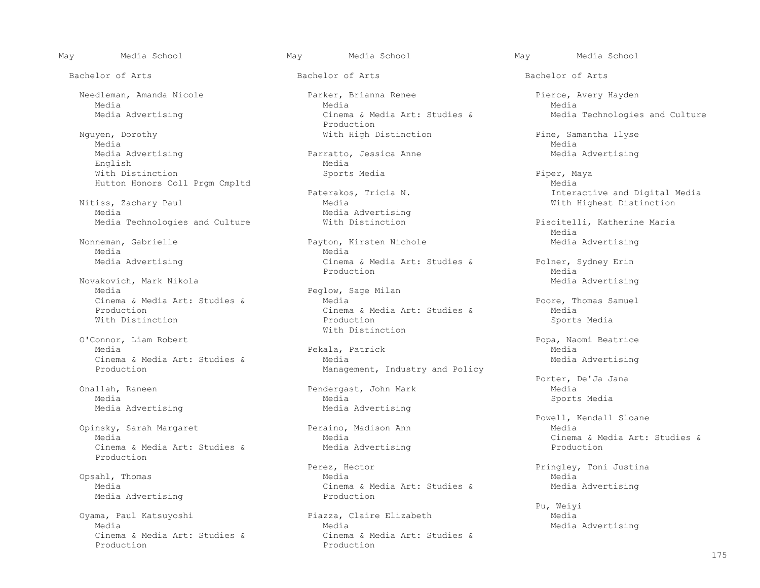Nguyen, Dorothy With High Distinction Pine, Samantha Ilyse Media Media Media Advertising Parratto, Jessica Anne Media Advertising<br>English Media English Media With Distinction Sports Media Piper, Maya Hutton Honors Coll Prgm Cmpltd<br>Paterakos, Tricia N. Media Media

Nitiss, Zachary Paul Media With Highest Distinction

Media Negrada da Media Media Negrada da Media Negrada da Media Negrada da Media Negrada da Media Negrada da Me

Novakovich, Mark Nikola<br>Media Advertising Media Advertising<br>Peglow, Sage Milan

O'Connor, Liam Robert<br>
O'Connor, Liam Robert Oonnor, Liam Robert (1998)<br>Media Media Pekala Patrick (1998) Media Media

Opinsky, Sarah Margaret Peraino, Peraino, Media Cinema & Media Art: Studies & Production

Media Advertising

Cinema & Media Art: Studies & Cinema & Media Art: Studies & Cinema & Media Art: Studies & Cinema & Media Art: Studies & Cinema & Media Art: Studies & Cinema & Media Art: Studies & Cinema & Media Art: Studies & Cinema & Med Production **Production** 

 Needleman, Amanda Nicole Parker, Brianna Renee Pierce, Avery Hayden Media Media Media Media Advertising The Cinema & Media Art: Studies & Media Technologies and Culture Nguyen, Dorothy<br>
Nguyen, Dorothy<br>
Vith High D

Media Advertising<br>With Distinction

 Nonneman, Gabrielle Payton, Kirsten Nichole Media Advertising Media Advertising The Cinema & Media Art: Studies & Polner, Sydney Erin<br>Production Media edia di Production di Media di Media di Media di Senatori di Media di Media di Media di Media di Media di Medi

Peglow, Sage Milan<br>Media Cinema & Media Art: Studies & Media Art: Studies & Media Art: Studies & Media Poore, Thomas Samuel<br>Production Media Poore, Media Art: Studies & Media Art: Studies & Media Art: Studies & Media Production Cinema & Media Art: Studies & Media With Distinction Production Sports Media

Pekala, Patrick Cinema & Media Art: Studies & Media Media Advertising<br>
Management, Industry and Policy Media Media Medicine Management, Industry and Policy Management, Industry and Policy

 Onallah, Raneen Pendergast, John Mark Media Media Media Sports Media Media Advertising Media Advertising

 Perez, Hector Pringley, Toni Justina Opsahl, Thomas Media Media Media<br>
Media Advertising<br>
Media Advertising<br>
Media Advertising<br>
Media Advertising<br>
Media Advertising

 Oyama, Paul Katsuyoshi Piazza, Claire Elizabeth Media Media<br>Cinema & Media Art: Studies & Media Advertising

Bachelor of Arts Bachelor of Arts Bachelor of Arts

Paterakos, Tricia N. Interactive and Digital Media

Media Technologies and Culture **With Distinction** Media Piscitelli, Katherine Maria<br>Media media and the second state of the second state of the second state of the second state of the second state of the second state of the second state of the second state of the second state of the second state of the second s

Porter, De'Ja Jana (Pendergast, John Mark (Pendergast) Porter, De'Ja Jana (Pendergast, John Mark (Pendergast) Porter, De'Ja Jana (Pendergast) Pendergast, John Mark (Pendergast) Porter, De'Ja Jana (Pendergast) Pendergast, J

Powell, Kendall Sloane<br>
Peraino, Madison Ann Media<br>
Media Media<br>
Media Advertising<br>
Media Advertising<br>
Media Advertising<br>
Media Advertising<br>
Media Advertising<br>
Media Art: Studies &

Pu, Weiyi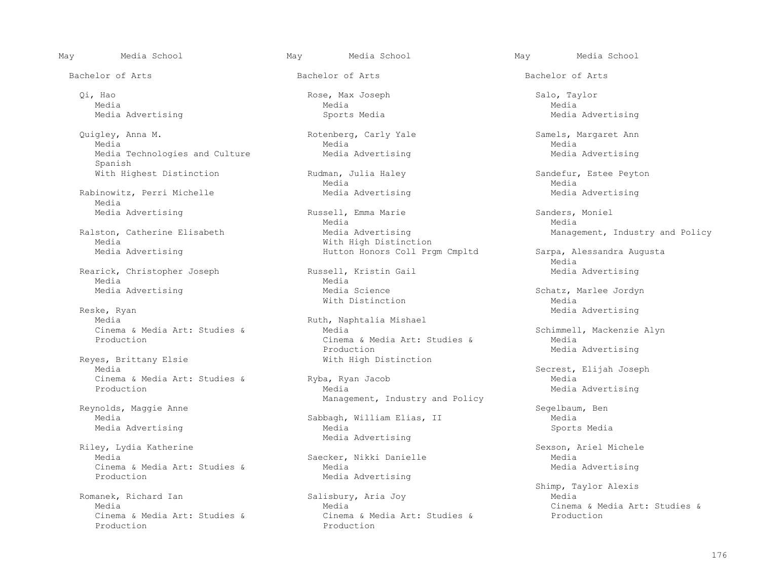Qi, Hao Rose, Max Joseph Salo, Taylor Media Media Media

 Quigley, Anna M. Rotenberg, Carly Yale Samels, Margaret Ann Media Media Media Media Technologies and Culture **Media Advertising** Media Advertising Media Advertising Spanish

Rabinowitz, Perri Michelle **Media Advertising** Media Advertising Media Advertising Media

Media Advertising Theory of the Michael Media Advertising Michael Media Advertising Media Advertising Media Advertising Media Advertising Media Advertising Media Advertising Media Advertising Media Advertising Media Advert

Rearick, Christopher Joseph (Russell, Kristin Gail (Rearick, Christopher Joseph Russell, Kristin Gail Media Advertising Media Negrada da Media Media Negrada da Media Negrada da Media Negrada da Media Negrada da Media Negrada da Me

Reske, Ryan Media Advertising

res, Brittany Elsie and Mith High Distinction<br>Media Cinema & Media Art: Studies & Ryba, Ryan Ryba, Ryan Jacob Media

Reynolds, Maggie Anne Segelbaum, Ben (Sabbaum, Sabbaum, Sabbaum, Sabbaum, Sabbaum, Sabbaum, Sabbaum, Sabbaum, Sabbaum, Sabbaum, Sabbaum, Sabbaum, Sabbaum, Sabbaum, Sabbaum, Sabbaum, Sabbaum, Sabbaum, Sabbaum, Sabbaum, Sabb Media Advertising

Riley, Lydia Katherine<br>
Media Media Nichele Saecker, Nikki Danielle Sexson, Ariel Michele Cinema & Media Art: Studies &<br>Production

anek, Richard Ian Salisbury, Aria Joy<br>Media Media Production **Production** 

May Media School May Media School May Media School

Bachelor of Arts Bachelor of Arts Bachelor of Arts

Media Media

Media Advertising The Russell, Emma Marie Champel Sanders, Moniel Sanders, Moniel Russell, Emma Marie Sanders, Moniel Media Media Ralston, Catherine Elisabeth **Media Advertising** Management, Industry and Policy Media Media Media Mith High Distinction Hutton Honors Coll Prgm Cmpltd Sarpa, Alessandra Augusta

Media Advertising The Media Science Controller and Media Science Schatz, Marlee Jordyn<br>With Distinction Media With Distinction Media

Ruth, Naphtalia Mishael<br>Media Cinema & Media Art: Studies & Media Art: Studies & Media Art: Studies & Schimmell, Mackenzie Alyn<br>Cinema & Media Art: Studies & Media Art: Studies & Media Cinema & Media Art: Studies & Production Production<br>
Production<br>
With High Distinction<br>
Media Advertising

Management, Industry and Policy

Sabbagh, William Elias, II and Media Media Sports Media Media Advertising

Saecker, Nikki Danielle Media Media Media Media Media Media Media Media Media Media Media Media Media Media Me Media Advertising

 Media Media Cinema & Media Art: Studies & Cinema & Media Art: Studies & Cinema & Media Art: Studies & Production

176

Media Advertising Sports Media Media Advertising

With Highest Distinction **Rudman, Julia Haley** Sandefur, Estee Peyton Rudman, Andria Haley Sandefur, Estee Peyton

media and the second state of the second state of the second state of the second state of the second state of the second state of the second state of the second state of the second state of the second state of the second s

 Media Secrest, Elijah Joseph Media Advertising

Shimp, Taylor Alexis (Shimp, Taylor Alexis (Shimp, Taylor Alexis (Shimp, Taylor Alexis (Shimp, Taylor Alexis (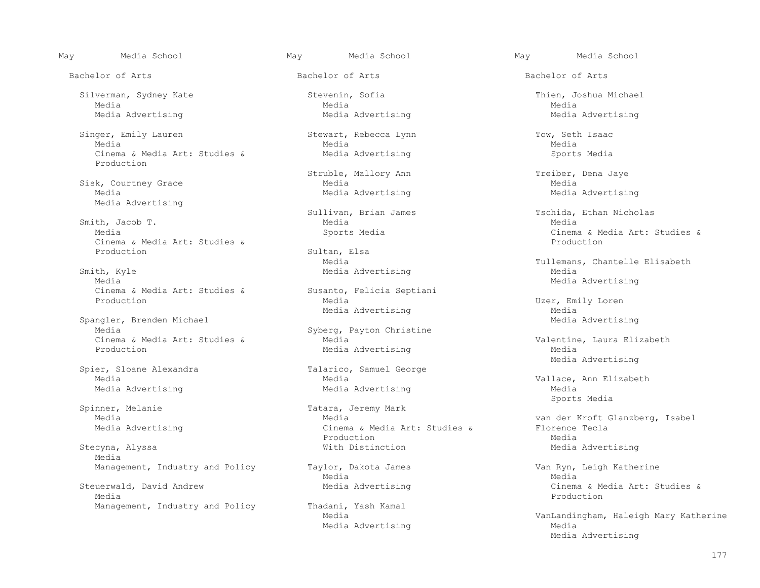Bachelor of Arts Bachelor of Arts Bachelor of Arts

 Silverman, Sydney Kate Stevenin, Sofia Thien, Joshua Michael Media Media Media

 Singer, Emily Lauren Stewart, Rebecca Lynn Tow, Seth Isaac Media Media Media Cinema & Media Art: Studies & Media Advertising Sports Media Advertising Production

Media Advertising

 Smith, Jacob T. Media Media Cinema & Media Art: Studies & Production

th, Kyle **Smith, Agent Control** Media Advertising Media Media Media Advertising Cinema & Media Art: Studies & Susanto,<br>Production Media

Spangler, Brenden Michael<br>Media Cinema & Media Art: Studies & Media Media Advertising and Media Media Media Media Media Advertising Media Media Media Media Media Media Media Media Media Media Media Media Media Media Media Media Media Media Media Media Me

Spinner, Melanie Tatara, Jeremy Mark<br>Media Media

Stecyna, Alyssa and a media and the Media Advertising Media Advertising Media Advertising Media

Steuerwald, David Andrew **Media Advertising** Cinema & Media Art: Studies & Media Art: Studies & Media Art: Studies & Media Production

Struble, Mallory Ann Treiber, Dena Jaye<br>Media Media Sisk, Courtney Grace Media Media<br>Media Media Media Media Media Media Media Media Media Media Media Media Media Media Media Media Media

Sultan, Elsa<br>Media

Susanto, Felicia Septiani and Media Advertising

Syberg, Payton Christine<br>Media Media Advertising

er, Sloane Alexandra (Europa Talarico, Samuel George<br>Media (Media

 Media Media van der Kroft Glanzberg, Isabel Cinema & Media Art: Studies & Florence<br>Production Media edia di Production di Media di Media di Media di Media di Media di Media di Media di Media di Media di Media d<br>Di Media di Media di Media di Media di Media di Media di Media di Media di Media di Media di Media di Media di

Media Media

Management, Industry and Policy Thadani, Yash Kamal<br>Media Media Advertising Media

May Media School May Media School May Media School

Media Advertising Media Advertising Media Advertising

Media Advertising

 Sullivan, Brian James Tschida, Ethan Nicholas Media<br>Cinema & Media Art: Studies & Sports Media Art: Studies & Cinema & Media Art: Studies &

Media Media Media (Tullemans, Chantelle Elisabeth Smith, Kyle (Tullemans, Chantelle Elisabeth Media Advertising

Uzer, Emily Loren<br>Media Media Advertising Media Media Advertising<br>Media Advertising

Media Advertising

Media  $\blacksquare$ <br>Media Advertising entries and the Media Media Media Media Media Media Advertising Media Advertising Media Sports Media

Management, Industry and Policy Taylor, Dakota James Van Ryn, Leigh Katherine<br>Media Media Media

VanLandingham, Haleigh Mary Katherine Media Advertising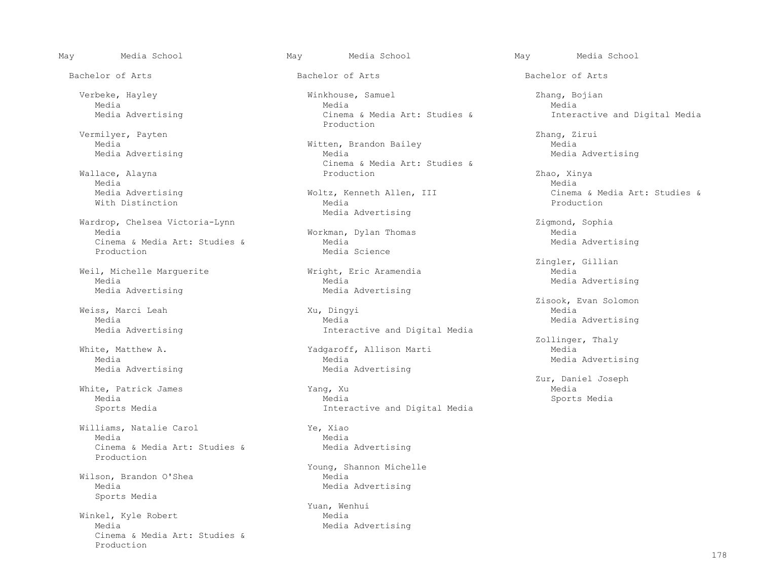Vermilyer, Payten Zhang, Zirui Media Advertising

 Wallace, Alayna Production Zhao, Xinya Media Media

 Wardrop, Chelsea Victoria-Lynn Zigmond, Sophia Cinema & Media Art: Studies &<br>Production

Weil, Michelle Marguerite Wright, Englishedia<br>Media Media Media Advertising

Weiss, Marci Leah Xu, Dingyi<br>Media Media

Williams, Natalie Carol (Ye, Xiao)<br>Media Media Media Negrada da Media Media Negrada da Media Negrada da Media Negrada da Media Negrada da Media Negrada da Me Cinema & Media Art: Studies & Media Advertising Production

Wilson, Brandon O'Shea<br>Media Sports Media

 Winkel, Kyle Robert Media Cinema & Media Art: Studies & Production

Bachelor of Arts Bachelor of Arts Bachelor of Arts

 Verbeke, Hayley Winkhouse, Samuel Zhang, Bojian Media Media Media Media Advertising Cinema & Media Art: Studies & Interactive and Digital Media Production

> Witten, Brandon Bailey<br>
> Media Media Media Media Media Media Media Media Media Media Media Media Media Media Media Media Media Cinema & Media Art: Studies &

With Distinction and the Media Rediscussion of the Media Rediscussion of the Media Reduction of the Media Reduction Media Advertising

> Workman, Dylan Thomas<br>Media Media Media Media Media Media Media Media Media Media Media Media Media Media Media Media Media Media Science

> Media Media Media Advertising

 Media Media Media Advertising Interactive and Digital Media

te, Matthew A. The Communist Control of Matthew A. Yadgaroff, Allison Marti Media Media Media Media Advertising Media Advertising

 White, Patrick James Yang, Xu Media Media Media Sports Media Sports Media Interactive and Digital Media

 Young, Shannon Michelle Media Media Advertising

Yuan, Wenhui<br>Media Media Media Advertising

Media Advertising Woltz, Kenneth Allen, III Cinema & Media Art: Studies &

Example 21 and 21 angler, Gillian<br>
Media Media Media

Zisook, Evan Solomon<br>Media

White, Matthew A. Thaly (2011) White, Matthew A. Thaly (2011) and Media Media Media

Zur, Daniel Joseph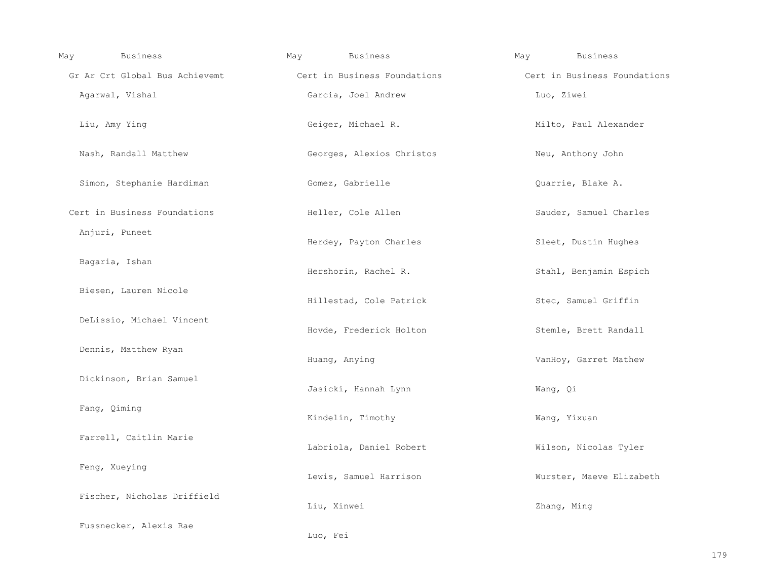| May          | Business                       | May           | <b>Business</b>              | May | <b>Business</b>              |
|--------------|--------------------------------|---------------|------------------------------|-----|------------------------------|
|              | Gr Ar Crt Global Bus Achievemt |               | Cert in Business Foundations |     | Cert in Business Foundations |
|              | Agarwal, Vishal                |               | Garcia, Joel Andrew          |     | Luo, Ziwei                   |
|              | Liu, Amy Ying                  |               | Geiger, Michael R.           |     | Milto, Paul Alexander        |
|              | Nash, Randall Matthew          |               | Georges, Alexios Christos    |     | Neu, Anthony John            |
|              | Simon, Stephanie Hardiman      |               | Gomez, Gabrielle             |     | Quarrie, Blake A.            |
|              | Cert in Business Foundations   |               | Heller, Cole Allen           |     | Sauder, Samuel Charles       |
|              | Anjuri, Puneet                 |               | Herdey, Payton Charles       |     | Sleet, Dustin Hughes         |
|              | Bagaria, Ishan                 |               | Hershorin, Rachel R.         |     | Stahl, Benjamin Espich       |
|              | Biesen, Lauren Nicole          |               | Hillestad, Cole Patrick      |     | Stec, Samuel Griffin         |
|              | DeLissio, Michael Vincent      |               | Hovde, Frederick Holton      |     | Stemle, Brett Randall        |
|              | Dennis, Matthew Ryan           | Huang, Anying |                              |     | VanHoy, Garret Mathew        |
|              | Dickinson, Brian Samuel        |               | Jasicki, Hannah Lynn         |     | Wang, Qi                     |
| Fang, Qiming |                                |               | Kindelin, Timothy            |     | Wang, Yixuan                 |
|              | Farrell, Caitlin Marie         |               | Labriola, Daniel Robert      |     | Wilson, Nicolas Tyler        |
|              | Feng, Xueying                  |               | Lewis, Samuel Harrison       |     | Wurster, Maeve Elizabeth     |
|              | Fischer, Nicholas Driffield    | Liu, Xinwei   |                              |     | Zhang, Ming                  |
|              | Fussnecker, Alexis Rae         | Luo, Fei      |                              |     |                              |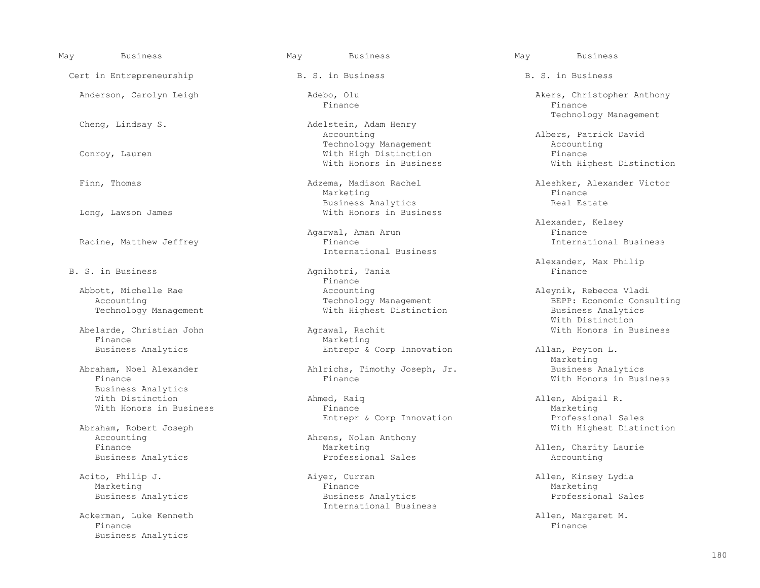Cert in Entrepreneurship Theory B. S. in Business B. S. in Business B. S. in Business

Racine, Matthew Jeffrey

Finance<br>Business Analytics and South Marketing<br>Business Analytics

Business Analytics<br>With Distinction

Abraham, Robert Joseph (Abraham, Robert Joseph Mith Highest Distinction Abraham, Robert Joseph Mith Highest Distinction Accounting  $\begin{array}{cccc}\n\text{Abrens, Nolan Anthony} \\
\text{Finance} \\
\end{array}$ 

Ackerman, Luke Kenneth Allen, Margaret M. Allen, Margaret M. Allen, Margaret M. Allen, Margaret M. Allen, Margaret M. Allen, Margaret M. Allen, Margaret M. Allen, Margaret M. Allen, Margaret M. Allen, Margaret M. Allen, Ma Finance Finance Finance Finance Finance Finance Finance Finance Finance Finance Finance Finance Finance Finance Business Analytics

Adelstein, Adam Henry<br>Accounting Technology Management and the Conroy, Lauren and the Conroy, Lauren and the Conroy, Lauren and the Conroy, Lauren and the Mith High Distinction and Tinance With High Distinction<br>With Honors in Business

Marketing the Marketing of the Marketing of the Marketing of the Marketing of the Marketing of the Marketing o Business Analytics and Source of the Real Estate<br>
Mith Honors in Business<br>
With Honors in Business With Honors in Business

International Business

Agnihotri, Tania<br>Finance Finance **Finance** Abbott, Michelle Rae Accounting Aleynik, Rebecca Vladi

 Abelarde, Christian John Agrawal, Rachit With Honors in Business Entrepr & Corp Innovation Allan, Peyton L.

Abraham, Noel Alexander Ahlrichs, Timothy Joseph, Jr. Business Analytics

Ahmed, Raiq and Allen, Abigail R. With Honors in Business The Marketing Entrepr & Corp Innovation The Marketing Marketing Marketing Sales Entrepr & Corp Innovation

Marketing Marketing Allen, Charity Laurie<br>Professional Sales Marketing Accounting Business Analytics and the Counting Professional Sales Accounting Accounting

 Acito, Philip J. Aiyer, Curran Allen, Kinsey Lydia Marketing Finance Marketing Business Analytics Business Analytics Professional Sales International Business

May Business May Business May Business

 Anderson, Carolyn Leigh Adebo, Olu Akers, Christopher Anthony Finance Finance Technology Management

> Albers, Patrick David<br>Accounting With Highest Distinction

Finn, Thomas Adzema, Madison Rachel Aleshker, Alexander Victor

Alexander, Kelsey<br>Finance Agarwal, Aman Arun **Finance**<br>Finance **Finance Finance Finance Finance Finance** 

B. S. in Business and the control of the control of the control of the control of the control of the control of the control of the control of the control of the control of the control of the control of the control of the c

Accounting<br>
Technology Management Technology Management<br>
Technology Management Mith Highest Distinction<br>
Business Analytics With Highest Distinction<br>
With Distinction<br>
With Distinction With Distinction

Marketing and the Marketing With Honors in Business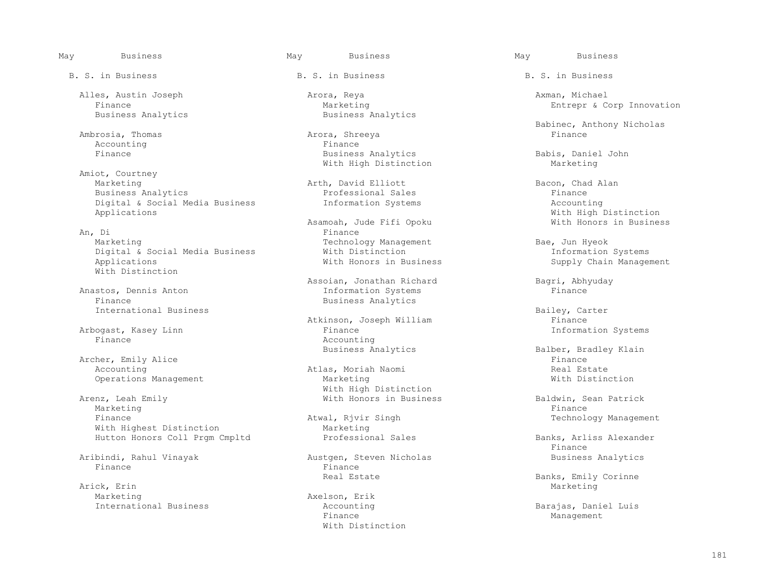Alles, Austin Joseph Arora, Reya Axman, Michael

Ambrosia, Thomas Arora, Shreewa Arora, Shreega Arora, Shreega Arora, Shreega Arora, Shreega Arora, Shreega Arora, Shreega Arora, Shreega Arora, Shreega Arora, Shreega Arora, Shreega Arora, Shreega Arora, Shreega Arora, Shr

 Amiot, Courtney Business Analytics<br>
Digital & Social Media Business<br>
The Information Systems
The Social Media Business
Business
The Information Systems
The Social Media Business
The Social Media Business
Business
Business
Business
Account Digital & Social Media Business<br>Applications

 An, Di Finance Marketing Technology Management Bae, Jun Hyeok Bae, Jun Hyeok Bae, Jun Hyeok Bae, Jun Hyeok Bae, Jun Hyeok Bae, Jun Hyeok Bae, Jun Hyeok Bae, Jun Hyeok Bae, Jun Hyeok Bae, Jun Hyeok Bae, Jun Hyeok Bae, Jun Hyeok Bae, Jun M Digital & Social Media Business With Distinction<br>Applications With Honors in Business With Distinction

International Business and Communicational Business and Communicational Business and Atkinson. Joseph William

Arbogast, Kasey Linn<br>Finance

 Archer, Emily Alice Finance Operations Management

 Arenz, Leah Emily With Honors in Business Baldwin, Sean Patrick Marketing Finance Research of the set of the set of the set of the set of the set of the set of the set of the set of the set of the set of the set of the set of the set of the set of the set of the set of the set of the s Finance Atwal, Rjvir Singh Technology Management With Highest Distinction<br>
Hutton Honors Coll Prom Cmpltd<br>
Professional Sales

Finance Finance

Arick, Erin Marketing and Marketing and Marketing and Marketing and Marketing and Marketing and Marketing and Marketing and Marketing and Marketing and Marketing and Marketing and Marketing and Marketing and Marketing and Marketing Marketing Axelson, Erik<br>International Business Accounting

B. S. in Business The B. S. in Business B. S. in Business B. S. in Business

Finance<br>
Entrepr & Corp Innovation<br>
Business Analytics<br>
Business Analytics<br>
Business Analytics Business Analytics

Accounting  $\qquad \qquad$  Finance  $\qquad$  Finance  $\qquad$  Business Analytics With High Distinction

Marketing Arth, David Elliott Bacon, Chad Alan

Asamoah, Jude Fifi Opoku<br>
Finance

 Assoian, Jonathan Richard Bagri, Abhyuday anastos, Dennis Anton Information Systems<br>
Finance<br>
Finance Insiness Analytics Business Analytics

> Atkinson, Joseph William  $\qquad \qquad$  Finance Finance  $\qquad \qquad$  Finance  $\qquad \qquad$  The  $\qquad \qquad$  The  $\qquad \qquad$  The  $\qquad \qquad$  The  $\qquad$  The  $\qquad$  The  $\qquad$  The  $\qquad$  The  $\qquad$  The  $\qquad$  The  $\qquad$  The  $\qquad$  The  $\qquad$  The  $\qquad$  The  $\q$ Accounting<br>Business Analytics

Atlas, Moriah Naomi and Atlas, Moriah Naomi and Atlas, Real Estate<br>Marketing Marketing With High Distinction

Aribindi, Rahul Vinayak Austgen, Steven Nicholas Business Analytics

 Finance Management With Distinction

Babinec, Anthony Nicholas<br>Babinec, Anthony Nicholas<br>Finance

Babis, Daniel John<br>Marketing

With High Distinction<br>With Honors in Business

Supply Chain Management

Balber, Bradley Klain<br>Finance

Hutton Honors Coll Prgm Cmpltd Professional Sales Banks, Arliss Alexander<br>Finance Finance

Real Estate The Banks, Emily Corinne (Northern Real Estate State Real Estate Banks, Emily Corinne Arick, Emily Corinne (Northern Real Estate State State State State State State State State State State State State State Sta

Accounting The Barajas, Daniel Luis<br>
Finance Management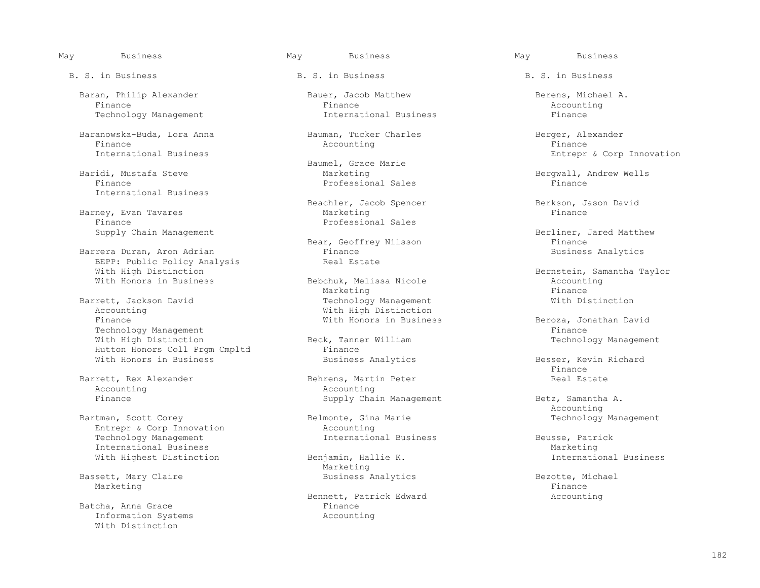Baranowska-Buda, Lora Anna Bauman, Tucker Charles Berger, Alexander Finance Accounting Finance

International Business

Barney, Evan Tavares<br>Finance Finance<br>Supply Chain Management<br>
Supply Chain Management

Barrera Duran, Aron Adrian<br>BEPP: Public Policy Analysis<br>Real Estate BEPP: Public Policy Analysis<br>With High Distinction With High Distinction<br>
With Honors in Business (Bebchuk, Melissa Nicole ) and the Bernstein, Samantha Taylor<br>
Mith Honors in Business

 Barrett, Jackson David Technology Management With Distinction Accounting  $\begin{array}{ccc}\n\text{With High Distinction} \\
\text{Finnance} \\
\end{array}$ Technology Management<br>
With High Distinction<br>
Finance Beck, Tanner William Hutton Honors Coll Prgm Cmpltd<br>
With Honors in Business<br>
Business Analytics

Accounting<br>Finance

Bartman, Scott Corey Belmonte, Gina Marie Technology Management Entrepr & Corp Innovation Accounting Entrepr & Corp Innovation<br>
Technology Management<br>
Thernational Business Technology Management **International Business** Beusse, Patrick<br>
International Business Marketing International Business<br>
With Highest Distinction<br>
With Highest Distinction<br>
Mith Highest Distinction With Highest Distinction

Bassett, Mary Claire **Business Analytics** Business Analytics Bezotte, Michael Marketing Marketing Finance Research of the set of the set of the set of the set of the set of the set of the set of the set of the set of the set of the set of the set of the set of the set of the set of the set of the set of the s

Batcha, Anna Grace and Elimination Systems and Theorem and Theorem and Theorem and Theorem and Theorem and The<br>
Batch Theorem and Theorem and Theorem and Theorem and Theorem and Theorem and Theorem and Theorem and Theorem Information Systems With Distinction

B. S. in Business The B. S. in Business B. S. in Business B. S. in Business

 Baran, Philip Alexander Bauer, Jacob Matthew Berens, Michael A. Finance Finance Accounting Technology Management International Business Finance

Baridi, Mustafa Steve and Sammel, Grace Marie Marie Baridi, Mustafa Steve and Steve and Steve and Steve and S Baridi, Mustafa Steve Marketing Bergwall, Andrew Wells Professional Sales

Beachler, Jacob Spencer and Berkson, Jason David Marketing

Bebchuk, Melissa Nicole and Accounting and Accounting Business Accounting Rimance Marketing the Marketing of the Marketing of the Marketing of the Marketing of the Marketing of the Marketing o

k, Tanner William and Beck, Technology Management<br>Finance

Barrett, Rex Alexander and Behrens, Martin Peter and Real Estate Real Estate Accounting Accounting Supply Chain Management Betz, Samantha A.

Marketing<br>Business Analytics

Bennett, Patrick Edward and Accounting Pinance

International Business Entrepr & Corp Innovation

Berliner, Jared Matthew<br>Finance Bear, Geoffrey Nilsson Finance<br>Finance Finance Business Analytics

Beroza, Jonathan David<br>Finance

With Honors in Business **Business Analytics** Besser, Kevin Richard<br>Finance Finance

Accounting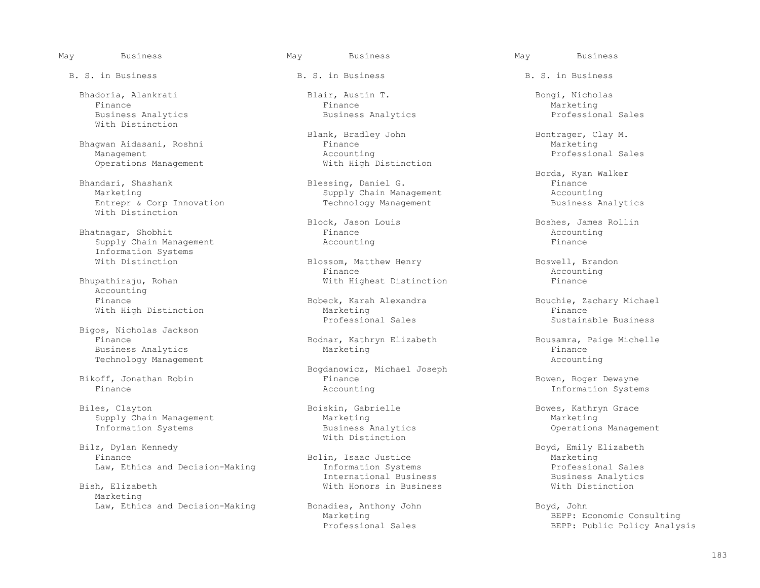With Distinction

 Bhagwan Aidasani, Roshni Finance Marketing Management Accounting Professional Sales Operations Management With High Distinction

Entrepr & Corp Innovation With Distinction

Bhatnagar, Shobhit **Bhatnagar, Shobhit Show Account** Finance Accounting Supply Chain Management **Accounting** Supply Chain Management Information Systems

Accounting<br>Finance

 Bigos, Nicholas Jackson Business Analytics Technology Management and Accounting the Second Seconds and Accounting Accounting Accounting Accounting Accounting Accounting Accounting Accounting Accounting Accounting Accounting Accounting Accounting Accounting Accounti

 Biles, Clayton Boiskin, Gabrielle Bowes, Kathryn Grace Supply Chain Management<br>
Information Systems<br>
Marketing<br>
Business Analytics

Bilz, Dylan Kennedy<br>
External parameters and Mith Distinction z, Dylan Kennedy<br>Bolin, Isaac Justice Bolin, Bouth Boyd, Emily Elizabeth<br>Bolin, Isaac Justice Marketing

Marketing

B. S. in Business The B. S. in Business B. S. in Business B. S. in Business

 Bhadoria, Alankrati Blair, Austin T. Bongi, Nicholas Finance Finance Marketing Business Analytics Business Analytics Professional Sales

Blank, Bradley John Bontrager, Clay M.<br>Finance Marketing

 Bhandari, Shashank Blessing, Daniel G. Finance Supply Chain Management<br>
Technology Management<br>
Business Analytics

Blossom, Matthew Henry Boswell, Brandon Finance Accounting Finance Accounting Bhupathiraju, Rohan **Mith Highest Distinction** Finance

With High Distinction The Marketing Marketing Constant of the Sustainable Business<br>Professional Sales The Sustainable Business

Bodnar, Kathryn Elizabeth Bousamra, Paige Michelle<br>Marketing Bousamra, Paige Michelle

 Bogdanowicz, Michael Joseph Bikoff, Jonathan Robin Finance Bowen, Roger Dewayne

Bolin, Isaac Justice and Marketing<br>
Information Systems and Marketing<br>
Professional Sales Law, Ethics and Decision-Making Theormation Systems and Decision-Making Informational Business Professional Sales<br>International Business Pusiness Analytics International Business Business Analytics With Honors in Business

Law, Ethics and Decision-Making Bonadies, Anthony John Boyd, John Boyd, John Boyd, John Boyd, John Boyd, John Boyd, John Boyd, John Boyd, John Boyd, John Boyd, John Boyd, John Boyd, John Boyd, John Boyd, John Boyd, John Bo

Borda, Ryan Walker (Blessing, Daniel G. 1986)<br>Bhandari, Shashank (Blessing, Daniel G. 1986) (Blessing, Daniel G. 1986) (Blessing, Daniel G. 1986)

Block, Jason Louis and Boshes, James Rollin Finance<br>Finance accounting

 Finance Bobeck, Karah Alexandra Bouchie, Zachary Michael Professional Sales Sustainable Business

Information Systems

Operations Management

Marketing<br>
Professional Sales<br>
BEPP: Public Policy Analys BEPP: Public Policy Analysis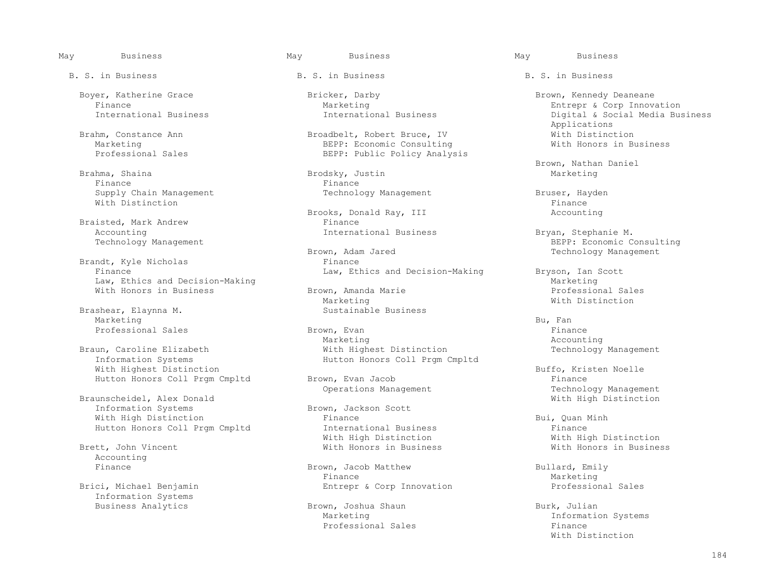Boyer, Katherine Grace Bricker, Darby Brown, Kennedy Deaneane

Brahma, Shaina Brodsky, Justin Marketing Finance Finance Supply Chain Management Technology Management Bruser, Hayden With Distinction  $\blacksquare$ 

Braisted, Mark Andrew<br>Accounting Accounting 1.1 accounting 1.1 accounting 1.1 accounting 1.1 accounting 1.1 accounting 1.1 accounting 1.1 accounting 1.1 accounting 1.1 accounting 1.1 accounting 1.1 accounting 1.1 accounting 1.1 accounting 1.1 accounting 1

Brandt, Kyle Nicholas Finance<br>Finance Finance Finance Finance Finance Finance Finance Formula and Formula and Formula and Formula and Formula and Formula and Formula and Formula and Formula and Formula and Formula and Form Law, Ethics and Decision-Making<br>
With Honors in Business (Marketing Marketing Marketing Marketing Marketing Marketing Marketing Marketing Marketing

Brashear, Elaynna M.<br>Marketing Marketing Bu, Fan III and Bu, Fan III and Bu, Fan III and Bu, Fan III and Bu, Fan III and Bu, Fan III and Bu,

With Highest Distinction<br>
With Highest Distinction<br>
Button Honors Coll Prgm Cmpltd Brown, Evan Jacob<br>
Button Honors Coll Prgm Cmpltd Brown, Evan Jacob

Braunscheidel, Alex Donald<br>
Information Systems<br>
Brown, Jackson Scott Information Systems Brown, Jackson Scott<br>With High Distinction Scott Scott Scott With High Distinction Finance Bui, Quan Minh

Accounting<br>Finance

Information Systems

B. S. in Business The B. S. in Business B. S. in Business B. S. in Business

Brahm, Constance Ann ann Broadbelt, Robert Bruce, IV and With Distinction<br>Marketing Business BEPP: Economic Consulting With Honors in Business Marketing<br>
Professional Sales<br>
BEPP: Public Policy Analys BEPP: Public Policy Analysis

Brooks, Donald Ray, III and accounting<br>
Finance

With Honors in Business and Brown, Amanda Marie and the State of Professional Sales and Brown, Amanda Marie and State and Professional Sales and Marketing Marketing Marketing Milling Mith Distinction

Professional Sales The Brown, Evan Fronties of the Finance of the Brown, Evan Finance Professional Sales Finance Marketing Marketing Accounting Braun, Caroline Elizabeth With Highest Distinction Technology Management Hutton Honors Coll Prgm Cmpltd

 Hutton Honors Coll Prgm Cmpltd International Business Finance With High Distinction and Mith High Distinction and Mith High Distinction<br>Brett, John Vincent and Mith Honors in Business and Mith Honors in Business With Honors in Business

Brown, Jacob Matthew Bullard, Emily<br>Finance Marketing Finance Marketing Brici, Michael Benjamin and Solid Benjamin Entrepr & Corp Innovation and Professional Sales

Brown, Joshua Shaun Burk, Julian Burk, Julian<br>Marketing Burk, Informatic

Finance Marketing Entrepr & Corp Innovation <br>International Business International Business Digital & Social Media Bus Digital & Social Media Business<br>Applications Applications

Brown, Nathan Daniel

BEPP: Economic Consulting<br>
Technology Management Consulting<br>
Technology Management Technology Management

Law, Ethics and Decision-Making Bryson, Ian Scott<br>Marketing

Hutton Honors Coll Prgm Cmpltd Brown, Evan Jacob Finance Finance Finance Finance States Coll Premium Brown, Evan Jacob Fundament Fechnology Management Operations Management Technology Management Conservation Section 2016<br>
Technology Management Technology Management

Information Systems<br>Finance Professional Sales<br>
Finance<br>
With Distinction With Distinction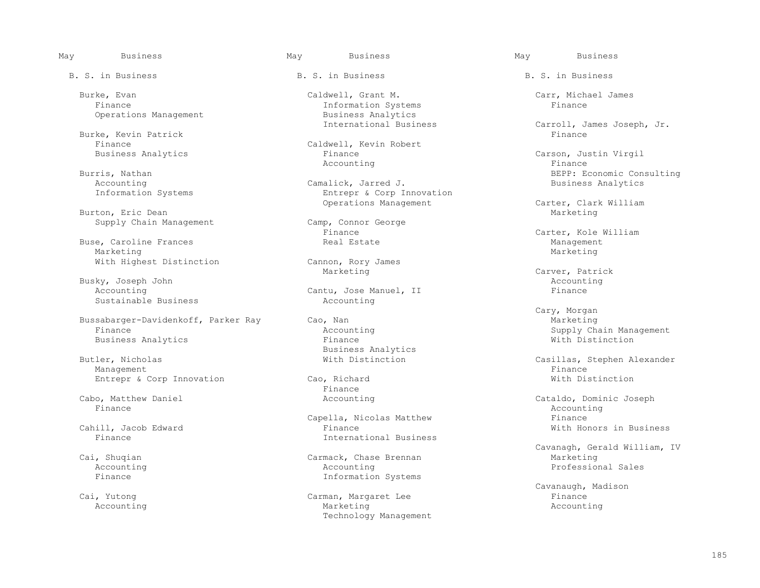Burke, Kevin Patrick Finance

Accounting Camalick, Jarred J.<br>
Information Systems Analytics Analytics: Entrepr & Corp I

Burton, Eric Dean<br>
Supply Chain Management<br>
Camp, Connor George Supply Chain Management Camp, Connor Camp, Connor George Camp, Connor George Camp, Connor George Camp Camp Camp

Buse, Caroline Frances and the Caroline Frances and Estate Management Management Management Management Management Management Management Management Management Management Management Management Management Management Managemen Marketing Marketing Marketing Marketing Marketing Marketing Marketing Marketing Marketing Marketing Marketing S

Busky, Joseph John (Accounting and Accounting Accounting Accounting Accounting Accounting Accounting Accounting Accounting Accounting Accounting Accounting Accounting Accounting Accounting Accounting Accounting Accounting Sustainable Business

Bussabarger-Davidenkoff, Parker Ray Cao, Nan Cao, Canada and Cao, Cassetting Marketing Finance Supply Chapter Ch Business Analytics

Management Finance Research of the set of the set of the set of the set of the set of the set of the set of the set of the set of the set of the set of the set of the set of the set of the set of the set of the set of the Entrepr & Corp Innovation Cao, Richard Cao extending the Mith Distinction Finance

Finance and the set of the set of the set of the set of the set of the set of the set of the Accounting  $\Lambda$ 

B. S. in Business The B. S. in Business B. S. in Business B. S. in Business

 Burke, Evan Caldwell, Grant M. Carr, Michael James Information Systems<br>Business Analytics Operations Management and Business Analytics<br>International Business

Finance Caldwell, Kevin Robert<br>Business Analytics Caldwell, Kevin Robert Finance Carson, Justin Virgil<br>
Accounting Carson, Justin Virgil Accounting the set of the set of the set of the set of the set of the set of the set of the set of the set of t

Entrepr & Corp Innovation<br>Operations Management

With Highest Distinction Cannon, Rory James<br>
Marketing

Cantu, Jose Manuel, II<br>Accounting

Butler, Nicholas analytics<br>Butler, Nicholas analytics<br>With Distinction

Finance **Finance** 

Capella, Nicolas Matthew Einance Capella, Somethian Capella, Nicolas Matthew Einance Finance Cahill, Jacob Edward Cahill, Jacob Edward Cahill, Jacob Edward Cahill, Jacob Edward Cahill, Jacob Edward Cahill, Jacob Edward Cah Cahill, Jacob Edward Finance With Honors in Business International Business

 Accounting Accounting Professional Sales Finance **Information** Systems

Carman, Margaret Lee Accounting and the Marketing Marketing and Marketing and Marketing and Accounting Technology Management

Carroll, James Joseph, Jr.<br>Finance

Burris, Nathan Burris, Nathan BEPP: Economic Consulting Camalick, Jarred J. BEPP: Economic Consulting Accounting

Carter, Clark William<br>Marketing

Finance Carter, Kole William<br>Real Estate Management

Marketing Carver, Patrick

 Cary, Morgan Accounting and Supply Chain Management<br>
Finance and Supply Chain Management<br>
Mith Distinction

Butler, Nicholas With Distinction Casillas, Stephen Alexander

Cabo, Matthew Daniel **Cabo, Matthew Daniel** Accounting Cabo, Matthew Daniel Cataldo, Dominic Joseph<br>Finance Accounting

 Cavanagh, Gerald William, IV i, Shuqian Carmack, Chase Brennan Marketing <br>Accounting Accounting Professional Sales

Cai, Yutong Carman, Margaret Lee Carman, Margaret Lee Cavanaugh, Madison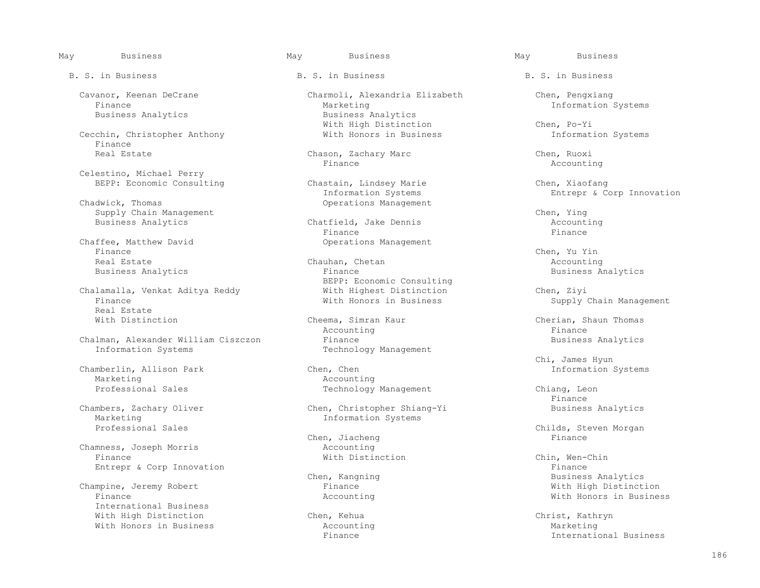Business Analytics

Cecchin, Christopher Anthony Finance<br>Real Estate

Celestino, Michael Perry

Supply Chain Management<br>Business Analytics and Chatfield, Jake Dennis

Chaffee, Matthew David<br>
Finance<br>
Finance Finance Chen, Yu Yin

 Chalamalla, Venkat Aditya Reddy With Highest Distinction Chen, Ziyi Real Estate<br>With Distinction

Chalman, Alexander William Ciszczon Finance<br>
Technology Management<br>
Technology Management

Chamberlin, Allison Park<br>Marketing Marketing and Marketing and Marketing and Marketing and Marketing and Marketing and Marketing and Marketing an<br>The Marketing and Marketing and Marketing and Marketing and Marketing and Marketing and Marketing and Marketin

Marketing 1999 Marketing 1999 Marketing Systems Information Systems

Chamness, Joseph Morris and Accounting<br>
Finance and Philosophysical Accounting<br>
Mith Distinction Finance With Distinction Chin, Wen-Chin Entrepr & Corp Innovation extends the contract of the contract of the contract of the Finance

Champine, Jeremy Robert Finance<br>Finance Microsoft Binance International Business With High Distinction Chen, Kehua Christ, Kathryn

Cavanor, Keenan DeCrane Cavanor, Keenan DeCrane Charmoli, Alexandria Elizabeth Chen, Pengxiang<br>Finance Marketing Marketing Chen, Information Marketing 10 and 10 million Systems<br>Business Analytics With High Distinction<br>
With Honors in Business<br>
The Information Systems

Chason, Zachary Marc Chason, Chen, Ruoxi<br>Finance Chen, Ruoxi Finance Accounting

BEPP: Economic Consulting Chastain, Lindsey Marie Chen, Xiaofang<br>Chen, Xiaofang Chastain, Lindsey Marie Chen, Chen, Xiaofang Information Systems and The Entrepr & Corp Innovation<br>
Operations Management Chadwick, Thomas Operations Management

Business Analytics **Exercise Chatfield, Jake Dennis Accounting the Security Chatfield**, Jake Dennis **Accounting the Securit** Chatter of Times Chatter Chatter Chatter Chatter Chatter Chatter Chatter Chatter Chatter Chatte Finance Finance

 Real Estate Chauhan, Chetan Accounting Business Analytics **Finance** Finance **Business Analytics** Business Analytics BEPP: Economic Consulting<br>With Highest Distinction

Cheema, Simran Kaur Cherian, Shaun Thomas<br>Accounting Cherian, Shaun Thomas Accounting the set of the set of the set of the set of the set of the set of the set of the set of the set of t Technology Management

Pechnology Management Chiang, Leon<br>Finance

Chambers, Zachary Oliver Chen, Christopher Shiang-Yi Business Analytics

Chen, Jiacheng Finance

B. S. in Business The B. S. in Business B. S. in Business B. S. in Business

Supply Chain Management

Chi, James Hyun<br>Chen, Chen Chen, Chen

Finance

Professional Childs, Steven Morgan<br>
Professional Sales Chen, Jiacheng<br>
Finance

Chen, Kangning and South Business Analytics<br>
Finance Business Analytics<br>
With High Distinction With Honors in Business

With Honors in Business and Marketing and Accounting and Marketing Marketing Marketing Marketing and Marketing Susiness Finance International Business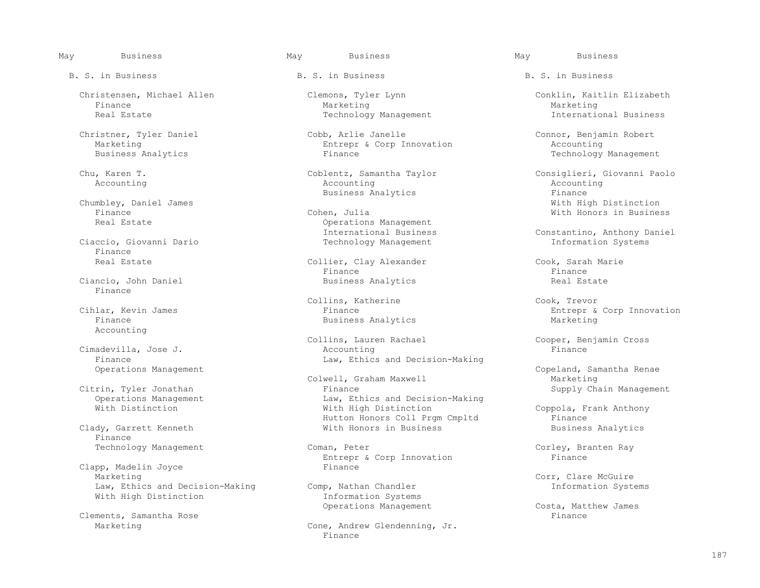Finance Marketing Marketing

Chumbley, Daniel James<br>Finance With Bigh Districts Cohen, Julia

Finance<br>Real Estate

Finance

Accounting

Cimadevilla, Jose J. Finance<br>
Operations Management<br>
Conservations Management<br>
Conservations Management<br>
Conservations Management<br>
Conservations Management<br>
Conservations Management<br>
Conservations Management<br>
Conservations Management<br>
Conserva

Finance

Clapp, Madelin Joyce<br>Marketing Law, Ethics and Decision-Making Comp, Nathan Chandler<br>With High Distinction Information Systems With High Distinction

Clements, Samantha Rose<br>Marketing

B. S. in Business The B. S. in Business B. S. in Business B. S. in Business

 Christner, Tyler Daniel Cobb, Arlie Janelle Connor, Benjamin Robert Marketing Entrepr & Corp Innovation<br>Business Analytics The Accounting Entrepr & Corp Innovation

Accounting Accounting Accounting

 Finance Cohen, Julia With Honors in Business Operations Management<br>International Business Technology Management

Collier, Clay Alexander Cook, Sarah Marie<br>Finance Cook, Sarah Marie Finance Finance Ciancio, John Daniel **Business Analytics** Real Estate Real Estate

Cook, Trevor (Collins, Katherine ) (Cook, Trevor (Cook, Trevor )<br>Cook, Trevor (Cook, Trevor ) (Cook, Trevor ) (Cook, Trevor ) (Cook, Trevor ) (Cook, Trevor ) (Cook, Trevor ) ( Business Analytics

Collins, Lauren Rachael Cooper, Benjamin Cross<br>Accounting Finance Finance

Colwell, Graham Maxwell<br>Citrin, Tyler Jonathan Marketing Marketing Pinance Citrin, Tyler Jonathan Finance Supply Chain Management Operations Management Law, Ethics and Decision-Making<br>
With Distinction<br>
With High Distinction Hutton Honors Coll Prgm Cmpltd Finance<br>Clady, Garrett Kenneth The Susiness With Honors in Business Susiness Analytics With Honors in Business

Technology Management Coman, Peter Corley, Branten Ray<br>Entrepr & Corp Innovation Finance Finance Entrepr & Corp Innovation Finance

Cone, Andrew Glendenning, Jr.<br>Finance Finance **Finance** 

 Christensen, Michael Allen Clemons, Tyler Lynn Conklin, Kaitlin Elizabeth Real Estate Technology Management Technology Management The International Business

Technology Management

 Chu, Karen T. Coblentz, Samantha Taylor Consiglieri, Giovanni Paolo Business Analytics and the Summer School of Finance Finance Finance and the Business Analytics and Turking School and Turking School and Turking School and Turking School and Turking School and Turking School and Turking S

International Business Ciaccio, Giovanni Dario (Daniel Ciaccio, Giovanni Dario Constantino, Anthony Daniel Ciaccio, Giovanni Dario (Daniel Technology Management Ciaccio, Giovanni Dario (Daniel Technology Management Ciaccio

Cihlar, Kevin James Finance Entrepr & Corp Innovation

Copeland, Samantha Renae<br>Marketing

Coppola, Frank Anthony<br>Finance

Corr, Clare McGuire<br>Comp, Nathan Chandler and The Component Component Component Component Component Component Component Component

Operations Management Costa, Matthew James<br>Finance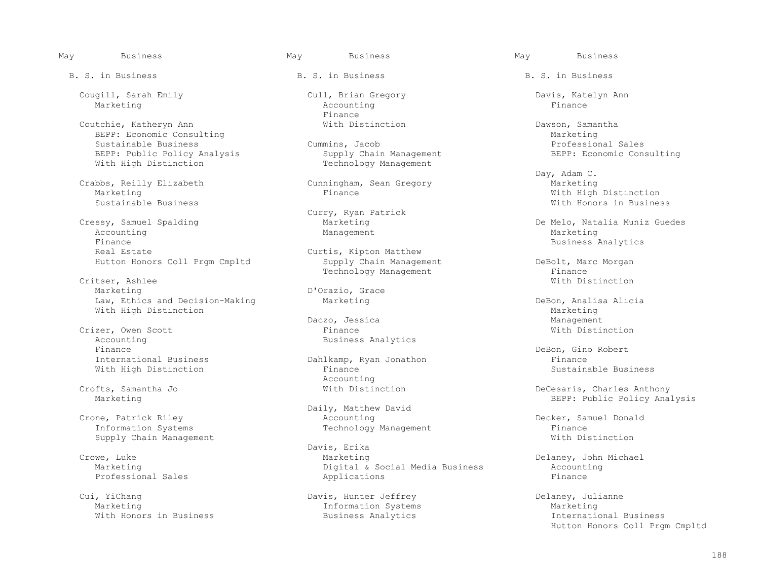Coutchie, Katheryn Ann Coutchie, Katheryn Ann Coutchie, Katheryn Ann Dawson, Samantha<br>BEPP: Economic Consulting BEPP: Economic Consulting<br>
Sustainable Business Cummins, Jacob Professional Sales Sustainable Business<br>
Sustainable Business<br>
BEPP: Economic Consulting<br>
BEPP: Economic Consulting BEPP: Public Policy Analysis Supply Chain Management<br>With High Distinction Supply Chain Management With High Distinction

Crabbs, Reilly Elizabeth Cunningham, Sean Gregory (Marketing Marketing Marketing Finance

essy, Samuel Spalding and Marketing Marketing and De Melo, Natalia Muniz Guedes<br>
Marketing Marketing Management Marketing Marketing Accounting and Management Management Management Marketing Finance Business Analytics<br>Real Estate Curtis, Kipton Matthew Business Analytics

Critser, Ashlee With Distinction (1999) and the control of the control of the control of the control of the control of the control of the control of the control of the control of the control of the control of the control o Marketing Dorazio, Grace<br>Law, Ethics and Decision-Making Marketing Marketing Law, Ethics and Decision-Making and Marketing and Debon, Analisa Alicia<br>With High Distinction Marketing Marketing Marketing With High Distinction<br>
Daczo, Jessica<br>
Daczo, Jessica<br>
Management

 Crizer, Owen Scott Finance With Distinction Accounting and the Business Analytics<br>Finance Finance<br>
The DeBon, Gino Robert<br>
Dahlkamp, Ryan Jonathon<br>
Dahlkamp, Ryan Jonathon<br>
Pinance<br>
Pinance

 Crone, Patrick Riley Accounting Decker, Samuel Donald Supply Chain Management

Professional Sales

 Cui, YiChang Davis, Hunter Jeffrey Delaney, Julianne With Honors in Business

B. S. in Business The B. S. in Business B. S. in Business B. S. in Business

 Cougill, Sarah Emily Cull, Brian Gregory Davis, Katelyn Ann Marketing Research Controller (Marketing Accounting Research Accounting Research Accounting Research Accounting Finance **Finance** 

Curry, Ryan Patrick<br>Cressy, Samuel Spalding<br>Marketing

Curtis, Kipton Matthew<br>Supply Chain Management Hutton Honors Coll Prgm Cmpltd Supply Chain Management Supply Chain Management DeBolt, Marc Morgan

Daczo, Jessica Management

With High Distinction Finance<br>Accounting Accounting the contract of the contract of the contract of the contract of the contract of the contract of the contract of the contract of the contract of the contract of the contract of the contract of the contract of the

Daily, Matthew David<br>Accounting

Davis, Erika<br>Crowe, Luke and Crowe, Luke and Crowe, Luke and Crowe, Luke and Crowe, Luke and Crowe, Luke and Crowe, Luke an<br>Crowe, Luke and Crowe, Luke and Crowe, Luke and Crowe, Luke and Crowe, Luke and Crowe, Luke and Cr Crowe, Luke Marketing Delaney, John Michael Digital & Social Media Business Accounting Accounting Primance

 Day, Adam C. Marketing Thance Marketing Mith High Distinction<br>Sustainable Business and Sustainable Business Sustainable Business With Honors in Business

Technology Management Finance Finance Finance Finance Finance Finance Finance Critser, Ashlee

Dahlkamp, Ryan Jonathon Finance<br>Finance Finance Business

 Crofts, Samantha Jo With Distinction DeCesaris, Charles Anthony BEPP: Public Policy Analysis

Technology Management<br>
With Distinction

Information Systems<br>
Business Analytics<br>
Business<br>
Marketing<br>
International Business Hutton Honors Coll Prgm Cmpltd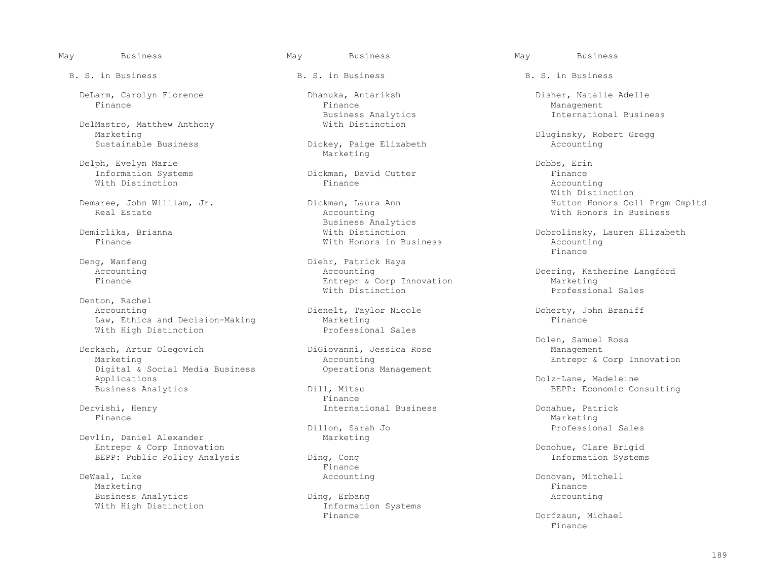B. S. in Business The B. S. in Business B. S. in Business B. S. in Business

DeLarm, Carolyn Florence Dhanuka, Antariksh Disher, Natalie Adelle

DelMastro, Matthew Anthony<br>Marketing Marketing Dluginsky, Robert Gregg

Delph, Evelyn Marie<br>
Information Systems<br>
Dickman, David Cutter<br>
Dickman, David Cutter With Distinction and the Mathematic Section of the Second Primance and Accounting Accounting Mathematic Accounting

Denton, Rachel<br>Accounting Law, Ethics and Decision-Making<br>With High Distinction<br>Professional Sales With High Distinction

Derkach, Artur Olegovich Marketing<br>
Digital & Social Media Business<br>
Operations Management<br>
Operations Management Digital & Social Media Business<br>Applications Applications Dolz-Lane, Madeleine

Devlin, Daniel Alexander Entrepr & Corp Innovation<br>
BEPP: Public Policy Analysis Ding, Cong Information System: BEPP: Public Policy Analysis Ding, Cong and Ding and Ding and Ding and Ding and Ding and Ding and Ding and Ding and Ding and Ding and Ding and Ding and Ding and Ding and Ding and Ding and Ding and Ding and Ding and Ding an

 DeWaal, Luke Accounting Donovan, Mitchell Marketing Finance Research of the set of the set of the set of the set of the set of the set of the set of the set of the set of the set of the set of the set of the set of the set of the set of the set of the set of the s Business Analytics Ding, Erbang Accounting With High Distinction and Information Information Information Information Information Systems and Information S

Finance Finance Management

Dickey, Paige Elizabeth Marketing

Information Systems Dickman, David Cutter Finance

 Business Analytics With Honors in Business and Manuscript Accounting Manuscript Accounting Manuscript Accounting Manuscript Accounting Manuscript Accounting Manuscript Accounting Manuscript Accounting Manuscript Accounting Manuscript Account

Deng, Wanfeng and Diehr, Patrick Hays Accounting Accounting Accounting and Accounting Accounting Accounting Doering, Katherine Langford<br>
Entrepr & Corp Innovation Marketing Marketing Entrepr & Corp Innovation<br>
Warketing<br>
With Distinction<br>
Which erofessional Sales With Distinction Research Research Professional Sales

Dienelt, Taylor Nicole 2012 Doherty, John Braniff<br>Marketing Braniff

1, Mitsu **BEPP:** Economic Consulting<br>Finance Finance **Finance** 

Dillon, Sarah Jo Professional Sales

Finance **Finance** 

Finance Dorfzaun, Michael

Business Analytics and South 15, 1999, 1999, 1999, 1999, 1999, 1999, 1999, 1999, 1999, 1999, 1999, 1999, 1999, 1999, 1999, 1999, 1999, 1999, 1999, 1999, 1999, 1999, 1999, 1999, 1999, 1999, 1999, 1999, 1999, 1999, 1999, 199

 With Distinction Demaree, John William, Jr. Dickman, Laura Ann Hutton Honors Coll Prgm Cmpltd With Honors in Business

 Demirlika, Brianna With Distinction Dobrolinsky, Lauren Elizabeth Finance

Dolen, Samuel Ross<br>DiGiovanni, Jessica Rose<br>
Management

Dervishi, Henry **International Business** Donahue, Patrick Posterior Business Donahue, Patrick Patrick Business Business Donahue, Patrick Business Business Business Business Business Business Business Business Business Busi Finance Marketing Marketing (1999) and the set of the set of the set of the Marketing Marketing (1990) and the set of the set of the set of the set of the set of the set of the set of the set of the set of the set of the s

Finance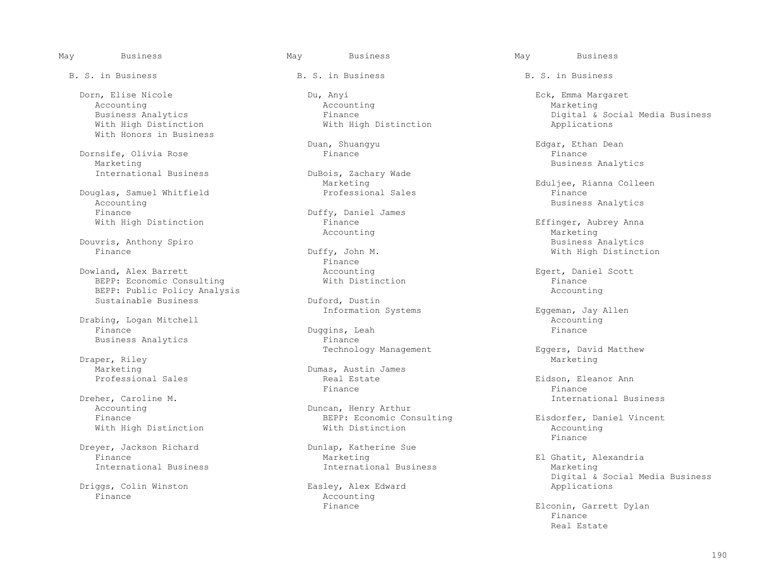With High Distinction With Honors in Business

Dornsife, Olivia Rose<br>Marketing Marketing Business Communicational Business Analytics<br>
Business Analytics Analytics<br>
Business Business Business Burgois, Zachary Wade

Douglas, Samuel Whitfield<br>Accounting Accounting and Duffy, Daniel James and Dusiness Analytics Business Analytics<br>Finance and Business Analytics Finance Duffy, Daniel James<br>With High Distinction and Duffy, Daniel James

Douvris, Anthony Spiro Business Analytics

Dowland, Alex Barrett **Accounting** Accounting and Accounting Egert, Daniel Scott<br>BEPP: Economic Consulting **Egert, Accounting Egert, Daniel Scott** BEPP: Economic Consulting and Mith Distinction and Mith Distinction Finance Finance<br>BEPP: Public Policy Analysis BEPP: Public Policy Analysis<br>Sustainable Business (Duford, Dustin Sustainable Business

Drabing, Logan Mitchell (2008) and Duning Decounting Duning Duning Duning Duning Duning Duning Duning Duning Duning Duning Duning Duning Pinance (2008) and Pinance Finance Duggins, Leah Finance

Draper, Riley Marketing Marketing Marketing Marketing Marketing Marketing Marketing Marketing Marketing Marketing Marketing Dumas, Austin James<br>
Professional Sales<br>
Real Estate

Dreher, Caroline M. **International Business** accounting the Music Counting of the Duncan, Henry Arthur and Music Counting and Music Accounting the Music Counting and Duncan, Henry Arthur and Music Counting and Music Counti

Dreyer, Jackson Richard Dunlap, Katherine Sue<br>Finance Marketing

Driggs, Colin Winston<br>Finance

B. S. in Business The B. S. in Business B. S. in Business B. S. in Business

 Dorn, Elise Nicole Du, Anyi Eck, Emma Margaret Accounting and accounting Accounting Accounting Accounting Marketing

DuBois, Zachary Wade<br>Marketing

Accounting Marketing Marketing

Finance **Finance** 

Business Analytics and Electronic Report of Technology Management

Finance Finance

Accounting  $\begin{array}{ccc}\n\text{Duncan, Henry Arthur} \\
\text{EPP: Economic Consulting}\n\end{array}$ BEPP: Economic Consulting Fisdorfer, Daniel Vincent<br>With Distinction Fiscounting Accounting With High Distinction and Mith Distinction and Mith Distinction accounting Mith Missingum and Accounting Mith

Finance Marketing El Ghatit, Alexandria<br>International Business International Business Marketing International Business

Accounting<br>Finance

Business Analytics Finance Digital & Social Media Business

Duan, Shuangyu Edgar, Ethan Dean

Marketing Eduljee, Rianna Colleen<br>Professional Sales Finance Essential

Finance Effinger, Aubrey Anna Accounting Marketing With High Distinction

Information Systems  $Egqeman, Jay Allen$ <br>Accounting

Eggers, David Matthew

Real Estate **Eidson, Eleanor Ann**<br>
Finance **Einance** Einance

Finance

Digital & Social Media Business

Elconin, Garrett Dylan<br>Finance Finance Real Estate Real Estate Real Estate Real Estate Real Estate Real Estate Real Estate Real Estate Real Estate Re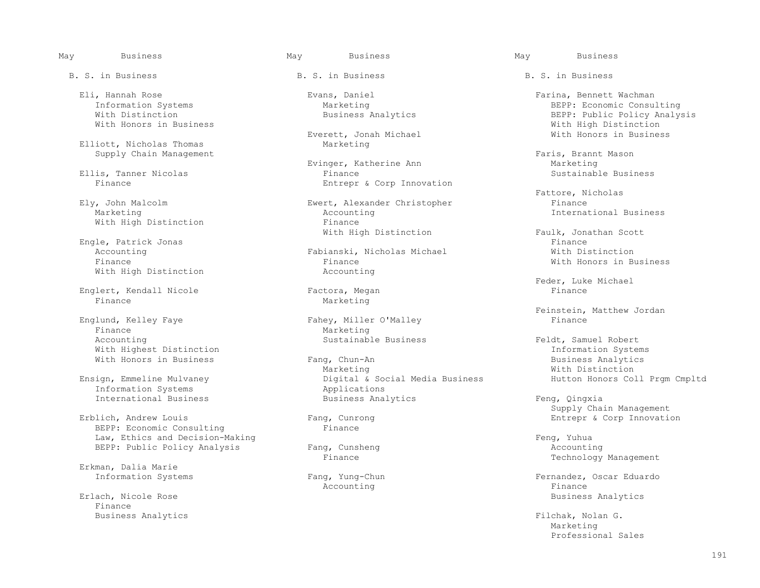Eli, Hannah Rose Evans, Daniel Evans, Daniel Farina, Bennett Wachman (Eli, Farina, Bennett Wachman (Eli, Farina, Bennett Wachman (Eli, Farina, Bennett Wachman (Eli, Farina, BEPP: Economic Consul

Elliott, Nicholas Thomas

Ellis, Tanner Nicolas<br>Finance

 Engle, Patrick Jonas Finance With High Distinction

Englert, Kendall Nicole Factora, Megan<br>Finance Marketing

Englund, Kelley Faye<br>Finance With Highest Distinction<br>With Honors in Business **E**ang, Chun-An **Information Systems** Business Analytics

Information Systems<br>
International Business<br>
Business Analytics

BEPP: Economic Consulting Law, Ethics and Decision-Making<br>
BEPP: Public Policy Analysis Fang, Cunsheng Feng, Formular Recounting BEPP: Public Policy Analysis Fang, Cunsheng Fang

Erkman, Dalia Marie

Finance

Everett, Jonah Michael<br>Marketing

Evinger, Katherine Ann<br>Finance Marketing<br>Sustainable Business Entrepr & Corp Innovation

v, John Malcolm **Ewert, Alexander Christopher**<br>Marketing **Finance Accounting** Accounting  $\qquad \qquad$  International Business Finance With High Distinction<br>
Finance<br>
With High Distinction

Accounting Fabianski, Nicholas Michael Finance Finance **Finance** With Honors in Business<br>Accounting

Marketing

Finance Marketing<br>Accounting Marketing<br>Sustainable Business

With Honors in Business **Fang, Chun-An** Fang, Chun-An Business Analytics<br>Marketing Marketing Mith Distinction Marketing Marketing Milling Mith Distinction Ensign, Emmeline Mulvaney Digital & Social Media Business Hutton Honors Coll Prgm Cmpltd<br>Information Systems Applications International Business **Business Analytics** Feng, Qingxia

Accounting the set of the set of the set of the set of the set of the set of the set of the set of the set of t

Information Systems The Marketing Marketing Consulting BEPP: Economic Consulting SEPP: Economic Consulting Mith Distinction With Distinction analysis Business Analytics and Business Analytics BEPP: Public Policy Analysis<br>With Honors in Business analytics and Business and Business Analytics and Business and Businetion With High Distinction<br>With Honors in Business

Supply Chain Management<br>Evinger, Katherine Ann Faris, Brannt Mason<br>Marketing

Fattore, Nicholas

Faulk, Jonathan Scott<br>Finance

Feder, Luke Michael<br>Finance

Feinstein, Matthew Jordan<br>Finance<br>Finance

Feldt, Samuel Robert<br>Information Systems

Erblich, Andrew Louis and the Supply Chain Management Erblich, Andrew Louis<br>Entepr & Corp Innovation of Tang, Cunrong and the Supply Chain Management g, Cunrong and Entrepr & Corp Innovation<br>
Finance

Technology Management

Fang, Yung-Chun **Information Systems Fernandez**, Oscar Eduardo<br>
Reference Finance Erlach, Nicole Rose and Society and Society and Society and Society and Society and Society and Society and Society and Society and Society and Society and Society and Society and Society and Society and Society and Societ

Business Analytics Filchak, Nolan G.<br>
Marketing Marketing Marketing and the marketing Professional Sales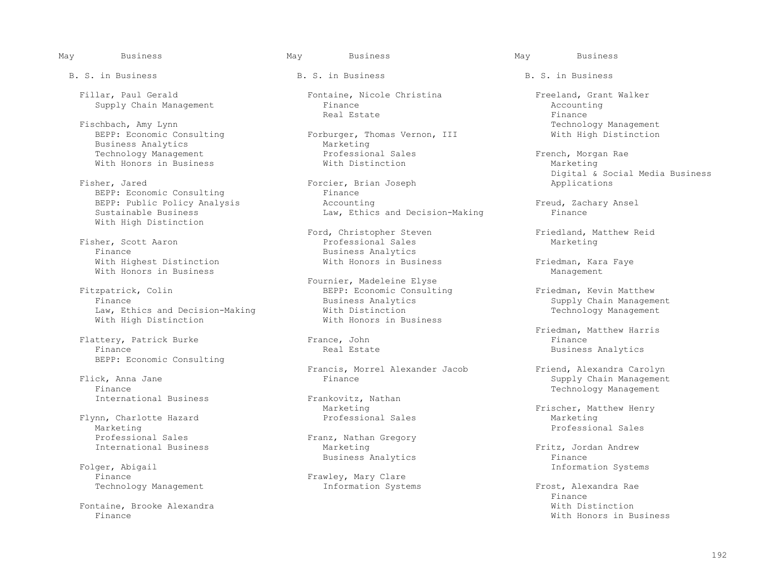Fillar, Paul Gerald Fontaine, Nicole Christina Freeland, Grant Walker<br>
Supply Chain Management Finance Finance Accounting

Fischbach, Amy Lynn<br>BEPP: Economic Consulting Technology Management<br>Forburger, Thomas Vernon, III The Mith High Distinction Business Analytics<br>
Technology Management<br>
Technology Management<br>
Marketing<br>
Professional Sales With Honors in Business

BEPP: Economic Consulting Finance Finance<br>
BEPP: Public Policy Analysis Finance Accounting With High Distinction

Fisher, Scott Aaron<br>Finance With Highest Distinction With Honors in Business Friedman, Kara Faye With Honors in Business

zpatrick, Colin BEPP: Economic Consulting Friedman, Kevin Matthew<br>Finance Business Analytics Supply Chain Manageme Law, Ethics and Decision-Making  $\overline{W}$  with Distinction<br>With High Distinction  $\overline{W}$  and  $\overline{W}$  and  $\overline{W}$  and  $\overline{W}$  are  $\overline{W}$ With High Distinction

Flattery, Patrick Burke France, John France, John Finance BEPP: Economic Consulting

Finance Technology Management

 Flynn, Charlotte Hazard Professional Sales Marketing Marketing Professional Sales Professional Sales<br>
International Business<br>
Marketing<br>
Marketing

ger, Abigail and The Systems and The Traveley, Mary Clare and The Theorem and The Information Systems.<br>Information Systems and Traveley, Mary Clare

Fontaine, Brooke Alexandra (European School and Theory and Theory and Theory and Theory and Theory and Theory and Theory and Theory and Theory and Theory and Theory and Theory and Theory and Theory and Theory and Theory an

Supply Chain Management and Supply Chain Management and Supply Chain Management and Supply Chain Accounting Real Estate and Accounting Real Estate and Tring and Tring and Tring and Real Estate and Tring and Tring and Tring Real Estate Finance Real Estate Finance Real estate Real estate Real estate Real estate Real estate Real estat

Forburger, Thomas Vernon, III<br>Marketing Technology Management Professional Sales French, Morgan Rae

Forcier, Brian Joseph<br>Finance BEPP: Public Policy Analysis (accounting and Decision-Making Freud, Zachary Ansel<br>Sustainable Business (and Decision-Making Finance Finance Law, Ethics and Decision-Making

> Ford, Christopher Steven Friedland, Matthew Reid<br>Professional Sales Marketing Business Analytics<br>With Honors in Business

Fitzpatrick, Colin (Fournier, Madeleine Elyse)<br>BEPP: Economic Consult:

Francis, Morrel Alexander Jacob Friend, Alexandra Carolyn

Frankovitz, Nathan<br>Marketing

Folger, Abigail **Exercise 2018** Business Analytics

Frawley, Mary Clare<br>Information Systems

May Business May Business May Business

Digital & Social Media Business

Finance Business Analytics<br>
With Distinction<br>
With Distinction<br>
Supply Chain Management

Friedman, Matthew Harris<br>France, John Barris<br>Finance Business Analytics

Flick, Anna Jane Finance Supply Chain Management

Marketing Theorem Construction of the Marketing Professional Sales Construction Construction Marketing Marketing

Fritz, Jordan Andrew<br>Finance

Technology Management **Information Systems** Frost, Alexandra Rae Finance With Honors in Business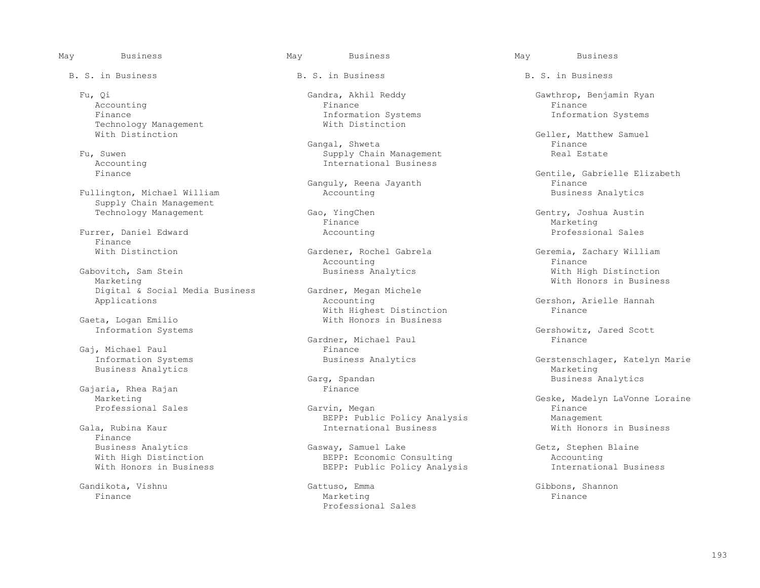Accounting the control of the Finance of the Finance of the Finance of the Finance of the Finance of the Finance Technology Management With Distinction

Fullington, Michael William Supply Chain Management<br>Technology Management

Furrer, Daniel Edward and Accounting Accounting Accounting Professional Sales Finance<br>With Distinction

Gabovitch, Sam Stein Business Analytics and Vith High Distinction Marketing Marketing Digital & Social Media Business Gardner, Megan<br>Applications Accounting

eta, Logan Emilio Niel Mith Honors in Business<br>
Information Systems

Gaj, Michael Paul<br>Information Systems Business Analytics<br>
Garg, Spandan

Gajaria, Rhea Rajan<br>Marketing

Finance<br>Business Analytics

B. S. in Business The B. S. in Business B. S. in Business B. S. in Business

Finance 11 The Information Systems Information Systems Information Systems Information Systems Information Systems

Gangal, Shweta Finance Research of the Sangal, Shweta Research Management of the Shanne Research of the Shanne Fu, Suwen Supply Chain Management Real Estate<br>Accounting and Supply Chain Management Real Estate Accounting  $\qquad \qquad$  International Business Finance

Finance Marketing

Accounting the set of the set of the set of the set of the set of the set of the set of the set of the set of t

With Highest Distinction Finance

Gardner, Michael Paul Finance

g, Spandan and Business Analytics<br>Finance

 Professional Sales Garvin, Megan Finance BEPP: Public Policy Analysis Management International Business

 Business Analytics Gasway, Samuel Lake Getz, Stephen Blaine With High Distinction BEPP: Economic Consulting Accounting Accounting BEPP: Public Policy Analysis International Business BEPP: Public Policy Analysis

 Gandikota, Vishnu Gattuso, Emma Gibbons, Shannon Finance Marketing Finance Professional Sales

Fu, Qi Gandra, Akhil Reddy Gawthrop, Benjamin Ryan

With Distinction Geller, Matthew Samuel

Gentile, Gabrielle Elizabeth<br>Finance Ganguly, Reena Jayanth Finance<br>Accounting Mateuralian Business Analytics

Gao, YingChen Gao, YingChen Gao, YingChen Gao, Gentry, Joshua Austin

Gardener, Rochel Gabrela Geremia, Zachary William<br>
Accounting Geremia, Zachary William Gardner, Megan Michele **Marketing With Honors in Business** 

Gershon, Arielle Hannah<br>Finance

Gershowitz, Jared Scott<br>Finance

Business Analytics Gerstenschlager, Katelyn Marie<br>Marketing

Geske, Madelyn LaVonne Loraine<br>Finance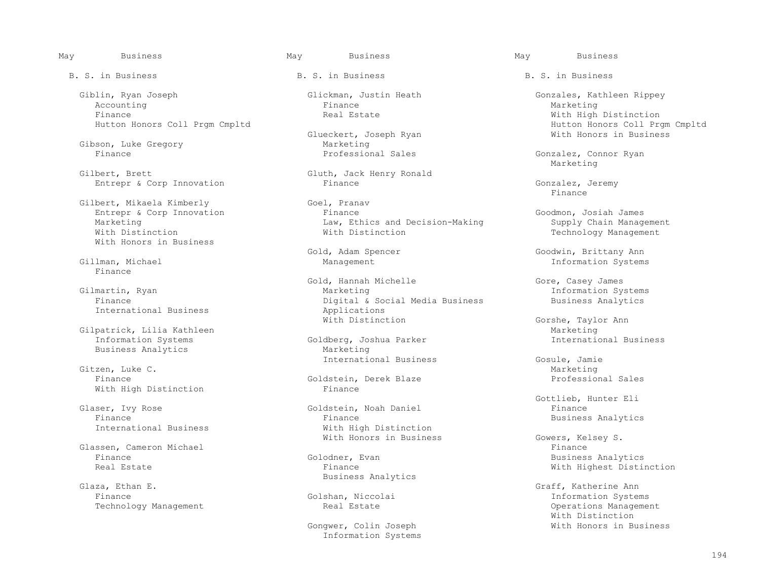Giblin, Ryan Joseph Glickman, Justin Heath Gonzales, Kathleen Rippey Accounting and the settlement of the settlement of the settlement of the Marketing Marketing of the Marketing o

Gibson, Luke Gregory and Marketing<br>
Finance Marketing<br>
Professional Sales

Gilbert, Brett<br>
Entrepr & Corp Innovation<br>
Finance<br>
Finance

Gilbert, Mikaela Kimberly Goel, Pranav Goel, Pranav Goel, Pranav Goel, Pranav Goel, Pranav Goel, Pranav Goel, Pranav Goel, Pranav Goel, Pranav Goel, Pranav Goel, Pranav Goel, Pranav Goel, Pranav Goel, Pranav Goel, Pranav G With Honors in Business

Finance

Gilpatrick, Lilia Kathleen<br>Information Systems Goldberg, Joshua Parker International Business Business Analytics

Gitzen, Luke C. Natural Charles and Charles and Charles and Charles and Charles and Marketing and Marketing and Marketing and Charles and Charles and Charles and Charles and Charles and Charles and Charles and Charles and Finance Goldstein, Derek Blaze Professional Sales With High Distinction

Glaser, Ivy Rose Goldstein, Noah Daniel Finance

Glassen, Cameron Michael<br>Finance Finance Finance Golodner, Evan Finance Golodner, Evan Business Analytics

Glaza, Ethan E. Graff, Katherine Ann

May Business May Business May Business

Glueckert, Joseph Ryan<br>Marketing

Entrepr & Corp Innovation Finance Entrepr & Coodmon, Josiah James<br>Marketing Goodmon, Josiah James Law, Ethics and Decision-Making Supply Chain Management Marketing Law, Ethics and Decision-Making<br>
With Distinction<br>
With Distinction

Gold, Hannah Michelle (Gold Gold Gold Gore, Casey James Gilmartin, Ryan (Gore, Casey James Marketing (Gold Gore, Casey James Marketing Sy martin, Ryan Marketing Information Systems<br>Finance Digital & Social Media Business Business Analytics Digital & Social Media Business<br>Applications International Business and Applications<br>
With Distinction

Goldberg, Joshua Parker<br>Marketing International Business Cosule, Jamie Gosule, Jamie Cosule, Jamie Cosule, Jamie Cosule, Jamie Cosule, Jamie Cosule, Jamie Cosule, Jamie Cosule, Jamie Cosule, Jamie Cosule, Jamie Cosule, Jamie Cosule, Jamie Cosule, Jamie Cos

Finance Finance Finance Finance Finance Business Analytics<br>
Thernational Business Control of Mith High Distinction With High Distinction

Glaza, Ethan E. Sandwich States Analytics Business Analytics

Information Systems

Finance<br>
Finance Mith High Distinction<br>
Hutton Honors Coll Prgm Cmpltd Nutton Honors Coll Prgm Cmpltd Hutton Honors Coll Prgm Cmpltd<br>Glueckert, Joseph Ryan And Mith Honors in Business

Gonzalez, Connor Ryan<br>Marketing Marketing and the Marketing

Entrepr & Corp Innovation Finance Finance Gonzalez, Jeremy Gonzalez, Gonzalez, Gonzalez, Gonzalez, Gonzalez, Gonzalez, Gonzalez, Gonzalez, Gonzalez, Gonzalez, Gonzalez, Gonzalez, Gonzalez, Gonzalez, Gonzalez, Gonzalez, Gon Finance

Technology Management

Goodwin, Brittany Ann (Goodwin, Brittany Ann (Goodwin, Brittany Ann (Goodwin, Brittany Ann (Goodwin, Brittany Ann (Goodwin, Brittany Ann (Goodwin, Brittany Ann (Goodwin, Brittany Ann (Goodwin, Brittany Ann (Goodwin, Britta Management and Michael Management and Michael Management and Michael Management and Michael Management and Michael Michael Michael Michael Michael Michael Michael Michael Michael Michael Michael Michael Michael Michael Mic

Gorshe, Taylor Ann<br>Marketing

Gottlieb, Hunter Eli

With Honors in Business Gowers, Kelsey S.<br>Finance With Highest Distinction

Shan, Niccolai and Systems and Theorem Information Systems<br>Real Estate 1996 and Systems Annagement Technology Management and Technology Management Channel Real Estate Channel Communications Management<br>With Distinction With Distinction Gongwer, Colin Joseph With Honors in Business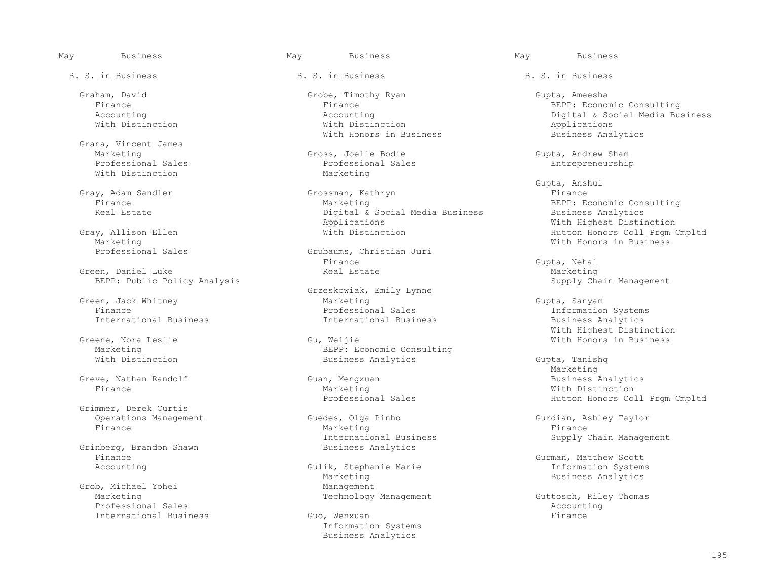Grana, Vincent James With Distinction

Marketing With Honors in Business

Green, Daniel Luke Luke Creen, Daniel Luke Creen, Daniel Luke Real Estate Marketing<br>BEPP: Public Policy Analysis BEPP: Public Policy Analysis

Grimmer, Derek Curtis<br>Operations Management

Grinberg, Brandon Shawn<br>Finance Finance Gurman, Matthew Scott

Professional Sales<br>
International Business<br>
The Guo, Wenxuan<br>
Guo, Wenxuan International Business

B. S. in Business The B. S. in Business B. S. in Business B. S. in Business

 Graham, David Grobe, Timothy Ryan Gupta, Ameesha With Distinction With Distinction Applications With Honors in Business **Business Analytics** Business Analytics

Marketing Gross, Joelle Bodie Gross, Toelle Bodie Gupta, Andrew Sham<br>Professional Sales Gupta, Andrew Sham Gupta, Andrew Sham Gupta, Andrew Sham Gupta, Andrew Sham Gupta, Andrew S Professional Sales **Professional Sales** Entrepreneurship<br>
Marketing

Gray, Adam Sandler Grossman, Kathryn Grossman, Grossman, Grossman, Grossman, Grossman, Grossman, Grossman, Grossman, Grossman, Grossman, Grossman, Grossman, Grossman, Grossman, Grossman, Grossman, Grossman, Grossman, Gross Finance Marketing BEPP: Economic Consulting Digital & Social Media Business<br>Applications Applications (Applications Mith Highest Distinction)<br>Gray, Allison Ellen (Mith Distinction Mith Distinction (Application Mutton Honors Coll Prgm

Grubaums, Christian Juri<br>Finance Finance Gupta, Nehal

 Grzeskowiak, Emily Lynne Green, Jack Whitney Marketing Gupta, Sanyam Finance Professional Sales Information Systems International Business

 Greene, Nora Leslie Gu, Weijie With Honors in Business Marketing<br>
What BEPP: Economic Consulting<br>
Business Analytics Business Analytics Gupta, Tanishq<br>Marketing

Guedes, Olga Pinho Gurdian, Ashley Taylor<br>Marketing Gurdian, Ashley Taylor Finance Marketing Finance International Business Supply Chain Management<br>Business Analytics

Gulik, Stephanie Marie<br>Marketing Marketing and the Marketing Solid Management Shankara Business Analytics<br>Management Grob, Michael Yohei and Management Management Management Management Management

> Information Systems Business Analytics

 Finance Finance BEPP: Economic Consulting Accounting Accounting Digital & Social Media Business

 Gupta, Anshul Gray, Allison Ellen With Distinction Hutton Honors Coll Prgm Cmpltd

With Highest Distinction

Marketing and the Marketing Greve, Nathan Randolf Guan, Mengxuan Business Analytics Finance Marketing With Distinction Professional Sales **Hutton Honors Coll Prgm Cmpltd** 

Guttosch, Riley Thomas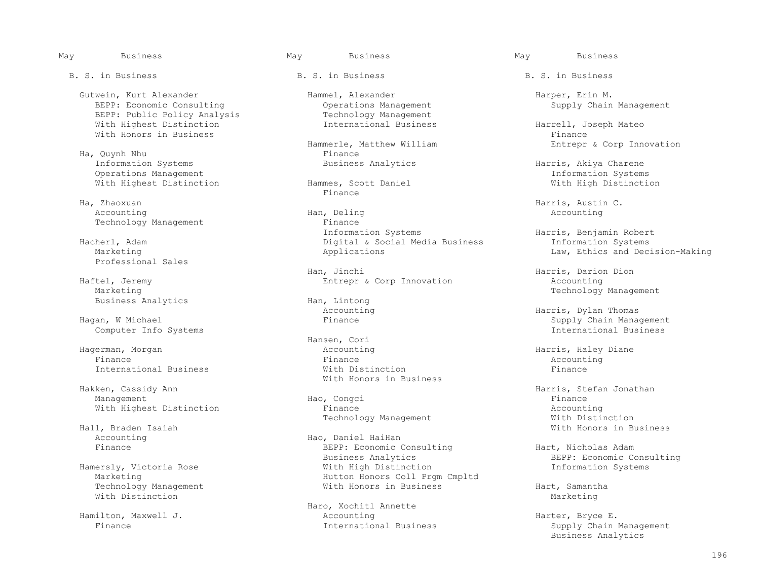Gutwein, Kurt Alexander (Gutwein, Kurt Alexander Hammel, Alexander (Harper, Erin M. Harper, Erin M. Harper, Erin M. Harper, Erin M. Harper, Erin M. Harper, Erin M. Harper, Erin M. Harper, Erin M. Harper, Erin M. Harper, Er BEPP: Economic Consulting and Operations Management<br>
BEPP: Public Policy Analysis Technology Management BEPP: Public Policy Analysis Technology Management<br>With Highest Distinction Thernational Business With Highest Distinction International Business Harrell, Joseph Mateo With Honors in Business<br>
Hammerle, Matthew William

Ha, Quynh Nhu<br>Information Systems The Business Analytics Operations Management<br>
Vith Highest Distinction<br>
Vith High Distinction<br>
Vith High Distinction With Highest Distinction Hammes, Scott Daniel With High Distinction

Ha, Zhaoxuan 1988, and Harris, Austin C.<br>Accounting 1989, Han, Deling 1989, Han, Deling 1989, Han, Hang 1989, Hang 1989, Accounting 1989, Accounting

Professional Sales

Marketing Technology Management<br>Business Analytics Theory Management Han, Lintong Technology Management Technology Management

Computer Info Systems

ken, Cassidy Ann ann ann an t-Iomain ann an t-Iomain ann an t-Iomain ann an t-Iomain ann an t-Iomain ann an t-<br>Hach Congcillation and Hach Congress and the Hannee of the Hannee of the Hannee of the Hannee of the Hannee of Management Hao, Congci Finance

Arry Braden Isaiah North Business (1999). Hall, Braden Isaiah With Honors in Business (1999).<br>Accounting

Technology Management and Mith Honors in Business and Hart, Samantha<br>With Distinction Marketing With Distinction  $M$ 

merle, Matthew William and Entrepr & Corp Innovation<br>Finance

Finance **Finance** 

Accounting and Han, Deling Accounting Accounting Accounting Accounting Accounting Technology Management Finance Finance Finance Finance Finance Information Systems The Harris, Benjamin Robert (Harris, Benjamin Robert<br>Digital & Social Media Business (Harrish Information Systems Hacherl, Adam Digital & Social Media Business Information Systems

 Han, Jinchi Harris, Darion Dion Haftel, Jeremy **Entrepr & Corp Innovation** Accounting

Business Analytics and Han, Lintong Han, Lintong Accounting

Hansen, Cori<br>Haqerman, Morqan di Bansen, Cori Hagerman, Morgan Accounting Harris, Haley Diane Finance Finance Accounting International Business With Distinction Finance With Honors in Business<br>
Hakken, Cassidy Ann

With Highest Distinction The Stephen Pinance Recounting Accounting<br>Technology Management The With Distinction Hall, Braden Isaiah Niel and Distriction of Technology Management

Accounting The Hao, Daniel HaiHan<br>
Finance REPP: Economic C BEPP: Economic Consulting and Hart, Nicholas Adam<br>Business Analytics BEPP: Economic Co Business Analytics and the Supersety, Victoria Rose of the BEPP: Economic Consulting<br>BEPP: Economic Consulting and The Michael Michael Michael Michael Michael Michael Michael Michael Michael Mich ersly, Victoria Rose New York With High Distinction<br>Marketing Narketing Systems Information Information Information Systems Information Systems Information Inc. Hutton Honors Coll Prgm Cmpltd<br>With Honors in Business

 Haro, Xochitl Annette Hamilton, Maxwell J. Accounting Harter, Bryce E.<br>Finance International Business Supply Chain !

Harris, Akiya Charene<br>Information Systems

Law, Ethics and Decision-Making

Accounting Thomas (Accounting the Supply Chain Momas Harris, Dylan Thomas<br>Finance Thance Supply Chain Mana Supply Chain Management<br>International Business

Supply Chain Management Business Analytics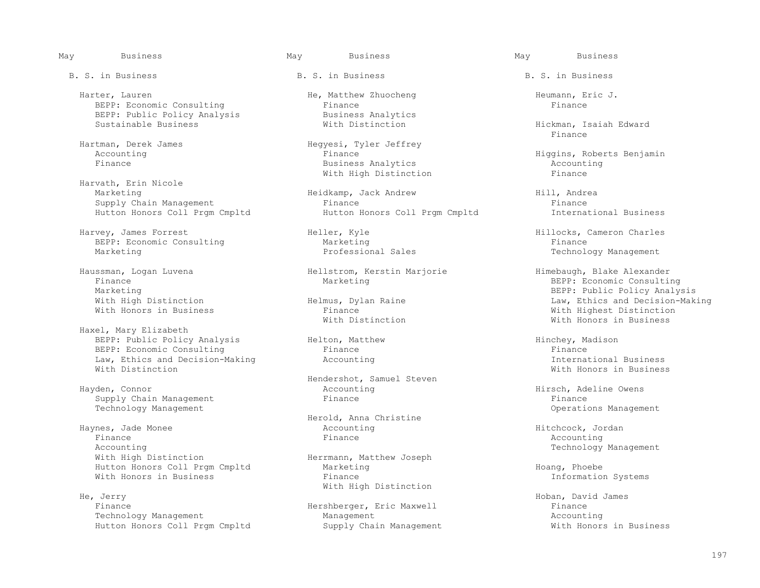Harter, Lauren He, Matthew Zhuocheng He, Heumann, Eric J.<br>BEPP: Economic Consulting Finance Heumann, Eric J. BEPP: Economic Consulting<br>
BEPP: Public Policy Analysis<br>
Business Analytics BEPP: Public Policy Analysis and Business Analytic<br>Sustainable Business and With Distinction

 Harvath, Erin Nicole Hutton Honors Coll Prgm Cmpltd

Harvey, James Forrest **Heller, Kyle** Heller, Kyle Hillocks, Cameron Charles<br>BEPP: Economic Consulting Marketing Marketing Finance BEPP: Economic Consulting<br>
Marketing<br>
Marketing<br>
Professional Sales

 Haxel, Mary Elizabeth BEPP: Public Policy Analysis (and Helton, Matthew Theory Hinchey, Madison BEPP: Economic Consulting (and Hinchey Pinance Primance Primance Pinance Primance Primance Pinance Primance Primance Primance (and Hinchey, Madison BEPP: Economic Consulting The Research Primance Finance Finance Finance Finance Finance Finance Finance Finance Finance Finance Finance Finance Finance Finance Finance Finance Finance Finance Finance Finance Finance Financ Law, Ethics and Decision-Making The Accounting<br>With Distinction

Supply Chain Management

 Haynes, Jade Monee Accounting Hitchcock, Jordan Finance Finance Accounting Accounting Technology Management<br>
With High Distinction Technology Management<br>
Herrmann, Matthew Joseph Hutton Honors Coll Prgm Cmpltd Marketing Marketing Marketing Hoang, Phoebe Hoang, Phoebe Hoang, Phoebe Hoang, Phoebe Hoang, Phoebe Hoang, Phoebe Hoang, Phoebe Hoang, Phoebe Hoang, Phoebe Hoang, Phoebe Hoang, Phoebe Hoang, With Honors in Business

With High Distinction<br>
He, Jerry He, Jerry Hoban, David James Finance Hershberger, Eric Maxwell Finance Technology Management<br>
Hutton Honors Coll Prgm Cmpltd Supply Chain Management Accounting<br>
Mith Honors in Business Hutton Honors Coll Prgm Cmpltd

B. S. in Business The B. S. in Business B. S. in Business B. S. in Business

Hartman, Derek James<br>
Accounting<br>
Rinance<br>
Finance Fusiness Analytics<br>
With High Distinction<br>
Finance With High Distinction

Meidkamp, Jack Andrew Hill, Andrea<br>Finance Hill, Andrea Supply Chain Management<br>
Finance Finance Finance Finance Finance Finance Finance Finance<br>
Hutton Honors Coll Pram Cmpltd Fusiness

Haussman, Logan Luvena Hellstrom, Kerstin Marjorie Himebaugh, Blake Alexander

Hendershot, Samuel Steven<br>
Hayden, Connor<br>
Accounting Accounting The Hirsch, Adeline Owens<br>
Finance Finance

Herold, Anna Christine

Herrmann, Matthew Joseph<br>Marketing

Hickman, Isaiah Edward<br>Finance Finance

Accounting The Finance Finance Higgins, Roberts Benjamin<br>Finance Higgins, Roberts Benjamin<br>Rusiness Analytics Channel Accounting

Technology Management

 Finance Marketing BEPP: Economic Consulting Marketing<br>With High Distinction The Helmus, Dylan Raine The Microsoft Care and Decision-Mak. With High Distinction The Helmus, Dylan Raine Theorem and Decision-Making and Decision-Making<br>With Honors in Business The Phance Theorem Einance Alth Highest Distinction Finance<br>
With Highest Distinction<br>
With Honors in Business With Honors in Business

With Honors in Business

Technology Management Operations Management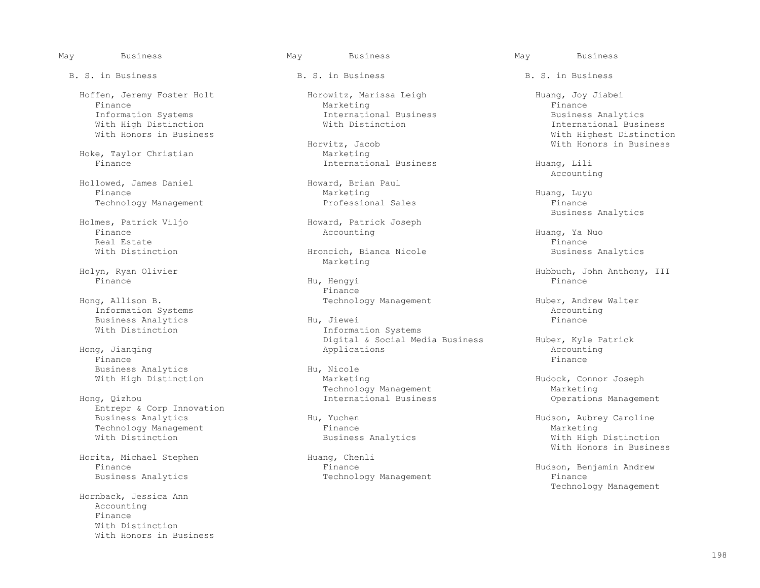Hoffen, Jeremy Foster Holt Horowitz, Marissa Leigh Horowitz, Huang, Joy Jiabei<br>Finance Horowitz, Marketing Huang, Horowitz, Harketing Finance Marketing Finance

Hoke, Taylor Christian<br>Finance

Hollowed, James Daniel (Hollowed, Brian Paul Finance Marketing Finance Marketing Huang, Luyu Technology Management Professional Sales Finance

 Finance Accounting Huang, Ya Nuo Real Estate Finance Real Estate Finance Real Estate Finance Real Estate Finance Real Estate Finance Real Estate

Holyn, Ryan Olivier and Marketing Marketing

Information Systems<br>
Business Analytics<br>
Business Analytics<br>
Accounting Management Management Hu, Jiewei Business Analytics<br>With Distinction

Finance Finance Finance Finance Finance Finance Finance Finance Finance Finance Finance Finance Finance Finance Business Analytics and Hu, Nicole<br>With High Distinction and Marketing

Entrepr & Corp Innovation<br>Business Analytics Technology Management<br>
With Distinction<br>
With Distinction

Horita, Michael Stephen Huang, Chenlich<br>Finance Huange Huange

 Hornback, Jessica Ann Accounting Finance With Distinction With Honors in Business

# May Business May Business May Business

Information Systems International Business Business Analytics

vitz, Jacob and Mith Honors in Business<br>
Marketing

 Business Analytics mes, Patrick Viljo (Finance Movement Research Patrick Joseph Finance Accounting

With Distinction The Hroncich, Bianca Nicole Business Analytics

 Finance Hu, Hengyi Finance Finance **Finance** Hong, Allison B. Technology Management Huber, Andrew Walter

Information Systems Digital & Social Media Business Huber, Kyle Patrick Hong, Jianqing Applications Accounting

With High Distinction and Marketing Marketing Management Marketing Management Marketing Management Marketing Technology Management Marketing

 Finance Finance Hudson, Benjamin Andrew Technology Management

 With High Distinction With Distinction International Business With Highest Distinction<br>
With Honors in Business<br>
With Honors in Business

International Business Finding, Lili<br>Accounting Accounting

Holyn, Ryan Olivier Hubbuch, John Anthony, III

Operations Management

Hu, Yuchen Hu, Yuchen Hu, Yuchen Hu, Yuchen Hu, Yuchen Hu, Yuchen Hu, Yuchen Hu, Yuchen Hu, Yuchen Hu, Yuchen Hu, Yuchen Hu, Yuchen Hu, Yuchen Hu, Yuchen Hu, Yuchen Hu, Yuchen Hu, Yuchen Hu, Yuchen Hu, Yuchen Hu, Yuchen Hu With High Distinction With Honors in Business<br>
Huang, Chenli

Technology Management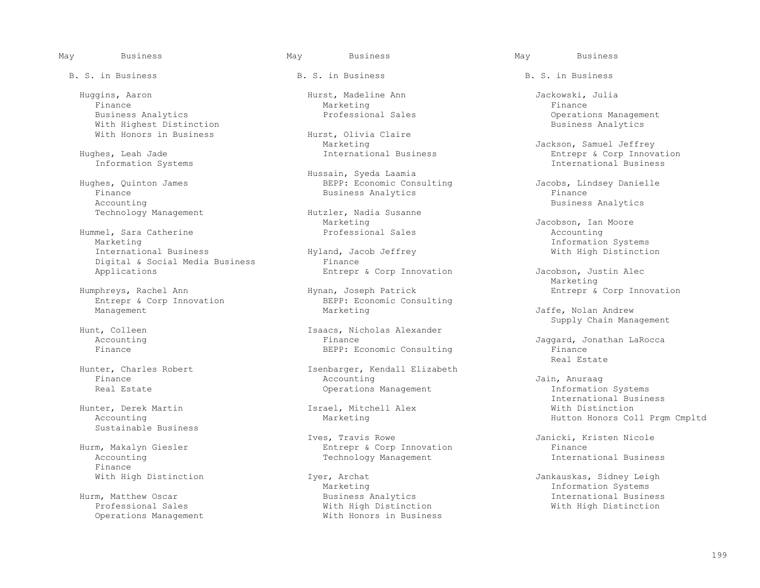B. S. in Business The B. S. in Business B. S. in Business B. S. in Business

 Huggins, Aaron Hurst, Madeline Ann Jackowski, Julia Finance Marketing Finance Business Analytics Professional Sales Operations Management With Highest Distinction<br>With Honors in Business Analytics: Hurst, Olivia Claire With Honors in Business Furst, Olivia Charles Hurst, Olivia

Information Systems

Finance Business Analytics<br>Accounting Accounting<br>Technology Management Hutzler, Nadia Susanne Business Analytics

Hummel, Sara Catherine<br>Marketing Marketing Information Systems Digital & Social Media Business Finance<br>Applications Functions Functions

Entrepr & Corp Innovation

Hunter, Derek Martin 1988 Israel, Mitchell Accounting Marketing Sustainable Business

Finance<br>With High Distinction

Operations Management

Marketing (Jackson, Samuel Jeffrey ساست المسابق المسابق المسابق المسابق المسابق المسابق المسابق المسابق المسابق<br>International Business (Jackson, Samuel Jeffrey سابق المسابق المسابق المسابق المسابق المسابق المسابق المسابق ا

 Hussain, Syeda Laamia Hughes, Quinton James BEPP: Economic Consulting Jacobs, Lindsey Danielle

> Hutzler, Nadia Susanne<br>Marketing Marketing Jacobson, Ian Moore<br>Professional Sales accounting Accounting

Humphreys, Rachel Ann Fund Hynan, Joseph Patrick Entrepr & Corp Innovation<br>Entrepr & Corp Innovation BEPP: Economic Consulting Management Marketing Marketing Marketing Jaffe, Nolan Andrew

Isaacs, Nicholas Alexander<br>Finance Accounting The Finance Finance Second Consulting Jaggard, Jonathan LaRocca<br>Finance The BEPP: Economic Consulting The Finance

Hunter, Charles Robert 1997 - Isenbarger, Kendall Elizabeth<br>
Finance 2019 - Accounting Finance Accounting Jain, Anuraag Real Estate **Constructions Management** Construction Systems Construction Systems information Systems

 Ives, Travis Rowe Janicki, Kristen Nicole Hurm, Makalyn Giesler Entrepr & Corp Innovation Finance Technology Management

Marketing (Information Systems ) Marketing (Information Systems ) and the Marketing (Information Systems ) and the Marketing (Informational Busin ) and the Marketing (International Busin ) and  $\overline{a}$  and  $\overline{b}$  and  $\over$  Hurm, Matthew Oscar Business Analytics International Business With High Distinction<br>With Honors in Business

Entrepr & Corp Innovation<br>International Business

With High Distinction

Entrepr & Corp Innovation Jacobson, Justin Alec<br>Marketing Marketing and the Marketing

External Supply Chain Management<br>
Supply Chain Management<br>
Supply Chain Management

BEPP: Economic Consulting Finance<br>Real Estate Real Estate Real Estate Real Estate Real Estate Real Estate Real Estate Real Estate Real Estate Real Estate Re

> International Business<br>Israel, Mitchell Alex<br>
> With Distinction Hutton Honors Coll Prgm Cmpltd

With High Distinction Iyer, Archat Jankauskas, Sidney Leigh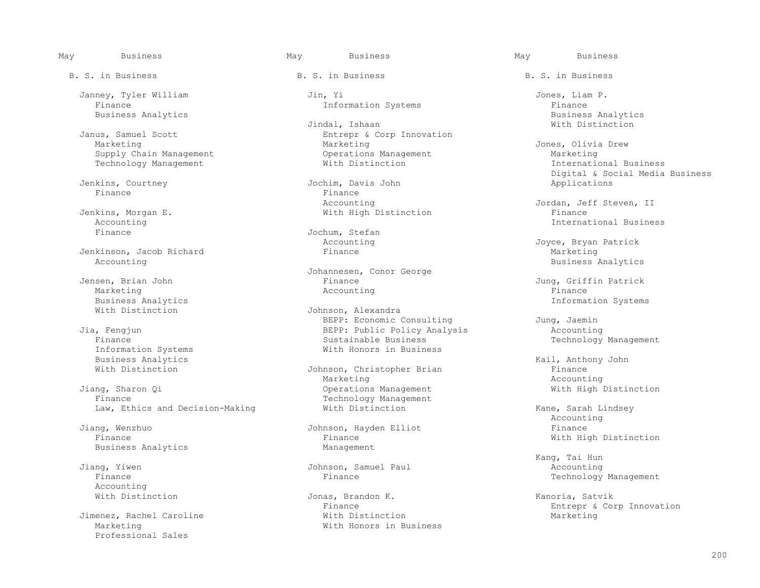Finance 101 and 101 and 101 and 101 and 101 and 101 and 101 and 101 and 101 and 101 and 101 and 101 and 101 and 101 and 101 and 101 and 101 and 101 and 101 and 101 and 101 and 101 and 101 and 101 and 101 and 101 and 101 an

Technology Management

Jenkins, Courtney Gasselling Jochim, Davis Jochim, Davis Jochim Applications of the Applications of the Applications of the Applications of the Applications of the Applications of the Applications of the Applications of th Finance Finance

Jenkinson, Jacob Richard<br>Accounting

Business Analytics<br>
With Distinction<br>
With Distinction<br>
With Distinction

Information Systems **Mith Honors** in Business<br>Business Analytics Business Analytics<br>
With Distinction<br>
With Distinction<br>
With Distinction<br>
With Distinction

Jiang, Sharon Qi Operations Management With High Distinction

Business Analytics

Accounting<br>With Distinction

Jimenez, Rachel Caroline<br>Marketing Professional Sales

B. S. in Business The B. S. in Business B. S. in Business B. S. in Business

Janney, Tyler William Jin, Yi Jones, Liam P.

 Jindal, Ishaan With Distinction Janus, Samuel Scott **Entrepr & Corp Innovation**<br>Marketing Marketing Marketing Marketing Jones, Olivia Drew<br>
Operations Management Marketing Marketing Supply Chain Management (Supply Chain Management Operations Management Marketing Marketing<br>
Supply Chain Management (Marketing Marketing Mith Distinction Marketing Marketing Marketing Marketing Marketin

Accounting The Material Accounting Jordan, Jeff Steven, II<br>
Vith High Distinction The Steven, II

Finance Jochum, Stefan Jochum, Stefan Accounting

 Johannesen, Conor George Isen, Brian John Gallery (1999) (Finance Gallery Communistyle Jung, Griffin Patrick Marketing (1999) (Jung, Griffin Patrick Marketing (1999) (Marketing Schware Gallery Accounting (1999) (Finance Schware Gallery Schware Sch Marketing Research Controller (Marketing Accounting Research Accounting Research Accounting Research Accounting

Johnson, Alexandra BEPP: Economic Consulting and Jung, Jaemin<br>BEPP: Public Policy Analysis and Accounting Juan BEPP: Public Policy Analysis<br>Finance The Business Sustainable Business Finance Sustainable Business Technology Management

Johnson, Christopher Brian Finance<br>Marketing Marketing Accounting Marketing Accounting Technology Management<br>With Distinction

 Jiang, Wenzhuo Johnson, Hayden Elliot Finance Finance **Finance Finance Finance Management Management** 

Jiang, Yiwen Johnson, Samuel Paul Accounting

 With Distinction Jonas, Brandon K. Kanoria, Satvik With Honors in Business

Business Analytics Business Analytics

Digital & Social Media Business<br>
Digital & Social Media Business<br>
Applications

 Jenkins, Morgan E. With High Distinction Finance Accounting and the set of the set of the set of the set of the set of the set of the set of the set of the set of the set of the set of the set of the set of the set of the set of the set of the set of the set of the set o

> Accounting  $Joyce$ , Bryan Patrick<br>Finance Marketing Business Analytics

Law, Ethics and Decision-Making  $\hbox{\tt With Distinction} \hspace{2cm}$  With Distinction  $\hbox{\tt Name} \hspace{2cm}$  Kane, Sarah Lindsey Accounting

 Kang, Tai Hun Technology Management

Finance<br>
With Distinction<br>
Warketing<br>
Marketing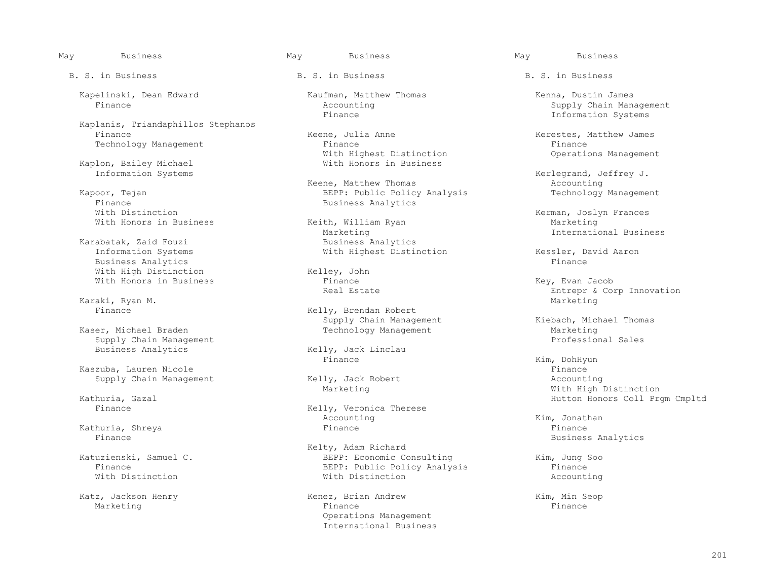Kapelinski, Dean Edward Kaufman, Matthew Thomas Kenna, Dustin James<br>Finance Mecounting Accounting Accounting Supply Chain Man

Kaplanis, Triandaphillos Stephanos

Kaplon, Bailey Michael<br>Information Systems

Finance Business Analytics<br>With Distinction With Distinction<br>With Honors in Business (Keith, William Ryan Marketing Marketing) Marketing

Karabatak, Zaid Fouzi<br>Information Systems Business Analytics<br>
With High Distinction<br>
Finance Finance Relley, John With High Distinction<br>With Honors in Business<br>Finance

Karaki, Ryan M. Marketing Marketing and Marketing and Marketing Marketing and Marketing and Marketing and Marketing and Marketing and Marketing and Marketing and Marketing and Marketing and Marketing and Marketing and Mark

 Kaser, Michael Braden Technology Management Marketing Supply Chain Management<br>Business Analytics

 Kaszuba, Lauren Nicole Finance Supply Chain Management

Kathuria, Shreya Finance Finance

B. S. in Business The B. S. in Business B. S. in Business B. S. in Business

Keene, Julia Anne **Keene, Kerestes, Matthew James**<br>Finance **Kerestes, Matthew James** Technology Management Finance Finance Finance Finance Finance Finance Finance Finance Finance Finance Finance Finance Finance Finance Finance Coveration analysis of the Mith Highest Distinction Coverations Management With Highest Distinction<br>With Honors in Business

Keene, Matthew Thomas Kapoor, Tejan BEPP: Public Policy Analysis Technology Management

> Keith, William Ryan<br>Marketing Marketing International Business

With Honors in Business and Society of The Finance and The Construction of the Key, Evan Jacob<br>Real Estate According the Entrepr & Co

Finance **Kelly, Brendan Robert** Supply Chain Management<br>
Technology Management<br>
Marketing<br>
Marketing

Kelly, Jack Linclau<br>Finance Finance Kim, DohHyun

Kelly, Veronica Therese<br>Accounting Accounting Kim, Jonathan

Kelty, Adam Richard<br>Katuzienski, Samuel C. New York BEPP: Economic Co Katuzienski, Samuel C. BEPP: Economic Consulting Kim, Jung Soo Finance<br>
With Distinction<br>
With Distinction<br>
With Distinction With Distinction With Distinction Accounting

Katz, Jackson Henry **Kenez, Brian Andrew Kenez, Brian Andrew** Kim, Min Seop<br>Marketing **Kananga Kim, Min Seop** Marketing Finance Finance Finance Research of the Finance of the Finance of the Finance of the Finance of the  $F$  Operations Management International Business

May Business May Business May Business

Accounting and Supply Chain Management<br>Finance and Supply Chain Management<br>Theorems Supply Chain Systems Information Systems

Kerlegrand, Jeffrey J.<br>Accounting

With Highest Distinction The System Kessler, David Aaron<br>Finance

Real Estate Entrepr & Corp Innovation (Entrepr & Corp Innovation Naraki, Ryan M.

Marketing Marketing Marketing Marketing With High Distinction<br>Hutton Honors Coll Pro Kathuria, Gazal Hutton Honors Coll Prgm Cmpltd

Business Analytics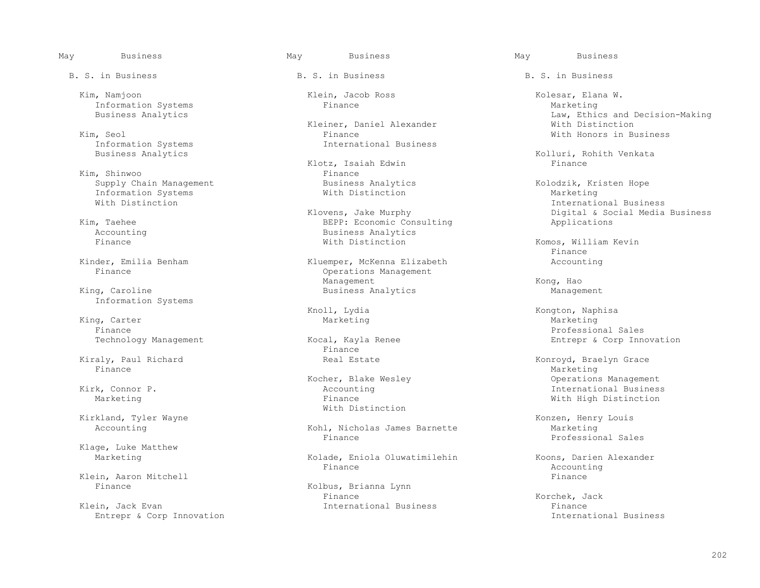Kim, Namjoon Klein, Jacob Ross Kolesar, Elana W. Information Systems<br>Business Analytics

Information Systems International Business

 Supply Chain Management Business Analytics Kolodzik, Kristen Hope Information Systems<br>With Distinction

Information Systems

 King, Carter Marketing Marketing Finance Professional Sales

 Kiraly, Paul Richard Real Estate Konroyd, Braelyn Grace Finance Marketing Marketing (1999) and the set of the set of the set of the Marketing Marketing (1990) and the set of the set of the set of the set of the set of the set of the set of the set of the set of the set of the s

Kirkland, Tyler Wayne **Konzen, Henry Louis**<br>Accounting Marketing Macounting Accounting Accounting Marketing Kohl, Nicholas James Barnette Marketing Marketing

Klage, Luke Matthew

Klein, Aaron Mitchell (Editor Communist Communist Communist Communist Communist Communist Communist Communist Communist Communist Communist Communist Communist Communist Communist Communist Communist Communist Communist Co

Klein, Jack Evan and Thernational Business and Theory Finance Finance Entrepr & Corp International Business Entrepr & Corp International Business Entrepr & Corp Innovation

Kleiner, Daniel Alexander<br>
Kim, Seol<br>
Finance (a) Seol Finance Seol Finance Seol Finance Seol Finance Seol Mith Honors in Business<br>
Seol The Seol Systems Seol Seol International Business

 Klotz, Isaiah Edwin Finance Kim, Shinwoo<br>
Supply Chain Management<br>
Business Analytics

1, Taehee BEPP: Economic Consulting<br>
Accounting 
Business Analytics Accounting and the Business Analytics<br>
Finance and South Mith Distinction

Kinder, Emilia Benham (Kluemper, McKenna Elizabeth Accounting Rinance Accounting Rinance Operations Management<br>Management Management Management Management Management  $\sim$  Kong, Hao King, Caroline **Management** Business Analytics **Management** Business Analytics Management

Technology Management **Entrepr** & Corp Innovation<br>
Finance<br>
Finance Finance **Finance** 

With Distinction

Kohl, Nicholas James Barnette Marketing<br>Finance Marketing Professional Sales Finance Professional Sales

Marketing The Kolade, Eniola Oluwatimilehin Koons, Darien Alexander<br>Finance Becounting Accounting Finance Accounting

Kolbus, Brianna Lynn<br>Finance Finance Korchek, Jack

B. S. in Business The B. S. in Business B. S. in Business B. S. in Business

Law, Ethics and Decision-Making<br>With Distinction

Kolluri, Rohith Venkata<br>Finance

Externational Business<br>
Klovens, Jake Murphy<br>
Wigital & Social Media Klovens, Jake Murphy (Elektronic Consulting and Digital & Social Media Business<br>BEPP: Economic Consulting (Applications Applications

Komos, William Kevin<br>Finance Finance

Knoll, Lydia Kongton, Naphisa

Kocher, Blake Wesley (Edson) Moone (American State Wesley Size of the Connect State of the Neccounting (North M<br>Thernational Busines: Accounting (Accounting Accounting State State of Thernational Busines Kirk, Connor P. Accounting International Business With High Distinction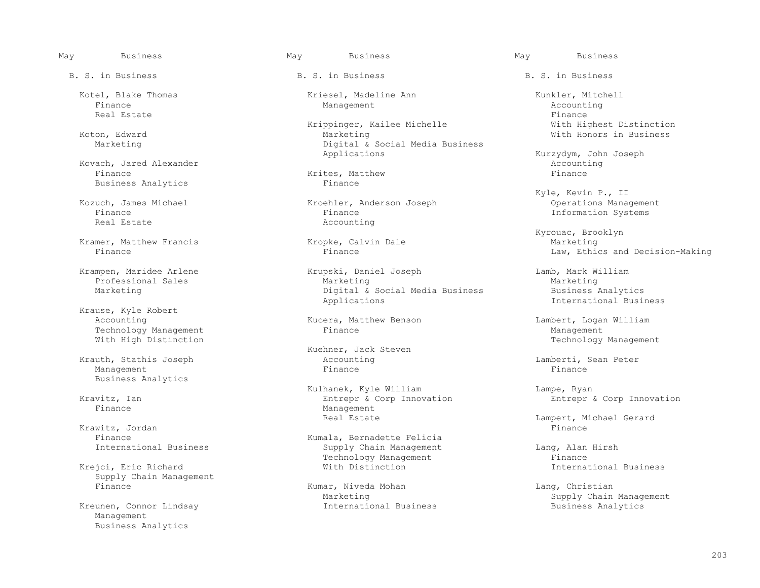Finance Management Accounting Real Estate Finance Real Estate Finance Real Estate Finance Real Estate Finance Real Estate Finance Real Estate

Kovach, Jared Alexander (Accounting the Mathew Accounting the Mathew Accounting the Mathew School of Tinance (<br>Finance (Accounting the Mathew Accounting the Mathew School of Tinance (Accounting the Mathew School of Tinance Finance Krites, Matthew Finance Business Analytics Finance

Kramer, Matthew Francis (Kropke, Calvin Dale Marketing Marketing Marketing Marketing Marketing Marketing Marketing Marketing Marketing Marketing Marketing Marketing Marketing Marketing Marketing Marketing Marketing Marketi

 Krause, Kyle Robert Technology Management<br>With High Distinction

 Krauth, Stathis Joseph Accounting Lamberti, Sean Peter Management Finance Finance Business Analytics

Krawitz, Jordan<br>Finance

Krejci, Eric Richard Supply Chain Management<br>Finance

Kreunen, Connor Lindsay Management Business Analytics

B. S. in Business The B. S. in Business B. S. in Business B. S. in Business

Kotel, Blake Thomas Kriesel, Madeline Ann Kunkler, Mitchell

 Krippinger, Kailee Michelle With Highest Distinction Koton, Edward Marketing With Honors in Business Digital & Social Media Business<br>Applications

Example Michael Kroehler, Anderson Joseph Finance<br>
Finance Management Management Management Management Management Management Management Management Management Ma Finance Finance Finance Finance Finance Information Systems<br>Real Estate 1996 accounting Accounting

 Krampen, Maridee Arlene Krupski, Daniel Joseph Lamb, Mark William Professional Sales Marketing Marketing Marketing Marketing Marketing Marketing Marketing Marketing Marketing Marketing Marketing Marketing Marketing Marketing Marketing Marketing Marketing Mar Marketing Digital & Social Media Business Business Analytics Applications International Business

Kucera, Matthew Benson Lambert, Logan William<br>Finance Management

Kuehner, Jack Steven

Kulhanek, Kyle William Marticle (Engles Lampe, Ryan Lampe, Ryan Entreproduction and Entreproduction Entreprodu<br>Entreproduction Entreproduction Entreproduction Entreproduction Entreproduction Entreproduction Entreproductio vitz, Ian and Entrepr & Corp Innovation and Entrepr & Corp Innovation Entrepr & Corp Innovation<br>Finance and Entrepr Management Management<br>Real Estate

Finance<br>
Thernational Business<br>
Supply Chain Management Supply Chain Management<br>
Technology Management Lang, Alan Hirsh<br>
Finance Technology Management<br>
With Distinction<br>
With Distinction<br>
With Distinction

Kumar, Niveda Mohan Lang, Christian Marketing Lang, Christian Marketing

Kurzydym, John Joseph<br>Accounting

Kyle, Kevin P., II کال Kozuch, James Michael (Kroehler, Anderson Joseph Kyle, Kevin P., II

Kyrouac, Brooklyn (Kyrouac, Brooklyn (Kyrouac, Brooklyn (Kyrouac, Brooklyn (Kyrouac, Brooklyn (Kyrouac, Brooklyn Law, Ethics and Decision-Making

Technology Management

Lampert, Michael Gerard<br>Finance

Marketing Supply Chain Management<br>
International Business Supply Chain Management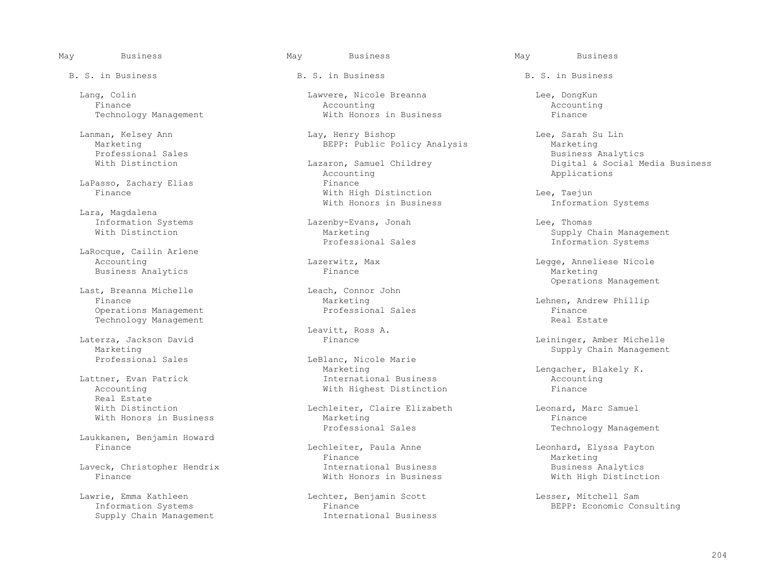Marketing BEPP: Public Policy Analysis<br>Professional Sales

LaPasso, Zachary Elias **Finance**<br>Finance **Finance** Finance **Finance** 

Lara, Magdalena<br>Information Systems

 LaRocque, Cailin Arlene Accounting 1997 (accounting 1997) and Lazerwitz, Max and Legge, Anneliese Nicole<br>
Rusiness Analytics Tinance 1998 (accounting 1998) and Eusiness Analytics Business Analytics

 Last, Breanna Michelle Leach, Connor John Operations Management Professional Sales Finance Technology Management

Marketing Supply Chain Management<br>Professional Sales Chain Management Chain Management Chain Management Supply Chain Management

Real Estate<br>With Distinction

Laukkanen, Benjamin Howard

 Lawrie, Emma Kathleen Lechter, Benjamin Scott Lesser, Mitchell Sam Supply Chain Management

B. S. in Business The B. S. in Business B. S. in Business B. S. in Business

 Lang, Colin Lawvere, Nicole Breanna Lee, DongKun Finance Accounting Accounting Technology Management With Honors in Business Finance

Lanman, Kelsey Ann Lay, Henry Bishop Lee, Sarah Su Lin

 Accounting Applications With High Distinction<br>
With Honors in Business<br>
The Information Systems With Honors in Business

Information Systems Lazenby-Evans, Jonah Lee, Thomas

Laterza, Jackson David and Materza, Jackson David and Material and Material and Material and Materia and Materi

LeBlanc, Nicole Marie<br>Marketing Marketing Lengacher, Blakely K.<br>International Business accounting Accounting Lattner, Evan Patrick and Communicational Business and Accounting Accounting Accounting and Accounting and Accounting and Mith Highest Distinction and Tinance With Highest Distinction

Lechleiter, Claire Elizabeth Leonard, Marc Samuel<br>Marketing Leonard, Marc Samuel With Honors in Business and Marketing<br>Professional Sales

Lechleiter, Paula Anne Leonhard, Elyssa Payton<br>
Finance Marketing Finance Marketing Laveck, Christopher Hendrix International Business Business Analytics

Information Systems Finance Finance<br>
Supply Chain Management Thernational Business<br>
International Business

Professional Sales<br>
With Distinction<br>
With Distinction<br>
Mith Distinction<br>
Mith Distinction zaron, Samuel Childrey (azaron, Samuel Childrey (butchinch Digital & Social Media Business<br>
Applications

Marketing Marketing Supply Chain Management<br>
Professional Sales Supply Chain Management Information Systems

Leach, Connor John et al. (2008) Specific Sections Management beach, Connor John et al. (2009) Specific Section

Marketing 1999 Marketing Marketing Marketing Marketing Lehnen, Andrew Phillip<br>
Professional Sales 1999 Marketing Professional Sales

Laterza, Jackson David Finance Leininger, Amber Michelle

Technology Management

With High Distinction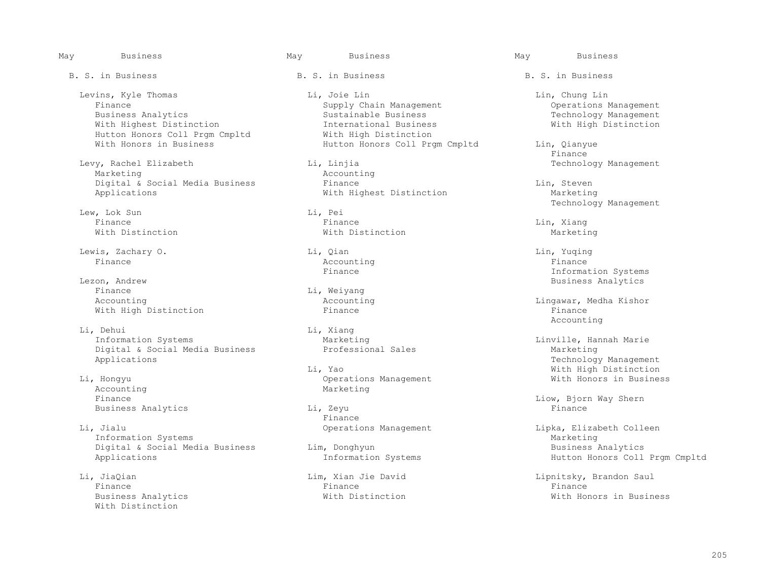May Business May Business May Business B. S. in Business The B. S. in Business B. S. in Business B. S. in Business Hutton Honors Coll Prgm Cmpltd<br>With Honors in Business Finance Lew, Lok Sun Li, Pei<br>Finance Rinance Finance Finance Lin, Xiang With Distinction With Distinction Marketing Lewis, Zachary O. Li, Qian Lin, Yuqing Finance Accounting Finance Example 2011 11 Finance The South of The Systems of the Systems of the Information Systems of the Information Systems of the Information Systems of the Information Systems of the Information Systems of the Information Syst on, Andrew South Business Analytics<br>
Finance South Communications (Ed. Analytics Communications of the Business Analytics Communications of the Business Analytics (Ed. Analytics Communications of the Business Analytics Com Finance Li, Weiyang Accounting 2012 11: Exercise Li, Meiyang 2012

Li, Dehui Li, Xiang<br>Information Systems Marketing Digital & Social Media Business<br>Applications

Accounting measurement of the Marketing Marketing Marketing Marketing Marketing Marketing Marketing Marketing S Business Analytics and Li, Zeyu<br>Finance

Li, Jialu Compositions Management Colleen Lipka, Elizabeth Colleen Information Systems Colleen Lipka, Elizabeth Colleen Colleen Colleen Lipka, Elizabeth Colleen Lipka, Elizabeth Colleen Lipka, Elizabeth Colleen Lipka, Eliz Information Systems<br>
Digital & Social Media Business<br>
Lim, Donghyun<br>
Marketing Marketing Marketing Marketing Marketing Digital & Social Media Business<br>Applications

 Finance Finance Finance With Distinction

- Levins, Kyle Thomas Li, Joie Lin Lin, Chung Lin Finance Supply Chain Management<br>Business Analytics Sustainable Business Sustainable Business and Sustainable Business Technology Management<br>
International Business Technology Mith High Distinction With Highest Distinction<br>
Hutton Honors Coll Prgm Cmpltd Mith High Distinction
- Levy, Rachel Elizabeth Li, Linjia Technology Management Accounting<br>Finance Digital & Social Media Business Finance and Einderstand Communications applications and Marketing With Highest Distinction

Europa Limba and Theorem Controller Management Management Accounting<br>
Marketing Marketing

Finance **Finance** 

Hutton Honors Coll Prgm Cmpltd Lin, Qianyue<br>Finance

Li, Pei<br>
Technology Management<br>
Li, Pei

Accounting  $\begin{array}{ccc}\n\text{Li}\,\text{n} & \text{Li}\,\text{n} & \text{Kil}\n\end{array}$ With High Distinction and The Police Finance and Finance Finance Finance Finance Finance Recounting Accounting

Marketing<br>
Professional Sales<br>
Marketing Marketing Technology Management<br>
Li, Yao<br>
With High Distinction Li, Yao With High Distinction

Liow, Bjorn Way Shern<br>Finance

Information Systems **Hutton Honors Coll Prgm Cmpltd** 

 Li, JiaQian Lim, Xian Jie David Lipnitsky, Brandon Saul Business Analytics With Distinction With Honors in Business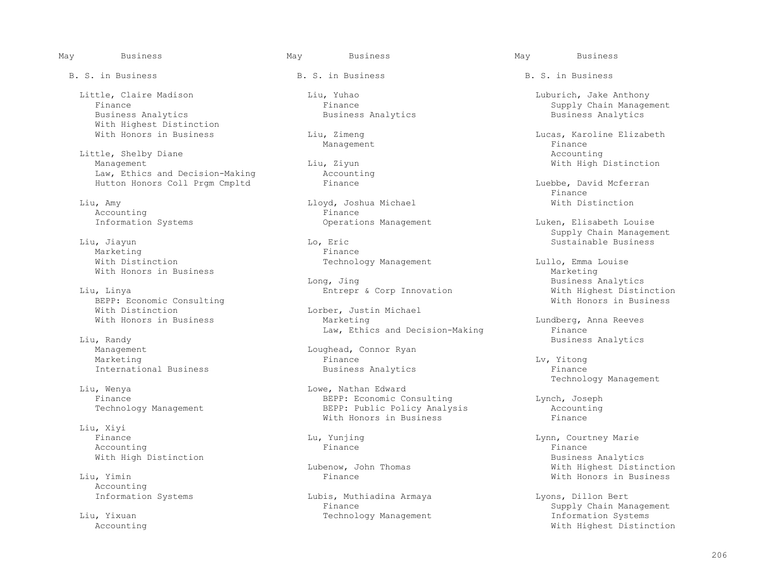Little, Claire Madison Liu, Yuhao Luburich, Jake Anthony With Highest Distinction<br>With Honors in Business

Little, Shelby Diane and Accounting the Management of the Management of Mith High I and Mith High I and Mith High I and Mith High I and Mith High I and Mith High I and Mith  $\lim_{n \to \infty}$  and Mith  $\lim_{n \to \infty}$  and Mith  $\lim_{n$ Law, Ethics and Decision-Making (Accounting Accounting Accounting Accounting Accounting Accounting Accounting Accounting Accounting Accounting Accounting Accounting Accounting Accounting Accounting Accounting Accounting Ac

Accounting<br>Information Systems

Marketing<br>With Distinction With Honors in Business<br>Long, Jing

 Liu, Linya Entrepr & Corp Innovation With Highest Distinction BEPP: Economic Consulting<br>With Distinction With Distinction<br>
With Honors in Business<br>
Marketing<br>
Marketing

 Liu, Randy Business Analytics Marketing Finance Lv, Yitong

1, Wenya 1, 2008, 2008 Edward Edward Eduard Eduard Eduard Eduard Eduard Eduard Eduard Eduard Eduard Eduard Edu

 Liu, Xiyi Finance Lu, Yunjing Lynn, Courtney Marie Accounting the control of the Finance of the Finance of the Finance of the Finance of the Finance of the Finance

Accounting<br>Information Systems

B. S. in Business The B. S. in Business B. S. in Business B. S. in Business

Liu, Amy Lloyd, Joshua Michael With Distinction

Eric Christian Low Engineering Sustainable Business<br>
Finance

Law, Ethics and Decision-Making<br>Liu, Randy

Loughead, Connor Ryan International Business Business Analytics Finance

 Technology Management Finance BEPP: Economic Consulting Lynch, Joseph BEPP: Public Policy Analysis and Accounting Accounting BEPP: Public Policy Analysis Accounting Accounting Accounting Accounting Berger Accounting Accounting Accounting Accounting Accounting Accounting Accounting Accounting With Honors in Business

Lubis, Muthiadina Armaya Lyons, Dillon Bert Technology Management

 Finance Finance Supply Chain Management Business Analytics

Liu, Zimeng Lucas, Karoline Elizabeth<br>
Management Finance Management and the management of the management of the state of the state of the state of the state of the state of the state of the state of the state of the state of the state of the state of the state of the state of th a, Ziyun and Liu, 2008, 2008, 2008, 2010, 2011, 2012, 2013, 2014, 2016, 2017, 2018, 2019, 2019, 2019, 2019, 20<br>and Management Liu, 2018, 2019, 2019, 2019, 2019, 2019, 2019, 2019, 2019, 2019, 2019, 2019, 2019, 2019, 2019,

Hutton Honors Coll Prgm Cmpltd Finance Finance Euebbe, David Mcferran Euebbe, Luebbe, Latin McFerran Ethance Finance Finance

Operations Management Luken, Elisabeth Louise Ende and the Supply Chain Management (1999) and the Supply Chain Management (1999) and the Sustainable Business<br>The Sustainable Business (1999) and the Sustainable Business (1999) and the Sustainable Business (1999) and th

> Technology Management Lullo, Emma Louise<br>
> Marketing Business Analytics<br>With Highest Distinction

> > Lundberg, Anna Reeves<br>Finance

With High Distinction and Muslim Business Analytics and Business Analytics and Business Analytics and Business<br>Lubenow, John Thomas and Mith Highest Distin Lubenow, John Thomas With Highest Distinction With Honors in Business

 Finance Supply Chain Management Accounting With Highest Distinction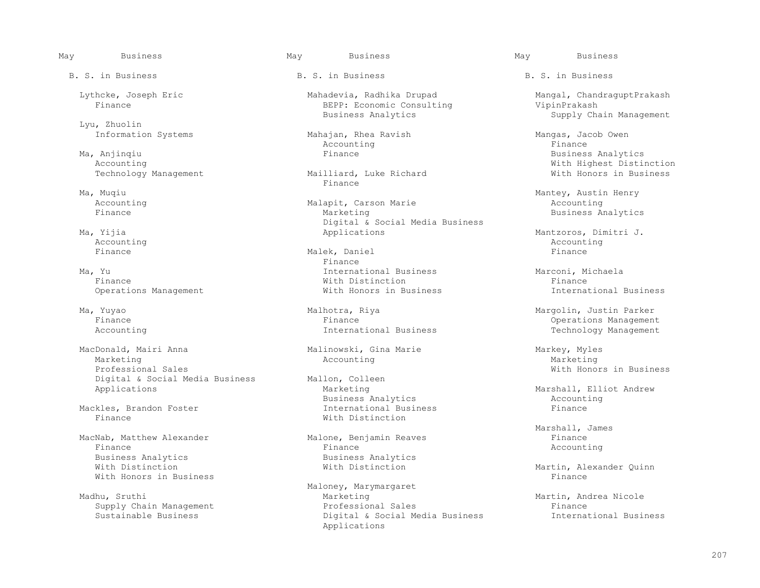Lyu, Zhuolin<br>Information Systems

 Ma, Anjinqiu Finance Business Analytics Technology Management Mailliard, Mailliard, Luke Richard With Honors in Business in Business in Business in Business in Business in Business in Business in Business in Business in Business in Business in Business in Busine

 MacDonald, Mairi Anna Malinowski, Gina Marie Markey, Myles Marketing and Marketing Marketing Accounting Marketing Marketing Marketing Marketing Marketing Marketing Marketing States of the Marketing Marketing Marketing States of the Marketing of the Marketing of the Marketing of th Professional Sales<br>
Digital & Social Media Business<br>
Mallon, Colleen<br>
Mallon, Colleen<br>
Mallon, Colleen Digital & Social Media Business Mallon, Colle<br>Applications Marketing

Mackles, Brandon Foster<br>Finance

MacNab, Matthew Alexander Malone, Benjamin Reaves<br>Finance Malone, Benjamin Reaves<br>Accounting Finance Finance Accounting Business Analytics and Business Analytics<br>With Distinction and Mith Distinction With Honors in Business

B. S. in Business The B. S. in Business B. S. in Business B. S. in Business

Lythcke, Joseph Eric and Mahadevia, Radhika Drupad Mangal, ChandraguptPrakash<br>Finance Mangal, ChandraguptPrakash BEPP: Economic Consulting WipinPrakash VipinPrakash BEPP: Economic Consulting<br>Business Analytics

Mahajan, Rhea Ravish Mahajan, Rhea Ravish Mangas, Jacob Owen<br>
Accounting Mangas, Tinance Accounting the set of the set of the set of the set of the set of the set of the set of the set of the set of t

Finance **Finance** 

Accounting Malapit, Carson Marie Finance Marie Marketing Digital & Social Media Business<br>
Ma, Yijia Applications

 Finance Malek, Daniel Finance Finance **Finance**  Ma, Yu International Business Marconi, Michaela Finance With Distinction Finance Operations Management **Management** With Honors in Business **International Business** 

 Ma, Yuyao Malhotra, Riya Margolin, Justin Parker Finance Finance Operations Management

Business Analytics<br>
International Business<br>
Finance With Distinction

Madhu, Sruthi and Maloney, Marymargaret<br>Marketing Marketing Marketing Martin, Andrea Nicole<br>Professional Sales Martin, Andrea Nicole Supply Chain Management (Supply Chain Management and Professional Sales Finance Finance<br>Sustainable Business (Supply Chain Angle Chaintal & Social Media Business (Supply Chainess) Digital & Social Media Business Applications

Supply Chain Management

Mith Highest Distinction<br>Mailliard. Luke Richard and Mith Honors in Business

 Ma, Muqiu Mantey, Austin Henry Business Analytics

Mantzoros, Dimitri J. (1999). Applications (1999). Mantzoros, Dimitri J. (1999). Mantzoros, Dimitri J. (1999).<br>Accounting Accounting and the control of the control of the control of the control of the control of the control of the control of the control of the control of the control of the control of the control of the control of the control

Technology Management

Marshall, Elliot Andrew<br>Accounting

Marshall, James

Martin, Alexander Quinn<br>Finance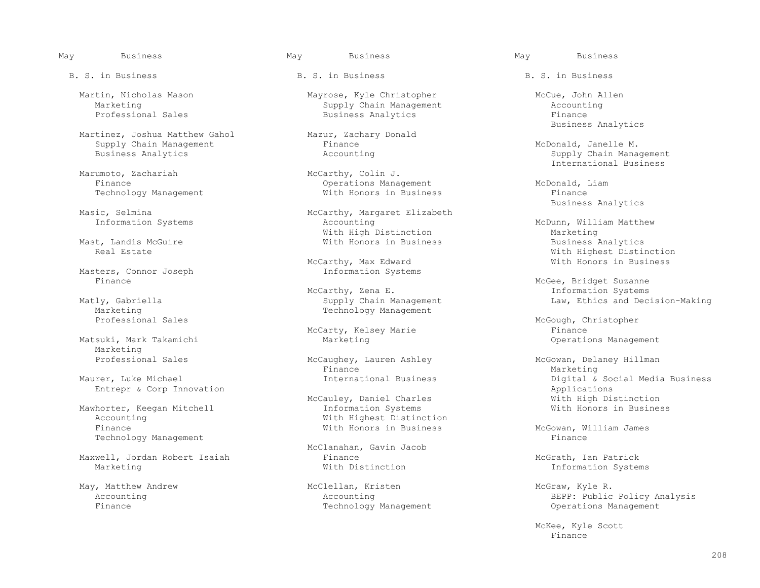Martinez, Joshua Matthew Gahol Mazur, Zachary Mazur, Zachary Donald Mazur, Zachary Donald Mazur, Zachary Donald Supply Chain Management Finance Finance and McDonald, Janelle M.<br>Business Analytics Management Accounting Accounting Management Supply Chain Management

vertunoto, Zachariah (and McCarthy, Colin J.<br>Finance (berations Mana Technology Management

Mast, Landis McGuire<br>Real Estate

Masters, Connor Joseph<br>Finance

Marketing Technology Management<br>Professional Sales

Marketing<br>Professional Sales

Mawhorter, Keegan Mitchell<br>Accounting Technology Management

Maxwell, Jordan Robert Isaiah and Finance and Finance McGrath, Ian Patrick<br>Marketing Marketing Mith Distinction Mith Distinction

Martin, Nicholas Mason Mayrose, Kyle Christopher Martin, Nicholas Mason Mayrose, Kyle Christopher McCue, John Allen<br>Marketing Marketing Management Accounting Marketing Chain Management Accounting Supply Chain Management Accounting Accounting Accounting Management Accounting Accounting Management Accounting Management Accounting Management Accounting Management Accounting Manage Business Analytics

Operations Management<br>
WcDonald, Liam<br>
With Honors in Business<br>
Finance

ic, Selmina<br>
Information Systems<br>
McCarthy, Margaret Elizabeth<br>
Accounting With High Distinction<br>
With Honors in Business<br>
Marketing<br>
Business Analytics

Example Tarthy, Max Edward Max Compared With Honors in Business<br>
Information Systems

McCarthy, Zena E. Information Systems<br>Matly, Gabriella Supply Chain Management Law, Ethics and Dec. cly, Gabriella Supply Chain Management Law, Ethics and Decision-Making<br>Marketing Technology Management

McCarty, Kelsey Marie<br>Matsuki, Mark Takamichi Marketing Marketing

Finance Marketing

Accounting  $\begin{array}{ccc}\n\text{Nith Highest Distribution} \\
\text{Finance} \\
\end{array}$ 

McClanahan, Gavin Jacob

May, Matthew Andrew 

McClellan, Kristen 

McClellan, Kristen 
McGraw, Kyle R.<br>
Accounting BEPP: Public

Mazur, Zachary Donald States Analytics Business Analytics

Supply Chain Management Marumoto, Zachariah (and Santa Marumoto, Zachariah (and McCarthy, Colin J. Thernational Business

Masic, Selmina McCarthy, Margaret Elizabeth Business Analytics

McDunn, William Matthew<br>Marketing Mith Highest Distinction<br>McCarthy, Max Edward and Mith Honors in Business

McGee, Bridget Suzanne<br>McCarthy, Zena E. (1992) McCarthy, Zena E. (1992) McCarthy, Zena E. (1993) McCarthy, McCarthy, 2014

McGough, Christopher<br>Finance Marketing **Matsuki, Marketing Management** Operations Management

McCaughey, Lauren Ashley McGowan, Delaney Hillman Finance Maurer, Luke Michael **International Business** Digital & Social Media Business **Digital Accial Media Business**<br>Entrepr & Corp Innovation Entrepr & Corp Innovation<br>
McCauley, Daniel Charles<br>
Mith High Distinction McCauley, Daniel Charles<br>
Information Systems<br>
With Honors in Business

McGowan, William James<br>Finance

Information Systems

 Accounting Accounting BEPP: Public Policy Analysis Operations Management

McKee, Kyle Scott<br>Finance Finance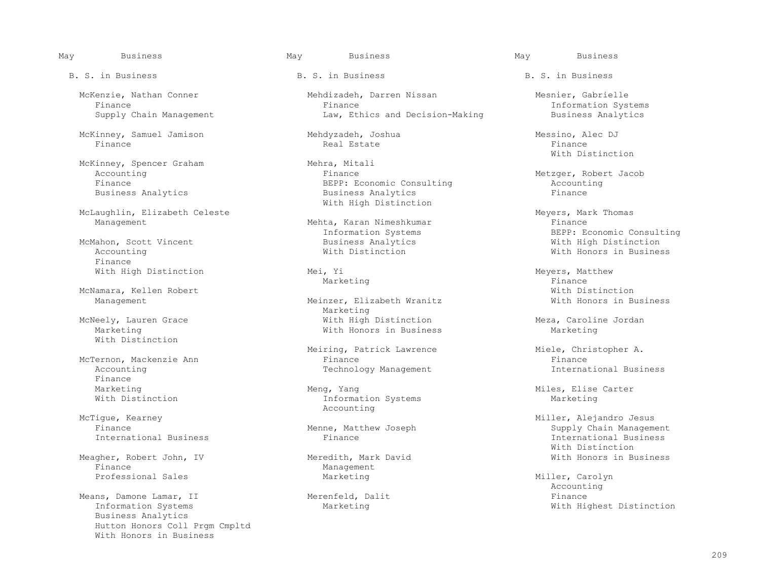McKinney, Samuel Jamison Mehdyzadeh, Joshua Messino, Alec DJ Finance Real Estate Finance

McKinney, Spencer Graham Mehra, Mitali<br>Accounting Mehra, Mitali Business Analytics

McLaughlin, Elizabeth Celeste Meyers, Mark Thomas

 Accounting With Distinction With Honors in Business Finance

With Distinction

Finance<br>Marketing

McTigue, Kearney McTigue, Kearney McTigue, Kearney McTigue, Kearney McCounting McTigue, Kearney Miller, Alejandro Jesus

Meagher, Robert John, IV Meredith, Mark David With Honors in Business

Means, Damone Lamar, II and Merenfeld, Dalit Means, Damone Lamar, II and the Merenfeld, Dalit and Times and Tim<br>Information Systems and Millim Marketing Marketing and Millim Millim Millim Millim Millim Millim Millim Millim Business Analytics Hutton Honors Coll Prgm Cmpltd With Honors in Business

B. S. in Business The B. S. in Business B. S. in Business B. S. in Business

McKenzie, Nathan Conner (Mehdizadeh, Darren Nissan (Mesnier, Gabrielle Mesnier, Gabrielle Mesnier, Gabrielle M<br>Finance (Mesophical Mesnier, Gabrielle Mesnier, Gabrielle Mesnier, Gabrielle Mehdizadeh, Darren Nissan Finance Finance Information Systems Law, Ethics and Decision-Making

Accounting Thance Finance Finance Metzger, Robert Jacob<br>Finance Metzger, Robert Jacob<br>BEPP: Economic Consulting Metzger, Robert Jacob BEPP: Economic Consulting and Accounting Accounting Accounting Accounting Accounting Accounting Accounting Accounting Accounting Accounting Accounting Accounting Accounting Accounting Accounting Accounting Accounting Accou With High Distinction

Mehta, Karan Nimeshkumar<br>Information Systems

Meinzer, Elizabeth Wranitz<br>Marketing Marketing Marketing McNeely, Lauren Grace and Mith High Distinction and Meza, Caroline Jordan Mexa, Merketing Marketing Marketing With Honors in Business

Meiring, Patrick Lawrence Miele, Christopher A.<br>Finance Miele, Christopher A. McTernon, Mackenzie Ann ann ann ann an Einance ann an Einance ann an Einance ann an Einance ann an Einance ann<br>Technology Management ann an Einance ann an Einessen ann an Einessen ann an Einessen ann an Einessen ann an Ei Technology Management

Marketing Meng, Yang Meng, Yang Meng, Yang Miles, Elise Carter<br>
Mith Distinction Miles, Marketing Marketing Information Systems

Management<br>Marketing

With Distinction

Information Systems The Subsettern BEPP: Economic Consulting<br>Business Analytics The Subsettern With High Distinction McMahon, Scott Vincent Business Analytics With High Distinction

With High Distinction Mei, Yi Meyers, Matthew Meyers, Matthew Mei, Yi Meyers, Matthew Marketing Marketing the Marketing of the Marketing of the Marketing of the Marketing of the Marketing of the Marketing o McNamara, Kellen Robert (Weinzer, Elizabeth Wranitz / With Distinction<br>Management Management Missiness (Weinzer, Elizabeth Wranitz / With Honors in Business

Finance **Menne, Matthew Joseph** Supply Chain Management Chain Management<br>
Thernational Business **Supply Chain Management** Finance **Supply Chain Management** International Business<br>With Distinction With Distinction

Professional Sales and Marketing Marketing Miller, Carolyn Miller, Carolyn Miller, Carolyn Miller, Carolyn Marketing Accounting Marketing **Marketing** Systems Mith Highest Distinction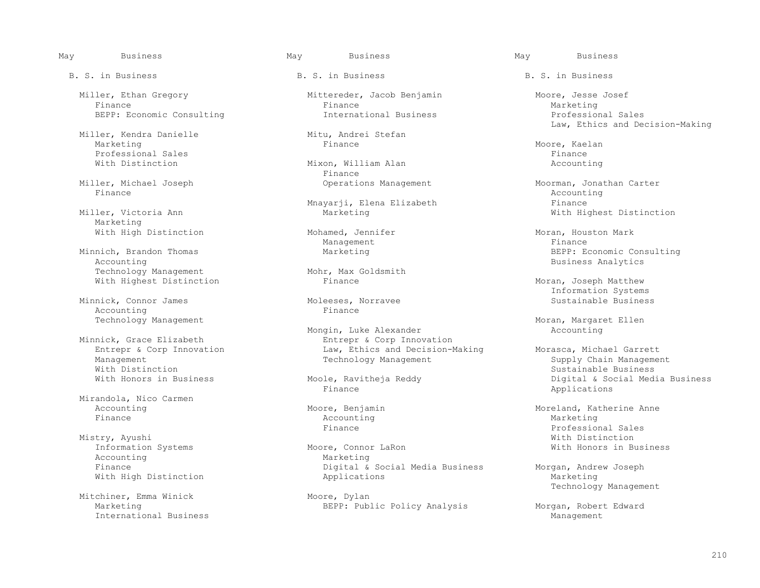Miller, Ethan Gregory Mittereder, Jacob Benjamin Moore, Jesse Josef Finance Finance Marketing

Miller, Kendra Danielle Mitu, Andrei Mitu, Andrei Mitu, Andrei Stefange Mitu, Stefange Stefange Stefange Stefan<br>Finance Marketing Finance Marketing Moore, Kaelan Moore, Kaelan Moore, Kaelan Moore, Kaelan Moore, Kaelan Moore, Kaelan Professional Sales<br>
With Distinction<br>
With Distinction<br>
Mixon, William Alan

Finance and the counting of the counting of the counting  $\Lambda$  counting  $\Lambda$ 

Marketing

Technology Management<br>With Highest Distinction<br>Finance With Highest Distinction The Primance Communication Rimanov Moran, Joseph Matthew

Minnick, Connor James<br>Accounting Moleeses, Norravee Sustainable Business Moleeses, Norwich Business Accounting

With Distinction  $\sim$  Sustainable Business (Sustainable Business  $\sim$  Sustainable Business (Sustainable Business  $\sim$ 

 Mirandola, Nico Carmen Finance Accounting Marketing

 Mistry, Ayushi With Distinction Accounting Marketing Marketing Marketing Marketing Marketing Marketing Marketing Marketing Marketing Marketing Marketing Marketing Marketing Marketing Marketing Marketing Marketing Marketing Marketing Marketing Marketing M

Mitchiner, Emma Winick<br>Marketing International Business

B. S. in Business The B. S. in Business B. S. in Business B. S. in Business

BEPP: Economic Consulting The International Business The Professional Sales

Mixon, William Alan<br>Finance Finance **Finance** 

Mnayarji, Elena Elizabeth Finance

Management and the management of the management of the state of the state of the state of the state of the state of the state of the state of the state of the state of the state of the state of the state of the state of th

Mongin, Luke Alexander<br>Minnick, Grace Elizabeth Minnick, Corp Innov nick, Grace Elizabeth **Entrepr & Corp Innovation**<br>Entrepr & Corp Innovation **Entrepr & Corp Innovation** Entrepr & Corp Innovation The Morasca, Michael Garrett Law, Ethics and Decision-Making Morasca, Michael Garrett<br>Management Supply Chain Management Supply Chain Management

Finance Applications

Digital & Social Media Business Morgan, Andrew Joseph<br>Applications Marketing With High Distinction and Applications and Applications and Marketing

Mitu, Andrei Stefan Massers (Ed. 2008)<br>Mitu, Andrei Stefan Massers (Ed. 2009)<br>Mitu, Andrei Stefan Massers (Ed. 2009)

 Miller, Michael Joseph Operations Management Moorman, Jonathan Carter With Highest Distinction

With High Distinction Mohamed, Jennifer Mohamed Mohamed, Moran, Houston Mark<br>Management Mohamed Mohament Finance Minnich, Brandon Thomas Marketing BEPP: Economic Consulting Mohr. Max Goldsmith example and the Business Analytics

Information Systems<br>Moleeses, Norravee and Sustainable Business

Technology Management<br>
Mongin, Luke Alexander
Monger (Accounting Accounting

Management Technology Management Supply Chain Management<br>With Distinction Sustainable Business With Honors in Business The Moole, Ravitheja Reddy (Duny Digital & Social Media Business<br>Finance Theorem Applications

Accounting and Moore, Benjamin and Moreland, Katherine Anne<br>
Finance Moreland, Katherine Anne Accounting Accounting Marketing Finance Professional Sales Information Systems The Moore, Connor LaRon Moore Mill Moore, With Honors in Business

Moore, Dylan and Technology Management Moore, Dylan

BEPP: Public Policy Analysis Morgan, Robert Edward<br>Management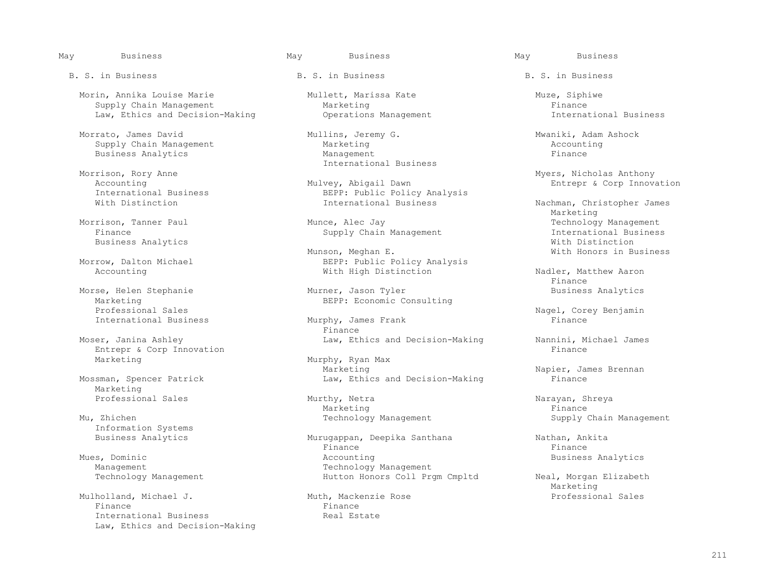Morin, Annika Louise Marie Mullett, Marissa Kate Muze, Siphiwe Supply Chain Management<br>  $\begin{array}{cccc}\n\text{Law, Ethics and Decision-Making}\n\end{array}$  Operations Management<br>  $\begin{array}{cccc}\n\text{Law, Ethics and Decision-Making}\n\end{array}$ Law, Ethics and Decision-Making

Morrato, James David Mullins, Jeremy G. Mwaniki, Adam Ashock <br>Supply Chain Management Marketing Accounting Supply Chain Management and Marketing Marketing and Management and Accounting Accounting Accounting Accounting Accounting and Accounting and Accounting and Accounting and Management and Management and Management and Manage Business Analytics

Marketing<br>
Professional Sales<br>
BEPP: Economic Consulting<br>
Professional Sales International Business Murphy, James Murphy, James Finance

Moser, Janina Ashley (Example 2014) Law, Ethics and Decision-Making (Nannini, Michael James<br>Entrepr & Corp Innovation Entrepr & Corp Innovation

Marketing<br>Professional Sales

Information Systems

 Mulholland, Michael J. Muth, Mackenzie Rose Professional Sales Finance Finance International Business and Real Estate Law, Ethics and Decision-Making

International Business

Accounting<br>
The Mulvey, Abigail Dawn<br>
Entrepr & Corp Innovation<br>
BEPP: Public Policy Analysis International Business and BEPP: Public Policy Analysis<br>With Distinction and Business and Thernational Business

 Munson, Meghan E. With Honors in Business Morrow, Dalton Michael **BEPP:** Public Policy Analysis<br>Accounting accounting and Mith High Distinction

Morse, Helen Stephanie and Murner, Jason Tyler<br>Marketing Business Analytics<br>BEPP: Economic Consulting

Finance **Finance** 

Murphy, Ryan Max<br>
Murphy, Ryan Max<br>
Marketing Marketing Marketing (Napier, James Brennan<br>
Law, Ethics and Decision-Making (Napier, James Brennan Law, Ethics and Decision-Making

Professional Sales Murthy, Netra Narayan, Shreya Marketing Finance Research Marketing Finance

Murugappan, Deepika Santhana Nathan, Ankita<br>Finance Nathana Nathana Nathana Nathana Nathana Nathana Nathana Nathana Nathana Nathana Nathana Nathana Nathan Finance Finance Mues, Dominic and Mues, Dominic and Mues, Dominic and Mues, Dominic and Mues, Dominic and Musics Analytics and Mu<br>Technology Management and Musics and Technology Management Management Technology Management<br>Technology Management Technology Management Technology Management

Morrison, Rory Anne Myers, Nicholas Anthony

Nachman, Christopher James<br>Marketing Marketing and the Marketing Morrison, Tanner Paul **Munce, Alec Jay State Act and Technology Management**<br>Finance Munce, Alec Jay Technology Management Finternational Business Supply Chain Management **International Business** International Business Business Analytics<br>Munson, Meghan E. The Month of Mith Honors in Business<br>With Honors in Business

With High Distinction Nadler, Matthew Aaron<br>Finance Finance

Professional Sales Nagel, Corey Benjamin<br>Prinance Sales Nagel, Corey Benjamin

Mu, Zhichen Supply Chain Management Supply Chain Management Supply Chain Management

Hutton Honors Coll Prgm Cmpltd Neal, Morgan Elizabeth<br>Marketing Marketing and the Marketing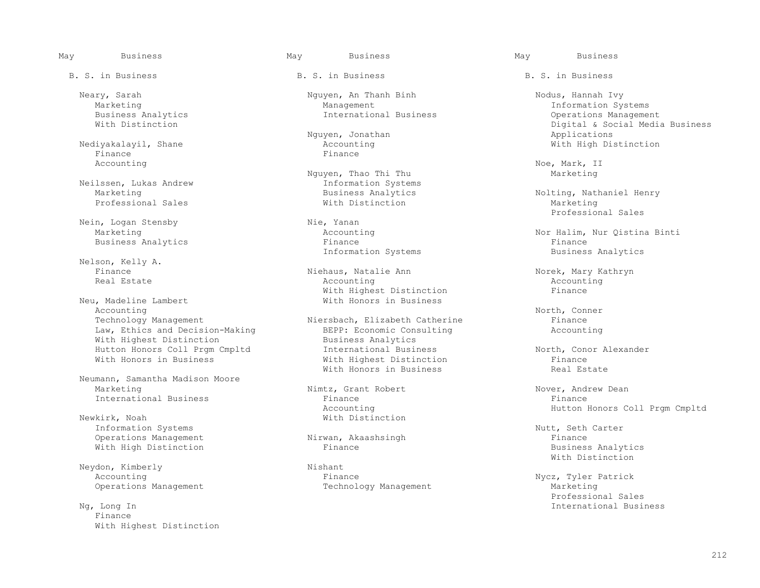Nediyakalayil, Shane Accounting Mediyakalayil, Shane Accounting Media Accounting Media Accounting Media Accounting Media Accounting Media Accounting Media Accounting Media Accounting Media Accounting Media Accounting Media Finance Finance Accounting Noe, Mark, II

Nein, Logan Stensby (Nie, Yanan Marketing (Nie, Yanan Marketing (Nie, Yanan Marketing (Nie, Yanan Marketing (Ni

Nelson, Kelly A.<br>Finance

Neu, Madeline Lambert Accounting North, Conner North, 2008, 2008, 2008, 2008, 2008, 2008, 2008, 2008, 2008, 2008, 2008, 2008, 2008, 2008, 2008, 2008, 2008, 2008, 2008, 2008, 2008, 2008, 2008, 2008, 2008, 2008, 2008, 2008, 2008, 2008, 2008, 2008 Technology Management Miersbach, Elizabeth Catherine Finance Finance<br>
Law, Ethics and Decision-Making BEPP: Economic Consulting Accounting Law, Ethics and Decision-Making BEPP: Economic Consulting BEPP: Economic Consulting Accounting Accounting Accounting Accounting Accounting Muslimess Analytics With Highest Distinction<br>
Hutton Honors Coll Prgm Cmpltd<br>
International Business

 Neumann, Samantha Madison Moore International Business

Rirk, Noah With Distinction<br>
Information Systems Information Systems<br>
Operations Management<br>
Nutt, Seth Carter<br>
Nutt, Seth Carter<br>
Nutt, Seth Carter

Neydon, Kimberly Mishant Nishant Recounting Revenues and Revenues Research Revenues Recounting Revenues Revenue

 Finance With Highest Distinction

B. S. in Business The B. S. in Business B. S. in Business B. S. in Business

 Neary, Sarah Nguyen, An Thanh Binh Nodus, Hannah Ivy Marketing 1997 Management Management Marketing Information Systems<br>Business Analytics 1997 Management International Business 1998 Management Coperations Management

Nguyen, Thao Thi Thu Marketing<br>
Information Systems Neilssen, Lukas Andrew **Information System:**<br>Marketing **Information System:** 

Information Systems

 Finance Niehaus, Natalie Ann Norek, Mary Kathryn Real Estate Accounting Accounting With Highest Distinction<br>With Honors in Business

 Hutton Honors Coll Prgm Cmpltd International Business North, Conor Alexander With Highest Distinction<br>With Honors in Business Communication Real Estate With Honors in Business

Nimtz, Grant Robert Nover, Andrew Dean<br>Finance Nover, Andrew Dean Accounting Mexicle Hutton Honors Coll Prgm Cmpltd (Newkirk, Noah Mexicle Honors Coll Prgm Cmpltd Newkirk, Noah

Accounting Mycz, Tyler Patrick<br>
Operations Management Controller Chechnology Management<br>
Operations Management Marketing

Business Analytics International Business Operations Management<br>With Distinction International Business Digital & Digital & Social Media Business<br>Applications Nguyen, Jonathan (Applications) Manuson and Applications<br>Accounting (Accounting Accounting Accounting Accounting Mith High Distinction

Business Analytics and Molting, Nathaniel Henry<br>
With Distinction Marketing Professional Sales **Marketing** With Distinction **Marketing** Marketing Marketing and Marketing Professional Sales

Accounting  $\begin{array}{ccc}\n\text{Nor Halin, Nur Qistina Binti} \\
\text{Finance}\n\end{array}$ Business Analytics and Electronic Extended Finance Finance and Finance Finance Finance Finance Finance Finance<br>Information Systems and Business Analytics

Nirwan, Akaashsingh and Santa Communications Management Nirwan, Akaashsingh and Santa Communications Management R<br>Finance and Business Analytics With High Distinction **Example 2** Finance Finance Business Analytic Business Analytics<br>With Distinction With Distinction

Technology Management and Marketing<br>Professional Sales Professional Sales Ng, Long International Business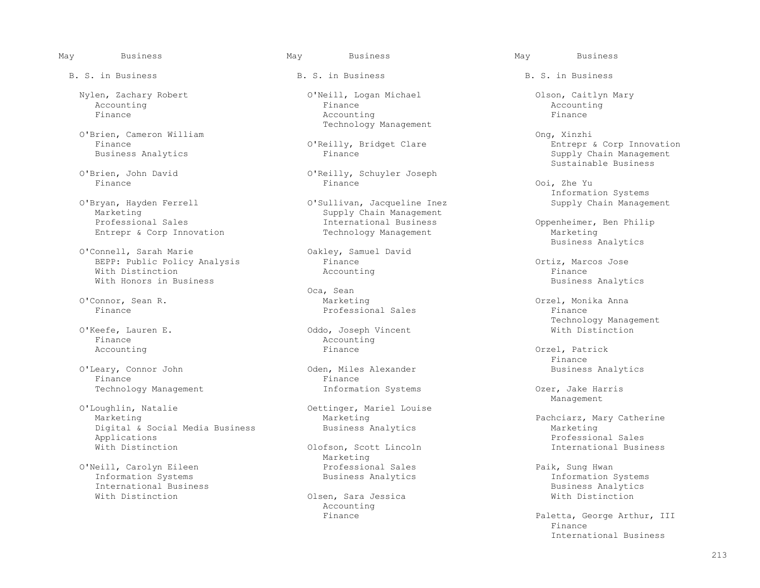O'Brien, Cameron William (1999) O'Reilly, Bridget Clare (1999) Ong, Xinzhi<br>
Finance Entrepr

Entrepr & Corp Innovation

 O'Connell, Sarah Marie Oakley, Samuel David BEPP: Public Policy Analysis Finance Communication of the Ortiz, Marcos Jose<br>With Distinction Microsoft Accounting Accounting Finance With Distinction and the Maccounting Resolution of the Maccounting  $\mathbb{F}_p$  and  $\mathbb{F}_p$   $\mathbb{F}_p$ With Honors in Business **Business** Analytics **Business** Analytics **Business** Analytics

Finance and Accounting the Accounting Accounting Accounting Accounting Accounting Rinance

 O'Leary, Connor John Oden, Miles Alexander Business Analytics Finance Finance

O'Loughlin, Natalie and Oettinger, Mariel Louise<br>Marketing Marketing Digital & Social Media Business and Business Analytics and Marketing Marketing<br>Applications Marketing Applications Applications Professional Sales

 O'Neill, Carolyn Eileen Professional Sales Paik, Sung Hwan International Business<br>
With Distinction<br>
With Distinction<br>
With Distinction

B. S. in Business The B. S. in Business B. S. in Business B. S. in Business

 Nylen, Zachary Robert O'Neill, Logan Michael Olson, Caitlyn Mary Accounting Finance Accounting Finance Accounting Finance Technology Management

 O'Brien, John David O'Reilly, Schuyler Joseph Finance Finance Ooi, Zhe Yu

 O'Bryan, Hayden Ferrell O'Sullivan, Jacqueline Inez Supply Chain Management Marketing Supply Chain Management<br>
Professional Sales Supply Chain Management<br>
International Business International Business Coppenheimer, Ben Philip<br>
Technology Management<br>
Marketing

Oca, Sean (Oca, Sean (Oca, Sean (Oca, Sean (Oca, Sean (Oca, Sean )<br>
Dependent of the Marketing O'Connor, Sean R. Marketing Orzel, Monika Anna Professional Sales Finance

 O'Keefe, Lauren E. Oddo, Joseph Vincent With Distinction Accounting and the settle of the settlement of the settlement of the settlement of  $\Gamma$  at  $\Gamma$  . Patrick

With Distinction **Exercise Scott Lincoln** Clofson, Scott Lincoln **International Business** Marketing Marketing Marketing

> Olsen, Sara Jessica Accounting

 Finance O'Reilly, Bridget Clare Entrepr & Corp Innovation Supply Chain Management O'Brien, John David O'Reilly, Schuyler Joseph Sustainable Business

Information Systems (1997)<br>O'Bryan, Hayden Ferrell (1998) O'Sullivan, Jacqueline Inez (1998) Supply Chain Management

Dakley, Samuel David Contract Contract Contract Business Analytics

O'Keefe, Lauren E. The Chamber of Management Communication of Management Communication Communication of Management Communication of Management Communication Communication of Management Communication Communication Communica

Finance

Technology Management The Information Systems Consumersies of the Harris Ozer, Jake Harris Technology Management Management and the Management of the Management of the Management of the Management of the Management of the Ma

Marketing Marketing Pachciarz, Mary Catherine<br>Business Analytics Communiculary Marketing

Information Systems<br>Business Analytics

Paletta, George Arthur, III<br>Finance Finance International Business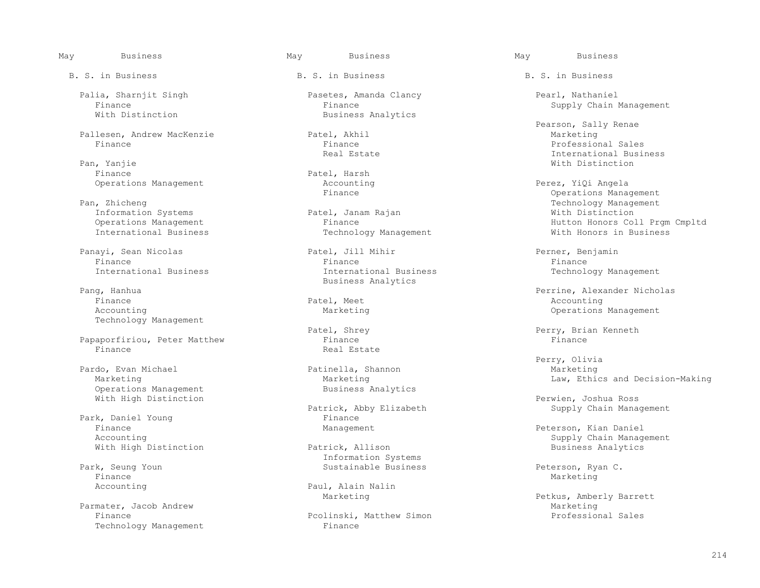Pallesen, Andrew MacKenzie Patel, Akhil Marketing Finance Finance Professional Sales

 Pan, Yanjie With Distinction Finance **Patel, Harsh**<br>Operations Management **Patel** Accounting

Information Systems **Patel, Jan**<br>Operations Management **Pinance** 

Panayi, Sean Nicolas Patel, Jill Mihir Perner, Benjamin

 Finance Patel, Meet Accounting Technology Management

Papaporfiriou, Peter Matthew Finance<br>Finance Finance Real Estate Finance and the contract of the Real Estate Real Estate and  $\mathbb R$ 

 Pardo, Evan Michael Patinella, Shannon Marketing Operations Management With High Distinction **Permitian** Ross and Permitian Permitian Permitian Ross and Permitian Ross and Permitian Ross

 Park, Daniel Young Finance Finance **Management** Management **Peterson, Kian Daniel** Accounting Management **Peterson, Kian Daniel** Accounting With High Distinction

Finance Marketing Marketing (1999) and the set of the set of the set of the Marketing Marketing (1990) and the set of the set of the set of the set of the set of the set of the set of the set of the set of the set of the s

Parmater, Jacob Andrew **Marketing**<br>Finance **Marketing** Pcolinski, Matthew Simon Marketing Professional Sales Technology Management

B. S. in Business The B. S. in Business B. S. in Business B. S. in Business

 Palia, Sharnjit Singh Pasetes, Amanda Clancy Pearl, Nathaniel Finance Finance Finance Finance Supply Chain Management<br>
Finance Supply Chain Management Rusiness Analytics Business Analytics

Technology Management

 Finance Finance Finance International Business International Business Technology Management Pang, Hanhua and Santa Communications and Business Analytics and Pangunan and Santa Communications and Pangunan and Pangunan and Pangunan and Pangunan and Pangunan and Pangunan and Pangunan and Pangunan and Pangunan and Pa

Patrick, Abby Elizabeth Supply Chain Management<br>Finance

Information Systems<br>Park, Seung Youn and Sustainable Business

Accounting Paul, Alain Nalin Paul, Alain Nalin Paul, Alain Nalin Paul, Alain Nalin Paul, Alain Nalin Paul, Alain Nalin Paul, Alain Nalin Paul, Alain Nalin Paul, Alain Nalin Paul, Alain Nalin Paul, Alain Nalin Paul, Alain N

Pcolinski, Matthew Simon<br>Finance

Patel, Akhil **Pearson, Sally Renae**<br>
Marketing Pan, Yanjie **International Business**<br>
Real Estate **International Business**<br>
With Distinction

Operations Management and Accounting and Accounting Perez, YiQi Angela<br>Finance and Perez, YiQi Angela Perez, Perez, Perez, Perez, Perez, Perez, Perez, Perez, Perez, Perez, Perez, Pe Finance (Pan Departions Management of Pan Departions Management of Pan Departions Management<br>Pan Dechnology Management Patel, Janam Rajan and Communication and Technology Management Patel, January 2016 Operations Management Finance Hutton Honors Coll Prgm Cmpltd

g, Hanhua<br>
Perrine, Alexander Nicholas<br>
Pang, Meet Pang Patel, Meet Accounting Accounting **Marketing Marketing Marketing Operations Management** 

Patel, Shrey **Patel, Shrey Perry, Brian Kenneth**<br>Finance **Perry, Brian Kenneth** 

 Perry, Olivia Marketing Law, Ethics and Decision-Making<br>Business Analytics

Patrick, Allison and Supply Chain Management Patrick, Allison and Supply Chain Management

k, Seung Youn Sustainable Business and Deterson, Ryan C.<br>Peterson, Ryan C.<br>Finance Marketing

Petkus, Amberly Barrett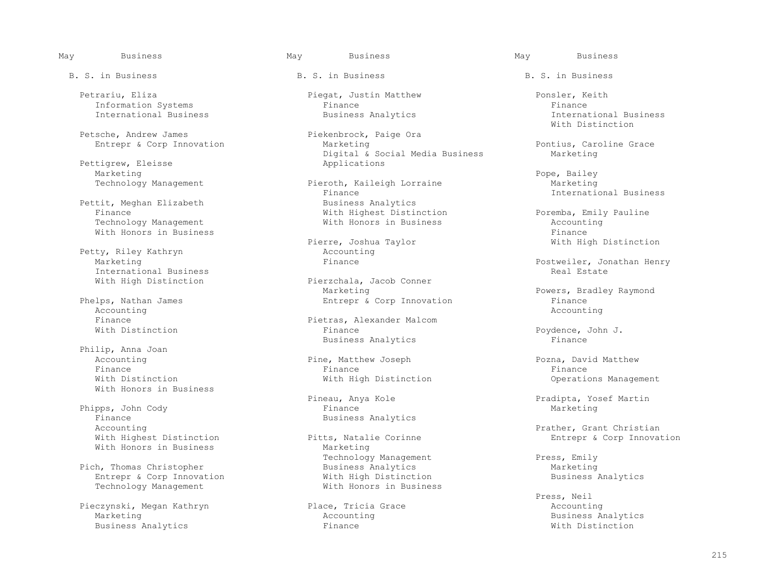Petrariu, Eliza Piegat, Justin Matthew Ponsler, Keith Information Systems<br>
International Business<br>
Business Analytics

Petsche, Andrew James<br>
Entrepr & Corp Innovation<br>
Marketing<br>
Marketing

Pettigrew, Eleisse<br>Marketing Marketing Pope, Bailey Research and Marketing Pope, Bailey Research and Marketing Pope, Bailey

Pettit, Meghan Elizabeth<br>Finance Technology Management **Exercise Secure 1 Constructs** With Honors in Business and Mith Honors in Business and Accounting<br>With Honors in Business With Honors in Business<br>
Pierre, Joshua Taylor

Petty, Riley Kathryn and Accounting Marketing and Accounting Marketing and Accounting Marketing and Accounting Marketing and Accounting Marketing and Accounting Marketing and Accounting Marketing and Accounting Marketing a International Business<br>With High Distinction

Phelps, Nathan James Entrepr & Corp Innovation Accounting Accounting and the control of the control of the control of the control of the control of the control of the control of the control of the control of the control of the control of the control of the control of the control

Philip, Anna Joan<br>Accounting Finance Finance Finance With Honors in Business

Phipps, John Cody<br>Finance Finance Business Analytics<br>Accounting Accounting<br>
With Highest Distinction<br>
Pitts, Natalie Corinne and the Section provaing the Section of The Prather & Corp Innovaing With Honors in Business

 Pich, Thomas Christopher Business Analytics Marketing Technology Management

 Pieczynski, Megan Kathryn Place, Tricia Grace Accounting Business Analytics

Entrepr & Corp Innovation **Entrepr & Corp Innovation** Marketing Marketing **Pontius, Caroline Grace**<br>
Digital & Social Media Business Marketing Digital & Social Media Business<br>Applications

Technology Management **Pieroth, Kaileigh Lorraine** Marketing<br>Finance Marketing Finance Finance 11 - International Business Business Business Business Business Business With Highest Distinction<br>
With Honors in Business<br>
Recounting<br>
Recounting

Pierre, Joshua Taylor (1999) 2008 With High Distinction Accounting

Pierzchala, Jacob Conner<br>Marketing Marketing Marketing Phelps, Bradley Raymond Phelps, Bradley Raymond Phelps, Bradley Raymond Phelps, Bradley Raymond Phelps, Research Phelps, Research Phelps, Raymond Phelps, Raymond Phelps, Research Phelps, Raymond Phelps,

Finance Pietras, Alexander Malcom<br>
With Distinction<br>
With Distinction Business Analytics

Accounting **Exercise 2** Pine, Matthew Joseph Pozna, David Matthew Pozna, David Matthew Pozna, David Matthew Pozna, David Matthew Pozna, David Matthew Pozna, Pozna, Pozna, David Matthew Pinance Pinance Pinance Pozna, Pozna, With Distinction **With High Distinction** Operations Management

tts, Natalie Corinne and Entrepr & Corp Innovation<br>
Marketing Technology Management  $\begin{array}{ccc}\n\text{Press, Emily} \\
\text{Business Analysis}\n\end{array}$ Entrepr & Corp Innovation and With High Distinction<br>Technology Management and With Honors in Business

International Business<br>With Distinction With Distinction

Marketing Finance Finance Postweiler, Jonathan Henry Postweiler, Jonathan Henry Postweiler, Jonathan Henry Postweiler, Jonathan Henry Postweiler, Jonathan Henry Postweiler, Jonathan Henry Postweiler, Jonathan Henry Postwei

Poydence, John J.<br>Finance

Pineau, Anya Kole Pradipta, Yosef Martin

 Press, Neil Accounting and Accounting Accounting Accounting Business Analytics<br>
Finance and Mith Distinction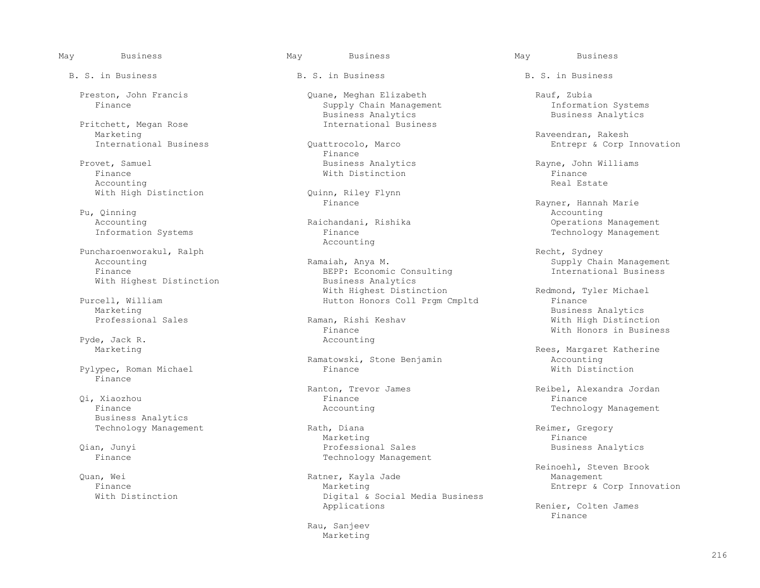Pritchett, Megan Rose<br>Marketing Marketing Raveendran, Rakesh

Provet, Samuel **Business Analytics** analytics Rayne, John Williams<br>
Finance **Rayne, Rayne, Theodore Riversity**  Finance With Distinction Finance Accounting Real Estate Real Estate Real Estate Real Estate Real Estate Real Estate Real Estate Real Estate Real Estate Real Estate Real Estate Real Estate Real Estate Real Estate Real Estate Real Estate Real Estate Real Es

Pu, Qinning and Accounting Accounting Accounting Accounting Accounting Accounting Accounting Accounting Accounting Accounting Accounting Accounting Accounting Accounting Accounting Accounting Accounting Accounting Accounti

Puncharoenworakul, Ralph Recht, Sydney Recht, Sydney Recht, Sydney With Highest Distinction

Purcell, William Financell, William Hutton Honors Coll Prgm Cmpltd<br>Marketing

Pyde, Jack R.<br>Marketing

Pylypec, Roman Michael Finance

 Qi, Xiaozhou Finance Finance Business Analytics

B. S. in Business The B. S. in Business B. S. in Business B. S. in Business

Preston, John Francis Quane, Meghan Elizabeth Rauf, Zubia<br>Finance Supply Chain Management Information Systems Supply Chain Management<br>Business Analytics Business Analytics<br>International Business<br>Business<br>Business<br>Business<br>Business<br>Analytics

International Business Corp Innovation<br>
Finance Entrepr & Corp Innovation Finance **Finance** 

With High Distinction  $\Omega$ uinn, Riley Flynn<br>Finance

Accounting

Accounting The Ramaiah, Anya M. Communicational Supply Chain Management<br>Finance SEPP: Economic Consulting Thernational Business BEPP: Economic Consulting<br>Business Analytics With Highest Distinction and Redmond, Tyler Michael Purcell, William Redmond, Tyler Michael Purcell, William and Redmond, Tyler Michael

Finance With Honors in Business<br>Accounting

Ramatowski, Stone Benjamin<br>
Finance<br>
With Distinction

Technology Management **Rath, Diana** Rechnology Management Rath, Diana Reimer, Gregory Reserved Represent Reserved Reference Reserved Represent Represent Represent Represent Represent Represent Represent Represent Represent Marketing the Marketing of the Marketing of the Marketing of the Marketing of the Marketing of the Marketing o Qian, Junyi Professional Sales Business Analytics Technology Management

Quan, Wei الكون السنة المستخدم المستخدم المستخدم المستخدم المستخدم المستخدم المستخدم المستخدم المستخدم المستخد<br>با هناك المستخدم المستخدم المستخدم المستخدم المستخدم المستخدم المستخدم المستخدم المستخدم المستخدم المستخدم الم Finance Marketing Marketing Entrepr & Corp Innovation<br>
Mith Distinction Corp Constant Digital & Social Media Business Digital & Social Media Business<br>Applications

Rau, Sanjeev<br>Marketing Marketing Marketing

Pu, Qinning Communication of the Rayner, Hannah Marie Rayner, Hannah Marie Rayner, Hannah Marie Register of the Rayner, Hannah Marie Register of the Register of the Register of the Register of the Register of the Register Accounting Management Communications Management<br>
Raichandani, Rishika Communications Management<br>
Finance Communication Systems Communications of Technology Management Technology Management

Marketing Business Analytics<br>Professional Sales Controller States and Raman, Rishi Keshav Controller States and With High Distinct Professional Sales Raman, Rishi Keshav With High Distinction

Rees, Margaret Katherine

Ranton, Trevor James (Reibel, Alexandra Jordan) Reibel, Alexandra Jordan (Reibel, Alexandra Jordan (Reibel, Alexandra Jordan (Reibel, Alexandra Jordan (Reibel, Alexandra Jordan (Reibel, Alexandra Jordan (Reibel, Alexandra Finance and the Counting Accounting Technology Management Counting the Second Second Second Second Second Second Second Second Second Second Second Second Second Second Second Second Second Second Second Second Second Seco

Reinoehl, Steven Brook

Renier, Colten James<br>Finance Finance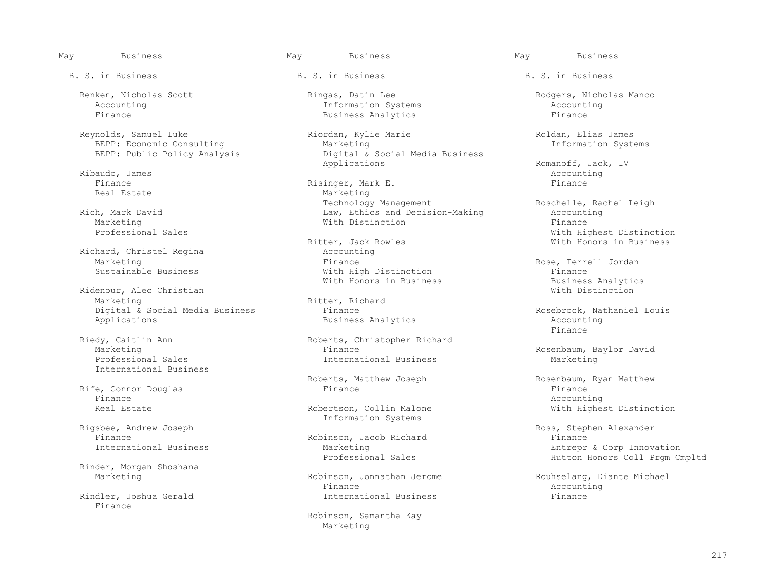B. S. in Business The B. S. in Business B. S. in Business B. S. in Business

BEPP: Economic Consulting<br>BEPP: Public Policy Analysis

Ribaudo, James Accounting and the set of the set of the set of the set of the set of the set of the set of the set of the set of the set of the set of the set of the set of the set of the set of the set of the set of the s

Richard, Christel Regina

Ridenour, Alec Christian<br>Marketing Digital & Social Media Business Finance<br>
Business Analytics<br>
Rosebrock, Nathaniel Louis<br>
Rosebrock, Nathaniel Louis

International Business

 Rife, Connor Douglas Finance Finance Finance and the counting of the counting of the counting  $\Lambda$  counting  $\Lambda$ 

Rinder, Morgan Shoshana

Finance

Accounting and Information Systems and Accounting Accounting and Accounting and Accounting and Accounting and Business Analytics and Accounting and Accounting and Accounting and Business Analytics and Accounting and Accoun Business Analytics

Reynolds, Samuel Luke and Riordan, Kylie Marie and Roldan, Elias James<br>BEPP: Economic Consulting Marketing Marketing Research Marketing and Research Research Research Research Resear Digital & Social Media Business<br>Applications

 Finance Risinger, Mark E. Finance Real Estate Marketing<br>
Technology Management Technology Management Roschelle, Rachel Leigh<br>
Law, Ethics and Decision-Making Roschelle, Rachel Leigh<br>
Accounting Rich, Mark David Law, Ethics and Decision-Making Accounting Marketing  $\hbox{\tt Min}$  and  $\hbox{\tt Min}$  and  $\hbox{\tt Min}$  are  $\hbox{\tt Min}$ 

Exter, Jack Rowles<br>
Recounting<br>
Recounting Marketing Thance Finance Rose, Terrell Jordan Sustainable Business (Exemple 2013)<br>
Rustainable Business (Nith High Distinction Sustainable Business (Nith High Distinction Sustainable Business With High Distinction<br>
With Honors in Business<br>
Business Analytics

Ritter, Richard

Riedy, Caitlin Ann ann ann ann Roberts, Christopher Richard<br>Marketing Binance Finance Marketing Thance Finance External Business Rosenbaum, Baylor David<br>Professional Sales Thernational Business Rosenbaum, Barketing International Business Marketing

Rigsbee, Andrew Joseph Systems and the Information Systems and the Information Systems

Finance<br>
Thernational Business<br>
Marketing<br>
Marketing

 Finance Accounting Rindler, Joshua Gerald International Business Finance

> Robinson, Samantha Kay Marketing

Renken, Nicholas Scott Ringas, Datin Lee Rodgers, Nicholas Manco<br>
Accounting Information Systems Accounting

Applications and the extended of the extended of the Applications (and the Romanoff, Jack, IV and Romanoff, Jack, IV and Accounting

Professional Sales<br>
Ritter, Jack Rowles<br>
Ritter, Jack Rowles<br>
With Honors in Business

With Honors in Business<br>
With Distinction<br>
With Distinction

Business Analytics and Accounting Accounting Accounting Accounting Accounting Accounting Accounting Accounting  $F$ Finance

Roberts, Matthew Joseph Rosenbaum, Ryan Matthew Finance Real Estate **Robertson, Collin Malone** Mith Highest Distinction

sbee, Andrew Joseph (Shee, Andrew Joseph Ross, Stephen Alexander)<br>Robinson, Jacob Richard (Rinance Rinance Rinance Rinance Rinance Rinance Rinance Rinance Rinance Rinance Rinan Marketing<br>
Professional Sales<br>
Professional Sales<br>
Hutton Honors Coll Prom Cr Hutton Honors Coll Prgm Cmpltd

Robinson, Jonnathan Jerome Rouhselang, Diante Michael<br>Finance Rounting Rounting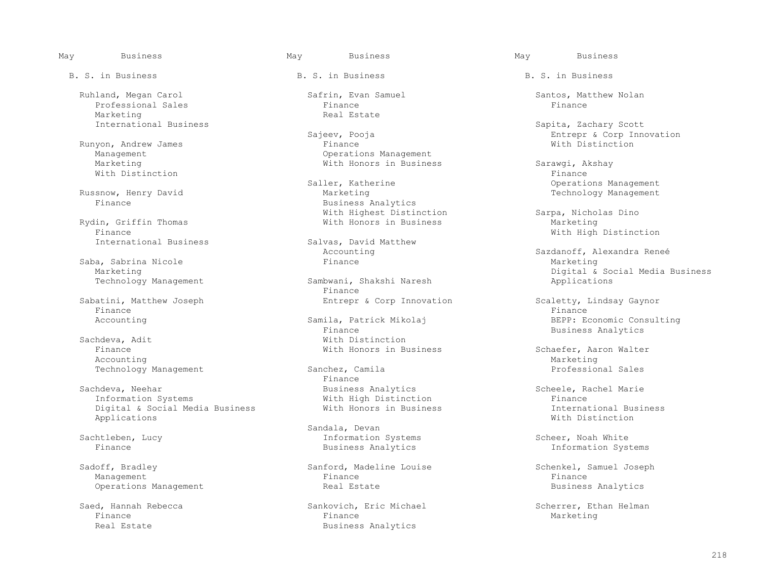Ruhland, Megan Carol Safrin, Evan Samuel Santos, Matthew Nolan Professional Sales<br>Marketing Marketing Communicational Business Communicational Business Communication Communication Real Estate

Runyon, Andrew James<br>Management Marketing Mith Honors in Business Sarawgi, Akshay<br>With Distinction Finance With Distinction  $\blacksquare$ 

Rydin, Griffin Thomas<br>Finance Finance<br>
Thernational Business Salvas, David Matthew With High Distinction

Saba, Sabrina Nicole<br>Marketing

Finance Finance Finance Finance Finance Finance Finance Finance Finance Finance Finance Finance Finance Finance

Mith Distinction<br>
Finance<br>
With Honors in Bu Accounting Marketing Marketing Marketing Marketing Marketing Marketing Marketing Marketing Marketing Marketing

Sachdeva, Neehar Business Analytics Communication Scheele, Rachel Marie Scheele, Rachel Marie Scheele, Rachel Marie Scheel Marie Scheel Marie Scheel Marie Scheel Marie Scheel Marie Scheel Marie Scheel Marie Scheel Marie Sc Digital & Social Media Business With Honors in Business International Business Applications  $\blacksquare$ 

B. S. in Business The B. S. in Business B. S. in Business B. S. in Business

Management Changement Changement Changement Changement Changement Changement Changement Changement Changement<br>
Marketing Changement Changement Changement Changement Changement Changement Changement Changement Changement

Saller, Katherine Communications Management (Saller, Katherine American School operations Management<br>
Marketing Communications (Section Management Marketing Section) snow, Henry David Marketing Technology Management<br>Finance Business Analytics With Highest Distinction<br>
With Honors in Business<br>
Marketing<br>
Marketing

Salvas, David Matthew<br>Accounting

Sambwani, Shakshi Naresh<br>Finance Finance **Finance** Sabatini, Matthew Joseph Sabatini, Matthew Joseph Entrepr & Corp Innovation Scaletty, Lindsay Gaynor

Finance Finance Business Analytics<br>
With Distinction

Technology Management Sanchez, Camila Professional Sales<br>Finance Finance **Finance** 

Sandala, Devan Sandala, Devan Sandala, Devan Sandala, Devan Sandala, Devan Sandala, Devan Sandala, Devan Sanda Sachtleben, Lucy and Scheer, Noah White Information Systems Scheer, Noah White Information Systems Scheer, Noah White<br>
Scheer, Noah White Systems Susiness Analytics Systems Information Systems

Sadoff, Bradley Sanford, Madeline Louise Sadoff, Samuel Joseph<br>
Schenkel, Samuel Joseph<br>
Finance Sinance Sinance Sinance Management Finance Finance Operations Management and Society and Real Estate and Society and Business Analytics

 Saed, Hannah Rebecca Sankovich, Eric Michael Scherrer, Ethan Helman Finance Finance Marketing Real Estate **Business Analytics** Business Analytics

 International Business Sapita, Zachary Scott Sajeev, Pooja Entrepr & Corp Innovation

Accounting  $Sazdanoff, Alexander$ <br>Finance Marketing Marketing Marketing<br>Technology Management Sambwani, Shakshi Naresh Applications

Accounting Samila, Patrick Mikolaj BEPP: Economic Consulting<br>Finance Business Analytics

With Honors in Business Schaefer, Aaron Walter<br>
Marketing

Vith High Distinction<br>
Vith Honors in Business<br>
Vith Honors in Business<br>
Vith Honors in Business

Information Systems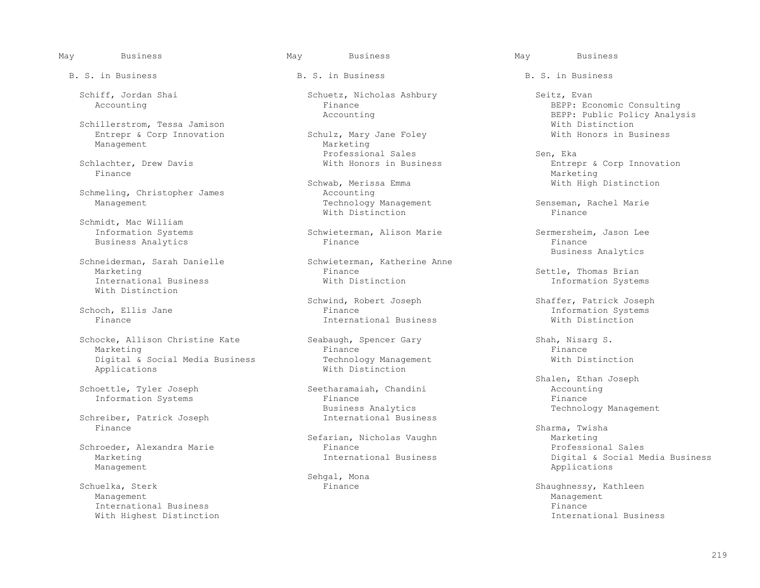Schillerstrom, Tessa Jamison<br>
Entrepr & Corp Innovation Schulz, Mary Jane Foley With Honors in Business Entrepr & Corp Innovation Schulz, Mary Jane Foley Schulz, Mary Management Management

Finance Marketing Marketing (1999) and the set of the set of the set of the Marketing Marketing (1990) and the set of the set of the set of the set of the set of the set of the set of the set of the set of the set of the s

Schmeling, Christopher James<br>
Management<br>
Technology Management

Schmidt, Mac William<br>Information Systems Business Analytics

Schneiderman, Sarah Danielle Schwieterman, Sarah Danielle Schwieterman, Schwieterman, Einance International Business With Distinction

Schocke, Allison Christine Kate Seabaugh, Spencer Gary Shah, Nisarg S.<br>Marketing Shah, Nisarg S. Shah, Nisarg S. Shah, Nisarg S. Shah, Nisarg S. Shah, Nisarg S. Shah, Nisarg S. Shah Marketing Finance Finance and the settlement of the settlement of the settlement of the settlement of the settlement of the settlement of the settlement of the settlement of the settlement of the settlement of the settleme Digital & Social Media Business Technology Management and Mith Distinction<br>
With Distinction<br>
With Distinction

Schreiber, Patrick Joseph<br>Finance Finance Sharma, Twisha Sharma, Twisha Sharma, Twisha Sharma, Twisha Sharma, Twisha Sharma, Twisha Sharma, Twisha

Management and the control of the control of the control of the control of the control of the control of the control of the control of the control of the control of the control of the control of the control of the control

velka, Sterk Schuel (Sterk Finance Shaughnessy, Kathleen Shaughnessy, Kathleen Shaughnessy, Kathleen Shaughnessy, Kathleen Shaughnessy, Kathleen Shaughnessy, Kathleen Shaughnessy, Kathleen Shaughnessy, Kathleen Shaughnessy Management Management With Highest Distinction

Schiff, Jordan Shai Schuetz, Nicholas Ashbury Seitz, Evan (Schuetz, Nicholas Ashbury Seitz, Evan (Seitz, Evan<br>BEPP: Ecc

Professional Sales and Schlachter, Drew Davis and Schlachter, Ekan Sen, Ekan Schlachter, Ekan Sen, Ekan Schlachter, Ekan Schlachter, Entrew

Schwab, Merissa Emma<br>Accounting Mith High Distinction Technology Management Senseman, Rachel Marie<br>
With Distinction<br>
With Distinction With Distinction and the Missuelline of the Missuelline of the Missuelline of the Missuelline of the Missuelli

Schwieterman, Alison Marie Sermersheim, Jason Lee<br>Finance Sermersheim, Jason Lee

Finance Settle, Thomas Brian<br>With Distinction Systems Information Systems

 Schwind, Robert Joseph Shaffer, Patrick Joseph Schoch, Ellis Jane Finance Information Systems International Business

With Distinction

Seetharamaiah, Chandini **Accounting Seetharamaiah, Chandini** Accounting Accounting Seetharamaiah, and a see a se Information Systems Finance<br>Business Analytics Business Analytics and South Management Technology Management<br>
International Business

Sefarian, Nicholas Vaughn Marketing<br>Finance Marketing Professional Sales Schroeder, Alexandra Marie Finance<br>Marketing Professional Sales Marketing

Sehgal, Mona<br>Schuelka, Sterk (1999) Sehgal, Mona

B. S. in Business The B. S. in Business B. S. in Business B. S. in Business

Finance BEPP: Economic Consulting Accounting Accounting BEPP: Public Policy Analys BEPP: Public Policy Analysis<br>With Distinction

Schlachter, Drew Davis With Honors in Business Entrepr & Corp Innovation

Schwieterman, Katherine Anne and Schwieterman, Katherine Anne

Schoettle, Tyler Joseph (Seetharamaiah, Chandini ) and the Shalen, Ethan Joseph (Schoettle, Tyler Joseph ) and the Seetharamaiah, Chandini (Schoettle, Tyler Joseph ) and the Seetharamaiah, Chandini (Schoettle, Tyler Joseph

Marketing International Business Digital & Social Media Business<br>Management

International Business Finance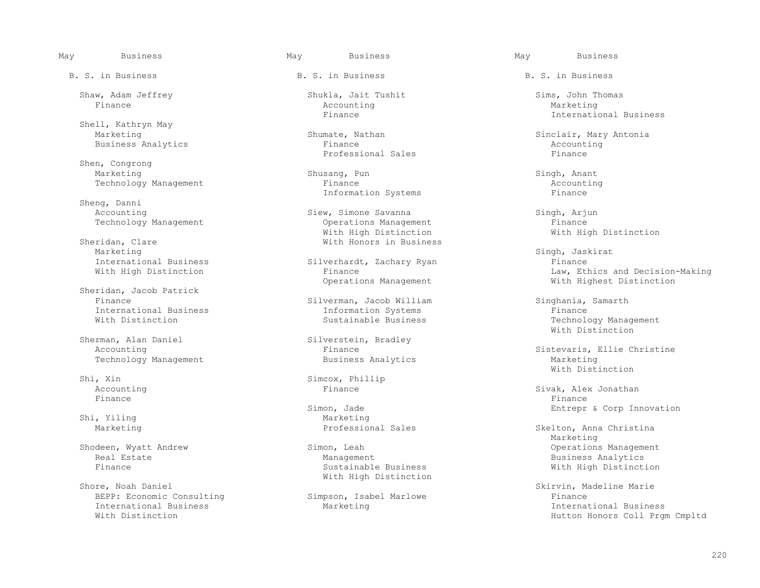Shell, Kathryn May<br>Marketing

Shen, Congrong<br>Marketing Marketing Shusang, Pun Shusang, Pun Shusang, Pamant Singh, Anant Shusang, Pamant Shusang, Pamant Shusang, Shusang, Shusang, Shusang, Shusang, Shusang, Shusang, Shusang, Shusang, Shusang, Shusang, Shusang, Shusang, Shusang,

Sheng, Danni<br>Accounting

eridan, Clare **With Honors in Business**<br>Marketing Marketing Singh, Jaskirat Singh, Jaskirat Singh, Jaskirat Singh, Jaskirat Singh, Jaskirat Singh, Jaskirat Singh International Business and Silverhardt, Zachary Ryan and Finance<br>
Finance Finance Finance Finance Finance Finance Law, Etherne

Sheridan, Jacob Patrick

Sherman, Alan Daniel Silverstein, Bradley Accounting Silverstein, Bradley

Finance Finance Finance Finance Finance Finance Finance Finance Finance Finance Finance Finance Finance Finance

Shore, Noah Daniel Michael Mith High Distinction International Business<br>With Distinction

B. S. in Business The B. S. in Business B. S. in Business B. S. in Business

Shaw, Adam Jeffrey Shukla, Jait Tushit Shaw, Adam Jeffrey Shukla, Jait Tushit Sims, John Thomas Sims, John Thomas Finance Accounting Marketing

Business Analytics **Finance** Finance **Accounting Service Accounting Account** Professional Sales Professional Sales Finance Research Research of the Professional Sales Finance Research Research Research Research Research Research Research Research Research Research Research Research Research Research Research Research

Technology Management Finance Finance Finance Counting Accounting<br>The Accounting Theorem and The Systems Finance Rinance Information Systems

Siew, Simone Savanna Siew, Singh, Arjun<br>
Operations Management<br>
Sinance Singh, Arjun Technology Management Communicular Superations Management Communicular Pechnology Management<br>
The Mith High Distinction Communicular Mith High Distinction and Mith High Distinction With High Distinction<br>
With Honors in Busine:<br>
With Honors in Busine:

Silverman, Jacob William Singhania, Samarth Information Systems Singhania, Samarth International Business and Information Systems<br>
With Distinction<br>
Sustainable Business

Shi, Xin Simcox, Phillip Simcox, Phillip Simcox, Phillip Simcox, Phillip Simcox, Phillip Simcox, Phillip Simcox, Phillip Simcox, Phillip Simcox, Phillip Simcox, Phillip Simcox, Phillip Simcox, Phillip Simcox, Phillip Simco

 Simon, Jade Entrepr & Corp Innovation Shi, Yiling and Shi, Yiling and Shi, Yiling and Shi, Yiling and Shi, Marketing and Shi, Marketing and Shi, Marketing and Shi, Marketing and Shi, Marketing and Shi, Marketing and Shi, Marketing and Shi, Marketing and Shi, M

Real Estate Management Business Analytics<br>Finance Sustainable Business With High Distinct

Finance International Business

Shumate, Nathan Sinclair, Mary Antonia<br>Finance Marketing Accounting

Finance<br>
Operations Management<br>
With Highest Distinction<br>
With Highest Distinction With Highest Distinction

Technology Management<br>With Distinction With Distinction

Sistevaris, Ellie Christine<br>Marketing Technology Management and Susiness Analytics and Marketing Marketing<br>With Distinction With Distinction

Accounting and Sivak, Alex Jonathan Rinance and Sivak, Alex Jonathan Rinance and Sivak, Alex Jonathan Rinance

Skelton, Anna Christina<br>Marketing Marketing and the Marketing Shodeen, Wyatt Andrew Simon, Leah Simon, Leah Operations Management<br>Real Estate Management Management Management Business Analytics With High Distinction

Simpson, Isabel Marlowe (Shore, North Changeline Marie Simpson, Isabel Marlowe (Shore, North Changeline Marie  $\Gamma$  BEPP: Economic Consulting Simpson, Isabel Marlowe Finance Hutton Honors Coll Prgm Cmpltd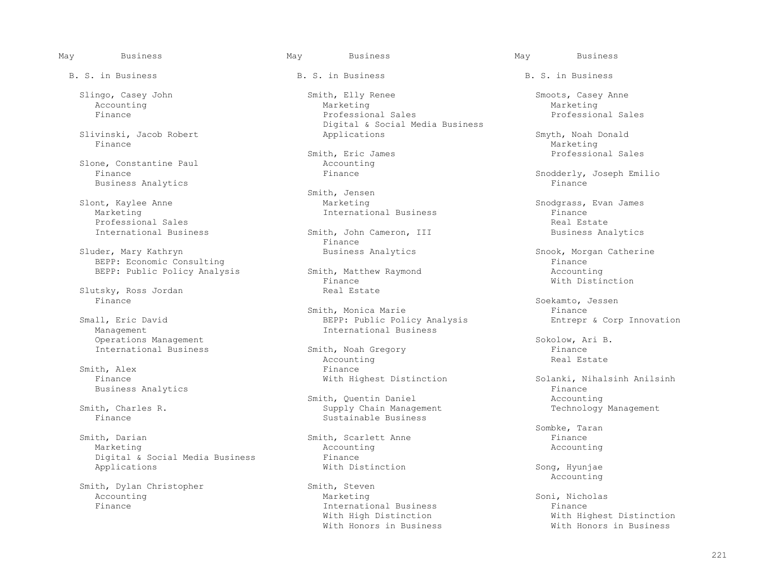Slivinski, Jacob Robert Applications Smyth, Noah Donald Finance Marketing Marketing (1999) and the set of the set of the set of the Marketing Marketing (1990) and the set of the set of the set of the set of the set of the set of the set of the set of the set of the set of the s

Slone, Constantine Paul and Accounting<br>
Finance Rinance Business Analytics

Marketing The International Business The Professional Sales<br>
Professional Sales Professional Sales Real Estate Real Estate Real Estate Real Estate Real Estate Real Estate Real Estate Real Estate Real Estate Real Estate Real Estate Real Estate Real Estate Real Estate Real Estate Real Estate Real Estate

Sluder, Mary Kathryn Business Analytics Snook, Morgan Catherine<br>BEPP: Economic Consulting Business Analytics Snook, Morgan Catheri BEPP: Economic Consulting<br>
BEPP: Public Policy Analysis Smith, Matthew Raymond Accounting

Slutsky, Ross Jordan Real Estate Real Estate<br>Finance Finance Soekamto, Jessen

Operations Management<br>
Thernational Business Smith, Noah Gregory<br>
Sokolow, Ari B.<br>
Smith, Noah Gregory

Smith, Darian Smith, Scarlett Anne Finance Finance Marketing Marketing Smith, Scarlett Anne Finance Recounting Marketing and the Marketing Accounting Accounting Accounting Accounting Accounting Accounting Accounting Accounting Accounting Accounting Accounting Accounting Accounting Accounting Accounting Accounting Accounting Account Digital & Social Media Business Finance<br>Applications 6 Nith Distinction Applications With Distinction Song, Hyunjae

Smith, Dylan Christopher Smith, Steven<br>Accounting Marketing

B. S. in Business The B. S. in Business B. S. in Business B. S. in Business

Slingo, Casey John Smith, Elly Renee Smoots, Casey Anne (Smoots, Casey Anne Smoots, Casey Anne Narketing Marketing Accounting and the Marketing Marketing and Marketing Marketing Marketing Marketing Finance Professional Sales Professional Sales Digital & Social Media Business

Smith, Eric James Professional Sales (1996) Smith, Eric James (1996) Smith, 2006, 2006

Smith, Jensen<br>Slont, Kaylee Anne Marketing nt, Kaylee Anne Marketing Snodgrass, Evan James <br>Marketing International Business Finance

International Business Smith, John Cameron, III Business Analytics<br>Finance Finance **Finance** 

BEPP: Public Policy Analysis Smith, Matthew Raymond<br>Finance Strange Accounting Mith Distinction Finance With Distinction

Smith, Monica Marie Finance Finance Finance Exercise of the Smith, Monica Marie Small Small, Eric David Policy<br>BEPP: Public Policy Analysis Finance Entrepr & Corp Innovation all, Eric David and Sommer BEPP: Public Policy Analysis<br>Management Corp International Business International Business

Smith, Noah Gregory Finance<br>Accounting Accounting Real Estate Accounting the count of the count of the count of the count of the count of the count of the count of the count of the count of the count of the count of the count of the count of the count of the count of the count of the Smith, Alex Finance<br>
Finance Finance Finance Ristinction

Smith, Quentin Daniel<br>Smith, Charles R. Smith, Quenting Daniel Accounting to the Supply Chain Manag th, Charles R. Supply Chain Management Technology Management Finance Sustainable Business

Accounting and Marketing Marketing Soni, Nicholas Marketing Soni, Nicholas Soni, Nicholas Soni, Nicholas Soni, Nicholas Soni, Nicholas Soni, Nicholas Soni, Nicholas Soni, Nicholas Soni, Nicholas Soni, Nicholas Soni, Nichol Finance International Business Finance With Honors in Business

Snodderly, Joseph Emilio<br>Finance

Solanki, Nihalsinh Anilsinh<br>Finance Business Analytics<br>
Smith, Quentin Daniel<br>
Smith, Quentin Daniel<br>
Smith, Quentin Daniel

Sombke, Taran

Accounting

With Highest Distinction<br>With Honors in Business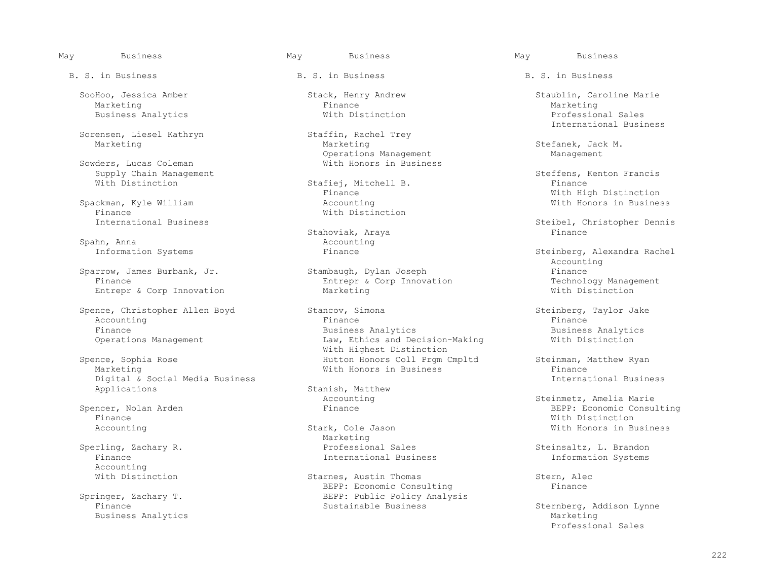Marketing Finance Marketing

Sorensen, Liesel Kathryn Staffin, Rachel Trey Staffin, Rachel Trey Marketing

Supply Chain Management<br>
Steffens, Kenton Francis<br>
With Distinction<br>
Stafiei. Mitchell B.<br>
Steffens, Kenton France

Spackman, Kyle William<br>Finance Finance<br>International Business<br>
With Distinction

Spahn, Anna<br>
Information Systems<br>
Finance

Entrepr & Corp Innovation

Digital & Social Media Business<br>Applications

Finance With Distinction and the set of the set of the set of the set of the set of the set of the set of the set of the set of the set of the set of the set of the set of the set of the set of the set of the set of the se

Accounting<br>With Distinction

B. S. in Business The B. S. in Business B. S. in Business B. S. in Business

Operations Management<br>
Sowders, Lucas Coleman<br>
With Honors in Busines With Honors in Business

Stafiej, Mitchell B.<br>Finance

Stahoviak, Araya<br>Accounting

Sparrow, James Burbank, Jr. Stambaugh, Dylan Joseph Finance<br>Finance Finance Burbank, Jr. Stambaugh, Dylan Joseph Finance Fechnology Management Entrepr & Corp Innovation Technology Management Corp Innovation Technology Management Corp Nutlee

 Spence, Christopher Allen Boyd Stancov, Simona Steinberg, Taylor Jake Accounting the control of the Finance of the Finance of the Finance of the Finance of the Finance of the Finance Finance Business Analytics Business Analytics Law, Ethics and Decision-Making With Highest Distinction<br>
Spence, Sophia Rose and Mutton Honors Coll Prom Spence, Sophia Rose Hutton Honors Coll Prgm Cmpltd Steinman, Matthew Ryan

Stanish, Matthew<br>Accounting

Sperling, Zachary R. (2008) Sperling Marketing Marketing Sales erling, Zachary R. Sperman (Superling, Zachary R. Steinsaltz, L. Brandon)<br>Finance Steinsaltz, L. Brandon (Superling) (Superling and Superling Steins (Superling) (Superling and Superlin International Business

Starnes, Austin Thomas Stern, Alec<br>REPP: Economic Consulting Stern, Finance BEPP: Economic Consulting<br>BEPP: Public Policy Analys BEPP: Public Policy Analysis<br>Sustainable Business

SooHoo, Jessica Amber Stack, Henry Andrew Staublin, Caroline Marie Marie Marie Marie Marie Marketing Business Analytics **Exercise State Analytics** With Distinction **Professional Sales** Staffin, Rachel Trey **Exercise 2018** International Business

Stefanek, Jack M.<br>Management

Finance **With High Distinction**<br>Accounting **Milk** Monors in Business

Steibel, Christopher Dennis<br>Finance

Steinberg, Alexandra Rachel Accounting

With Honors in Business<br>
Thernational Business

Accounting The Steinmetz, Amelia Marie (Spencer, Nolan Arden in the Steinmetz Steinmetz, Amelia Marie (Spencer, Nolan Arden in the Steinmetz Spencer, Nolan Arden in the Steinmetz Spencer, Nolan Arden in the Steinmetz Spenc Spencer, Nolan Arden Finance BEPP: Economic Consulting Accounting The Stark, Cole Jason Coles and Mith Honors in Business

 Finance Sustainable Business Sternberg, Addison Lynne Business Analytics and Marketing and Marketing and Marketing and Marketing and Marketing and Marketing and Marketing and Marketing and Marketing and Marketing and Marketing and Marketing and Marketing and Marketing and Mar Professional Sales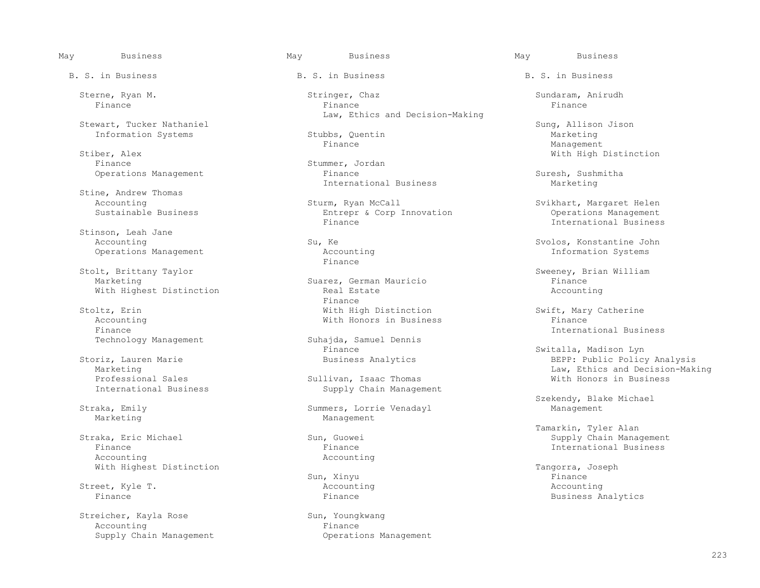Stewart, Tucker Nathaniel Stewart, Tucker Nathaniel Sung, Allison Jison Sung, Allison Jison Jison Jison Jison Sung, Allison Jison Jison Sung, Allison Jison Sung, Allison Jison Stubbs, Quentin Sung, Allison Marketing Stubbs

Stiber, Alex With High Distinction

Stine, Andrew Thomas<br>Accounting

Stinson, Leah Jane<br>Accounting Operations Management and Accounting Information Systems Accounting Information Systems Accounting Intervalse S

Stolt, Brittany Taylor (Stolt, Brittany Taylor Summer Suarez, German Mauricio (Stolt, Brian William Manchell Stolt, Britan William Mauricio (Stolt, Britan William Mauricio (Stolt, Britan Mauricio (Stolt, Britan Mauricio (S With Highest Distinction Real Estate Real Estate Accounting Real Estate Accounting Real Accounting Real Accounting Real Accounting Real Accounting Real Accounting Real Accounting Real Accounting Real Accounting Real Accoun

Finance International Business

 Finance Finance International Business Accounting Accounting

Street, Kyle T. Accounting Accounting

Streicher, Kayla Rose Sun, Youngkwang Supply Chain Management

B. S. in Business The B. S. in Business B. S. in Business B. S. in Business

Sterne, Ryan M. Stringer, Chaz Sundaram, Anirudh Sterne, Ryan M. Sundaram, Sundaram, Anirudh Sundaram, Anirudh Finance Finance Finance Law, Ethics and Decision-Making

Information Systems Stubbs, Quentin Marketing Marketing Stubbs, Quentin Marketing Management

Stummer, Jordan<br>Finance Operations Management Finance Finance Suresh, Sushmitha<br>International Business Suresh, Sushmitha International Business

Accounting 1997 (Sturm, Ryan McCall Sustainable Business 1997) (Sturm, Ryan McCall Sustainable Business 1997) (Sturm, Ryan McCall Sustainable Business 1997) (Sturm, Ryan McCall Sustainable Business 1997) (Sturm, Ryan McCal Entrepr & Corp Innovation<br>Finance

Finance **Finance** 

Suarez, German Mauricio and Finance Finance Real Estate Accounting Finance **Finance** Stoltz, Erin With High Distinction Swift, Mary Catherine

Technology Management Suhajda, Samuel Dennis<br>Finance Finance Switalla, Madison Lyn

Professional Sales Sullivan, Isaac Thomas With Honors in Business<br>
International Business Supply Chain Management Supply Chain Management

 Straka, Emily Summers, Lorrie Venadayl Management Management

Sun, Xinyu Finance

Accounting<br>
Supply Chain Management<br>
Coperations Management<br>
Coperations Management

Finance Management

International Business

Su, Ke Svolos, Konstantine John<br>Accounting  $\begin{array}{ccc}\n & \text{Stokes} \\
\hline\n\end{array}$ 

Accounting With Honors in Business Finance

 Storiz, Lauren Marie Business Analytics BEPP: Public Policy Analysis Marketing Law, Ethics and Decision-Making

Szekendy, Blake Michael

Tamarkin, Tyler Alan (1999) Sun, Guowei (1999) Straka, Eric Michael (1999) Sung Supply Chain Mana (1999) Sung Supply Chain Mana (1999) Sung Supply Chain Mana (1999) Supply Chain Mana (1999) Supply Chain Mana (1999) Supply Straka, Eric Michael Sun, Guowei Supply Chain Management

With Highest Distinction Sun, Xinyu Sun, 2008 Pangorra, Joseph Tangorra, Joseph Nith Highest Distinction Finance **Finance Finance Finance Finance Business Analytics**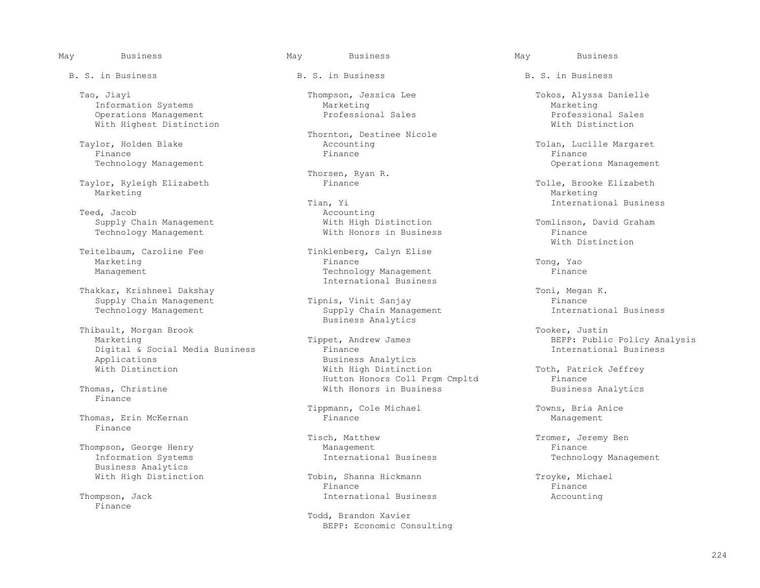Tao, Jiayi Thompson, Jessica Lee Tokos, Alyssa Danielle Information Systems The Marketing Marketing Marketing Marketing Marketing Marketing<br>  $O\nu$  Derations Management Christian Marketing Professional Sales and Professional Sales Operations Management Professional Sales Professional Sales With Highest Distinction

Finance Finance Finance

Taylor, Ryleigh Elizabeth Finance Finance Tolle, Brooke Elizabeth Marketing Marketing Marketing Marketing Marketing Marketing Marketing Marketing Marketing Marketing Marketing Marketing Marketing S

Teed, Jacob<br>
Supply Chain Management<br>
Vith High Distinction

Teitelbaum, Caroline Fee Tinklenberg, Calyn Elise

Thakkar, Krishneel Dakshay **Thakkar, Krishneel Dakshay** Toni, Megan K.<br>Tipnis, Vinit Sanjay The Manus (Tipnance Finance Tipnis, The Supply Chain Management A. Technology Management

Thibault, Morgan Brook Thibault, Morgan Brook Superted Marketing and Tooker, Justin Marketing and Tooker, Justin Marketing and The Marketing Superted Marketing and The Marketing and The Marketing Superted Marketing and The Digital & Social Media Business<br>Applications Applications and the Business Analytics<br>
With Distinction<br>
With High Distinction

Finance

Thomas, Erin McKernan Finance

Business Analytics<br>With High Distinction

Finance

B. S. in Business The B. S. in Business B. S. in Business B. S. in Business

Thornton, Destinee Nicole<br>Taylor, Holden Blake<br>  $\alpha$ Counting nden Blake (1997) and Accounting (1997) and Tolan, Lucille Margaret (1997) and Tolan, Lucille Margaret (1997) and Tolan, Lucille Margaret (1997) and Tinance (1998) and Tinance (1998) and Tinance (1998) and Tinance (1998) a

Thorsen, Ryan R.<br>Finance

Tian, Yi **International Business** Accounting Supply Chain Management and Mith High Distinction and Tomlinson, David Graham<br>Technology Management and Technology Mith Honors in Business and Technology Management

Marketing The Communication of the Tomas Pinance (The Tomas Tomas Tong, Yao Management Technology Management Finance International Business

Supply Chain Management Tipnis, Vinit Sanjay<br>Technology Management Supply Chain Management Technology Management Supply Chain Management Business Analytics

Hutton Honors Coll Prgm Cmpltd Finance<br>Thomas, Christine Thomas, Christine Finance Mith Honors in Business Coll Premiers Analytics With Honors in Business

Tippmann, Cole Michael Tippmann, Cole Michael Towns, Bria Anice<br>Finance Management

Tisch, Matthew Tromer, Jeremy Ben<br>
Management Finance Thompson, George Henry Management<br>
Information Systems<br>
Thernational Business

Tobin, Shanna Hickmann Troyke, Michael<br>Finance Troyke, Michael Finance Finance Thompson, Jack International Business Accounting

> Todd, Brandon Xavier BEPP: Economic Consulting

Technology Management Operations Management

Technology Management **Example 2** With Honors in Business Finance Finance Finance Finance With Distinction

Marketing Tippet, Andrew James BEPP: Public Policy Analysis

Toth, Patrick Jeffrey<br>Finance

Technology Management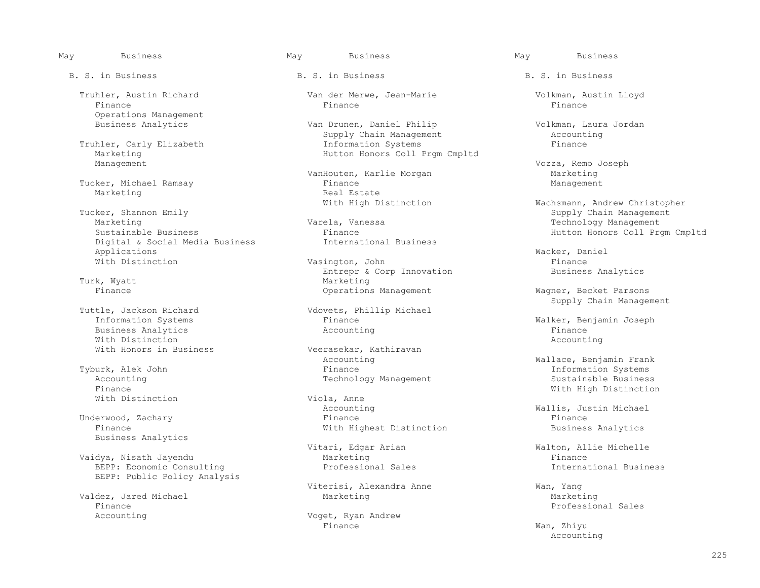Finance Finance Finance Operations Management<br>Business Analytics

Truhler, Carly Elizabeth<br>Marketing Marketing Hutton Honors Coll Prgm Cmpltd

Tucker, Michael Ramsay<br>Marketing

 Tucker, Shannon Emily Supply Chain Management Marketing Varela, Vanessa Technology Management Digital & Social Media Business<br>Applications Applications **Macker, Daniel** Macker, Daniel Macker, 2011

Turk, Wyatt<br>Finance

Business Analytics and the Section of Accounting Accounting and the Section of Tinance and Tinance and Tinance<br>
Mith Distinction and Accounting and Accounting and Accounting and Accounting and Accounting and Accounting an With Distinction  $\blacksquare$ With Honors in Business The Meerasekar, Kathiravan

Accounting Technology Management Finance With Distinction

Business Analytics

Vaidya, Nisath Jayendu Marketing Finance Finance Finance Finance Finance BEPP: Economic Consulting BEPP: Public Policy Analysis

Valdez, Jared Michael<br>Finance Finance Exercise Service States of the Professional Sales Professional Sales<br>
Professional Sales

# May Business May Business May Business

B. S. in Business The B. S. in Business B. S. in Business B. S. in Business

Truhler, Austin Richard Van der Merwe, Jean-Marie Volkman, Austin Lloyd

Van Drunen, Daniel Philip Volkman, Laura Jordan<br>Supply Chain Management Accounting Supply Chain Management<br>
Information Systems<br>
Finance

VanHouten, Karlie Morgan Marketing<br>Finance Management Real Estate<br>With High Distinction

Finance Finance Hutton Honors Coll Prgm Cmpltd<br>International Business Finance Hutton Honors Coll Prgm Cmpltd

With Distinction and Masington, John Finance Rimance Research Finance Rimance Rimance Rimance Rimance Rimance Entrepr & Corp Innovation Business Analytics<br>Marketing Operations Management Wagner, Becket Parsons

 Tuttle, Jackson Richard Vdovets, Phillip Michael Finance Malker, Benjamin Joseph<br>Accounting Tinance Finance

Accounting Tyburk, Alek John (Rank Tyburk, Alek John Mallace, Benjamin Frank Rank Tyburk, Alek John (Rank Tinance Statement Rank Theorement Systems (Rank Theorement Rank Theorement Systems Systems (Rank Theorement Rank The vurk, Alek John Chromation Systems Finance Finance Chromation Systems Information Systems<br>The Information Systems Information Systems of Technology Management Chromation Sustainable Business

Accounting  $\begin{array}{ccc}\n\texttt{Wallis, Justin Michael} \\
\texttt{Finance} \\
\end{array}$  Underwood, Zachary Finance Finance With Highest Distinction

Viterisi, Alexandra Anne Wan, Yang

Voget, Ryan Andrew<br>Finance Finance Wan, Zhiyu

Vozza, Remo Joseph<br>Marketing

With High Distinction and Machsmann, Andrew Christopher<br>Tucker, Shannon Emily Supply Chain Management

Supply Chain Management

Viola, Anne **Finance With High Distinction** 

Vitari, Edgar Arian Nicolae (Walton, Allie Michelle Marketing Marketing State of Marketing Marketing Marketing

Accounting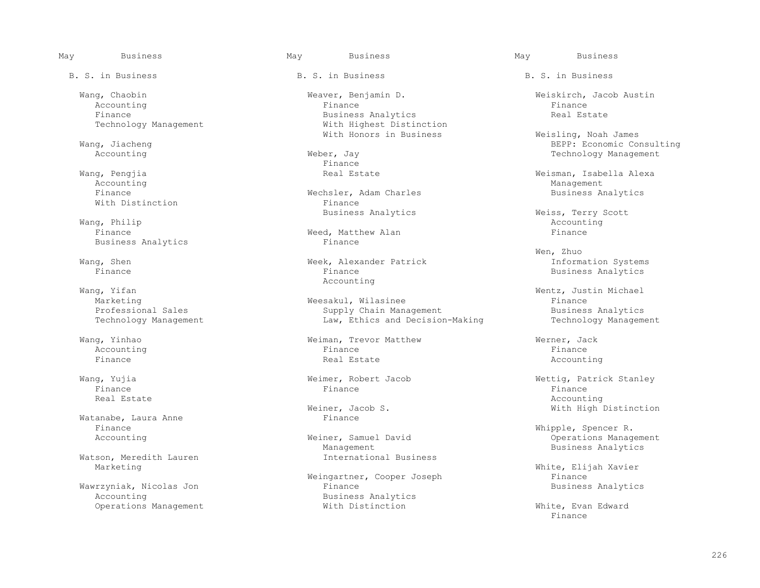May Business May Business May Business B. S. in Business The B. S. in Business B. S. in Business B. S. in Business Accounting the control of the Finance of the Finance of the Finance of the Finance of the Finance of the Finance With Honors in Business and Meisling, Noah James (Weisling Weisling Meisling Weisling Moah James<br>Wang, Jiacheng Meisling (Co Finance **Finance** Wang, Pengjia **Wang, Pengjia Real Estate** Real Estate New York Meisman, Isabella Alexa<br>Accounting Accounting Management Finance Mechsler, Adam Charles Business Analytics<br>
With Distinction **Business** Analytics<br>
Finance With Distinction and the Susiness Analytics<br>Business Analytics Business Analytics and Meiss, Terry Scott Weiss, Terry Scott Wang, Philip Wang, Philip Accounting Accounting Accounting Accounting Accounting Accounting Accounting Accounting Accounting Accounting Accounting Accounting Accounting Accounting Accounting Accounting Accounting Accounting Accounting Finance Meed, Matthew Alan Finance Rusiness Analytics Communicular Extension (Finance Finance Rusiness Analytics Finance Rusiness Analytics Communicular Rusiness Analytics Communicular Extension (Finance Rusiness Analytics Business Analytics wen, Zhuo Wang, Shen Summation Systems (Week, Alexander Patrick Theorem information Systems Finance and Vilics Finance of Theorem information Systems Finance and Vilics and Vilics of Theorem in Theorem in Theorem in Theorem in Theor Wang, Yifan Mang, Yifan Mang, Yifan Mang, Yifan Mang, Yifan Mang, Yifan Mang, Yifan Mang, Yifan Mang, Yifan Ma Wang, Yifan Wentz, Justin Michael Wang, Yinhao Weiman, Trevor Matthew Werner, Jack Accounting the control of the Finance of the Finance of the Finance of the Finance of the Finance of the Finance Finance Real Estate Accounting Wang, Yujia Weimer, Robert Jacob Wettig, Patrick Stanley Finance Finance Finance Real Estate Accounting Watanabe, Laura Anne Finance Finance Whipple, Spencer R. Watson, Meredith Lauren<br>Marketing

Wawrzyniak, Nicolas Jon<br>Accounting

 Wang, Chaobin Weaver, Benjamin D. Weiskirch, Jacob Austin Finance Business Analytics Real Estate With Highest Distinction

Marketing Marketing Meesakul, Wilasinee Meesakul, Wilasinee Finance Finance Expressional Sales Supply Chain Management Professional Sales and Supply Chain Management Business Analytics<br>Technology Management Supply Chain Management Business Analytics Law, Ethics and Decision-Making

Weiner, Jacob S. Neiner, Jacob S. With High Distinction

Management<br>International Business<br>
Business<br>
Business<br>
Business<br>
Analytics

Weingartner, Cooper Joseph Finance<br>Finance Finance Business Analytics Business Analytics<br>With Distinction

ng, Jiacheng Berg, Management (1999)<br>Accounting and Meber, Javan Berg, Management (1999) (1999) (1999) (1999) (1999)<br>Recounting and Meber, Javan (1999) (1999) (1999) (1999) (1999) (1999) (1999) (1999) (1999) (1999) (1999) er, Jay 1988, Counting Management Politics and Technology Management Pinance

Business Analytics

ner, Samuel David Communiculary Contractions Management<br>
Management Communiculary Communiculary Business Analytics

White, Elijah Xavier<br>Finance

Operations Management **Construction** With Distinction White, Evan Edward<br>Finance Finance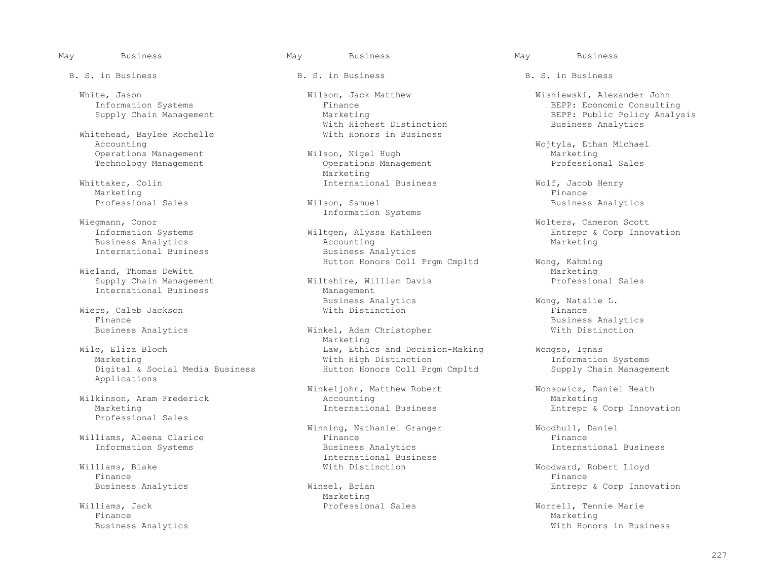Whitehead, Baylee Rochelle<br>Accounting Operations Management Wilson, Nigel Hugh Marketing

Whittaker, Colin **International Business** Wolf, Jacob Henry Marketing Marketing Finance Research of the set of the set of the set of the set of the set of the set of the set of the set of the set of the set of the set of the set of the set of the set of the set of the set of the set of the s

 Information Systems Wiegmann, Conor Wolters, Cameron Scott Business Analytics<br>
International Business<br>
Accounting Marketing Business Analytics International Business

Wieland, Thomas DeWitt<br>
Supply Chain Management<br>
Wiltshire, William Davis<br>
Wiltshire, William Davis International Business

Wiers, Caleb Jackson<br>Finance

Applications

Professional Sales

Information Systems

Finance Finance Finance Finance Finance Finance Finance Finance Finance Finance Finance Finance Finance Finance

 Williams, Jack Professional Sales Worrell, Tennie Marie Finance Marketing Marketing (1999) and the set of the set of the set of the Marketing Marketing (1990) and the set of the set of the set of the set of the set of the set of the set of the set of the set of the set of the s

B. S. in Business The B. S. in Business B. S. in Business B. S. in Business

 White, Jason Wilson, Jack Matthew Wisniewski, Alexander John With Highest Distinction<br>With Honors in Business

Operations Management<br>Marketing Marketing Marketing

Information Systems Wilter, Alyssa Kathleen Entrepr & Corp Innovation<br>
Marketing Hutton Honors Coll Prgm Cmpltd Wong, Kahming<br>Marketing

Wiltshire, William Davis<br>Management Business Analytics and Wong, Natalie L.<br>
Wong, Natalie L.<br>
Wong, Natalie L.<br>
Finance

Winkel, Adam Christopher<br>Marketing Marketing Marketing Wile, Eliza Bloch Law, Ethics and Decision-Making Wongso, Ignas Marketing With High Distinction Information Systems Hutton Honors Coll Prgm Cmpltd

Winkeljohn, Matthew Robert Monsowicz, Daniel Heath<br>Accounting Marketing Wilkinson, Aram Frederick and Accounting<br>Marketing Marketing Marketing Marketing Marketing

Winning, Nathaniel Granger  $\overline{w}$  Woodhull, Daniel<br>Finance Finance Rinance Williams, Aleena Clarice Finance Finance Villiams, Blake and Milliams and Milliams and Milliams and Milliams and Milliams and Milliams and Milliams and M<br>
Milliams, Blake and Milliams and Milliams and Milliams and Milliams and Milliams and Milliams and Milliams a

Business Analytics **Entrepr** & Corp Innovation **Winsel**, Brian **Entrepr** & Corp Innovation **Entrepr** & Corp Innovation Marketing Marketing

Information Systems Finance Finance EEPP: Economic Consulting<br>
Supply Chain Management Marketing Marketing Supply Chain Management BEPP: Public Policy Analysis<br>Business Analytics

Wojtyla, Ethan Michael<br>Warketing Marketing Marketing

Professional Sales **Business Analytics** Wilson, Samuel **Business Analytics** Business Analytics

Finance<br>Business Analytics The Minkel, Adam Christopher (Business Analytics Rusiness Analytics Rusiness Analytics Rusiness Analytics Rusiness Analytics Rusiness Analytics Rusiness Analytics Rusiness Analytics Rusiness Anal

Entrepr & Corp Innovation

Williams, Blake With Distinction Woodward, Robert Lloyd

Business Analytics **Music and Australian Control** Control Control Control Control Control Control Control Control Control Control Control Control Control Control Control Control Control Control Control Control Control Cont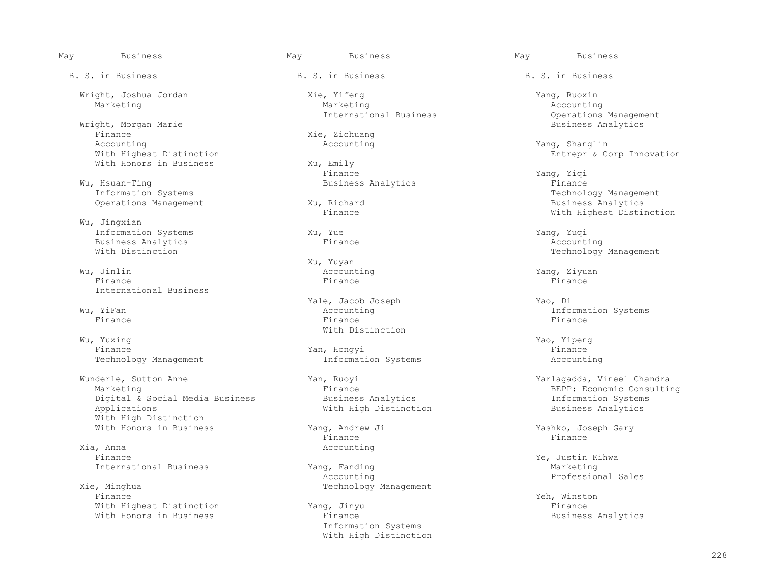Wright, Morgan Marie<br>Finance Finance Xie, Zichuang<br>Accounting Mecounting Accounting Accounting and the Magnetic Counting Accounting The Magnetic Shanglin Magnetic Shanglin With Highest Distinction<br>
With Honors in Business<br>
With Honors in Business<br>
Xu, Emily With Honors in Business Xu, Emily<br>Finance

Wu, Hsuan-Ting Systems (Exercise 2011) Business Analytics (Exercise 2015) Rinance Finance Rechnol<br>Information Systems Operations Management Xu, Richard Xu, Richard Business Analytics Analytics Analytics Analytics Analytics Analytics

 Wu, Jingxian Information Systems  $\chi$ u, Yue  $\chi$ information Systems  $\chi$ u, Yue  $\chi$ ang, Yuqi  $\chi$ ang, Yuqi  $\chi$ Business Analytics<br>With Distinction

 Wu, Jinlin Accounting Yang, Ziyuan Finance Finance Finance International Business

 Wu, Yuxing Yao, Yipeng Finance Yan, Hongyi Finance

 Wunderle, Sutton Anne Yan, Ruoyi Yarlagadda, Vineel Chandra Digital & Social Media Business<br>Applications With High Distinction

Xia, Anna anns anns an anns an Accounting anns an Accounting anns an Accounting anns an Accounting and Accounting and Accounting and Accounting and Accounting and Accounting and Accounting and Accounting and Accounting and

Xie, Minghua  $\Gamma$  and  $\Gamma$  are  $\Gamma$  and  $\Gamma$  are  $\Gamma$  are  $\Gamma$  and  $\Gamma$  are  $\Gamma$  are  $\Gamma$  are  $\Gamma$  are  $\Gamma$  and  $\Gamma$  are  $\Gamma$  are  $\Gamma$  are  $\Gamma$  and  $\Gamma$  are  $\Gamma$  are  $\Gamma$  are  $\Gamma$  and  $\Gamma$  are  $\Gamma$  are  $\Gamma$  are  $\Gamma$  and  $\$  Finance Yeh, Winston With Highest Distinction Tang, Jinyu Chamber of Thance and Pinance and Phinance and Phinance and Phinance and P<br>Finance Thance Thanks and Phinance Busines,

B. S. in Business The B. S. in Business B. S. in Business B. S. in Business

 Wright, Joshua Jordan Xie, Yifeng Yang, Ruoxin Marketing Marketing Accounting International Business Communications Management<br>
Business Analytics

Finance Yang, Yiqi

 $\verb|Wu, Jinlin| & & & \verb|Wu, Jinlin| & & \verb|Xu, Yuyan| & \verb|ACcounting| & \verb|Xu, Yuyan| & \verb|ACcounting| & \verb|Xu, Yuyan| & \verb|Xu, Yuyan| & \verb|Xu, Yuyan| & \verb|Xu, Yuyan| & \verb|Xu, Yuyan| & \verb|Xu, Yuyan| & \verb|Xu, Yuyan| & \verb|Xu, Yuyan| & \verb|Xu, Yuyan| & \verb|Xu, Yuyan| & \verb|Xu, Yuyan|$ 

Yale, Jacob Joseph Yao, Di Yao, Di Yao, Di Yao, Di Yao, Di Yao, Di Yao, Di Yao, Di Yao, Di Yao, Di Yao, Di Yao, Di Yao, Di Yao, Di Yao, Di Yao, Di Yao, Di Yao, Di Yao, Di Yao, Di Yao, Di Yao, Di Yao, Di Yao, Di Yao, Di Yao Finance Finance Finance With Distinction<br>Wu, Yuxing

Technology Management Information Systems Accounting

With High Distinction **Business Analytics** 

Finance Finance

International Business The Marketing Yang, Fanding Marketing Marketing Marketing Marketing Accounting Accounting Accounting Marketing Professional Sales Accounting Professional Sales

> Information Systems With High Distinction

Information System System System System System System System System System System System System System System System System System System System System System System System System System System System System System System With Highest Distinction

Technology Management

Wu, YiFan Accounting Information Systems

Finance<br>BEPP: Economic Consulting<br>Dusiness Analytics<br>BEPP: Economic Consulting

With Honors in Business Tang, Andrew Ji <br>
Finance Finance Finance Finance Rinance

Ye, Justin Kihwa<br>Yang, Fanding (1999) Marketing Marketing

Business Analytics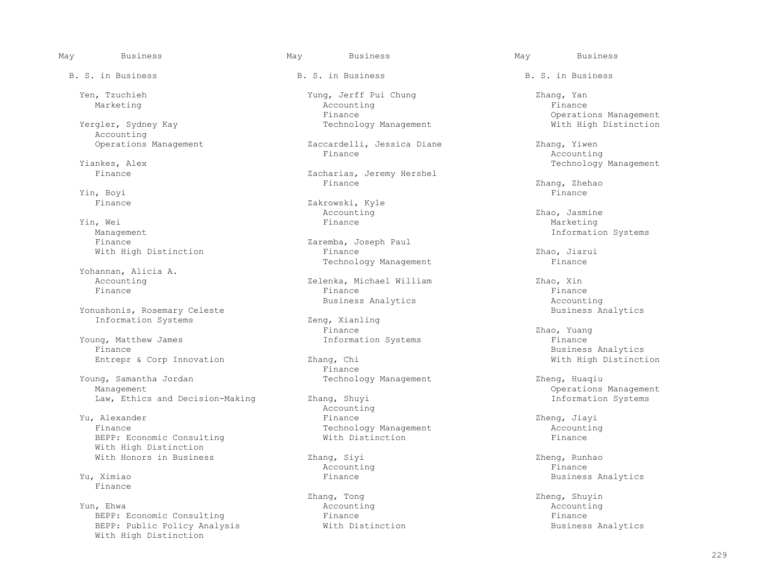Accounting<br>Operations Management

Yin, Boyi Finance

 Yin, Wei Finance Marketing Management Information Systems

Yohannan, Alicia A.

Yonushonis, Rosemary Celeste<br>
The Business Analytics<br>
Information Systems<br>
Business Analytics Information Systems Zeng, Xianly<br>Finance

Young, Matthew James **Information Systems** Finance Finance **Finance** Primation Systems Finance Busines Entrepr & Corp Innovation Zhang, Chi Zhang, Chi

Young, Samantha Jordan Technology Management Zheng, Huaqiu Management Zheng, Huaqiu Management Law, Ethics and Decision-Making

Yu, Alexander and the settlement of the Marine School and Accounting Yu, Alexander Finance Zheng, Jiayi Finance Technology Management and Accounting<br>
REPP: Economic Consulting and Mith Distinction and The Finance BEPP: Economic Consulting With High Distinction With Honors in Business and Milliang Zhang, Siyi and Milliang and Zheng, Runhao Zheng, Runhao and Zheng, Runhao

Finance

 Yun, Ehwa Accounting Accounting BEPP: Economic Consulting and Theorem and Pinance Finance Finance Finance Finance Finance Finance Finance Finance Finance Finance Finance Finance Finance Finance Finance Finance Finance Finance Finance Finance Finance Fina BEPP: Public Policy Analysis **With Distinction** and Muslimess Analytics Business Analytics With High Distinction

B. S. in Business The B. S. in Business B. S. in Business B. S. in Business

 Yen, Tzuchieh Yung, Jerff Pui Chung Zhang, Yan Marketing Research Controller (Marketing Accounting Research Accounting Research Accounting Research Accounting Finance Operations Management

Zaccardelli, Jessica Diane 20 Zhang, Yiwen<br>Finance 20 Accounting Finance Accounting

Zacharias, Jeremy Hershel<br>Finance Finance Zhang, Zhehao

Finance 2akrowski, Kyle<br/> Zakrowski, Kyle $\,$  Accounting Accounting Zhao, Jasmine

Zaremba, Joseph Paul<br>Finance With High Distinction Timance Finance Extending the Chao, Jiarui Chao, Jiarui Einance Zhao, Jiarui Estenbeding<br>Technology Management Finance Finance Technology Management

 Accounting Zelenka, Michael William Zhao, Xin Finance Finance Finance Business Analytics **Accounting** 

Finance Zhao, Yuang

Finance **Finance** 

Accounting the set of the set of the set of the set of the set of the set of the set of the set of the set of t

Zhang, Tong Zheng, Shuyin

With High Distinction

Yiankes, Alex Technology Management

Business Analytics<br>With High Distinction

Operations Management<br>  $\Omega$ anagement Operations Management

Yu, Ximiao Finance Business Analytics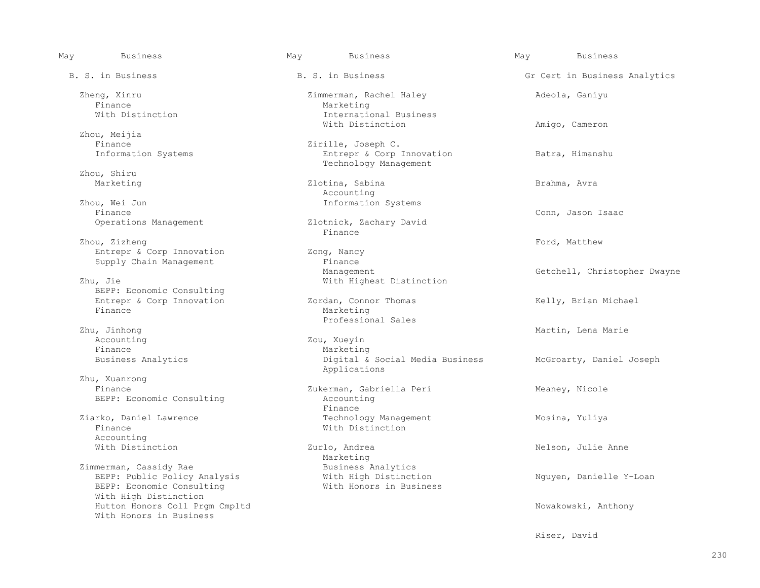Finance and Marketing Marketing With Distinction **International Business**  Zhou, Meijia Finance  $\begin{array}{ccc}\n\text{Finance} & \text{2irille, Joseph C.} \\
\text{Information Systems} & \text{Energy & \text{Corp}\n\end{array}$  Zhou, Shiru Zhou, Wei Jun and Society and School and Theorem and Theorem and Theorem and Theorem and Theorem and Theorem and Theorem and Theorem and Theorem and Theorem and Theorem and Theorem and Theorem and Theorem and Theorem and T vu, Wei Jun 1999 vulkostens Einance vulkostens Einance vulkostens Einance vulkostens Einance vulkostens Einance vulkostens Einance vulkostens Einance vulkostens Einance vulkostens Einance vulkostens Einance vulkostens Eina Finance **Finance** Entrepr & Corp Innovation Zong, Nancy Supply Chain Management<br>
Management<br>
Management BEPP: Economic Consulting Finance and Marketing Marketing Professional Sales Accounting  $\begin{array}{ccc}\n\text{Zou, Xueyin} \\
\text{Finance} & \text{Max1} \\
\end{array}$  Zhu, Xuanrong BEPP: Economic Consulting Finance **Finance** Accounting<br>With Distinction Zimmerman, Cassidy Rae Business Analytics<br>BEPP: Public Policy Analysis Mith High Distinction BEPP: Economic Consulting With High Distinction With Honors in Business

 May Business May Business May Business B. S. in Business The B. S. in Business Gr Cert in Business Analytics Zheng, Xinru Zimmerman, Rachel Haley Adeola, Ganiyu With Distinction **Amigo, Cameron** Entrepr & Corp Innovation Batra, Himanshu Technology Management Marketing Zlotina, Sabina Brahma, Avra Finance<br>Operations Management Zlotnick, Zachary David Zlotnick, Zachary David<br>Finance Zhou, Zizheng Ford, Matthew Energy School (1999) and the set of the set of the set of the set of the set of the set of the set of the set of the set of the set of the set of the set of the set of the set of the set of the Management Management Getchell, Christopher Dwayne Chu, Getchell, Christopher Dwayne With Highest Distinction Entrepr & Corp Innovation  $\qquad$  Zordan, Connor Thomas  $\qquad$  Kelly, Brian Michael Finance Zhu, Jinhong Martin, Lena Marie Marketing Business Analytics **Business Analytics Digital & Social Media Business** McGroarty, Daniel Joseph Applications Zukerman, Gabriella Peri Meaney, Nicole<br>Accounting Ziarko, Daniel Lawrence and Technology Management and Mosina, Yuliya<br>
Finance Mith Distinction With Distinction Zurlo, Andrea Nelson, Julie Anne Marketing<br>Business Analytics BEPP: Public Policy Analysis  $\overline{W}$  with High Distinction  $\overline{W}$  Nguyen, Danielle Y-Loan Nguyen, Danielle Y-Loan Hutton Honors Coll Prgm Cmpltd Nowakowski, Anthony

Riser, David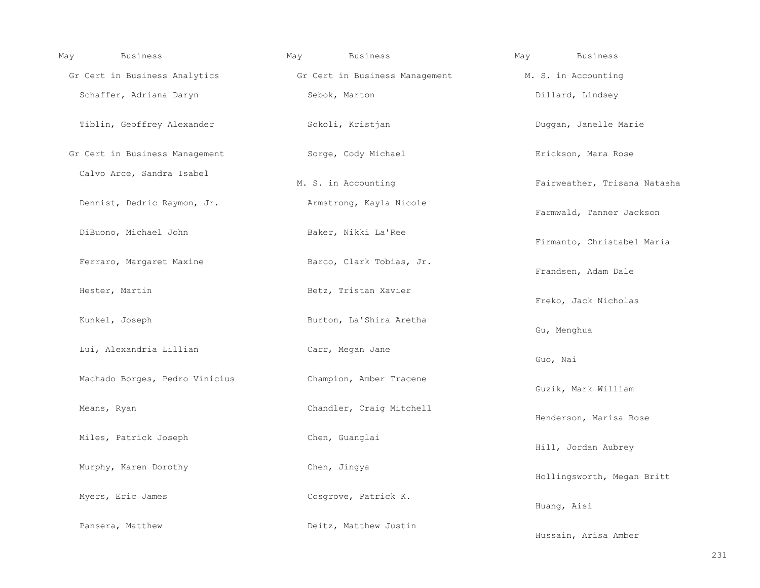| <b>Business</b><br>May         | <b>Business</b><br>May                                       | May<br><b>Business</b>       |
|--------------------------------|--------------------------------------------------------------|------------------------------|
|                                | Gr Cert in Business Analytics Gr Cert in Business Management | M. S. in Accounting          |
| Schaffer, Adriana Daryn        | Sebok, Marton                                                | Dillard, Lindsey             |
| Tiblin, Geoffrey Alexander     | Sokoli, Kristjan                                             | Duggan, Janelle Marie        |
| Gr Cert in Business Management | Sorge, Cody Michael                                          | Erickson, Mara Rose          |
| Calvo Arce, Sandra Isabel      | M. S. in Accounting                                          | Fairweather, Trisana Natasha |
| Dennist, Dedric Raymon, Jr.    | Armstrong, Kayla Nicole                                      | Farmwald, Tanner Jackson     |
| DiBuono, Michael John          | Baker, Nikki La'Ree                                          | Firmanto, Christabel Maria   |
| Ferraro, Margaret Maxine       | Barco, Clark Tobias, Jr.                                     | Frandsen, Adam Dale          |
| Hester, Martin                 | Betz, Tristan Xavier                                         | Freko, Jack Nicholas         |
| Kunkel, Joseph                 | Burton, La'Shira Aretha                                      | Gu, Menghua                  |
| Lui, Alexandria Lillian        | Carr, Megan Jane                                             | Guo, Nai                     |
| Machado Borges, Pedro Vinicius | Champion, Amber Tracene                                      | Guzik, Mark William          |
| Means, Ryan                    | Chandler, Craig Mitchell                                     | Henderson, Marisa Rose       |
| Miles, Patrick Joseph          | Chen, Guanglai                                               | Hill, Jordan Aubrey          |
| Murphy, Karen Dorothy          | Chen, Jingya                                                 | Hollingsworth, Megan Britt   |
| Myers, Eric James              | Cosgrove, Patrick K.                                         | Huang, Aisi                  |
| Pansera, Matthew               | Deitz, Matthew Justin                                        | Hussain, Arisa Amber         |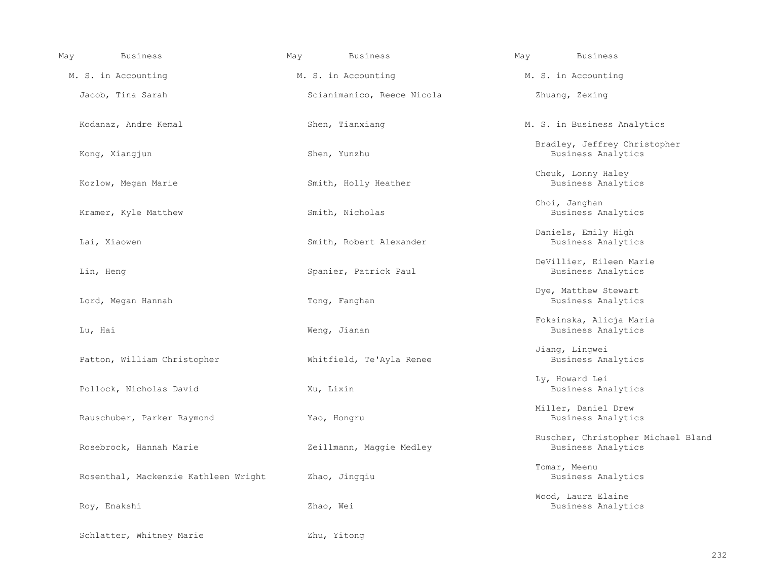| <b>Business</b><br>May               | May<br>Business            | <b>Business</b><br>May                                   |
|--------------------------------------|----------------------------|----------------------------------------------------------|
| M. S. in Accounting                  | M. S. in Accounting        | M. S. in Accounting                                      |
| Jacob, Tina Sarah                    | Scianimanico, Reece Nicola | Zhuang, Zexing                                           |
| Kodanaz, Andre Kemal                 | Shen, Tianxiang            | M. S. in Business Analytics                              |
| Kong, Xiangjun                       | Shen, Yunzhu               | Bradley, Jeffrey Christopher<br>Business Analytics       |
| Kozlow, Megan Marie                  | Smith, Holly Heather       | Cheuk, Lonny Haley<br>Business Analytics                 |
| Kramer, Kyle Matthew                 | Smith, Nicholas            | Choi, Janghan<br>Business Analytics                      |
| Lai, Xiaowen                         | Smith, Robert Alexander    | Daniels, Emily High<br>Business Analytics                |
| Lin, Heng                            | Spanier, Patrick Paul      | DeVillier, Eileen Marie<br>Business Analytics            |
| Lord, Megan Hannah                   | Tong, Fanghan              | Dye, Matthew Stewart<br>Business Analytics               |
| Lu, Hai                              | Weng, Jianan               | Foksinska, Alicja Maria<br>Business Analytics            |
| Patton, William Christopher          | Whitfield, Te'Ayla Renee   | Jiang, Lingwei<br>Business Analytics                     |
| Pollock, Nicholas David              | Xu, Lixin                  | Ly, Howard Lei<br>Business Analytics                     |
| Rauschuber, Parker Raymond           | Yao, Hongru                | Miller, Daniel Drew<br>Business Analytics                |
| Rosebrock, Hannah Marie              | Zeillmann, Maggie Medley   | Ruscher, Christopher Michael Bland<br>Business Analytics |
| Rosenthal, Mackenzie Kathleen Wright | Zhao, Jingqiu              | Tomar, Meenu<br>Business Analytics                       |
| Roy, Enakshi                         | Zhao, Wei                  | Wood, Laura Elaine<br>Business Analytics                 |
| Schlatter, Whitney Marie             | Zhu, Yitong                |                                                          |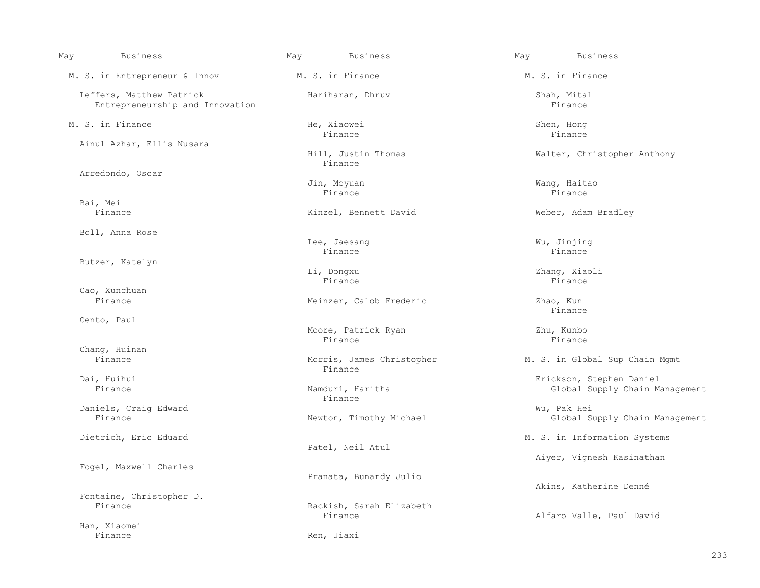| May | Business                                                    | May | Business                             | May | <b>Business</b>                       |
|-----|-------------------------------------------------------------|-----|--------------------------------------|-----|---------------------------------------|
|     | M. S. in Entrepreneur & Innov                               |     | M. S. in Finance                     |     | M. S. in Finance                      |
|     | Leffers, Matthew Patrick<br>Entrepreneurship and Innovation |     | Hariharan, Dhruv                     |     | Shah, Mital<br>Finance                |
|     | M. S. in Finance                                            |     | He, Xiaowei<br>Finance               |     | Shen, Hong<br>Finance                 |
|     | Ainul Azhar, Ellis Nusara                                   |     | Hill, Justin Thomas<br>Finance       |     | Walter, Christoph                     |
|     | Arredondo, Oscar                                            |     | Jin, Moyuan<br>Finance               |     | Wang, Haitao<br>Finance               |
|     | Bai, Mei<br>Finance                                         |     | Kinzel, Bennett David                |     | Weber, Adam Bradl                     |
|     | Boll, Anna Rose                                             |     | Lee, Jaesang<br>Finance              |     | Wu, Jinjing<br>Finance                |
|     | Butzer, Katelyn                                             |     | Li, Dongxu<br>Finance                |     | Zhang, Xiaoli<br>Finance              |
|     | Cao, Xunchuan<br>Finance                                    |     | Meinzer, Calob Frederic              |     | Zhao, Kun<br>Finance                  |
|     | Cento, Paul                                                 |     | Moore, Patrick Ryan<br>Finance       |     | Zhu, Kunbo<br>Finance                 |
|     | Chang, Huinan<br>Finance                                    |     | Morris, James Christopher<br>Finance |     | M. S. in Global Sup                   |
|     | Dai, Huihui<br>Finance                                      |     | Namduri, Haritha<br>Finance          |     | Erickson, Stephen<br>Global Supply    |
|     | Daniels, Craig Edward<br>Finance                            |     | Newton, Timothy Michael              |     | Wu, Pak Hei<br>Global Supply          |
|     | Dietrich, Eric Eduard                                       |     | Patel, Neil Atul                     |     | M. S. in Informatio                   |
|     | Fogel, Maxwell Charles                                      |     | Pranata, Bunardy Julio               |     | Aiyer, Vignesh Ka                     |
|     | Fontaine, Christopher D.<br>Finance                         |     | Rackish, Sarah Elizabeth<br>Finance  |     | Akins, Katherine<br>Alfaro Valle, Pau |
|     | Han, Xiaomei<br>Finance                                     |     | Ren, Jiaxi                           |     |                                       |
|     |                                                             |     |                                      |     |                                       |

Hill, Justin Thomas and Malter, Christopher Anthony<br>Finance External Superty David Cinzel, Bennett David Einzer, Calob Frederic and Zhao, Kun<br>Finance

Surris, James Christopher M. S. in Global Sup Chain Mgmt<br>Finance

Erickson, Stephen Daniel<br>Global Supply Chain Manduri, Haritha nduri, Haritha Namagement Clobal Supply Chain Management<br>Finance

Finance Newton, Timothy Michael Global Supply Chain Management

M. S. in Information Systems

Aiyer, Vignesh Kasinathan

Akins, Katherine Denné

Alfaro Valle, Paul David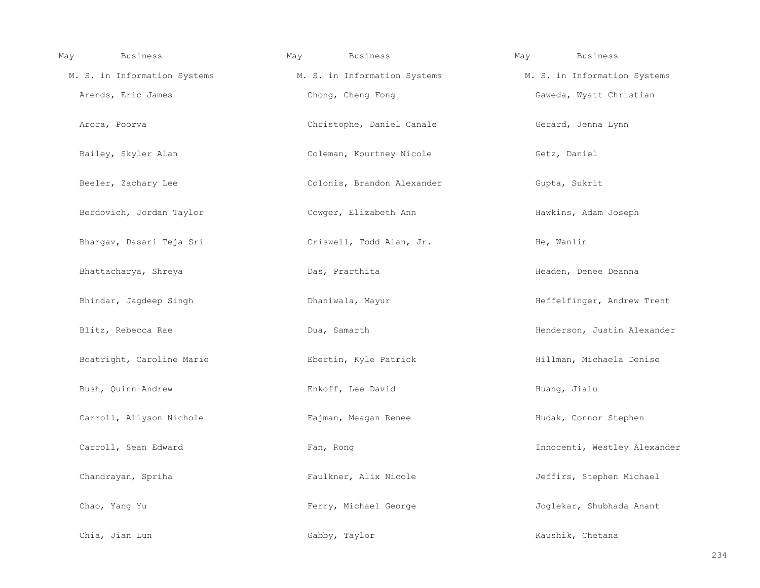| May |               | Business                     | May |               | <b>Business</b>              | May | <b>Business</b>              |
|-----|---------------|------------------------------|-----|---------------|------------------------------|-----|------------------------------|
|     |               | M. S. in Information Systems |     |               | M. S. in Information Systems |     | M. S. in Information Systems |
|     |               | Arends, Eric James           |     |               | Chong, Cheng Fong            |     | Gaweda, Wyatt Christian      |
|     | Arora, Poorva |                              |     |               | Christophe, Daniel Canale    |     | Gerard, Jenna Lynn           |
|     |               | Bailey, Skyler Alan          |     |               | Coleman, Kourtney Nicole     |     | Getz, Daniel                 |
|     |               | Beeler, Zachary Lee          |     |               | Colonis, Brandon Alexander   |     | Gupta, Sukrit                |
|     |               | Berdovich, Jordan Taylor     |     |               | Cowger, Elizabeth Ann        |     | Hawkins, Adam Joseph         |
|     |               | Bhargav, Dasari Teja Sri     |     |               | Criswell, Todd Alan, Jr.     |     | He, Wanlin                   |
|     |               | Bhattacharya, Shreya         |     |               | Das, Prarthita               |     | Headen, Denee Deanna         |
|     |               | Bhindar, Jaqdeep Singh       |     |               | Dhaniwala, Mayur             |     | Heffelfinger, Andrew Trent   |
|     |               | Blitz, Rebecca Rae           |     | Dua, Samarth  |                              |     | Henderson, Justin Alexander  |
|     |               | Boatright, Caroline Marie    |     |               | Ebertin, Kyle Patrick        |     | Hillman, Michaela Denise     |
|     |               | Bush, Quinn Andrew           |     |               | Enkoff, Lee David            |     | Huang, Jialu                 |
|     |               | Carroll, Allyson Nichole     |     |               | Fajman, Meagan Renee         |     | Hudak, Connor Stephen        |
|     |               | Carroll, Sean Edward         |     | Fan, Rong     |                              |     | Innocenti, Westley Alexander |
|     |               | Chandrayan, Spriha           |     |               | Faulkner, Alix Nicole        |     | Jeffirs, Stephen Michael     |
|     | Chao, Yang Yu |                              |     |               | Ferry, Michael George        |     | Joglekar, Shubhada Anant     |
|     |               | Chia, Jian Lun               |     | Gabby, Taylor |                              |     | Kaushik, Chetana             |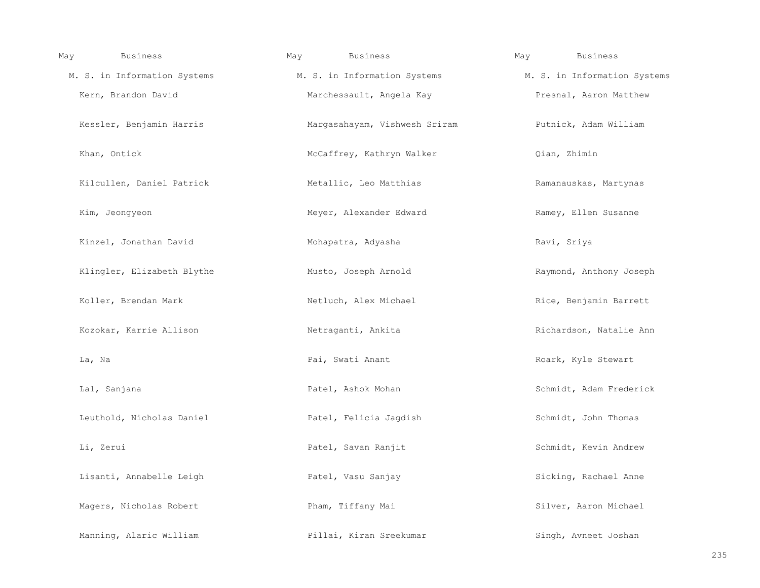| May | <b>Business</b>              | May | Business                      | May | <b>Business</b>              |
|-----|------------------------------|-----|-------------------------------|-----|------------------------------|
|     | M. S. in Information Systems |     | M. S. in Information Systems  |     | M. S. in Information Systems |
|     | Kern, Brandon David          |     | Marchessault, Angela Kay      |     | Presnal, Aaron Matthew       |
|     | Kessler, Benjamin Harris     |     | Margasahayam, Vishwesh Sriram |     | Putnick, Adam William        |
|     | Khan, Ontick                 |     | McCaffrey, Kathryn Walker     |     | Qian, Zhimin                 |
|     | Kilcullen, Daniel Patrick    |     | Metallic, Leo Matthias        |     | Ramanauskas, Martynas        |
|     | Kim, Jeongyeon               |     | Meyer, Alexander Edward       |     | Ramey, Ellen Susanne         |
|     | Kinzel, Jonathan David       |     | Mohapatra, Adyasha            |     | Ravi, Sriya                  |
|     | Klingler, Elizabeth Blythe   |     | Musto, Joseph Arnold          |     | Raymond, Anthony Joseph      |
|     | Koller, Brendan Mark         |     | Netluch, Alex Michael         |     | Rice, Benjamin Barrett       |
|     | Kozokar, Karrie Allison      |     | Netraganti, Ankita            |     | Richardson, Natalie Ann      |
|     | La, Na                       |     | Pai, Swati Anant              |     | Roark, Kyle Stewart          |
|     | Lal, Sanjana                 |     | Patel, Ashok Mohan            |     | Schmidt, Adam Frederick      |
|     | Leuthold, Nicholas Daniel    |     | Patel, Felicia Jagdish        |     | Schmidt, John Thomas         |
|     | Li, Zerui                    |     | Patel, Savan Ranjit           |     | Schmidt, Kevin Andrew        |
|     | Lisanti, Annabelle Leigh     |     | Patel, Vasu Sanjay            |     | Sicking, Rachael Anne        |
|     | Magers, Nicholas Robert      |     | Pham, Tiffany Mai             |     | Silver, Aaron Michael        |
|     | Manning, Alaric William      |     | Pillai, Kiran Sreekumar       |     | Singh, Avneet Joshan         |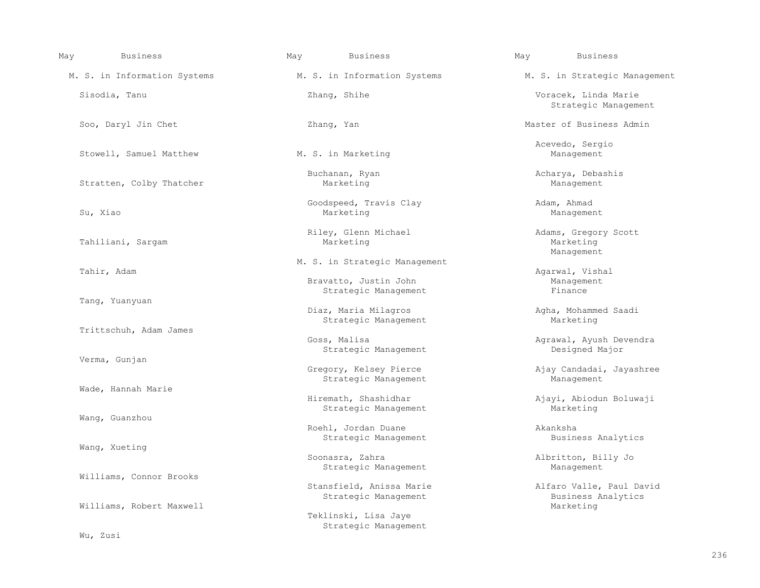| May | <b>Business</b>              | May | <b>Business</b>                                        | May | Business                                        |
|-----|------------------------------|-----|--------------------------------------------------------|-----|-------------------------------------------------|
|     | M. S. in Information Systems |     | M. S. in Information Systems                           |     | M. S. in Strategic Management                   |
|     | Sisodia, Tanu                |     | Zhang, Shihe                                           |     | Voracek, Linda Marie<br>Strategic Management    |
|     | Soo, Daryl Jin Chet          |     | Zhang, Yan                                             |     | Master of Business Admin                        |
|     | Stowell, Samuel Matthew      |     | M. S. in Marketing                                     |     | Acevedo, Sergio<br>Management                   |
|     | Stratten, Colby Thatcher     |     | Buchanan, Ryan<br>Marketing                            |     | Acharya, Debashis<br>Management                 |
|     | Su, Xiao                     |     | Goodspeed, Travis Clay<br>Marketing                    |     | Adam, Ahmad<br>Management                       |
|     | Tahiliani, Sargam            |     | Riley, Glenn Michael<br>Marketing                      |     | Adams, Gregory Scott<br>Marketing<br>Management |
|     | Tahir, Adam                  |     | M. S. in Strategic Management<br>Bravatto, Justin John |     | Agarwal, Vishal<br>Management                   |
|     | Tang, Yuanyuan               |     | Strategic Management<br>Diaz, Maria Milagros           |     | Finance                                         |
|     | Trittschuh, Adam James       |     | Strategic Management                                   |     | Agha, Mohammed Saadi<br>Marketing               |
|     | Verma, Gunjan                |     | Goss, Malisa<br>Strategic Management                   |     | Agrawal, Ayush Devendra<br>Designed Major       |
|     |                              |     | Gregory, Kelsey Pierce<br>Strategic Management         |     | Ajay Candadai, Jayashree<br>Management          |
|     | Wade, Hannah Marie           |     | Hiremath, Shashidhar<br>Strategic Management           |     | Ajayi, Abiodun Boluwaji<br>Marketing            |
|     | Wang, Guanzhou               |     | Roehl, Jordan Duane<br>Strategic Management            |     | Akanksha<br>Business Analytics                  |
|     | Wang, Xueting                |     | Soonasra, Zahra<br>Strategic Management                |     | Albritton, Billy Jo<br>Management               |
|     | Williams, Connor Brooks      |     | Stansfield, Anissa Marie                               |     | Alfaro Valle, Paul David                        |
|     | Williams, Robert Maxwell     |     | Strategic Management<br>Teklinski, Lisa Jaye           |     | Business Analytics<br>Marketing                 |
|     | Wu, Zusi                     |     | Strategic Management                                   |     |                                                 |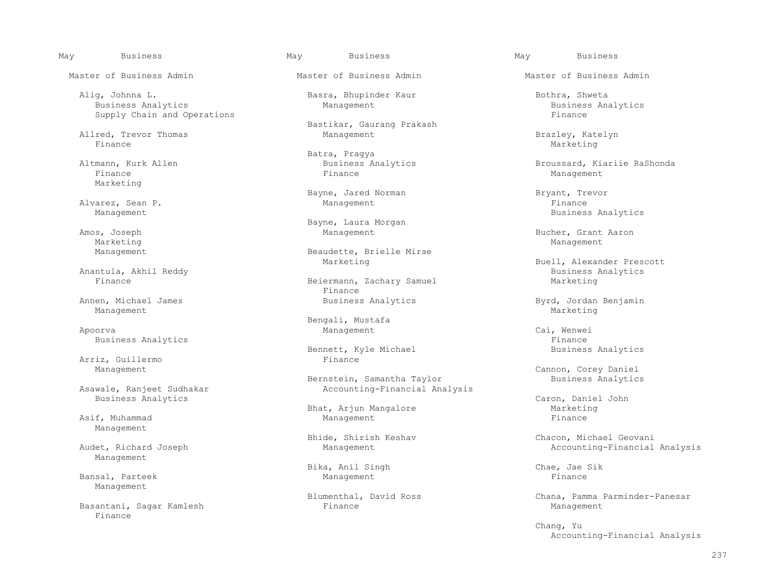Alig, Johnna L. Basra, Bhupinder Kaur Bothra, Shweta Business Analytics Management Business Analytics Supply Chain and Operations

Allred, Trevor Thomas and Management Management Brazley, Katelyn Brazley, Katelyn Brazley, Katelyn Brazley, Katelyn Finance Marketing Marketing (1999) and the set of the set of the set of the Marketing Marketing (1990) and the set of the set of the set of the set of the set of the set of the set of the set of the set of the set of the s

 Finance Finance Management Marketing

Alvarez, Sean P.<br>Management

Marketing Management

Anantula, Akhil Reddy<br>Finance Business Analytics Beiermann, Zachary Samuel Marketing

Management and the settlement of the settlement of the settlement of the settlement of the Marketing Marketing

Apoorva Management Cai, Wenwei

Arriz, Guillermo<br>Management

Management

Management

Management

Finance

Bastikar, Gaurang Prakash

Batra, Pragya<br>Business Analytics (Business Analytics

Bayne, Jared Norman Bryant, Trevor Management Bryant, Trevor

Bayne, Laura Morgan (Bayne, Laura Morgan (Bayne, Laura Morgan (Bayne, Laura Morgan (Bayne, Laura Morgan (Bayne, Laura Morgan (Bayne, Laura Morgan (Bayne, Laura Morgan (Bayne, Laura Morgan (Bayne, Laura Morgan (Bayne, Laura

Management **Beaudette**, Brielle Mirae

Beiermann, Zachary Samuel<br>Finance Finance **Finance** Annen, Michael James **Business Analytics** Byrd, Jordan Benjamin

Bengali, Mustafa<br>Bengali, Mustafa<br>Management

Bennett, Kyle Michael<br>Finance

Bernstein, Samantha Taylor<br>Asawale, Ranjeet Sudhakar Maxameed Analytics Accounting-Financial Ana Accounting-Financial Analysis

 Bhat, Arjun Mangalore Marketing Asif, Muhammad Management Finance

Bika, Anil Singh Chae, Jae Sik<br>
Management Chae, Jae Sik Bansal, Parteek Management

Basantani, Sagar Kamlesh Management Ranagement Ranagement Ranagement Management

Master of Business Admin Master of Business Admin Master of Business Admin

Altmann, Kurk Allen Business Analytics Broussard, Kiariie RaShonda

Business Analytics

Amos, Joseph Management Bucher, Grant Aaron

Marketing **Buell, Alexander Prescott** Business Analytics

Business Analytics<br>Bennett, Kyle Michael Eusiness Analytics<br>Business Analytics

Cannon, Corey Daniel<br>Business Analytics

Business Analytics<br>Bhat, Ariun Mangalore and Caron, Daniel John Caron, Daniel John Caron, Daniel John Caron, Daniel John Caron, D

Bhide, Shirish Keshav Chacon, Michael Geovani Bhide, Shirish Keshav Chacon, Michael Geovani<br>Management Chacounting-Financial Management Accounting-Financial Accounting-Financial Analysis

Blumenthal, David Ross Chana, Pamma Parminder-Panesar<br>Finance Management.

 Chang, Yu Accounting-Financial Analysis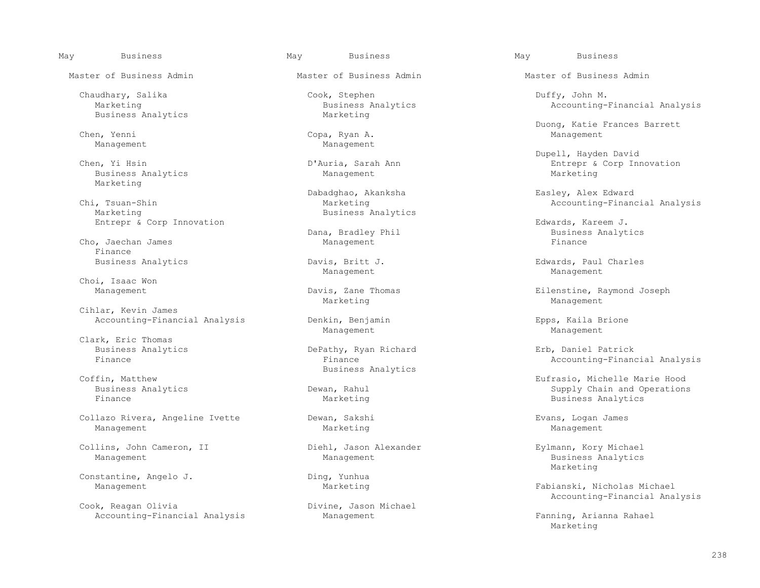Business Analytics

Chen, Yenni Copa, Ryan A. Management

Business Analytics Marketing

., Tsuan-Shin Marketing Marketing Marketing Marketing Accounting-Financial Analysis<br>Marketing Marketing Business Analytics

Cho, Jaechan James Management Finance<br>Business Analytics

Choi, Isaac Won<br>Management

Cihlar, Kevin James

Clark, Eric Thomas<br>Business Analytics Business Analytics DePathy, Ryan Richard Erb, Daniel Patrick

 Collazo Rivera, Angeline Ivette Dewan, Sakshi Evans, Logan James Management Marketing Management

Collins, John Cameron, II Diehl, Jason Alexander Eylmann, Kory Michael

Constantine, Angelo J. Ding, Yunhua

Cook, Reagan Olivia Divine, Jason Divine, Jason Divine, Jason Management Accounting-Financial Analysis Management Management Fanning, Arianna Rahael

 Chaudhary, Salika Cook, Stephen Duffy, John M. Business Analytics and Marketing Business Analytics Accounting-Financial Analysis<br>Marketing

Management Management

 Dabadghao, Akanksha Easley, Alex Edward Business Analytics

Marketing Management

 Accounting-Financial Analysis Denkin, Benjamin Epps, Kaila Brione Management Management

Example 3 and Dusiness Analytics<br>
Business Analytics<br>
Business Analytics

May Business May Business May Business

Master of Business Admin Master of Business Admin Master of Business Admin

Duong, Katie Frances Barrett

Dupell, Hayden David الكلمات D'Auria, Sarah Ann مستخدم المستخدم المستخدم المستخدم المستخدم المستخدم المستخدم ا<br>D'Auria, Sarah Ann مستخدم المستخدم المستخدم المستخدم المستخدم المستخدم المستخدم المستخدم المستخدم المستخدم الم Chen, Yi Hsin D'Auria, Sarah Ann Entrepr & Corp Innovation

Entrepr & Corp Innovation **Entrepr & Corp Innovation** Edwards, Kareem J.<br>Dana, Bradley Phil **Edwards, Kareem J.** Dana, Bradley Phil Business Analytics<br>Finance

 Business Analytics Davis, Britt J. Edwards, Paul Charles Management Management

Davis, Zane Thomas and Eilenstine, Raymond Joseph<br>Management Marketing Management

Accounting-Financial Analysis

fin, Matthew Eufrasio, Michelle Marie Hood<br>Business Analytics and the Corean of Dewan, Rahul and Supply Chain and Operation: Business Analytics Dewan, Rahul Supply Chain and Operations Business Analytics

Management Management Management Management Business Analytics<br>Marketing Marketing and the Marketing

> Fabianski, Nicholas Michael Accounting-Financial Analysis

Marketing and the marketing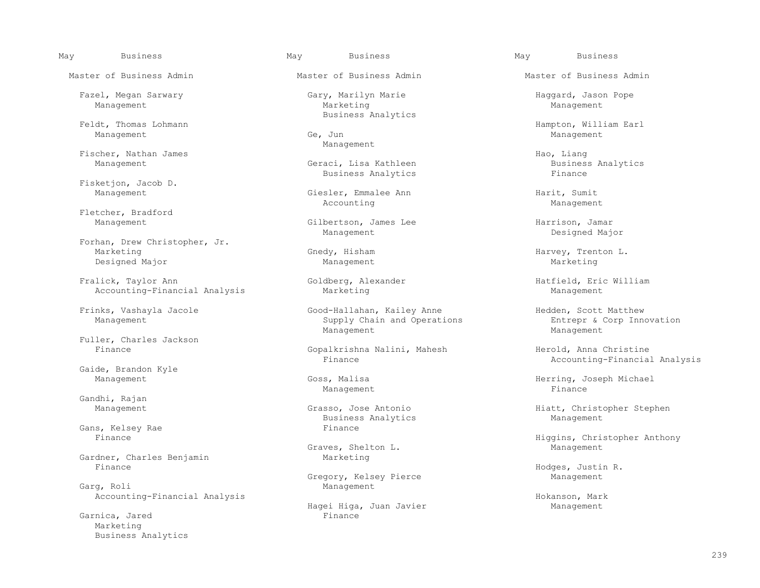Management Ge, Jun Management

Fischer, Nathan James<br>Management Management Seraci, Lisa Kathleen Handy Business Analytics

Fisketjon, Jacob D.<br>Management

Fletcher, Bradford<br>Management

Forhan, Drew Christopher, Jr.<br>Marketing Designed Major Management Management Marketing Marketing

Fralick, Taylor Ann Goldberg, Alexander and Hatfield, Eric William Accounting-Financial Analysis Marketing Management Accounting-Financial Analysis

Fuller, Charles Jackson<br>Finance

Gaide, Brandon Kyle<br>Management

Gandhi, Rajan

Gans, Kelsey Rae Finance Finance Finance Reserves and Finance Reserves and Reserves and Reserves and Reserves A

Gardner, Charles Benjamin Marketing<br>Finance

Accounting-Financial Analysis **Hokanson, Mark** Hokanson, Mark

Garnica, Jared Marketing Business Analytics

Master of Business Admin Master of Business Admin Master of Business Admin

 Fazel, Megan Sarwary Gary, Marilyn Marie Haggard, Jason Pope Management Marketing Management Feldt, Thomas Lohmann and South Business Analytics

Management

Geraci, Lisa Kathleen Business<br>Business Analytics<br>Finance Business Analytics

Giesler, Emmalee Ann Management Harit, Sumit<br>Accounting Management Accounting Management

Gilbertson, James Lee Harrison, Jamar<br>Management Designed Major Management Designed Major

Frinks, Vashayla Jacole Good-Hallahan, Kailey Anne Hedden, Scott Matthew<br>Management Supply Chain and Operations Supply Chain and Operations Fintrepr & Corp Innovations Entrepr & Corp Integrations Entreprise Indianagement Management Management

Gopalkrishna Nalini, Mahesh Herold, Anna Christine<br>Finance Herold, Anna Christine

Business Analytics

Graves, Shelton L.

Gregory, Kelsey Pierce and Management Management Management Management Management Management Management Management Management Management Management Management Management Management Management Management Management Manageme Management

Hagei Higa, Juan Javier Management<br>Finance

dt, Thomas Lohmann and Barbara (1999). Hampton, William Earl (1999).<br>Management Management American Hampton, Management Management American State (1999).

Gnedy, Hisham  $H = \frac{1}{2}$  Harvey, Trenton L.

Accounting-Financial Analysis

Goss, Malisa (Goss, Malisa Herring, Joseph Michael Management (Goss) Herring, Joseph Michael (Goss) (Goss) (Goss) (Goss) (Goss) (Goss) (Goss) (Goss) (Goss) (Goss) (Goss) (Goss) (Goss) (Goss) (Goss) (Goss) (Goss) (Goss) (Go Management and the management of the management of the state of the state of the state of the state of the state of the state of the state of the state of the state of the state of the state of the state of the state of th

Management Grasso, Jose Antonio Hiatt, Christopher Stephen Business Analytics Management Management

Higgins, Christopher Anthony<br>Management

Hodges, Justin R.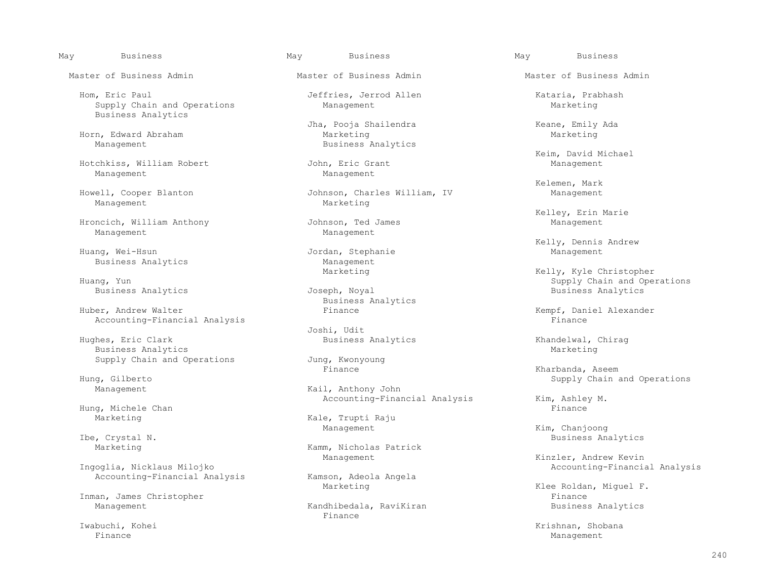Hom, Eric Paul **Hom, Exic Paul Senate Allen** Jeffries, Jerrod Allen **Exic Constanting** Kataria, Prabhash<br>
Supply Chain and Operations Management Management Marketing Supply Chain and Operations Business Analytics

Horn, Edward Abraham<br>Management

Hotchkiss, William Robert<br>Management

Management

Hroncich, William Anthony Johnson, Ted Management Management Management

Business Analytics **Business** Analytics **Analytics Business** Analytics

Huber, Andrew Walter **Finance** Finance **Finance** Rempf, Daniel Alexander Rempf, Daniel Alexander Rempf, Daniel Alexander Accounting-Financial Analysis

 Joshi, Udit Business Analytics

Hung, Michele Chan<br>Marketing

Ibe, Crystal N. Sammer Comments and Marketing and Marketing Marketing and Marketing and Marketing and Marketing and Marketing and Marketing and Marketing and Marketing and Marketing and Marketing and Marketing and Marketin

Inman, James Christopher

Jha, Pooja Shailendra (Keane, Emily Ada (Keane, Emily Ada (Keane) Marketing Business Analytics

Management Management

Howell, Cooper Blanton Johnson, Charles William, IV Management

Jordan, Stephanie Business Analytics and Management Management<br>Marketing

Business Analytics

Supply Chain and Operations Jung, Kwonyoung<br>Finance

Management **Kail, Anthony John** Accounting-Financial Analysis  $\begin{array}{ccc}\n & \text{Kim, Ashley M.} \\
 & \text{Finance}\n\end{array}$ 

Kale, Trupti Raju

Kamm, Nicholas Patrick

Accounting-Financial Analysis Kamson, Adeola Angela<br>Marketing

 Management Kandhibedala, RaviKiran Business Analytics Finance **Finance** 

Master of Business Admin Master of Business Admin Master of Business Admin

Xeim, David Michael<br>
Tohn, Eric Grant<br>
Management

Kelemen, Mark

Kelley, Erin Marie

Kelly, Dennis Andrew (1993)<br>Tordan, Stephanie (1994) Management Management (1994) Management

Marketing Marketing Marketing Kelly, Kyle Christopher<br>Huang, Yun Supply Chain and Ope Supply Chain and Operations<br>Business Analytics

Business Analytics and Eusiness Analytics Khandelwal, Chirag<br>Marketing

 Finance Kharbanda, Aseem Hung, Gilberto Supply Chain and Operations

Management Kim, Chanjoong

Management Management Management Kinzler, Andrew Kevin (Kinzler, Andrew Kevin<br>Accounting-Financi Accounting-Financial Analysis

Klee Roldan, Miguel F.<br>Finance

Iwabuchi, Kohei Krishnan, Shobana Krishnan, Shobana Krishnan, Shobana Krishnan, Shobana Krishnan, Shobana Krishnan, Shobana Krishnan, Shobana Krishnan, Shobana Krishnan, Shobana Krishnan, Shobana Krishnan, Shobana Krishnan Finance Management **Management**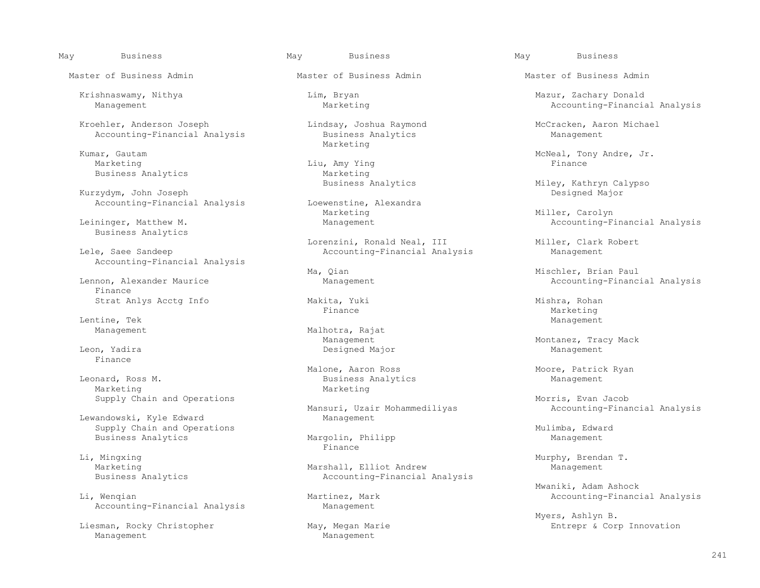Kroehler, Anderson Joseph Lindsay, Joshua Raymond McCracken, Aaron Michael<br>Accounting-Financial Analysis Business Analytics Management Accounting-Financial Analysis

Kumar, Gautam Marketing Marketing

Kurzydym, John Joseph<br>
Accounting-Financial Analysis<br>
Loewenstine, Alexandra Accounting-Financial Analysis Loewenstine,<br>Marketing

Business Analytics

Accounting-Financial Analysis

 Finance Strat Anlys Acctg Info Makita, Yuki Mishra, Rohan

Lentine, Tek Management

Finance

nard, Ross M. Business Analytics<br>
Marketing Management Management Management Management Management Management Management Management Management<br>
Management Management Management Management Management Management Management M Supply Chain and Operations and  $\mathcal{S}$  and  $\mathcal{S}$  and  $\mathcal{S}$  and  $\mathcal{S}$  and  $\mathcal{S}$  and  $\mathcal{S}$  and  $\mathcal{S}$  and  $\mathcal{S}$  and  $\mathcal{S}$  and  $\mathcal{S}$  and  $\mathcal{S}$  and  $\mathcal{S}$  and  $\mathcal{S}$  and  $\mathcal{S}$  and  $\mathcal{S}$ 

Lewandowski, Kyle Edward Supply Chain and Operations<br>
Business Analytics Margolin, Philipp Mulimba, Edward Business Analytics Management Management Management Management Management Management Management Management Man<br>Pinance

Li, Mingxing Murphy, Brendan T.

Accounting-Financial Analysis Management

Liesman, Rocky Christopher May, Megan Management<br>Management Management Management

Master of Business Admin Master of Business Admin Master of Business Admin

Marketing entitled and the Liu, Amy Ying the Second Primance of the Finance of the Second Liu, Amy Ying the Second P Business Analytics and Marketing<br>Business Analytics

Marketing Marketing Marketing Miller, Carolyn Miller, Carolyn Miller, Carolyn Miller, Carolyn Management Accounting-F:

 Lorenzini, Ronald Neal, III Miller, Clark Robert Accounting-Financial Analysis

Management Malhotra, Rajat Management Management Leon, Yadira Designed Major Management

Malone, Aaron Ross Manne (Moore, Patrick Ryan Moore, Patrick Ryan Moore, Patrick Ryan Moore, Patrick Ryan Business Analytics Marketing Marketing

Mansuri, Uzair Mohammediliyas and Accounting-Financial Analysis<br>Manaqement

Finance **Finance** 

Marshall, Elliot Andrew Business Analytics **Accounting-Financial Analysis** Accounting-Financial Analysis

 Krishnaswamy, Nithya Lim, Bryan Mazur, Zachary Donald Accounting-Financial Analysis

nar, Gautam (and Tommunical Communication of McNeal, Tony Andre, Jr.<br>Marketing (and Tommunical Communication of The Marketing (and The Marketing School Communication of The Market

Miley, Kathryn Calypso<br>Designed Major

Accounting-Financial Analysis

Ma, Qian Manament Management MacCounting-Finance Management Accounting-Finance Management Accounting-Finance Management Accounting-Finance Management Accounting-Finance Management Accounting-Finance Management Accounting-F Accounting-Financial Analysis

Finance Marketing

Management Management Management Mack Montanez, Tracy Mack<br>
Designed Major Management Management Management

Mwaniki, Adam Ashock (Maniki, Adam Ashock (Maniki, Adam Ashock (Maniki, Adam Ashock (Maniki, Adam Ashock (Mani<br>Maniki, Mengian (Maniki) (Maniki) (Maniki) (Maniki) (Maniki) (Maniki) (Maniki) (Maniki) (Maniki) (Maniki) (Man Accounting-Financial Analysis

Myers, Ashlyn B.<br>May, Megan Marie and Music and Music Entrepr & Corp Innovation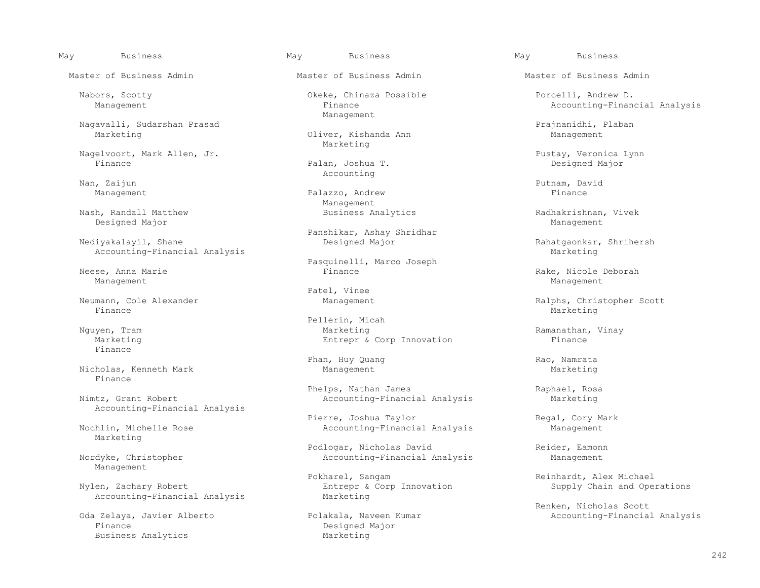Nagavalli, Sudarshan Prasad ann an Dùiver, Kishanda Ann Prajnanidhi, Plaban ann Ann an Management

Nagelvoort, Mark Allen, Jr. Pustay, Veronica Lynn

Nan, Zaijun Putnam, David Putnam, David Putnam, David Putnam, David Putnam, David

Nash, Randall Matthew **Business Analytics** analytics Radhakrishnan, Vivek Designed Major Designed Major Management

Accounting-Financial Analysis

Management Management

Finance Marketing Marketing (1999) and the set of the set of the set of the Marketing Marketing (1990) and the set of the set of the set of the set of the set of the set of the set of the set of the set of the set of the s

Finance

Nicholas, Kenneth Mark Finance

Accounting-Financial Analysis

Marketing

Management

Accounting-Financial Analysis

Finance<br>Business Analytics<br>
Business Analytics<br>
Designed Marketing Business Analytics

Master of Business Admin Master of Business Admin Master of Business Admin

 Nabors, Scotty Okeke, Chinaza Possible Porcelli, Andrew D. Management

> Oliver, Kishanda Ann Marketing

Palan, Joshua T. Nan, Zaijun Nang Pandang Panah Barang Pandang Pandang Pandang Pandang Pandang Pandang Pandang Pandang Pandang Pandang Pandang Pandang Pandang Pandang Pandang Pandang Pandang Pandang Pandang Pandang Pandang Pandang Pandang

Management **Palazzo, Andrew Palazzo, Andrew Primance** Management<br>Business Analytics

Panshikar, Ashay Shridhar

Pasquinelli, Marco Joseph<br>
Pasquinelli, Marco Joseph<br>
Finance

Patel, Vinee<br>Neumann, Cole Alexander Meumann, Cole Alexander

Pellerin, Micah<br>
Marketing<br>
Marketing Marketing **Entrepr & Corp Innovation** Entrepr & Corp Innovation

Phan, Huy Quang and Rao, Namrata Management Management Rao Rao, Namrata Management Rao Rao Rao Rao Rao Rao Rao<br>Marketing

 Phelps, Nathan James Raphael, Rosa Accounting-Financial Analysis

 Pierre, Joshua Taylor Regal, Cory Mark Accounting-Financial Analysis Management

Podlogar, Nicholas David Reider, Eamonn Nordyke, Christopher **Accounting-Financial Analysis** Management

Pokharel, Sangam Pokharel, Sangam Pokharel, Sangam Reinhardt, Alex Michael<br>Reinhardt, Alex Michael Entrepr & Corp Innovation Supply Chain and Ope Entrepr & Corp Innovation Supply Chain and Operations<br>Marketing

May Business May Business May Business

Accounting-Financial Analysis

Rahatgaonkar, Shrihersh<br>Marketing

ese, Anna Marie ann ann an Chrìogair anns an t-Iomaine ann an t-Iomaine ann an t-Iomaine ann an Aonadachdachd<br>Nanagement Management

Neumann, Cole Alexander Management Ralphs, Christopher Scott

Ramanathan, Vinay<br>Finance

Renken, Nicholas Scott (1999)<br>Den Kommer (1999) Management (1999) Polakala, Naveen Kumar (1999) Management (1999) Accounting-Financia Accounting-Financial Analysis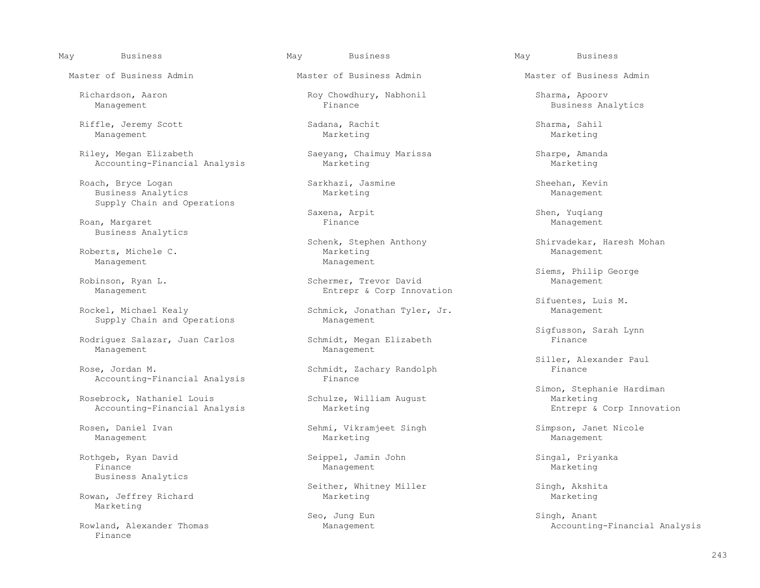Riffle, Jeremy Scott Sadana, Rachit Sharma, Sahil Management Marketing Marketing

Riley, Megan Elizabeth Saeyang, Chaimuy Marissa Sharpe, Amanda<br>Accounting-Financial Analysis Marketing Marketing Marketing Marketing Accounting-Financial Analysis

Roach, Bryce Logan Sarkhazi, Jasmine Sheehan, Kevin<br>Business Analytics Marketing Management Business Analytics Supply Chain and Operations

Roan, Margaret Einer Group (Education of Finance Management Management Management Management (Education of Man Business Analytics

Roberts, Michele C. Management Management

Supply Chain and Operations

Rodriguez Salazar, Juan Carlos Schmidt, Megan Elizabeth Financement<br>Management Management Management

Accounting-Financial Analysis

Rosebrock, Nathaniel Louis Accounting-Financial Analysis **Marketing Entrepries Accounting-Financial Analysis** Marketing Entrepr & Corp Innovation

 Rothgeb, Ryan David Seippel, Jamin John Singal, Priyanka Finance Management Marketing Business Analytics

Rowan, Jeffrey Richard Marketing

Finance

Master of Business Admin Master of Business Admin Master of Business Admin

Richardson, Aaron Roy Chowdhury, Nabhonil Sharma, Apoorv

Saxena, Arpit Shen, Yuqiang

inson, Ryan L. Schermer, Trevor David Management<br>Management Corp Innov Entrepr & Corp Innovation

Schmick, Jonathan Tyler, Jr. Management<br>Management

Schmidt, Zachary Randolph<br>Finance

Rosen, Daniel Ivan Sehmi, Vikramjeet Singh Sehmi, Vikramieet Singh Simpson, Janet Nicole<br>Management Management Marketing Simpson, Management Management Marketing Management

Seither, Whitney Miller Singh, Akshita<br>Marketing Marketing Marketing

Business Analytics

Schenk, Stephen Anthony Shirvadekar, Haresh Mohan<br>Management Marketing Management

Siems, Philip George (Schermer, Trevor David Management Management Management Schermer, Trevor David Management

Sifuentes, Luis M.<br>Rockel, Michael Kealy Schmick, Jonathan Tyler, Jr. Management

Sigfusson, Sarah Lynn<br>Schmidt, Megan Elizabeth (Finance Finance

Siller, Alexander Paul (Schmidt, Zachary Randolph (Siller, Alexander Paul (Siller, Alexander Paul (Schmidt, Zachary Randolph

Simon, Stephanie Hardiman<br>
Schulze, William August<br>
Marketing

 Seo, Jung Eun Singh, Anant Rowland, Alexander Thomas and Management Management Accounting-Financial Analysis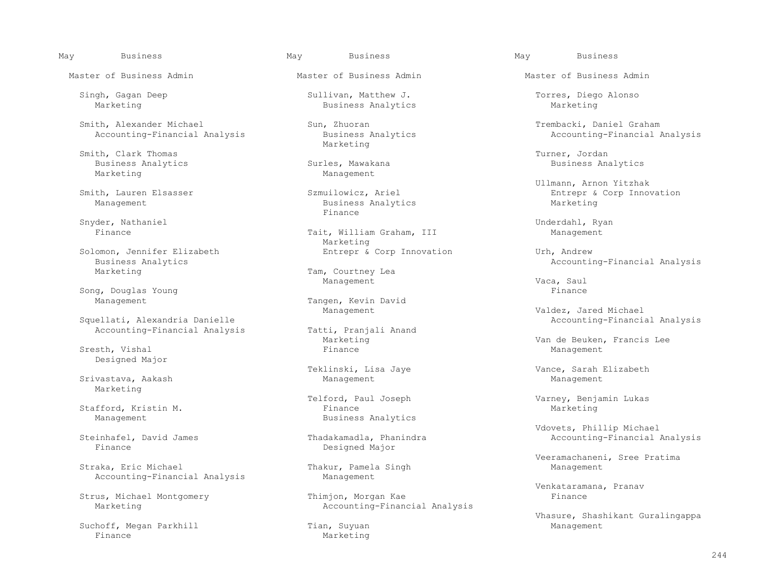Smith, Alexander Michael Sun, Zhuoran Sun, Zhuoran Trembacki, Daniel Graham Trembacki, Daniel Graham Nacounting-Financial Analysis Business Analytics Analytics Accounting-Financial Analysis Accounting-Financial Analysis

Smith, Clark Thomas<br>Business Analytics Turner, Jordan<br>Business Analytics Turner, Surles, Mawakana Business Analytics<br>Marketing

Snyder, Nathaniel Underdahl, Ryan

Business Analytics<br>
Marketing<br>
Marketing<br>
Marketing<br>
Marketing

Song, Douglas Young Finance

Squellati, Alexandria Danielle<br>
Accounting-Financial Analysis<br>
Tatti, Pranjali Anand Accounting-Financial Analysis

 Sresth, Vishal Finance Management Designed Major

Srivastava, Aakash Marketing

Accounting-Financial Analysis Management

Strus, Michael Montgomery

 Suchoff, Megan Parkhill Tian, Suyuan Management Finance and Marketing Marketing

Master of Business Admin Master of Business Admin Master of Business Admin

 Singh, Gagan Deep Sullivan, Matthew J. Torres, Diego Alonso Business Analytics

Marketing

Management

Business Analytics<br>Finance Finance **Finance** 

Tait, William Graham, III Marketing<br>Entrepr & Corp Innovation Solomon, Jennifer Elizabeth 
Entrepr & Corp Innovation

Urh, Andrew

Tam, Courtney Lea<br>Management Management Management and Management  $Vaca$ , Saul

Tangen, Kevin David

 Stafford, Kristin M. Finance Marketing Business Analytics

 Steinhafel, David James Thadakamadla, Phanindra Accounting-Financial Analysis Designed Major

Thakur, Pamela Singh

Marketing Marketing Accounting-Financial Analysis

May Business May Business May Business

Smith, Lauren Elsasser (Sammen Samuilowicz, Ariel (Samuilowicz, Ariel (Samuilowicz, Ariel (Samuilowicz, Ariel (Samuilowicz, Ariel (Samuilowicz, Ariel (Samuilowicz, Ariel (Samuilowicz, Ariel (Samuilowicz, Ariel (Samuilowicz th, Lauren Elsasser Szmuilowicz, Ariel Entrepr & Corp Innovation<br>Management Business Analytics Marketing

Management Changement Changement Changement Changement Changement Changement Changement Changement Changement Changement Changement Changement Changement Changement Changement Changement Changement Changement Changement Ch

Marketing Marketing Van de Beuken, Francis Lee (Stesth, Vishal and Steel Press, 2001)<br>Finance Management Management

Teklinski, Lisa Jaye Vance, Sarah Elizabeth

Telford, Paul Joseph Varney, Benjamin Lukas

Vdovets, Phillip Michael

Veeramachaneni, Sree Pratima<br>Thakur, Pamela Singh (Veeramachaneni, Sree Pratima) (Veeramachaneni, Sree Pratima

Venkataramana, Pranav<br>Thimjon, Morgan Kae (Finance ) Finance

Vhasure, Shashikant Guralingappa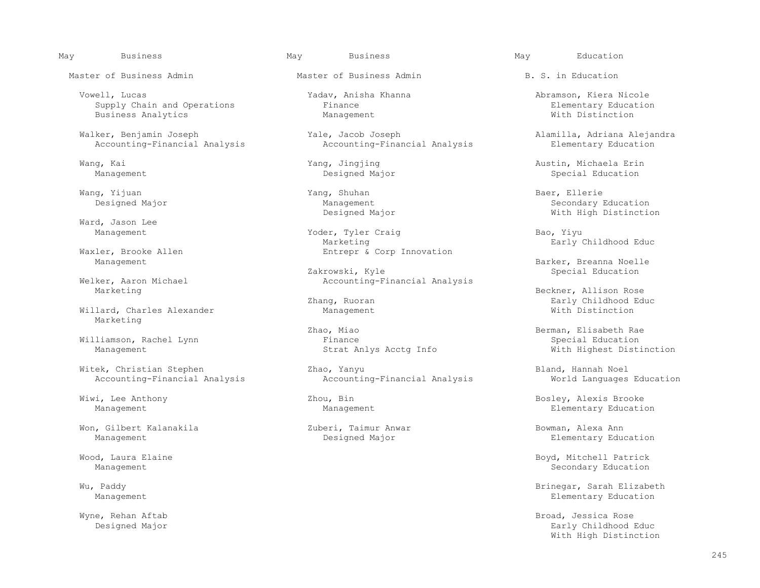May Business May Business May Education

 Vowell, Lucas Yadav, Anisha Khanna Abramson, Kiera Nicole Supply Chain and Operations Finance Finance<br>
Business Analytics Management Management Element and Mith Distinction Business Analytics

Walker, Benjamin Joseph Yale, Jacob Joseph Alamilla, Adriana Alejandra<br>Accounting-Financial Analysis Accounting-Financial Analysis Elementary Education Accounting-Financial Analysis

Wang, Yijuan Yang, Shuhan Bambar, Shuhan Baer, Ellerie Baer, Ellerie Baer, Ellerie Baer, Ellerie Baer, Ellerie

Ward, Jason Lee

Welker, Aaron Michael Accounting-Financial Analysis<br>Marketing

Willard, Charles Alexander Management Marketing

Won, Gilbert Kalanakila Zuberi, Taimur Anwar Bowman, Alexa Ann

Master of Business Admin Master of Business Admin B. S. in Education

Yoder, Tyler Craig and Bao, Yiyu<br>Marketing Barly (Barly Marketing Early Childhood Educ<br>
Entrepr & Corp Innovation<br>
Entrepr & Corp Innovation Entrepr & Corp Innovation

Zakrowski, Kyle Special Education

Zhao, Miao  $\overline{B}$  Berman, Elisabeth Rae Finance  $\overline{B}$ Williamson, Rachel Lynn<br>
Management Management Strat Anlys Acctg Info

 Witek, Christian Stephen Zhao, Yanyu Bland, Hannah Noel Accounting-Financial Analysis

 Wang, Kai Yang, Jingjing Austin, Michaela Erin Special Education

 Designed Major Management Secondary Education With High Distinction

Management External Module 2012<br>Zakrowski, Kyle Barker, Breanna Noelle Barker, Breanna Noelle

Beckner, Allison Rose<br>Early Childhood Edge Early Childhood Edge Early Childhood Edge Early Childhood Educ<br>With Distinction

With Highest Distinction

Wiwi, Lee Anthony **Example 2018** 2001, Bin Bosley, Alexis Brooke Management Management Management Elementary Education

Elementary Education

Wood, Laura Elaine Boyd, Mitchell Patrick (Nood, Laura Elaine Boyd, Mitchell Patrick<br>Management Secondary Education Secondary Education

Wu, Paddy Brinegar, Sarah Elizabeth Brinegar, Sarah Elizabeth Brinegar, Sarah Elizabeth Brinegar, Sarah Elizabeth Brinegar, Sarah Elizabeth Brinegar, Sarah Elizabeth Brinegar, Sarah Elizabeth Blementary Education Blementar Elementary Education

 Wyne, Rehan Aftab Broad, Jessica Rose Designed Major Early Childhood Educ With High Distinction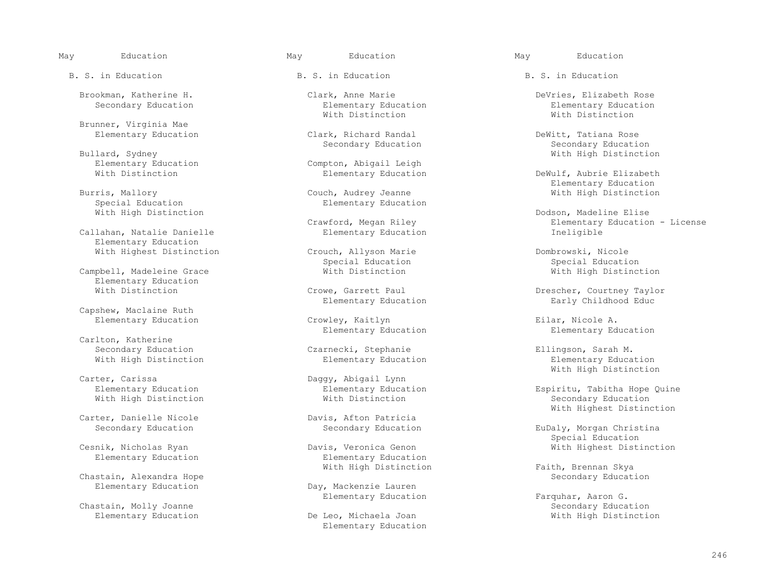B. S. in Education The B. S. in Education B. S. in Education B. S. in Education

Brunner, Virginia Mae

lard, Sydney (1989)<br>Blementary Education (1989) Compton, Abigail Leigh (1989) (1989) With High Distinction

Callahan, Natalie Danielle Elementary Education

Elementary Education<br>With Distinction

Capshew, Maclaine Ruth

Carlton, Katherine<br>Secondary Education With High Distinction

With High Distinction

Carter, Danielle Nicole<br>
Secondary Education<br>
Secondary Education<br>
Secondary Education

Elementary Education Elementary Education

Chastain, Alexandra Hope<br>Elementary Education

Chastain, Molly Joanne<br>Elementary Education Secondary Secondary Education<br>
Secondary Education<br>
Secondary Secondary Secondary Secondary Secondary Secondary Secondary Secondary Secondary Secondary Secondary Secondary Second

With Distinction **With Distinction With Distinction** 

Clark, Richard Randal **Clark, Richard Randal** DeWitt, Tatiana Rose<br>Secondary Education Clarks Recondary Education

Elementary Education Compton, Abigail Leigh<br>With Distinction Compton, Elementary Education

ris, Mallory Couch, Audrey Jeanne With High Distinction<br>Special Education Elementary Education Elementary Education

With Highest Distinction Crouch, Allyson Marie Michael Dombrowski, Nicole<br>Special Education Conducation Special Education Special Education Special Education

Elementary Education

Elementary Education  $Crowley$ , Kaitlyn Eilar, Nicole A.<br>Elementary Education Elementary Education Elementary Ed

ter, Carissa (Europan Carter, Carissa Chementary Education (Elementary Education Chementary Education (Elementary Education (Elementary Education (Elementary Education (Elementary Education (Elementary Education (Elementar

vis, Veronica Genon and Cesar Communication Elementary Education Communication With Highest Distinction

Day, Mackenzie Lauren

Elementary Education

 Brookman, Katherine H. Clark, Anne Marie DeVries, Elizabeth Rose Elementary Education<br>
With Distinction<br>
With Distinction<br>
With Distinction

Secondary Education Secondary Education Secondary Secondary Education Secondary Education<br>
Secondary Sydney Secondary Education Secondary Education Secondary Education

DeWulf, Aubrie Elizabeth Elementary Education<br>Couch, Audrey Jeanne and the section of the High Distinction<br>With High Distinction

With High Distinction<br>Crawford, Megan Riley Communication Dodson, Madeline Elise wford, Megan Riley<br>
Elementary Education<br>
Elementary Education<br>
Elementary Education<br>
Elementary Education

Campbell, Madeleine Grace and Mith Distinction and With High Distinction

Crowe, Garrett Paul Drescher, Courtney Taylor<br>Elementary Education Drescher, Courtney Taylor

Elementary Education

Czarnecki, Stephanie and Ellingson, Sarah M.<br>Elementary Education Elementary Education Elementary Education Carter, Carissa **Exercía e Exercía European Carter**, Carter, Carissa Carter, Carissa Carter, Carter, Cartes, Carter, Carter, Carter, Cartes, Carter, Cartes, Carter, Cartes, Cartes, Cartes, Cartes, Cartes, Cartes, Cartes, C

> Elementary Education Espiritu, Tabitha Hope Quine<br>
> With Distinction Education Education Education Davis, Afton Patricia and Mith Highest Distinction

EuDaly, Morgan Christina Special Education (Special Education)<br>Cesnik, Nicholas Ryan (Special Education ) bavis, Veronica Genon

With High Distinction Faith, Brennan Skya<br>Secondary Education

Elementary Education Farquhar, Aaron G.<br>
Secondary Education Secondary Education With High Distinction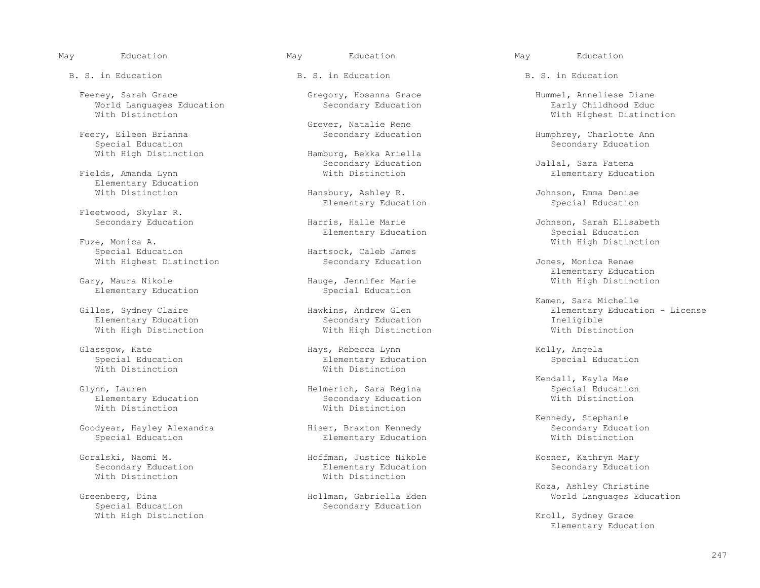May Education May Education May Education

B. S. in Education The B. S. in Education B. S. in Education B. S. in Education

 Feeney, Sarah Grace Gregory, Hosanna Grace Hummel, Anneliese Diane World Languages Education<br>With Distinction

Special Education<br>
Secondary Education<br>
Secondary Education<br>
Secondary Education<br>
Secondary Education<br>
Secondary Education

Fields, Amanda Lynn Elementary Education<br>With Distinction

Fleetwood, Skylar R.

 Fuze, Monica A. With High Distinction With Highest Distinction The Secondary Education Jones, Monica Renae

Elementary Education

With High Distinction

Elementary Education<br>
With Distinction<br>
With Distinction<br>
With Distinction With Distinction

Goodyear, Hayley Alexandra Hiser, Braxton Kennedy Secondary Education

Special Education<br>
With High Distinction<br>
Secondary Education

Grever, Natalie Rene<br>Feery, Eileen Brianna and Secondary Education

Hamburg, Bekka Ariella

Hansbury, Ashley R. (assets a University Denise Elementary Education Assets a University Denise Special Education Elementary Education

Elementary Education<br>Fuze, Monica A.

Hartsock, Caleb James<br>Secondary Education

ge, Jennifer Marie **Marie 1988** With High Distinction<br>Special Education

Elementary Education Secondary Education Ineligible

 Glassgow, Kate Hays, Rebecca Lynn Kelly, Angela Special Education<br>
With Distinction<br>
With Distinction With Distinction

Helmerich, Sara Regina and Special Education<br>
Secondary Education Secondary Education

Elementary Education

 Goralski, Naomi M. Hoffman, Justice Nikole Kosner, Kathryn Mary Secondary Education<br>
With Distinction<br>
With Distinction<br>
With Distinction With Distinction

enberg, Dina Hollman, Gabriella Eden Morld Languages Education<br>Special Education Secondary Education

With Highest Distinction

Feery, Eileen Brianna Secondary Education Humphrey, Charlotte Ann

Secondary Education<br>
With Distinction<br>
With Distinction<br>
With Distinction<br>
Blementary Education

Harris, Halle Marie **Harris, Halle Marie Accompose Constructs** Johnson, Sarah Elisabeth<br>Elementary Education **Special Education** 

Elementary Education

Kamen, Sara Michelle (Kamen, Sara Michelle )<br>Gilles, Sydney Claire (Kamen) (Kamen, Sara Michelle ) (Kamen, Sara Michelle ) (Kamentary Educat Hawkins, Andrew Glen end Elementary Education - License<br>Secondary Education Elementary Education - License

Kendall, Kayla Mae (Glynn, Lauren and Mae Helmerich, Sara Regina (Glynn, Lauren and Kendall, Kayla Mae (Glynn, Lauren and Helmerich, Sara Regina (Glynn, Lauren and Roberts)

Kennedy, Stephanie<br>Kennedy, Stephanie<br>Secondary Education

Koza, Ashley Christine (Koza, Ashley Christine )<br>Koza, Ashley Christine (Koza, Ashley Christine ) (Koza, Ashley Christine ) (Koza, Ashley Christine ) (Koza, A

Kroll, Sydney Grace Elementary Education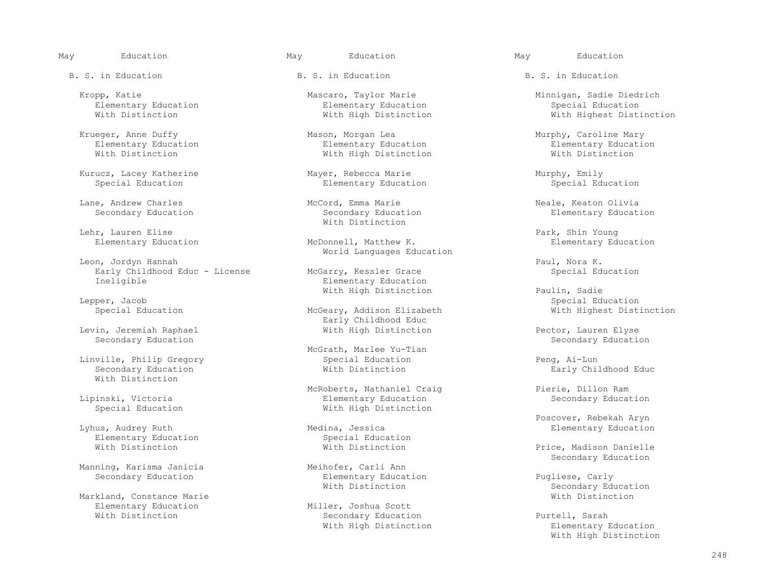May Education May Education May Education

B. S. in Education The B. S. in Education B. S. in Education B. S. in Education

Krueger, Anne Duffy Mason, Morgan Lea Murphy, Caroline Mary<br>Elementary Education Elementary Education Elementary Educatio

Lane, Andrew Charles Moreover McCord, Emma Marie Marie Meale, Keaton Olivia Secondary Education<br>Secondary Education Secondary Education Secondary Education Elementary Education

Lehr, Lauren Elise<br>
Elementary Education McDonnell, Matthew K. Elementary Education

 Leon, Jordyn Hannah Paul, Nora K. Early Childhood Educ - License<br>Ineligible

Levin, Jeremiah Raphael With High Distinction Pector, Lauren Elyse

With Distinction

Elementary Education<br>
With Distinction<br>
With Distinction<br>
With Distinction

Manning, Karisma Janicia<br>Secondary Education

Markland, Constance Marie<br>Elementary Education Elementary Education and Miller, Joshua Scott<br>With Distinction and Miller, Secondary Education

Elementary Education<br>
With Distinction<br>
With High Distinction<br>
With High Distinction

Elementary Education **Elementary Education**<br>
With Distinction **Elementary Education**<br>
With Distinction **Elementary Education**<br>
With Distinction With High Distinction

Kurucz, Lacey Katherine Mayer, Rebecca Marie Murphy, Emily<br>Special Education Elementary Education Special Education Elementary Education

With Distinction

McDonnell, Matthew K. World Languages Education

Elementary Education

Early Childhood Educ<br>With High Distinction

McGrath, Marlee Yu-Tian<br>Special Education Linville, Philip Gregory and Special Education and Special Education of Peng, Ai-Lun<br>Secondary Education 80 and Mith Distinction and Barly Chi

 McRoberts, Nathaniel Craig Pierie, Dillon Ram inski, Victoria 1988 (Elementary Education Special Education Special Education Special Education With High Distinction

Lina, Jessica audrey Ruth Medina, Audrey Education<br>
Special Education

Elementary Education **Elementary Education** Pugliese, Carly<br>
With Distinction **Education** Secondary Edu

Secondary Education Furtell, Sarah<br>
With High Distinction Second Blementary I

Kropp, Katie Mascaro, Taylor Marie Marie Minnigan, Sadie Diedrich<br>Elementary Education Mascaro, Taylor Marie Marie Minnigan, Sadie Diedrich With Highest Distinction

Elementary Education

With High Distinction Paulin, Sadie<br>Beer, Jacob Special Edu Special Education Special Education **McGeary, Addison Elizabeth** Mith Highest Distinction

Secondary Education

Early Childhood Educ

Poscover, Rebekah Aryn المستخدم المستخدم المستخدم المستخدم المستخدم المستخدم المستخدم المستخدم المستخدم المستخ<br>Poscover, Rebekah Aryn المستخدم المستخدم المستخدم المستخدم المستخدم المستخدم المستخدم المستخدم المستخدم المستخ

Price, Madison Danielle Secondary Education<br>
Meihofer, Carli Ann

Secondary Education<br>With Distinction

Elementary Education With High Distinction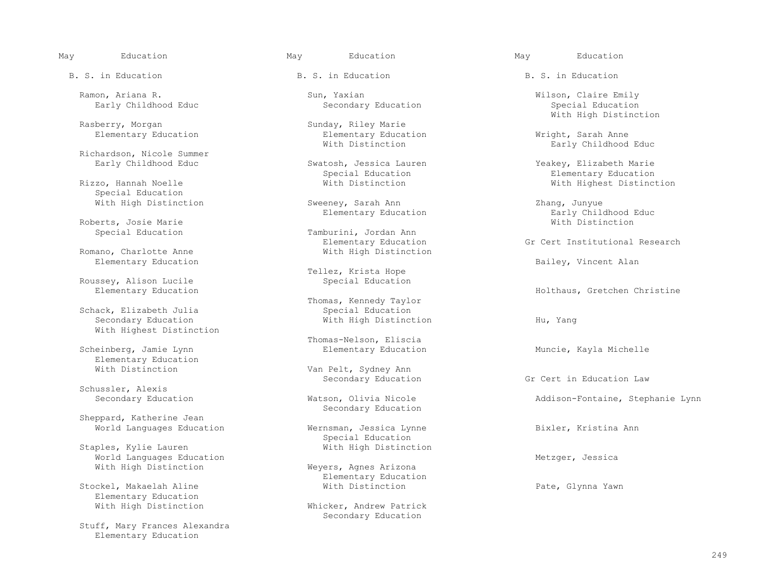B. S. in Education The B. S. in Education B. S. in Education B. S. in Education

 Ramon, Ariana R. Sun, Yaxian Wilson, Claire Emily Early Childhood Educ

Rasberry, Morgan Sunday, Riley Marie<br>Elementary Education Sunday, Riley Marie

Richardson, Nicole Summer<br>Early Childhood Educ

Special Education

Roberts, Josie Marie<br>Special Education

Romano, Charlotte Anne Elementary Education Bailey, Vincent Alan

Roussey, Alison Lucile<br>Elementary Education

Schack, Elizabeth Julia<br>Secondary Education With Highest Distinction

Elementary Education<br>With Distinction

Schussler, Alexis<br>Secondary Education

 Sheppard, Katherine Jean World Languages Education **Wernsman, Jessica Lynne Bixler, Kristina Ann** 

Staples, Kylie Lauren World Languages Education<br>With High Distinction The Meyers, Agnes Arizona

Elementary Education<br>With High Distinction

 Stuff, Mary Frances Alexandra Elementary Education

Elementary Education **Elementary Education** Elementary Education **Elementary Education** Wright, Sarah Anne

With High Distinction Sweeney, Sarah Ann Chang, Junyue<br>Elementary Education Carly Childhood Educ

Tamburini, Jordan Ann<br>Elementary Education Elementary Education Gr Cert Institutional Research<br>With High Distinction

Tellez, Krista Hope<br>Special Education

Thomas, Kennedy Taylor<br>Special Education With High Distinction Hu, Yang

Thomas-Nelson, Eliscia<br>
Scheinberg, Jamie Lynn<br>
Elementary Education

Van Pelt, Sydney Ann

Secondary Education

Special Education<br>With High Distinction

Weyers, Agnes Arizona Elementary Education<br>With Distinction Stockel, Makaelah Aline **Bater Contract Contract Material** With Distinction Pate Pate, Glynna Yawn

> Whicker, Andrew Patrick Secondary Education

With High Distinction

Early Childhood Educ

Eurlahood Education Childhood Education<br>
Elementary Education<br>
Elementary Education<br>
Elementary Education Special Education (Special Education Elementary Education Elementary Education Elementary Education (Special Education of the Elementary Education (Special Education of the Elementary Education (Special Education of the El With Highest Distinction

Elementary Education **Early Childhood Early Childhood Early Childhood** Early Childhood Early Childhood Early Childhood Early Childhood Early Childhood Early Childhood Early Childhood Early Childhood Early Childhood Early C

Holthaus, Gretchen Christine

Muncie, Kayla Michelle

Secondary Education 6 and Gr Cert in Education Law

Watson, Olivia Nicole **Addison-Fontaine, Stephanie Lynn**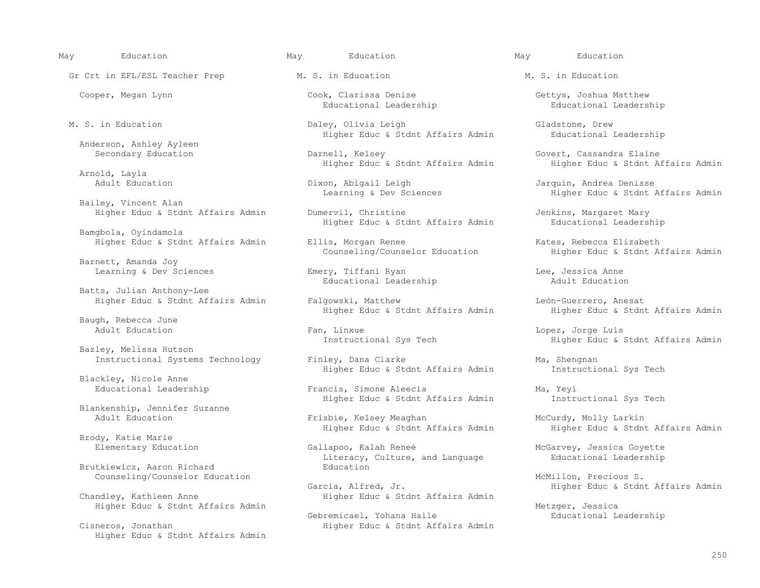Gr Crt in EFL/ESL Teacher Prep M. S. in Education M. S. in Education M. S. in Education

Anderson, Ashley Ayleen<br>Secondary Education

Arnold, Layla<br>Adult Education

Bailey, Vincent Alan

Bamgbola, Oyindamola

Barnett, Amanda Joy

 Batts, Julian Anthony-Lee Higher Educ & Stdnt Affairs Admin Falgowski, Matthew León-Guerrero, Anesat

Baugh, Rebecca June<br>Adult Education

Bazley, Melissa Hutson

Blackley, Nicole Anne

Blankenship, Jennifer Suzanne

Brody, Katie Marie

Brutkiewicz, Aaron Richard

Higher Educ & Stdnt Affairs Admin

Educational Leadership

 M. S. in Education Daley, Olivia Leigh Gladstone, Drew Higher Educ & Stdnt Affairs Admin

Higher Educ & Stdnt Affairs Admin

Dixon, Abigail Leigh Jarquin, Andrea Denisse<br>Learning & Dev Sciences Higher Educ & Stdnt J

Higher Educ & Stdnt Affairs Admin Dumervil, Christine and Mary Jenkins, Margaret Mary<br>Higher Educ & Stdnt Affairs Admin Bducational Leadership Higher Educ & Stdnt Affairs Admin

Higher Educ & Stdnt Affairs Admin Bllis, Morgan Renee (Kates, Rebecca Elizabeth Counseling Counselor Education<br>Counseling/Counselor Education (Kates, Rebecca Elizabeth Counseling Counseling Education

Learning & Dev Sciences (Emery, Tiffani Ryan Chee, Jessica Anne Chee, Jessica Anne Chee, Jessica Anne Chee, Jessica Anne Chee, Jessica Anne Chee, Jessica Anne Chee, Jessica Anne Chee, Jessica Anne Chee, Jessica Anne Chee, Educational Leadership

Fan, Linxue Lopez, Jorge Luis<br>
Instructional Sys Tech and Higher Educ & Adults

Instructional Systems Technology Finley, Dana Clarke Mandel Man, Shengnan<br>Higher Educ & Stdnt Affairs Admin Manstructional Sys Tech Higher Educ & Stdnt Affairs Admin

> Francis, Simone Aleecia Ma, Yeyi<br>Higher Educ & Stdnt Affairs Admin Ma, Yeyi Mastructional Sys Tech Higher Educ & Stdnt Affairs Admin

Frisbie, Kelsey Meaghan McCurdy, Molly Larkin<br>Higher Educ & Stdnt Affairs Admin Higher Educ & Stdnt

Gallapoo, Kalah Reneé McGarvey, Jessica Goyette Literacy, Culture, and Language and Educational Leadership<br>Education

Garcia, Alfred, Jr. (Garcia, Alfred, Jr. 1997) Higher Educ & Stdnt Affairs Admin<br>Higher Educ & Stdnt Affairs Admin Higher Educ & Stdnt Affairs Admin

Gebremicael, Yohana Haile Cisneros, Jonathan 1986 1997 1998 1999 Higher Educ & Stdnt Affairs Admin

May Education May Education May Education

Cooper, Megan Lynn Cook, Clarissa Denise Gettys, Joshua Matthew Geoper, Megan Lynn Cook, Clarissa Denise Gettys, Gettys, Joshua Matthew Educational Leadership

Darnell, Kelsey Govert, Cassandra Elaine<br>Higher Educ & Stdnt Affairs Admin Higher Educ & Stdnt Affairs Admin

Higher Educ & Stdnt Affairs Admin

Higher Educ & Stdnt Affairs Admin

Higher Educ & Stdnt Affairs Admin Migher Educ & Stdnt Affairs Admin

Higher Educ & Stdnt Affairs Admin

Higher Educ & Stdnt Affairs Admin

Counseling/Counselor Education Garcia, Alfred, Jr. (and McMillon, Precious S. (and McMillon, Precious S. (and M<br>Garcia, Alfred, Jr. (And Migher Educ & Stdn

Higher Educ & Stdnt Affairs Admin Metzger, Jessica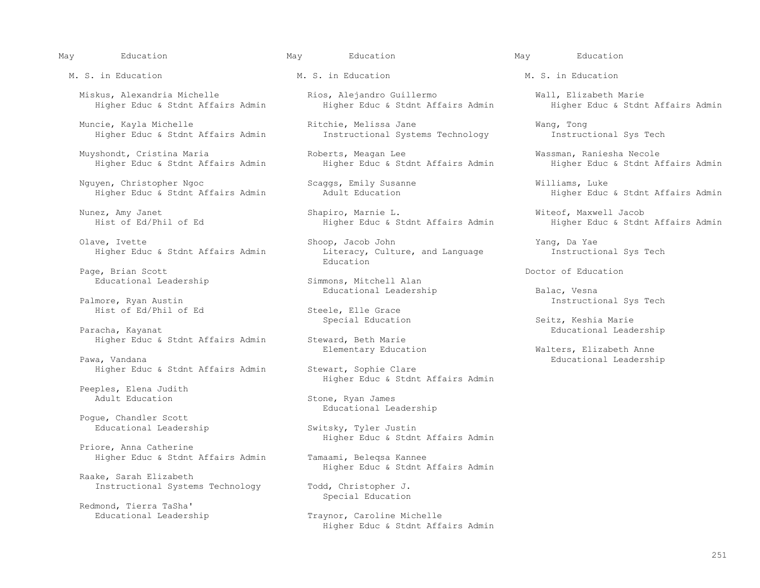Miskus, Alexandria Michelle Rios, Alejandro Guillermo Wall, Elizabeth Marie

 Muncie, Kayla Michelle Ritchie, Melissa Jane Wang, Tong Higher Educ & Stdnt Affairs Admin

Muyshondt, Cristina Maria Roberts, Meagan Lee Wassman, Raniesha Necole<br>Higher Educ & Stant Affairs Admin Higher Educ & Stant Affairs Admin Higher

Nguyen, Christopher Ngoc Scaggs, Emily Susanne Williams, Luke

 Olave, Ivette Shoop, Jacob John Yang, Da Yae Higher Educ & Stdnt Affairs Admin

Page, Brian Scott<br>
Educational Leadership<br>
Educational Leadership<br>
Simmons, Mitchell Alan Educational Leadership

Pawa, Vandana<br>
Higher Educ & Stdnt Affairs Admin Stewart, Sophie Clare<br>
Higher Educ & Stdnt Affairs Admin Stewart, Sophie Clare Higher Educ & Stdnt Affairs Admin

Peeples, Elena Judith<br>Adult Education

 Pogue, Chandler Scott Educational Leadership Switsky, Tyler Justin

 Priore, Anna Catherine Higher Educ & Stdnt Affairs Admin Tamaami, Beleqsa Kannee

 Raake, Sarah Elizabeth Instructional Systems Technology Todd, Christopher J.

Redmond, Tierra TaSha'

M. S. in Education The M. S. in Education M. S. in Education M. S. in Education

Higher Educ & Stdnt Affairs Admin

Nunez, Amy Janet Shapiro, Marnie L. Witeof, Maxwell Jacob

Education and Education

Educational Leadership Balac, Vesna (Balac, Vesna (Balac, Vesna (Balac, Vesna (Balac, Vesna (Balac, Vesna (Balac, Vesna (Balac, Vesna (Balac, Vesna (Balac, Vesna (Balac, Vesna (Balac, Vesna (Balac, Vesna (Balac, Vesna (Bal

Hist of Ed/Phil of Ed Steele, Elle Grace<br>Special Education

Higher Educ & Stdnt Affairs Admin Steward, Beth Marie<br>Elementary Education

Higher Educ & Stdnt Affairs Admin

Stone, Ryan James Educational Leadership

Higher Educ & Stdnt Affairs Admin

Higher Educ & Stdnt Affairs Admin

Special Education

Traynor, Caroline Michelle Higher Educ & Stdnt Affairs Admin

Higher Educ & Stdnt Affairs Admin

Higher Educ & Stdnt Affairs Admin

Higher Educ & Stdnt Affairs Admin

Instructional Sys Tech

Special Education Special Execution Special Education Seitz, Keshia Marie<br>Educational Lead Paracha Charles Educational Leadership<br>
Steward, Beth Marie

Walters, Elizabeth Anne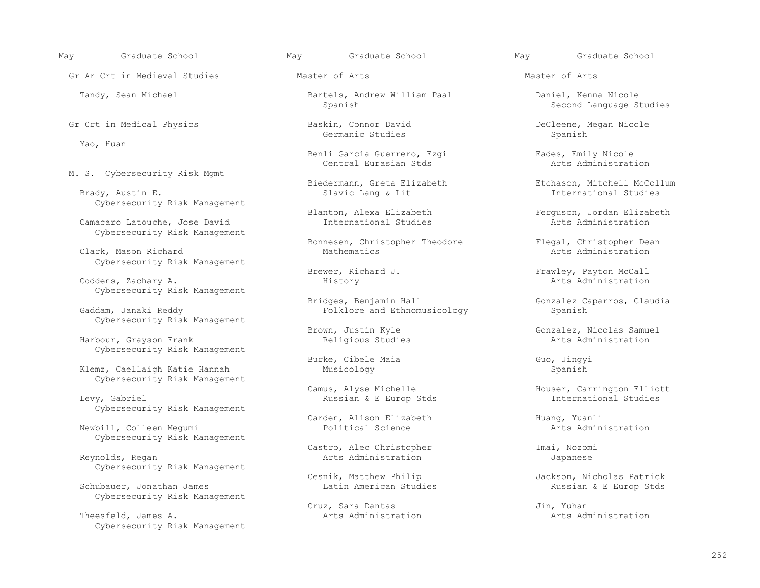Gr Ar Crt in Medieval Studies and Master of Arts and Master of Arts Master of Arts Master of Arts

Yao, Huan

M. S. Cybersecurity Risk Mgmt

Cybersecurity Risk Management

Camacaro Latouche, Jose David Cybersecurity Risk Management

Clark, Mason Richard Cybersecurity Risk Management

Coddens, Zachary A. Cybersecurity Risk Management

Cybersecurity Risk Management

Harbour, Grayson Frank Cybersecurity Risk Management

Klemz, Caellaigh Katie Hannah Cybersecurity Risk Management

Cybersecurity Risk Management

Newbill, Colleen Mequmi Cybersecurity Risk Management

Cybersecurity Risk Management

Schubauer, Jonathan James Cybersecurity Risk Management

Theesfeld, James A. Cybersecurity Risk Management

Tandy, Sean Michael Bartels, Andrew William Paal Daniel, Kenna Nicole

Germanic Studies States of Spanish Spanish Spanish Spanish Spanish Spanish Spanish Spanish Spanish Spanish Spanish Spanish Spanish Spanish Spanish Spanish Spanish Spanish Spanish Spanish Spanish Spanish Spanish Spanish Spa

Benli Garcia Guerrero, Ezgi<br>
Central Eurasian Stds<br>
Arts Administration Central Eurasian Stds

Bonnesen, Christopher Theodore Flegal, Christopher Dean<br>Mathematics arts Administration

Bridges, Benjamin Hall Gonzalez Caparros, Claudia Gaddam, Janaki Reddy **Superset Spanish** Folklore and Ethnomusicology Spanish Spanish

Burke, Cibele Maia Guo, Jingyi<br>Musicology Spanish Spanish

Russian & E Europ Stds

Carden, Alison Elizabeth (and Huang, Yuanli Political Science) and Huang, Yuanli Political Science

 Castro, Alec Christopher Imai, Nozomi Arts Administration Japanese

Cesnik, Matthew Philip (Cesnik, Matthew Philip Jackson, Nicholas Patrick<br>Latin American Studies (Dussian & E Europ Stds

Cruz, Sara Dantas<br>
Arts Administration<br>
Arts Administration<br>
Arts Administration

May Graduate School May Graduate School May Graduate School

Second Language Studies

Gr Crt in Medical Physics Baskin, Connor David DeCleene, Megan Nicole

 Biedermann, Greta Elizabeth Etchason, Mitchell McCollum International Studies

Blanton, Alexa Elizabeth Ferguson, Jordan Elizabeth International Studies<br>
Arts Administration

Brewer, Richard J. The Frawley, Payton McCall History and Brewer, Payton McCall History

Brown, Justin Kyle Gonzalez, Nicolas Samuel<br>Religious Studies Gonzalez, Arts Administration

Camus, Alyse Michelle Houser, Carrington Elliott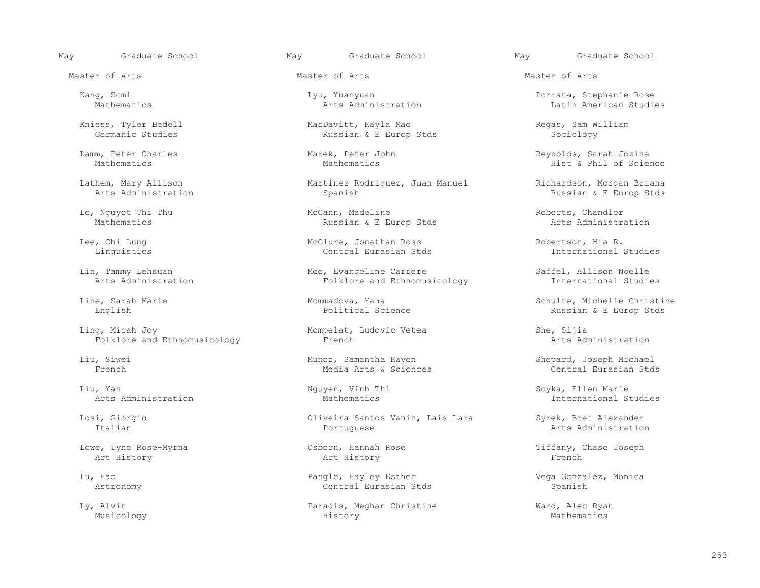Master of Arts Master of Arts Master of Arts

 Ling, Micah Joy Mompelat, Ludovic Vetea She, Sijia Folklore and Ethnomusicology

Arts Administration

 Lowe, Tyne Rose-Myrna Osborn, Hannah Rose Tiffany, Chase Joseph Art History Art History French

Kniess, Tyler Bedell **Exercise State MacDavitt**, Kayla Mae **Regas, Sam William** Germanic Studies<br>Germanic Studies **Regas, Sam William** Russian & E Europ Stds Sociology Russian & E Europ Stds

Lathem, Mary Allison and Martinez Rodriguez, Juan Manuel and Richardson, Morgan Briana<br>Arts Administration and Spanish and Spanish and Spanish Russian & E Europ Stds Spanish **Russian & E Europ Stds** Russian & E Europ Stds

 Le, Nguyet Thi Thu McCann, Madeline Roberts, Chandler Russian & E Europ Stds

Lee, Chi Lung McClure, Jonathan Ross Robertson, Mia R.

Lin, Tammy Lehsuan (Example Mee, Evangeline Carrère ) Saffel, Allison Noelle (Example 2011) Mee, Evangeline Carrère (Saffel, Allison Noelle (Example 2011) Mee, Evangeline Carrère (Saffel, Allison Noelle 2011) Mers Administ Folklore and Ethnomusicology

Media Arts & Sciences

 Losi, Giorgio Oliveira Santos Vanin, Lais Lara Syrek, Bret Alexander Portuguese **International Portuguese** Arts Administration

 Lu, Hao Pangle, Hayley Esther Vega Gonzalez, Monica Central Eurasian Stds

 Ly, Alvin Paradis, Meghan Christine Ward, Alec Ryan Musicology History Mathematics

 Kang, Somi Lyu, Yuanyuan Porrata, Stephanie Rose Latin American Studies

 Lamm, Peter Charles Marek, Peter John Reynolds, Sarah Jozina Hist & Phil of Science

International Studies

 Line, Sarah Marie Mommadova, Yana Schulte, Michelle Christine English Political Science Russian & E Europ Stds

Liu, Siwei Munoz, Samantha Kayen Shepard, Joseph Michael Media Arts & Sciences Central Eurasian Stds

Liu, Yan Nguyen, Vinh Thi Soyka, Ellen Marie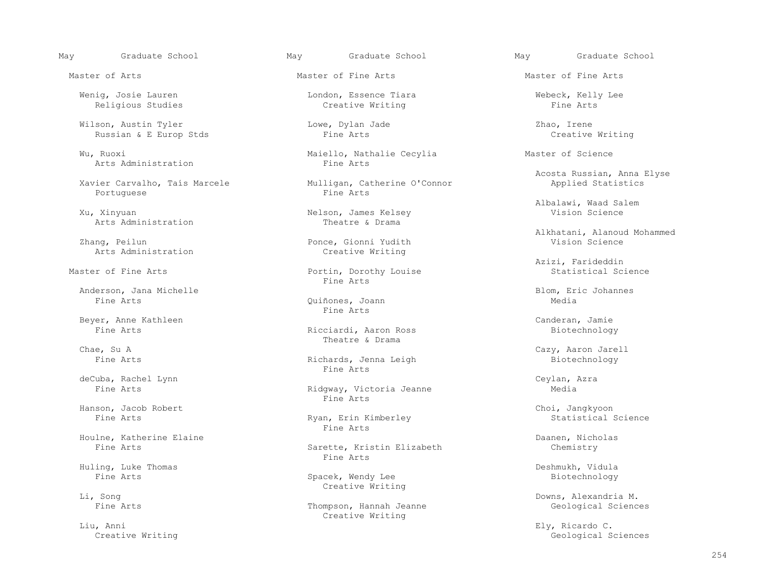Wenig, Josie Lauren London, Essence Tiara Webeck, Kelly Lee Religious Studies

 Wilson, Austin Tyler Lowe, Dylan Jade Zhao, Irene Russian & E Europ Stds

Arts Administration

Xavier Carvalho, Taís Marcele Mulligan, Catherine O'Connor Applied Applied Applied Applied Applied Applied Applied Applied Applied Applied Applied Applied Applied Applied Applied Applied Applied Applied Applied Applied App Portuguese

Arts Administration

ing, Peilun Ponce, Gionni Yudith Ponce, Gionni Yudith Ponce, Gionni Yudith Ponce, Gionni Yudith Ponce, Gionni State Science And Arts Administration Science And Arts Administration Science And Arts Administration Science An

Anderson, Jana Michelle (and Anderson, Jana Michelle Blom, Eric Johannes) and Blom, Eric Johannes<br>Fine Arts (Belong And Arts of Blom, British Media

Beyer, Anne Kathleen Canderan, Jamie

deCuba, Rachel Lynn Ceylan, Azra

Houlne, Katherine Elaine Daanen, Nicholas

Huling, Luke Thomas and the Spacek, Wendy Lee and the Deshmukh, Vidula Pine Arts and Deshmukh, Vidula Deshmukh, Vidula

Liu, Anni Ely, Ricardo C.

Wu, Ruoxi Maiello, Nathalie Cecylia Master of Science

Nelson, James Kelsey<br>Theatre & Drama

Creative Writing

Master of Fine Arts **Portin, Dorothy Louise** Statistical Science Statistical Science Statistical Science Statistical Science Statistical Science Statistical Science Statistical Science Statistical Science Statistical Scien Fine Arts

Quiñones, Joann<br>Fine Arts Fine Arts

Ricciardi, Aaron Ross Chae, Su A and Subsetted Strama Chae, Su A and Strama Chae, Su A

Richards, Jenna Leigh Biotechnology<br>
Fine Arts Fine Arts

Ridgway, Victoria Jeanne<br>Fine Arts Fine Arts

Ryan, Erin Kimberley<br>Fine Arts Fine Arts

Sarette, Kristin Elizabeth<br>Fine Arts Fine Arts

Spacek, Wendy Lee Li, Sonq **Example 2018** Creative Writing

Fine Arts Thompson, Hannah Jeanne Creative Writing

May Graduate School May Graduate School May Graduate School

Master of Arts Master of Fine Arts Master of Fine Arts

Acosta Russian, Anna Elyse<br>
Mulligan, Catherine O'Connor<br>
Applied Statistics

Albalawi, Waad Salem

Alkhatani, Alanoud Mohammed<br>Zhang, Peilun and Mohammed Dence, Gionni Yudith Mohammed Mohammed Vision Science

Azizi, Farideddin

Chae, Su A Cazy, Aaron Jarell

Hanson, Jacob Robert (and the Choi, Jangkyoon (and the Choi, Jangkyoon (and the Choi, Jangkyoon (and the Choi, Jangkyoon (and the Choi, Jangkyoon (and the Choi, Jangkyoon (and the Choi, Jangkyoon (and the Choi, Jangkyoon (

Downs, Alexandria M.<br>Geological Sciences

Creative Writing Geological Sciences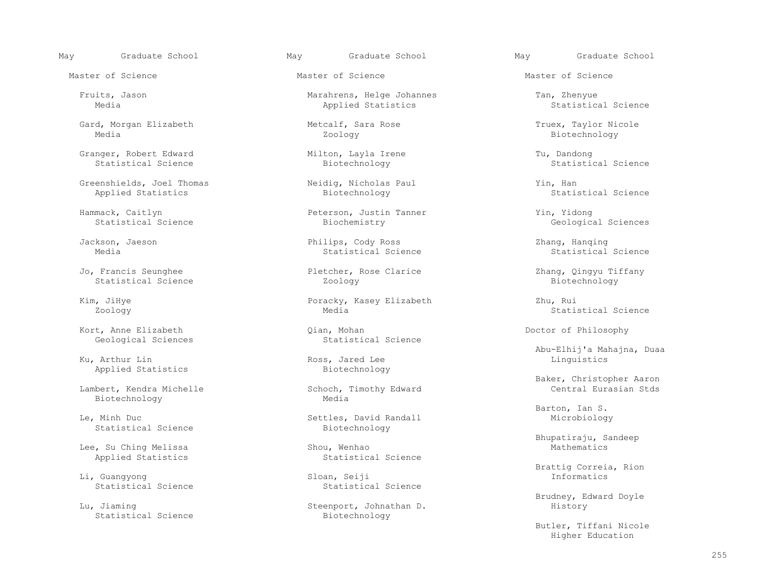Gard, Morgan Elizabeth Metcalf, Sara Rose Truex, Taylor Nicole<br>Media Media Zoology Biotechnology Media Zoology Biotechnology

Granger, Robert Edward Milton, Layla Irene Tu, Dandong Statistical Science Milton, Layla Irene Tu, Dandong Statistic

 Greenshields, Joel Thomas Neidig, Nicholas Paul Yin, Han Applied Statistics

 Jo, Francis Seunghee Pletcher, Rose Clarice Zhang, Qingyu Tiffany Statistical Science

Kort, Anne Elizabeth Qian, Mohan Doctor of Philosophy Geological Sciences Statistical Science Geological Sciences

Applied Statistics

Biotechnology

 Le, Minh Duc Settles, David Randall Microbiology Statistical Science

Lee, Su Ching Melissa Shou, Wenhao Applied Statistics<br>Applied Statistics Statistical Science Applied Statistics

Li, Guangyong Sloan, Seiji Informatics

Statistical Science

Master of Science Master of Science Master of Science

Fruits, Jason Marahrens, Helge Johannes Tan, Zhenyue Media Applied Statistics Statistical Science Applied Statistics

Hammack, Caitlyn (and the Community) Reterson, Justin Tanner (and the Yin, Yidong Statistical Science (and the Biochemistry (and the Geological Science (and the Biochemistry (and the Geological Science (and the Biochemistr

Jackson, Jaeson Philips, Cody Ross Zhang, Hanqing

 Kim, JiHye Poracky, Kasey Elizabeth Zhu, Rui Zoology **Media** Media Statistical Science Media Statistical Science Statistical Science

Ross, Jared Lee and Linguistics Linguistics<br>
Biotechnology

Schoch, Timothy Edward<br>Media

Statistical Science Statistical Science

Lu, Jiaming Steenport, Johnathan D. History

May Graduate School May Graduate School May Graduate School

Statistical Science

Geological Sciences

Media Statistical Science Statistical Science

Abu-Elhij'a Mahajna, Duaa

Baker, Christopher Aaron (Baker, Christopher Aaron (Baker, Christopher Aaron (Baker, Christopher Aaron (Baker, Christopher Aaron (Baker, Christopher Aaron (Baker, Christopher Aaron (Baker, Christopher Aaron (Baker, Christo

Barton, Ian S.

Bhupatiraju, Sandeep

Example of the South Strain of the South Section of the South Section of the South Section of the South Section<br>Branch Section Section of the South Strain of the South Strain of the South Strain of the South Strain Section

Brudney, Edward Doyle

 Butler, Tiffani Nicole Higher Education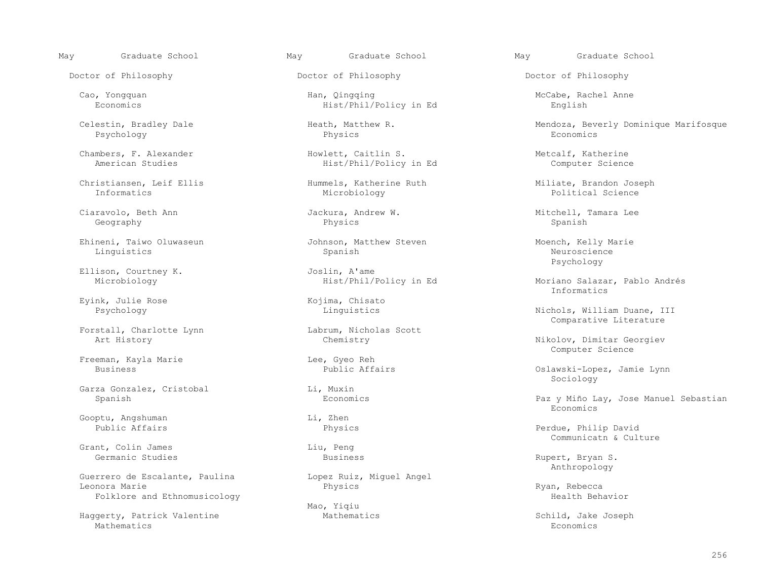Doctor of Philosophy Doctor of Philosophy Doctor of Philosophy

Psychology Physics Economics

Christiansen, Leif Ellis Hummels, Katherine Ruth Miliate, Brandon Joseph

Geography Physics Spanish

 Ehineni, Taiwo Oluwaseun Johnson, Matthew Steven Moench, Kelly Marie Linguistics Spanish Neuroscience

Eyink, Julie Rose (Eyink, Chisato (Eyink, Chisato (Eyink, Chisato (Eyink) (Eyink) (Eying Music (Eying Music So

Forstall, Charlotte Lynn Labrum, Nicholas Charlotte Lynn Labrum, Nicholas Scott<br>Chemistry Chemistry

Freeman, Kayla Marie (English Lee, Gyeo Reh (English Lee, Gyeo Reh (English Public Affairs)

Garza Gonzalez, Cristobal and Li, Muxin<br>
Spanish Economics

Gooptu, Angshuman Li, Zhen<br>Public Affairs and Physic

Grant, Colin James<br>
Germanic Studies<br>
Business

Guerrero de Escalante, Paulina (apple Lopez Ruiz, Miguel Angel<br>Leonora Marie (apple Physics Leonora Marie Physics Ryan, Rebecca Folklore and Ethnomusicology extends the extension of the extension of the Health Behavior

Haggerty, Patrick Valentine and Mathematics Mathematics Schild, Jake Joseph<br>Mathematics Economics Mathematics **Exercífication** Economics **Economics** 

 Cao, Yongquan Han, Qingqing McCabe, Rachel Anne Hist/Phil/Policy in Ed

 Chambers, F. Alexander Howlett, Caitlin S. Metcalf, Katherine Hist/Phil/Policy in Ed

Informatics Microbiology Political Science

Ellison, Courtney K. Joslin, A'ame

Mao, Yiqiu

May Graduate School May Graduate School May Graduate School

Celestin, Bradley Dale Heath, Matthew R. Mendoza, Beverly Dominique Marifosque

Ciaravolo, Beth Ann Jackura, Andrew W. Mitchell, Tamara Lee

Psychology

Moriano Salazar, Pablo Andrés<br>Informatics Informatics

Psychology **Example 2018** Linguistics **Linguistics** Nichols, William Duane, III Labrum, Nicholas Scott and Comparative Literature

Nikolov, Dimitar Georgiev<br>Computer Science Computer Science

Oslawski-Lopez, Jamie Lynn<br>Sociology  $\operatorname{Sociology}$ 

Paz y Miño Lay, Jose Manuel Sebastian<br>Economics Economics

> Physics **Physics** Perdue, Philip David Liu, Peng<br>
> Liu, Peng<br>
> Communicatn & Culture

Rupert, Bryan S.<br>Anthropology Anthropology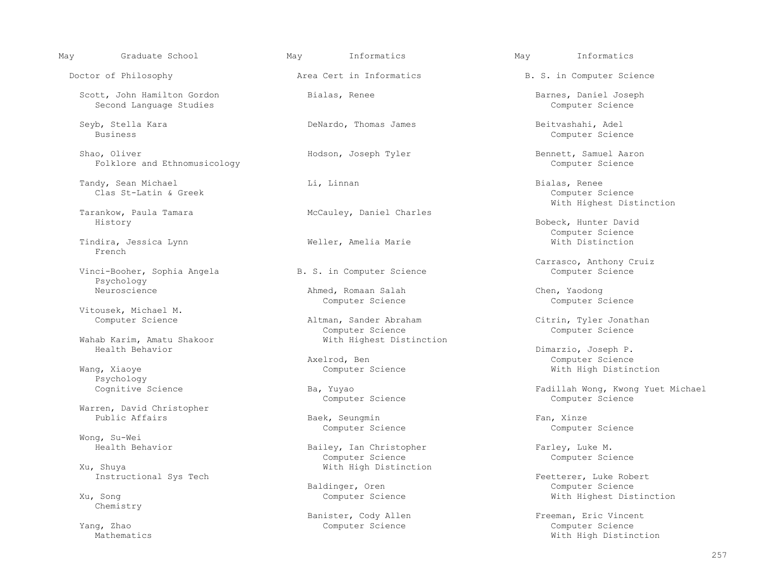| Area Cert in Informatics<br>Doctor of Philosophy<br>Scott, John Hamilton Gordon<br>Bialas, Renee<br>Second Language Studies<br>Seyb, Stella Kara<br>DeNardo, Thomas James<br><b>Business</b><br>Hodson, Joseph Tyler<br>Shao, Oliver<br>Folklore and Ethnomusicology<br>Tandy, Sean Michael<br>Li, Linnan<br>Clas St-Latin & Greek<br>Tarankow, Paula Tamara<br>McCauley, Daniel Charles<br>History<br>Tindira, Jessica Lynn<br>Weller, Amelia Marie<br>French<br>Vinci-Booher, Sophia Angela<br>B. S. in Computer Science<br>Psychology<br>Neuroscience<br>Ahmed, Romaan Salah<br>Computer Science<br>Vitousek, Michael M.<br>Computer Science<br>Altman, Sander Abraham<br>Computer Science<br>With Highest Distinction<br>Wahab Karim, Amatu Shakoor<br>Health Behavior<br>Axelrod, Ben<br>Computer Science<br>Wang, Xiaoye<br>Psychology<br>Cognitive Science<br>Ba, Yuyao<br>Computer Science<br>Warren, David Christopher<br>Public Affairs<br>Baek, Seungmin<br>Computer Science<br>Wong, Su-Wei<br>Health Behavior<br>Bailey, Ian Christopher<br>Computer Science<br>With High Distinction<br>Xu, Shuya | B. S. in Computer Science<br>Barnes, Daniel Joseph<br>Computer Science<br>Beitvashahi, Adel<br>Computer Science<br>Bennett, Samuel Aaron |
|-----------------------------------------------------------------------------------------------------------------------------------------------------------------------------------------------------------------------------------------------------------------------------------------------------------------------------------------------------------------------------------------------------------------------------------------------------------------------------------------------------------------------------------------------------------------------------------------------------------------------------------------------------------------------------------------------------------------------------------------------------------------------------------------------------------------------------------------------------------------------------------------------------------------------------------------------------------------------------------------------------------------------------------------------------------------------------------------------------------------|------------------------------------------------------------------------------------------------------------------------------------------|
|                                                                                                                                                                                                                                                                                                                                                                                                                                                                                                                                                                                                                                                                                                                                                                                                                                                                                                                                                                                                                                                                                                                 |                                                                                                                                          |
|                                                                                                                                                                                                                                                                                                                                                                                                                                                                                                                                                                                                                                                                                                                                                                                                                                                                                                                                                                                                                                                                                                                 |                                                                                                                                          |
|                                                                                                                                                                                                                                                                                                                                                                                                                                                                                                                                                                                                                                                                                                                                                                                                                                                                                                                                                                                                                                                                                                                 |                                                                                                                                          |
|                                                                                                                                                                                                                                                                                                                                                                                                                                                                                                                                                                                                                                                                                                                                                                                                                                                                                                                                                                                                                                                                                                                 | Computer Science                                                                                                                         |
|                                                                                                                                                                                                                                                                                                                                                                                                                                                                                                                                                                                                                                                                                                                                                                                                                                                                                                                                                                                                                                                                                                                 | Bialas, Renee<br>Computer Science<br>With Highest Distinction                                                                            |
|                                                                                                                                                                                                                                                                                                                                                                                                                                                                                                                                                                                                                                                                                                                                                                                                                                                                                                                                                                                                                                                                                                                 |                                                                                                                                          |
|                                                                                                                                                                                                                                                                                                                                                                                                                                                                                                                                                                                                                                                                                                                                                                                                                                                                                                                                                                                                                                                                                                                 | Bobeck, Hunter David<br>Computer Science                                                                                                 |
|                                                                                                                                                                                                                                                                                                                                                                                                                                                                                                                                                                                                                                                                                                                                                                                                                                                                                                                                                                                                                                                                                                                 | With Distinction                                                                                                                         |
|                                                                                                                                                                                                                                                                                                                                                                                                                                                                                                                                                                                                                                                                                                                                                                                                                                                                                                                                                                                                                                                                                                                 | Carrasco, Anthony Cruiz                                                                                                                  |
|                                                                                                                                                                                                                                                                                                                                                                                                                                                                                                                                                                                                                                                                                                                                                                                                                                                                                                                                                                                                                                                                                                                 | Computer Science                                                                                                                         |
|                                                                                                                                                                                                                                                                                                                                                                                                                                                                                                                                                                                                                                                                                                                                                                                                                                                                                                                                                                                                                                                                                                                 | Chen, Yaodong<br>Computer Science                                                                                                        |
|                                                                                                                                                                                                                                                                                                                                                                                                                                                                                                                                                                                                                                                                                                                                                                                                                                                                                                                                                                                                                                                                                                                 |                                                                                                                                          |
|                                                                                                                                                                                                                                                                                                                                                                                                                                                                                                                                                                                                                                                                                                                                                                                                                                                                                                                                                                                                                                                                                                                 | Citrin, Tyler Jonathan<br>Computer Science                                                                                               |
|                                                                                                                                                                                                                                                                                                                                                                                                                                                                                                                                                                                                                                                                                                                                                                                                                                                                                                                                                                                                                                                                                                                 |                                                                                                                                          |
|                                                                                                                                                                                                                                                                                                                                                                                                                                                                                                                                                                                                                                                                                                                                                                                                                                                                                                                                                                                                                                                                                                                 | Dimarzio, Joseph P.                                                                                                                      |
|                                                                                                                                                                                                                                                                                                                                                                                                                                                                                                                                                                                                                                                                                                                                                                                                                                                                                                                                                                                                                                                                                                                 | Computer Science                                                                                                                         |
|                                                                                                                                                                                                                                                                                                                                                                                                                                                                                                                                                                                                                                                                                                                                                                                                                                                                                                                                                                                                                                                                                                                 | With High Distinction                                                                                                                    |
|                                                                                                                                                                                                                                                                                                                                                                                                                                                                                                                                                                                                                                                                                                                                                                                                                                                                                                                                                                                                                                                                                                                 | Fadillah Wong, Kwong Yuet Michael<br>Computer Science                                                                                    |
|                                                                                                                                                                                                                                                                                                                                                                                                                                                                                                                                                                                                                                                                                                                                                                                                                                                                                                                                                                                                                                                                                                                 |                                                                                                                                          |
|                                                                                                                                                                                                                                                                                                                                                                                                                                                                                                                                                                                                                                                                                                                                                                                                                                                                                                                                                                                                                                                                                                                 | Fan, Xinze                                                                                                                               |
|                                                                                                                                                                                                                                                                                                                                                                                                                                                                                                                                                                                                                                                                                                                                                                                                                                                                                                                                                                                                                                                                                                                 | Computer Science                                                                                                                         |
|                                                                                                                                                                                                                                                                                                                                                                                                                                                                                                                                                                                                                                                                                                                                                                                                                                                                                                                                                                                                                                                                                                                 |                                                                                                                                          |
|                                                                                                                                                                                                                                                                                                                                                                                                                                                                                                                                                                                                                                                                                                                                                                                                                                                                                                                                                                                                                                                                                                                 | Farley, Luke M.<br>Computer Science                                                                                                      |
|                                                                                                                                                                                                                                                                                                                                                                                                                                                                                                                                                                                                                                                                                                                                                                                                                                                                                                                                                                                                                                                                                                                 |                                                                                                                                          |
| Instructional Sys Tech                                                                                                                                                                                                                                                                                                                                                                                                                                                                                                                                                                                                                                                                                                                                                                                                                                                                                                                                                                                                                                                                                          | Feetterer, Luke Robert                                                                                                                   |
| Baldinger, Oren<br>Computer Science<br>Xu, Song<br>Chemistry                                                                                                                                                                                                                                                                                                                                                                                                                                                                                                                                                                                                                                                                                                                                                                                                                                                                                                                                                                                                                                                    | Computer Science<br>With Highest Distinction                                                                                             |
| Banister, Cody Allen                                                                                                                                                                                                                                                                                                                                                                                                                                                                                                                                                                                                                                                                                                                                                                                                                                                                                                                                                                                                                                                                                            | Freeman, Eric Vincent                                                                                                                    |
| Computer Science<br>Yang, Zhao<br>Mathematics                                                                                                                                                                                                                                                                                                                                                                                                                                                                                                                                                                                                                                                                                                                                                                                                                                                                                                                                                                                                                                                                   | Computer Science<br>With High Distinction                                                                                                |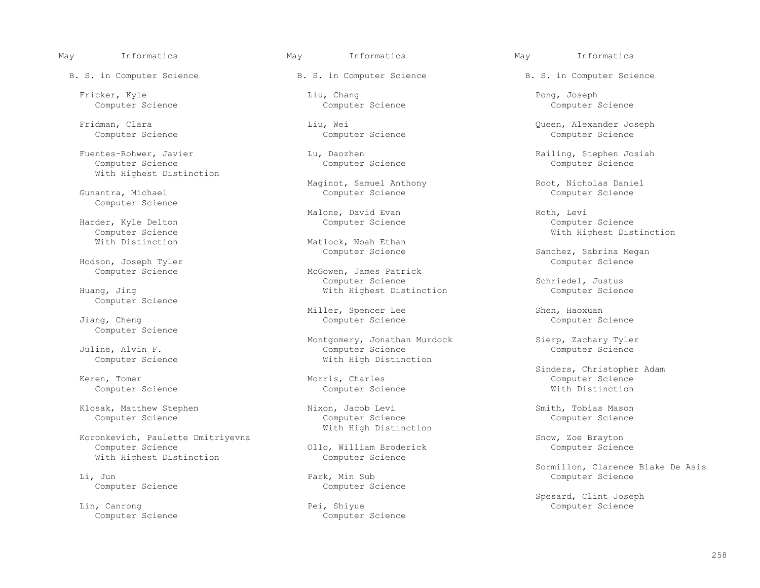Fuentes-Rohwer, Javier Lu, Daozhen Railing, Stephen Josiah<br>Computer Science Computer Science Computer Science With Highest Distinction

Gunantra, Michael Computer Science

Harder, Kyle Delton<br>Computer Science Computer Science<br>
With Distinction<br>
With Distinction<br>
With Distinction<br>
With Distinction

Hodson, Joseph Tyler Computer Science

Computer Science

Computer Science

Computer Science

Koronkevich, Paulette Dmitriyevna<br>Computer Science Science (Subseted) Snow, Zoe Brayton<br>Computer Science (Subseted) Science (Subseted) Science With Highest Distinction The Computer Science

Li, Jun Park, Min Sub Computer Science

 Lin, Canrong Pei, Shiyue Computer Science Computer Science

B. S. in Computer Science Theory B. S. in Computer Science B. S. in Computer Science

 Fricker, Kyle Liu, Chang Pong, Joseph Computer Science Computer Science Computer Science

Computer Science Computer Science Computer Science

Computer Science

Maginot, Samuel Anthony (Root, Nicholas Daniel Computer Science (Root, Root, Nicholas Daniel Computer Science

Malone, David Evan Roth, Levi Roth, Levi Computer Science Roth, Levi Computer Science

Matlock, Noah Ethan<br>Computer Science

McGowen, James Patrick<br>Computer Science Huang, Jing Computer Science and Mith Highest Distinction

Miller, Spencer Lee Electronic Shen, Haoxuan Miller, Spencer Lee Shen, Haoxuan Shen, Haoxuan Computer Science Science Science Science Science Science Science Science Science Science Science Science Science Science Science Computer Science

Montgomery, Jonathan Murdock Sierp, Zachary Tyler<br>Computer Science Computer Science Computer Science Juline, Alvin F. Computer Science Computer Science Computer Science **With High Distinction** 

 Klosak, Matthew Stephen Nixon, Jacob Levi Smith, Tobias Mason With High Distinction

Ollo, William Broderick

Computer Science

Fridman, Clara Liu, Wei Queen, Alexander Joseph

Sanchez, Sabrina Megan

Schriedel, Justus<br>Computer Science

External Sinders, Christopher Adam<br>
Morris, Charles<br>
Morris, Charles<br>
Sinders, Christopher Adam Keren, Tomer Morris, Charles Computer Science Computer Science Computer Science With Distinction

Sormillon, Clarence Blake De Asis<br>
Computer Science<br>
Computer Science

Spesard, Clint Joseph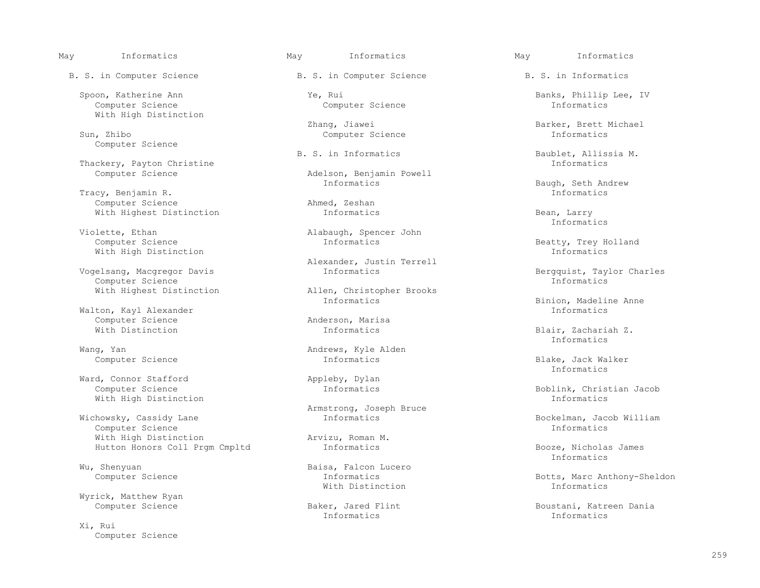Spoon, Katherine Ann Ye, Rui Banks, Phillip Lee, IV Computer Science Computer Science Informatics With High Distinction

Computer Science

Thackery, Payton Christine<br>Computer Science

 Tracy, Benjamin R. Informatics Computer Science and Ahmed, Zeshan<br>
With Highest Distinction<br>
With Highest Distinction With Highest Distinction **Informatics Informatics** Bean, Larry Bean, Bean, Bean, Bean, Bean, Bean, Bean, Bean, Bean, Bean, Bean, Bean, Bean, Bean, Bean, Bean, Bean, Bean, Bean, Bean, Bean, Bean, Bean, Bean, Bean, Bean, B

 Violette, Ethan Alabaugh, Spencer John With High Distinction

Vogelsang, Macgregor Davis<br>Computer Science Computer Science and Computer Science and Computer Science of Computer Computer Science and C Computer Science<br>With Highest Distinction

Walton, Kayl Alexander<br>
Computer Science<br>
2008 - Computer Science Computer Science **Anderson, Mari**<br>With Distinction **Anderson, Marisa** 

Ward, Connor Stafford and Appleby, Dylan Computer Science and Appleby, Dylan Computer Science With High Distinction

Wichowsky, Cassidy Lane The Informatics and Informatics Bockelman, Jacob William<br>Computer Science The Informatics Computer Science Computer Science<br>
With High Distinction<br>
Vith High Distinction<br>
Information<br>
2012 With High Distinction arvizu, Roman I Mutton Honors Coll Prom Cmpltd and Informatics

Wyrick, Matthew Ryan

 Xi, Rui Computer Science

B. S. in Computer Science B. S. in Computer Science B. S. in Informatics

Computer Science

Adelson, Benjamin Powell<br>Informatics

Alexander, Justin Terrell

Allen, Christopher Brooks<br>Informatics

Wang, Yan  $\blacksquare$ <br>Computer Science and Andrews, Kyle Alden Computer Science

Armstrong, Joseph Bruce

Wu, Shenyuan Baisa, Falcon Lucero<br>
Computer Science Computer Science and Turbushing Computer Science and Turbushing Computer Science and Turbush With Distinction Informatics

Informatics Informatics

Zhang, Jiawei Barker, Brett Michael Barker, Brett Michael Sun, Zhibo and Samputer Science and Samputer Science

B. S. in Informatics and Baublet, Allissia M. Informatics

Baugh, Seth Andrew<br>Informatics

Informatics

Beatty, Trey Holland<br>Informatics

Binion, Madeline Anne<br>Informatics

Blair, Zachariah Z.<br>Informatics Informatics

Computer Science **Informatics** Informatics Blake, Jack Walker Informatics

Boblink, Christian Jacob<br>Informatics

 Hutton Honors Coll Prgm Cmpltd Informatics Booze, Nicholas James Informatics

Informatics Botts, Marc Anthony-Sheldon<br>With Distinction and Theorem Informatics

Baker, Jared Flint **Boustani, Katreen Dania**<br>
Informatics **Boustani, Katreen Dania**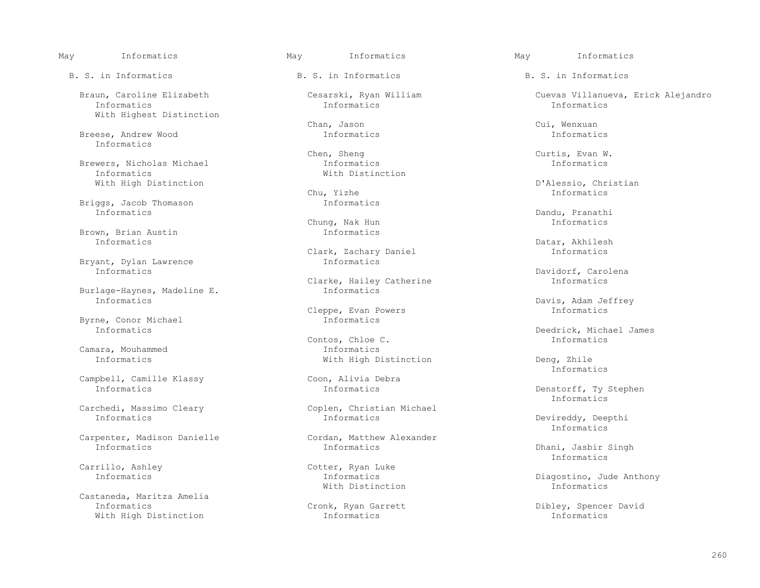Informatics Informatics Informatics With Highest Distinction

 Breese, Andrew Wood Informatics Informatics Informatics

Brewers, Nicholas Michael **Informatics** Informatics Informatics Informatics Informatics Informatics Informatics

Briggs, Jacob Thomason and Informatics<br>Informatics Informatics Dandu, Pranathi

Brown, Brian Austin **Informatics**<br>Informatics Informatics Datar, Akhilesh

Bryant, Dylan Lawrence Informatics

Burlage-Haynes, Madeline E. Informatics

Byrne, Conor Michael Informatics

Camara, Mouhammed and Informatics<br>
Informatics<br>
With High D

Campbell, Camille Klassy Coon, Alivia Debra<br>
Informatics Connection Connection Connection Connection Connection Connection Connection Connection Connection<br>
Connection Connection Connection Connection Connection Connection

Carpenter, Madison Danielle<br>
Informatics<br>
Informatics<br>
Informatics

 Castaneda, Maritza Amelia With High Distinction

B. S. in Informatics The B. S. in Informatics B. S. in Informatics B. S. in Informatics

Chan, Jason Cui, Wenxuan

 Chen, Sheng Curtis, Evan W. With Distinction

Chung, Nak Hun Informatics

Clark, Zachary Daniel **Informatics**<br>Informatics

Clarke, Hailey Catherine **Informatics**<br>Informatics

Cleppe, Evan Powers Informatics

Contos, Chloe C. Informatics

Carchedi, Massimo Cleary Coplen, Christian Michael<br>
Informatics Coplen, Christian Michael

Carrillo, Ashley Cotter, Ryan Luke Informatics Conternation Conternation Conternation Conternation Conternation Conte<br>
Conternation Contents Contents Contents Contents Contents Contents Contents Contents Contents Contents

May Informatics May Informatics May Informatics

Braun, Caroline Elizabeth Cesarski, Ryan William Cuevas Villanueva, Erick Alejandro<br>
Informatics Informatics Informatics Informatics

With High Distinction Christian Chu, Yizhe D'Alessio, Christian D'Alessio, Christian D'Alessio, Christian Chu, Yizhe D'Alession, Christian Chu, Chu, Yizhe D'Alession, Christian D'Alession, Christian Chu, Yizhe Distinction Chu, Yizhe Informatics

Informatics Davidorf, Carolena

Davis, Adam Jeffrey<br>Informatics

Informatics Deedrick, Michael James

With High Distinction Deng, Zhile<br>Informatics Informatics

Denstorff, Ty Stephen<br>Informatics Informatics

Devireddy, Deepthi<br>Informatics Informatics

Dhani, Jasbir Singh<br>Informatics Informatics

 Informatics Informatics Diagostino, Jude Anthony With Distinction Informatics

Cronk, Ryan Garrett **Informatics** Dibley, Spencer David<br>
Informatics **Dibley**, Spencer David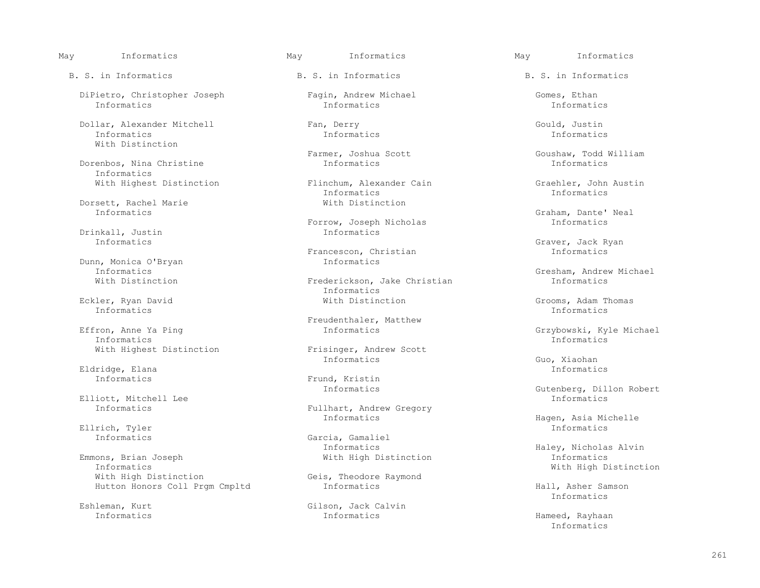DiPietro, Christopher Joseph Fagin, Andrew Michael Gomes, Ethan<br>Informatics Informatics Informatics Informatics Informatics Informatics Informatics

Dollar, Alexander Mitchell Fan, Derry Fan, Derry Gould, Justin<br>Informatics Informatics Informatics Informatics Informatics Informatics Informatics With Distinction

Dorenbos, Nina Christine Informatics

Dorsett, Rachel Marie With Distinction<br>
Informatics

Drinkall, Justin<br>Informatics

Dunn, Monica O'Bryan Informatics

 Eckler, Ryan David With Distinction Grooms, Adam Thomas Informatics Informatics

 Effron, Anne Ya Ping Informatics Grzybowski, Kyle Michael Informatics Informatics

Eldridge, Elana Informatics

Elliott, Mitchell Lee Informatics

Ellrich, Tyler Informatics is a set of the set of the set of the set of the set of the set of the set of the s

Emmons, Brian Joseph<br>Informatics Informatics **With High Distinction**<br>
With High Distinction<br>
With High Distinction<br>
Geis, Theodore Raymond Hutton Honors Coll Prgm Cmpltd **Informatics Informatics** Hall, Asher Samson Hall, Asher Samson

With Highest Distinction **Flinchum, Alexander Cain** Graehler, John Austin Graehler, John Austin Graehler, John Austin Informatics Informatics Informatics

Forrow, Joseph Nicholas Informatics

Francescon, Christian Informatics

Frederickson, Jake Christian Informatics<br>With Distinction

Effron, Anne Ya Ping and South and Treudenthaler, Matthew<br>
Informatics

With Highest Distinction Frisinger, Andrew Scott<br>
Informatics Informatics Guo, Xiaohan

Informatics Frund, Kristin

Fullhart, Andrew Gregory<br>Informatics

Informatics Garcia, Gamaliel Garcia, Gamaliel Garcia, Gamaliel Garcia, Gamaliel Garcia, Gamaliel Garcia, Gamaliel Garcia, Gamaliel Garcia, Gamaliel Garcia, Gamaliel Garcia, Gamaliel Garcia, Gamaliel Garcia, Gamaliel Garcia Informatics Haley, Nicholas Alvin<br>With High Distinction 1nformatics 1111

Geis, Theodore Raymond<br>Informatics

 Eshleman, Kurt Gilson, Jack Calvin Informatics Informatics Hameed, Rayhaan

May Informatics May Informatics May Informatics

B. S. in Informatics The B. S. in Informatics B. S. in Informatics B. S. in Informatics

Farmer, Joshua Scott Goushaw, Todd William<br>Informatics Goushaw, Todd William

Graham, Dante' Neal<br>Informatics

Graver, Jack Ryan<br>Informatics

Informatics Gresham, Andrew Michael<br>With Distinction Communical Gresham, Take Christian Christian Informatics

Gutenberg, Dillon Robert<br>Informatics

Informatics Hagen, Asia Michelle

Informatics

Informatics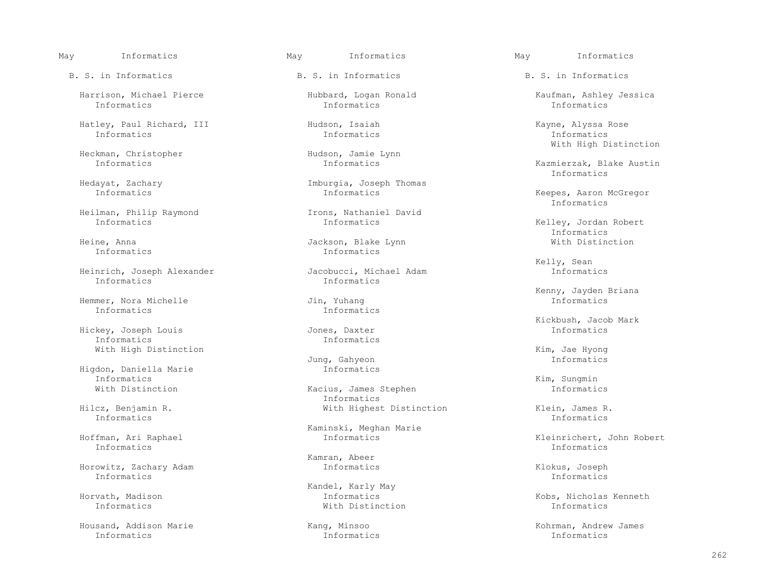Harrison, Michael Pierce Hubbard, Logan Ronald Kaufman, Ashley Jessica<br>
Informatics Informatics Informatics Informatics Informatics Informatics Informatics

 Hatley, Paul Richard, III Hudson, Isaiah Kayne, Alyssa Rose Informatics Informatics Informatics

Heckman, Christopher (Hudson, Jamie 1986)<br>
Informatics (Hudson, Jamie 1986)

Heilman, Philip Raymond<br>
Informatics<br>
Informatics<br>
Informatics

 Heinrich, Joseph Alexander Jacobucci, Michael Adam Informatics Informatics Informatics

Hemmer, Nora Michelle<br>Informatics

 Hickey, Joseph Louis Jones, Daxter Informatics Informatics Informatics

 Higdon, Daniella Marie Informatics Informatics and the contract of the contract of the contract of the contract of the contract of the contract of the contract of the contract of the contract of the contract of the contract of the contract of the contract o

Informatics Informatics

Informatics Informatics

 Horowitz, Zachary Adam Informatics Klokus, Joseph Informatics Informatics

 Housand, Addison Marie Kang, Minsoo Kohrman, Andrew James Informatics Informatics Informatics

B. S. in Informatics The B. S. in Informatics B. S. in Informatics B. S. in Informatics

Hedayat, Zachary **Imburgia, Joseph Thomas**<br>
Informatics Informatics

 Heine, Anna Jackson, Blake Lynn With Distinction Informatics Informatics

Informatics Informatics

Jung, Gahyeon Informatics

With Distinction The Kacius, James Stephen The Informatics Example 20 Informatics<br>
Hilcz, Benjamin R. (With Highes: 1999) Hilcz, Benjamin R. With Highest Distinction Klein, James R.

Kaminski, Meghan Marie<br>Kaminski, Meghan Marie<br>Informatics

Kamran, Abeer

Kandel, Karly May<br>Kandel, Karly May<br>Informatics Informatics With Distinction Informatics

With High Distinction<br>
Hudson, Jamie Lynn

Kazmierzak, Blake Austin<br>Informatics Informatics

Keepes, Aaron McGregor<br>Informatics Informatics

Kelley, Jordan Robert<br>Informatics Informatics

Kelly, Sean

Kenny, Jayden Briana<br>Jin, Yuhang dia karena di manang kalipunan di manang kalipunan dia karena di manang karena di manang karena di

Kickbush, Jacob Mark

With High Distinction  $Jung$ , Gahyeon  $Jung$ , Gahyeon  $\overline{M}$  and  $\overline{M}$  and  $\overline{M}$ 

Hoffman, Ari Raphael Informatics Kleinrichert, John Robert

Horvath, Madison Informatics Kobs, Nicholas Kenneth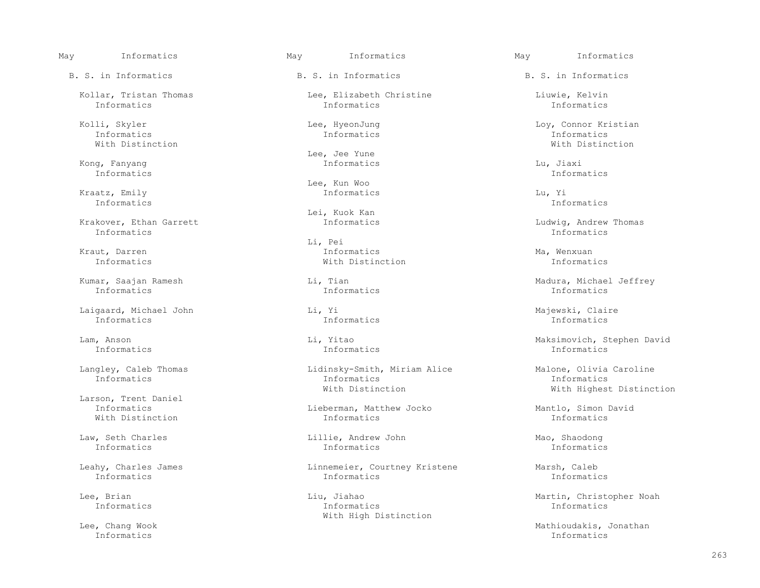B. S. in Informatics The B. S. in Informatics B. S. in Informatics B. S. in Informatics

 Kolli, Skyler Lee, HyeonJung Loy, Connor Kristian Informatics Informatics Informatics With Distinction With Distinction

 Kong, Fanyang Informatics Lu, Jiaxi Informatics Informatics

 Kraatz, Emily Informatics Lu, Yi Informatics Informatics

 Krakover, Ethan Garrett Informatics Ludwig, Andrew Thomas Informatics Informatics

Informatics Informatics Informatics

Laigaard, Michael John Li, Yi Chaigaard, Michael John Li, Yi Majewski, Claire<br>
Informatics Laigness Informatics Laternatics Laternatics Laternatics Laternatics Laternatics Laternatics Late Informatics Informatics Informatics

Larson, Trent Daniel<br>Informatics

Informatics Informatics Informatics

Kollar, Tristan Thomas Lee, Elizabeth Christine Liuwie, Kelvin<br>Informatics Informatics Informatics Informatics Informatics Informatics Informatics

Lee, Jee Yune<br>Kong, Fanyang die and the Santa Congress of the Santa Congress of the Santa Congress of the Santa Congress of

Example Engineer Monday (Emily Straatz, Emily Straate Monday Monday Monday Monday Monday Monday Monday Monday Mo<br>
Lee, Kun Wood Monday Monday Monday Monday Monday Monday Monday Monday Monday Monday Monday Monday Monday Mon

Eei, Kuok Kan (Ethan Garrett) Martin (Ethan Controller Music State of The Music State of The Music State of Th<br>Informatics (Ethan Garrett) Music State of The Theorem in The Music State of The Music State of The Music State

 Li, Pei Kraut, Darren 1988 - Informatics May May Manusuan Machines, Marian Machines, Marian Machines, Marian Machines, Informatics With Distinction Informatics

 Langley, Caleb Thomas Lidinsky-Smith, Miriam Alice Malone, Olivia Caroline Informatics Informatics Informatics

 Informatics Lieberman, Matthew Jocko Mantlo, Simon David With Distinction Informatics Informatics

Law, Seth Charles Lillie, Andrew John Mao, Shaodong

 Leahy, Charles James Linnemeier, Courtney Kristene Marsh, Caleb Informatics Informatics Informatics

 Informatics Informatics Informatics Lee, Chang Wook and Miller and Miller Muslim Miller Muslim Miller Muslim Muslim Muslim Muslim Muslim Muslim Mu

Kumar, Saajan Ramesh Li, Tian Madura, Michael Jeffrey

 Lam, Anson Li, Yitao Maksimovich, Stephen David Informatics Informatics Informatics

With Distinction With Highest Distinction

Lee, Brian Liu, Jiahao Martin, Christopher Noah

chang Wook and the Chang Wook of the Chang Wathioudakis, Jonathan Mathioudakis, Jonathan Mathioudakis, Jonathan<br>Informatics Informatics Informatics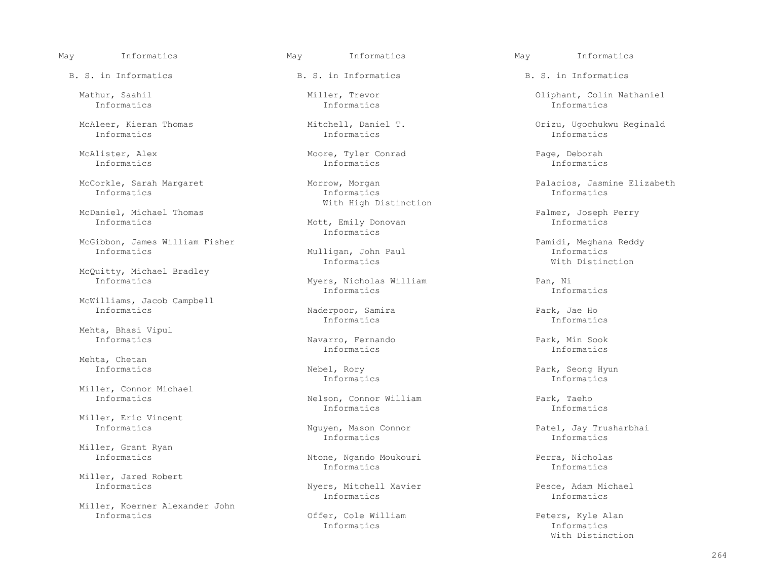Informatics Informatics Informatics

McDaniel, Michael Thomas Palmer, Joseph Perry

McGibbon, James William Fisher (Mulligan, John Paul)<br>
Mulligan, John Paul (Paul Paul Pamidi, Meghana Reddy

McQuitty, Michael Bradley<br>Informatics

McWilliams, Jacob Campbell

Mehta, Bhasi Vipul

Mehta, Chetan

Miller, Connor Michael<br>Informatics

Miller, Eric Vincent<br>Informatics

Miller, Grant Ryan<br>Informatics

Miller, Jared Robert<br>Informatics

Miller, Koerner Alexander John

B. S. in Informatics The B. S. in Informatics B. S. in Informatics B. S. in Informatics

Informatics Informatics Informatics

 McAlister, Alex Moore, Tyler Conrad Page, Deborah Informatics Informatics Informatics

 Informatics Informatics Informatics With High Distinction

> Mott, Emily Donovan Informatics

Myers, Nicholas William (and Pan, Nichormatics Pan, Ni Informatics Informatics

Naderpoor, Samira and Park, Jae Ho<br>Informatics 1nformatics 11 Informatics Informatics

 Informatics Navarro, Fernando Park, Min Sook Informatics Informatics

Nelson, Connor William Park, Taeho<br>Informatics Informatics Informatics Informatics Informatics

Informatics Informatics

 Informatics Ntone, Ngando Moukouri Perra, Nicholas Informatics Informatics

Nyers, Mitchell Xavier<br>
Informatics<br>
Informatics<br>
Informatics Informatics Informatics

Offer, Cole William and The Peters, Kyle Alan Peters, And Peters, And Peters, And Peters, And Peters, American Informatics Informatics

May Informatics May Informatics May Informatics

Mathur, Saahil Miller, Trevor Oliphant, Colin Nathaniel

McAleer, Kieran Thomas Mitchell, Daniel T. Orizu, Ugochukwu Reginald

McCorkle, Sarah Margaret Morrow, Morgan Palacios, Jasmine Elizabeth

 Informatics Mulligan, John Paul Informatics Informatics With Distinction

 Informatics Nebel, Rory Park, Seong Hyun Informatics Informatics

Nguyen, Mason Connor **Patel, Jay Trusharbhai**<br>Informatics **Informatics** Informatics

With Distinction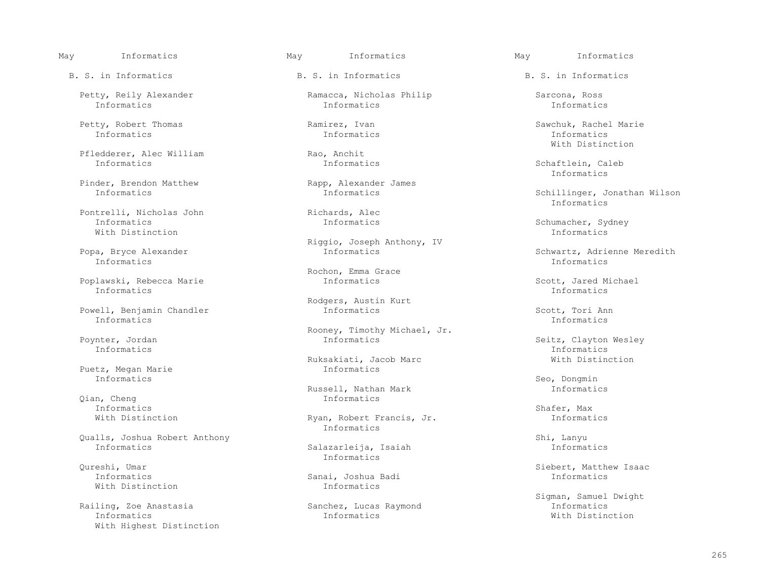Petty, Robert Thomas Ramirez, Ivan Sawchuk, Rachel Marie Informatics Informatics Informatics

Pfledderer, Alec William Rao, Anchit<br>
Informatics Informatics Research

Pinder, Brendon Matthew Rapp, Alexander James<br>Informatics Informatics

Pontrelli, Nicholas John Richards, Alec<br>Thermatics Reformation Richards, Alec Informatics Informatics Informatics Schumacher, Sydney<br>With Distinction The United Schumacher, Sydney With Distinction **Informatics** 

Informatics Informatics

Poplawski, Rebecca Marie Informatics Scott, Jared Michael<br>Informatics Informatics Informatics Informatics Informatics

Powell, Benjamin Chandler **Informatics Informatics** Scott, Tori Ann Scott, Tori Ann Informatics **Informatics** Informatics Informatics

 Puetz, Megan Marie Informatics Informatics and the second second second second second second second second second second second second second second second second second second second second second second second second second second second second second

 Qian, Cheng Informatics Informatics Shafer, Max

Qualls, Joshua Robert Anthony Shi, Lanyu

 $With$  Distinction

 Railing, Zoe Anastasia Sanchez, Lucas Raymond Informatics Informatics Informatics With Distinction With Highest Distinction

B. S. in Informatics The B. S. in Informatics B. S. in Informatics B. S. in Informatics

Petty, Reily Alexander (Ramacca, Nicholas Philip (Ramacca, Ross) Sarcona, Ross (References Informational Reserve<br>Information (Information Information) and Information (Information Information) and Information (Information Informatics Informatics Informatics

Riggio, Joseph Anthony, IV<br>Popa, Bryce Alexander and the subset of the Informatics

Rochon, Emma Grace

Rodgers, Austin Kurt

Rooney, Timothy Michael, Jr.<br>
Rooney, Timothy Michael, Jr.<br>
Informatics

Ruksakiati, Jacob Marc<br>
Informatics

Russell, Nathan Mark **Informatics**<br>Informatics

With Distinction **Ryan, Robert Francis, Jr.** Informatics Informatics

 Informatics Salazarleija, Isaiah Informatics Informatics

Informatics Sanai, Joshua Badi Informatics

With Distinction

Schaftlein, Caleb<br>Informatics Informatics

Schillinger, Jonathan Wilson<br>Informatics Informatics

a, Bryce Alexander Informatics Schwartz, Adrienne Meredith<br>Informatics Informatics Informatics

nter, Jordan Informatics Seitz, Clayton Wesley<br>Informatics Informatics Informatics Informatics Informatics

Qureshi, Umar Siebert, Matthew Isaac

Sigman, Samuel Dwight<br>Informatics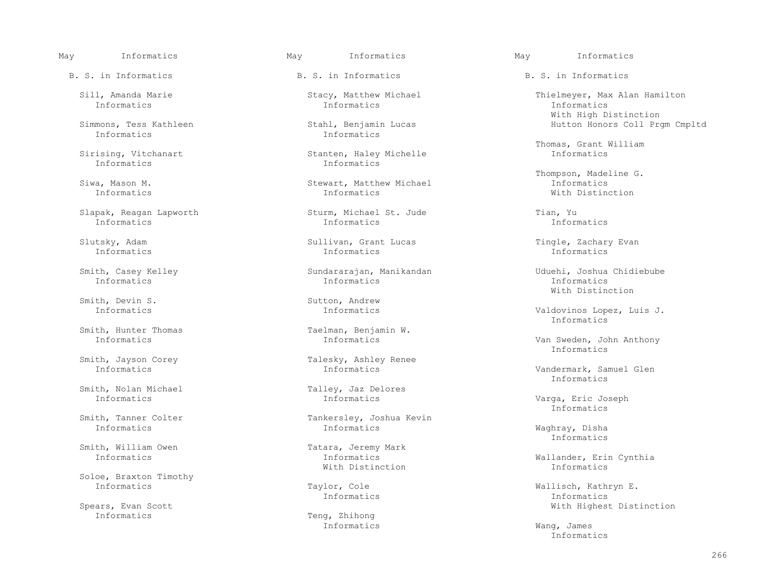B. S. in Informatics The B. S. in Informatics B. S. in Informatics B. S. in Informatics

Informatics Informatics

Slapak, Reagan Lapworth Sturm, Michael St. Jude  $\begin{array}{ccc} \texttt{Informatics} & \texttt{Informatics} \end{array}$ 

Smith, Devin S. Sutton, Andrew

Smith, Hunter Thomas Taelman, Benjamin W.<br>Thermatics Theormatics Theormatics

Smith, Nolan Michael Talley, Jaz Delores<br>Informatics The Talley Theorem

Smith, William Owen Tatara, Jeremy Mark<br>Informatics The Informatics

Soloe, Braxton Timothy<br>Informatics

Spears, Evan Scott<br>
Spears, Evan Scott<br>
Teng, Zhihong<br>
Teng, Zhihong

Informatics Informatics Informatics

mons, Tess Kathleen Stahl, Benjamin Lucas Hutton Honors Coll Prgm Cmpltd<br>Informatics Informatics Informatics Informatics

Stanten, Haley Michelle<br>Informatics

 Siwa, Mason M. Stewart, Matthew Michael Informatics Informatics Informatics With Distinction

Informatics Informatics Informatics

 Slutsky, Adam Sullivan, Grant Lucas Tingle, Zachary Evan Informatics Informatics Informatics

Informatics Informatics Informatics

Smith, Jayson Corey Talesky, Ashley Renee<br>Informatics Theorem Theorem Informatics

Smith, Tanner Colter Tankersley, Joshua Kevin<br>
Informatics The Tankersley, Joshua Kevin Informatics Informatics Waghray, Disha

With Distinction Informatics

Informatics Teng, Zhihong

May Informatics May Informatics May Informatics

 Sill, Amanda Marie Stacy, Matthew Michael Thielmeyer, Max Alan Hamilton Simmons, Tess Kathleen (Stahl, Benjamin Lucas ) and Mith High Distinction (Stahl, Benjamin Lucas (Stahl, Benjamin Lucas (Stahl, Benjamin Lucas (Stahl, Benjamin Lucas (Stahl, Benjamin Lucas (Stahl, Benjamin Lucas (Stahl, Be

Thomas, Grant William Sirising, Vitchanart Stand Control Stanten, Haley Michelle Sirising, Thomas, Grant William

Siwa, Mason M. Stewart, Matthew Michael (1998) 1996.<br>Stewart, Matthew Michael (1998) 1997 11 Theormatics

 Smith, Casey Kelley Sundararajan, Manikandan Uduehi, Joshua Chidiebube With Distinction

Valdovinos Lopez, Luis J.<br>Informatics Informatics

Van Sweden, John Anthony<br>Informatics Informatics

Vandermark, Samuel Glen<br>Informatics Informatics

Varga, Eric Joseph<br>Informatics Informatics

Informatics

Informatics Informatics Wallander, Erin Cynthia

Taylor, Cole **Wallisch, Kathryn E.**<br>
Informatics Theorem Theorem Theorem Theorem Informatics Informatics Informatics

 Informatics Wang, James Informatics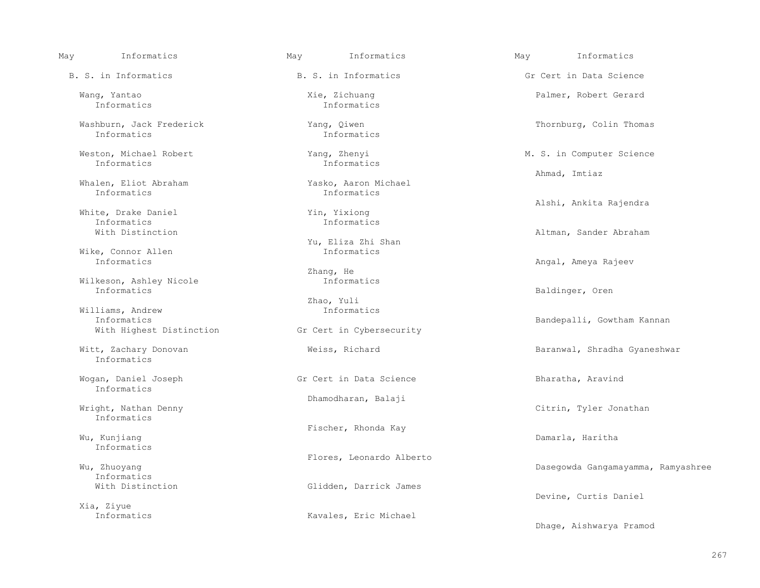Wang, Yantao Xie, Zichuang Palmer, Robert Gerard Informatics Informatics

Washburn, Jack Frederick Thomas (Vang, Qiwen Thomas Thornburg, Colin Thomas Thornburg, Colin Thomas Thornburg, Colin Thomas Thornburg, Colin Thomas Thornburg, Colin Thomas Thornburg, Colin Thomas Thornburg, Colin Thomas Th

Whalen, Eliot Abraham Yasko, Aaron Michael<br>Informatics 1150 Informatics Informatics Informatics

White, Drake Daniel Theorem and Min, Yixiong<br>Theorem Informatics Theorem Informatics Informatics Informatics

Wike, Connor Allen<br>Informatics

Wilkeson, Ashley Nicole Informatics

 Williams, Andrew Informatics With Highest Distinction

Informatics

Informatics

Wright, Nathan Denny and Solid Chamodharan, Balaji Informatics

Wu, Kunjiang dan bahasa dan bahasa dan bahasa dan bahasa dan bahasa dan bahasa dan bahasa dan bahasa dan bahas Informatics

Informatics<br>With Distinction

Xia, Ziyue

Informatics Informatics

Informatics Informatics

Yu, Eliza Zhi Shan

Zhang, He<br>Informatics

Zhao, Yuli

Wogan, Daniel Joseph The Gr Cert in Data Science The Bharatha, Aravind

Wu, Kunjiang Mu, Kunjiang Mu, Kunjiang Mu, Kunjiang Mu, Kunjiang Mu, Kunjiang Mu, Kunjiang Mu, Kunjiang Mu

Wu, Zhuoyang **Elores, Leonardo Alberto** 

Glidden, Darrick James

Kavales, Eric Michael

 May Informatics May Informatics May Informatics B. S. in Informatics The S. S. in Informatics Gr Cert in Data Science

Weston, Michael Robert (Neston, Michael Robert Meston, Michael Robert Music Meston, Michael Robert Music Meston<br>
Musics
Theormatics
Theormatics
Theormatics
Theormatics
Theormatics
Theormatics
Theormatics
Theormatics
Theorm Ahmad, Imtiaz

Alshi, Ankita Rajendra

With Distinction and the Mathematic Service of Altman, Sander Abraham Altman, Sander Abraham Altman, Sander Abraham

Angal, Ameya Rajeev

Baldinger, Oren

Gr Cert in Cybersecurity **Information** Bandepalli, Gowtham Kannan

Witt, Zachary Donovan **Barang Mentury Meiss, Richard Baranwal**, Shradha Gyaneshwar

Citrin, Tyler Jonathan

Dasegowda Gangamayamma, Ramyashree

Devine, Curtis Daniel

Dhage, Aishwarya Pramod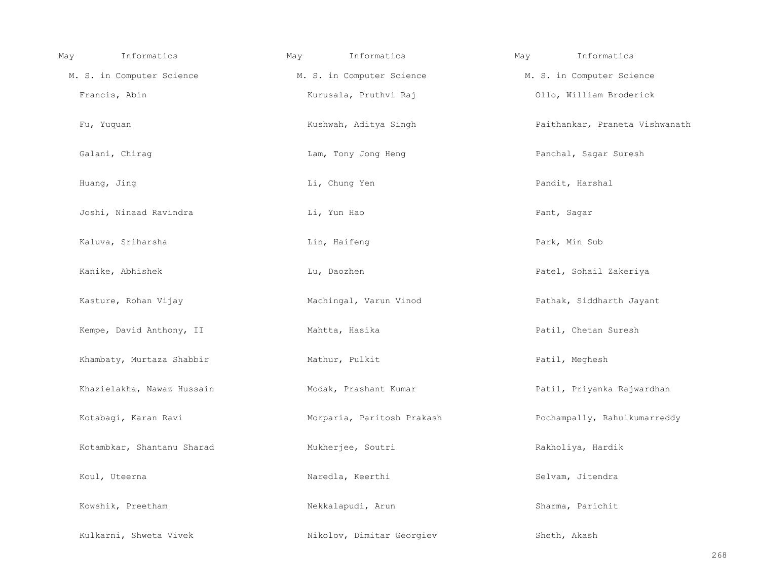| May | Informatics                | May | Informatics                | May | Informatics                    |
|-----|----------------------------|-----|----------------------------|-----|--------------------------------|
|     | M. S. in Computer Science  |     | M. S. in Computer Science  |     | M. S. in Computer Science      |
|     | Francis, Abin              |     | Kurusala, Pruthvi Raj      |     | Ollo, William Broderick        |
|     | Fu, Yuquan                 |     | Kushwah, Aditya Singh      |     | Paithankar, Praneta Vishwanath |
|     | Galani, Chirag             |     | Lam, Tony Jong Heng        |     | Panchal, Sagar Suresh          |
|     | Huang, Jing                |     | Li, Chung Yen              |     | Pandit, Harshal                |
|     | Joshi, Ninaad Ravindra     |     | Li, Yun Hao                |     | Pant, Sagar                    |
|     | Kaluva, Sriharsha          |     | Lin, Haifeng               |     | Park, Min Sub                  |
|     | Kanike, Abhishek           |     | Lu, Daozhen                |     | Patel, Sohail Zakeriya         |
|     | Kasture, Rohan Vijay       |     | Machingal, Varun Vinod     |     | Pathak, Siddharth Jayant       |
|     | Kempe, David Anthony, II   |     | Mahtta, Hasika             |     | Patil, Chetan Suresh           |
|     | Khambaty, Murtaza Shabbir  |     | Mathur, Pulkit             |     | Patil, Meghesh                 |
|     | Khazielakha, Nawaz Hussain |     | Modak, Prashant Kumar      |     | Patil, Priyanka Rajwardhan     |
|     | Kotabagi, Karan Ravi       |     | Morparia, Paritosh Prakash |     | Pochampally, Rahulkumarreddy   |
|     | Kotambkar, Shantanu Sharad |     | Mukherjee, Soutri          |     | Rakholiya, Hardik              |
|     | Koul, Uteerna              |     | Naredla, Keerthi           |     | Selvam, Jitendra               |
|     | Kowshik, Preetham          |     | Nekkalapudi, Arun          |     | Sharma, Parichit               |
|     | Kulkarni, Shweta Vivek     |     | Nikolov, Dimitar Georgiev  |     | Sheth, Akash                   |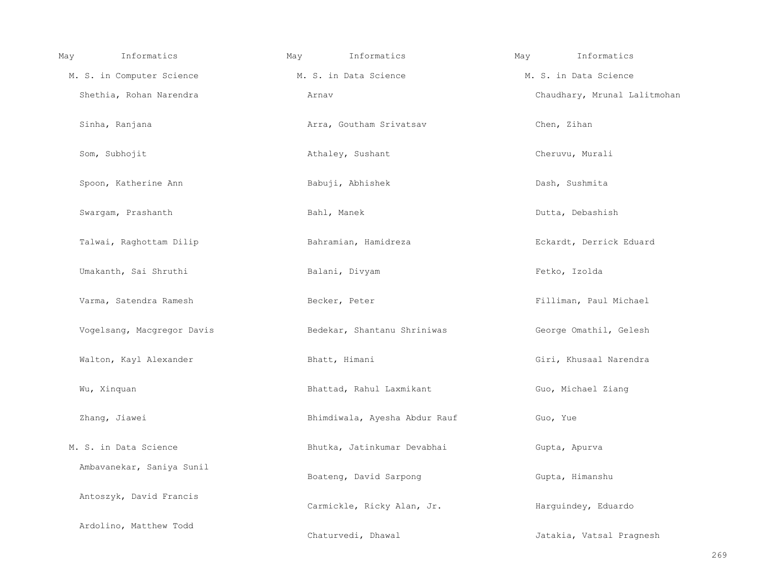| May | Informatics                | May | Informatics                   | May | Informatics                  |
|-----|----------------------------|-----|-------------------------------|-----|------------------------------|
|     | M. S. in Computer Science  |     | M. S. in Data Science         |     | M. S. in Data Science        |
|     | Shethia, Rohan Narendra    |     | Arnav                         |     | Chaudhary, Mrunal Lalitmohan |
|     | Sinha, Ranjana             |     | Arra, Goutham Srivatsav       |     | Chen, Zihan                  |
|     | Som, Subhojit              |     | Athaley, Sushant              |     | Cheruvu, Murali              |
|     | Spoon, Katherine Ann       |     | Babuji, Abhishek              |     | Dash, Sushmita               |
|     | Swargam, Prashanth         |     | Bahl, Manek                   |     | Dutta, Debashish             |
|     | Talwai, Raghottam Dilip    |     | Bahramian, Hamidreza          |     | Eckardt, Derrick Eduard      |
|     | Umakanth, Sai Shruthi      |     | Balani, Divyam                |     | Fetko, Izolda                |
|     | Varma, Satendra Ramesh     |     | Becker, Peter                 |     | Filliman, Paul Michael       |
|     | Vogelsang, Macgregor Davis |     | Bedekar, Shantanu Shriniwas   |     | George Omathil, Gelesh       |
|     | Walton, Kayl Alexander     |     | Bhatt, Himani                 |     | Giri, Khusaal Narendra       |
|     | Wu, Xinquan                |     | Bhattad, Rahul Laxmikant      |     | Guo, Michael Ziang           |
|     | Zhang, Jiawei              |     | Bhimdiwala, Ayesha Abdur Rauf |     | Guo, Yue                     |
|     | M. S. in Data Science      |     | Bhutka, Jatinkumar Devabhai   |     | Gupta, Apurva                |
|     | Ambavanekar, Saniya Sunil  |     | Boateng, David Sarpong        |     | Gupta, Himanshu              |
|     | Antoszyk, David Francis    |     | Carmickle, Ricky Alan, Jr.    |     | Harguindey, Eduardo          |
|     | Ardolino, Matthew Todd     |     | Chaturvedi, Dhawal            |     | Jatakia, Vatsal Pragnesh     |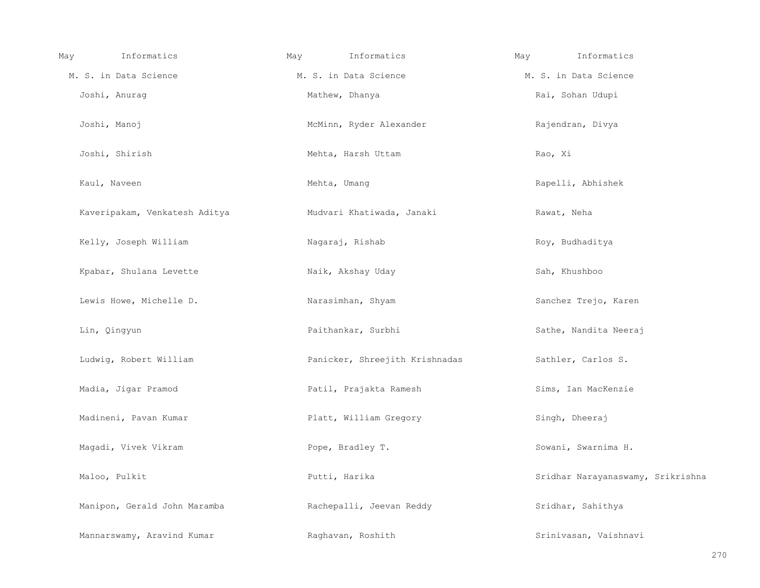| Informatics<br>May            | May | Informatics                    | May | Informatics                       |
|-------------------------------|-----|--------------------------------|-----|-----------------------------------|
| M. S. in Data Science         |     | M. S. in Data Science          |     | M. S. in Data Science             |
| Joshi, Anurag                 |     | Mathew, Dhanya                 |     | Rai, Sohan Udupi                  |
| Joshi, Manoj                  |     | McMinn, Ryder Alexander        |     | Rajendran, Divya                  |
| Joshi, Shirish                |     | Mehta, Harsh Uttam             |     | Rao, Xi                           |
| Kaul, Naveen                  |     | Mehta, Umang                   |     | Rapelli, Abhishek                 |
| Kaveripakam, Venkatesh Aditya |     | Mudvari Khatiwada, Janaki      |     | Rawat, Neha                       |
| Kelly, Joseph William         |     | Nagaraj, Rishab                |     | Roy, Budhaditya                   |
| Kpabar, Shulana Levette       |     | Naik, Akshay Uday              |     | Sah, Khushboo                     |
| Lewis Howe, Michelle D.       |     | Narasimhan, Shyam              |     | Sanchez Trejo, Karen              |
| Lin, Qingyun                  |     | Paithankar, Surbhi             |     | Sathe, Nandita Neeraj             |
| Ludwig, Robert William        |     | Panicker, Shreejith Krishnadas |     | Sathler, Carlos S.                |
| Madia, Jigar Pramod           |     | Patil, Prajakta Ramesh         |     | Sims, Ian MacKenzie               |
| Madineni, Pavan Kumar         |     | Platt, William Gregory         |     | Singh, Dheeraj                    |
| Magadi, Vivek Vikram          |     | Pope, Bradley T.               |     | Sowani, Swarnima H.               |
| Maloo, Pulkit                 |     | Putti, Harika                  |     | Sridhar Narayanaswamy, Srikrishna |
| Manipon, Gerald John Maramba  |     | Rachepalli, Jeevan Reddy       |     | Sridhar, Sahithya                 |
| Mannarswamy, Aravind Kumar    |     | Raghavan, Roshith              |     | Srinivasan, Vaishnavi             |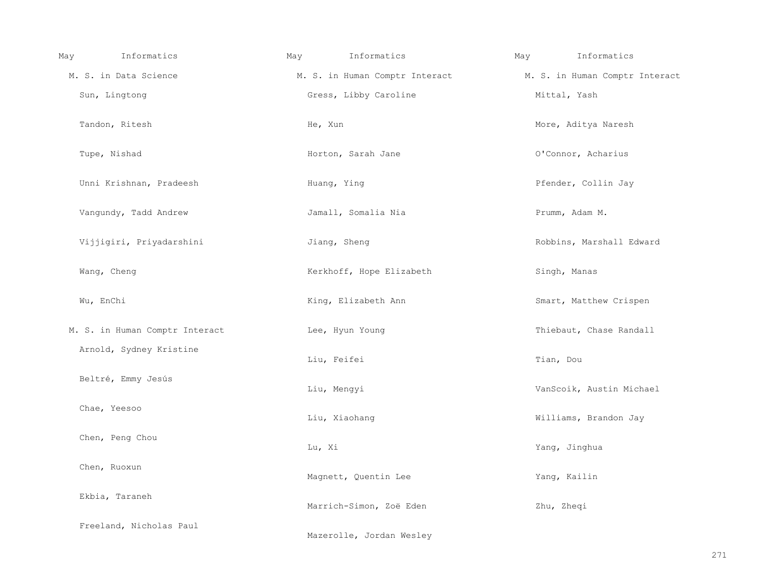| Informatics<br>May             | Informatics<br>May       | Informatics<br>May                                            |
|--------------------------------|--------------------------|---------------------------------------------------------------|
| M. S. in Data Science          |                          | M. S. in Human Comptr Interact M. S. in Human Comptr Interact |
| Sun, Lingtong                  | Gress, Libby Caroline    | Mittal, Yash                                                  |
| Tandon, Ritesh                 | He, Xun                  | More, Aditya Naresh                                           |
| Tupe, Nishad                   | Horton, Sarah Jane       | O'Connor, Acharius                                            |
| Unni Krishnan, Pradeesh        | Huang, Ying              | Pfender, Collin Jay                                           |
| Vangundy, Tadd Andrew          | Jamall, Somalia Nia      | Prumm, Adam M.                                                |
| Vijjigiri, Priyadarshini       | Jiang, Sheng             | Robbins, Marshall Edward                                      |
| Wang, Cheng                    | Kerkhoff, Hope Elizabeth | Singh, Manas                                                  |
| Wu, EnChi                      | King, Elizabeth Ann      | Smart, Matthew Crispen                                        |
| M. S. in Human Comptr Interact | Lee, Hyun Young          | Thiebaut, Chase Randall                                       |
| Arnold, Sydney Kristine        | Liu, Feifei              | Tian, Dou                                                     |
| Beltré, Emmy Jesús             | Liu, Mengyi              | VanScoik, Austin Michael                                      |
| Chae, Yeesoo                   | Liu, Xiaohang            | Williams, Brandon Jay                                         |
| Chen, Peng Chou                | Lu, Xi                   | Yang, Jinghua                                                 |
| Chen, Ruoxun                   | Magnett, Quentin Lee     | Yang, Kailin                                                  |
| Ekbia, Taraneh                 | Marrich-Simon, Zoë Eden  | Zhu, Zheqi                                                    |
| Freeland, Nicholas Paul        | Mazerolle, Jordan Wesley |                                                               |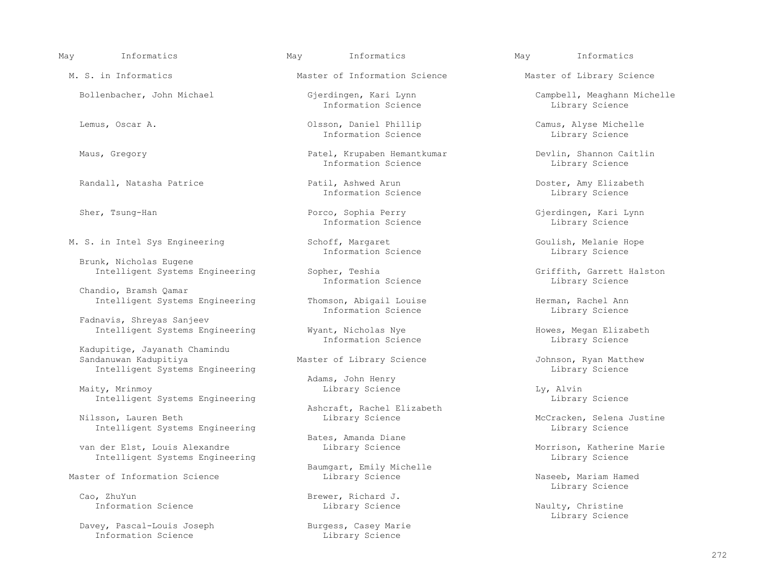Randall, Natasha Patrice Patil, Ashwed Arun Doster, Amy Elizabeth Sher, Tsung-Han Porco, Sophia Perry Gjerdingen, Kari Lynn Information Science Library Science M. S. in Intel Sys Engineering Schoff, Margaret Goulish, Melanie Hope Information Science Library Science Intelligent Systems Engineering Sopher, Teshia Griffith, Garrett Halston (Griffith, Garrett Halston Information Science and Griffith, Garrett Halston Information Science and Griffith, Garrett Halston Information Science an Intelligent Systems Engineering Thomson, Abigail Louise Thomson, Abigail Herman, Rachel Ann Intelligent Systems Engineering Wyant, Nicholas Nye Howes, Megan Elizabeth (Elizabeth Information Science and Theore Intelligent Systems Engineering Library Science Library Science Library Science Master of Information Science Library Science Naseeb, Mariam Hamed Library Science Library Science Library Science Library Science Library Science L Library Science Cao, ZhuYun Brewer, Richard J.<br>Information Science and Brewer, Richard J.

Intelligent Systems Engineering

 Maity, Mrinmoy Library Science Ly, Alvin Intelligent Systems Engineering

Intelligent Systems Engineering

van der Elst, Louis Alexandre and Library Science and Morrison, Katherine Marie

Davey, Pascal-Louis Joseph Burgess, Casey Marie<br>
Information Science Burgess, Casey Marie

May Informatics May Informatics May Informatics

Brunk, Nicholas Eugene

Chandio, Bramsh Qamar

Fadnavis, Shreyas Sanjeev

Kadupitige, Jayanath Chamindu<br>Sandanuwan Kadupitiya

Ashcraft, Rachel Elizabeth<br>Nilsson, Lauren Beth Milsson, Lauren Beth Library Science

M. S. in Informatics The Master of Information Science Master of Library Science

Information Science Library Science

 Lemus, Oscar A. Olsson, Daniel Phillip Camus, Alyse Michelle Information Science

Maus, Gregory **Patel, Krupaben Hemantkumar** Devlin, Shannon Caitlin Devel Devlin, Shannon Caitlin Information Science

Information Science

Information Science

Information Science **Library Science** 

Information Science

Adams, John Henry

Bates, Amanda Diane

Baumgart, Emily Michelle

Library Science

Bollenbacher, John Michael Gjerdingen, Kari Lynn Campbell, Meaghann Michelle

Master of Library Science and Tohnson, Ryan Matthew<br>Library Science Johnson, Ryan Matthew

McCracken, Selena Justine<br>Library Science

Naulty, Christine<br>Library Science Library Science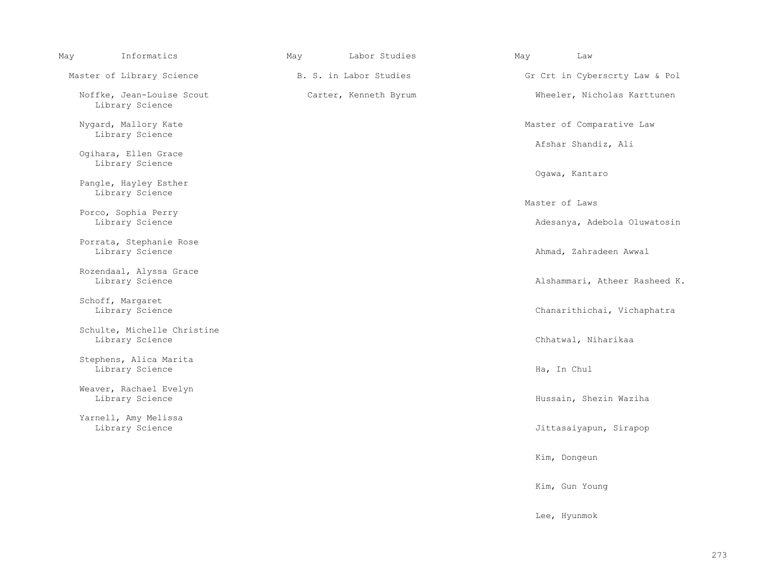| May | Informatics                                    | May | Labor Studies          | May | Law                            |
|-----|------------------------------------------------|-----|------------------------|-----|--------------------------------|
|     | Master of Library Science                      |     | B. S. in Labor Studies |     | Gr Crt in Cyberscrty Law & Pol |
|     | Noffke, Jean-Louise Scout<br>Library Science   |     | Carter, Kenneth Byrum  |     | Wheeler, Nicholas Karttunen    |
|     | Nygard, Mallory Kate<br>Library Science        |     |                        |     | Master of Comparative Law      |
|     | Ogihara, Ellen Grace                           |     |                        |     | Afshar Shandiz, Ali            |
|     | Library Science                                |     |                        |     | Ogawa, Kantaro                 |
|     | Pangle, Hayley Esther<br>Library Science       |     |                        |     |                                |
|     | Porco, Sophia Perry                            |     |                        |     | Master of Laws                 |
|     | Library Science                                |     |                        |     | Adesanya, Adebola Oluwatosin   |
|     | Porrata, Stephanie Rose<br>Library Science     |     |                        |     | Ahmad, Zahradeen Awwal         |
|     | Rozendaal, Alyssa Grace                        |     |                        |     | Alshammari, Atheer Rasheed K.  |
|     | Library Science                                |     |                        |     |                                |
|     | Schoff, Margaret<br>Library Science            |     |                        |     | Chanarithichai, Vichaphatra    |
|     | Schulte, Michelle Christine<br>Library Science |     |                        |     | Chhatwal, Niharikaa            |
|     | Stephens, Alica Marita<br>Library Science      |     |                        |     | Ha, In Chul                    |
|     | Weaver, Rachael Evelyn<br>Library Science      |     |                        |     | Hussain, Shezin Waziha         |
|     | Yarnell, Amy Melissa<br>Library Science        |     |                        |     | Jittasaiyapun, Sirapop         |
|     |                                                |     |                        |     | Kim, Dongeun                   |
|     |                                                |     |                        |     | Kim, Gun Young                 |

Lee, Hyunmok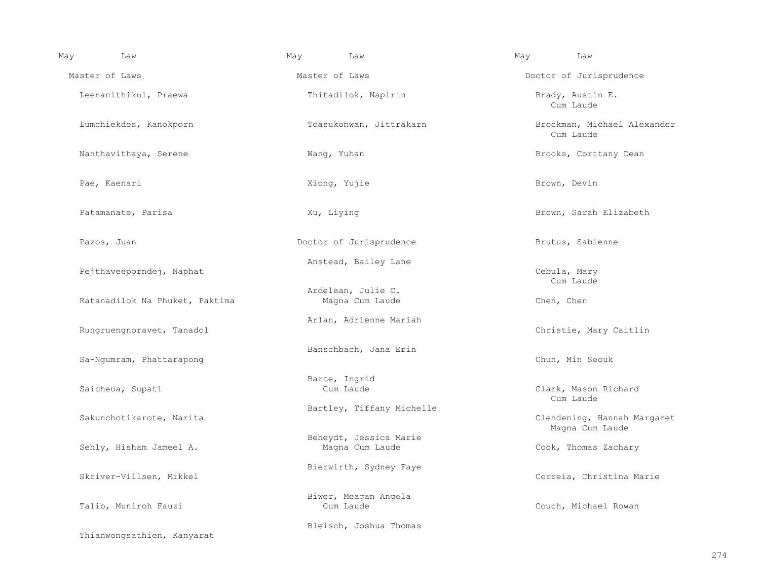| May | Law                                                 | May            | Law                                                                    | May | Law                                            |  |  |
|-----|-----------------------------------------------------|----------------|------------------------------------------------------------------------|-----|------------------------------------------------|--|--|
|     | Master of Laws                                      | Master of Laws |                                                                        |     | Doctor of Jurisprudence                        |  |  |
|     | Leenanithikul, Praewa                               |                | Thitadilok, Napirin                                                    |     | Brady, Austin E.<br>Cum Laude                  |  |  |
|     | Lumchiekdes, Kanokporn                              |                | Toasukonwan, Jittrakarn                                                |     | Brockman, Michael Alexander<br>Cum Laude       |  |  |
|     | Nanthavithaya, Serene                               |                | Wang, Yuhan                                                            |     | Brooks, Corttany Dean                          |  |  |
|     | Pae, Kaenari                                        |                | Xiong, Yujie                                                           |     | Brown, Devin                                   |  |  |
|     | Patamanate, Parisa                                  | Xu, Liying     |                                                                        |     | Brown, Sarah Elizabeth                         |  |  |
|     | Pazos, Juan                                         |                | Doctor of Jurisprudence                                                |     | Brutus, Sabienne                               |  |  |
|     | Pejthaveeporndej, Naphat                            |                | Anstead, Bailey Lane                                                   |     | Cebula, Mary<br>Cum Laude                      |  |  |
|     | Ratanadilok Na Phuket, Paktima                      |                | Ardelean, Julie C.<br>Magna Cum Laude                                  |     | Chen, Chen                                     |  |  |
|     | Rungruengnoravet, Tanadol                           |                | Arlan, Adrienne Mariah                                                 |     | Christie, Mary Caitlin                         |  |  |
|     | Sa-Ngumram, Phattarapong                            |                | Banschbach, Jana Erin                                                  |     | Chun, Min Seouk                                |  |  |
|     | Saicheua, Supati                                    |                | Barce, Ingrid<br>Cum Laude                                             |     | Clark, Mason Richard<br>Cum Laude              |  |  |
|     | Sakunchotikarote, Narita<br>Sehly, Hisham Jameel A. |                | Bartley, Tiffany Michelle<br>Beheydt, Jessica Marie<br>Magna Cum Laude |     | Clendening, Hannah Margaret<br>Magna Cum Laude |  |  |
|     |                                                     |                |                                                                        |     | Cook, Thomas Zachary                           |  |  |
|     | Skriver-Villsen, Mikkel                             |                | Bierwirth, Sydney Faye                                                 |     | Correia, Christina Marie                       |  |  |
|     | Talib, Muniroh Fauzi                                |                | Biwer, Meagan Angela<br>Cum Laude                                      |     | Couch, Michael Rowan                           |  |  |
|     | Thianwongsathien, Kanyarat                          |                | Bleisch, Joshua Thomas                                                 |     |                                                |  |  |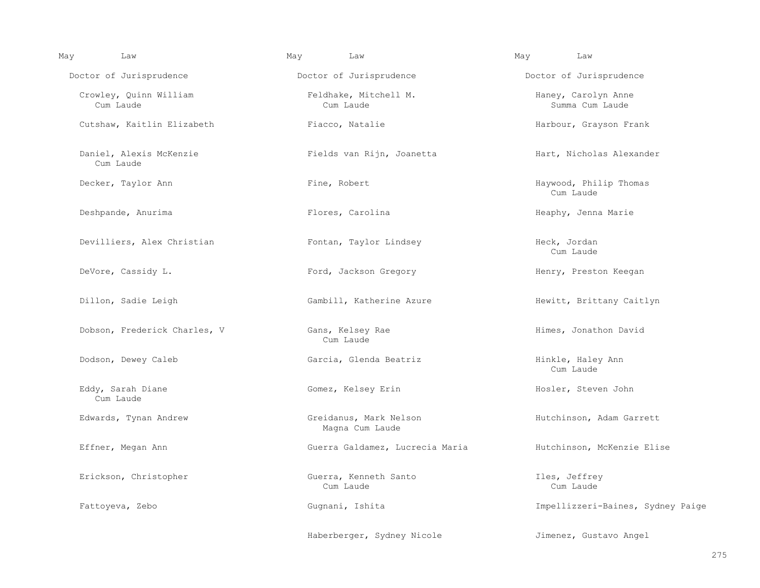| May | Law                                  | May | Law                                       | May           | Law                                    |
|-----|--------------------------------------|-----|-------------------------------------------|---------------|----------------------------------------|
|     | Doctor of Jurisprudence              |     | Doctor of Jurisprudence                   |               | Doctor of Jurisprudence                |
|     | Crowley, Quinn William<br>Cum Laude  |     | Feldhake, Mitchell M.<br>Cum Laude        |               | Haney, Carolyn Anne<br>Summa Cum Laude |
|     | Cutshaw, Kaitlin Elizabeth           |     | Fiacco, Natalie                           |               | Harbour, Grayson Frank                 |
|     | Daniel, Alexis McKenzie<br>Cum Laude |     | Fields van Rijn, Joanetta                 |               | Hart, Nicholas Alexander               |
|     | Decker, Taylor Ann                   |     | Fine, Robert                              |               | Haywood, Philip Thomas<br>Cum Laude    |
|     | Deshpande, Anurima                   |     | Flores, Carolina                          |               | Heaphy, Jenna Marie                    |
|     | Devilliers, Alex Christian           |     | Fontan, Taylor Lindsey                    | Heck, Jordan  | Cum Laude                              |
|     | DeVore, Cassidy L.                   |     | Ford, Jackson Gregory                     |               | Henry, Preston Keegan                  |
|     | Dillon, Sadie Leigh                  |     | Gambill, Katherine Azure                  |               | Hewitt, Brittany Caitlyn               |
|     | Dobson, Frederick Charles, V         |     | Gans, Kelsey Rae<br>Cum Laude             |               | Himes, Jonathon David                  |
|     | Dodson, Dewey Caleb                  |     | Garcia, Glenda Beatriz                    |               | Hinkle, Haley Ann<br>Cum Laude         |
|     | Eddy, Sarah Diane<br>Cum Laude       |     | Gomez, Kelsey Erin                        |               | Hosler, Steven John                    |
|     | Edwards, Tynan Andrew                |     | Greidanus, Mark Nelson<br>Magna Cum Laude |               | Hutchinson, Adam Garrett               |
|     | Effner, Megan Ann                    |     | Guerra Galdamez, Lucrecia Maria           |               | Hutchinson, McKenzie Elise             |
|     | Erickson, Christopher                |     | Guerra, Kenneth Santo<br>Cum Laude        | Iles, Jeffrey | Cum Laude                              |
|     | Fattoyeva, Zebo                      |     | Gugnani, Ishita                           |               | Impellizzeri-Baines, Sydney Paige      |
|     |                                      |     | Haberberger, Sydney Nicole                |               | Jimenez, Gustavo Angel                 |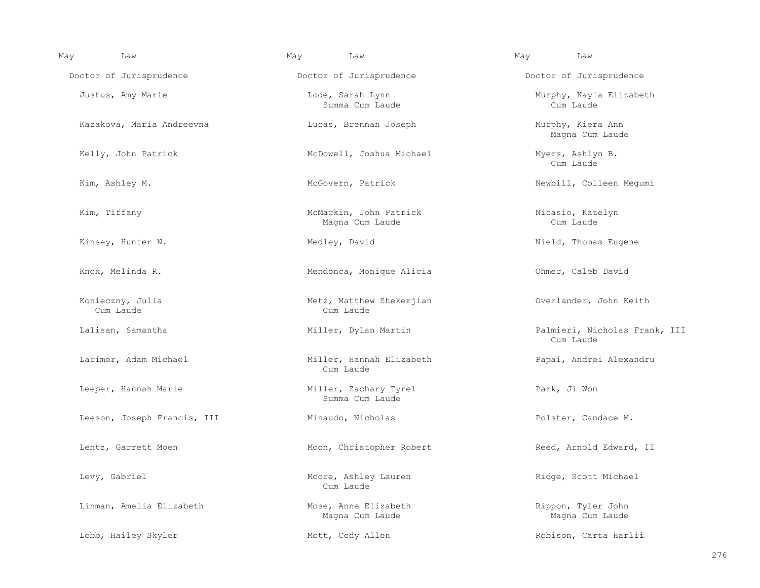| May | Law                           | May<br>Law                                | May | Law                                        |
|-----|-------------------------------|-------------------------------------------|-----|--------------------------------------------|
|     | Doctor of Jurisprudence       | Doctor of Jurisprudence                   |     | Doctor of Jurisprudence                    |
|     | Justus, Amy Marie             | Lode, Sarah Lynn<br>Summa Cum Laude       |     | Murphy, Kayla Elizabeth<br>Cum Laude       |
|     | Kazakova, Maria Andreevna     | Lucas, Brennan Joseph                     |     | Murphy, Kiera Ann<br>Magna Cum Laude       |
|     | Kelly, John Patrick           | McDowell, Joshua Michael                  |     | Myers, Ashlyn B.<br>Cum Laude              |
|     | Kim, Ashley M.                | McGovern, Patrick                         |     | Newbill, Colleen Megumi                    |
|     | Kim, Tiffany                  | McMackin, John Patrick<br>Magna Cum Laude |     | Nicasio, Katelyn<br>Cum Laude              |
|     | Kinsey, Hunter N.             | Medley, David                             |     | Nield, Thomas Eugene                       |
|     | Knox, Melinda R.              | Mendonca, Monique Alicia                  |     | Ohmer, Caleb David                         |
|     | Konieczny, Julia<br>Cum Laude | Metz, Matthew Shekerjian<br>Cum Laude     |     | Overlander, John Keith                     |
|     | Lalisan, Samantha             | Miller, Dylan Martin                      |     | Palmieri, Nicholas Frank, III<br>Cum Laude |
|     | Larimer, Adam Michael         | Miller, Hannah Elizabeth<br>Cum Laude     |     | Papai, Andrei Alexandru                    |
|     | Leeper, Hannah Marie          | Miller, Zachary Tyrel<br>Summa Cum Laude  |     | Park, Ji Won                               |
|     | Leeson, Joseph Francis, III   | Minaudo, Nicholas                         |     | Polster, Candace M.                        |
|     | Lentz, Garrett Moen           | Moon, Christopher Robert                  |     | Reed, Arnold Edward, II                    |
|     | Levy, Gabriel                 | Moore, Ashley Lauren<br>Cum Laude         |     | Ridge, Scott Michael                       |
|     | Linman, Amelia Elizabeth      | Mose, Anne Elizabeth<br>Magna Cum Laude   |     | Rippon, Tyler John<br>Magna Cum Laude      |
|     | Lobb, Hailey Skyler           | Mott, Cody Allen                          |     | Robison, Carta Harlii                      |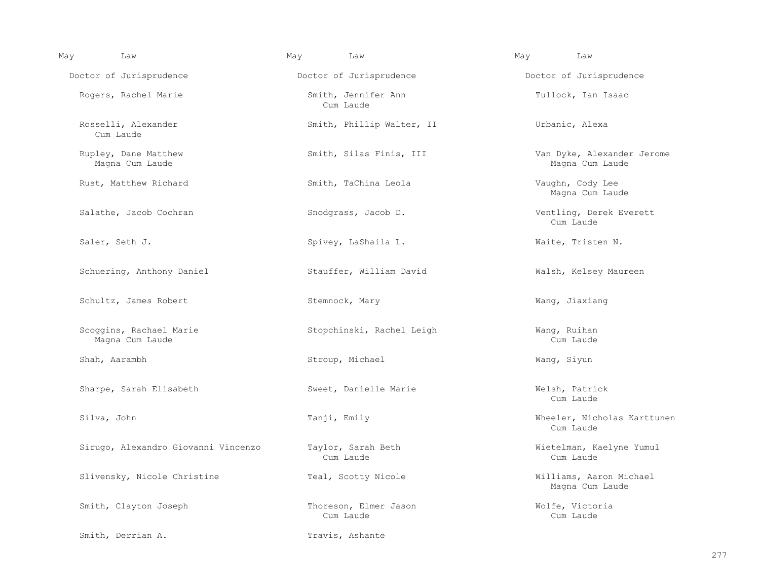| May | Law                                        | May<br>Law                         | Law<br>May                                    |
|-----|--------------------------------------------|------------------------------------|-----------------------------------------------|
|     | Doctor of Jurisprudence                    | Doctor of Jurisprudence            | Doctor of Jurisprudence                       |
|     | Rogers, Rachel Marie                       | Smith, Jennifer Ann<br>Cum Laude   | Tullock, Ian Isaac                            |
|     | Rosselli, Alexander<br>Cum Laude           | Smith, Phillip Walter, II          | Urbanic, Alexa                                |
|     | Rupley, Dane Matthew<br>Magna Cum Laude    | Smith, Silas Finis, III            | Van Dyke, Alexander Jerome<br>Magna Cum Laude |
|     | Rust, Matthew Richard                      | Smith, TaChina Leola               | Vaughn, Cody Lee<br>Magna Cum Laude           |
|     | Salathe, Jacob Cochran                     | Snodgrass, Jacob D.                | Ventling, Derek Everett<br>Cum Laude          |
|     | Saler, Seth J.                             | Spivey, LaShaila L.                | Waite, Tristen N.                             |
|     | Schuering, Anthony Daniel                  | Stauffer, William David            | Walsh, Kelsey Maureen                         |
|     | Schultz, James Robert                      | Stemnock, Mary                     | Wang, Jiaxiang                                |
|     | Scoggins, Rachael Marie<br>Magna Cum Laude | Stopchinski, Rachel Leigh          | Wang, Ruihan<br>Cum Laude                     |
|     | Shah, Aarambh                              | Stroup, Michael                    | Wang, Siyun                                   |
|     | Sharpe, Sarah Elisabeth                    | Sweet, Danielle Marie              | Welsh, Patrick<br>Cum Laude                   |
|     | Silva, John                                | Tanji, Emily                       | Wheeler, Nicholas Karttunen<br>Cum Laude      |
|     | Sirugo, Alexandro Giovanni Vincenzo        | Taylor, Sarah Beth<br>Cum Laude    | Wietelman, Kaelyne Yumul<br>Cum Laude         |
|     | Slivensky, Nicole Christine                | Teal, Scotty Nicole                | Williams, Aaron Michael<br>Magna Cum Laude    |
|     | Smith, Clayton Joseph                      | Thoreson, Elmer Jason<br>Cum Laude | Wolfe, Victoria<br>Cum Laude                  |
|     | Smith, Derrian A.                          | Travis, Ashante                    |                                               |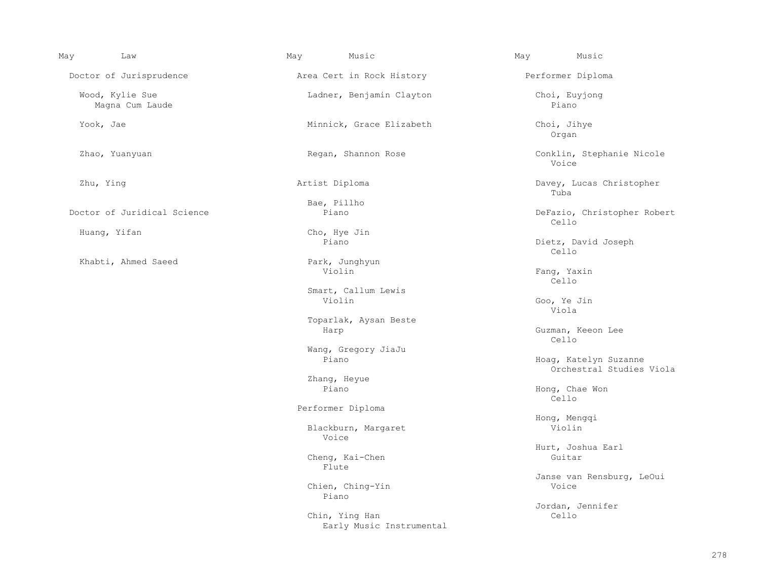| May<br>Law                         | May<br>Music                               | Music<br>May                                      |
|------------------------------------|--------------------------------------------|---------------------------------------------------|
| Doctor of Jurisprudence            | Area Cert in Rock History                  | Performer Diploma                                 |
| Wood, Kylie Sue<br>Magna Cum Laude | Ladner, Benjamin Clayton                   | Choi, Euyjong<br>Piano                            |
| Yook, Jae                          | Minnick, Grace Elizabeth                   | Choi, Jihye<br>Organ                              |
| Zhao, Yuanyuan                     | Regan, Shannon Rose                        | Conklin, Stephanie Nicole<br>Voice                |
| Zhu, Ying                          | Artist Diploma                             | Davey, Lucas Christopher<br>Tuba                  |
|                                    | Bae, Pillho                                |                                                   |
| Doctor of Juridical Science        | Piano                                      | DeFazio, Christopher Robert<br>Cello              |
| Huang, Yifan                       | Cho, Hye Jin                               |                                                   |
|                                    | Piano                                      | Dietz, David Joseph<br>Cello                      |
| Khabti, Ahmed Saeed                | Park, Junghyun                             |                                                   |
|                                    | Violin                                     | Fang, Yaxin<br>Cello                              |
|                                    | Smart, Callum Lewis                        |                                                   |
|                                    | Violin                                     | Goo, Ye Jin<br>Viola                              |
|                                    | Toparlak, Aysan Beste                      |                                                   |
|                                    | Harp                                       | Guzman, Keeon Lee<br>Cello                        |
|                                    | Wang, Gregory JiaJu                        |                                                   |
|                                    | Piano                                      | Hoag, Katelyn Suzanne<br>Orchestral Studies Viola |
|                                    | Zhang, Heyue                               |                                                   |
|                                    | Piano                                      | Hong, Chae Won<br>Cello                           |
|                                    | Performer Diploma                          |                                                   |
|                                    |                                            | Hong, Menggi                                      |
|                                    | Blackburn, Margaret<br>Voice               | Violin                                            |
|                                    |                                            | Hurt, Joshua Earl                                 |
|                                    | Cheng, Kai-Chen<br>Flute                   | Guitar                                            |
|                                    |                                            | Janse van Rensburg, LeOui                         |
|                                    | Chien, Ching-Yin<br>Piano                  | Voice                                             |
|                                    |                                            | Jordan, Jennifer                                  |
|                                    | Chin, Ying Han<br>Early Music Instrumental | Cello                                             |
|                                    |                                            |                                                   |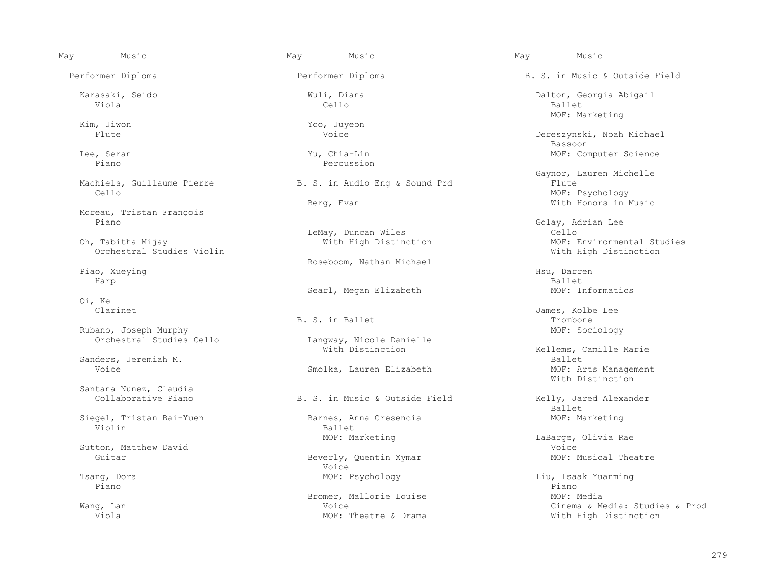May Music May Music May Music

Viola Cello Ballet

Moreau, Tristan François

Orchestral Studies Violin

Harp Ballet

Qi, Ke

Rubano, Joseph Murphy<br>
Orchestral Studies Cello<br>
Corchestral Studies Cello<br>
MOF: Sociology<br>
Langway, Nicole Danielle

Santana Nunez, Claudia

Siegel, Tristan Bai-Yuen Barnes, Anna Cresencia anns anns MOF: Marketing<br>Violin Violin Ballet (Bassetting Ballet ) and the Ballet (Ballet ) and the Ballet (Ballet ) and  $\mathbb{R}$ 

Piano Piano

n, Jiwon 1986, Santon and March 200, Juyeon 2006, Juyeon 2016, Santon 2016, Santon 2016, Santon 2016, Santon 2<br>The Voice 2016, Santon 2016, Santon 2016, Santon 2016, Santon 2016, Santon 2016, Santon 2016, Santon 2016, San

Percussion

hiels, Guillaume Pierre B. S. in Audio Eng & Sound Prd Cello Example of MOF: Psychology<br>
Example of Monday<br>
With Honors in N

LeMay, Duncan Wiles Cello

Piao, Xueying **Exercise 2018** Roseboom, Nathan Michael

B. S. in Ballet **Example 1** and the set of  $\mathbb{R}$  is the set of  $\mathbb{R}$  is the set of  $\mathbb{R}$  is the set of  $\mathbb{R}$  is the set of  $\mathbb{R}$  is the set of  $\mathbb{R}$  is the set of  $\mathbb{R}$  is the set of  $\mathbb{R}$  is the se

Langway, Nicole Danielle<br>With Distinction

Beverly, Quentin Xymar<br>Voice Voice

Bromer, Mallorie Louise MOF: Media<br>Voice Moice Moire Month

 Performer Diploma Performer Diploma B. S. in Music & Outside Field Karasaki, Seido Wuli, Diana Dalton, Georgia Abigail Kim, Jiwon MOF: Marketing MOF: Marketing MOF: Marketing MOF: Marketing MOF: Marketing Dereszynski, Noah Michael<br>Bassoon en die die staatsland van die beskryf van die beskryf van die beskryf van die beskryf van die beskryf van die <br>Die beskryf van die beskryf van die beskryf van die beskryf van die beskryf van die beskryf van die beskryf va Lee, Seran Yu, Chia-Lin MOF: Computer Science Machiels, Guillaume Pierre Theodor (Gaynor, Lauren Michelle Machiels, Gaynor, Lauren Michelle With Honors in Music Golay, Adrian Lee<br>Cello MOF: Environmental Studies<br>With High Distinction Piao, Xueying History (1999) and the settlement of the settlement of the settlement of the settlement of the set Searl, Megan Elizabeth MOF: Informatics

Clarinet James, Kolbe Lee

Kellems, Camille Marie<br>Ballet Sanders, Jeremiah M. Ballet Smolka, Lauren Elizabeth MOF: Arts Management MOF: Arts Management More and More Mith Distinction With Distinction

B. S. in Music & Outside Field Kelly, Jared Alexander<br>Ballet en die deur die staat van die heefsteld van die beskryf van die heefsteld van die heefsteld van die heefsteld <br>Die heefsteld van die heefsteld van die heefsteld van die heefsteld van die heefsteld van die heefsteld van di

MOF: Marketing The Contract Contract More Contract Contract Contract Contract Contract Contract Contract Contract Contract Contract Contract Contract Contract Contract Contract Contract Contract Contract Contract Contract Sutton, Matthew David Voice

 Tsang, Dora MOF: Psychology Liu, Isaak Yuanming Wang, Lan Voice Cinema & Media: Studies & Prod With High Distinction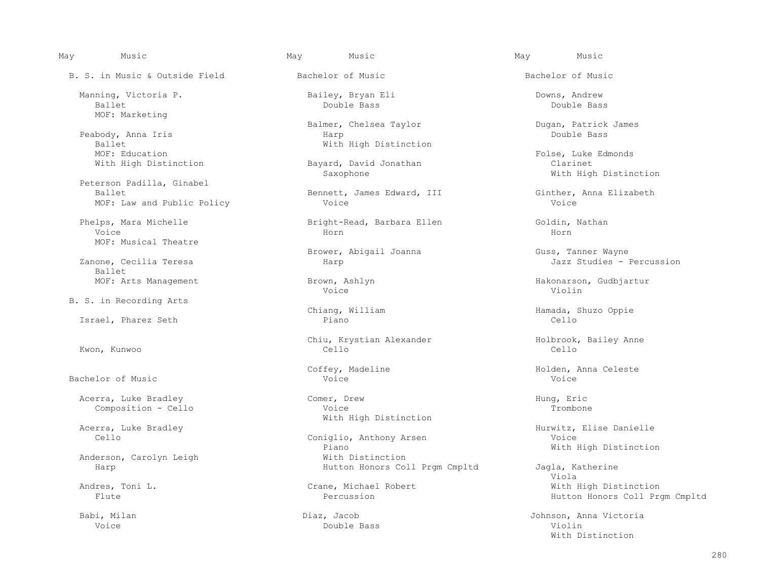B. S. in Music & Outside Field Bachelor of Music Bachelor of Music

 Manning, Victoria P. Bailey, Bryan Eli Downs, Andrew Ballet Double Bass Double Bass MOF: Marketing

Peabody, Anna Iris<br>Ballet Ballet<br>
MOF: Education<br>
MOF: Education MOF: Education Folse, Luke Edmonds

 Peterson Padilla, Ginabel MOF: Law and Public Policy

 Voice Horn Horn MOF: Musical Theatre

Ballet<br>MOF: Arts Management

B. S. in Recording Arts

Israel, Pharez Seth

Bachelor of Music Voice Voice

 Acerra, Luke Bradley Comer, Drew Hung, Eric Composition - Cello

Anderson, Carolyn Leigh<br>Harp

Balmer, Chelsea Taylor Dugan, Patrick James Duble Bass

With High Distinction **Bayard, David Jonathan** Clarinet Clarinet<br>Saxophone Saxophone Clarinet Mith High

Bennett, James Edward, III Ginther, Anna Elizabeth<br>Voice Voice

Phelps, Mara Michelle Bright-Read, Barbara Ellen Goldin, Nathan

Brower, Abigail Joanna Guss, Tanner Wayne

Voice Violin

 Chiu, Krystian Alexander Holbrook, Bailey Anne Kwon, Kunwoo Cello Cello

With High Distinction

Coniglio, Anthony Arsen<br>Piano Piano With High Distinction With High Distinction Hutton Honors Coll Prgm Cmpltd Jagla, Katherine<br>Viola

Voice Double Bass Violin

May Music May Music May Music

With High Distinction

Harp **Internal Terms** Jazz Studies - Percussion

Brown, Ashlyn **Management Brown, Ashlyn Hakonarson**, Gudbjartur Voice

Chiang, William (Chiang, Milliam Hamada, Shuzo Oppie Piano)

Coffey, Madeline Communic Context Context Context Context Context Context Context Context Context Context Conte<br>Voice Context Context Context Context Context Context Context Context Context Context Context Context Context<br>

Acerra, Luke Bradley (and the Constantinology of the Hurwitz, Elise Danielle (and the Constantinology of the M<br>Constantinology (Constantinology Anthony Arsen Moice Voice Voice

 Viola Andres, Toni L.<br>
Crane, Michael Robert Michael With High Distinction<br>
Percussion<br>
Percussion<br>
Percussion<br>
Percussion Hutton Honors Coll Prgm Cmpltd

 Babi, Milan Diaz, Jacob Johnson, Anna Victoria With Distinction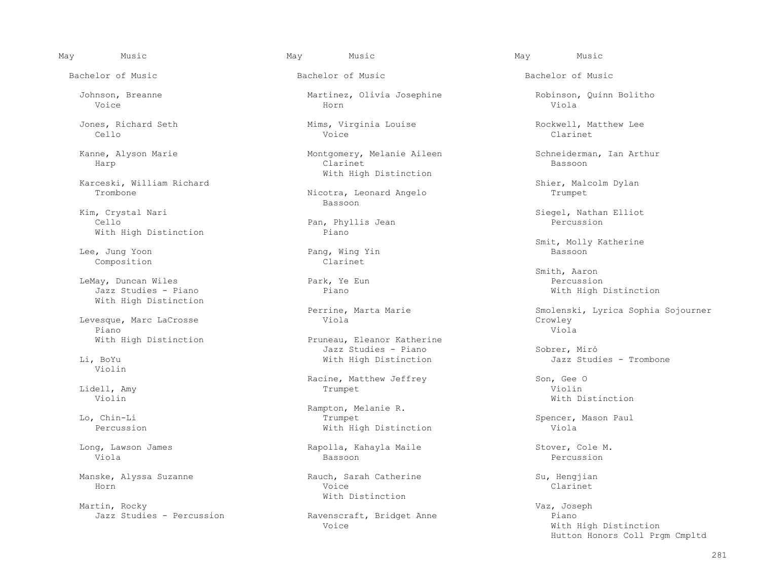May Music May Music May Music

Bachelor of Music Bachelor of Music Bachelor of Music

Karceski, William Richard Shier, Malcolm Dylan

 Kim, Crystal Nari Siegel, Nathan Elliot With High Distinction

Lee, Jung Yoon Pang, Wing Yin Bassoon Bassoon Pang, Ming Yin Bassoon Bassoon Bassoon Composition Clarinet

 LeMay, Duncan Wiles Park, Ye Eun Percussion With High Distinction

 Levesque, Marc LaCrosse Viola Crowley Piano di Panamana ny Indria amin'ny fivondronan-kaominin'i Amerika ao amin'ny faritr'i Normandie, ao amin'ny f

Violin

Manske, Alyssa Suzanne Rauch, Sarah Catherine Su, Hengjian Ruch, Sarah Catherine Su, Hengjian Horn Voice Clarinet

Martin, Rocky Vaz, Joseph

 Johnson, Breanne Martinez, Olivia Josephine Robinson, Quinn Bolitho Voice Horn Viola

 Jones, Richard Seth Mims, Virginia Louise Rockwell, Matthew Lee Cello Voice Clarinet

Kanne, Alyson Marie **Montgomery, Melanie Aileen** Schneiderman, Ian Arthur<br>Harp Clarinet Clarinet Clarinet Bassoon Harp Clarinet Bassoon With High Distinction

Nicotra, Leonard Angelo<br>Bassoon en die besteht die koningste besteht die besteht die besteht die konings van die besteht van die besteht van d<br>Bassoon

Pan, Phyllis Jean<br>Piano

With High Distinction **Pruneau, Eleanor Katherine**  Jazz Studies - Piano Sobrer, Miró With High Distinction

Racine, Matthew Jeffrey (Son, Gee Only 1999)<br>Trumpet (Son, Gee Only 1999) and the Son, Gee Only 1999) and the Son, Gee Only 1999<br>Violin Lidell, Amy Trumpet Violin

 Rampton, Melanie R. Lo, Chin-Li Trumpet Spencer, Mason Paul With High Distinction

 Long, Lawson James Rapolla, Kahayla Maile Stover, Cole M. Viola Bassoon Percussion

With Distinction

Jazz Studies - Percussion and Ravenscraft, Bridget Anne Piano<br>Voice Philip Piano Pick

Example of the Model Smit, Molly Katherine (1999) and the Pang, Wing Yin and Smit and Smit, Molly Katherine (19<br>Bassoon and Shang Ming Yin and Shang Bassoon and Shang Bassoon and Shang Shang Bassoon and Shang Shang Bassoon

 Smith, Aaron With High Distinction

Perrine, Marta Marie Smolenski, Lyrica Sophia Sojourner<br>Viola

Violin With Distinction With Distinction with  $\mathbb{V}$ 

With High Distinction Hutton Honors Coll Prgm Cmpltd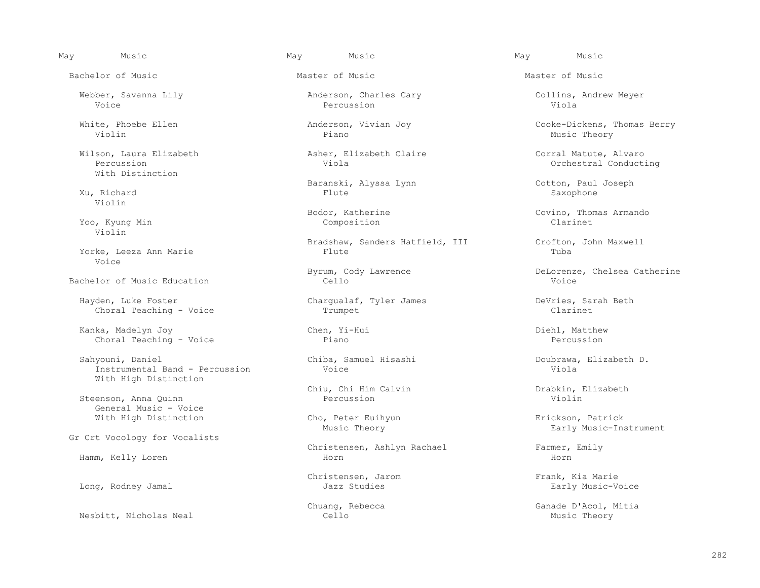May Music May Music May Music

Bachelor of Music Master of Music Master of Music

 Wilson, Laura Elizabeth Asher, Elizabeth Claire Corral Matute, Alvaro With Distinction

Violin

 Yoo, Kyung Min Composition Clarinet Violin

Yorke, Leeza Ann Marie Voice

Bachelor of Music Education

 Hayden, Luke Foster Chargualaf, Tyler James DeVries, Sarah Beth Choral Teaching - Voice Trumpet

 Kanka, Madelyn Joy Chen, Yi-Hui Diehl, Matthew Choral Teaching - Voice

Sahyouni, Daniel Chiba, Samuel Hisashi Doubrawa, Elizabeth D.<br>
Instrumental Band - Percussion Voice Victore Chiba, Chiba, Chice Instrumental Band - Percussion With High Distinction

Steenson, Anna Quinn General Music - Voice

Gr Crt Vocology for Vocalists

Long, Rodney Jamal

Nesbitt, Nicholas Neal

Voice Percussion Viola

Violin Piano Music Theory

 Baranski, Alyssa Lynn Cotton, Paul Joseph Xu, Richard Flute Saxophone

Bradshaw, Sanders Hatfield, III Crofton, John Maxwell<br>Flute Tuba

Chiu, Chi Him Calvin Drabkin, Elizabeth

With High Distinction The Cho, Peter Euihyun Erickson, Patrick<br>Music Theory Theory Early Music-Ins

Christensen, Ashlyn Rachael Farmer, Emily Hamm, Kelly Loren Horn Horn

Webber, Savanna Lily Anderson, Charles Cary Collins, Andrew Meyer

White, Phoebe Ellen Anderson, Vivian Joy Cooke-Dickens, Thomas Berry

Orchestral Conducting

Bodor, Katherine Covino, Thomas Armando

Byrum, Cody Lawrence  $\begin{array}{ccc} \text{DeLorenze,} \end{array}$  Cello Cello

Early Music-Instrument

Christensen, Jarom Frank, Kia Marie<br>Jazz Studies Farly Music-Voice

Chuang, Rebecca and Chuang Chuang Chuang Chuang Chuang Chuang Chuang Chuang Chuang Chuang Chuang Chuang Chuang Chuang Chuang Chuang Chuang Chuang Chuang Chuang Chuang Chuang Chuang Chuang Chuang Chuang Chuang Chuang Chuang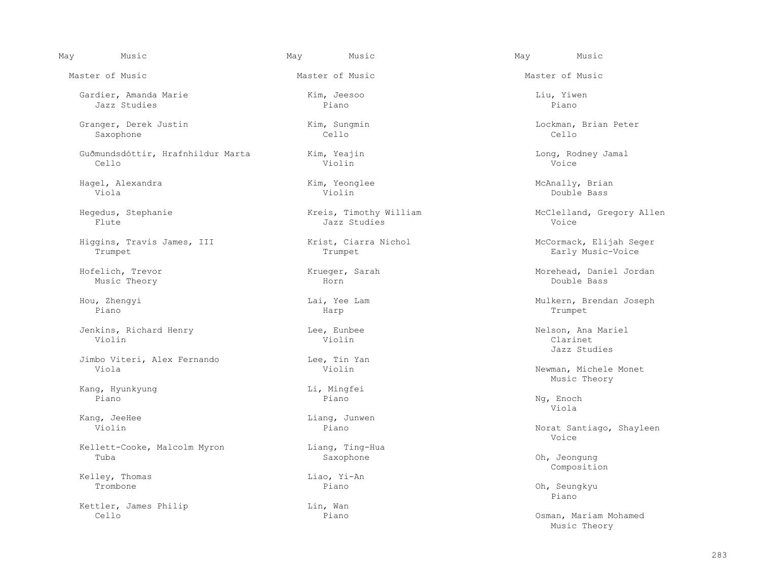Gardier, Amanda Marie Kim, Jeesoo Liu, Yiwen Jazz Studies Piano Piano

 Granger, Derek Justin Kim, Sungmin Lockman, Brian Peter Saxophone Cello Cello

Guðmundsdóttir, Hrafnhildur Marta Kim, Yeajin Kim, Long, Rodney Jamal<br>Cello Violin Voice Vietnam Cello Cello Violin Voice

 Hagel, Alexandra Kim, Yeonglee McAnally, Brian Viola Violin Double Bass

Higgins, Travis James, III Krist, Ciarra Nichol McCormack, Elijah Seger

Music Theory Horn Double Bass

Piano Harp Trumpet

 Jenkins, Richard Henry Lee, Eunbee Nelson, Ana Mariel Violin Violin Clarinet

Jimbo Viteri, Alex Fernando Lee, Tin Yan

Kang, Hyunkyung and the control of the control of the control of the control of the control of the control of t<br>Piano and the control of the control of the control of the control of the control of the control of the contro Piano Piano Ng, Enoch

Kellett-Cooke, Malcolm Myron Liang, Ting-Hua<br>Tuba Saxophone Tuba Saxophone Oh, Jeongung

Kelley, Thomas and Liao, Yi-An Trombone Piano Trombone Piano Oh, Seungkyu

Kettler, James Philip (Editor) Lin, Wan (Editor) Cello

Master of Music Master of Music Master of Music

Flute Jazz Studies Voice

Kang, JeeHee Liang, Junwen<br>
Violin Piano

May Music May Music May Music

Hegedus, Stephanie Kreis, Timothy William McClelland, Gregory Allen

Early Music-Voice

Hofelich, Trevor Krueger, Sarah Morehead, Daniel Jordan

Hou, Zhengyi Lai, Yee Lam Mulkern, Brendan Joseph

Jazz Studies

Newman, Michele Monet<br>Music Theory Music Theory

Viola

Norat Santiago, Shayleen<br>Voice en de la provincie de la provincie de la provincie de la provincie de la provincie de la provincie de la provi

Composition

e de la constitución de la constitución de la constitución de la constitución de la constitución de la constitución de la constitución de la constitución de la constitución de la constitución de la constitución de la const

Osman, Mariam Mohamed<br>Music Theory Music Theory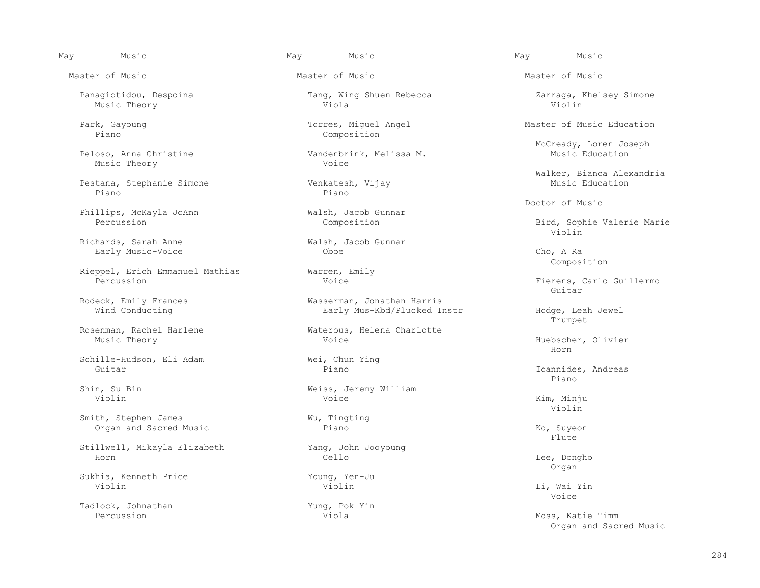May Music May Music May Music

Master of Music Master of Music Master of Music

Music Theory

Pestana, Stephanie Simone Venkates<br>Piano Piano Piano Piano

Phillips, McKayla JoAnn Walsh, Jacob Gunnar<br>Percussion Composition

Richards, Sarah Anne Walsh, Jacob Gunnar<br>
Farly Music-Voice Choe Oboe

Rieppel, Erich Emmanuel Mathias Warren, Emily<br>Percussion Woice

Schille-Hudson, Eli Adam Wei, Chun Ying<br>
Guitar Piano Guitar Piano Ioannides, Andreas

Smith, Stephen James<br>
Organ and Sacred Music<br>
Piano Organ and Sacred Music Piano Ko, Suyeon

 Stillwell, Mikayla Elizabeth Yang, John Jooyoung Horn Cello Lee, Dongho

 Sukhia, Kenneth Price Young, Yen-Ju Violin Violin Li, Wai Yin

Tadlock, Johnathan Yung, Pok Yin<br>Percussion Viola

Music Theory Viola Violin

 Park, Gayoung Torres, Miguel Angel Master of Music Education Composition

Vandenbrink, Melissa M.<br>Voice

Early Music-Voice **Cho, A Randell Cho, A Randell Cho, A Randell Cho, A Randell Cho, A Randell Cho, A Randell Cho, A Randell Cho, A Randell Cho, A Randell Cho, A Randell Cho, A Randell Cho, A Randell Cho, A Randell Cho, A R** 

Rodeck, Emily Frances and Masserman, Jonathan Harris<br>Wind Conducting Mind Conducting Early Mus-Kbd/Plucked I

Rosenman, Rachel Harlene Waterous, Helena Charlotte Music Theory Works (Waterous, Helena Charlotte

Shin, Su Bin<br>
Violin<br>
Violin<br>
Voice<br>
Viole Violin Voice Kim, Minju

284

Panagiotidou, Despoina Tang, Wing Shuen Rebecca Zarraga, Khelsey Simone

McCready, Loren Joseph

Walker, Bianca Alexandria

Doctor of Music

Bird, Sophie Valerie Marie<br>Violin Violin

Composition

Fierens, Carlo Guillermo<br>Guitar en de la constitution de la constitution de la constitution de la constitution de la constitution de la constitution de la constitution de la constitution de la constitution de la constitution de la constitution de la cons

 Wind Conducting Early Mus-Kbd/Plucked Instr Hodge, Leah Jewel Trumpet

Huebscher, Olivier<br>Horn Horn

e de la constitución de la constitución de la constitución de la constitución de la constitución de la constitución de la constitución de la constitución de la constitución de la constitución de la constitución de la const

Violin

Flute that the set of the set of the set of the set of the set of the set of the set of the set of the set of the set of the set of the set of the set of the set of the set of the set of the set of the set of the set of th

organ di sebagai sebagai sebagai sebagai sebagai sebagai sebagai sebagai sebagai sebagai sebagai sebagai sebag<br>Sebagai sebagai sebagai sebagai sebagai sebagai sebagai sebagai sebagai sebagai sebagai sebagai sebagai sebaga

en de la provincie de la provincie de la provincie de la provincie de la provincie de la provincie de la provi

 Percussion Viola Moss, Katie Timm Organ and Sacred Music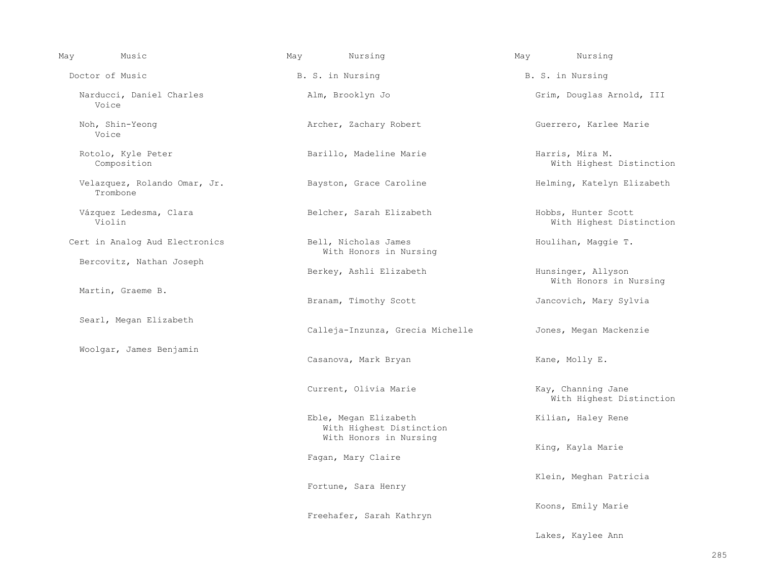| May | Music                                    | May | Nursing                                           | May | Nursing                                         |
|-----|------------------------------------------|-----|---------------------------------------------------|-----|-------------------------------------------------|
|     | Doctor of Music                          |     | B. S. in Nursing                                  |     | B. S. in Nursing                                |
|     | Narducci, Daniel Charles<br>Voice        |     | Alm, Brooklyn Jo                                  |     | Grim, Douglas Arnold, III                       |
|     | Noh, Shin-Yeong<br>Voice                 |     | Archer, Zachary Robert                            |     | Guerrero, Karlee Marie                          |
|     | Rotolo, Kyle Peter<br>Composition        |     | Barillo, Madeline Marie                           |     | Harris, Mira M.<br>With Highest Distinction     |
|     | Velazquez, Rolando Omar, Jr.<br>Trombone |     | Bayston, Grace Caroline                           |     | Helming, Katelyn Elizabeth                      |
|     | Vázquez Ledesma, Clara<br>Violin         |     | Belcher, Sarah Elizabeth                          |     | Hobbs, Hunter Scott<br>With Highest Distinction |
|     | Cert in Analog Aud Electronics           |     | Bell, Nicholas James<br>With Honors in Nursing    |     | Houlihan, Maggie T.                             |
|     | Bercovitz, Nathan Joseph                 |     | Berkey, Ashli Elizabeth                           |     | Hunsinger, Allyson<br>With Honors in Nursing    |
|     | Martin, Graeme B.                        |     | Branam, Timothy Scott                             |     | Jancovich, Mary Sylvia                          |
|     | Searl, Megan Elizabeth                   |     | Calleja-Inzunza, Grecia Michelle                  |     | Jones, Megan Mackenzie                          |
|     | Woolgar, James Benjamin                  |     | Casanova, Mark Bryan                              |     | Kane, Molly E.                                  |
|     |                                          |     | Current, Olivia Marie                             |     | Kay, Channing Jane<br>With Highest Distinction  |
|     |                                          |     | Eble, Megan Elizabeth<br>With Highest Distinction |     | Kilian, Haley Rene                              |
|     |                                          |     | With Honors in Nursing<br>Fagan, Mary Claire      |     | King, Kayla Marie                               |
|     |                                          |     | Fortune, Sara Henry                               |     | Klein, Meghan Patricia                          |
|     |                                          |     | Freehafer, Sarah Kathryn                          |     | Koons, Emily Marie                              |
|     |                                          |     |                                                   |     | Lakes, Kaylee Ann                               |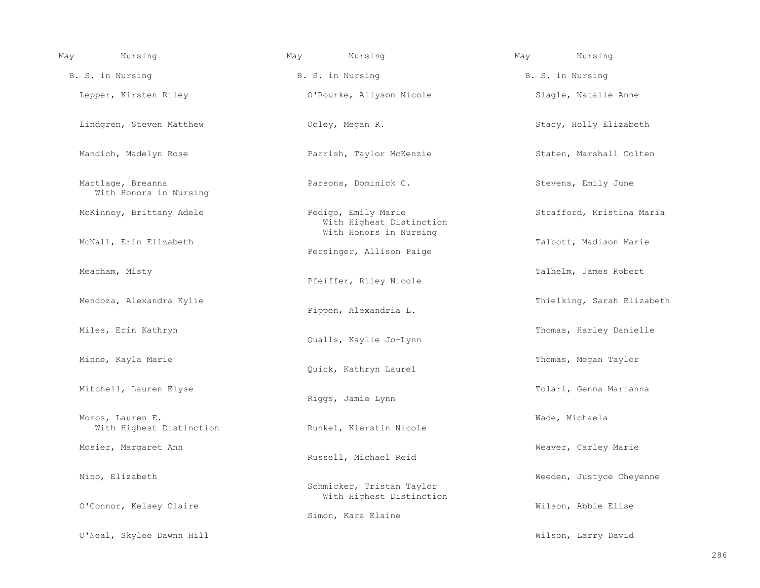| May | Nursing                                      | May | Nursing                                                                     | May | Nursing                    |
|-----|----------------------------------------------|-----|-----------------------------------------------------------------------------|-----|----------------------------|
|     | B. S. in Nursing                             |     | B. S. in Nursing                                                            |     | B. S. in Nursing           |
|     | Lepper, Kirsten Riley                        |     | O'Rourke, Allyson Nicole                                                    |     | Slagle, Natalie Anne       |
|     | Lindgren, Steven Matthew                     |     | Ooley, Megan R.                                                             |     | Stacy, Holly Elizabeth     |
|     | Mandich, Madelyn Rose                        |     | Parrish, Taylor McKenzie                                                    |     | Staten, Marshall Colten    |
|     | Martlage, Breanna<br>With Honors in Nursing  |     | Parsons, Dominick C.                                                        |     | Stevens, Emily June        |
|     | McKinney, Brittany Adele                     |     | Pedigo, Emily Marie<br>With Highest Distinction                             |     | Strafford, Kristina Maria  |
|     | McNall, Erin Elizabeth                       |     | With Honors in Nursing<br>Persinger, Allison Paige                          |     | Talbott, Madison Marie     |
|     | Meacham, Misty                               |     | Pfeiffer, Riley Nicole                                                      |     | Talhelm, James Robert      |
|     | Mendoza, Alexandra Kylie                     |     | Pippen, Alexandria L.                                                       |     | Thielking, Sarah Elizabeth |
|     | Miles, Erin Kathryn                          |     | Qualls, Kaylie Jo-Lynn                                                      |     | Thomas, Harley Danielle    |
|     | Minne, Kayla Marie                           |     | Quick, Kathryn Laurel                                                       |     | Thomas, Megan Taylor       |
|     | Mitchell, Lauren Elyse                       |     | Riggs, Jamie Lynn                                                           |     | Tolari, Genna Marianna     |
|     | Moros, Lauren E.<br>With Highest Distinction |     | Runkel, Kierstin Nicole                                                     |     | Wade, Michaela             |
|     | Mosier, Margaret Ann                         |     | Russell, Michael Reid                                                       |     | Weaver, Carley Marie       |
|     | Nino, Elizabeth<br>O'Connor, Kelsey Claire   |     | Schmicker, Tristan Taylor<br>With Highest Distinction<br>Simon, Kara Elaine |     | Weeden, Justyce Cheyenne   |
|     |                                              |     |                                                                             |     | Wilson, Abbie Elise        |
|     | O'Neal, Skylee Dawnn Hill                    |     |                                                                             |     | Wilson, Larry David        |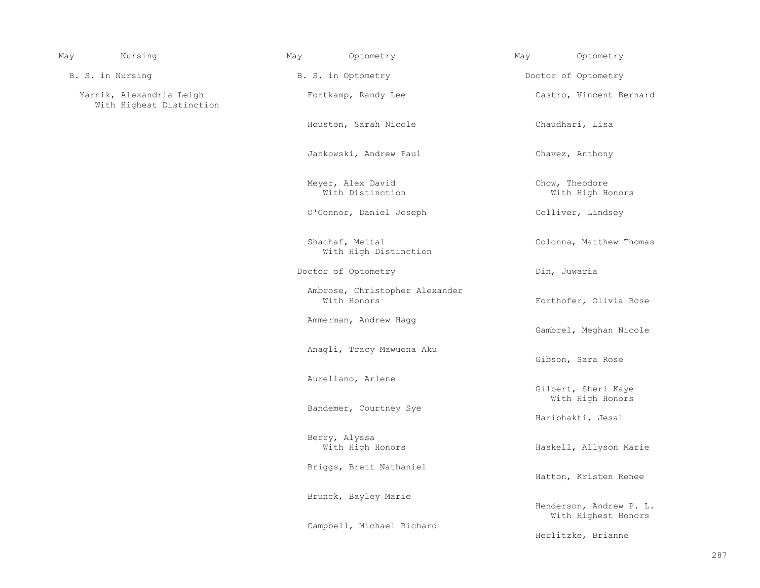| May | Nursing                                              | May                    | Optometry                                     | May                                     | Optometry                                      |
|-----|------------------------------------------------------|------------------------|-----------------------------------------------|-----------------------------------------|------------------------------------------------|
|     | B. S. in Nursing                                     |                        | B. S. in Optometry                            |                                         | Doctor of Optometry                            |
|     | Yarnik, Alexandria Leigh<br>With Highest Distinction |                        | Fortkamp, Randy Lee                           |                                         | Castro, Vincent Bernard                        |
|     |                                                      |                        | Houston, Sarah Nicole                         |                                         | Chaudhari, Lisa                                |
|     |                                                      |                        | Jankowski, Andrew Paul                        |                                         | Chavez, Anthony                                |
|     |                                                      |                        | Meyer, Alex David<br>With Distinction         |                                         | Chow, Theodore<br>With High Honors             |
|     |                                                      |                        | O'Connor, Daniel Joseph                       |                                         | Colliver, Lindsey                              |
|     |                                                      |                        | Shachaf, Meital<br>With High Distinction      |                                         | Colonna, Matthew Thomas                        |
|     |                                                      |                        | Doctor of Optometry                           |                                         | Din, Juwaria                                   |
|     |                                                      |                        | Ambrose, Christopher Alexander<br>With Honors |                                         | Forthofer, Olivia Rose                         |
|     |                                                      |                        | Ammerman, Andrew Hagg                         |                                         | Gambrel, Meghan Nicole                         |
|     |                                                      |                        | Anagli, Tracy Mawuena Aku                     |                                         | Gibson, Sara Rose                              |
|     |                                                      |                        | Aurellano, Arlene                             |                                         |                                                |
|     |                                                      |                        |                                               | Gilbert, Sheri Kaye<br>With High Honors |                                                |
|     |                                                      | Bandemer, Courtney Sye |                                               | Haribhakti, Jesal                       |                                                |
|     |                                                      |                        | Berry, Alyssa<br>With High Honors             |                                         | Haskell, Allyson Marie                         |
|     |                                                      |                        | Briggs, Brett Nathaniel                       |                                         | Hatton, Kristen Renee                          |
|     |                                                      |                        | Brunck, Bayley Marie                          |                                         | Henderson, Andrew P. L.<br>With Highest Honors |
|     |                                                      |                        | Campbell, Michael Richard                     |                                         | Herlitzke, Brianne                             |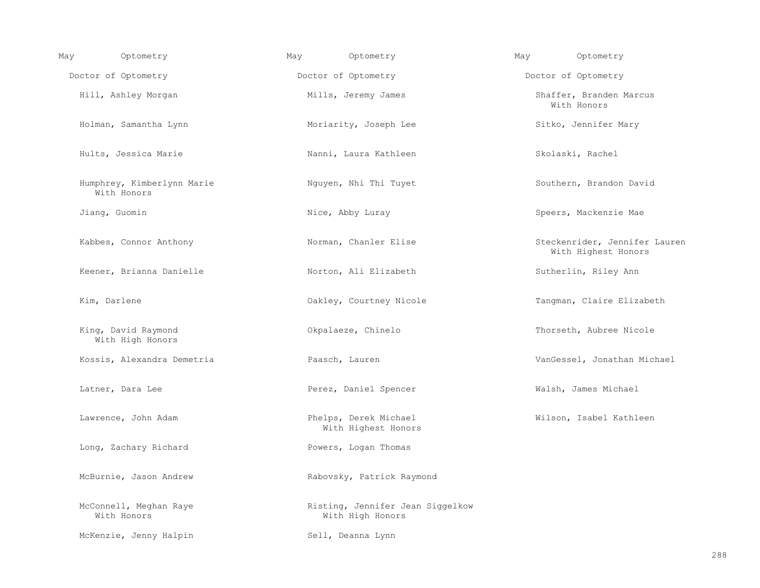| May | Optometry                                 | Optometry<br>May                                     | Optometry<br>May                                     |
|-----|-------------------------------------------|------------------------------------------------------|------------------------------------------------------|
|     | Doctor of Optometry                       | Doctor of Optometry                                  | Doctor of Optometry                                  |
|     | Hill, Ashley Morgan                       | Mills, Jeremy James                                  | Shaffer, Branden Marcus<br>With Honors               |
|     | Holman, Samantha Lynn                     | Moriarity, Joseph Lee                                | Sitko, Jennifer Mary                                 |
|     | Hults, Jessica Marie                      | Nanni, Laura Kathleen                                | Skolaski, Rachel                                     |
|     | Humphrey, Kimberlynn Marie<br>With Honors | Nguyen, Nhi Thi Tuyet                                | Southern, Brandon David                              |
|     | Jiang, Guomin                             | Nice, Abby Luray                                     | Speers, Mackenzie Mae                                |
|     | Kabbes, Connor Anthony                    | Norman, Chanler Elise                                | Steckenrider, Jennifer Lauren<br>With Highest Honors |
|     | Keener, Brianna Danielle                  | Norton, Ali Elizabeth                                | Sutherlin, Riley Ann                                 |
|     | Kim, Darlene                              | Oakley, Courtney Nicole                              | Tangman, Claire Elizabeth                            |
|     | King, David Raymond<br>With High Honors   | Okpalaeze, Chinelo                                   | Thorseth, Aubree Nicole                              |
|     | Kossis, Alexandra Demetria                | Paasch, Lauren                                       | VanGessel, Jonathan Michael                          |
|     | Latner, Dara Lee                          | Perez, Daniel Spencer                                | Walsh, James Michael                                 |
|     | Lawrence, John Adam                       | Phelps, Derek Michael<br>With Highest Honors         | Wilson, Isabel Kathleen                              |
|     | Long, Zachary Richard                     | Powers, Logan Thomas                                 |                                                      |
|     | McBurnie, Jason Andrew                    | Rabovsky, Patrick Raymond                            |                                                      |
|     | McConnell, Meghan Raye<br>With Honors     | Risting, Jennifer Jean Siggelkow<br>With High Honors |                                                      |
|     | McKenzie, Jenny Halpin                    | Sell, Deanna Lynn                                    |                                                      |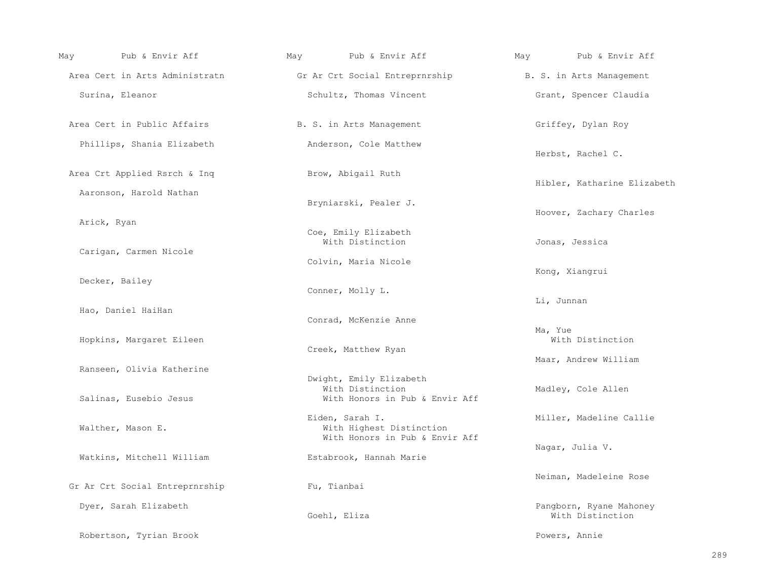| May | Pub & Envir Aff                | May | Pub & Envir Aff                                                               | May        | Pub & Envir Aff                             |
|-----|--------------------------------|-----|-------------------------------------------------------------------------------|------------|---------------------------------------------|
|     | Area Cert in Arts Administratn |     | Gr Ar Crt Social Entreprnrship The B. S. in Arts Management                   |            |                                             |
|     | Surina, Eleanor                |     | Schultz, Thomas Vincent                                                       |            | Grant, Spencer Claudia                      |
|     | Area Cert in Public Affairs    |     | B. S. in Arts Management                                                      |            | Griffey, Dylan Roy                          |
|     | Phillips, Shania Elizabeth     |     | Anderson, Cole Matthew                                                        |            | Herbst, Rachel C.                           |
|     | Area Crt Applied Rsrch & Inq   |     | Brow, Abigail Ruth                                                            |            | Hibler, Katharine Elizabeth                 |
|     | Aaronson, Harold Nathan        |     | Bryniarski, Pealer J.                                                         |            |                                             |
|     | Arick, Ryan                    |     | Coe, Emily Elizabeth                                                          |            | Hoover, Zachary Charles                     |
|     | Carigan, Carmen Nicole         |     | With Distinction                                                              |            | Jonas, Jessica                              |
|     |                                |     | Colvin, Maria Nicole                                                          |            | Kong, Xiangrui                              |
|     | Decker, Bailey                 |     | Conner, Molly L.                                                              | Li, Junnan |                                             |
|     | Hao, Daniel HaiHan             |     | Conrad, McKenzie Anne                                                         |            |                                             |
|     | Hopkins, Margaret Eileen       |     | Creek, Matthew Ryan                                                           | Ma, Yue    | With Distinction                            |
|     | Ranseen, Olivia Katherine      |     |                                                                               |            | Maar, Andrew William                        |
|     | Salinas, Eusebio Jesus         |     | Dwight, Emily Elizabeth<br>With Distinction<br>With Honors in Pub & Envir Aff |            | Madley, Cole Allen                          |
|     | Walther, Mason E.              |     | Eiden, Sarah I.<br>With Highest Distinction<br>With Honors in Pub & Envir Aff |            | Miller, Madeline Callie                     |
|     | Watkins, Mitchell William      |     | Estabrook, Hannah Marie                                                       |            | Nagar, Julia V.                             |
|     | Gr Ar Crt Social Entreprnrship |     | Fu, Tianbai                                                                   |            | Neiman, Madeleine Rose                      |
|     | Dyer, Sarah Elizabeth          |     | Goehl, Eliza                                                                  |            | Pangborn, Ryane Mahoney<br>With Distinction |
|     | Robertson, Tyrian Brook        |     |                                                                               |            | Powers, Annie                               |

289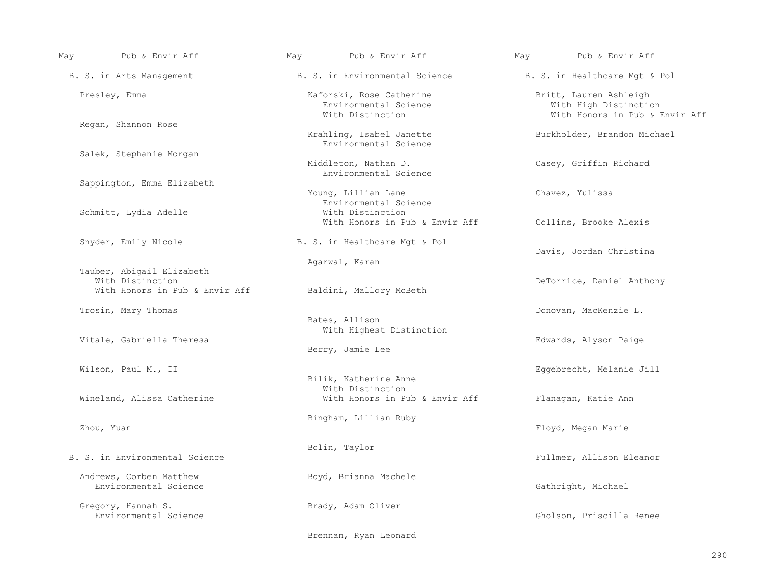| May | Pub & Envir Aff                                    | May | Pub & Envir Aff                                                             | May | Pub & Envir Aff                                                                   |
|-----|----------------------------------------------------|-----|-----------------------------------------------------------------------------|-----|-----------------------------------------------------------------------------------|
|     | B. S. in Arts Management                           |     | B. S. in Environmental Science                                              |     | B. S. in Healthcare Mgt & Pol                                                     |
|     | Presley, Emma                                      |     | Kaforski, Rose Catherine<br>Environmental Science<br>With Distinction       |     | Britt, Lauren Ashleigh<br>With High Distinction<br>With Honors in Pub & Envir Aff |
|     | Regan, Shannon Rose                                |     | Krahling, Isabel Janette<br>Environmental Science                           |     | Burkholder, Brandon Michael                                                       |
|     | Salek, Stephanie Morgan                            |     | Middleton, Nathan D.<br>Environmental Science                               |     | Casey, Griffin Richard                                                            |
|     | Sappington, Emma Elizabeth                         |     | Young, Lillian Lane                                                         |     | Chavez, Yulissa                                                                   |
|     | Schmitt, Lydia Adelle                              |     | Environmental Science<br>With Distinction<br>With Honors in Pub & Envir Aff |     | Collins, Brooke Alexis                                                            |
|     | Snyder, Emily Nicole                               |     | B. S. in Healthcare Mgt & Pol                                               |     | Davis, Jordan Christina                                                           |
|     | Tauber, Abigail Elizabeth                          |     | Agarwal, Karan                                                              |     |                                                                                   |
|     | With Distinction<br>With Honors in Pub & Envir Aff |     | Baldini, Mallory McBeth                                                     |     | DeTorrice, Daniel Anthony                                                         |
|     | Trosin, Mary Thomas                                |     | Bates, Allison                                                              |     | Donovan, MacKenzie L.                                                             |
|     | Vitale, Gabriella Theresa                          |     | With Highest Distinction<br>Berry, Jamie Lee                                |     | Edwards, Alyson Paige                                                             |
|     | Wilson, Paul M., II                                |     | Bilik, Katherine Anne                                                       |     | Eqqebrecht, Melanie Jill                                                          |
|     | Wineland, Alissa Catherine                         |     | With Distinction<br>With Honors in Pub & Envir Aff                          |     | Flanagan, Katie Ann                                                               |
|     | Zhou, Yuan                                         |     | Bingham, Lillian Ruby                                                       |     | Floyd, Megan Marie                                                                |
|     | B. S. in Environmental Science                     |     | Bolin, Taylor                                                               |     | Fullmer, Allison Eleanor                                                          |
|     | Andrews, Corben Matthew<br>Environmental Science   |     | Boyd, Brianna Machele                                                       |     | Gathright, Michael                                                                |
|     | Gregory, Hannah S.<br>Environmental Science        |     | Brady, Adam Oliver                                                          |     | Gholson, Priscilla Renee                                                          |
|     |                                                    |     | Brennan, Ryan Leonard                                                       |     |                                                                                   |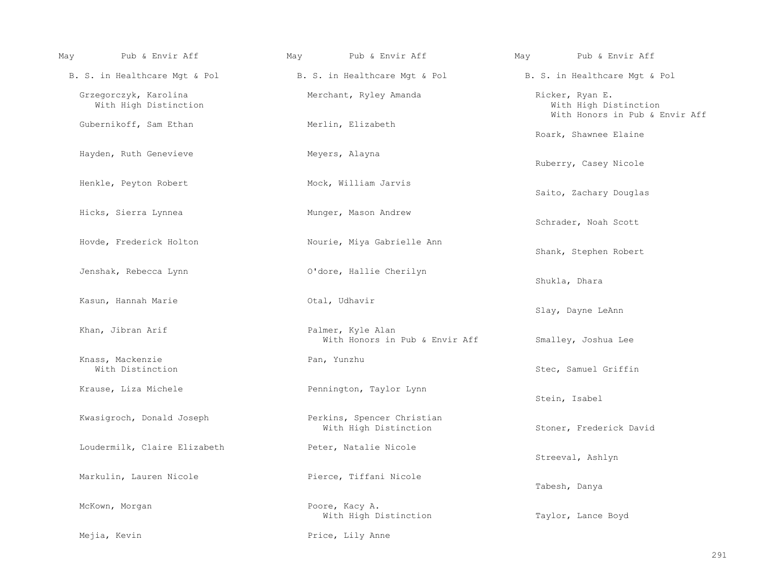| May | Pub & Envir Aff                                | May | Pub & Envir Aff                                     | May | Pub & Envir Aff                                                            |
|-----|------------------------------------------------|-----|-----------------------------------------------------|-----|----------------------------------------------------------------------------|
|     | B. S. in Healthcare Mgt & Pol                  |     | B. S. in Healthcare Mgt & Pol                       |     | B. S. in Healthcare Mgt & Pol                                              |
|     | Grzegorczyk, Karolina<br>With High Distinction |     | Merchant, Ryley Amanda                              |     | Ricker, Ryan E.<br>With High Distinction<br>With Honors in Pub & Envir Aff |
|     | Gubernikoff, Sam Ethan                         |     | Merlin, Elizabeth                                   |     | Roark, Shawnee Elaine                                                      |
|     | Hayden, Ruth Genevieve                         |     | Meyers, Alayna                                      |     | Ruberry, Casey Nicole                                                      |
|     | Henkle, Peyton Robert                          |     | Mock, William Jarvis                                |     | Saito, Zachary Douglas                                                     |
|     | Hicks, Sierra Lynnea                           |     | Munger, Mason Andrew                                |     | Schrader, Noah Scott                                                       |
|     | Hovde, Frederick Holton                        |     | Nourie, Miya Gabrielle Ann                          |     | Shank, Stephen Robert                                                      |
|     | Jenshak, Rebecca Lynn                          |     | O'dore, Hallie Cherilyn                             |     | Shukla, Dhara                                                              |
|     | Kasun, Hannah Marie                            |     | Otal, Udhavir                                       |     | Slay, Dayne LeAnn                                                          |
|     | Khan, Jibran Arif                              |     | Palmer, Kyle Alan<br>With Honors in Pub & Envir Aff |     | Smalley, Joshua Lee                                                        |
|     | Knass, Mackenzie<br>With Distinction           |     | Pan, Yunzhu                                         |     | Stec, Samuel Griffin                                                       |
|     | Krause, Liza Michele                           |     | Pennington, Taylor Lynn                             |     | Stein, Isabel                                                              |
|     | Kwasigroch, Donald Joseph                      |     | Perkins, Spencer Christian<br>With High Distinction |     | Stoner, Frederick David                                                    |
|     | Loudermilk, Claire Elizabeth                   |     | Peter, Natalie Nicole                               |     | Streeval, Ashlyn                                                           |
|     | Markulin, Lauren Nicole                        |     | Pierce, Tiffani Nicole                              |     | Tabesh, Danya                                                              |
|     | McKown, Morgan                                 |     | Poore, Kacy A.<br>With High Distinction             |     | Taylor, Lance Boyd                                                         |
|     | Mejia, Kevin                                   |     | Price, Lily Anne                                    |     |                                                                            |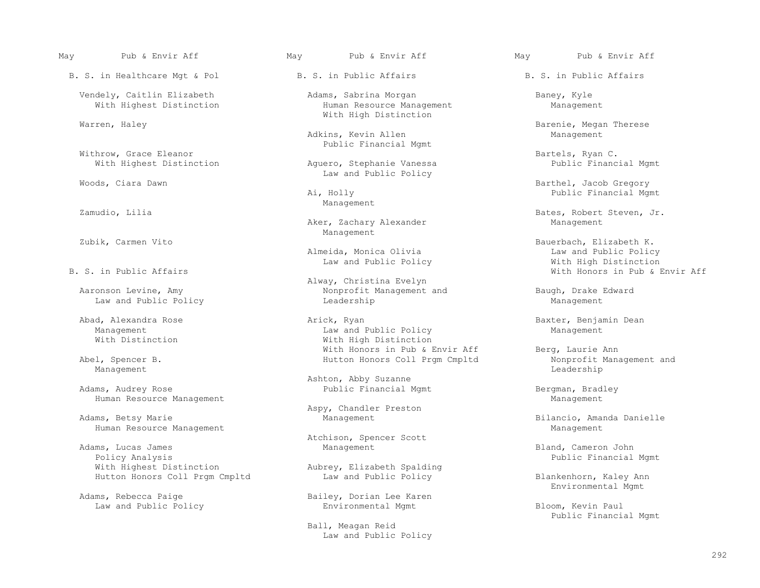B. S. in Healthcare Mgt & Pol B. S. in Public Affairs B. S. in Public Affairs

Withrow, Grace Eleanor<br>With Highest Distinction The Magnero, Stephanie Vanessa Bartels, Ryan C.<br>Public Financial Mgmt

Zubik, Carmen Vito **Management** 

Law and Public Policy

Adams, Audrey Rose Came and Tublic Financial Mgmt and Bergman, Bradley Bergman, Bradley<br>Human Resource Management Human Resource Management

Human Resource Management and the management of the management of the management of the Management of the Management

 Adams, Lucas James Management Bland, Cameron John Policy Analysis<br>With Highest Distinction The Rubrey, Elizabeth Spalding<br>Public Financial Mgmt Hutton Honors Coll Prgm Cmpltd Law and Public Policy Blankenhorn, Kaley Ann

### May Pub & Envir Aff May Pub & Envir Aff May Pub & Envir Aff

Vendely, Caitlin Elizabeth Adams, Sabrina Morgan Baney, Kyle<br>With Highest Distinction Human Resource Management Management Human Resource Management With High Distinction

> Adkins, Kevin Allen Public Financial Mgmt

Aquero, Stephanie Vanessa Woods, Ciara Dawn<br>
Woods, Ciara Dawn

Zamudio, Lilia and Management Management

Aker, Zachary Alexander

Law and Public Policy<br>R S in Public Affairs

 Alway, Christina Evelyn Aaronson Levine, Amy Monprofit Management and Baugh, Drake Edward Law and Public Policy (Baugh, Drake Edward Leadership

Abad, Alexandra Rose Arick, Ryan Baxter, Benjamin Dean Law and Public Policy Management Management Law and Public Policy<br>
With Distinction<br>
With High Distinction With High Distinction With Honors in Pub & Envir Aff Berg, Laurie Ann

Ashton, Abby Suzanne

Aspy, Chandler Preston

Atchison, Spencer Scott<br>
Adams, Lucas James<br>
Management

Aubrey, Elizabeth Spalding<br>Law and Public Policy

Bailey, Dorian Lee Karen Law and Public Policy **Environmental Mgmt** Bloom, Kevin Paul

> Ball, Meagan Reid Law and Public Policy

Warren, Haley Barenie, Megan Therese

Barthel, Jacob Gregory Ai, Holly Public Financial Mgmt

Bates, Robert Steven, Jr.<br>Management

Bauerbach, Elizabeth K.<br>Law and Public Policy Almeida, Monica Olivia Law and Public Policy With Honors in Pub & Envir Aff

Abel, Spencer B. The Coll Promot Coll Promot Coll Promot Coll Promot Nonprofit Management and Management and Management and Management and Management and Management and Management and Management and Management and Manageme Management **Leadership** is a set of the control of the control of the control of the control of the control of the control of the control of the control of the control of the control of the control of the control of the co

Bilancio, Amanda Danielle

Environmental Mgmt (Environmental Mgmt (Environmental Mgmt (Environmental Mgmt (Environmental Mgmt (Environmental Mgmt (Environmental Mgmt (Environmental Mgmt (Environmental Mgmt (Environmental Mgmt (Environmental Mgmt (En

Public Financial Mgmt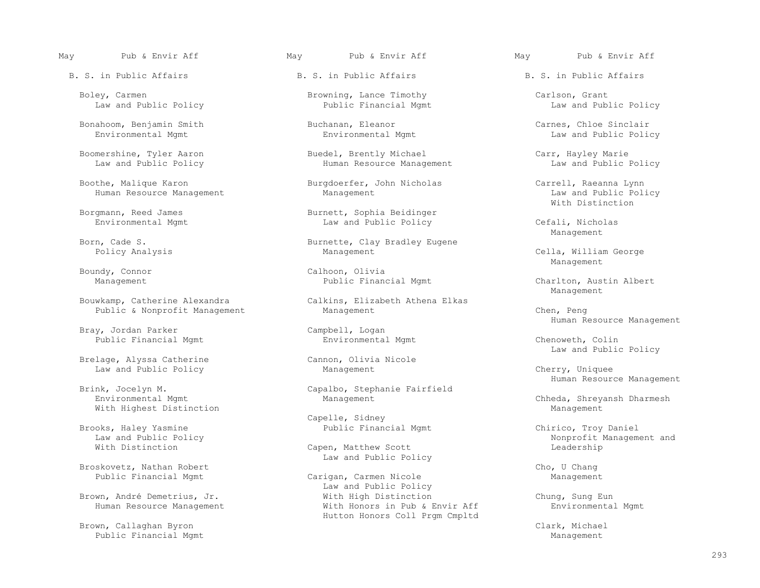Law and Public Policy

Bonahoom, Benjamin Smith Buchanan, Eleanor Carnes, Chloe Sinclair

Boothe, Malique Karon Burgdoerfer, John Nicholas Carrell, Raeanna Lynn<br>Human Resource Management Management Law and Public Policy

Bray, Jordan Parker (2008) Campbell, Logan Public Financial Mgmt (2008) Campbell, Logan (2008) Campbell, Logan Public Financial Mgmt Environmental Mgmt Chenoweth, Colin

Brelage, Alyssa Catherine Cannon, Olivianus Cannon, Olivianus Navarenent Law and Public Policy **Management** Management Cherry, Uniquee

With Highest Distinction and the Management Management Management Management

Brooks, Haley Yasmine Public Financial Mgmt Chirico, Troy Daniel

Broskovetz, Nathan Robert<br>Public Financial Mgmt Chornel Carigan, Carmen Nicole Chornel Management

Brown, Callaghan Byron Clark, Michael (1989) (1989) 876-1287 (1989) (1989) 876-1288 (1989) 876-1288 (1989) 88<br>Public Financial Mgmt Public Financial Mgmt

### May Pub & Envir Aff May Pub & Envir Aff May Pub & Envir Aff

Boomershine, Tyler Aaron Buedel, Brently Michael Carr, Hayley Marie<br>Law and Public Policy Human Resource Management Law and Public Policy Human Resource Management

Borgmann, Reed James<br>
Environmental Mgmt<br>
Environmental Mgmt<br>
Burnett, Sophia Beidinger<br>
Law and Public Policy

Born, Cade S. Burnette, Clay Bradley Eugene

Boundy, Connor and Calhoon, Olivia<br>
Management Public Financial Mgmt

 Bouwkamp, Catherine Alexandra Calkins, Elizabeth Athena Elkas Public & Nonprofit Management Management Management Chen, Peng

Brink, Jocelyn M. Capalbo, Stephanie Fairfield<br>Environmental Mgmt Management Management

Capelle, Sidney<br>Public Financial Mgmt

Capen, Matthew Scott Law and Public Policy

Carigan, Carmen Nicole **Management** Management Law and Public Policy<br>With High Distinction Brown, André Demetrius, Jr. The Mith High Distinction The Chung, Sung Eun Human Resource Management **With Honors in Pub & Envir Aff** Environmental Mgmt Hutton Honors Coll Prgm Cmpltd

Boley, Carmen Browning, Lance Timothy Carlson, Grant

Law and Public Policy

Human Resource Management Management Management and Public Policy Policy Policy Policy Management<br>With Distinction With Distinction

Law and Public Policy Cefali, Nicholas<br>
Management Management and the Management of the Management of the Management of the Management of the Management of the Ma

Cella, William George Management and the Management of the Management of the Management of the Management of the Management of the Ma

Charlton, Austin Albert Management and the Management of the Management of the Management of the Management of the Management of the Ma

Human Resource Management

Cannon, Olivia Nicole entries and Public Policy Cannon, Olivia Nicole

Human Resource Management

Chheda, Shreyansh Dharmesh

Law and Public Policy<br>
With Distinction<br>
With Distinction<br>
With Distinction<br>
With Distinction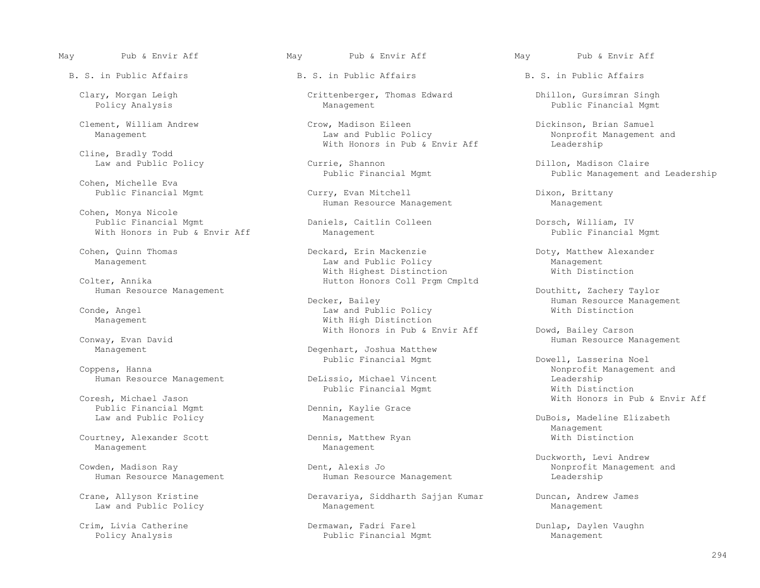Cline, Bradly Todd<br>Law and Public Policy

Cohen, Michelle Eva

 Cohen, Monya Nicole With Honors in Pub & Envir Aff

way, Evan David<br>Management Management Management Degenhart, Joshua Matthew Management Human Resource Management

Public Financial Mgmt Dennin, Kaylie Grace<br>
Law and Public Policy Dennin, Kaylie Grace

Courtney, Alexander Scott Dennis, Matthew Ryan With Distinction

Clary, Morgan Leigh Crittenberger, Thomas Edward Dhillon, Gursimran Singh

Clement, William Andrew Crow, Madison Eileen Clement, William Samuel<br>Management Dickinson, Brian Samuel Law and Public Policy Nonprofit Management With Honors in Pub & Envir Aff

Law and Public Policy Currie, Shannon Dillon, Madison Claire

 Public Financial Mgmt Curry, Evan Mitchell Dixon, Brittany Human Resource Management

Public Financial Mgmt Dorsch, William, IV<br>
Management Dorsch, William, IV<br>
Public Financial Mgmt

Cohen, Quinn Thomas Thomas Cohen, Deckard, Erin Mackenzie Cohen, Doty, Matthew Alexander Management and Eublic Policy and Public Policy and Public Policy and Public Policy and Public Policy Management<br>With Highest Distinction and Mith Mistinction and Public Policy and Mith Distinction With Highest Distinction<br>Colter, Annika and Mutton Honors Coll Prom Hutton Honors Coll Prgm Cmpltd

Conde, Angel Law and Public Policy<br>Management Mith High Distinction With High Distinction

Degenhart, Joshua Matthew

DeLissio, Michael Vincent Leadership<br>
Public Financial Mgmt<br>
With Distinction Public Financial Mgmt Noresh, Michael Jason National Mgmt Public Financial Mgmt

Management

Human Resource Management Human Resource Management Leadership

Crane, Allyson Kristine The Cravariya, Siddharth Sajjan Kumar Duncan, Andrew James Law and Public Policy and Public Policy and Public Policy Management Management Management Management

 Crim, Livia Catherine Dermawan, Fadri Farel Dunlap, Daylen Vaughn Public Financial Mgmt

May Pub & Envir Aff May Pub & Envir Aff May Pub & Envir Aff

Public Financial Mgmt

Nonprofit Management and<br>Leadership

Public Management and Leadership

Human Resource Management Charlotter Douthitt, Zachery Taylor<br>Decker, Bailey Charlotter (Douthitt, Zachery Taylor Human Resource Management<br>With Distinction

With Honors in Pub & Envir Aff Dowd, Bailey Carson Conway, Evan David Norses in Pub & Envir Aff Dowd, Bailey Carson Conway, Evan David

 Public Financial Mgmt Dowell, Lasserina Noel pens, Hanna<br>
Human Resource Management DeLissio, Michael Vincent Leadership With Honors in Pub & Envir Aff

DuBois, Madeline Elizabeth Management and the Management of the Management of the Management of the Management of the Management of the Ma

Duckworth, Levi Andrew (Dent, Alexis John Muckworth, Levi Andrew (Duckworth, Levi Andrew (Dent, Alexis John Mu<br>Dent, Alexis John Mucham (Duckworth, Levi Andrew Muckworth, Levi Andrew (Dent) (Dent, Alexis John Muckworth, L Nonprofit Management and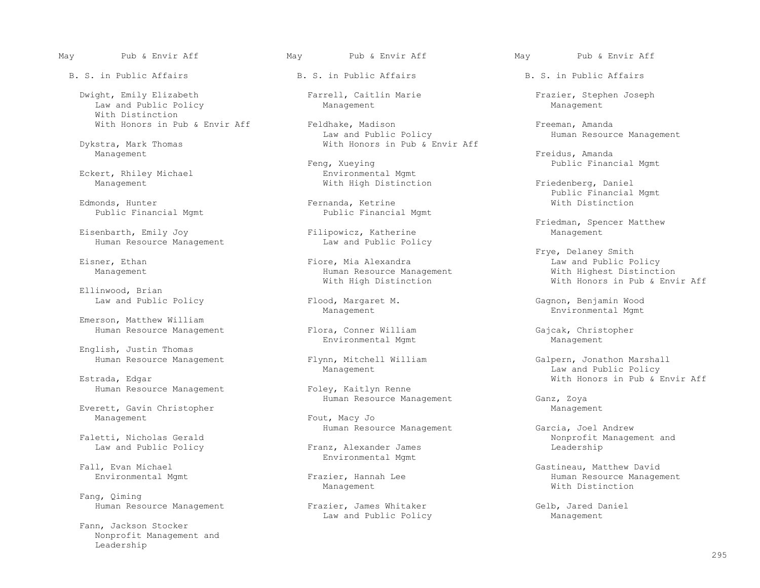Dwight, Emily Elizabeth Farrell, Caitlin Marie Frazier, Stephen Joseph Law and Public Policy With Distinction

stra, Mark Thomas and Mith Honors in Pub & Envir Aff Management Management **Freidus, Amanda** 

Eckert, Rhiley Michael<br>Management

Public Financial Mgmt

Eisenbarth, Emily Joy<br>
Human Resource Management<br>
Law and Public Policy Human Resource Management

 Ellinwood, Brian Law and Public Policy Flood, Margaret M. Gagnon, Benjamin Wood

 Emerson, Matthew William Human Resource Management Flora, Conner William Gajcak, Christopher

English, Justin Thomas

Human Resource Management Foley, Kaitlyn Renne

Everett, Gavin Christopher Management Everett, Gavin Christopher Management Fout, Macy Jo

Fang, Qiming

 Fann, Jackson Stocker Nonprofit Management and Leadership

May Pub & Envir Aff May Pub & Envir Aff May Pub & Envir Aff

With Honors in Pub & Envir Aff Feldhake, Madison Freeman, Amanda<br>Law and Public Policy Freeman, Human Resour Law and Public Policy and Human Resource Management Dykstra, Mark Thomas (Anagement Mith Honors in Pub & Envir Aff

> Feng, Xueying Teng, Xueying Public Financial Mgmt<br>
> Environmental Mgmt With High Distinction Friedenberg, Daniel

Fernanda, Ketrine<br>Public Financial Mgmt

Human Resource Management<br>With High Distinction

Environmental Mgmt Management

Human Resource Management Ganz, Zoya

Fout, Macy Jo

Franz, Alexander James Environmental Mgmt<br>Fall, Evan Michael

Human Resource Management Frazier, James Whitaker (Gelb, Jared Daniel Selb, Jared Daniel Law and Public Policy Law and Public Policy

Edmonds, Hunter and Manus (Exercise of Fernanda, Ketrine and School of The Mith Distinction Manus (Edmonds, Hunter and Mith Distinction of The Mith Distinction of The Mith Distinction of The Mith Distinction of The Mith Di

Friedman, Spencer Matthew<br>Filipowicz, Katherine and Management

Frye, Delaney Smith<br>Fiore, Mia Alexandra and Public Power and Public Power Eisner, Ethan Fiore, Mia Alexandra Law and Public Policy With Honors in Pub & Envir Aff

Management **Environmental Mgmt** 

Human Resource Management Flynn, Mitchell William (Galpern, Jonathon Marshall Massource Management (Galpern, Jonathon Marshall Management (Galpern, Jonathon Marshall Management (Galpern, Jonathon Marshall Management (Galpe Management Law and Public Policy With Honors in Pub & Envir Aff

Human Resource Management Garcia, Joel Andrew (Faletti, Nicholas Gerald Carcia) Faletti, Nicholas Gerald Nonprofit Management and

 Fall, Evan Michael Gastineau, Matthew David izier, Hannah Lee **Human Resource Management**<br>
Management<br>
Mith Distinction Management Management Mith Distinction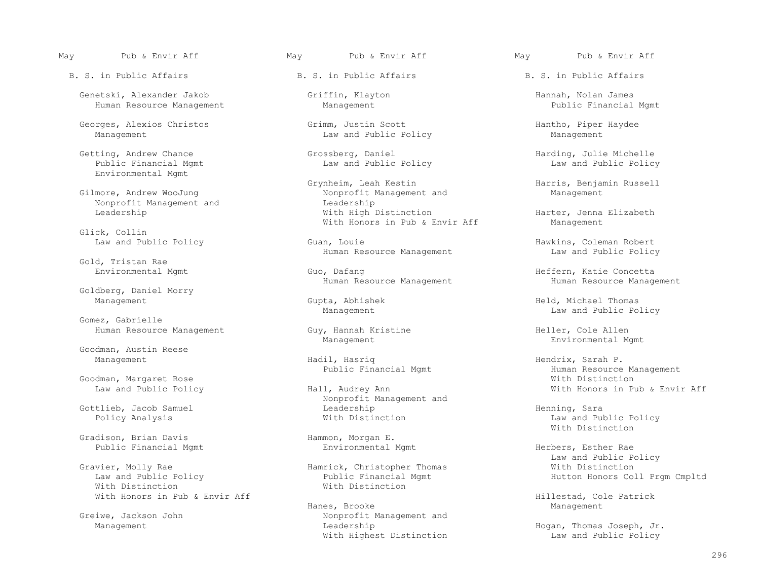Genetski, Alexander Jakob Griffin, Klayton Hannah, Nolan James Human Resource Management

Georges, Alexios Christos Grimm, Justin Scott and Public Policy and Public Policy Management Management Management

Environmental Mgmt

Glick, Collin<br>Law and Public Policy

Gold, Tristan Rae<br>Environmental Mqmt

Goldberg, Daniel Morry<br>Management

 Gomez, Gabrielle Human Resource Management Guy, Hannah Kristine Heller, Cole Allen

Goodman, Austin Reese

Goodman, Margaret Rose<br>Law and Public Policy Missimum Hall, Audrey Ann

Gradison, Brian Davis<br>
Public Financial Mgmt<br>
Environmental Mgmt<br>
Environmental Mgmt Public Financial Mgmt **Environmental Mgmt** Herbers, Esther Rae

ivier, Molly Rae 1999 (Electronic Mamerick, Christopher Thomas Law and Public Policy Law and Public Policy **Public Financial Mgmt** Hutton Honors Coll Prgm Cmpltd Financial Mgmt Hutton Honors Coll Prgm Cmpltd Financial Mgmt Hutton Honors Coll Prgm Cmpltd Financial Mgmt Hutton Honors Coll Prgm Cmpltd Financi With Distinction<br>With Honors in Pub & Envir Aff<br>With Honors in Pub & Envir Aff

## May Pub & Envir Aff May Pub & Envir Aff May Pub & Envir Aff

Law and Public Policy

Law and Public Policy

Grynheim, Leah Kestin and Harris, Benjamin Russell (Grynheim, Leah Kestin Nessell Bilmore, Andrew WooJung (Grynheim, Leah Kestin Sunagement and Management Management (Grynheim, Leah Kestin Sunagement and Management (Grynhe Nonprofit Management and<br>Leadership Nonprofit Management and<br>
Leadership<br>
With High Distinction  $With$  Honors in Pub & Envir Aff

> Guan, Louie Guan, Louie Buan, Louie Alexandre Hawkins, Coleman Robert<br>Haw and Public Policy Human Resource Management

 Environmental Mgmt Guo, Dafang Heffern, Katie Concetta Human Resource Management

Management Hadil, Hasriq Hendrix, Sarah P.

 Nonprofit Management and Gottlieb, Jacob Samuel Leadership Henning, Sara

 Hanes, Brooke Management Greiwe, Jackson John **Nonprofit Management** and Management Leadership Hogan, Thomas Joseph, Jr. With Highest Distinction

Getting, Andrew Chance Grossberg, Daniel Harding, Julie Michelle

Harter, Jenna Elizabeth<br>Management

Gupta, Abhishek **Held, Michael Thomas** Management Law and Public Policy

Management **Environmental Mgmt** 

Human Resource Management<br>With Distinction With Honors in Pub & Envir Aff

Law and Public Policy With Distinction<br>
Hammon, Morgan E.

Law and Public Policy

Hillestad, Cole Patrick<br>
Management<br>
Management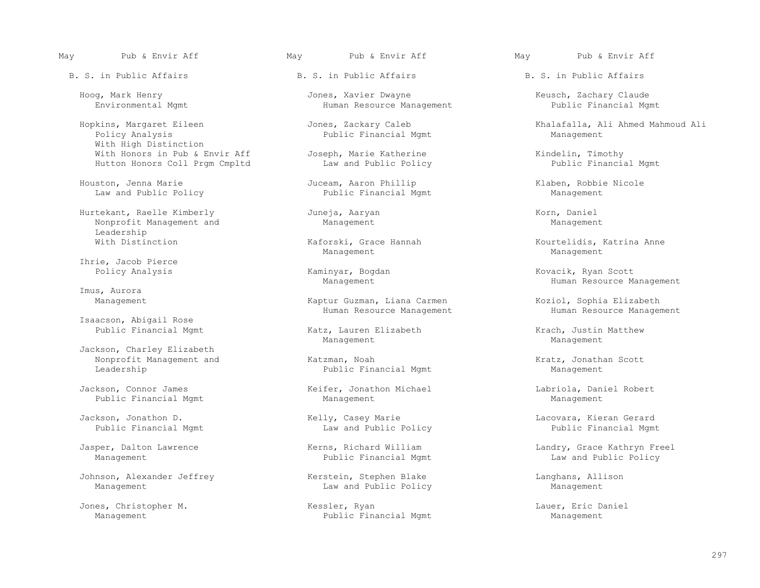Hopkins, Margaret Eileen Jones, Zackary Caleb Khalafalla, Ali Ahmed Mahmoud Ali With High Distinction With Honors in Pub & Envir Aff Joseph, Marie Katherine Kindelin, Timothy Hutton Honors Coll Prgm Cmpltd

Houston, Jenna Marie Juceam, Aaron Phillip Klaben, Robbie Nicole Juceam, Aaron Phillip Klaben, Robbie Nicole Law and Public Policy

 Hurtekant, Raelle Kimberly Juneja, Aaryan Korn, Daniel Nonprofit Management and Leadership<br>With Distinction

Ihrie, Jacob Pierce

Imus, Aurora

Isaacson, Abigail Rose

 Jackson, Charley Elizabeth Nonprofit Management and  $\hbox{\tt Katzman}$ , Noah  $\hbox{\tt Leadership}$  Kratz, Jonathan Scott Deadership Management Public Financial Mgmt

 Jackson, Connor James Keifer, Jonathon Michael Labriola, Daniel Robert Public Financial Mgmt

Jackson, Jonathon D. Kelly, Casey Marie Lacovara, Kieran Gerard

Johnson, Alexander Jeffrey (English Kerstein, Stephen Blake Langhans, Allison Management Langhans, Allison Langhans, Allison Law and Public Policy

## May Pub & Envir Aff May Pub & Envir Aff May Pub & Envir Aff

Hoog, Mark Henry (Elaude 1999) Jones, Xavier Dwayne (Elaude 1999) Keusch, Zachary Claude 1999) Environmental Mamt<br>Environmental Mamt (Kuman Resource Management 1999) Public Financial Mamt Human Resource Management

Public Financial Mgmt

Management Management

Kaptur Guzman, Liana Carmen Koziol, Sophia Elizabeth

Katz, Lauren Elizabeth Krach, Justin Matthew Management Management

Public Financial Mgmt

Law and Public Policy

Law and Public Policy

 Jones, Christopher M. Kessler, Ryan Lauer, Eric Daniel Public Financial Mgmt

Kaforski, Grace Hannah Kourtelidis, Katrina Anne<br>Management Management

Kaminyar, Bogdan Kovacik, Ryan Scott<br>Manaqement Human Resource Manaqement Human Resource Management

Human Resource Management Music Resource Management

Jasper, Dalton Lawrence The Kerns, Richard William The Landry, Grace Kathryn Freel Management **Public Financial Mgmt** Law and Public Policy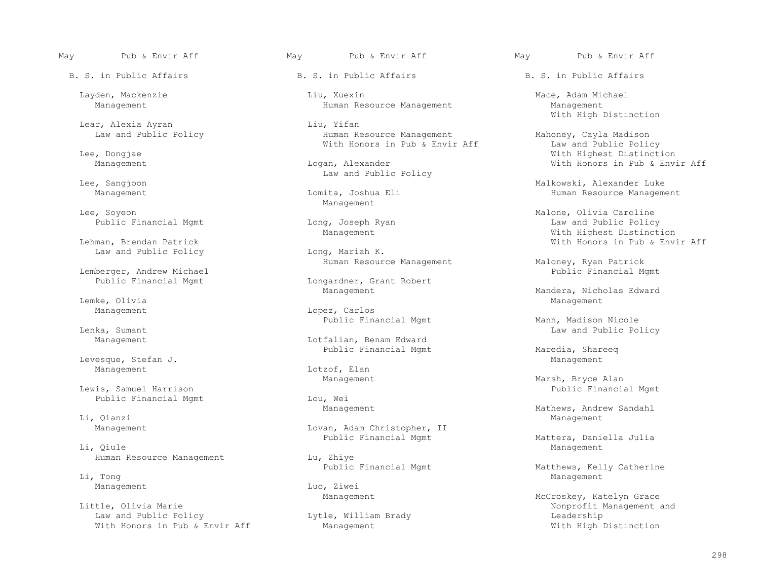Lear, Alexia Ayran Liu, Yifan

Lee, Soyeon and the control of the Management Management

Law and Public Policy

Lemberger, Andrew Michael Public Financial Mgmt

Lemke, Olivia Management

Levesque, Stefan J. Nanagement and Stefan J. Management and Lotzof, Elan Management and Management and Management and Management and Management and Management and Management and Management and Management and Management and

Public Financial Mgmt

Li, Qianzi Management

Li, Qiule Management

Li, Tong Management

Law and Public Policy **Law Act Act and Public Policy** Leadership<br>
With Honors in Pub & Envir Aff Management Management Mith High Distinction With Honors in Pub & Envir Aff Management

 Layden, Mackenzie Liu, Xuexin Mace, Adam Michael Human Resource Management

Human Resource Management<br>
Wahoney, Cayla Madison<br>
With Honors in Pub & Envir Aff<br>
Mahoney, Cayla Madison With Honors in Pub & Envir Aff Lee, Dongiae

Lee, Sangjoon and Public Policy and Public Policy

Longardner, Grant Robert<br>Management

Management Lopez, Carlos

Management **Management** Lotfalian, Benam Edward Public Financial Mgmt Maredia, Shareeq

Lotzof, Elan<br>Management

Management Lovan, Adam Christopher, II

Human Resource Management Lu, Zhiye<br>Public Financial Mgmt

Management Luo, Ziwei<br>
Management Management

May Pub & Envir Aff May Pub & Envir Aff May Pub & Envir Aff

With High Distinction

 Lee, Dongjae With Highest Distinction With Honors in Pub & Envir Aff

 Lee, Sangjoon Malkowski, Alexander Luke Human Resource Management

A Soyeon (and Dong, Joseph Ryan (and Dong Malone, Olivia Caroline)<br>Public Financial Mgmt (and Dong, Joseph Ryan (b) and Dong Malone, Olivia Caroline ng, Joseph Ryan Long, Joseph Ryan Long, Joseph Ryan Long, Law and Public Policy<br>Management Long, Mith Highest Distinction Management Management Management Which Highest Distinction<br>With Honors in Pub & Env: With Honors in Pub & Env: Long, Mariah K. **Envir Aff** Long, Mariah K.

Human Resource Management Maloney, Ryan Patrick<br>Public Financial Mgmt

Management Management Management Management Management Management Management Management Management Management Management Management Management Management Management Management Management Management Management Management Ma

Public Financial Mgmt Mann, Madison Nicole<br>Lenka, Sumant Mann, Madison Nicole Law and Public Policy

Management Management Management Management Management Management Marsh, Bryce Alan<br>Public Financi Lou, Wei and Marrison Public Financial Mgmt

Management Management Management Management Management Management Mathews, Andrew Sandahl<br>Management

Public Financial Mgmt Mattera, Daniella Julia

Matthews, Kelly Catherine

Management Management Management Management McCroskey, Katelyn Grace<br>McCroskey, Katelyn Grace (McCroskey, Katelyn Grace ) Lytle, William Brady and Monprofit Management and Lytle, William Brady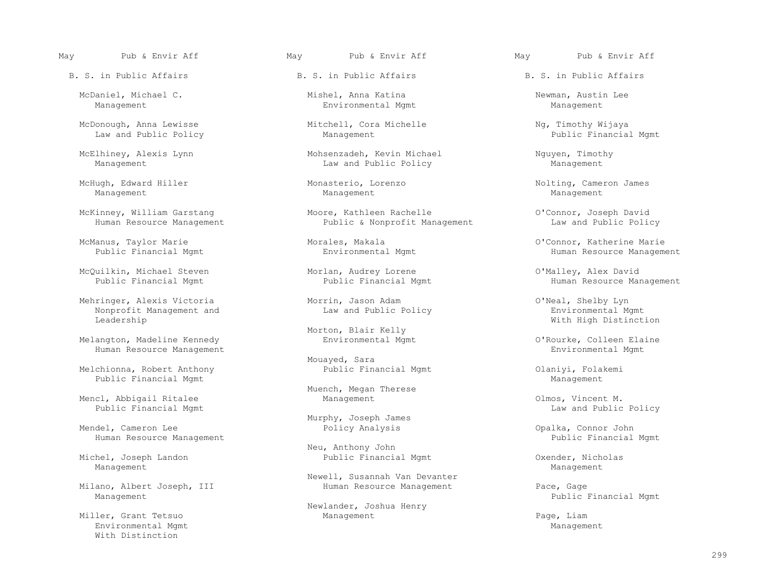McDaniel, Michael C. Mishel, Anna Katina Newman, Austin Lee

McDonough, Anna Lewisse Mitchell, Cora Michelle Ng, Timothy Wijaya<br>Law and Public Policy Management Law and Public Policy

Management Management Management

McQuilkin, Michael Steven Morlan, Audrey Lorene O'Malley, Alex David

Mehringer, Alexis Victoria Morrin, Jason Adam O'Neal, Shelby Lyn<br>Nonprofit Management and Law and Public Policy Nonprofit Management and Law and Public Policy Leadership

 Melangton, Madeline Kennedy Environmental Mgmt O'Rourke, Colleen Elaine Human Resource Management

 Melchionna, Robert Anthony Public Financial Mgmt Olaniyi, Folakemi Public Financial Mgmt

Mencl, Abbigail Ritalee Management Management Olmos, Vincent M. Dublic Financial Mgmt<br>Public Financial Mgmt

Human Resource Management

 Michel, Joseph Landon Public Financial Mgmt Oxender, Nicholas Management Management

Milano, Albert Joseph, III Human Resource Management Pace, Gage

Environmental Mgmt Management Management Management Management Management Management With Distinction

### May Pub & Envir Aff May Pub & Envir Aff May Pub & Envir Aff

Environmental Mgmt

McElhiney, Alexis Lynn Mohsenzadeh, Kevin Michael Mohsenzadeh, Kevin Michael Nguyen, Timothy<br>Manaqement Law and Public Policy Manaqement Law and Public Policy

McKinney, William Garstang Moore, Kathleen Rachelle O'Connor, Joseph David<br>Human Resource Management Public & Nonprofit Management Public & Nonprofit Management

Morton, Blair Kelly<br>Environmental Mgmt

Mouayed, Sara<br>Public Financial Mgmt

Muench, Megan Therese

Murphy, Joseph James<br>Mendel, Cameron Lee and Society Policy Analysis

Neu, Anthony John Nichel, Joseph Landon<br>Public Financia

Newell, Susannah Van Devanter

 Newlander, Joshua Henry Miller, Grant Tetsuo **Management** Management Page, Liam

McHugh, Edward Hiller (Monasterio, Lorenzo (Monasterio, Lorenzo Nolting, Cameron James<br>Management Management Management Management

 McManus, Taylor Marie Morales, Makala O'Connor, Katherine Marie Human Resource Management

Human Resource Management

With High Distinction

Law and Public Policy

Policy Analysis Connor John Connor John Public Financial Mgmt

Public Financial Mgmt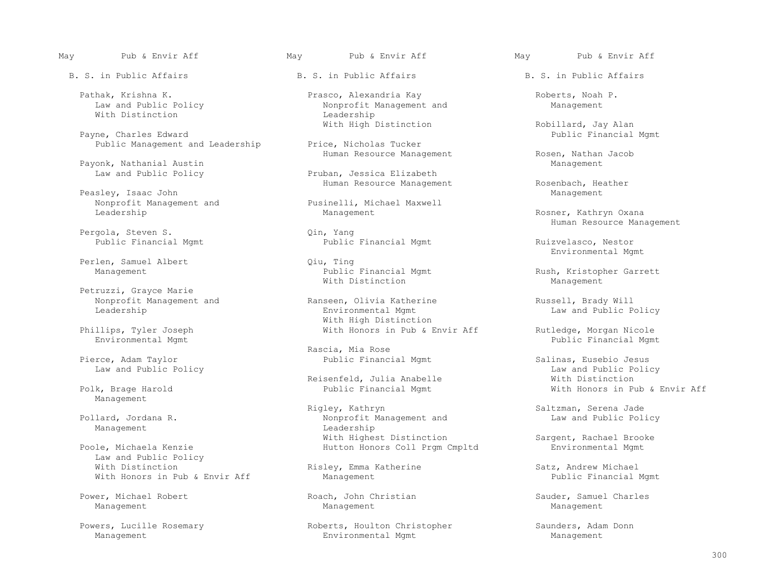With Distinction

Public Management and Leadership

Payonk, Nathanial Austin<br>
Law and Public Policy<br>
Pruban, Jessica Elizabeth Law and Public Policy

Peasley, Isaac John Management and Sales Peasley, Isaac John Management and Management Pusinelli, Michael Maxwell Nonprofit Management and Pusinelli, Michael Maxwell

Pergola, Steven S.<br>Public Financial Mgmt

Perlen, Samuel Albert Qiu, Ting

Petruzzi, Grayce Marie<br>Nonprofit Management and

Pierce, Adam Taylor Public Financial Mgmt Salinas, Eusebio Jesus

Management

Management Leadership

Law and Public Policy<br>With Distinction With Honors in Pub & Envir Aff Management

Power, Michael Robert **Roach, John Christian** Sauder, Samuel Charles Management Management Management

May Pub & Envir Aff May Pub & Envir Aff May Pub & Envir Aff

Pathak, Krishna K. Prasco, Alexandria Kay Pathak, Krishna K. Pathak, Roberts, Noah P.<br>
Law and Public Policy Mones (Roberts, Noah P. Management and Management Nonprofit Management and<br>Leadership

Human Resource Management Rosenbach, Heather

Public Financial Mgmt Ruizvelasco, Nestor

With Distinction **Management** Management

Ranseen, Olivia Katherine and Russell, Brady Will<br>Environmental Mgmt Brady Russell, Brady Will Leadership Environmental Mgmt Law and Public Policy With High Distinction<br>Phillips, Tyler Joseph With Honors in Pub & E

Rascia, Mia Rose

Reisenfeld, Julia Anabelle<br>Polk, Brage Harold Microsoft Distribution Public Financial Mgmt

Rigley, Kathryn (Rightan, Saltzman, Serena Jade) (Rigley, Kathryn (Saltzman, Serena Jade (Saltzman, Serena Jade (Saltzman, Serena Jade (Saltzman, Serena Jade (Saltzman, Serena Jade (Saltzman, Serena Jade (Saltzman) (Saltzm Nonprofit Management and With Highest Distinction Sargent, Rachael Brooke (Nobel Brooke and Michael Brooke Sargent, Rachael Brooke and Michael Brooke and Michael Brooke (Nobel Brooke and Michael Brooke and Michael Michael Michael Michael Michael M Hutton Honors Coll Prgm Cmpltd

 Powers, Lucille Rosemary Roberts, Houlton Christopher Saunders, Adam Donn Environmental Mgmt

With High Distinction and the Robillard, Jay Alan Rayne, Charles Edward and Connection Rayne, Charles Edward Price, Nicholas Tucker **Public Financial Mgmt** Public Financial Mgmt

Human Resource Management Rosen, Nathan Jacob<br>Management

Rosner, Kathryn Oxana Human Resource Management

Environmental Mgmt

Public Financial Mgmt Rush, Kristopher Garrett<br>
Management Mith Distinction<br>
Management

Philips, Tyler Joseph Millips, Tyler Joseph Millips, The Mich Honors in Pub & Envir Aff Rutledge, Morgan Nicole<br>Environmental Mgmt Rublic Financial Mgmt Public Financial Mgmt

 Law and Public Policy Law and Public Policy With Honors in Pub & Envir Aff

Risley, Emma Katherine Satz, Andrew Michael Management Satz, Andrew Michael Manus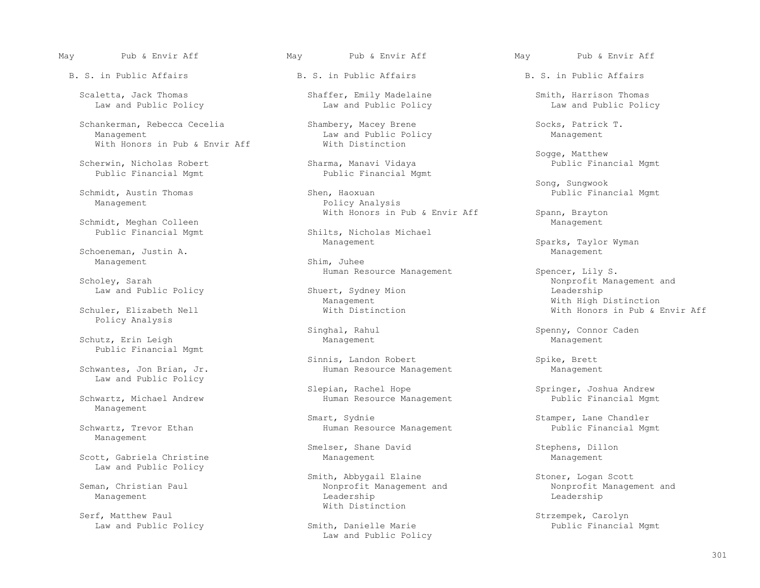Scaletta, Jack Thomas Shaffer, Emily Madelaine Smith, Harrison Thomas Law and Public Policy

Schankerman, Rebecca Cecelia Shambery, Macey Brene Socks, Patrick T.<br>Management Socks, Patrick T. Saw and Public Policy Shamagement Management With Honors in Pub & Envir Aff

Scherwin, Nicholas Robert Sharma, Manavi Vidaya<br>Public Financial Mgmt<br>Public Financial Mgmt Public Financial Mgmt

Schmidt, Meghan Colleen<br>Public Financial Mgmt

Schoeneman, Justin A. Management Shim, Juhee

Policy Analysis

Schutz, Erin Leigh and Management Management Management Management Management Public Financial Mgmt

Law and Public Policy

Management

Management

Scott, Gabriela Christine and Management Management Management Management Law and Public Policy

Law and Public Policy

May Pub & Envir Aff May Pub & Envir Aff May Pub & Envir Aff

Law and Public Policy<br>With Distinction

Schmidt, Austin Thomas Shen, Haoxuan Shen, Haoxuan Shen, Haoxuan Public Financial Mgmt<br>Policy Analysis Policy Analysis With Honors in Pub & Envir Aff Spann, Brayton Spann, Brayton

Shilts, Nicholas Michael

Law and Public Policy Shuert, Sydney Shuert, Sydney Management

Sinnis, Landon Robert (Schwantes, Jon Brian, Jr. (Spike, Brett Schwantes, Jon Brian, Jr. (Spike, Spike, Brett (Schwantes, Jon Brian, Jr. (Spike, Spike, Brett (Schwantes, Jon Brian, Jr. (Spike, Spike, Spike, Spike, Spike, S Human Resource Management

Slepian, Rachel Hope Soleth Springer, Joshua Andrew Slepian, Rachel Hope Springer, Joshua Andrew Schwartz, Michael Andrew Human Resource Management Schwartz, Michael Andrew Human Resource Management Human Resource Management

Smart, Sydnie Smart, Sydnie Schwartz, Iane Chandler<br>Schwartz, Trevor Ethan Stamper (Schwartz, Trevor Ethan Stamper (Schwartz, Trevor Ethan Stamper (Schwartz, Trevo Human Resource Management

Smelser, Shane David Stephens, Dillon

Smith, Abbygail Elaine (Stoner, Logan Scott (Steman, Christian Paul Stoner) (Steman, Christian Paul Stoner, Logan Scott (Steman, Christian Paul Stoner, Logan Scott (Steman, Scott (Steman, Scott (Steman, Scott (Steman, Scot nan, Christian Paul Nones (Nonprofit Management and Nonprofit Management and Nonprofit Management and Nonprofit<br>Management Leadership Management Leadership Leadership Serf, Matthew Paul and Serf, Matthew Paul and Serf, Matthew Paul and Serfect and Serfect and Serfect and Serfect and Serfect and Serfect and Serfect and Serfect and Serfect and Serfect and Serfect and Serfect and Serfect a

Law and Public Policy

Sogge, Matthew

Song, Sungwook

Management Sparks, Taylor Wyman<br>
Management Management

Ruman Resource Management Spencer, Lily S.<br>Scholey, Sarah Monprofit Man Shuert, Sydney Mion and Shuert, Sydney Mion and Shuert, Sydney Mion and Shuert, Sydney Mion and Shuert, Sydney Mion and Shuert, Sydney Mion and Shuert, Sydney Mion and Shuert, Sydney Mion and Shuert, Sydney Mion and Shuert Management Management Management Management Mith High Distinction<br>Nith Honors in Pub & Nith Distinction (With Monors in Pub & 3) With Honors in Pub & Envir Aff

Singhal, Rahul Spenny, Connor Caden

Serzempek, Carolyn (Smith, Danielle Marie 1988)<br>Public Financial Mgmt (Public Financial Mgmt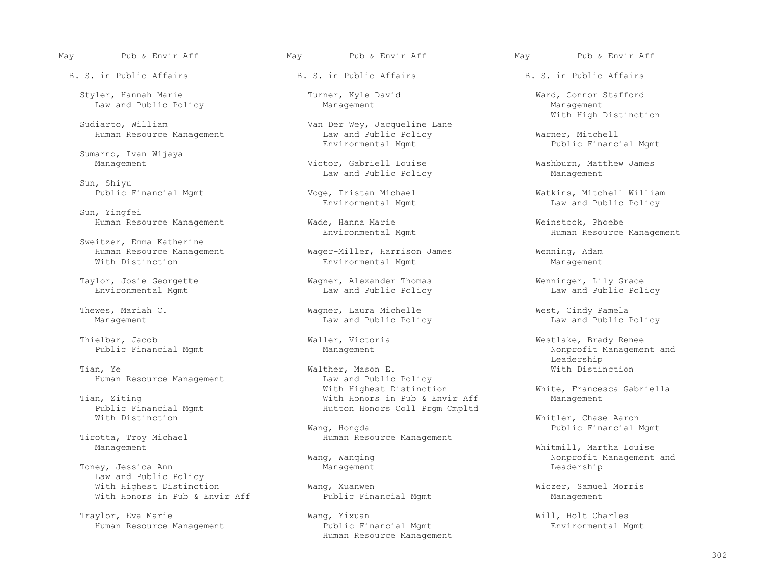Styler, Hannah Marie Turner, Kyle David Ward, Connor Stafford Law and Public Policy

Sudiarto, William Van Der Wey, Jacqueline Lane<br>Human Resource Management Van Law and Public Policy

Sumarno, Ivan Wijaya

Sun, Shiyu

Sun, Yingfei

Sweitzer, Emma Katherine

Thielbar, Jacob **Waller, Victoria** Waller, Victoria Westlake, Brady Renee<br>Public Financial Mgmt Menum Management Management Monprofit Manageme

Public Financial Mgmt<br>With Distinction<br>With Distinction

Tirotta, Troy Michael **Human Resource Management**<br>Management

Toney, Jessica Ann Law and Public Policy With Highest Distinction Wang, Xuanwen Wiczer, Samuel Morris With Honors in Pub & Envir Aff

Traylor, Eva Marie Wang, Yixuan Wang, Yixuan Wang, Yixuan Will, Holt Charles<br>Human Resource Management Mublic Financial Mgmt Mublic Power Managemental M

May Pub & Envir Aff May Pub & Envir Aff May Pub & Envir Aff

Human Resource Management Law and Public Policy Warner, Mitchell

Victor, Gabriell Louise **Washburn, Matthew James**<br>
Law and Public Policy **Management** Management Law and Public Policy

Human Resource Management **Wade, Hanna Marie** Weinstock, Phoebe<br>Environmental Mqmt Math Marie Human Resource

 Human Resource Management Wager-Miller, Harrison James Wenning, Adam Environmental Mgmt Management

 Taylor, Josie Georgette Wagner, Alexander Thomas Wenninger, Lily Grace Law and Public Policy

Law and Public Policy

Tian, Ye Walther, Mason E. Walther, Mason E. When We with Distinction and Public Policy and Public Policy Human Resource Management<br>
With Highest Distinction<br>
With Highest Distinction With Highest Distinction and Moreover Mhite, Francesca Gabriella<br>With Honors in Pub & Envir Aff Management Management n, Ziting<br>
Public Financial Mgmt<br>
Tublic Financial Mgmt<br>
Mutton Honors Coll Prgm Cmpltd

Wang, Hongda Public Financial Mgmt

 Human Resource Management Public Financial Mgmt Environmental Mgmt Human Resource Management

With High Distinction

Public Financial Mgmt

 Public Financial Mgmt Voge, Tristan Michael Watkins, Mitchell William Law and Public Policy

Human Resource Management

Thewes, Mariah C. Wagner, Laura Michelle West, Cindy Pamela

Nonprofit Management and Leadership

Whitler, Chase Aaron

Whitmill, Martha Louise Wang, Wanqing  $\blacksquare$  Nonprofit Management and Management and Management and Management and Management and Management and Management and Management and Management and Management and Management and Management and Management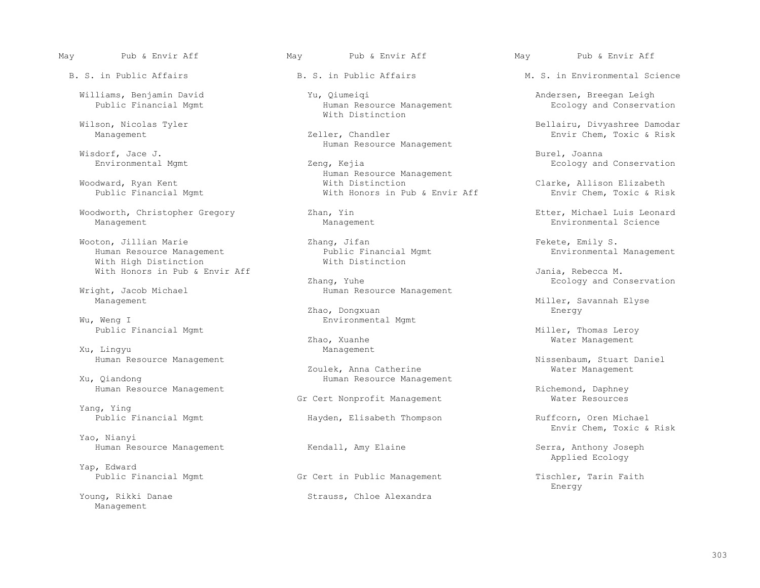Wisdorf, Jace J. Burel, 1996. In the set of the set of the set of the set of the set of the set of the set of the set of the set of the set of the set of the set of the set of the set of the set of the set of the set of th

Woodworth, Christopher Gregory 2han, Yin 2001, Etter, Michael Luis Leonard<br>Management Management Management Management Environmental Science Management Management Environmental Science

 Wooton, Jillian Marie Zhang, Jifan Fekete, Emily S. Human Resource Management<br>
With High Distinction<br>
With Distinction With High Distinction With Honors in Pub & Envir Aff  $\chi$  Zhang, Yuhe  $\chi$  and  $\chi$  Ecology and Co

ght, Jacob Michael **Human Resource Management**<br>Management

Public Financial Mgmt **Miller, Thomas Leroy** Miller, Thomas Leroy

Xu, Lingyu

Yang, Ying<br>Public Financial Mgmt

 Yao, Nianyi Human Resource Management **Serra, And Amy Elaine** Serra, Anthony Joseph

Yap, Edward

Management

Williams, Benjamin David Yu, Qiumeiqi Andersen, Breegan Leigh<br>Public Financial Mgmt Human Resource Management Human Resource Management With Distinction

Wisdorf, Jace J. **Example 2018** Human Resource Management

 Environmental Mgmt Zeng, Kejia Ecology and Conservation External Human Resource Management<br>
Woodward, Ryan Kent<br>
With Distinction Woodward, Ryan Kent With Distinction Clarke, Allison Elizabeth With Honors in Pub & Envir Aff

Ecology and Conservation and The Ecology and Conservation and Conservation and Conservation and Conservation Ecology and Conservation and Ecology and Conservation and Ecology and Conservation and Euman Resource Management

 Zhao, Dongxuan Energy Wu, Weng I Environmental Mgmt

Zhao, Xuanhe Water Management Management Management

Zoulek, Anna Catherine Water Management Management Management Management Management Management Management Mana<br>Human Resource Management Management Management Management Management Management Management Management Managem Human Resource Management

Gr Cert Nonprofit Management

Hayden, Elisabeth Thompson Ruffcorn, Oren Michael

Young, Rikki Danae Strauss, Chloe Alexandra

May Pub & Envir Aff May Pub & Envir Aff May Pub & Envir Aff

B. S. in Public Affairs The B. S. in Public Affairs The M. S. in Environmental Science

 Wilson, Nicolas Tyler Bellairu, Divyashree Damodar Envir Chem, Toxic & Risk

Miller, Savannah Elyse

Human Resource Management The Soulek, Anna Catherine Communicum and Missenbaum, Stuart Daniel<br>Zoulek, Anna Catherine The Management Mater Management

Human Resource Management<br>Gr Cert Nonprofit Management Alexander Monto Mater Resources

Envir Chem, Toxic & Risk

Applied Ecology

Gr Cert in Public Management Gr Cert in Public Management Tischler, Tarin Faith Energy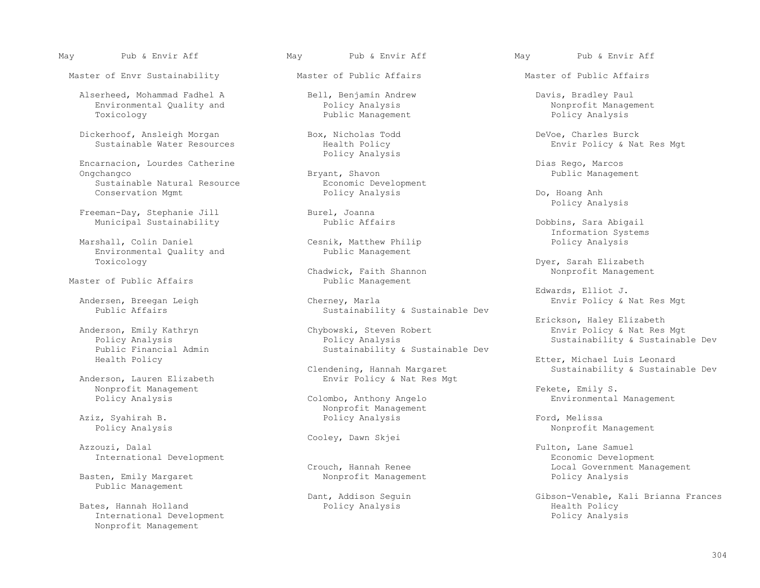Master of Envr Sustainability **Master of Public Affairs** Master of Public Affairs Master of Public Affairs

 Alserheed, Mohammad Fadhel A Bell, Benjamin Andrew Davis, Bradley Paul Environmental Quality and  $\begin{array}{cccc}\n\text{Policy Analysis} \\
\text{Poblic Management} \\
\end{array}$  Policy Analysis

Dickerhoof, Ansleigh Morgan Box, Nicholas Todd DeVoe, Charles Burck

 Encarnacion, Lourdes Catherine Dias Rego, Marcos Ongchangco Bryant, Shavon Public Management Sustainable Natural Resource and Economic Development<br>
Conservation Mgmt<br>
Policy Analysis

Freeman-Day, Stephanie Jill Burel, Joanna<br>Municipal Sustainability Bublic Affairs Municipal Sustainability **Public Affairs** Public Affairs **Dobbins, Sara Abigail** 

Environmental Quality and

Master of Public Affairs

Anderson, Lauren Elizabeth Nonprofit Management Fekete, Emily S.

Cooley, Dawn Skjei

Public Management

 Bates, Hannah Holland Policy Analysis Health Policy International Development Nonprofit Management

May Pub & Envir Aff May Pub & Envir Aff May Pub & Envir Aff

Public Management

Policy Analysis

Cesnik, Matthew Philip<br>Public Management

Chadwick, Faith Shannon<br>Public Management

 Andersen, Breegan Leigh Cherney, Marla Envir Policy & Nat Res Mgt Sustainability & Sustainable Dev

lerson, Emily Kathryn Chybowski, Steven Robert Envir Policy & Nat Res Mgt<br>Policy Analysis Policy Analysis Policy Analysis Policy Analysis Sustainability & Sustainable Dev Sustainability & Sustainable Dev

ndening, Hannah Margaret Sustainability & Sustainable Dev<br>Envir Policy & Nat Res Mgt

Nonprofit Management<br>Policy Analysis Aziz, Syahirah B. Policy Analysis Ford, Melissa

Basten, Emily Margaret and the Nonprofit Management and Policy Analysis

Envir Policy & Nat Res Mgt

 Conservation Mgmt Policy Analysis Do, Hoang Anh Policy Analysis

Information Systems

Toxicology Dyer, Sarah Elizabeth

Edwards, Elliot J.

Erickson, Haley Elizabeth (Englishedth Christian Chemical Anderson, Haley Elizabeth (Englishedth Christian Christian Christian Christian Christian Christian Christian Christian Christian Christian (Englishedth Christian Ch

Health Policy **Etter, Michael Luis Leonard**<br>Clendening, Hannah Margaret **Etter, Michael Luis Leonard** Clendening, Hannah Margaret

Environmental Management

Policy Analysis Nonprofit Management

Fulton, Lane Samuel International Development Economic Development Local Government Management

Dant, Addison Seguin Gibson-Venable, Kali Brianna Frances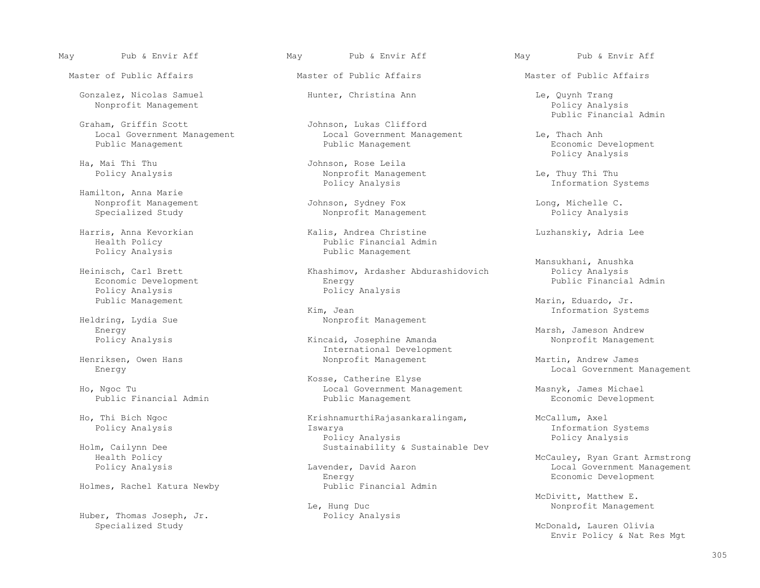Master of Public Affairs The Master of Public Affairs The Master of Public Affairs

 Gonzalez, Nicolas Samuel Hunter, Christina Ann Le, Quynh Trang Nonprofit Management

Graham, Griffin Scott (1999) (1999) Johnson, Lukas Clifford (1999) (1999) Public Financial Admin

 Hamilton, Anna Marie Nonprofit Management Tohnson, Sydney Fox and Long, Michelle C.<br>Specialized Study analysis and Nonprofit Management and Policy Analysis

Economic Development<br>Policy Analysis Policy Analysis<br>
Public Management<br>
Policy Analysis

dring, Lydia Sue **Nonprofit Management**<br>Energy

Henriksen, Owen Hans **Nonprofit Management** Martin, Andrew James Energy and Martin, Andrew James Energy

Holmes, Rachel Katura Newby

Huber, Thomas Joseph, Jr. Specialized Study and Study and Study McDonald, Lauren Olivia

## May Pub & Envir Aff May Pub & Envir Aff May Pub & Envir Aff

Johnson, Lukas Clifford<br>Local Government Management Local Government Management Local Government Management Le, Thach Anh<br>Public Management Leconomic Development Public Management Leconomic De

Ha, Mai Thi Thu 1999 and Tohnson, Rose Leila<br>Policy Analysis 1999 and 2009 and 2009 and 2009 and 2009 and 2009 and 2009 and 2009 and 2009 and 201 Nonprofit Management Le, Thuy Thi Thu<br>Policy Analysis 1nformation S

Nonprofit Management

 Harris, Anna Kevorkian Kalis, Andrea Christine Luzhanskiy, Adria Lee Health Policy<br>
Public Financial Admin<br>
Public Management Public Management

Heinisch, Carl Brett Khashimov, Ardasher Abdurashidovich Policy Analysis

Kim, Jean Information Systems<br>
Nonprofit Management and the Contraction Systems<br>
Nonprofit Management

Kincaid, Josephine Amanda International Development

 Kosse, Catherine Elyse Ho, Ngoc Tu and Government Management Management Masnyk, James Michael<br>Public Financial Admin and Public Management Management Economic Developme

Ho, Thi Bich Ngoc KrishnamurthiRajasankaralingam, McCallum, Axel McCallum, Axel Policy Analysis Policy Analysis Iswarya Information Systems Policy Analysis Policy Analysis Policy Analysis<br>Sustainability & Sustainable Dev Policy Analysis m, Cailynn Dee Sustainability & Sustainable Dev<br>Health Policy

Energy Economic Development<br>Public Financial Admin

Le, Hung Duc<br>Policy Analysis Research Monprofit Management

Economic Development<br>Policy Analysis Policy Analysis

Information Systems

Mansukhani, Anushka

Marin, Eduardo, Jr.

Energy Marsh, Jameson Andrew

Local Government Management

Economic Development

 Health Policy McCauley, Ryan Grant Armstrong Local Government Management

McDivitt, Matthew E.

Envir Policy & Nat Res Mgt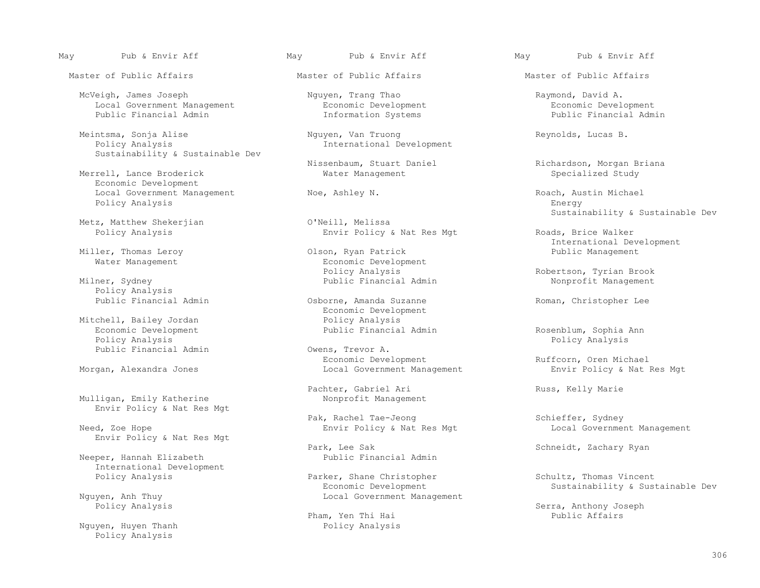Master of Public Affairs The Master of Public Affairs The Master of Public Affairs

McVeigh, James Joseph (Nguyen, Trang Thao Raymond, David A. Coronal Government Management (Nguyen, Trang Thao Raymont Raymond, David A. Coronal Gevelopment (Reconomic Development Reconomic Development (Reconomic Developmen Local Government Management 1997 1997 Economic Development Public Financial Admin 1997 1997 1998 199

Meintsma, Sonja Alise  $\begin{array}{cccc}\n\text{Mguyen, Van Truong} \\
\text{Policy Analysis} \\
\end{array}$  Reynolds, Lucas B. Sustainability & Sustainable Dev

Merrell, Lance Broderick Economic Development Local Government Management 1997 (Noe, Ashley N. 1997).<br>Policy Analysis 1998 (Energy 1997). Policy Analysis

Metz, Matthew Shekerjian<br>Policy Analysis

Miller, Thomas Leroy

Policy Analysis<br>Public Financial Admin

 Economic Development Public Financial Admin Rosenblum, Sophia Ann Public Financial Admin

Mulligan, Emily Katherine Envir Policy & Nat Res Mgt

Envir Policy & Nat Res Mgt

Neeper, Hannah Elizabeth International Development

Nguyen, Huyen Thanh Thank Policy Analysis Policy Analysis

## May Pub & Envir Aff May Pub & Envir Aff May Pub & Envir Aff

International Development

Envir Policy & Nat Res Mgt Roads, Brice Walker

Water Management<br>
Economic Development<br>
Policy Analysis Policy Analysis Robertson, Tyrian Brook (Policy Analysis Robertson, Tyrian Brook Robertson, Tyrian Brook Public Financial Admin

Osborne, Amanda Suzanne Roman, Christopher Lee Economic Development<br>Policy Analysis Mitchell, Bailey Jordan and Policy Analysis<br>
Economic Development and Public Financial Admin

Policy Analysis<br>Cwens, Trevor A. Economic Development (Ruffcorn, Oren Michael (Ruffcorn) England Ruffcorn, Oren Michael<br>Morgan, Alexandra Jones (Ruffcorn) (Ruffcorn Local Government Management (Ruffcorn, Oren Michael (Ruffcorn) Envir Local Government Management

Pachter, Gabriel Ari Russ, Kelly Marie<br>Nonprofit Management

Pak, Rachel Tae-Jeong Schieffer, Sydney<br>Envir Policy & Nat Res Mgt Schieffer, Sydney

Park, Lee Sak Schneidt, Zachary Ryan<br>Public Financial Admin

Policy Analysis **Parker, Shane Christopher** Schultz, Thomas Vincent<br>Economic Development Sustainability & Sust Economic Development (Sustainability & Sustainable Deverture of New York Reconomic Development (Sustainability & Sustainable Deverture of New York Reconomic Deverture of New York Sustainability & Sustainable Deverture of N Local Government Management

Pham, Yen Thi Hai Public Affairs

Public Financial Admin

Nissenbaum, Stuart Daniel (Richardson, Morgan Briana Mater Management (Richardson, Specialized Study

Sustainability & Sustainable Dev<br>
O'Neill, Melissa

International Development

Nonprofit Management

Need, Zoe Hope **Envir Policy & Nat Res Mgt Local Government Management** 

Policy Analysis Serra, Anthony Joseph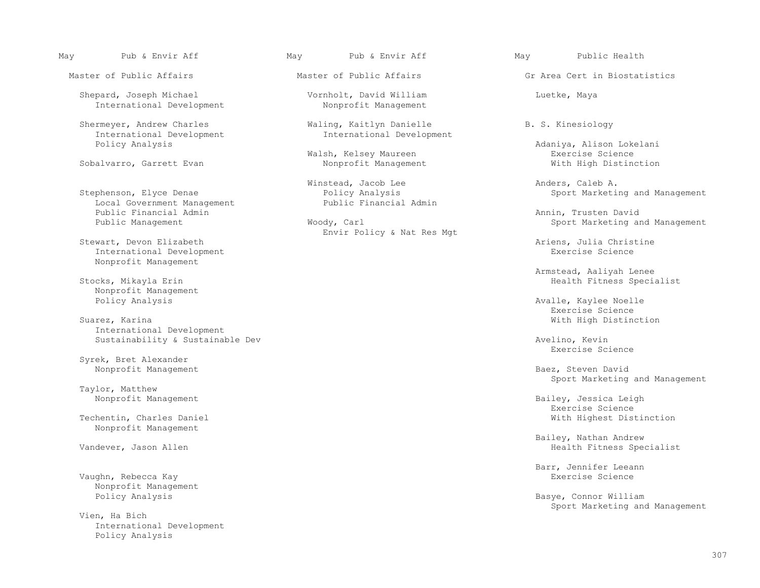Shepard, Joseph Michael Vornholt, David William Luetke, Maya International Development

 Shermeyer, Andrew Charles Waling, Kaitlyn Danielle B. S. Kinesiology International Development<br>Policy Analysis

Sobalvarro, Garrett Evan

 Local Government Management Public Financial Admin Public Financial Admin Annin, Trusten David

Stewart, Devon Elizabeth (Stewart, Devon Elizabeth Ariens, Julia Christine (Stewart, Devon Elizabeth Ariens, Julia Christine (Stewart, Development (Stewart, Development (Stewart, Development (Stewart, Development (Stewart, International Development Nonprofit Management

Nonprofit Management<br>Policy Analysis

Suarez, Karina With High Distinction International Development Sustainability & Sustainable Dev<br>
Revise Science Revise Science

 Syrek, Bret Alexander Nonprofit Management **Baez, Steven David** 

Taylor, Matthew<br>Nonprofit Management

Nonprofit Management

Vaughn, Rebecca Kay Nonprofit Management<br>Policy Analysis

 Vien, Ha Bich International Development Policy Analysis

May Pub & Envir Aff May Pub & Envir Aff May Public Health

Minstead, Jacob Lee and the Caleb A.<br>Stephenson, Elyce Denae Anders, Caleb A. Policy Analysis Policy Analysis Sport Marketing and Management<br>Public Financial Admin

Envir Policy & Nat Res Mgt

Master of Public Affairs The Master of Public Affairs The Griffic Griffic Area Cert in Biostatistics

Adaniya, Alison Lokelani<br>Exercise Science Walsh, Kelsey Maureen and Exercise Science<br>
Nonprofit Management and Exercise Science in Nonprofit Management

Sport Marketing and Management

 Armstead, Aaliyah Lenee Health Fitness Specialist

Avalle, Kaylee Noelle<br>Exercise Science Exercise Science

Exercise Science

Sport Marketing and Management

Bailey, Jessica Leigh<br>Exercise Science Exercise Science Techentin, Charles Daniel With Highest Distinction

Bailey, Nathan Andrew (1999)<br>Mandever, Jason Allen (1999)<br>Bealth Fitness Spe Health Fitness Specialist

Barr, Jennifer Leeann

Basye, Connor William Sport Marketing and Management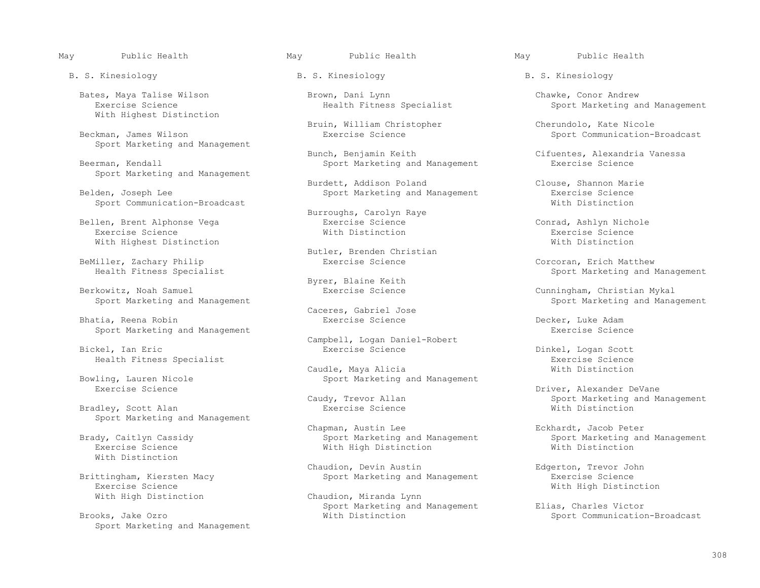B. S. Kinesiology B. S. Kinesiology B. S. Kinesiology

 Bates, Maya Talise Wilson Brown, Dani Lynn Chawke, Conor Andrew With Highest Distinction

Sport Marketing and Management

Sport Marketing and Management

Sport Communication-Broadcast

Bellen, Brent Alphonse Vega and Exercise Science and Conrad, Ashlyn Nichole<br>Exercise Science Conrad, Exercise Science and Exercise Science and Mith Distinction Exercise Science With Distinction Exercise Science With Highest Distinction  $\blacksquare$ 

BeMiller, Zachary Philip **Exercise Science** Exercise Corcoran, Erich Matthew<br>Health Fitness Specialist **Exercise Science** Corcoran, Erich Matthew

Berkowitz, Noah Samuel Exercise Science Cunningham, Christian Mykal

Bhatia, Reena Robin<br>
Sport Marketing and Management<br>
Sport Marketing and Management Sport Marketing and Management

Bradley, Scott Alan Sport Marketing and Management

With Distinction

 Brittingham, Kiersten Macy Sport Marketing and Management Exercise Science Exercise Science<br>
With High Distinction<br>
With High Distinction<br>
Chaudion, Miranda Lynn

Sport Marketing and Management

Bruin, William Christopher Cherundolo, Kate Nicole

Bunch, Benjamin Keith Cifuentes, Alexandria Vanessa<br>Sport Marketing and Management Exercise Science Sport Marketing and Management

Burdett, Addison Poland Clouse, Shannon Marie

Burroughs, Carolyn Raye

Butler, Brenden Christian<br>Exercise Science

Byrer, Blaine Keith<br>Berkowitz, Noah Samuel Manuel Exercise Science

Caceres, Gabriel Jose

Campbell, Logan Daniel-Robert<br>
Exercise Science<br>
Exercise Science

Caudle, Maya Alicia<br>
Bowling, Lauren Nicole<br>
Sport Marketing Iling, Lauren Nicole Sport Marketing and Management<br>Exercise Science

Chapman, Austin Lee and Management Eckhardt, Jacob Peter<br>Brady, Caitlyn Cassidy and Management Sport Marketing and Management Sport Marketing and Management dy, Caitlyn Cassidy and Sport Marketing and Management Sport Marketing and Management Sport Marketing and Management<br>Exercise Science and Sport Marketing and Management and Sport Marketing and Michael Sport Marketing and M With High Distinction

Chaudion, Devin Austin Edgerton, Trevor John (Chaudion, Devin Austin Trevor John Edgerton, Trevor John Sport Marketing and Management Exercise Science

Chaudion, Miranda Lynn Sport Marketing and Management Elias, Charles Victor<br>With Distinction and Management Elias, Charles Victor

Sport Marketing and Management

Sport Communication-Broadcast

Sport Marketing and Management<br>
With Distinction

Sport Marketing and Management

Sport Marketing and Management

Dinkel, Logan Scott<br>Exercise Science Health Fitness Specialist<br>Caudle, Maya Alicia Caudinach and Mith Distinction

> Example The Univer, Alexander DeVane<br>Exercise Sport Marketing and Manus Caudy, Trevor Allan dy, Trevor Allan and Management Sport Marketing and Management<br>Exercise Science and Mith Distinction

Sport Communication-Broadcast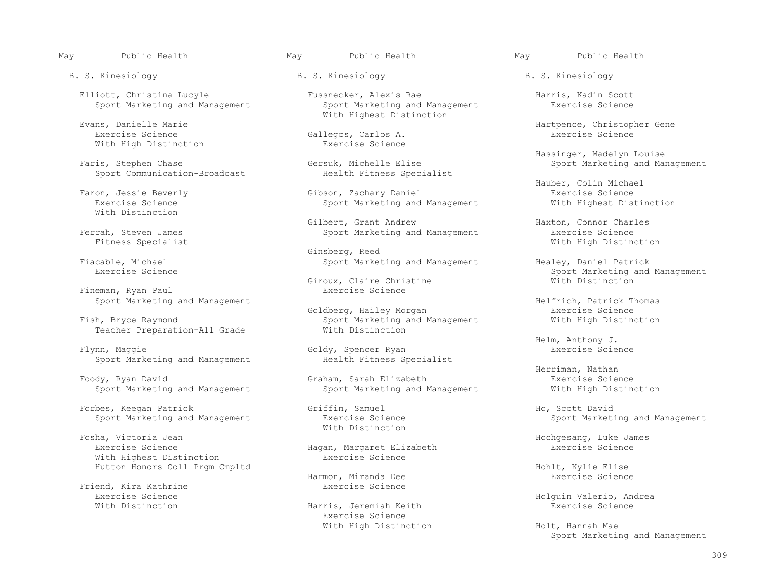B. S. Kinesiology B. S. Kinesiology B. S. Kinesiology

With High Distinction

Sport Communication-Broadcast

With Distinction

Ferrah, Steven James Sport Marketing and Management Sport Marketing and Management<br>
Sport Marketing and Management

Fineman, Ryan Paul

Teacher Preparation-All Grade

Sport Marketing and Management Health Fitness Specialist

Foody, Ryan David<br>
Graham, Sarah Elizabeth Graham Exercise Science<br>
Sport Marketing and Management Mith High Distinction

Forbes, Keegan Patrick Griffin, Samuel Ho, Scott David

Eosha. Victoria Jean<br>
Eosha. Victoria Jean Fosha, Victoria Jean Hochgesang, Luke James With Highest Distinction

Friend, Kira Kathrine Exercise Science

Elliott, Christina Lucyle Fussnecker, Alexis Rae Harris, Kadin Scott<br>Sport Marketing and Management Sport Marketing and Management Exercise Science Sport Marketing and Management With Highest Distinction

Exercise Science Gallegos, Carlos A. Exercise Science

Fauk, Michelle Elise Summan Chase Sport Marketing and Management<br>Health Fitness Specialist

 Faron, Jessie Beverly Gibson, Zachary Daniel Exercise Science Sport Marketing and Management

Gilbert, Grant Andrew Ferrah, Steven James<br>
Sport Marketing and Management Exercise Science Exercise Science

Ginsberg, Reed<br>Fiacable. Michael Communications of the Sport Marke

Giroux, Claire Christine<br>Exercise Science

Goldberg, Hailey Morgan and Management Exercise Science<br>Fish, Bryce Raymond and Management and Management With High Distinction Sport Marketing and Management<br>With Distinction

Goldy, Spencer Ryan

Sport Marketing and Management Sport Marketing and Management

Exercise Science Hagan, Margaret Elizabeth Exercise Science

Harmon, Miranda Dee Exercise Science

Harris, Jeremiah Keith Exercise Science With High Distinction Holt, Hannah Mae

Evans, Danielle Marie Hartpence, Christopher Gene

Faris, Stephen Chase The Stephen Chase Search Communist Cersuk, Michelle Elise<br>Faris, Stephen Chase The Sport Marketing and Man

Faron, Jessie Beverly (and the Subson, Zachary Daniel The State of The Hauber, Colin Michael (and the Science<br>Exercise Science (and the Science of The Science of The Science of The Science of The Science of The Science o

With High Distinction

cable, Michael Sport Marketing and Management Healey, Daniel Patrick<br>Exercise Science Science Sport Marketing and Management<br>With Distinction

Sport Marketing and Management<br>Goldberg, Hailey Morgan (Reference Batrick Thomas

Elynn, Maggie and Soldy, Spencer Ryan and Melm, Anthony J.<br>Flynn, Maggie and Soldy, Spencer Ryan and Melm and Exercise Science

Herriman, Nathan

Sport Marketing and Management

Hutton Honors Coll Prgm Cmpltd<br>Hohlt, Kylie Elise<br>Harmon, Miranda Dee Alexence Barcise Science

Exercise Science Holguin Valerio, Andrea

Sport Marketing and Management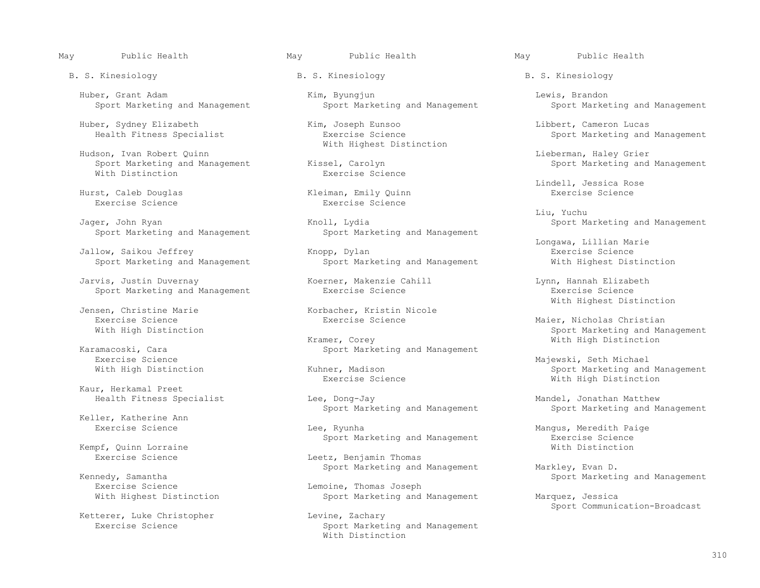B. S. Kinesiology B. S. Kinesiology B. S. Kinesiology

Huber, Sydney Elizabeth Kim, Joseph Eunsoo Libbert, Cameron Lucas

Sport Marketing and Management<br>With Distinction By Exercise Science With Distinction

Hurst, Caleb Douglas<br>Exercise Science

Jager, John Ryan Knoll, Lydia Knoll, Lydia Sport Marketing and Management<br>Sport Marketing and Management Sport Marketing and Management

Jallow, Saikou Jeffrey (Exercise Science Knopp, Dylan Sport Management Resercise Science Science Sport Marketing and Management (Exercise Science Sport Marketing and Management (Exercise Science Sport Marketing and Managem

 Jarvis, Justin Duvernay Koerner, Makenzie Cahill Lynn, Hannah Elizabeth Sport Marketing and Management

Exercise Science<br>
Exercise Science<br>
Exercise Science

Kaur, Herkamal Preet

Keller, Katherine Ann<br>Exercise Science

Kempf, Quinn Lorraine<br>Exercise Science

Kennedy, Samantha<br>
Exercise Science Lemoine. Thomas Joseph Sport Marketing and Management Exercise Science<br>
With Highest Distinction<br>
With Highest Distinction<br>
Compare Lemoine, Thomas Joseph<br>
Sport Marketing and

Ketterer, Luke Christopher<br>Exercise Science

Huber, Grant Adam and Management Kim, Byungjun Lewis, Brandon Lewis, Brandon<br>Sport Marketing and Management Sport Marketing and Management Sport Marketing and Management Sport Marketing and Management

With Highest Distinction

Exercise Science

Sport Marketing and Management

Sport Marketing and Management

Jensen, Christine Marie (Korbacher, Kristin Nicole<br>
Exercise Science (Karcise Science (Karcise Science (Karcise Science (Karcise Science (Karcise Science (Karcise Science (Karcise Science (Karcise Science (Karcise Science

Kramer, Corey Corey and Management Mith High Distinction<br>
Sport Marketing and Management

Health Fitness Specialist Lee, Dong-Jay Mandel, Jonathan Matthew

Lee, Ryunha<br>
Sport Marketing and Management<br>
Exercise Science<br>
Exercise Science

Leetz, Benjamin Thomas Sport Marketing and Management Markley, Evan D.

Sport Marketing and Management Marquez, Jessica

Sport Communication-Broadcast<br>Levine, Zachary Sport Marketing and Management With Distinction

Sport Marketing and Management

Hudson, Ivan Robert Quinn<br>
Sport Marketing and Management (Kissel, Carolyn (Kissen, Lieberman, Haley Grier (Sport Marketing and Management

Eindell, Jessica Rose<br>
Kleiman, Emily Quinn<br>
Exercise Science

Liu, Yuchu

Longawa, Lillian Marie<br>Exercise Science<br>Exercise Science

With Highest Distinction

Exercise Science Exercise Science Exercise Science Exercise Science Maier, Nicholas Christian<br>
With High Distinction With High Distinction Sport Marketing and Management

Exercise Science<br>
Wajewski, Seth Michael<br>
Majewski, Seth Michael<br>
Majewski, Seth Michael<br>
Majewski, Seth Michael ner, Madison Sport Marketing and Management<br>Exercise Science Summer Sport Mith High Distinction With High Distinction

Sport Marketing and Management Sport Marketing and Management

Sport Marketing and Management<br>
With Distinction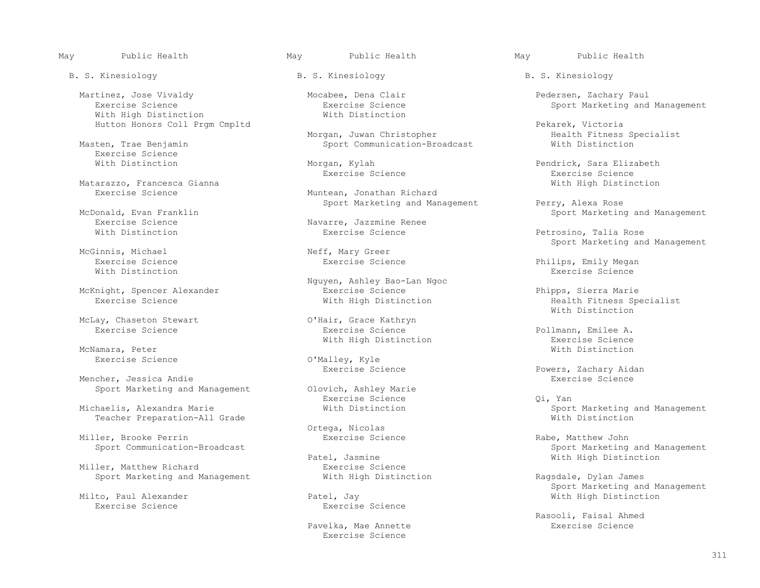Martinez, Jose Vivaldy (Mocabee, Dena Clair (Mocabee, Dena Clair (Mocabee, Dena Clair Pedersen, Zachary Paul<br>Pedersen, Zachary Paul (Records Records Exercise Science (Records Sport Marketing and With High Distinction

Exercise Science<br>With Distinction

Matarazzo, Francesca Gianna<br>
Exercise Science Muntean, Jonathan Richard With High Distinction

Onald, Evan Franklin<br>Des Science Science Science Summer Sport Marketing and Management<br>Exercise Science

McLay, Chaseton Stewart Chase College Communic Communication Chair, Grace Kathryn<br>Exercise Science Charles Communication Exercise Science

McNamara, Peter **With Distinction** 

Mencher, Jessica Andie<br>Sport Marketing and Management Colovich, Ashley Marie

Teacher Preparation-All Grade

Miller, Brooke Perrin Exercise Science Communication-Broadcast Exercise Science Rabe, Matthew John<br>Sport Communication-Broadcast

Miller, Matthew Richard<br>
Sport Marketing and Management<br>
With High Distinction Sport Marketing and Management With High Distinction and Ragsdale, Dylan James

Morgan, Juwan Christopher (Fitness Specialist Masten, Trae Benjamin Morgan, Morgan, Juwan Christopher (Fitness Specialist Masten, Trae Benjamin Mustimedian Sport Communication-Broadcast (Fitness Specialist Mith Distinction Sport Communication-Broadcast

Muntean, Jonathan Richard Sport Marketing and Management Perry, Alexa Rose<br>Sport Marketing and Management Perry, Alexa Rose

Exercise Science and Science and Navarre, Jazzmine Renee<br>
With Distinction and Distinction Exercise Science

McGinnis, Michael Neff, Mary Greer

 Nguyen, Ashley Bao-Lan Ngoc McKnight, Spencer Alexander Exercise Science Phipps, Sierra Marie

Exercise Science  $\overline{O'$ Malley, Kyle<br>Exercise Science

Sport Marketing and Management Olovich, Ashley Maries<br>Exercise Science Exercise Science Qi, Yan

Ortega, Nicolas

el, Jasmine and With High Distinction<br>Exercise Science

to, Paul Alexander Patel, Jay With High Distinction <br>Exercise Science Exercise Science Exercise Science

> Pavelka, Mae Annette Exercise Science

B. S. Kinesiology B. S. Kinesiology B. S. Kinesiology

Exercise Science **Exercise** Sport Marketing and Management<br>With Distinction

Hutton Honors Coll Prgm Cmpltd<br>Morgan, Juwan Christopher Pekarek, Victoria

Morgan, Kylah **Pendrick, Sara Elizabeth**<br> **Exercise Science** Pendrick, Sara Elizabeth<br> **Exercise Science** Exercise Science Exercise Science

Petrosino, Talia Rose Neff, Mary Greer Sport Marketing and Management

 Exercise Science Exercise Science Philips, Emily Megan With Distinction Exercise Science in the United States of the Exercise Science in the Exercise Science in the U

Health Fitness Specialist<br>With Distinction With Distinction

Pollmann, Emilee A.<br>Exercise Science With High Distinction and the Science Exercise Science Exercise Science<br>McNamara, Peter

Powers, Zachary Aidan<br>Exercise Science

Michaelis, Alexandra Marie With Distinction Sport Marketing and Management

Sport Marketing and Management<br>- Sport Marketing and Management<br>- With High Distinction

Milto, Paul Alexander (1999) (Sport Marketing and Management (Sport Marketing and Management (Sport Marketing and Management (Sport Marketing and Management (Sport Marketing and Management (Sport Marketing and Management (

Rasooli, Faisal Ahmed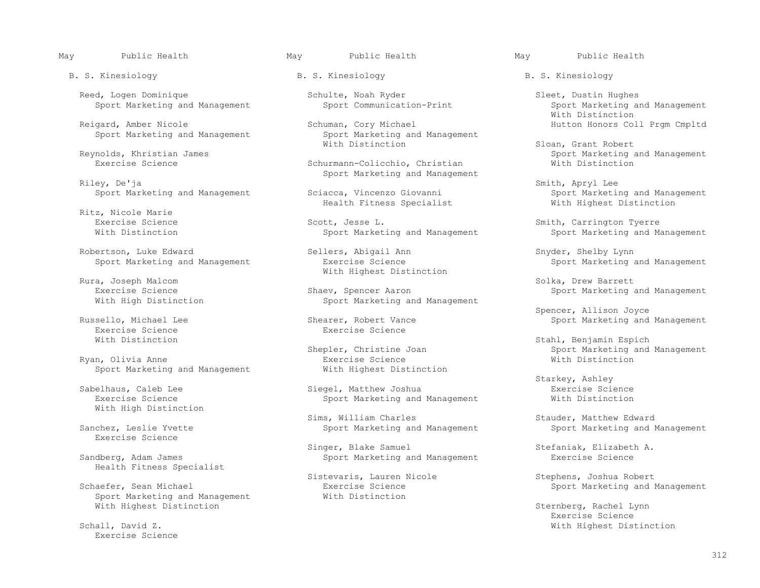B. S. Kinesiology B. S. Kinesiology B. S. Kinesiology

Reed, Logen Dominique Schulte, Noah Ryder Sleet, Dustin Hughes<br>Sport Communication-Print Sport Marketing an

Reigard, Amber Nicole Schuman, Cory Michael Schuman, Corport Management<br>Sport Marketing and Management Sport Marketing and Management

Riley, De'ja Smith, Apryl Lee

Ritz, Nicole Marie

Robertson, Luke Edward Sellers, Abigail Ann Snyder, Shelby Lynn

Rura, Joseph Malcom Solka, Drew Barrett

Exercise Science<br>
With Distinction<br>
Exercise Science

Ryan, Olivia Anne<br>
Sport Marketing and Management<br>
With Highest Distinction Sport Marketing and Management

With High Distinction

Exercise Science

Health Fitness Specialist

Sport Marketing and Management

Exercise Science

Sport Marketing and Management<br>With Distinction

Schurmann-Colicchio, Christian Sport Marketing and Management<br>Riley, De'ja

Health Fitness Specialist

Exercise Science Scott, Jesse L. Smith, Carrington Tyerre<br>
Sport Marketing and Management Sport Marketing and Ma

Rura, Joseph Malcom and Michael Mith Highest Distinction

Exercise Science Science Shaev, Spencer Aaron Shaev, Spencer Aaron Sport Marketing and Management Sport Marketing and Management Sport Marketing and Management Sport Marketing and Management Sport Marketing and Management Sport Marketing and Management

Sello, Michael Lee Shearer, Robert Vance Shearer, Robert Sport Marketing and Management<br>Stercise Science Science Sport Sport Marketing and Management

Sabelhaus, Caleb Lee Siegel, Matthew Joshua Exercise Science<br>Exercise Science Sport Marketing and Management With Distinct Sport Marketing and Management

Sims, William Charles Sanchez, Leslie Yvette Stauder Stauder, Matthew Edward<br>Sport Marketing and Nanagement Sport Marketing and l

Singer, Blake Samuel Stefaniak, Elizabeth A.<br>Sport Marketing and Management Bestercise Science Sandberg, Adam James Sport Marketing and Management

Sistevaris, Lauren Nicole (Schaefer, Sean Michael Schaefer, Sean Michael (Schaefer, Sean Michael (Schaefer, Sean Michael (Schaefer, Sean Michael (Schaefer, Sean Michael (Schaefer, Sean Michael (Schaefer, Sean Michael (Scha Exercise Science and Management<br>
With Distinction<br>
With Distinction

May Public Health May Public Health May Public Health

Sport Marketing and Management<br>With Distinction With Distinction

With Distinction Sloan, Grant Robert (Sloan, Grant Robert Sloan, Grant Robert Sloan, Grant Robert (Sloan, Grant Robert (Sloan, Grant Robert (Sloan, Grant Robert (Sloan, Grant Robert (Sloan, Grant Robert (Sloan, Grant Rober nolds, Khristian James<br>Reynolds, Khristian James Schurmann-Colicchio, Christian Sport Marketing and Management<br>Reynolds, Christian Sport Mith Distinction

Sport Marketing and Management<br>With Highest Distinction

Sport Marketing and Management

Sport Marketing and Management The Exercise Science Sport Sport Marketing and Management

Spencer, Allison Joyce (Spencer, Allison Joyce )<br>Shearer, Robert Vance (Spencer, Sport Marketing and Sport Marketing and Sport Marketing and Sport Marketing and

Stahl, Benjamin Espich<br>Shepler, Christine Joan Marketing and Sport Marketing and sport Marketing and Management<br>Exercise Science<br>
Sport Mith Distinction

Starkey, Ashley

Sport Marketing and Management

With Highest Distinction and the Steven of Sternberg, Rachel Lynn Sternberg, Rachel Lynn (Sternberg, Rachel Lynn (Sternberg, Rachel Lynn (Sternberg, Rachel Lynn (Sternberg, Rachel Lynn (Sternberg, Rachel Lynn (Sternberg, R Exercise Science Schall, David Z. With Highest Distinction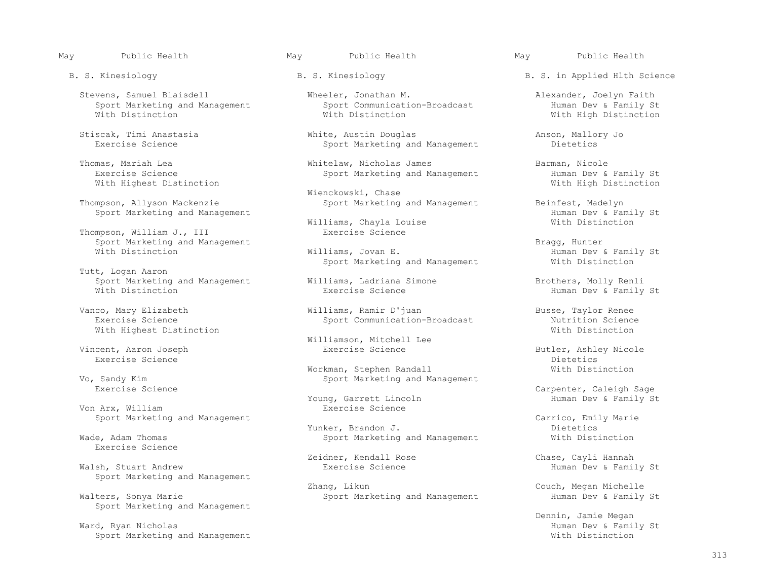Stevens, Samuel Blaisdell **Wheeler, Jonathan M.** Alexander, Joelyn Faith<br>Sport Marketing and Management Sport Communication-Broadcast Human Dev & Family St Sport Marketing and Management Sport Communication-Broadcast Human Dev & Family St

With Highest Distinction

Thompson, William J., III Sport Marketing and Management Bragg, Hunter

 Tutt, Logan Aaron Sport Marketing and Management **Williams, Ladriana Simone** Brothers, Molly Renli<br>With Distinction Brothers, Exercise Science Brothers, Human Dev & Family

With Highest Distinction

Exercise Science Dietetics

Von Arx, William

Exercise Science

Sport Marketing and Management

Sport Marketing and Management

Sport Marketing and Management

Stiscak, Timi Anastasia (and Stiscak, Timi Anastasia and White, Austin Douglas and Management Anson, Mallory Jo<br>
Exercise Science (and Stissen Anagement Anagement Dietetics Sport Marketing and Management

Thomas, Mariah Lea Whitelaw, Nicholas James Barman, Nicole

Wienckowski, Chase<br>Thompson, Allyson Mackenzie and Microsoft Marketing

Williams, Chayla Louise<br>Exercise Science

Sport Marketing and Management

Vanco, Mary Elizabeth Williams, Ramir D'juan Busse, Taylor Renee

Williamson, Mitchell Lee

Workman, Stephen Randall and Management and With Distinction<br>
Sport Marketing and Management Sandy Kim Sandy Kim Sport Marketing and Management<br>Exercise Science

Young, Garrett Lincoln<br>Exercise Science

 Yunker, Brandon J. Dietetics Sport Marketing and Management

Zeidner, Kendall Rose Chase, Cayli Hannah

Zhang, Likun Couch, Megan Michelle (Zhang, Likun Couch, Megan Michelle Couch, Megan Michelle Sport Marketing and Management Family St Sport Marketing and Management

B. S. Kinesiology B. S. Kinesiology B. S. in Applied Hlth Science

With High Distinction

Sport Marketing and Management Human Dev & Family St<br>With High Distinction

Sport Marketing and Management Beinfest, Madelyn<br>Human Dev & Family St Sport Marketing and Management<br>
Williams, Chavla Louise Communication Milliams, Chave Chavise

Human Dev & Family St<br>With Distinction

Human Dev & Family St

Sport Communication-Broadcast Nutrition Science<br>With Distinction

Vincent, Aaron Joseph Exercise Science Butler, Ashley Nicole

Carpenter, Caleigh Sage<br>Human Dev & Family St

Sport Marketing and Management Carrico, Emily Marie

Human Dev & Family St

Dennin, Jamie Megan المسلم المسلم المسلم المسلم المسلم المسلم المسلم المسلم المسلم المسلم المسلم المسلم المسلم<br>Mard, Ryan Nicholas المسلم المسلم المسلم المسلم المسلم المسلم المسلم المسلم المسلم المسلم المسلم المسلم المسلم Human Dev & Family St<br>With Distinction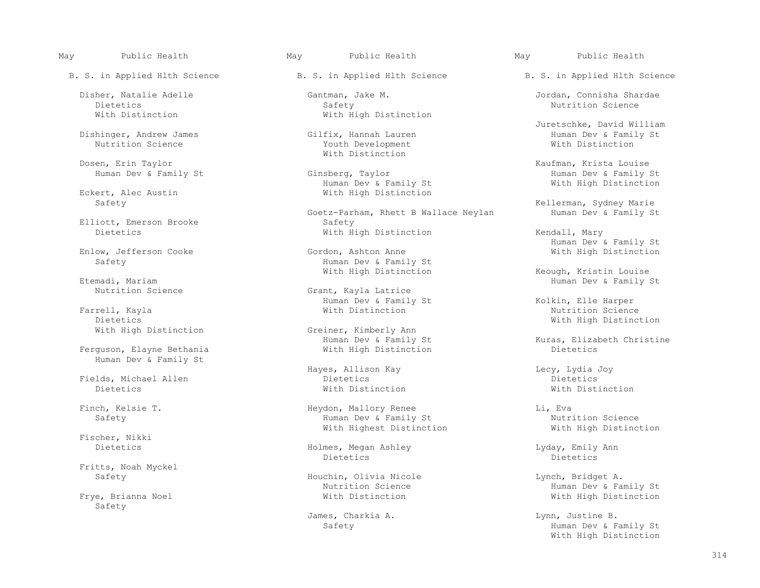B. S. in Applied Hlth Science B. S. in Applied Hlth Science B. S. in Applied Hlth Science

Dishinger, Andrew James Gilfix, Hannah Lauren Human Dev & Family St

ert, Alec Austin With High Distinction<br>
Safety

Elliott, Emerson Brooke<br>Dietetics

Enlow, Jefferson Cooke

ethandi, Mariam Dev & Family St (Channel Channel Channel Channel Channel Channel Channel Channel Channel Channel Channel Channel Channel Channel Channel Channel Channel Channel Channel Channel Channel Channel Channel Chann

 Farrell, Kayla With Distinction Nutrition Science Dietetics<br>
With High Distinction<br>
With High Distinction<br>
Greiner, Kimberly Ann

Ferguson, Elayne Bethania Human Dev & Family St

 Fields, Michael Allen Dietetics Dietetics Dietetics With Distinction With Distinction

Fischer, Nikki

Fritts, Noah Myckel

Safety

 Dietetics Safety Nutrition Science With Distinction **With High Distinction** 

Youth Development Dosen, Erin Taylor **Example 2018** With Distinction

Human Dev & Family St Ginsberg, Taylor and Ginsberg and Dev & Family St Family St Entity St Example of American<br>Human Dev & Family St Family St Mith High Distinction Eckert, Alec Austin The Music Control of Muman Dev & Family St With High Distinction

> Goetz-Parham, Rhett B Wallace Neylan<br>Safety With High Distinction Kendall, Mary

Safety Safety Human Dev & Family St<br>
With High Distinction

Grant, Kayla Latrice Human Dev & Family St Extra and Kolkin, Elle Harper (Farrell, Kayla (Farrell, Kayla (Farrell, Kayla (Farrell, Kayla (Farrell, Kayla (Farrell, Kayla (Farrell, Kayla (Farrell, Kayla (Farrell, Kayla (Farrell, Kayla (Farrell,

With High Distinction Greiner, Kimberly Ann<br>Human Dev & Family St

Hayes, Allison Kay and Lecy, Lydia Joy<br>Dietetics bietetics

 Finch, Kelsie T. Heydon, Mallory Renee Li, Eva Fuman Dev & Family St<br>
With Highest Distinction<br>
With High Distinction<br>
With High Distinction With Highest Distinction

Holmes, Megan Ashley Lyday, Emily Ann Dietetics Dietetics Dietetics Dietetics

Safety **Example 20** Houchin, Olivia Nicole Month Lynch, Bridget A.<br>Nutrition Science and Human Dev & Farman Dev & Farman Dev & Farman Dev & Farman Dev & Farman Dev & Farman Dev & Farman Dev & Farman Dev & Farman Dev & Farm

James, Charkia A. (a) a control of the B. Lynn, Justine B.

May Public Health May Public Health May Public Health

Disher, Natalie Adelle Gantman, Jake M. Jordan, Connisha Shardae

Juretschke, David William<br>Gilfix, Hannah Lauren<br>Human Dev & Family St

Einsberg, Taylor (Europa and Taylor Kaufman, Krista Louise and Taylor (Europa and Taylor St

Kellerman, Sydney Marie<br>Human Dev & Family St

Human Dev & Family St<br>Gordon, Ashton Anne States and Mith High Distinction

With High Distinction and the Mechanic Keough, Kristin Louise Etemadi, Mariam and the Music Remily (Etemadi, Mariam Dev & Family Stems

Human Dev & Family St<br>
With High Distinction<br>
Dietetics<br>
Dietetics

Nutrition Science and Human Dev & Family St (Nutrition Science Science of Human Dev & Family St (Nutrition Science of Human Dev & Family St (Nutrition Science of Human Dev & Family St (Nutrition Science of Nutrition Scienc With High Distinction

> Safety **Human Dev & Family St** With High Distinction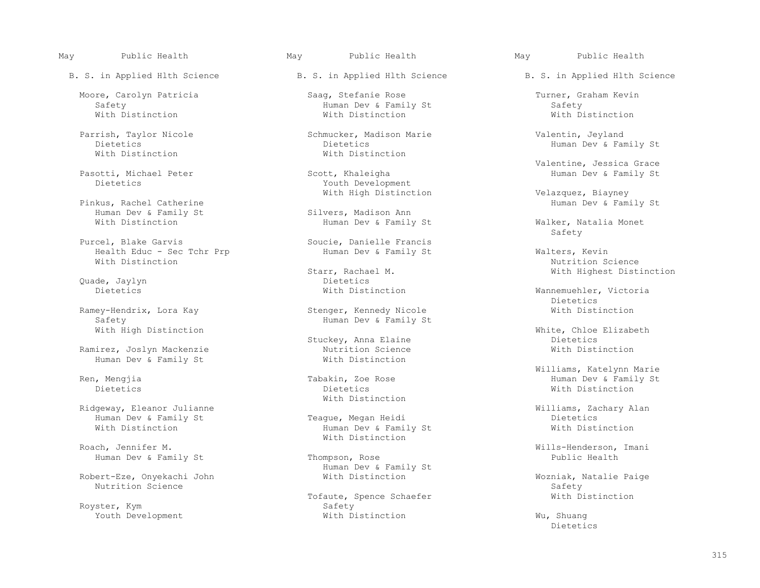Pasotti, Michael Peter<br>Dietetics

Pinkus, Rachel Catherine<br>
Human Dev & Family St<br>
Silvers, Madison Ann Human Dev & Family St<br>With Distinction

Purcel, Blake Garvis<br>
Health Educ - Sec Tchr Prp<br>
Human Dev & Family St Health Educ - Sec Tchr Prp Human Dev & Family St Walters, Kevin With Distinction Science With Distinction Nutrition Science Nutrition Science Nutrition Science Nutrition Science Nutrition Science Nutrition Science Nutrition Science Nutrition Science Nutrition Science Nutrition Science Nutrition Science Nutriti

Safety<br>With High Distinction<br>
With High Distinction

Ramirez, Joslyn Mackenzie and Mutrition Science Nutrition Science Nutrition Science Nutrition Science Nutrition Human Dev & Family St

 Ridgeway, Eleanor Julianne Williams, Zachary Alan Human Dev & Family St Teague, Megan Heidi Dietetics

Human Dev & Family St Thompson, Rose

Robert-Eze, Onyekachi John Mith Distinction Mozes and Mozniak, Natalie Paige Nutrition Science Wozniak, Natalie Paige Nutrition Science  $S$ afety Safety Safety Safety Safety Safety Safety Safety Safety Safety Safety Safety Safety

 Moore, Carolyn Patricia Saag, Stefanie Rose Turner, Graham Kevin Safety Human Dev & Family St Safety With Distinction With Distinction With Distinction

 Parrish, Taylor Nicole Schmucker, Madison Marie Valentin, Jeyland Dietetics Dietetics Dietetics Dietetics and Dietetics Human Dev & Family St<br>With Distinction With Distinction With Distinction

Youth Development

Starr, Rachael M. With Highest Distinction<br>
Dietetics Quade, Jaylyn Dietetics

Ramey-Hendrix, Lora Kay Stenger, Kennedy Nicole With Distinction

 Dietetics Dietetics With Distinction With Distinction

Human Dev & Family St Roach, Jennifer M. Sales and Michael Mith Distinction

Human Dev & Family St

Royster, Kym<br>Youth Development<br>With Distinction Youth Development **With Distinction** With Distinction **Wu, Shuang** Dietetics

May Public Health May Public Health May Public Health

B. S. in Applied Hlth Science B. S. in Applied Hlth Science B. S. in Applied Hlth Science

Valentine, Jessica Grace<br>
Valentine, Jessica Grace<br>
Human Dev & Family St

With High Distinction and Velazquez, Biayney<br>Human Dev & Family St

Human Dev & Family St Walker, Natalia Monet<br>Safety Safety

Wannemuehler, Victoria<br>Dietetics different properties of the contract of the contract of the contract of the contract of the contract of the contract of the contract of the contract of the contract of the contract of the contract of the contract of the co

> White, Chloe Elizabeth<br>Dietetics Stuckey, Anna Elaine<br>
> Nutrition Science<br>
> Nutrition Science<br>
> Nutrition Science

 Williams, Katelynn Marie Ren, Mengjia Tabakin, Zoe Rose Human Dev & Family St

Wills-Henderson, Imani<br>Public Health

Tofaute, Spence Schaefer Michael With Distinction

Dietetics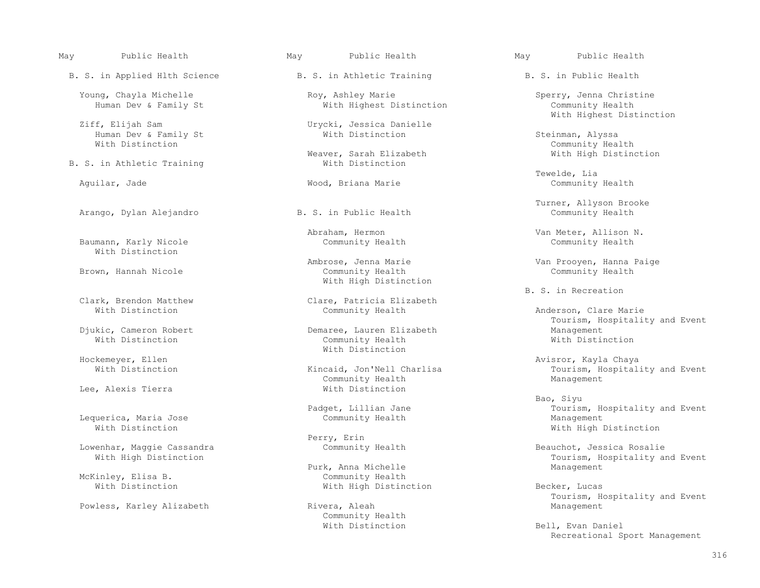B. S. in Applied Hlth Science B. S. in Athletic Training B. S. in Public Health

Human Dev & Family St With Distinction Steinman, Alyssa

B. S. in Athletic Training

Arango, Dylan Alejandro

Baumann, Karly Nicole With Distinction

Brown, Hannah Nicole

Lee, Alexis Tierra

Lequerica, Maria Jose<br>With Distinction

McKinley, Elisa B.<br>With Distinction

Powless, Karley Alizabeth **Rivera, Aleah Management** Management

Young, Chayla Michelle Roy, Ashley Marie Sperry, Jenna Christine Roy, Ashley Marie Sperry, Jenna Christine With Highest Distinction

Urycki, Jessica Danielle<br>With Distinction

ver, Sarah Elizabeth Mith High Distinction<br>With Distinction

With High Distinction

E. S. in Recreation Clare, Patricia Elizabeth B. S. in Recreation B. S. in Recreation irk, Brendon Matthew Clare, Patricia Elizabeth<br>With Distinction Community Health

 Djukic, Cameron Robert Demaree, Lauren Elizabeth Management Community Health With Distinction<br>
Hockemeyer, Ellen

Community Health<br>With Distinction

Perry, Erin<br>Community Health

Purk, Anna Michelle<br>Community Health With High Distinction Becker, Lucas

Community Health<br>With Distinction

Ziff, Elijah Sam Urycki, Jessica Danielle With Highest Distinction

Community Health<br>Weaver, Sarah Elizabeth (With High Distinction 2015)

 Tewelde, Lia Aguilar, Jade Wood, Briana Marie Community Health

E. S. in Public Health Furner, Allyson Brooke<br>Community Health Community Health

Abraham, Hermon Van Meter, Allison N.<br>Community Health Community Health Community Health

Ambrose, Jenna Marie Van Prooyen, Hanna Paige

Anderson, Clare Marie Djukic, Cameron Robert **Example 20 Found Constructs** Demaree, Lauren Elizabeth Froutism, Hospitality and Event

kemeyer, Ellen (Kayla Chaya)<br>Mith Distinction (Kayla Chaya) (Kincaid, Jon'Nell Charlisa (Kayla Tourism, Hospital) Tourism, Hospitality and Event<br>Management

 Bao, Siyu Padget, Lillian Jane and Tourism, Hospitality and Event Community Health and Tourism and Management With High Distinction

Lowenhar, Maggie Cassandra Community Health Beauchot, Jessica Rosalie<br>With High Distinction Community Health Tourism, Hospital Tourism, Hospitality and Event<br>Management

Tourism, Hospitality and Event

Bell, Evan Daniel Recreational Sport Management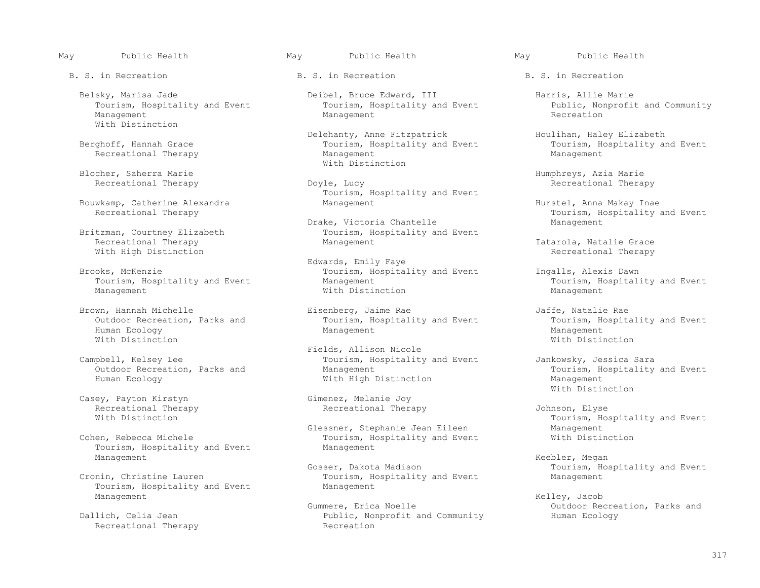B. S. in Recreation **B. S.** in Recreation **B. S.** in Recreation

 Management Management Recreation With Distinction

Recreational Therapy

Bouwkamp, Catherine Alexandra Management Hurstel, Anna Makay Inae

With High Distinction

Management With Distinction Management

 Human Ecology Management Management With Distinction With Distinction

Casey, Payton Kirstyn Gimenez, Melanie Joy<br>Recreational Therapy Gimenez, Melanie Joy Recreational Therapy Recreational Therapy Johnson, Elyse

Tourism, Hospitality and Event Management Keebler, Megan

 Tourism, Hospitality and Event Management Management  $\,$  Kelley, Jacob  $\,$ 

Recreational Therapy

Belsky, Marisa Jade Deibel, Bruce Edward, III Harris, Allie Marie Tourism, Hospitality and Event Public, Nonprofit

Fourism, Hospitality and Event Tourism, Hospitality and Event Tourism, Hospitality and Event Tourism, Hospitality and Event Tourism, Hospitality and Event Tourism, Hospitality and Event Tourism, Hospitality and Event Touri Blocher, Saherra Marie<br>
Expansion<br>  $\blacksquare$  With Distinction

Tourism, Hospitality and Event

Drake, Victoria Chantelle<br>Britzman, Courtney Elizabeth Management Tourism, Hospitality and tzman, Courtney Elizabeth Tourism, Hospitality and Event<br>Recreational Therapy Theory Management

 Edwards, Emily Faye oks, McKenzie and Event Tourism, Hospitality and Event Ingalls, Alexis Dawn<br>Tourism, Hospitality and Event and Alexis Management and Event Tourism, Hospital

Brown, Hannah Michelle Eisenberg, Jaime Rae 31 and Event Jaffe, Natalie Rae 31 and Event outdoor Recreation, Parks and Stent Tourism, Hospitality and Event 31 outdoor Recreation, Parks and Stent Tourism, Hospitality and Ev Outdoor Recreation, Parks and Tourism, Hospitality and Event Tourism, Hospitality and Event Tourism, Hospitality and Event Tourism, Hospitality and Event Tourism, Hospitality and Event Management

Fields, Allison Nicole<br>Tourism, Hospitality (The Sampbell, Kelsey Lee Campbell, Kelsey Lee Tourism, Hospitality and Event Jankowsky, Jessica Sara Outdoor Recreation, Parks and Management Management Tourism, Hospitality and Event<br>
Human Ecology Mith High Distinction Management Management

Glessner, Stephanie Jean Eileen Management Management<br>Cohen, Rebecca Michele Management Tourism, Hospitality and Event Mith Distinction Tourism, Hospitality and Event<br>Management

Tourism, Hospitality and Event Management Management

Gummere, Erica Noelle and Community Outdoor Recreation, Parks and<br>Public, Nonprofit and Community and Human Ecology Public, Nonprofit and Community<br>Recreation

May Public Health May Public Health May Public Health

Tourism, Hospitality and Event Tourism, Hospitality and Event Public, Nonprofit and Community<br>Management Management Public, Nonprofit and Community

Delehanty, Anne Fitzpatrick Houlihan, Haley Elizabeth

 Blocher, Saherra Marie Humphreys, Azia Marie Recreational Therapy

Tourism, Hospitality and Event<br>Management

Management Tatarola, Natalie Grace<br>Recreational Therapy

Tourism, Hospitality and Event Management Management Management Management Management Management Management Management

With High Distinction<br>
With Distinction<br>
With Distinction With Distinction

Tourism, Hospitality and Event<br>Management

Gosser, Dakota Madison Tourism, Hospitality and Event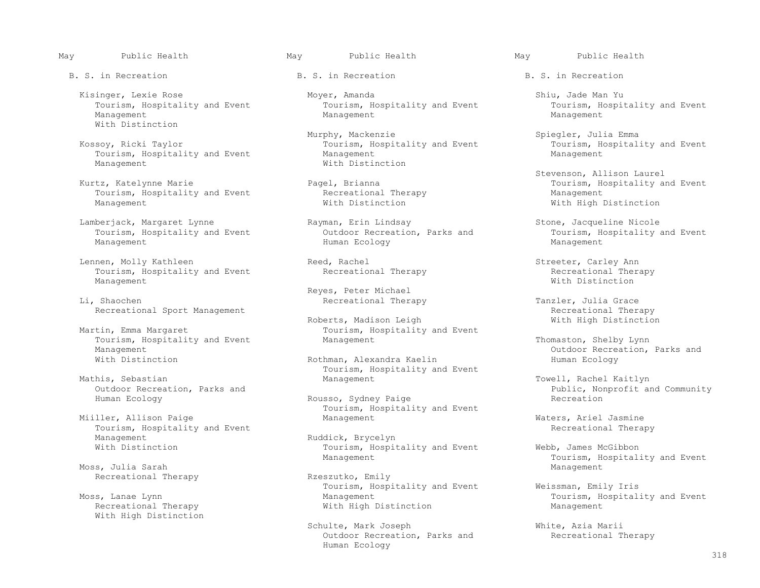B. S. in Recreation **B. S.** in Recreation **B. S.** in Recreation **B. S.** in Recreation

 Management Management Management With Distinction

Tourism, Hospitality and Event Management Management

Tourism, Hospitality and Event Recreational The:<br>Management Management Mith Distinction

Tourism, Hospitality and Event Outdoor Recreation<br>Management Management Australity and Tourism, Parks and Human Ecology

Lennen, Molly Kathleen Reed, Rachel Reed, Rachel Streeter, Carley Ann Streeter, Carley Ann Reed, Rachel Streeter, Carley Ann Streeter, Carley Ann Recreational Therapy Tourism, Hospitality and Event **Recreational Therapy** Recreational The Recreational The<br>Management **Recreation** Management With Distinction

Tourism, Hospitality and Event Management Management Thomaston, Shelby Lynn<br>Management Outdoor Recreation,

his, Sebastian (and Towell, Rachel Kaitlyn) (his, Sebastian Management (and Towell, Rachel Kaitlyn) (his, Sepan<br>Management (butdoor Recreation, Parks and Management (butdoor Recreation, Parks and Sepan) (his, Nonprofit an

Tourism, Hospitality and Event<br>
Ruddick, Brycelyn<br>
Ruddick, Recreational Therapy Management Ruddick, Brycelyn<br>With Distinction and Ruddick, Brycelyn

Moss, Julia Sarah Management (1999), Management (1999), Management (1999), Management (1999), Management (1999 Recreational Therapy **Rzeszutko**, Emily

With High Distinction

Kisinger, Lexie Rose Mover, Amanda and Shiu, Jade Man Yu Shiu, Jade Man Yu Shiu, Hospitality and Event Shiu, Hospitality and Event Tourism, Hospitality and Event Tourism, Hospitality and Event Tourism, Hospitality and Even Tourism, Hospitality and Event Tourism, Hospitality and Event Tourism, Hospitality and Event Tourism, Hospitality and Event Tourism, Hospitality and Event Tourism, Hospitality and Event Tourism, Hospitality and Event Manag

 Murphy, Mackenzie Spiegler, Julia Emma Tourism, Hospitality and Event Tourism, Hospitality and Event Tourism, Hospitality and Event Tourism, Hospitality and Event Tourism, Hospitality and Event Tourism, Hospitality and Event Tourism, Hospitality and Event Touri With Distinction

Lamberjack, Margaret Lynne Rayman, Erin Lindsay Stone, Jacqueline Nicole Rayman, Erin Lindsay Stone, Jacqueline Nicole Management Human Ecology Management

Reyes, Peter Michael (1999) Reyes, Peter Michael (1999) Reyes, Peter Michael (1999) Reyes, Peter Michael (199 Recreational Therapy Tanzler, Julia Grace

Roberts, Madison Leigh<br>Martin, Emma Margaret and Microsoft Courism, Hospitality Tourism, Hospitality and Event

Rothman, Alexandra Kaelin Human Ecology Tourism, Hospitality and Event<br>
Management<br>
Management

Rousso, Sydney Paige Tourism, Hospitality and Event<br>Management Miiller, Allison Paige and Management Management Maters, Ariel Jasmine

Tourism, Hospitality and Event Webb, James McGibbon

 Tourism, Hospitality and Event Weissman, Emily Iris s, Lanae Lynn<br>
Recreational Therapy Mith High Distinction Management Management With High Distinction Management

> Schulte, Mark Joseph White, Azia Marii<br>
> Outdoor Recreation, Parks and Recreational Therapy Outdoor Recreation, Parks and Human Ecology

Stevenson, Allison Laurel (Stevenson, Allison Laurel (Stevenson, Allison Laurel (Stevenson, Allison Laurel (St<br>France (Stevenson, Hospitality and Stevenson, Hospitality and Stevenson, Hospitality and Stevenson, Hospitality Fourism, Hospitality and Event Recreational Therapy **Maritannic Maritie Pagel, Britannic Pagel**<br>Recreational Therapy **Marie Pagel, Maritie Management** With High Distinction

Recreational Sport Management<br>Roberts, Madison Leigh and the most matches with High Distinction

Management<br>
Management Outdoor Recreation, Parks and<br>
Mith Distinction Rothman, Alexandra Kaelin Human Ecology

Outdoor Recreation, Parks and The Rousso, Sydney Paige The Public, Nonprofit and Community<br>Public, Nonprofit and Community

Management Management Moss, Julia Sarah Event<br>Moss, Julia Sarah Nanagement Management Management Management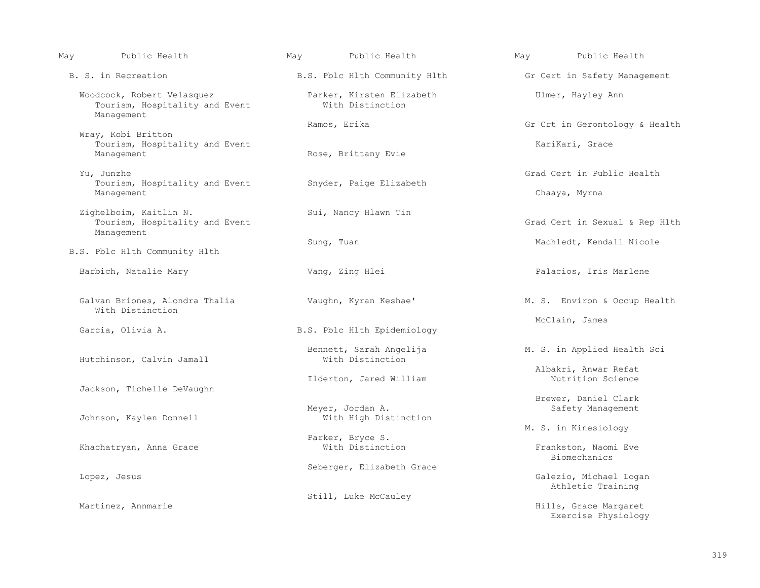| May | Public Health                                                              | May | Public Health                                 | May | Public Health                                |
|-----|----------------------------------------------------------------------------|-----|-----------------------------------------------|-----|----------------------------------------------|
|     | B. S. in Recreation                                                        |     | B.S. Pblc Hlth Community Hlth                 |     | Gr Cert in Safety Management                 |
|     | Woodcock, Robert Velasquez<br>Tourism, Hospitality and Event<br>Management |     | Parker, Kirsten Elizabeth<br>With Distinction |     | Ulmer, Hayley Ann                            |
|     | Wray, Kobi Britton                                                         |     | Ramos, Erika                                  |     | Gr Crt in Gerontology & Health               |
|     | Tourism, Hospitality and Event<br>Management                               |     | Rose, Brittany Evie                           |     | KariKari, Grace                              |
|     | Yu, Junzhe                                                                 |     |                                               |     | Grad Cert in Public Health                   |
|     | Tourism, Hospitality and Event<br>Management                               |     | Snyder, Paige Elizabeth                       |     | Chaaya, Myrna                                |
|     | Zighelboim, Kaitlin N.<br>Tourism, Hospitality and Event<br>Management     |     | Sui, Nancy Hlawn Tin                          |     | Grad Cert in Sexual & Rep Hlth               |
|     | B.S. Pblc Hlth Community Hlth                                              |     | Sung, Tuan                                    |     | Machledt, Kendall Nicole                     |
|     | Barbich, Natalie Mary                                                      |     | Vang, Zing Hlei                               |     | Palacios, Iris Marlene                       |
|     | Galvan Briones, Alondra Thalia<br>With Distinction                         |     | Vaughn, Kyran Keshae'                         |     | M. S. Environ & Occup Health                 |
|     | Garcia, Olivia A.                                                          |     | B.S. Pblc Hlth Epidemiology                   |     | McClain, James                               |
|     | Hutchinson, Calvin Jamall                                                  |     | Bennett, Sarah Angelija<br>With Distinction   |     | M. S. in Applied Health Sci                  |
|     |                                                                            |     | Ilderton, Jared William                       |     | Albakri, Anwar Refat<br>Nutrition Science    |
|     | Jackson, Tichelle DeVaughn                                                 |     |                                               |     | Brewer, Daniel Clark                         |
|     | Johnson, Kaylen Donnell                                                    |     | Meyer, Jordan A.<br>With High Distinction     |     | Safety Management                            |
|     |                                                                            |     | Parker, Bryce S.                              |     | M. S. in Kinesiology                         |
|     | Khachatryan, Anna Grace                                                    |     | With Distinction                              |     | Frankston, Naomi Eve<br>Biomechanics         |
|     | Lopez, Jesus                                                               |     | Seberger, Elizabeth Grace                     |     | Galezio, Michael Logan<br>Athletic Training  |
|     |                                                                            |     | Still, Luke McCauley                          |     |                                              |
|     | Martinez, Annmarie                                                         |     |                                               |     | Hills, Grace Margaret<br>Exercise Physiology |

319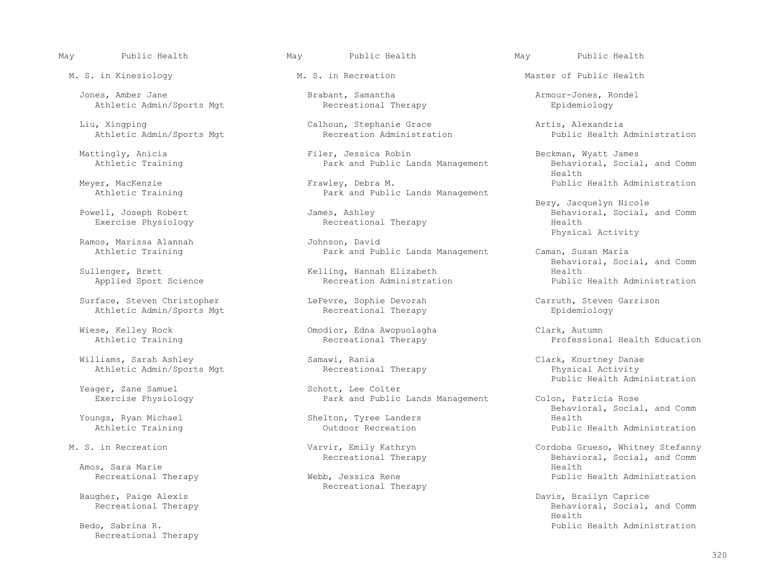Jones, Amber Jane Brabant, Samantha Armour-Jones, Rondel Athletic Admin/Sports Mgt

Athletic Admin/Sports Mgt

Ramos, Marissa Alannah<br>Athletic Training

Applied Sport Science

Surface, Steven Christopher LeFevre, Sophie Devorah Carruth, Steven Garrison<br>Athletic Admin/Sports Mgt Recreational Therapy Epidemiology Athletic Admin/Sports Mgt **Recreational Therapy Epidemiology** 

Williams, Sarah Ashley Samawi, Rania Clark, Kourtney Danae<br>Athletic Admin/Sports Mgt Recreational Therapy Athletic Admin/Sports Mgt

Yeager, Zane Samuel<br>Exercise Physiology

Amos, Sara Marie **Health** 

Recreational Therapy

### May Public Health May Public Health May Public Health

 Mattingly, Anicia Filer, Jessica Robin Beckman, Wyatt James Park and Public Lands Management Behavioral, Behavioral, Social, and Communications and Communications and Communications and Communications and Communications and Communications and Communications and Communications and C

Meyer, MacKenzie **Frawley, Debra M.** Public Health Administration<br>Athletic Training **Frame Park and Public Lands Management** Park and Public Lands Management

Recreational Therapy

 Physical Activity Park and Public Lands Management Caman, Susan Maria

Wiese, Kelley Rock Omodior, Edna Awopuolagha Clark, Autumn

Park and Public Lands Management Colon, Patricia Rose

ings, Ryan Michael Shelton, Tyree Landers<br>
Athletic Training Shelton, Outdoor Recreation

Recreational Therapy<br>Baugher, Paige Alexis

M. S. in Kinesiology **M. S. in Recreation** M. S. in Recreation Master of Public Health

Liu, Xingping<br>
Calhoun, Stephanie Grace and Artis, Alexandria<br>
Recreation Administration Administration Public Health Administration

Health

Bezy, Jacquelyn Nicole<br>Behavioral, Social, Joseph Robert (1993) (James, Ashley (1994) (1995) (1994) (1995) (1996) (1998) (1999) (199<br>Behavioral, Social, Joseph Robert (1999) (1999) (1999) (1999) (1999) (1999) (1999) (1999) ell, Joseph Robert James, Ashley Behavioral, Social, and Comm<br>Exercise Physiology Recreational Therapy Health

Sullenger, Brett Social, and Comm<br>
Sullenger, Brett Social, and Comm Kelling, Hannah Elizabeth<br>
Recreation Administration<br>
Public Health Administration

Professional Health Education

Schott, Lee Colter and Schott, Lee Colter and Schott, Lee Colter and Schott, Lee Colter and Schott, Lee Colter

External Behavioral, Social, and Comm<br>Boungs, Ryan Michael Month (Shelton, Tyree Landers Shelth Realth Health Realth Realth Realth Shelth Realth Realth Shelth Shelth (Shelth Realth Realth Realth Realth Realth Realth Realth Public Health Administration

 M. S. in Recreation Varvir, Emily Kathryn Cordoba Grueso, Whitney Stefanny Recreational Therapy Behavioral, Social, and Comm Recreational Therapy **Webb, Jessica Rene Webs**, Tessica Rene Public Health Administration

gher, Paige Alexis Davis, Brailyn Caprice (1999)<br>Baught Davis, Brailyn Caprice (1999)<br>Behavioral, Social, Behavioral, Social, Behavioral, Social, Behavioral, Social, Behavioral, Social, Behavioral, Social, Behavioral, Social, and Comm<br>Health Health Bedo, Sabrina R. Public Health Administration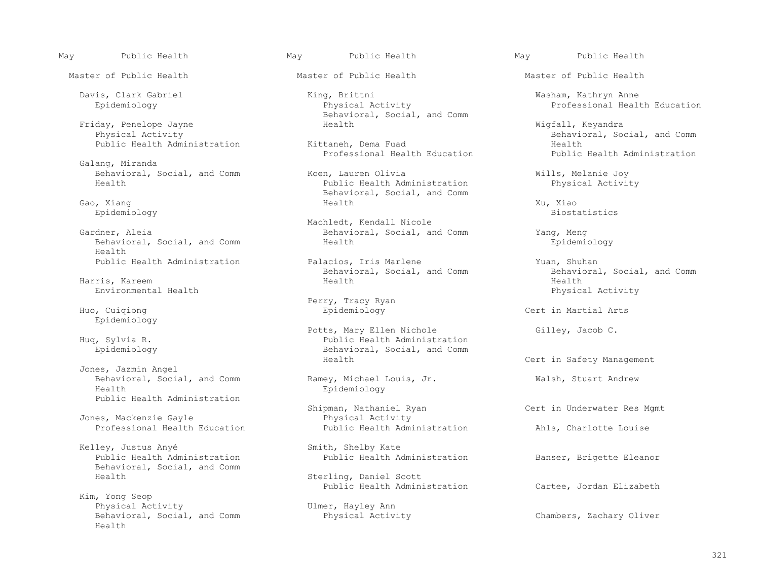Master of Public Health **Master of Public Health** Master of Public Health Master of Public Health

Friday, Penelope Jayne Health Wigfall, Keyandra

Galang, Miranda

Behavioral, Social, and Comm Health

Environmental Health **Physical Activity** Physical Activity

Epidemiology

 Jones, Jazmin Angel Behavioral, Social, and Comm Ramey, Michael Louis, Jr. Walsh, Stuart Andrew<br>Health Roidemiology Public Health Administration

Jones, Mackenzie Gayle<br>Professional Health Education<br>Public Health Administration

Kelley, Justus Anyé<br>Public Health Administration<br>Public Health Administration Behavioral, Social, and Comm

 Kim, Yong Seop Physical Activity<br>Behavioral, Social, and Comm<br>Physical Activity Behavioral, Social, and Comm Physical Activity Chambers, Zachary Oliver Health

- Davis, Clark Gabriel King, Brittni Washam, Kathryn Anne Behavioral, Social, and Comm<br>Health
	- Professional Health Education

Behavioral, Social, and Comm and Koen, Lauren Olivia and Mills, Melanie Joy<br>Health Menth Administration and Public Health Administration and Physical Activity Public Health Administration Gao, Xiang (Gao, Alexander School and Comm (Gao, Alexander School and Comm (Gao, Alexander School and Comm (Gao<br>
Behavioral, Social, and Comm (Gao, Alexander School and Comm (Gao, Alexander School and Comm (Gao, Alexander Gao, Xiang National Service Service Service Service Service Service Service Service Service Service Service Se

 Machledt, Kendall Nicole Behavioral, Social, and Comm Yang, Meng<br>Health Behaviology

Public Health Administration **Palacios, Iris Marlene** Yuan, Shuhan Yuan, Shuhan Palacios, Iris Marlene Theorem Public Health Administration Behavioral, Social, and Comm Behavioral, Social, and Comm Behavioral, Social, and Comm Behavioral, Social, and Comm Behavioral, Social, and Comm Behavioral, Social, and Comm Behavioral, Social, and Comm Behavioral, Social, and Comm Behavioral, Social, Harris, Kareem Health Health

 Perry, Tracy Ryan Huo, Cuiqiong Epidemiology Cert in Martial Arts

Potts, Mary Ellen Nichole Gilley, Jacob C.<br>Public Health Administration Gilley, Jacob C. (a) Fublic Health Administration (b) Fublic Health Administration (b) For the Sylvia R. Public Health Administration<br>Epidemiology Behavioral, Social, and Comm<br>Health

Epidemiology

Shipman, Nathaniel Ryan Cert in Underwater Res Mgmt<br>
Physical Activity Professional Health Education **Public Health Administration** Ahls, Charlotte Louise

Public Health Administration Banser, Brigette Eleanor

Sterling, Daniel Scott<br>Public Health Administration

May Public Health May Public Health May Public Health

Professional Health Education

Physical Activity Behavioral, Social, and Comm<br>
Realth
Health
Health
Behavioral, Social, and Comm Public Health Administration **Exercise Construction** Kittaneh, Dema Fuad **Health Administration**<br>Professional Health Education **Health Public Health Administration** 

Epidemiology Biostatistics

Cert in Safety Management

Cartee, Jordan Elizabeth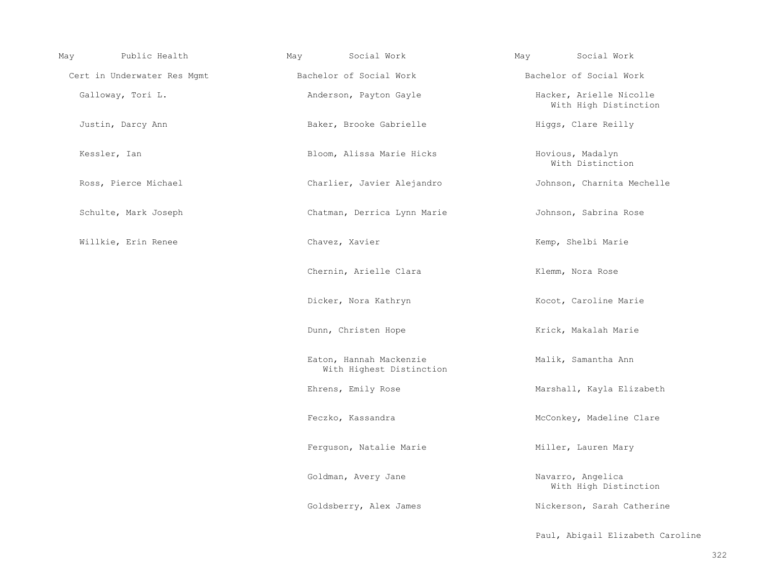| May | Public Health               | May | Social Work                                         | May | Social Work                                      |
|-----|-----------------------------|-----|-----------------------------------------------------|-----|--------------------------------------------------|
|     | Cert in Underwater Res Mgmt |     | Bachelor of Social Work                             |     | Bachelor of Social Work                          |
|     | Galloway, Tori L.           |     | Anderson, Payton Gayle                              |     | Hacker, Arielle Nicolle<br>With High Distinction |
|     | Justin, Darcy Ann           |     | Baker, Brooke Gabrielle                             |     | Higgs, Clare Reilly                              |
|     | Kessler, Ian                |     | Bloom, Alissa Marie Hicks                           |     | Hovious, Madalyn<br>With Distinction             |
|     | Ross, Pierce Michael        |     | Charlier, Javier Alejandro                          |     | Johnson, Charnita Mechelle                       |
|     | Schulte, Mark Joseph        |     | Chatman, Derrica Lynn Marie                         |     | Johnson, Sabrina Rose                            |
|     | Willkie, Erin Renee         |     | Chavez, Xavier                                      |     | Kemp, Shelbi Marie                               |
|     |                             |     | Chernin, Arielle Clara                              |     | Klemm, Nora Rose                                 |
|     |                             |     | Dicker, Nora Kathryn                                |     | Kocot, Caroline Marie                            |
|     |                             |     | Dunn, Christen Hope                                 |     | Krick, Makalah Marie                             |
|     |                             |     | Eaton, Hannah Mackenzie<br>With Highest Distinction |     | Malik, Samantha Ann                              |
|     |                             |     | Ehrens, Emily Rose                                  |     | Marshall, Kayla Elizabeth                        |
|     |                             |     | Feczko, Kassandra                                   |     | McConkey, Madeline Clare                         |
|     |                             |     | Ferguson, Natalie Marie                             |     | Miller, Lauren Mary                              |
|     |                             |     | Goldman, Avery Jane                                 |     | Navarro, Angelica<br>With High Distinction       |
|     |                             |     | Goldsberry, Alex James                              |     | Nickerson, Sarah Catherine                       |
|     |                             |     |                                                     |     | Paul, Abigail Elizabeth Caroline                 |